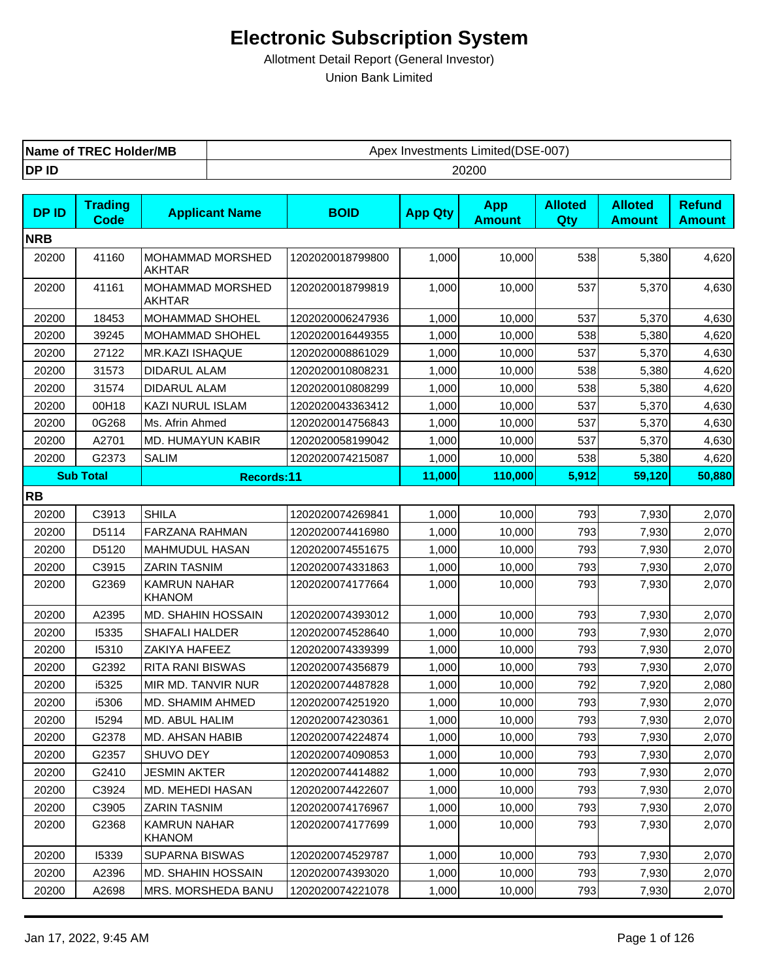| <b>TREC Holder/MB</b><br>Name of | Limited(DSE-007)<br>Apex<br>∶ Investments |
|----------------------------------|-------------------------------------------|
| DP ID                            | 20200                                     |

| <b>DPID</b> | <b>Trading</b><br><b>Code</b> | <b>Applicant Name</b>                | <b>BOID</b>      | <b>App Qty</b> | <b>App</b><br><b>Amount</b> | <b>Alloted</b><br>Qty | <b>Alloted</b><br><b>Amount</b> | <b>Refund</b><br><b>Amount</b> |
|-------------|-------------------------------|--------------------------------------|------------------|----------------|-----------------------------|-----------------------|---------------------------------|--------------------------------|
| <b>NRB</b>  |                               |                                      |                  |                |                             |                       |                                 |                                |
| 20200       | 41160                         | MOHAMMAD MORSHED<br><b>AKHTAR</b>    | 1202020018799800 | 1,000          | 10,000                      | 538                   | 5,380                           | 4,620                          |
| 20200       | 41161                         | MOHAMMAD MORSHED<br>AKHTAR           | 1202020018799819 | 1,000          | 10,000                      | 537                   | 5,370                           | 4,630                          |
| 20200       | 18453                         | MOHAMMAD SHOHEL                      | 1202020006247936 | 1,000          | 10,000                      | 537                   | 5,370                           | 4,630                          |
| 20200       | 39245                         | MOHAMMAD SHOHEL                      | 1202020016449355 | 1,000          | 10,000                      | 538                   | 5,380                           | 4,620                          |
| 20200       | 27122                         | <b>MR.KAZI ISHAQUE</b>               | 1202020008861029 | 1,000          | 10,000                      | 537                   | 5,370                           | 4,630                          |
| 20200       | 31573                         | DIDARUL ALAM                         | 1202020010808231 | 1,000          | 10,000                      | 538                   | 5,380                           | 4,620                          |
| 20200       | 31574                         | DIDARUL ALAM                         | 1202020010808299 | 1,000          | 10,000                      | 538                   | 5,380                           | 4,620                          |
| 20200       | 00H18                         | KAZI NURUL ISLAM                     | 1202020043363412 | 1,000          | 10,000                      | 537                   | 5,370                           | 4,630                          |
| 20200       | 0G268                         | Ms. Afrin Ahmed                      | 1202020014756843 | 1,000          | 10,000                      | 537                   | 5,370                           | 4,630                          |
| 20200       | A2701                         | MD. HUMAYUN KABIR                    | 1202020058199042 | 1,000          | 10,000                      | 537                   | 5,370                           | 4,630                          |
| 20200       | G2373                         | SALIM                                | 1202020074215087 | 1,000          | 10,000                      | 538                   | 5,380                           | 4,620                          |
|             | <b>Sub Total</b>              | Records:11                           |                  | 11,000         | 110,000                     | 5,912                 | 59,120                          | 50,880                         |
| <b>RB</b>   |                               |                                      |                  |                |                             |                       |                                 |                                |
| 20200       | C3913                         | <b>SHILA</b>                         | 1202020074269841 | 1,000          | 10,000                      | 793                   | 7,930                           | 2,070                          |
| 20200       | D5114                         | <b>FARZANA RAHMAN</b>                | 1202020074416980 | 1,000          | 10,000                      | 793                   | 7,930                           | 2,070                          |
| 20200       | D5120                         | <b>MAHMUDUL HASAN</b>                | 1202020074551675 | 1,000          | 10,000                      | 793                   | 7,930                           | 2,070                          |
| 20200       | C3915                         | <b>ZARIN TASNIM</b>                  | 1202020074331863 | 1,000          | 10,000                      | 793                   | 7,930                           | 2,070                          |
| 20200       | G2369                         | <b>KAMRUN NAHAR</b><br><b>KHANOM</b> | 1202020074177664 | 1,000          | 10,000                      | 793                   | 7,930                           | 2,070                          |
| 20200       | A2395                         | MD. SHAHIN HOSSAIN                   | 1202020074393012 | 1,000          | 10,000                      | 793                   | 7,930                           | 2,070                          |
| 20200       | 15335                         | <b>SHAFALI HALDER</b>                | 1202020074528640 | 1,000          | 10,000                      | 793                   | 7,930                           | 2,070                          |
| 20200       | 15310                         | ZAKIYA HAFEEZ                        | 1202020074339399 | 1,000          | 10,000                      | 793                   | 7,930                           | 2,070                          |
| 20200       | G2392                         | <b>RITA RANI BISWAS</b>              | 1202020074356879 | 1,000          | 10,000                      | 793                   | 7,930                           | 2,070                          |
| 20200       | i5325                         | MIR MD. TANVIR NUR                   | 1202020074487828 | 1,000          | 10,000                      | 792                   | 7,920                           | 2,080                          |
| 20200       | i5306                         | MD. SHAMIM AHMED                     | 1202020074251920 | 1,000          | 10,000                      | 793                   | 7,930                           | 2,070                          |
| 20200       | 15294                         | MD. ABUL HALIM                       | 1202020074230361 | 1,000          | 10,000                      | 793                   | 7,930                           | 2,070                          |
| 20200       | G2378                         | MD. AHSAN HABIB                      | 1202020074224874 | 1,000          | 10,000                      | 793                   | 7,930                           | 2,070                          |
| 20200       | G2357                         | SHUVO DEY                            | 1202020074090853 | 1,000          | 10,000                      | 793                   | 7,930                           | 2,070                          |
| 20200       | G2410                         | <b>JESMIN AKTER</b>                  | 1202020074414882 | 1,000          | 10,000                      | 793                   | 7,930                           | 2,070                          |
| 20200       | C3924                         | <b>MD. MEHEDI HASAN</b>              | 1202020074422607 | 1,000          | 10,000                      | 793                   | 7,930                           | 2,070                          |
| 20200       | C3905                         | <b>ZARIN TASNIM</b>                  | 1202020074176967 | 1,000          | 10,000                      | 793                   | 7,930                           | 2,070                          |
| 20200       | G2368                         | <b>KAMRUN NAHAR</b><br><b>KHANOM</b> | 1202020074177699 | 1,000          | 10,000                      | 793                   | 7,930                           | 2,070                          |
| 20200       | 15339                         | SUPARNA BISWAS                       | 1202020074529787 | 1,000          | 10,000                      | 793                   | 7,930                           | 2,070                          |
| 20200       | A2396                         | <b>MD. SHAHIN HOSSAIN</b>            | 1202020074393020 | 1,000          | 10,000                      | 793                   | 7,930                           | 2,070                          |
| 20200       | A2698                         | MRS. MORSHEDA BANU                   | 1202020074221078 | 1,000          | 10,000                      | 793                   | 7,930                           | 2,070                          |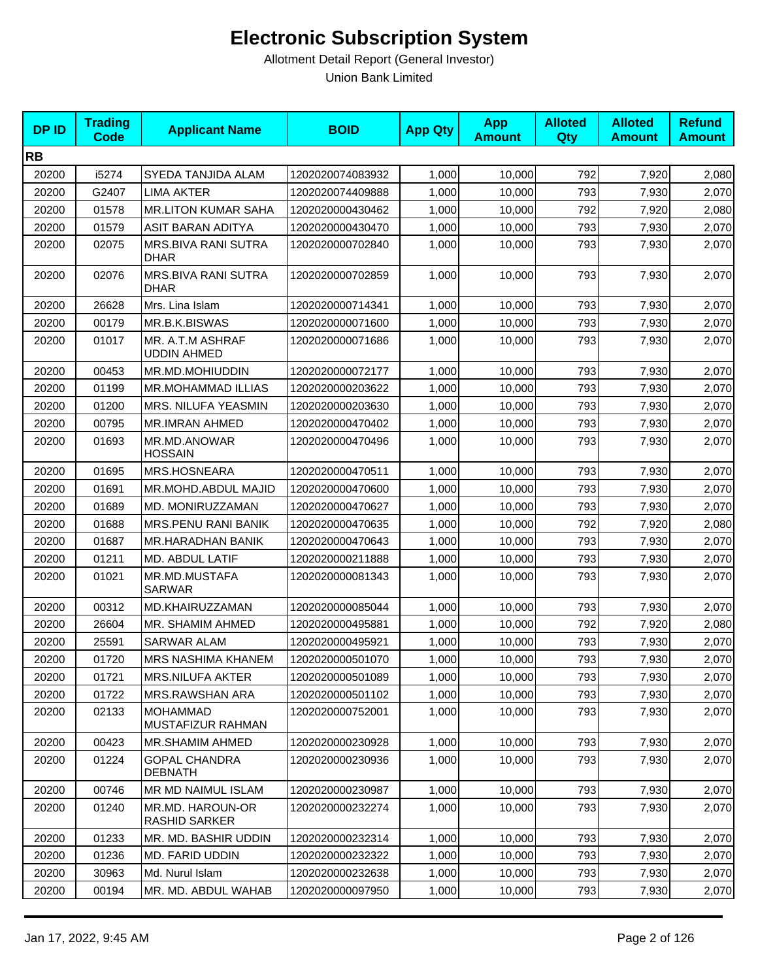| <b>DPID</b> | <b>Trading</b><br>Code | <b>Applicant Name</b>                     | <b>BOID</b>      | <b>App Qty</b> | <b>App</b><br><b>Amount</b> | <b>Alloted</b><br>Qty | <b>Alloted</b><br><b>Amount</b> | <b>Refund</b><br><b>Amount</b> |
|-------------|------------------------|-------------------------------------------|------------------|----------------|-----------------------------|-----------------------|---------------------------------|--------------------------------|
| <b>RB</b>   |                        |                                           |                  |                |                             |                       |                                 |                                |
| 20200       | i5274                  | SYEDA TANJIDA ALAM                        | 1202020074083932 | 1,000          | 10,000                      | 792                   | 7,920                           | 2,080                          |
| 20200       | G2407                  | <b>LIMA AKTER</b>                         | 1202020074409888 | 1,000          | 10,000                      | 793                   | 7,930                           | 2,070                          |
| 20200       | 01578                  | <b>MR.LITON KUMAR SAHA</b>                | 1202020000430462 | 1,000          | 10,000                      | 792                   | 7,920                           | 2,080                          |
| 20200       | 01579                  | ASIT BARAN ADITYA                         | 1202020000430470 | 1,000          | 10,000                      | 793                   | 7,930                           | 2,070                          |
| 20200       | 02075                  | <b>MRS.BIVA RANI SUTRA</b><br><b>DHAR</b> | 1202020000702840 | 1,000          | 10,000                      | 793                   | 7,930                           | 2,070                          |
| 20200       | 02076                  | MRS.BIVA RANI SUTRA<br><b>DHAR</b>        | 1202020000702859 | 1,000          | 10,000                      | 793                   | 7,930                           | 2,070                          |
| 20200       | 26628                  | Mrs. Lina Islam                           | 1202020000714341 | 1,000          | 10,000                      | 793                   | 7,930                           | 2,070                          |
| 20200       | 00179                  | MR.B.K.BISWAS                             | 1202020000071600 | 1,000          | 10,000                      | 793                   | 7,930                           | 2,070                          |
| 20200       | 01017                  | MR. A.T.M ASHRAF<br><b>UDDIN AHMED</b>    | 1202020000071686 | 1,000          | 10,000                      | 793                   | 7,930                           | 2,070                          |
| 20200       | 00453                  | MR.MD.MOHIUDDIN                           | 1202020000072177 | 1,000          | 10,000                      | 793                   | 7,930                           | 2,070                          |
| 20200       | 01199                  | MR.MOHAMMAD ILLIAS                        | 1202020000203622 | 1,000          | 10,000                      | 793                   | 7,930                           | 2,070                          |
| 20200       | 01200                  | MRS. NILUFA YEASMIN                       | 1202020000203630 | 1,000          | 10,000                      | 793                   | 7,930                           | 2,070                          |
| 20200       | 00795                  | <b>MR.IMRAN AHMED</b>                     | 1202020000470402 | 1,000          | 10,000                      | 793                   | 7,930                           | 2,070                          |
| 20200       | 01693                  | MR.MD.ANOWAR<br><b>HOSSAIN</b>            | 1202020000470496 | 1,000          | 10,000                      | 793                   | 7,930                           | 2,070                          |
| 20200       | 01695                  | MRS.HOSNEARA                              | 1202020000470511 | 1,000          | 10,000                      | 793                   | 7,930                           | 2,070                          |
| 20200       | 01691                  | MR.MOHD.ABDUL MAJID                       | 1202020000470600 | 1,000          | 10,000                      | 793                   | 7,930                           | 2,070                          |
| 20200       | 01689                  | MD. MONIRUZZAMAN                          | 1202020000470627 | 1,000          | 10,000                      | 793                   | 7,930                           | 2,070                          |
| 20200       | 01688                  | MRS.PENU RANI BANIK                       | 1202020000470635 | 1,000          | 10,000                      | 792                   | 7,920                           | 2,080                          |
| 20200       | 01687                  | MR.HARADHAN BANIK                         | 1202020000470643 | 1,000          | 10,000                      | 793                   | 7,930                           | 2,070                          |
| 20200       | 01211                  | MD. ABDUL LATIF                           | 1202020000211888 | 1,000          | 10,000                      | 793                   | 7,930                           | 2,070                          |
| 20200       | 01021                  | MR.MD.MUSTAFA<br><b>SARWAR</b>            | 1202020000081343 | 1,000          | 10,000                      | 793                   | 7,930                           | 2,070                          |
| 20200       | 00312                  | MD.KHAIRUZZAMAN                           | 1202020000085044 | 1,000          | 10,000                      | 793                   | 7,930                           | 2,070                          |
| 20200       | 26604                  | MR. SHAMIM AHMED                          | 1202020000495881 | 1,000          | 10,000                      | 792                   | 7,920                           | 2,080                          |
| 20200       | 25591                  | <b>SARWAR ALAM</b>                        | 1202020000495921 | 1,000          | 10,000                      | 793                   | 7,930                           | 2,070                          |
| 20200       | 01720                  | <b>MRS NASHIMA KHANEM</b>                 | 1202020000501070 | 1,000          | 10,000                      | 793                   | 7,930                           | 2,070                          |
| 20200       | 01721                  | <b>MRS.NILUFA AKTER</b>                   | 1202020000501089 | 1,000          | 10,000                      | 793                   | 7,930                           | 2,070                          |
| 20200       | 01722                  | MRS.RAWSHAN ARA                           | 1202020000501102 | 1,000          | 10,000                      | 793                   | 7,930                           | 2,070                          |
| 20200       | 02133                  | <b>MOHAMMAD</b><br>MUSTAFIZUR RAHMAN      | 1202020000752001 | 1,000          | 10,000                      | 793                   | 7,930                           | 2,070                          |
| 20200       | 00423                  | MR.SHAMIM AHMED                           | 1202020000230928 | 1,000          | 10,000                      | 793                   | 7,930                           | 2,070                          |
| 20200       | 01224                  | <b>GOPAL CHANDRA</b><br>DEBNATH           | 1202020000230936 | 1,000          | 10,000                      | 793                   | 7,930                           | 2,070                          |
| 20200       | 00746                  | MR MD NAIMUL ISLAM                        | 1202020000230987 | 1,000          | 10,000                      | 793                   | 7,930                           | 2,070                          |
| 20200       | 01240                  | MR.MD. HAROUN-OR<br><b>RASHID SARKER</b>  | 1202020000232274 | 1,000          | 10,000                      | 793                   | 7,930                           | 2,070                          |
| 20200       | 01233                  | MR. MD. BASHIR UDDIN                      | 1202020000232314 | 1,000          | 10,000                      | 793                   | 7,930                           | 2,070                          |
| 20200       | 01236                  | MD. FARID UDDIN                           | 1202020000232322 | 1,000          | 10,000                      | 793                   | 7,930                           | 2,070                          |
| 20200       | 30963                  | Md. Nurul Islam                           | 1202020000232638 | 1,000          | 10,000                      | 793                   | 7,930                           | 2,070                          |
| 20200       | 00194                  | MR. MD. ABDUL WAHAB                       | 1202020000097950 | 1,000          | 10,000                      | 793                   | 7,930                           | 2,070                          |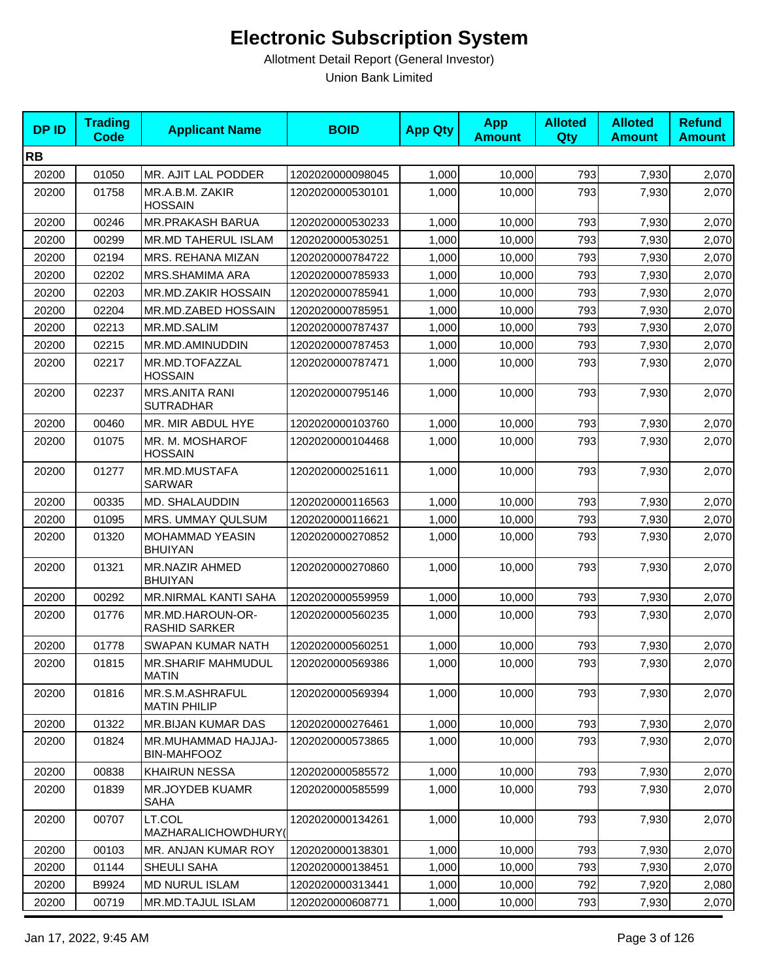| <b>DPID</b> | <b>Trading</b><br>Code | <b>Applicant Name</b>                     | <b>BOID</b>      | <b>App Qty</b> | <b>App</b><br><b>Amount</b> | <b>Alloted</b><br><b>Qty</b> | <b>Alloted</b><br><b>Amount</b> | <b>Refund</b><br><b>Amount</b> |
|-------------|------------------------|-------------------------------------------|------------------|----------------|-----------------------------|------------------------------|---------------------------------|--------------------------------|
| <b>RB</b>   |                        |                                           |                  |                |                             |                              |                                 |                                |
| 20200       | 01050                  | MR. AJIT LAL PODDER                       | 1202020000098045 | 1,000          | 10,000                      | 793                          | 7,930                           | 2,070                          |
| 20200       | 01758                  | MR.A.B.M. ZAKIR<br><b>HOSSAIN</b>         | 1202020000530101 | 1,000          | 10.000                      | 793                          | 7,930                           | 2,070                          |
| 20200       | 00246                  | MR.PRAKASH BARUA                          | 1202020000530233 | 1,000          | 10,000                      | 793                          | 7,930                           | 2,070                          |
| 20200       | 00299                  | <b>MR.MD TAHERUL ISLAM</b>                | 1202020000530251 | 1,000          | 10,000                      | 793                          | 7,930                           | 2,070                          |
| 20200       | 02194                  | MRS. REHANA MIZAN                         | 1202020000784722 | 1,000          | 10,000                      | 793                          | 7,930                           | 2,070                          |
| 20200       | 02202                  | MRS.SHAMIMA ARA                           | 1202020000785933 | 1,000          | 10,000                      | 793                          | 7,930                           | 2,070                          |
| 20200       | 02203                  | MR.MD.ZAKIR HOSSAIN                       | 1202020000785941 | 1,000          | 10,000                      | 793                          | 7,930                           | 2,070                          |
| 20200       | 02204                  | MR.MD.ZABED HOSSAIN                       | 1202020000785951 | 1,000          | 10,000                      | 793                          | 7,930                           | 2,070                          |
| 20200       | 02213                  | MR.MD.SALIM                               | 1202020000787437 | 1,000          | 10,000                      | 793                          | 7,930                           | 2,070                          |
| 20200       | 02215                  | MR.MD.AMINUDDIN                           | 1202020000787453 | 1,000          | 10,000                      | 793                          | 7,930                           | 2,070                          |
| 20200       | 02217                  | MR.MD.TOFAZZAL<br><b>HOSSAIN</b>          | 1202020000787471 | 1,000          | 10,000                      | 793                          | 7,930                           | 2,070                          |
| 20200       | 02237                  | <b>MRS.ANITA RANI</b><br><b>SUTRADHAR</b> | 1202020000795146 | 1,000          | 10,000                      | 793                          | 7,930                           | 2,070                          |
| 20200       | 00460                  | MR. MIR ABDUL HYE                         | 1202020000103760 | 1,000          | 10,000                      | 793                          | 7,930                           | 2,070                          |
| 20200       | 01075                  | MR. M. MOSHAROF<br><b>HOSSAIN</b>         | 1202020000104468 | 1,000          | 10,000                      | 793                          | 7,930                           | 2,070                          |
| 20200       | 01277                  | MR.MD.MUSTAFA<br><b>SARWAR</b>            | 1202020000251611 | 1,000          | 10,000                      | 793                          | 7,930                           | 2,070                          |
| 20200       | 00335                  | MD. SHALAUDDIN                            | 1202020000116563 | 1,000          | 10,000                      | 793                          | 7,930                           | 2,070                          |
| 20200       | 01095                  | MRS. UMMAY QULSUM                         | 1202020000116621 | 1,000          | 10,000                      | 793                          | 7,930                           | 2,070                          |
| 20200       | 01320                  | MOHAMMAD YEASIN<br><b>BHUIYAN</b>         | 1202020000270852 | 1,000          | 10,000                      | 793                          | 7,930                           | 2,070                          |
| 20200       | 01321                  | MR.NAZIR AHMED<br><b>BHUIYAN</b>          | 1202020000270860 | 1,000          | 10,000                      | 793                          | 7,930                           | 2,070                          |
| 20200       | 00292                  | MR.NIRMAL KANTI SAHA                      | 1202020000559959 | 1,000          | 10,000                      | 793                          | 7,930                           | 2,070                          |
| 20200       | 01776                  | MR.MD.HAROUN-OR-<br><b>RASHID SARKER</b>  | 1202020000560235 | 1,000          | 10,000                      | 793                          | 7,930                           | 2,070                          |
| 20200       | 01778                  | <b>SWAPAN KUMAR NATH</b>                  | 1202020000560251 | 1,000          | 10,000                      | 793                          | 7,930                           | 2,070                          |
| 20200       | 01815                  | <b>MR.SHARIF MAHMUDUL</b><br><b>MATIN</b> | 1202020000569386 | 1,000          | 10,000                      | 793                          | 7,930                           | 2,070                          |
| 20200       | 01816                  | MR.S.M.ASHRAFUL<br><b>MATIN PHILIP</b>    | 1202020000569394 | 1,000          | 10,000                      | 793                          | 7,930                           | 2,070                          |
| 20200       | 01322                  | MR.BIJAN KUMAR DAS                        | 1202020000276461 | 1,000          | 10,000                      | 793                          | 7,930                           | 2,070                          |
| 20200       | 01824                  | MR.MUHAMMAD HAJJAJ-<br><b>BIN-MAHFOOZ</b> | 1202020000573865 | 1,000          | 10,000                      | 793                          | 7,930                           | 2,070                          |
| 20200       | 00838                  | <b>KHAIRUN NESSA</b>                      | 1202020000585572 | 1,000          | 10,000                      | 793                          | 7,930                           | 2,070                          |
| 20200       | 01839                  | <b>MR.JOYDEB KUAMR</b><br>SAHA            | 1202020000585599 | 1,000          | 10,000                      | 793                          | 7,930                           | 2,070                          |
| 20200       | 00707                  | LT.COL<br>MAZHARALICHOWDHURY(             | 1202020000134261 | 1,000          | 10,000                      | 793                          | 7,930                           | 2,070                          |
| 20200       | 00103                  | MR. ANJAN KUMAR ROY                       | 1202020000138301 | 1,000          | 10,000                      | 793                          | 7,930                           | 2,070                          |
| 20200       | 01144                  | SHEULI SAHA                               | 1202020000138451 | 1,000          | 10,000                      | 793                          | 7,930                           | 2,070                          |
| 20200       | B9924                  | <b>MD NURUL ISLAM</b>                     | 1202020000313441 | 1,000          | 10,000                      | 792                          | 7,920                           | 2,080                          |
| 20200       | 00719                  | MR.MD.TAJUL ISLAM                         | 1202020000608771 | 1,000          | 10,000                      | 793                          | 7,930                           | 2,070                          |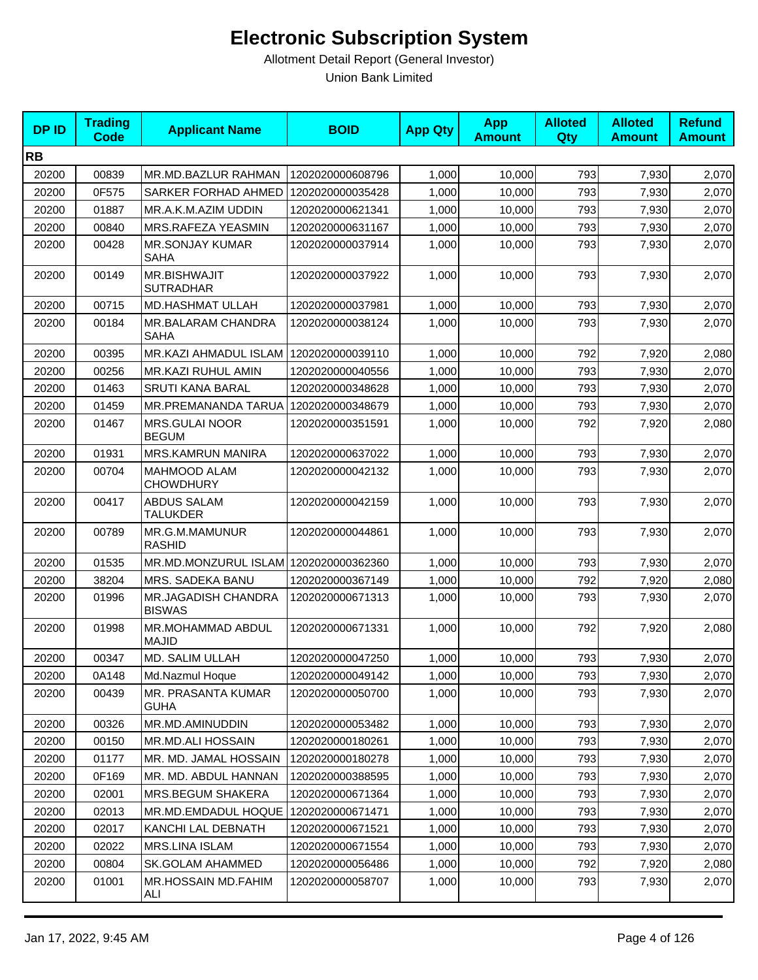| <b>DPID</b> | <b>Trading</b><br><b>Code</b> | <b>Applicant Name</b>                   | <b>BOID</b>      | <b>App Qty</b> | <b>App</b><br><b>Amount</b> | <b>Alloted</b><br>Qty | <b>Alloted</b><br><b>Amount</b> | <b>Refund</b><br><b>Amount</b> |
|-------------|-------------------------------|-----------------------------------------|------------------|----------------|-----------------------------|-----------------------|---------------------------------|--------------------------------|
| <b>RB</b>   |                               |                                         |                  |                |                             |                       |                                 |                                |
| 20200       | 00839                         | MR.MD.BAZLUR RAHMAN                     | 1202020000608796 | 1,000          | 10,000                      | 793                   | 7,930                           | 2,070                          |
| 20200       | 0F575                         | SARKER FORHAD AHMED                     | 1202020000035428 | 1,000          | 10,000                      | 793                   | 7,930                           | 2,070                          |
| 20200       | 01887                         | MR.A.K.M.AZIM UDDIN                     | 1202020000621341 | 1,000          | 10,000                      | 793                   | 7,930                           | 2,070                          |
| 20200       | 00840                         | MRS.RAFEZA YEASMIN                      | 1202020000631167 | 1,000          | 10,000                      | 793                   | 7,930                           | 2,070                          |
| 20200       | 00428                         | <b>MR.SONJAY KUMAR</b><br><b>SAHA</b>   | 1202020000037914 | 1,000          | 10,000                      | 793                   | 7,930                           | 2,070                          |
| 20200       | 00149                         | MR.BISHWAJIT<br><b>SUTRADHAR</b>        | 1202020000037922 | 1,000          | 10,000                      | 793                   | 7,930                           | 2,070                          |
| 20200       | 00715                         | <b>MD.HASHMAT ULLAH</b>                 | 1202020000037981 | 1,000          | 10,000                      | 793                   | 7,930                           | 2,070                          |
| 20200       | 00184                         | MR.BALARAM CHANDRA<br><b>SAHA</b>       | 1202020000038124 | 1,000          | 10,000                      | 793                   | 7,930                           | 2,070                          |
| 20200       | 00395                         | <b>MR.KAZI AHMADUL ISLAM</b>            | 1202020000039110 | 1,000          | 10,000                      | 792                   | 7,920                           | 2,080                          |
| 20200       | 00256                         | MR.KAZI RUHUL AMIN                      | 1202020000040556 | 1,000          | 10,000                      | 793                   | 7,930                           | 2,070                          |
| 20200       | 01463                         | <b>SRUTI KANA BARAL</b>                 | 1202020000348628 | 1,000          | 10,000                      | 793                   | 7,930                           | 2,070                          |
| 20200       | 01459                         | MR.PREMANANDA TARUA                     | 1202020000348679 | 1,000          | 10,000                      | 793                   | 7,930                           | 2,070                          |
| 20200       | 01467                         | <b>MRS.GULAI NOOR</b><br><b>BEGUM</b>   | 1202020000351591 | 1,000          | 10,000                      | 792                   | 7,920                           | 2,080                          |
| 20200       | 01931                         | MRS.KAMRUN MANIRA                       | 1202020000637022 | 1,000          | 10,000                      | 793                   | 7,930                           | 2,070                          |
| 20200       | 00704                         | <b>MAHMOOD ALAM</b><br><b>CHOWDHURY</b> | 1202020000042132 | 1,000          | 10,000                      | 793                   | 7,930                           | 2,070                          |
| 20200       | 00417                         | <b>ABDUS SALAM</b><br><b>TALUKDER</b>   | 1202020000042159 | 1,000          | 10,000                      | 793                   | 7,930                           | 2,070                          |
| 20200       | 00789                         | MR.G.M.MAMUNUR<br><b>RASHID</b>         | 1202020000044861 | 1,000          | 10,000                      | 793                   | 7,930                           | 2,070                          |
| 20200       | 01535                         | MR.MD.MONZURUL ISLAM 1202020000362360   |                  | 1,000          | 10,000                      | 793                   | 7,930                           | 2,070                          |
| 20200       | 38204                         | MRS. SADEKA BANU                        | 1202020000367149 | 1,000          | 10,000                      | 792                   | 7,920                           | 2,080                          |
| 20200       | 01996                         | MR.JAGADISH CHANDRA<br><b>BISWAS</b>    | 1202020000671313 | 1,000          | 10,000                      | 793                   | 7,930                           | 2,070                          |
| 20200       | 01998                         | MR.MOHAMMAD ABDUL<br><b>MAJID</b>       | 1202020000671331 | 1,000          | 10,000                      | 792                   | 7,920                           | 2,080                          |
| 20200       | 00347                         | MD. SALIM ULLAH                         | 1202020000047250 | 1,000          | 10,000                      | 793                   | 7,930                           | 2,070                          |
| 20200       | 0A148                         | Md.Nazmul Hoque                         | 1202020000049142 | 1,000          | 10,000                      | 793                   | 7,930                           | 2,070                          |
| 20200       | 00439                         | MR. PRASANTA KUMAR<br>GUHA              | 1202020000050700 | 1,000          | 10,000                      | 793                   | 7,930                           | 2,070                          |
| 20200       | 00326                         | MR.MD.AMINUDDIN                         | 1202020000053482 | 1,000          | 10,000                      | 793                   | 7,930                           | 2,070                          |
| 20200       | 00150                         | MR.MD.ALI HOSSAIN                       | 1202020000180261 | 1,000          | 10,000                      | 793                   | 7,930                           | 2,070                          |
| 20200       | 01177                         | MR. MD. JAMAL HOSSAIN                   | 1202020000180278 | 1,000          | 10,000                      | 793                   | 7,930                           | 2,070                          |
| 20200       | 0F169                         | MR. MD. ABDUL HANNAN                    | 1202020000388595 | 1,000          | 10,000                      | 793                   | 7,930                           | 2,070                          |
| 20200       | 02001                         | MRS.BEGUM SHAKERA                       | 1202020000671364 | 1,000          | 10,000                      | 793                   | 7,930                           | 2,070                          |
| 20200       | 02013                         | MR.MD.EMDADUL HOQUE                     | 1202020000671471 | 1,000          | 10,000                      | 793                   | 7,930                           | 2,070                          |
| 20200       | 02017                         | KANCHI LAL DEBNATH                      | 1202020000671521 | 1,000          | 10,000                      | 793                   | 7,930                           | 2,070                          |
| 20200       | 02022                         | MRS.LINA ISLAM                          | 1202020000671554 | 1,000          | 10,000                      | 793                   | 7,930                           | 2,070                          |
| 20200       | 00804                         | SK.GOLAM AHAMMED                        | 1202020000056486 | 1,000          | 10,000                      | 792                   | 7,920                           | 2,080                          |
| 20200       | 01001                         | MR.HOSSAIN MD.FAHIM<br>ALI              | 1202020000058707 | 1,000          | 10,000                      | 793                   | 7,930                           | 2,070                          |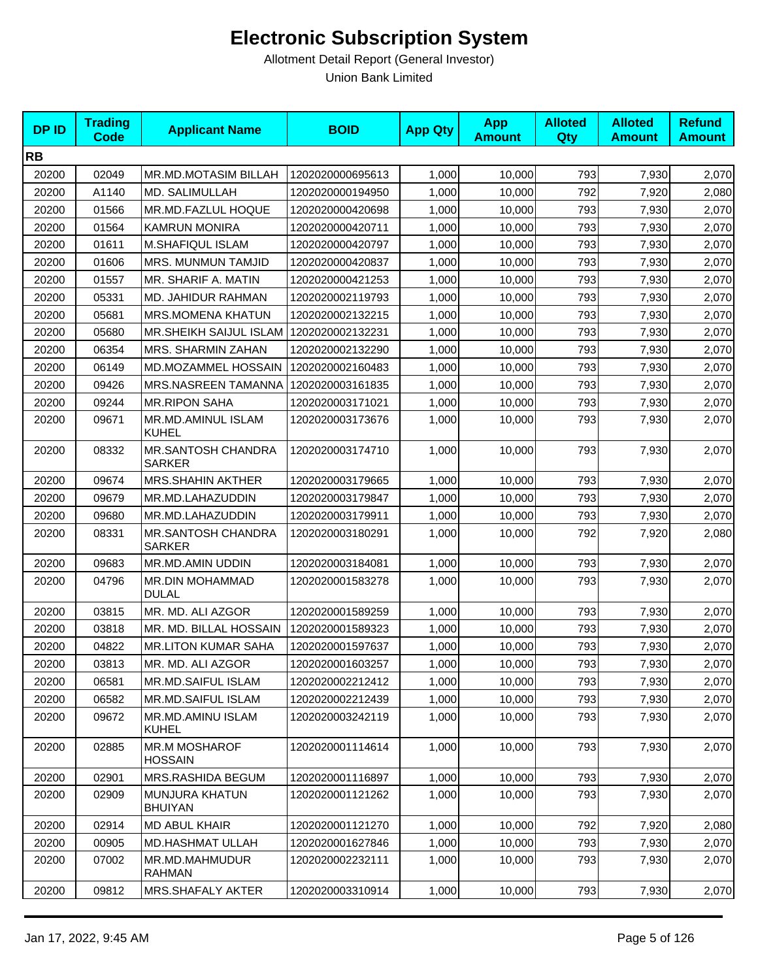| <b>DPID</b> | <b>Trading</b><br><b>Code</b> | <b>Applicant Name</b>                     | <b>BOID</b>      | <b>App Qty</b> | <b>App</b><br><b>Amount</b> | <b>Alloted</b><br><b>Qty</b> | <b>Alloted</b><br><b>Amount</b> | <b>Refund</b><br><b>Amount</b> |
|-------------|-------------------------------|-------------------------------------------|------------------|----------------|-----------------------------|------------------------------|---------------------------------|--------------------------------|
| <b>RB</b>   |                               |                                           |                  |                |                             |                              |                                 |                                |
| 20200       | 02049                         | MR.MD.MOTASIM BILLAH                      | 1202020000695613 | 1,000          | 10,000                      | 793                          | 7,930                           | 2,070                          |
| 20200       | A1140                         | MD. SALIMULLAH                            | 1202020000194950 | 1,000          | 10,000                      | 792                          | 7,920                           | 2,080                          |
| 20200       | 01566                         | MR.MD.FAZLUL HOQUE                        | 1202020000420698 | 1,000          | 10,000                      | 793                          | 7,930                           | 2,070                          |
| 20200       | 01564                         | <b>KAMRUN MONIRA</b>                      | 1202020000420711 | 1,000          | 10,000                      | 793                          | 7,930                           | 2,070                          |
| 20200       | 01611                         | M.SHAFIQUL ISLAM                          | 1202020000420797 | 1,000          | 10,000                      | 793                          | 7,930                           | 2,070                          |
| 20200       | 01606                         | MRS. MUNMUN TAMJID                        | 1202020000420837 | 1,000          | 10,000                      | 793                          | 7,930                           | 2,070                          |
| 20200       | 01557                         | MR. SHARIF A. MATIN                       | 1202020000421253 | 1,000          | 10,000                      | 793                          | 7,930                           | 2,070                          |
| 20200       | 05331                         | MD. JAHIDUR RAHMAN                        | 1202020002119793 | 1,000          | 10,000                      | 793                          | 7,930                           | 2,070                          |
| 20200       | 05681                         | MRS.MOMENA KHATUN                         | 1202020002132215 | 1,000          | 10,000                      | 793                          | 7,930                           | 2,070                          |
| 20200       | 05680                         | MR.SHEIKH SAIJUL ISLAM   1202020002132231 |                  | 1,000          | 10,000                      | 793                          | 7,930                           | 2,070                          |
| 20200       | 06354                         | MRS. SHARMIN ZAHAN                        | 1202020002132290 | 1,000          | 10,000                      | 793                          | 7,930                           | 2,070                          |
| 20200       | 06149                         | MD.MOZAMMEL HOSSAIN                       | 1202020002160483 | 1,000          | 10,000                      | 793                          | 7,930                           | 2,070                          |
| 20200       | 09426                         | MRS.NASREEN TAMANNA                       | 1202020003161835 | 1,000          | 10,000                      | 793                          | 7,930                           | 2,070                          |
| 20200       | 09244                         | <b>MR.RIPON SAHA</b>                      | 1202020003171021 | 1,000          | 10,000                      | 793                          | 7,930                           | 2,070                          |
| 20200       | 09671                         | MR.MD.AMINUL ISLAM<br>KUHEL               | 1202020003173676 | 1,000          | 10,000                      | 793                          | 7,930                           | 2,070                          |
| 20200       | 08332                         | MR.SANTOSH CHANDRA<br><b>SARKER</b>       | 1202020003174710 | 1,000          | 10,000                      | 793                          | 7,930                           | 2,070                          |
| 20200       | 09674                         | <b>MRS.SHAHIN AKTHER</b>                  | 1202020003179665 | 1,000          | 10,000                      | 793                          | 7,930                           | 2,070                          |
| 20200       | 09679                         | MR.MD.LAHAZUDDIN                          | 1202020003179847 | 1,000          | 10,000                      | 793                          | 7,930                           | 2,070                          |
| 20200       | 09680                         | MR.MD.LAHAZUDDIN                          | 1202020003179911 | 1,000          | 10,000                      | 793                          | 7,930                           | 2,070                          |
| 20200       | 08331                         | MR.SANTOSH CHANDRA<br><b>SARKER</b>       | 1202020003180291 | 1,000          | 10,000                      | 792                          | 7,920                           | 2,080                          |
| 20200       | 09683                         | MR.MD.AMIN UDDIN                          | 1202020003184081 | 1,000          | 10,000                      | 793                          | 7,930                           | 2,070                          |
| 20200       | 04796                         | MR.DIN MOHAMMAD<br><b>DULAL</b>           | 1202020001583278 | 1,000          | 10,000                      | 793                          | 7,930                           | 2,070                          |
| 20200       | 03815                         | MR. MD. ALI AZGOR                         | 1202020001589259 | 1,000          | 10,000                      | 793                          | 7,930                           | 2,070                          |
| 20200       | 03818                         | MR. MD. BILLAL HOSSAIN                    | 1202020001589323 | 1,000          | 10,000                      | 793                          | 7,930                           | 2,070                          |
| 20200       | 04822                         | <b>MR.LITON KUMAR SAHA</b>                | 1202020001597637 | 1,000          | 10,000                      | 793                          | 7,930                           | 2,070                          |
| 20200       | 03813                         | MR. MD. ALI AZGOR                         | 1202020001603257 | 1,000          | 10,000                      | 793                          | 7,930                           | 2,070                          |
| 20200       | 06581                         | MR.MD.SAIFUL ISLAM                        | 1202020002212412 | 1,000          | 10,000                      | 793                          | 7,930                           | 2,070                          |
| 20200       | 06582                         | MR.MD.SAIFUL ISLAM                        | 1202020002212439 | 1,000          | 10,000                      | 793                          | 7,930                           | 2,070                          |
| 20200       | 09672                         | <b>MR.MD.AMINU ISLAM</b><br>KUHEL         | 1202020003242119 | 1,000          | 10,000                      | 793                          | 7,930                           | 2,070                          |
| 20200       | 02885                         | <b>MR.M MOSHAROF</b><br><b>HOSSAIN</b>    | 1202020001114614 | 1,000          | 10,000                      | 793                          | 7,930                           | 2,070                          |
| 20200       | 02901                         | MRS.RASHIDA BEGUM                         | 1202020001116897 | 1,000          | 10,000                      | 793                          | 7,930                           | 2,070                          |
| 20200       | 02909                         | <b>MUNJURA KHATUN</b><br>BHUIYAN          | 1202020001121262 | 1,000          | 10,000                      | 793                          | 7,930                           | 2,070                          |
| 20200       | 02914                         | MD ABUL KHAIR                             | 1202020001121270 | 1,000          | 10,000                      | 792                          | 7,920                           | 2,080                          |
| 20200       | 00905                         | <b>MD.HASHMAT ULLAH</b>                   | 1202020001627846 | 1,000          | 10,000                      | 793                          | 7,930                           | 2,070                          |
| 20200       | 07002                         | MR.MD.MAHMUDUR<br>RAHMAN                  | 1202020002232111 | 1,000          | 10,000                      | 793                          | 7,930                           | 2,070                          |
| 20200       | 09812                         | MRS.SHAFALY AKTER                         | 1202020003310914 | 1,000          | 10,000                      | 793                          | 7,930                           | 2,070                          |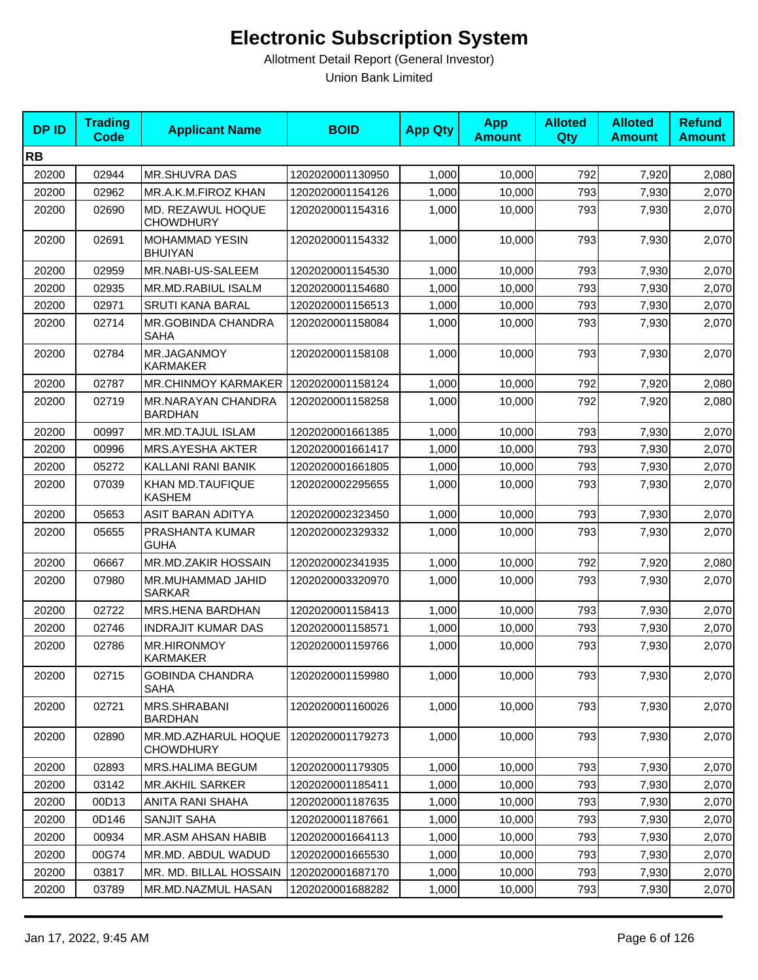| <b>DPID</b> | <b>Trading</b><br>Code | <b>Applicant Name</b>                   | <b>BOID</b>      | <b>App Qty</b> | <b>App</b><br><b>Amount</b> | <b>Alloted</b><br>Qty | <b>Alloted</b><br><b>Amount</b> | <b>Refund</b><br><b>Amount</b> |
|-------------|------------------------|-----------------------------------------|------------------|----------------|-----------------------------|-----------------------|---------------------------------|--------------------------------|
| <b>RB</b>   |                        |                                         |                  |                |                             |                       |                                 |                                |
| 20200       | 02944                  | <b>MR.SHUVRA DAS</b>                    | 1202020001130950 | 1,000          | 10,000                      | 792                   | 7,920                           | 2,080                          |
| 20200       | 02962                  | MR.A.K.M.FIROZ KHAN                     | 1202020001154126 | 1,000          | 10,000                      | 793                   | 7,930                           | 2,070                          |
| 20200       | 02690                  | MD. REZAWUL HOQUE<br><b>CHOWDHURY</b>   | 1202020001154316 | 1,000          | 10,000                      | 793                   | 7,930                           | 2,070                          |
| 20200       | 02691                  | <b>MOHAMMAD YESIN</b><br><b>BHUIYAN</b> | 1202020001154332 | 1,000          | 10,000                      | 793                   | 7,930                           | 2,070                          |
| 20200       | 02959                  | MR.NABI-US-SALEEM                       | 1202020001154530 | 1,000          | 10.000                      | 793                   | 7,930                           | 2,070                          |
| 20200       | 02935                  | MR.MD.RABIUL ISALM                      | 1202020001154680 | 1,000          | 10,000                      | 793                   | 7,930                           | 2,070                          |
| 20200       | 02971                  | <b>SRUTI KANA BARAL</b>                 | 1202020001156513 | 1,000          | 10,000                      | 793                   | 7,930                           | 2,070                          |
| 20200       | 02714                  | <b>MR.GOBINDA CHANDRA</b><br>SAHA       | 1202020001158084 | 1,000          | 10,000                      | 793                   | 7,930                           | 2,070                          |
| 20200       | 02784                  | MR.JAGANMOY<br>KARMAKER                 | 1202020001158108 | 1,000          | 10,000                      | 793                   | 7,930                           | 2,070                          |
| 20200       | 02787                  | <b>MR.CHINMOY KARMAKER I</b>            | 1202020001158124 | 1,000          | 10,000                      | 792                   | 7,920                           | 2,080                          |
| 20200       | 02719                  | MR.NARAYAN CHANDRA<br><b>BARDHAN</b>    | 1202020001158258 | 1,000          | 10,000                      | 792                   | 7,920                           | 2,080                          |
| 20200       | 00997                  | <b>MR.MD.TAJUL ISLAM</b>                | 1202020001661385 | 1,000          | 10,000                      | 793                   | 7,930                           | 2,070                          |
| 20200       | 00996                  | MRS.AYESHA AKTER                        | 1202020001661417 | 1,000          | 10,000                      | 793                   | 7,930                           | 2,070                          |
| 20200       | 05272                  | KALLANI RANI BANIK                      | 1202020001661805 | 1,000          | 10,000                      | 793                   | 7,930                           | 2,070                          |
| 20200       | 07039                  | KHAN MD.TAUFIQUE<br><b>KASHEM</b>       | 1202020002295655 | 1,000          | 10,000                      | 793                   | 7,930                           | 2,070                          |
| 20200       | 05653                  | ASIT BARAN ADITYA                       | 1202020002323450 | 1,000          | 10,000                      | 793                   | 7,930                           | 2,070                          |
| 20200       | 05655                  | PRASHANTA KUMAR<br><b>GUHA</b>          | 1202020002329332 | 1,000          | 10,000                      | 793                   | 7,930                           | 2,070                          |
| 20200       | 06667                  | <b>MR.MD.ZAKIR HOSSAIN</b>              | 1202020002341935 | 1,000          | 10,000                      | 792                   | 7,920                           | 2,080                          |
| 20200       | 07980                  | MR.MUHAMMAD JAHID<br><b>SARKAR</b>      | 1202020003320970 | 1,000          | 10,000                      | 793                   | 7,930                           | 2,070                          |
| 20200       | 02722                  | MRS.HENA BARDHAN                        | 1202020001158413 | 1,000          | 10,000                      | 793                   | 7,930                           | 2,070                          |
| 20200       | 02746                  | <b>INDRAJIT KUMAR DAS</b>               | 1202020001158571 | 1,000          | 10,000                      | 793                   | 7,930                           | 2,070                          |
| 20200       | 02786                  | <b>MR.HIRONMOY</b><br><b>KARMAKER</b>   | 1202020001159766 | 1,000          | 10,000                      | 793                   | 7,930                           | 2,070                          |
| 20200       | 02715                  | <b>GOBINDA CHANDRA</b><br><b>SAHA</b>   | 1202020001159980 | 1,000          | 10,000                      | 793                   | 7,930                           | 2,070                          |
| 20200       | 02721                  | MRS.SHRABANI<br><b>BARDHAN</b>          | 1202020001160026 | 1,000          | 10,000                      | 793                   | 7,930                           | 2,070                          |
| 20200       | 02890                  | MR.MD.AZHARUL HOQUE<br><b>CHOWDHURY</b> | 1202020001179273 | 1,000          | 10,000                      | 793                   | 7,930                           | 2,070                          |
| 20200       | 02893                  | MRS.HALIMA BEGUM                        | 1202020001179305 | 1,000          | 10,000                      | 793                   | 7,930                           | 2,070                          |
| 20200       | 03142                  | <b>MR.AKHIL SARKER</b>                  | 1202020001185411 | 1,000          | 10,000                      | 793                   | 7,930                           | 2,070                          |
| 20200       | 00D13                  | ANITA RANI SHAHA                        | 1202020001187635 | 1,000          | 10,000                      | 793                   | 7,930                           | 2,070                          |
| 20200       | 0D146                  | SANJIT SAHA                             | 1202020001187661 | 1,000          | 10,000                      | 793                   | 7,930                           | 2,070                          |
| 20200       | 00934                  | MR.ASM AHSAN HABIB                      | 1202020001664113 | 1,000          | 10,000                      | 793                   | 7,930                           | 2,070                          |
| 20200       | 00G74                  | MR.MD. ABDUL WADUD                      | 1202020001665530 | 1,000          | 10,000                      | 793                   | 7,930                           | 2,070                          |
| 20200       | 03817                  | MR. MD. BILLAL HOSSAIN                  | 1202020001687170 | 1,000          | 10,000                      | 793                   | 7,930                           | 2,070                          |
| 20200       | 03789                  | MR.MD.NAZMUL HASAN                      | 1202020001688282 | 1,000          | 10,000                      | 793                   | 7,930                           | 2,070                          |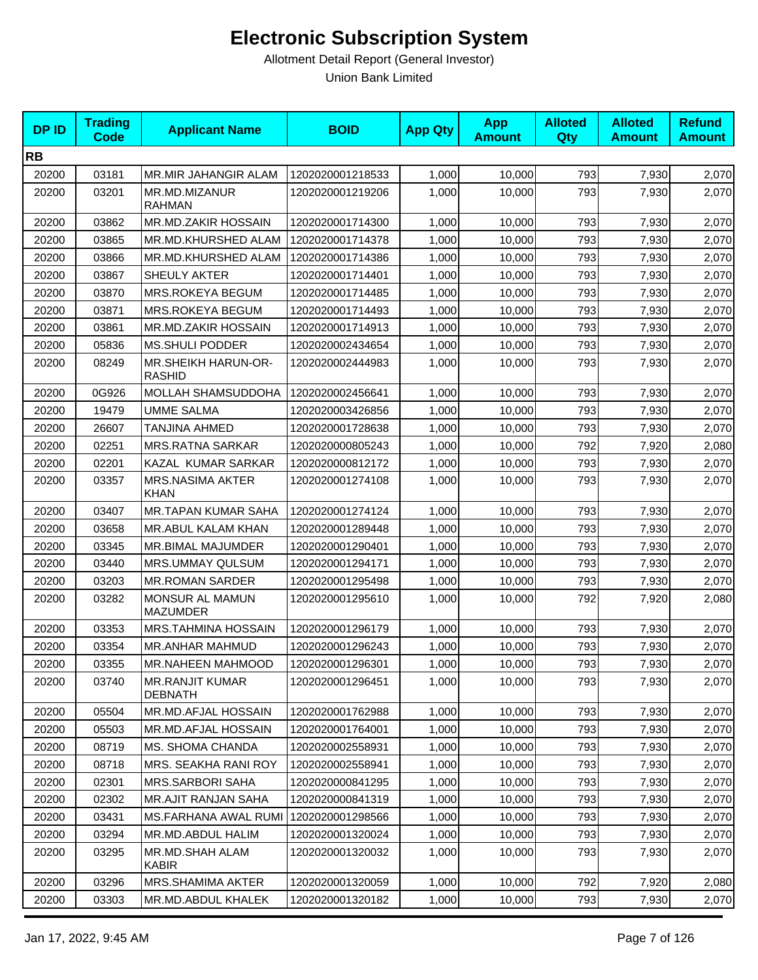| <b>DPID</b> | <b>Trading</b><br>Code | <b>Applicant Name</b>                       | <b>BOID</b>      | <b>App Qty</b> | <b>App</b><br><b>Amount</b> | <b>Alloted</b><br>Qty | <b>Alloted</b><br><b>Amount</b> | <b>Refund</b><br><b>Amount</b> |
|-------------|------------------------|---------------------------------------------|------------------|----------------|-----------------------------|-----------------------|---------------------------------|--------------------------------|
| <b>RB</b>   |                        |                                             |                  |                |                             |                       |                                 |                                |
| 20200       | 03181                  | MR.MIR JAHANGIR ALAM                        | 1202020001218533 | 1,000          | 10,000                      | 793                   | 7,930                           | 2,070                          |
| 20200       | 03201                  | MR.MD.MIZANUR<br><b>RAHMAN</b>              | 1202020001219206 | 1,000          | 10,000                      | 793                   | 7,930                           | 2,070                          |
| 20200       | 03862                  | MR.MD.ZAKIR HOSSAIN                         | 1202020001714300 | 1,000          | 10,000                      | 793                   | 7,930                           | 2,070                          |
| 20200       | 03865                  | MR.MD.KHURSHED ALAM                         | 1202020001714378 | 1,000          | 10.000                      | 793                   | 7,930                           | 2,070                          |
| 20200       | 03866                  | MR.MD.KHURSHED ALAM                         | 1202020001714386 | 1,000          | 10,000                      | 793                   | 7,930                           | 2,070                          |
| 20200       | 03867                  | SHEULY AKTER                                | 1202020001714401 | 1,000          | 10.000                      | 793                   | 7,930                           | 2,070                          |
| 20200       | 03870                  | MRS.ROKEYA BEGUM                            | 1202020001714485 | 1,000          | 10.000                      | 793                   | 7,930                           | 2,070                          |
| 20200       | 03871                  | MRS.ROKEYA BEGUM                            | 1202020001714493 | 1,000          | 10,000                      | 793                   | 7,930                           | 2,070                          |
| 20200       | 03861                  | MR.MD.ZAKIR HOSSAIN                         | 1202020001714913 | 1,000          | 10,000                      | 793                   | 7,930                           | 2,070                          |
| 20200       | 05836                  | <b>MS.SHULI PODDER</b>                      | 1202020002434654 | 1,000          | 10,000                      | 793                   | 7,930                           | 2,070                          |
| 20200       | 08249                  | <b>MR.SHEIKH HARUN-OR-</b><br><b>RASHID</b> | 1202020002444983 | 1,000          | 10,000                      | 793                   | 7,930                           | 2,070                          |
| 20200       | 0G926                  | MOLLAH SHAMSUDDOHA                          | 1202020002456641 | 1,000          | 10,000                      | 793                   | 7,930                           | 2,070                          |
| 20200       | 19479                  | <b>UMME SALMA</b>                           | 1202020003426856 | 1,000          | 10,000                      | 793                   | 7,930                           | 2,070                          |
| 20200       | 26607                  | <b>TANJINA AHMED</b>                        | 1202020001728638 | 1,000          | 10,000                      | 793                   | 7,930                           | 2,070                          |
| 20200       | 02251                  | <b>MRS.RATNA SARKAR</b>                     | 1202020000805243 | 1,000          | 10,000                      | 792                   | 7,920                           | 2,080                          |
| 20200       | 02201                  | KAZAL KUMAR SARKAR                          | 1202020000812172 | 1,000          | 10,000                      | 793                   | 7,930                           | 2,070                          |
| 20200       | 03357                  | <b>MRS.NASIMA AKTER</b><br>KHAN             | 1202020001274108 | 1,000          | 10,000                      | 793                   | 7,930                           | 2,070                          |
| 20200       | 03407                  | <b>MR.TAPAN KUMAR SAHA</b>                  | 1202020001274124 | 1,000          | 10,000                      | 793                   | 7,930                           | 2,070                          |
| 20200       | 03658                  | MR.ABUL KALAM KHAN                          | 1202020001289448 | 1,000          | 10,000                      | 793                   | 7,930                           | 2,070                          |
| 20200       | 03345                  | MR.BIMAL MAJUMDER                           | 1202020001290401 | 1,000          | 10,000                      | 793                   | 7,930                           | 2,070                          |
| 20200       | 03440                  | MRS.UMMAY QULSUM                            | 1202020001294171 | 1,000          | 10,000                      | 793                   | 7,930                           | 2,070                          |
| 20200       | 03203                  | <b>MR.ROMAN SARDER</b>                      | 1202020001295498 | 1,000          | 10,000                      | 793                   | 7,930                           | 2,070                          |
| 20200       | 03282                  | MONSUR AL MAMUN<br><b>MAZUMDER</b>          | 1202020001295610 | 1,000          | 10,000                      | 792                   | 7,920                           | 2,080                          |
| 20200       | 03353                  | MRS.TAHMINA HOSSAIN                         | 1202020001296179 | 1,000          | 10,000                      | 793                   | 7,930                           | 2,070                          |
| 20200       | 03354                  | MR.ANHAR MAHMUD                             | 1202020001296243 | 1,000          | 10,000                      | 793                   | 7,930                           | 2,070                          |
| 20200       | 03355                  | <b>MR.NAHEEN MAHMOOD</b>                    | 1202020001296301 | 1,000          | 10,000                      | 793                   | 7,930                           | 2,070                          |
| 20200       | 03740                  | <b>MR.RANJIT KUMAR</b><br><b>DEBNATH</b>    | 1202020001296451 | 1,000          | 10,000                      | 793                   | 7,930                           | 2,070                          |
| 20200       | 05504                  | MR.MD.AFJAL HOSSAIN                         | 1202020001762988 | 1,000          | 10,000                      | 793                   | 7,930                           | 2,070                          |
| 20200       | 05503                  | MR.MD.AFJAL HOSSAIN                         | 1202020001764001 | 1,000          | 10,000                      | 793                   | 7,930                           | 2,070                          |
| 20200       | 08719                  | <b>MS. SHOMA CHANDA</b>                     | 1202020002558931 | 1,000          | 10,000                      | 793                   | 7,930                           | 2,070                          |
| 20200       | 08718                  | MRS. SEAKHA RANI ROY                        | 1202020002558941 | 1,000          | 10,000                      | 793                   | 7,930                           | 2,070                          |
| 20200       | 02301                  | <b>MRS.SARBORI SAHA</b>                     | 1202020000841295 | 1,000          | 10,000                      | 793                   | 7,930                           | 2,070                          |
| 20200       | 02302                  | MR.AJIT RANJAN SAHA                         | 1202020000841319 | 1,000          | 10,000                      | 793                   | 7,930                           | 2,070                          |
| 20200       | 03431                  | MS.FARHANA AWAL RUMI                        | 1202020001298566 | 1,000          | 10,000                      | 793                   | 7,930                           | 2,070                          |
| 20200       | 03294                  | MR.MD.ABDUL HALIM                           | 1202020001320024 | 1,000          | 10,000                      | 793                   | 7,930                           | 2,070                          |
| 20200       | 03295                  | MR.MD.SHAH ALAM<br><b>KABIR</b>             | 1202020001320032 | 1,000          | 10,000                      | 793                   | 7,930                           | 2,070                          |
| 20200       | 03296                  | MRS.SHAMIMA AKTER                           | 1202020001320059 | 1,000          | 10,000                      | 792                   | 7,920                           | 2,080                          |
| 20200       | 03303                  | MR.MD.ABDUL KHALEK                          | 1202020001320182 | 1,000          | 10,000                      | 793                   | 7,930                           | 2,070                          |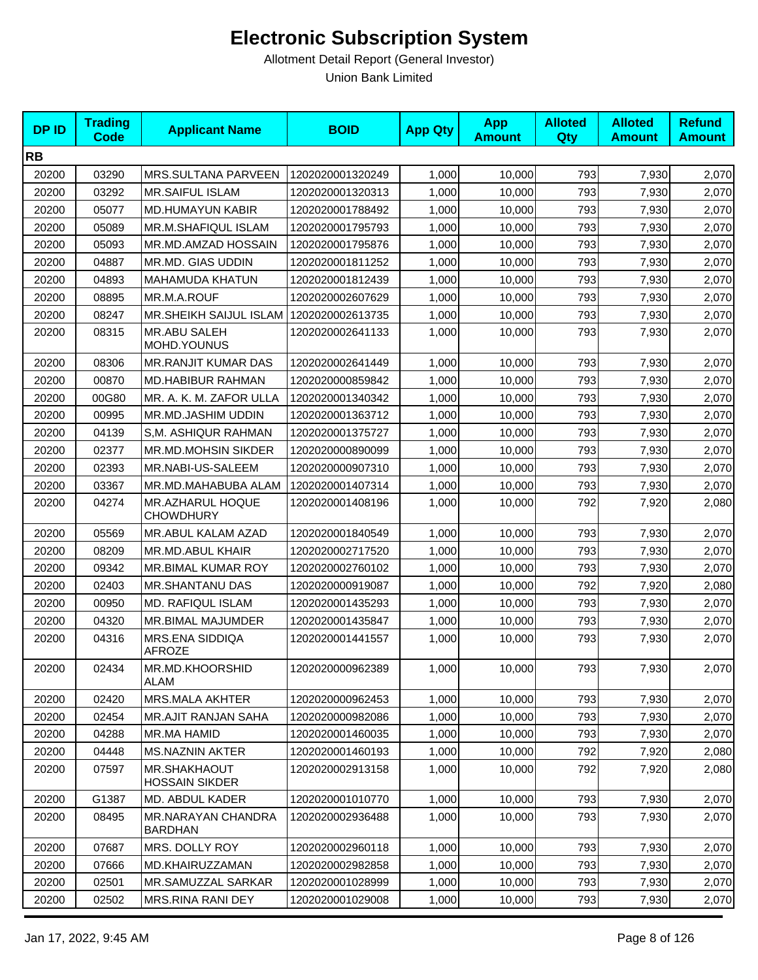| <b>DPID</b> | <b>Trading</b><br><b>Code</b> | <b>Applicant Name</b>                       | <b>BOID</b>      | <b>App Qty</b> | <b>App</b><br><b>Amount</b> | <b>Alloted</b><br>Qty | <b>Alloted</b><br><b>Amount</b> | <b>Refund</b><br><b>Amount</b> |
|-------------|-------------------------------|---------------------------------------------|------------------|----------------|-----------------------------|-----------------------|---------------------------------|--------------------------------|
| <b>RB</b>   |                               |                                             |                  |                |                             |                       |                                 |                                |
| 20200       | 03290                         | MRS.SULTANA PARVEEN                         | 1202020001320249 | 1,000          | 10,000                      | 793                   | 7,930                           | 2,070                          |
| 20200       | 03292                         | <b>MR.SAIFUL ISLAM</b>                      | 1202020001320313 | 1,000          | 10,000                      | 793                   | 7,930                           | 2,070                          |
| 20200       | 05077                         | <b>MD.HUMAYUN KABIR</b>                     | 1202020001788492 | 1,000          | 10,000                      | 793                   | 7,930                           | 2,070                          |
| 20200       | 05089                         | MR.M.SHAFIQUL ISLAM                         | 1202020001795793 | 1,000          | 10,000                      | 793                   | 7,930                           | 2,070                          |
| 20200       | 05093                         | MR.MD.AMZAD HOSSAIN                         | 1202020001795876 | 1,000          | 10,000                      | 793                   | 7,930                           | 2,070                          |
| 20200       | 04887                         | MR.MD. GIAS UDDIN                           | 1202020001811252 | 1,000          | 10,000                      | 793                   | 7,930                           | 2,070                          |
| 20200       | 04893                         | <b>MAHAMUDA KHATUN</b>                      | 1202020001812439 | 1,000          | 10,000                      | 793                   | 7,930                           | 2,070                          |
| 20200       | 08895                         | MR.M.A.ROUF                                 | 1202020002607629 | 1,000          | 10,000                      | 793                   | 7,930                           | 2,070                          |
| 20200       | 08247                         | MR.SHEIKH SAIJUL ISLAM   1202020002613735   |                  | 1,000          | 10,000                      | 793                   | 7,930                           | 2,070                          |
| 20200       | 08315                         | <b>MR.ABU SALEH</b><br>MOHD.YOUNUS          | 1202020002641133 | 1,000          | 10,000                      | 793                   | 7,930                           | 2,070                          |
| 20200       | 08306                         | <b>MR.RANJIT KUMAR DAS</b>                  | 1202020002641449 | 1,000          | 10,000                      | 793                   | 7,930                           | 2,070                          |
| 20200       | 00870                         | MD.HABIBUR RAHMAN                           | 1202020000859842 | 1,000          | 10,000                      | 793                   | 7,930                           | 2,070                          |
| 20200       | 00G80                         | MR. A. K. M. ZAFOR ULLA                     | 1202020001340342 | 1,000          | 10,000                      | 793                   | 7,930                           | 2,070                          |
| 20200       | 00995                         | MR.MD.JASHIM UDDIN                          | 1202020001363712 | 1,000          | 10,000                      | 793                   | 7,930                           | 2,070                          |
| 20200       | 04139                         | S.M. ASHIQUR RAHMAN                         | 1202020001375727 | 1,000          | 10,000                      | 793                   | 7,930                           | 2,070                          |
| 20200       | 02377                         | MR.MD.MOHSIN SIKDER                         | 1202020000890099 | 1,000          | 10,000                      | 793                   | 7,930                           | 2,070                          |
| 20200       | 02393                         | MR.NABI-US-SALEEM                           | 1202020000907310 | 1,000          | 10,000                      | 793                   | 7,930                           | 2,070                          |
| 20200       | 03367                         | MR.MD.MAHABUBA ALAM                         | 1202020001407314 | 1,000          | 10,000                      | 793                   | 7,930                           | 2,070                          |
| 20200       | 04274                         | MR.AZHARUL HOQUE<br><b>CHOWDHURY</b>        | 1202020001408196 | 1,000          | 10,000                      | 792                   | 7,920                           | 2,080                          |
| 20200       | 05569                         | MR.ABUL KALAM AZAD                          | 1202020001840549 | 1,000          | 10,000                      | 793                   | 7,930                           | 2,070                          |
| 20200       | 08209                         | MR.MD.ABUL KHAIR                            | 1202020002717520 | 1,000          | 10,000                      | 793                   | 7,930                           | 2,070                          |
| 20200       | 09342                         | MR.BIMAL KUMAR ROY                          | 1202020002760102 | 1,000          | 10,000                      | 793                   | 7,930                           | 2,070                          |
| 20200       | 02403                         | MR.SHANTANU DAS                             | 1202020000919087 | 1,000          | 10,000                      | 792                   | 7,920                           | 2,080                          |
| 20200       | 00950                         | <b>MD. RAFIQUL ISLAM</b>                    | 1202020001435293 | 1,000          | 10,000                      | 793                   | 7,930                           | 2,070                          |
| 20200       | 04320                         | MR.BIMAL MAJUMDER                           | 1202020001435847 | 1,000          | 10,000                      | 793                   | 7,930                           | 2,070                          |
| 20200       | 04316                         | MRS.ENA SIDDIQA<br><b>AFROZE</b>            | 1202020001441557 | 1,000          | 10,000                      | 793                   | 7,930                           | 2,070                          |
| 20200       | 02434                         | MR.MD.KHOORSHID<br>ALAM                     | 1202020000962389 | 1,000          | 10,000                      | 793                   | 7,930                           | 2,070                          |
| 20200       | 02420                         | MRS.MALA AKHTER                             | 1202020000962453 | 1,000          | 10,000                      | 793                   | 7,930                           | 2,070                          |
| 20200       | 02454                         | <b>MR.AJIT RANJAN SAHA</b>                  | 1202020000982086 | 1,000          | 10,000                      | 793                   | 7,930                           | 2,070                          |
| 20200       | 04288                         | MR.MA HAMID                                 | 1202020001460035 | 1,000          | 10,000                      | 793                   | 7,930                           | 2,070                          |
| 20200       | 04448                         | <b>MS.NAZNIN AKTER</b>                      | 1202020001460193 | 1,000          | 10,000                      | 792                   | 7,920                           | 2,080                          |
| 20200       | 07597                         | MR.SHAKHAOUT<br><b>HOSSAIN SIKDER</b>       | 1202020002913158 | 1,000          | 10,000                      | 792                   | 7,920                           | 2,080                          |
| 20200       | G1387                         | MD. ABDUL KADER                             | 1202020001010770 | 1,000          | 10,000                      | 793                   | 7,930                           | 2,070                          |
| 20200       | 08495                         | <b>MR.NARAYAN CHANDRA</b><br><b>BARDHAN</b> | 1202020002936488 | 1,000          | 10,000                      | 793                   | 7,930                           | 2,070                          |
| 20200       | 07687                         | MRS. DOLLY ROY                              | 1202020002960118 | 1,000          | 10,000                      | 793                   | 7,930                           | 2,070                          |
| 20200       | 07666                         | MD.KHAIRUZZAMAN                             | 1202020002982858 | 1,000          | 10,000                      | 793                   | 7,930                           | 2,070                          |
| 20200       | 02501                         | MR.SAMUZZAL SARKAR                          | 1202020001028999 | 1,000          | 10,000                      | 793                   | 7,930                           | 2,070                          |
| 20200       | 02502                         | MRS.RINA RANI DEY                           | 1202020001029008 | 1,000          | 10,000                      | 793                   | 7,930                           | 2,070                          |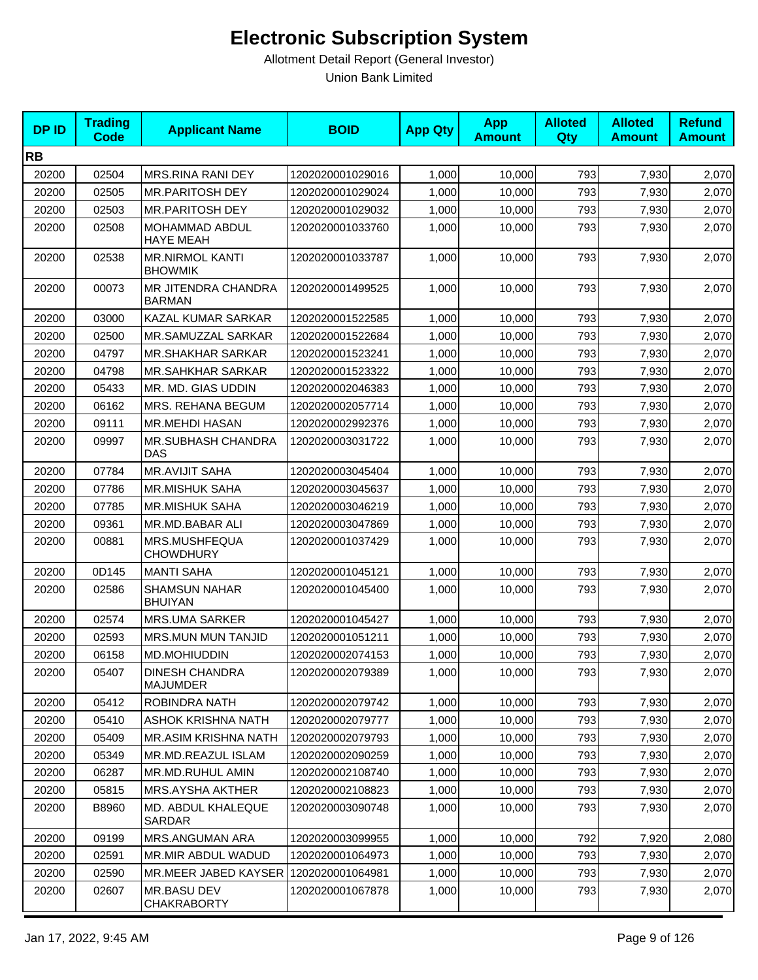| <b>DPID</b> | <b>Trading</b><br>Code | <b>Applicant Name</b>                    | <b>BOID</b>      | <b>App Qty</b> | <b>App</b><br><b>Amount</b> | <b>Alloted</b><br>Qty | <b>Alloted</b><br><b>Amount</b> | <b>Refund</b><br><b>Amount</b> |
|-------------|------------------------|------------------------------------------|------------------|----------------|-----------------------------|-----------------------|---------------------------------|--------------------------------|
| <b>RB</b>   |                        |                                          |                  |                |                             |                       |                                 |                                |
| 20200       | 02504                  | MRS.RINA RANI DEY                        | 1202020001029016 | 1,000          | 10,000                      | 793                   | 7,930                           | 2,070                          |
| 20200       | 02505                  | <b>MR.PARITOSH DEY</b>                   | 1202020001029024 | 1,000          | 10,000                      | 793                   | 7,930                           | 2,070                          |
| 20200       | 02503                  | <b>MR.PARITOSH DEY</b>                   | 1202020001029032 | 1,000          | 10,000                      | 793                   | 7,930                           | 2,070                          |
| 20200       | 02508                  | MOHAMMAD ABDUL<br>HAYE MEAH              | 1202020001033760 | 1,000          | 10,000                      | 793                   | 7,930                           | 2,070                          |
| 20200       | 02538                  | <b>MR.NIRMOL KANTI</b><br><b>BHOWMIK</b> | 1202020001033787 | 1,000          | 10,000                      | 793                   | 7,930                           | 2,070                          |
| 20200       | 00073                  | MR JITENDRA CHANDRA<br><b>BARMAN</b>     | 1202020001499525 | 1,000          | 10,000                      | 793                   | 7,930                           | 2,070                          |
| 20200       | 03000                  | KAZAL KUMAR SARKAR                       | 1202020001522585 | 1,000          | 10,000                      | 793                   | 7,930                           | 2,070                          |
| 20200       | 02500                  | MR.SAMUZZAL SARKAR                       | 1202020001522684 | 1,000          | 10,000                      | 793                   | 7,930                           | 2,070                          |
| 20200       | 04797                  | <b>MR.SHAKHAR SARKAR</b>                 | 1202020001523241 | 1,000          | 10,000                      | 793                   | 7,930                           | 2,070                          |
| 20200       | 04798                  | <b>MR.SAHKHAR SARKAR</b>                 | 1202020001523322 | 1,000          | 10,000                      | 793                   | 7,930                           | 2,070                          |
| 20200       | 05433                  | MR. MD. GIAS UDDIN                       | 1202020002046383 | 1,000          | 10,000                      | 793                   | 7,930                           | 2,070                          |
| 20200       | 06162                  | MRS. REHANA BEGUM                        | 1202020002057714 | 1,000          | 10,000                      | 793                   | 7,930                           | 2,070                          |
| 20200       | 09111                  | <b>MR.MEHDI HASAN</b>                    | 1202020002992376 | 1,000          | 10,000                      | 793                   | 7,930                           | 2,070                          |
| 20200       | 09997                  | <b>MR.SUBHASH CHANDRA</b><br>DAS         | 1202020003031722 | 1,000          | 10,000                      | 793                   | 7,930                           | 2,070                          |
| 20200       | 07784                  | <b>MR.AVIJIT SAHA</b>                    | 1202020003045404 | 1,000          | 10,000                      | 793                   | 7,930                           | 2,070                          |
| 20200       | 07786                  | <b>MR.MISHUK SAHA</b>                    | 1202020003045637 | 1,000          | 10,000                      | 793                   | 7,930                           | 2,070                          |
| 20200       | 07785                  | <b>MR.MISHUK SAHA</b>                    | 1202020003046219 | 1,000          | 10,000                      | 793                   | 7,930                           | 2,070                          |
| 20200       | 09361                  | MR.MD.BABAR ALI                          | 1202020003047869 | 1,000          | 10,000                      | 793                   | 7,930                           | 2,070                          |
| 20200       | 00881                  | MRS.MUSHFEQUA<br><b>CHOWDHURY</b>        | 1202020001037429 | 1,000          | 10,000                      | 793                   | 7,930                           | 2,070                          |
| 20200       | 0D145                  | <b>MANTI SAHA</b>                        | 1202020001045121 | 1,000          | 10,000                      | 793                   | 7,930                           | 2,070                          |
| 20200       | 02586                  | <b>SHAMSUN NAHAR</b><br><b>BHUIYAN</b>   | 1202020001045400 | 1,000          | 10,000                      | 793                   | 7,930                           | 2,070                          |
| 20200       | 02574                  | <b>MRS.UMA SARKER</b>                    | 1202020001045427 | 1,000          | 10,000                      | 793                   | 7,930                           | 2,070                          |
| 20200       | 02593                  | <b>MRS.MUN MUN TANJID</b>                | 1202020001051211 | 1,000          | 10,000                      | 793                   | 7,930                           | 2,070                          |
| 20200       | 06158                  | MD.MOHIUDDIN                             | 1202020002074153 | 1,000          | 10,000                      | 793                   | 7,930                           | 2,070                          |
| 20200       | 05407                  | <b>DINESH CHANDRA</b><br><b>MAJUMDER</b> | 1202020002079389 | 1,000          | 10,000                      | 793                   | 7,930                           | 2,070                          |
| 20200       | 05412                  | ROBINDRA NATH                            | 1202020002079742 | 1,000          | 10,000                      | 793                   | 7,930                           | 2,070                          |
| 20200       | 05410                  | <b>ASHOK KRISHNA NATH</b>                | 1202020002079777 | 1,000          | 10,000                      | 793                   | 7,930                           | 2,070                          |
| 20200       | 05409                  | MR.ASIM KRISHNA NATH                     | 1202020002079793 | 1,000          | 10,000                      | 793                   | 7,930                           | 2,070                          |
| 20200       | 05349                  | MR.MD.REAZUL ISLAM                       | 1202020002090259 | 1,000          | 10,000                      | 793                   | 7,930                           | 2,070                          |
| 20200       | 06287                  | MR.MD.RUHUL AMIN                         | 1202020002108740 | 1,000          | 10,000                      | 793                   | 7,930                           | 2,070                          |
| 20200       | 05815                  | MRS.AYSHA AKTHER                         | 1202020002108823 | 1,000          | 10,000                      | 793                   | 7,930                           | 2,070                          |
| 20200       | B8960                  | MD. ABDUL KHALEQUE<br>SARDAR             | 1202020003090748 | 1,000          | 10,000                      | 793                   | 7,930                           | 2,070                          |
| 20200       | 09199                  | MRS.ANGUMAN ARA                          | 1202020003099955 | 1,000          | 10,000                      | 792                   | 7,920                           | 2,080                          |
| 20200       | 02591                  | MR.MIR ABDUL WADUD                       | 1202020001064973 | 1,000          | 10,000                      | 793                   | 7,930                           | 2,070                          |
| 20200       | 02590                  | MR.MEER JABED KAYSER                     | 1202020001064981 | 1,000          | 10,000                      | 793                   | 7,930                           | 2,070                          |
| 20200       | 02607                  | MR.BASU DEV<br><b>CHAKRABORTY</b>        | 1202020001067878 | 1,000          | 10,000                      | 793                   | 7,930                           | 2,070                          |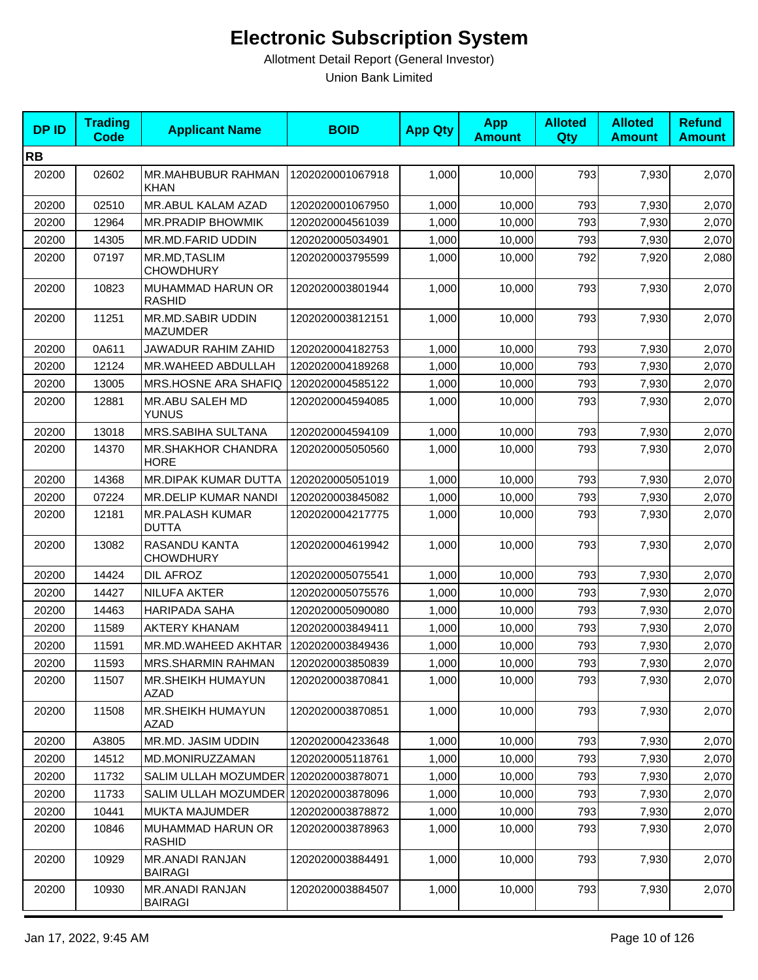| <b>DPID</b> | <b>Trading</b><br><b>Code</b> | <b>Applicant Name</b>                    | <b>BOID</b>      | <b>App Qty</b> | <b>App</b><br><b>Amount</b> | <b>Alloted</b><br>Qty | <b>Alloted</b><br><b>Amount</b> | <b>Refund</b><br><b>Amount</b> |
|-------------|-------------------------------|------------------------------------------|------------------|----------------|-----------------------------|-----------------------|---------------------------------|--------------------------------|
| <b>RB</b>   |                               |                                          |                  |                |                             |                       |                                 |                                |
| 20200       | 02602                         | MR.MAHBUBUR RAHMAN<br><b>KHAN</b>        | 1202020001067918 | 1,000          | 10,000                      | 793                   | 7,930                           | 2,070                          |
| 20200       | 02510                         | <b>MR.ABUL KALAM AZAD</b>                | 1202020001067950 | 1,000          | 10,000                      | 793                   | 7,930                           | 2,070                          |
| 20200       | 12964                         | MR.PRADIP BHOWMIK                        | 1202020004561039 | 1,000          | 10,000                      | 793                   | 7,930                           | 2,070                          |
| 20200       | 14305                         | MR.MD.FARID UDDIN                        | 1202020005034901 | 1,000          | 10,000                      | 793                   | 7,930                           | 2,070                          |
| 20200       | 07197                         | MR.MD, TASLIM<br><b>CHOWDHURY</b>        | 1202020003795599 | 1,000          | 10,000                      | 792                   | 7,920                           | 2,080                          |
| 20200       | 10823                         | MUHAMMAD HARUN OR<br><b>RASHID</b>       | 1202020003801944 | 1,000          | 10,000                      | 793                   | 7,930                           | 2,070                          |
| 20200       | 11251                         | MR.MD.SABIR UDDIN<br><b>MAZUMDER</b>     | 1202020003812151 | 1,000          | 10,000                      | 793                   | 7,930                           | 2,070                          |
| 20200       | 0A611                         | JAWADUR RAHIM ZAHID                      | 1202020004182753 | 1,000          | 10,000                      | 793                   | 7,930                           | 2,070                          |
| 20200       | 12124                         | MR.WAHEED ABDULLAH                       | 1202020004189268 | 1,000          | 10,000                      | 793                   | 7,930                           | 2,070                          |
| 20200       | 13005                         | MRS.HOSNE ARA SHAFIQ                     | 1202020004585122 | 1,000          | 10,000                      | 793                   | 7,930                           | 2,070                          |
| 20200       | 12881                         | MR.ABU SALEH MD<br><b>YUNUS</b>          | 1202020004594085 | 1,000          | 10,000                      | 793                   | 7,930                           | 2,070                          |
| 20200       | 13018                         | MRS.SABIHA SULTANA                       | 1202020004594109 | 1,000          | 10,000                      | 793                   | 7,930                           | 2,070                          |
| 20200       | 14370                         | <b>MR.SHAKHOR CHANDRA</b><br><b>HORE</b> | 1202020005050560 | 1,000          | 10,000                      | 793                   | 7,930                           | 2,070                          |
| 20200       | 14368                         | MR.DIPAK KUMAR DUTTA                     | 1202020005051019 | 1,000          | 10,000                      | 793                   | 7,930                           | 2,070                          |
| 20200       | 07224                         | MR.DELIP KUMAR NANDI                     | 1202020003845082 | 1,000          | 10,000                      | 793                   | 7,930                           | 2,070                          |
| 20200       | 12181                         | <b>MR.PALASH KUMAR</b><br><b>DUTTA</b>   | 1202020004217775 | 1,000          | 10,000                      | 793                   | 7,930                           | 2,070                          |
| 20200       | 13082                         | RASANDU KANTA<br><b>CHOWDHURY</b>        | 1202020004619942 | 1,000          | 10,000                      | 793                   | 7,930                           | 2,070                          |
| 20200       | 14424                         | DIL AFROZ                                | 1202020005075541 | 1,000          | 10,000                      | 793                   | 7,930                           | 2,070                          |
| 20200       | 14427                         | <b>NILUFA AKTER</b>                      | 1202020005075576 | 1,000          | 10,000                      | 793                   | 7,930                           | 2,070                          |
| 20200       | 14463                         | <b>HARIPADA SAHA</b>                     | 1202020005090080 | 1,000          | 10,000                      | 793                   | 7,930                           | 2,070                          |
| 20200       | 11589                         | <b>AKTERY KHANAM</b>                     | 1202020003849411 | 1,000          | 10,000                      | 793                   | 7,930                           | 2,070                          |
| 20200       | 11591                         | MR.MD.WAHEED AKHTAR                      | 1202020003849436 | 1,000          | 10,000                      | 793                   | 7,930                           | 2,070                          |
| 20200       | 11593                         | MRS.SHARMIN RAHMAN                       | 1202020003850839 | 1,000          | 10,000                      | 793                   | 7,930                           | 2,070                          |
| 20200       | 11507                         | <b>MR.SHEIKH HUMAYUN</b><br>AZAD         | 1202020003870841 | 1,000          | 10,000                      | 793                   | 7,930                           | 2,070                          |
| 20200       | 11508                         | MR.SHEIKH HUMAYUN<br>AZAD                | 1202020003870851 | 1,000          | 10,000                      | 793                   | 7,930                           | 2,070                          |
| 20200       | A3805                         | MR.MD. JASIM UDDIN                       | 1202020004233648 | 1,000          | 10,000                      | 793                   | 7,930                           | 2,070                          |
| 20200       | 14512                         | MD.MONIRUZZAMAN                          | 1202020005118761 | 1,000          | 10,000                      | 793                   | 7,930                           | 2,070                          |
| 20200       | 11732                         | SALIM ULLAH MOZUMDER                     | 1202020003878071 | 1,000          | 10,000                      | 793                   | 7,930                           | 2,070                          |
| 20200       | 11733                         | SALIM ULLAH MOZUMDER 1202020003878096    |                  | 1,000          | 10,000                      | 793                   | 7,930                           | 2,070                          |
| 20200       | 10441                         | MUKTA MAJUMDER                           | 1202020003878872 | 1,000          | 10,000                      | 793                   | 7,930                           | 2,070                          |
| 20200       | 10846                         | MUHAMMAD HARUN OR<br>RASHID              | 1202020003878963 | 1,000          | 10,000                      | 793                   | 7,930                           | 2,070                          |
| 20200       | 10929                         | MR.ANADI RANJAN<br>BAIRAGI               | 1202020003884491 | 1,000          | 10,000                      | 793                   | 7,930                           | 2,070                          |
| 20200       | 10930                         | <b>MR.ANADI RANJAN</b><br><b>BAIRAGI</b> | 1202020003884507 | 1,000          | 10,000                      | 793                   | 7,930                           | 2,070                          |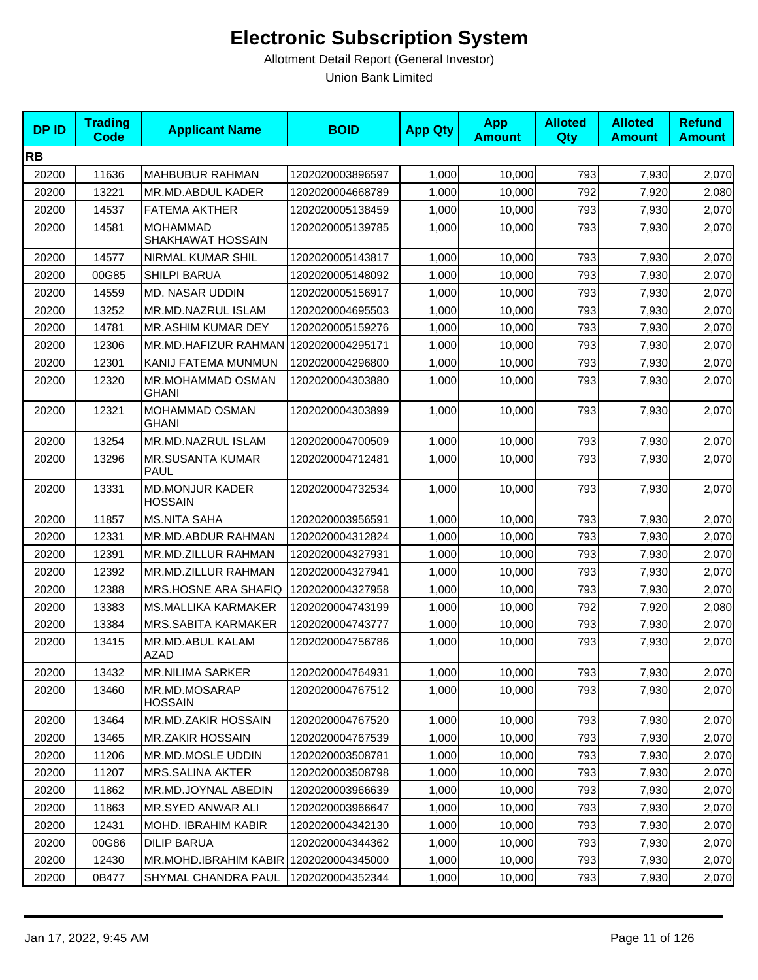| <b>DPID</b> | <b>Trading</b><br><b>Code</b> | <b>Applicant Name</b>                    | <b>BOID</b>      | <b>App Qty</b> | <b>App</b><br><b>Amount</b> | <b>Alloted</b><br>Qty | <b>Alloted</b><br><b>Amount</b> | <b>Refund</b><br><b>Amount</b> |
|-------------|-------------------------------|------------------------------------------|------------------|----------------|-----------------------------|-----------------------|---------------------------------|--------------------------------|
| <b>RB</b>   |                               |                                          |                  |                |                             |                       |                                 |                                |
| 20200       | 11636                         | MAHBUBUR RAHMAN                          | 1202020003896597 | 1,000          | 10,000                      | 793                   | 7,930                           | 2,070                          |
| 20200       | 13221                         | MR.MD.ABDUL KADER                        | 1202020004668789 | 1,000          | 10,000                      | 792                   | 7,920                           | 2,080                          |
| 20200       | 14537                         | <b>FATEMA AKTHER</b>                     | 1202020005138459 | 1,000          | 10,000                      | 793                   | 7,930                           | 2,070                          |
| 20200       | 14581                         | <b>MOHAMMAD</b><br>SHAKHAWAT HOSSAIN     | 1202020005139785 | 1,000          | 10,000                      | 793                   | 7,930                           | 2,070                          |
| 20200       | 14577                         | NIRMAL KUMAR SHIL                        | 1202020005143817 | 1,000          | 10,000                      | 793                   | 7,930                           | 2,070                          |
| 20200       | 00G85                         | <b>SHILPI BARUA</b>                      | 1202020005148092 | 1,000          | 10,000                      | 793                   | 7,930                           | 2,070                          |
| 20200       | 14559                         | MD. NASAR UDDIN                          | 1202020005156917 | 1,000          | 10,000                      | 793                   | 7,930                           | 2,070                          |
| 20200       | 13252                         | MR.MD.NAZRUL ISLAM                       | 1202020004695503 | 1,000          | 10,000                      | 793                   | 7,930                           | 2,070                          |
| 20200       | 14781                         | MR.ASHIM KUMAR DEY                       | 1202020005159276 | 1,000          | 10,000                      | 793                   | 7,930                           | 2,070                          |
| 20200       | 12306                         | MR.MD.HAFIZUR RAHMAN 1202020004295171    |                  | 1,000          | 10,000                      | 793                   | 7,930                           | 2,070                          |
| 20200       | 12301                         | KANIJ FATEMA MUNMUN                      | 1202020004296800 | 1,000          | 10,000                      | 793                   | 7,930                           | 2,070                          |
| 20200       | 12320                         | MR.MOHAMMAD OSMAN<br><b>GHANI</b>        | 1202020004303880 | 1,000          | 10,000                      | 793                   | 7,930                           | 2,070                          |
| 20200       | 12321                         | MOHAMMAD OSMAN<br><b>GHANI</b>           | 1202020004303899 | 1,000          | 10,000                      | 793                   | 7,930                           | 2,070                          |
| 20200       | 13254                         | MR.MD.NAZRUL ISLAM                       | 1202020004700509 | 1,000          | 10,000                      | 793                   | 7,930                           | 2,070                          |
| 20200       | 13296                         | <b>MR.SUSANTA KUMAR</b><br><b>PAUL</b>   | 1202020004712481 | 1,000          | 10,000                      | 793                   | 7,930                           | 2,070                          |
| 20200       | 13331                         | <b>MD.MONJUR KADER</b><br><b>HOSSAIN</b> | 1202020004732534 | 1,000          | 10,000                      | 793                   | 7,930                           | 2,070                          |
| 20200       | 11857                         | <b>MS.NITA SAHA</b>                      | 1202020003956591 | 1,000          | 10,000                      | 793                   | 7,930                           | 2,070                          |
| 20200       | 12331                         | MR.MD.ABDUR RAHMAN                       | 1202020004312824 | 1,000          | 10,000                      | 793                   | 7,930                           | 2,070                          |
| 20200       | 12391                         | MR.MD.ZILLUR RAHMAN                      | 1202020004327931 | 1,000          | 10,000                      | 793                   | 7,930                           | 2,070                          |
| 20200       | 12392                         | MR.MD.ZILLUR RAHMAN                      | 1202020004327941 | 1,000          | 10,000                      | 793                   | 7,930                           | 2,070                          |
| 20200       | 12388                         | MRS.HOSNE ARA SHAFIQ                     | 1202020004327958 | 1,000          | 10,000                      | 793                   | 7,930                           | 2,070                          |
| 20200       | 13383                         | <b>MS.MALLIKA KARMAKER</b>               | 1202020004743199 | 1,000          | 10,000                      | 792                   | 7,920                           | 2,080                          |
| 20200       | 13384                         | <b>MRS.SABITA KARMAKER</b>               | 1202020004743777 | 1,000          | 10,000                      | 793                   | 7,930                           | 2,070                          |
| 20200       | 13415                         | MR.MD.ABUL KALAM<br>AZAD                 | 1202020004756786 | 1,000          | 10,000                      | 793                   | 7,930                           | 2,070                          |
| 20200       | 13432                         | <b>MR.NILIMA SARKER</b>                  | 1202020004764931 | 1,000          | 10,000                      | 793                   | 7,930                           | 2,070                          |
| 20200       | 13460                         | MR.MD.MOSARAP<br><b>HOSSAIN</b>          | 1202020004767512 | 1,000          | 10,000                      | 793                   | 7,930                           | 2,070                          |
| 20200       | 13464                         | MR.MD.ZAKIR HOSSAIN                      | 1202020004767520 | 1,000          | 10,000                      | 793                   | 7,930                           | 2,070                          |
| 20200       | 13465                         | <b>MR.ZAKIR HOSSAIN</b>                  | 1202020004767539 | 1,000          | 10,000                      | 793                   | 7,930                           | 2,070                          |
| 20200       | 11206                         | MR.MD.MOSLE UDDIN                        | 1202020003508781 | 1,000          | 10,000                      | 793                   | 7,930                           | 2,070                          |
| 20200       | 11207                         | <b>MRS.SALINA AKTER</b>                  | 1202020003508798 | 1,000          | 10,000                      | 793                   | 7,930                           | 2,070                          |
| 20200       | 11862                         | MR.MD.JOYNAL ABEDIN                      | 1202020003966639 | 1,000          | 10,000                      | 793                   | 7,930                           | 2,070                          |
| 20200       | 11863                         | MR.SYED ANWAR ALI                        | 1202020003966647 | 1,000          | 10,000                      | 793                   | 7,930                           | 2,070                          |
| 20200       | 12431                         | <b>MOHD. IBRAHIM KABIR</b>               | 1202020004342130 | 1,000          | 10,000                      | 793                   | 7,930                           | 2,070                          |
| 20200       | 00G86                         | <b>DILIP BARUA</b>                       | 1202020004344362 | 1,000          | 10,000                      | 793                   | 7,930                           | 2,070                          |
| 20200       | 12430                         | MR.MOHD.IBRAHIM KABIR 1202020004345000   |                  | 1,000          | 10,000                      | 793                   | 7,930                           | 2,070                          |
| 20200       | 0B477                         | SHYMAL CHANDRA PAUL                      | 1202020004352344 | 1,000          | 10,000                      | 793                   | 7,930                           | 2,070                          |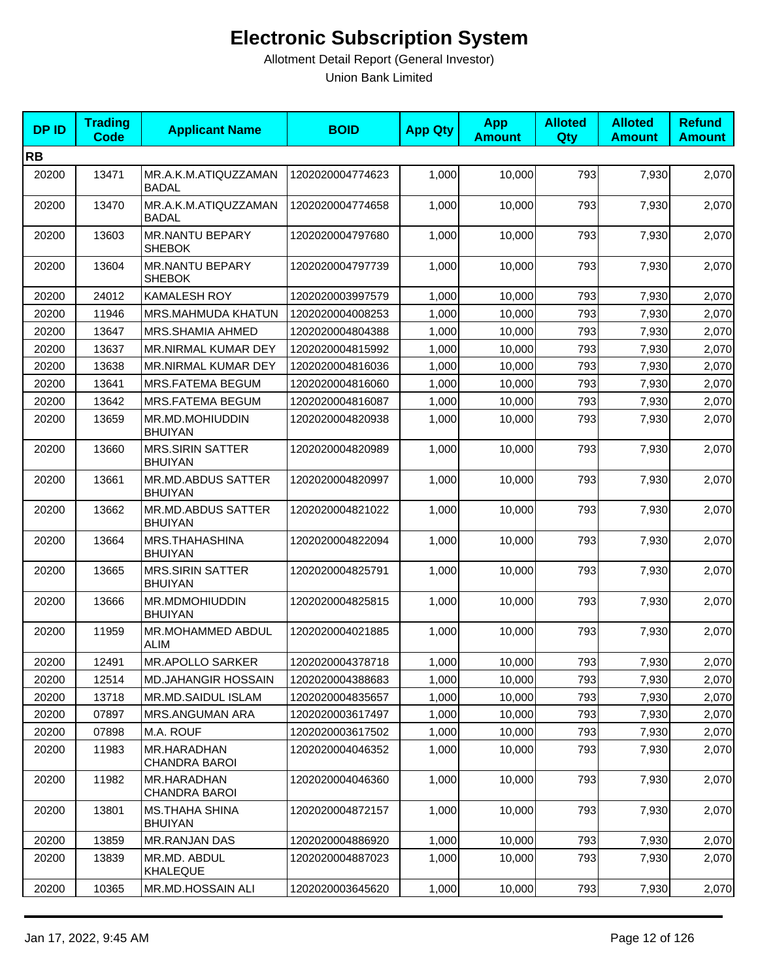| <b>DPID</b> | <b>Trading</b><br>Code | <b>Applicant Name</b>                     | <b>BOID</b>      | <b>App Qty</b> | <b>App</b><br><b>Amount</b> | <b>Alloted</b><br>Qty | <b>Alloted</b><br><b>Amount</b> | <b>Refund</b><br><b>Amount</b> |
|-------------|------------------------|-------------------------------------------|------------------|----------------|-----------------------------|-----------------------|---------------------------------|--------------------------------|
| <b>RB</b>   |                        |                                           |                  |                |                             |                       |                                 |                                |
| 20200       | 13471                  | MR.A.K.M.ATIQUZZAMAN<br><b>BADAL</b>      | 1202020004774623 | 1,000          | 10,000                      | 793                   | 7,930                           | 2,070                          |
| 20200       | 13470                  | MR.A.K.M.ATIQUZZAMAN<br><b>BADAL</b>      | 1202020004774658 | 1,000          | 10,000                      | 793                   | 7,930                           | 2,070                          |
| 20200       | 13603                  | MR.NANTU BEPARY<br><b>SHEBOK</b>          | 1202020004797680 | 1,000          | 10,000                      | 793                   | 7,930                           | 2,070                          |
| 20200       | 13604                  | <b>MR.NANTU BEPARY</b><br><b>SHEBOK</b>   | 1202020004797739 | 1,000          | 10,000                      | 793                   | 7,930                           | 2,070                          |
| 20200       | 24012                  | <b>KAMALESH ROY</b>                       | 1202020003997579 | 1,000          | 10,000                      | 793                   | 7,930                           | 2,070                          |
| 20200       | 11946                  | <b>MRS.MAHMUDA KHATUN</b>                 | 1202020004008253 | 1,000          | 10,000                      | 793                   | 7,930                           | 2,070                          |
| 20200       | 13647                  | MRS.SHAMIA AHMED                          | 1202020004804388 | 1,000          | 10,000                      | 793                   | 7,930                           | 2,070                          |
| 20200       | 13637                  | MR.NIRMAL KUMAR DEY                       | 1202020004815992 | 1,000          | 10,000                      | 793                   | 7,930                           | 2,070                          |
| 20200       | 13638                  | <b>MR.NIRMAL KUMAR DEY</b>                | 1202020004816036 | 1,000          | 10,000                      | 793                   | 7,930                           | 2,070                          |
| 20200       | 13641                  | MRS.FATEMA BEGUM                          | 1202020004816060 | 1,000          | 10,000                      | 793                   | 7,930                           | 2,070                          |
| 20200       | 13642                  | MRS.FATEMA BEGUM                          | 1202020004816087 | 1,000          | 10,000                      | 793                   | 7,930                           | 2,070                          |
| 20200       | 13659                  | MR.MD.MOHIUDDIN<br><b>BHUIYAN</b>         | 1202020004820938 | 1,000          | 10,000                      | 793                   | 7,930                           | 2,070                          |
| 20200       | 13660                  | <b>MRS.SIRIN SATTER</b><br><b>BHUIYAN</b> | 1202020004820989 | 1,000          | 10,000                      | 793                   | 7,930                           | 2,070                          |
| 20200       | 13661                  | MR.MD.ABDUS SATTER<br><b>BHUIYAN</b>      | 1202020004820997 | 1,000          | 10,000                      | 793                   | 7,930                           | 2,070                          |
| 20200       | 13662                  | MR.MD.ABDUS SATTER<br><b>BHUIYAN</b>      | 1202020004821022 | 1,000          | 10,000                      | 793                   | 7,930                           | 2,070                          |
| 20200       | 13664                  | MRS.THAHASHINA<br><b>BHUIYAN</b>          | 1202020004822094 | 1,000          | 10,000                      | 793                   | 7,930                           | 2,070                          |
| 20200       | 13665                  | <b>MRS.SIRIN SATTER</b><br><b>BHUIYAN</b> | 1202020004825791 | 1,000          | 10,000                      | 793                   | 7,930                           | 2,070                          |
| 20200       | 13666                  | MR.MDMOHIUDDIN<br><b>BHUIYAN</b>          | 1202020004825815 | 1,000          | 10,000                      | 793                   | 7,930                           | 2,070                          |
| 20200       | 11959                  | MR.MOHAMMED ABDUL<br><b>ALIM</b>          | 1202020004021885 | 1,000          | 10,000                      | 793                   | 7,930                           | 2,070                          |
| 20200       | 12491                  | <b>MR.APOLLO SARKER</b>                   | 1202020004378718 | 1,000          | 10,000                      | 793                   | 7,930                           | 2,070                          |
| 20200       | 12514                  | <b>MD.JAHANGIR HOSSAIN</b>                | 1202020004388683 | 1,000          | 10,000                      | 793                   | 7,930                           | 2,070                          |
| 20200       | 13718                  | MR.MD.SAIDUL ISLAM                        | 1202020004835657 | 1,000          | 10,000                      | 793                   | 7,930                           | 2,070                          |
| 20200       | 07897                  | <b>MRS.ANGUMAN ARA</b>                    | 1202020003617497 | 1,000          | 10,000                      | 793                   | 7,930                           | 2,070                          |
| 20200       | 07898                  | M.A. ROUF                                 | 1202020003617502 | 1,000          | 10,000                      | 793                   | 7,930                           | 2,070                          |
| 20200       | 11983                  | MR.HARADHAN<br>CHANDRA BAROI              | 1202020004046352 | 1,000          | 10,000                      | 793                   | 7,930                           | 2,070                          |
| 20200       | 11982                  | MR.HARADHAN<br>CHANDRA BAROI              | 1202020004046360 | 1,000          | 10,000                      | 793                   | 7,930                           | 2,070                          |
| 20200       | 13801                  | <b>MS.THAHA SHINA</b><br><b>BHUIYAN</b>   | 1202020004872157 | 1,000          | 10,000                      | 793                   | 7,930                           | 2,070                          |
| 20200       | 13859                  | MR.RANJAN DAS                             | 1202020004886920 | 1,000          | 10,000                      | 793                   | 7,930                           | 2,070                          |
| 20200       | 13839                  | MR.MD. ABDUL<br>KHALEQUE                  | 1202020004887023 | 1,000          | 10,000                      | 793                   | 7,930                           | 2,070                          |
| 20200       | 10365                  | MR.MD.HOSSAIN ALI                         | 1202020003645620 | 1,000          | 10,000                      | 793                   | 7,930                           | 2,070                          |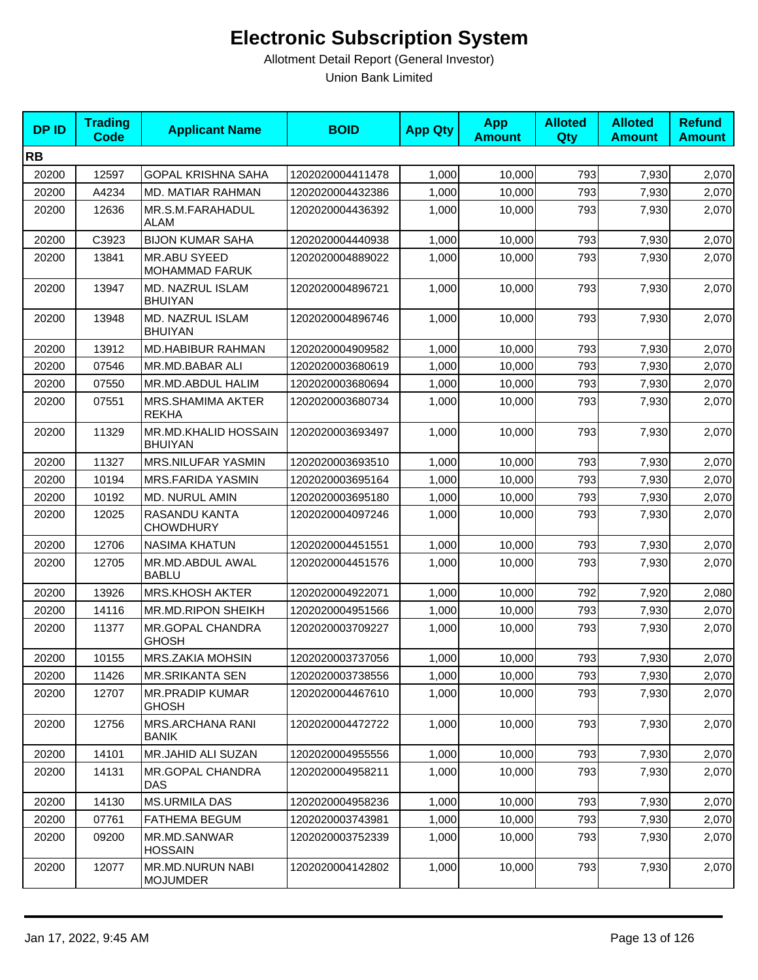| <b>DPID</b> | <b>Trading</b><br><b>Code</b> | <b>Applicant Name</b>                        | <b>BOID</b>      | <b>App Qty</b> | <b>App</b><br><b>Amount</b> | <b>Alloted</b><br><b>Qty</b> | <b>Alloted</b><br><b>Amount</b> | <b>Refund</b><br><b>Amount</b> |
|-------------|-------------------------------|----------------------------------------------|------------------|----------------|-----------------------------|------------------------------|---------------------------------|--------------------------------|
| <b>RB</b>   |                               |                                              |                  |                |                             |                              |                                 |                                |
| 20200       | 12597                         | <b>GOPAL KRISHNA SAHA</b>                    | 1202020004411478 | 1,000          | 10,000                      | 793                          | 7,930                           | 2,070                          |
| 20200       | A4234                         | MD. MATIAR RAHMAN                            | 1202020004432386 | 1,000          | 10,000                      | 793                          | 7,930                           | 2,070                          |
| 20200       | 12636                         | MR.S.M.FARAHADUL<br>ALAM                     | 1202020004436392 | 1,000          | 10,000                      | 793                          | 7,930                           | 2,070                          |
| 20200       | C3923                         | <b>BIJON KUMAR SAHA</b>                      | 1202020004440938 | 1,000          | 10,000                      | 793                          | 7,930                           | 2,070                          |
| 20200       | 13841                         | <b>MR.ABU SYEED</b><br><b>MOHAMMAD FARUK</b> | 1202020004889022 | 1,000          | 10,000                      | 793                          | 7,930                           | 2,070                          |
| 20200       | 13947                         | MD. NAZRUL ISLAM<br><b>BHUIYAN</b>           | 1202020004896721 | 1,000          | 10,000                      | 793                          | 7,930                           | 2,070                          |
| 20200       | 13948                         | MD. NAZRUL ISLAM<br><b>BHUIYAN</b>           | 1202020004896746 | 1,000          | 10,000                      | 793                          | 7,930                           | 2,070                          |
| 20200       | 13912                         | MD.HABIBUR RAHMAN                            | 1202020004909582 | 1,000          | 10,000                      | 793                          | 7,930                           | 2,070                          |
| 20200       | 07546                         | MR.MD.BABAR ALI                              | 1202020003680619 | 1.000          | 10,000                      | 793                          | 7,930                           | 2,070                          |
| 20200       | 07550                         | MR.MD.ABDUL HALIM                            | 1202020003680694 | 1,000          | 10,000                      | 793                          | 7,930                           | 2,070                          |
| 20200       | 07551                         | MRS.SHAMIMA AKTER<br><b>REKHA</b>            | 1202020003680734 | 1,000          | 10,000                      | 793                          | 7,930                           | 2,070                          |
| 20200       | 11329                         | MR.MD.KHALID HOSSAIN<br><b>BHUIYAN</b>       | 1202020003693497 | 1,000          | 10,000                      | 793                          | 7,930                           | 2,070                          |
| 20200       | 11327                         | MRS.NILUFAR YASMIN                           | 1202020003693510 | 1,000          | 10,000                      | 793                          | 7,930                           | 2,070                          |
| 20200       | 10194                         | MRS.FARIDA YASMIN                            | 1202020003695164 | 1,000          | 10,000                      | 793                          | 7,930                           | 2,070                          |
| 20200       | 10192                         | <b>MD. NURUL AMIN</b>                        | 1202020003695180 | 1,000          | 10,000                      | 793                          | 7,930                           | 2,070                          |
| 20200       | 12025                         | RASANDU KANTA<br><b>CHOWDHURY</b>            | 1202020004097246 | 1,000          | 10,000                      | 793                          | 7,930                           | 2,070                          |
| 20200       | 12706                         | <b>NASIMA KHATUN</b>                         | 1202020004451551 | 1,000          | 10,000                      | 793                          | 7,930                           | 2,070                          |
| 20200       | 12705                         | MR.MD.ABDUL AWAL<br><b>BABLU</b>             | 1202020004451576 | 1,000          | 10,000                      | 793                          | 7,930                           | 2,070                          |
| 20200       | 13926                         | <b>MRS.KHOSH AKTER</b>                       | 1202020004922071 | 1,000          | 10,000                      | 792                          | 7,920                           | 2,080                          |
| 20200       | 14116                         | MR.MD.RIPON SHEIKH                           | 1202020004951566 | 1,000          | 10,000                      | 793                          | 7,930                           | 2,070                          |
| 20200       | 11377                         | MR.GOPAL CHANDRA<br><b>GHOSH</b>             | 1202020003709227 | 1,000          | 10,000                      | 793                          | 7,930                           | 2,070                          |
| 20200       | 10155                         | MRS.ZAKIA MOHSIN                             | 1202020003737056 | 1,000          | 10,000                      | 793                          | 7,930                           | 2,070                          |
| 20200       | 11426                         | <b>MR.SRIKANTA SEN</b>                       | 1202020003738556 | 1,000          | 10,000                      | 793                          | 7,930                           | 2,070                          |
| 20200       | 12707                         | <b>MR.PRADIP KUMAR</b><br><b>GHOSH</b>       | 1202020004467610 | 1,000          | 10,000                      | 793                          | 7,930                           | 2,070                          |
| 20200       | 12756                         | <b>MRS.ARCHANA RANI</b><br>BANIK             | 1202020004472722 | 1,000          | 10,000                      | 793                          | 7,930                           | 2,070                          |
| 20200       | 14101                         | MR.JAHID ALI SUZAN                           | 1202020004955556 | 1,000          | 10,000                      | 793                          | 7,930                           | 2,070                          |
| 20200       | 14131                         | MR.GOPAL CHANDRA<br>DAS                      | 1202020004958211 | 1,000          | 10,000                      | 793                          | 7,930                           | 2,070                          |
| 20200       | 14130                         | <b>MS.URMILA DAS</b>                         | 1202020004958236 | 1,000          | 10,000                      | 793                          | 7,930                           | 2,070                          |
| 20200       | 07761                         | <b>FATHEMA BEGUM</b>                         | 1202020003743981 | 1,000          | 10,000                      | 793                          | 7,930                           | 2,070                          |
| 20200       | 09200                         | MR.MD.SANWAR<br><b>HOSSAIN</b>               | 1202020003752339 | 1,000          | 10,000                      | 793                          | 7,930                           | 2,070                          |
| 20200       | 12077                         | MR.MD.NURUN NABI<br><b>MOJUMDER</b>          | 1202020004142802 | 1,000          | 10,000                      | 793                          | 7,930                           | 2,070                          |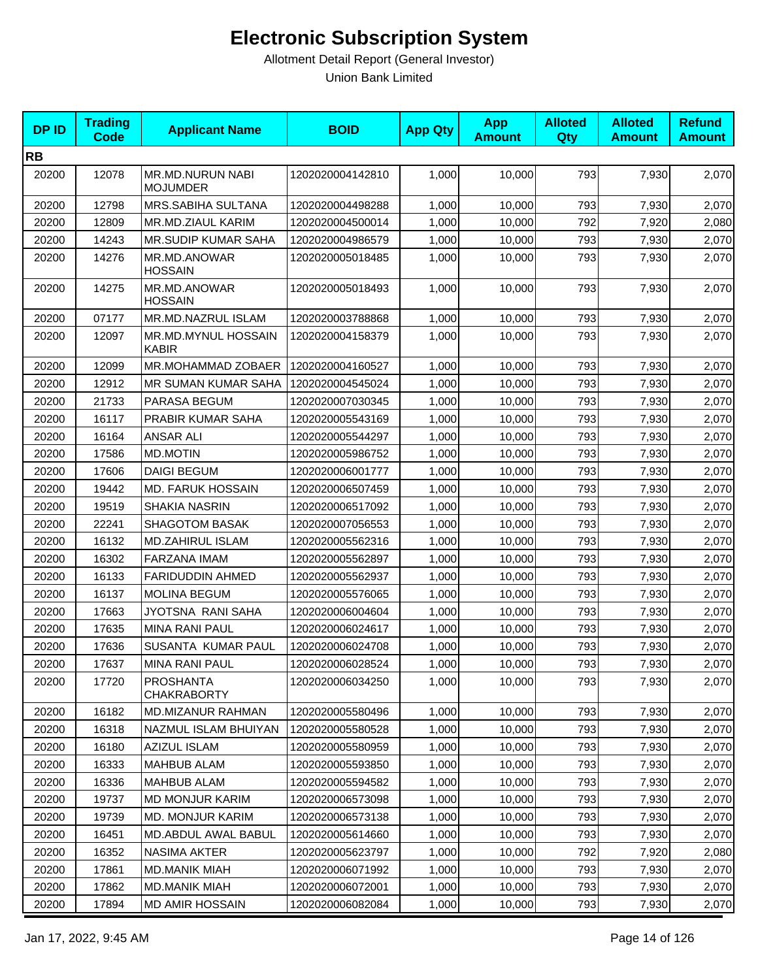| <b>DPID</b> | <b>Trading</b><br><b>Code</b> | <b>Applicant Name</b>                  | <b>BOID</b>      | <b>App Qty</b> | <b>App</b><br><b>Amount</b> | <b>Alloted</b><br><b>Qty</b> | <b>Alloted</b><br><b>Amount</b> | <b>Refund</b><br><b>Amount</b> |
|-------------|-------------------------------|----------------------------------------|------------------|----------------|-----------------------------|------------------------------|---------------------------------|--------------------------------|
| <b>RB</b>   |                               |                                        |                  |                |                             |                              |                                 |                                |
| 20200       | 12078                         | MR.MD.NURUN NABI<br><b>MOJUMDER</b>    | 1202020004142810 | 1,000          | 10,000                      | 793                          | 7,930                           | 2,070                          |
| 20200       | 12798                         | MRS.SABIHA SULTANA                     | 1202020004498288 | 1,000          | 10,000                      | 793                          | 7,930                           | 2,070                          |
| 20200       | 12809                         | MR.MD.ZIAUL KARIM                      | 1202020004500014 | 1,000          | 10,000                      | 792                          | 7,920                           | 2,080                          |
| 20200       | 14243                         | <b>MR.SUDIP KUMAR SAHA</b>             | 1202020004986579 | 1,000          | 10,000                      | 793                          | 7,930                           | 2,070                          |
| 20200       | 14276                         | MR.MD.ANOWAR<br><b>HOSSAIN</b>         | 1202020005018485 | 1,000          | 10,000                      | 793                          | 7,930                           | 2,070                          |
| 20200       | 14275                         | MR.MD.ANOWAR<br><b>HOSSAIN</b>         | 1202020005018493 | 1,000          | 10,000                      | 793                          | 7,930                           | 2,070                          |
| 20200       | 07177                         | MR.MD.NAZRUL ISLAM                     | 1202020003788868 | 1,000          | 10,000                      | 793                          | 7,930                           | 2,070                          |
| 20200       | 12097                         | MR.MD.MYNUL HOSSAIN<br>KABIR           | 1202020004158379 | 1,000          | 10,000                      | 793                          | 7,930                           | 2,070                          |
| 20200       | 12099                         | MR.MOHAMMAD ZOBAER                     | 1202020004160527 | 1,000          | 10,000                      | 793                          | 7,930                           | 2,070                          |
| 20200       | 12912                         | MR SUMAN KUMAR SAHA                    | 1202020004545024 | 1,000          | 10,000                      | 793                          | 7,930                           | 2,070                          |
| 20200       | 21733                         | PARASA BEGUM                           | 1202020007030345 | 1,000          | 10,000                      | 793                          | 7,930                           | 2,070                          |
| 20200       | 16117                         | PRABIR KUMAR SAHA                      | 1202020005543169 | 1,000          | 10,000                      | 793                          | 7,930                           | 2,070                          |
| 20200       | 16164                         | ANSAR ALI                              | 1202020005544297 | 1,000          | 10,000                      | 793                          | 7,930                           | 2,070                          |
| 20200       | 17586                         | <b>MD.MOTIN</b>                        | 1202020005986752 | 1,000          | 10,000                      | 793                          | 7,930                           | 2,070                          |
| 20200       | 17606                         | <b>DAIGI BEGUM</b>                     | 1202020006001777 | 1,000          | 10,000                      | 793                          | 7,930                           | 2,070                          |
| 20200       | 19442                         | <b>MD. FARUK HOSSAIN</b>               | 1202020006507459 | 1,000          | 10,000                      | 793                          | 7,930                           | 2,070                          |
| 20200       | 19519                         | <b>SHAKIA NASRIN</b>                   | 1202020006517092 | 1,000          | 10,000                      | 793                          | 7,930                           | 2,070                          |
| 20200       | 22241                         | <b>SHAGOTOM BASAK</b>                  | 1202020007056553 | 1,000          | 10,000                      | 793                          | 7,930                           | 2,070                          |
| 20200       | 16132                         | MD.ZAHIRUL ISLAM                       | 1202020005562316 | 1,000          | 10,000                      | 793                          | 7,930                           | 2,070                          |
| 20200       | 16302                         | FARZANA IMAM                           | 1202020005562897 | 1,000          | 10,000                      | 793                          | 7,930                           | 2,070                          |
| 20200       | 16133                         | <b>FARIDUDDIN AHMED</b>                | 1202020005562937 | 1,000          | 10,000                      | 793                          | 7,930                           | 2,070                          |
| 20200       | 16137                         | <b>MOLINA BEGUM</b>                    | 1202020005576065 | 1,000          | 10,000                      | 793                          | 7,930                           | 2,070                          |
| 20200       | 17663                         | JYOTSNA RANI SAHA                      | 1202020006004604 | 1,000          | 10,000                      | 793                          | 7,930                           | 2,070                          |
| 20200       | 17635                         | <b>MINA RANI PAUL</b>                  | 1202020006024617 | 1,000          | 10,000                      | 793                          | 7,930                           | 2,070                          |
| 20200       | 17636                         | SUSANTA KUMAR PAUL                     | 1202020006024708 | 1,000          | 10,000                      | 793                          | 7,930                           | 2,070                          |
| 20200       | 17637                         | <b>MINA RANI PAUL</b>                  | 1202020006028524 | 1,000          | 10,000                      | 793                          | 7,930                           | 2,070                          |
| 20200       | 17720                         | <b>PROSHANTA</b><br><b>CHAKRABORTY</b> | 1202020006034250 | 1,000          | 10,000                      | 793                          | 7,930                           | 2,070                          |
| 20200       | 16182                         | MD.MIZANUR RAHMAN                      | 1202020005580496 | 1,000          | 10,000                      | 793                          | 7,930                           | 2,070                          |
| 20200       | 16318                         | NAZMUL ISLAM BHUIYAN                   | 1202020005580528 | 1,000          | 10,000                      | 793                          | 7,930                           | 2,070                          |
| 20200       | 16180                         | <b>AZIZUL ISLAM</b>                    | 1202020005580959 | 1,000          | 10,000                      | 793                          | 7,930                           | 2,070                          |
| 20200       | 16333                         | <b>MAHBUB ALAM</b>                     | 1202020005593850 | 1,000          | 10,000                      | 793                          | 7,930                           | 2,070                          |
| 20200       | 16336                         | <b>MAHBUB ALAM</b>                     | 1202020005594582 | 1,000          | 10,000                      | 793                          | 7,930                           | 2,070                          |
| 20200       | 19737                         | <b>MD MONJUR KARIM</b>                 | 1202020006573098 | 1,000          | 10,000                      | 793                          | 7,930                           | 2,070                          |
| 20200       | 19739                         | <b>MD. MONJUR KARIM</b>                | 1202020006573138 | 1,000          | 10,000                      | 793                          | 7,930                           | 2,070                          |
| 20200       | 16451                         | MD.ABDUL AWAL BABUL                    | 1202020005614660 | 1,000          | 10,000                      | 793                          | 7,930                           | 2,070                          |
| 20200       | 16352                         | <b>NASIMA AKTER</b>                    | 1202020005623797 | 1,000          | 10,000                      | 792                          | 7,920                           | 2,080                          |
| 20200       | 17861                         | <b>MD.MANIK MIAH</b>                   | 1202020006071992 | 1,000          | 10,000                      | 793                          | 7,930                           | 2,070                          |
| 20200       | 17862                         | <b>MD.MANIK MIAH</b>                   | 1202020006072001 | 1,000          | 10,000                      | 793                          | 7,930                           | 2,070                          |
| 20200       | 17894                         | <b>MD AMIR HOSSAIN</b>                 | 1202020006082084 | 1,000          | 10,000                      | 793                          | 7,930                           | 2,070                          |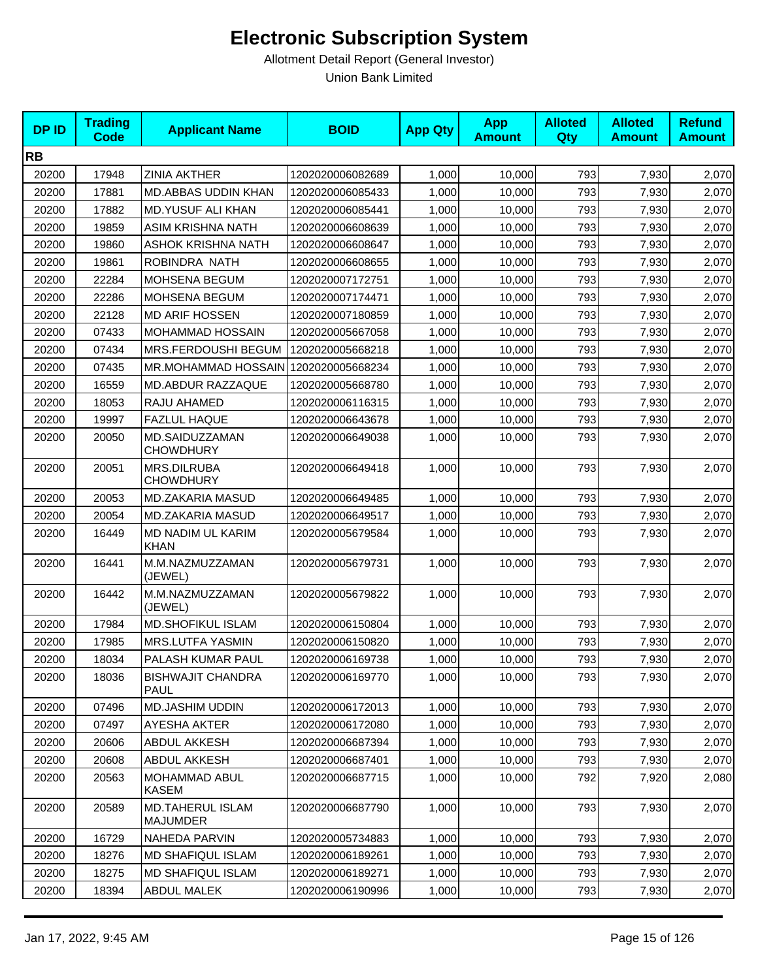| <b>DPID</b> | <b>Trading</b><br><b>Code</b> | <b>Applicant Name</b>                   | <b>BOID</b>      | <b>App Qty</b> | <b>App</b><br><b>Amount</b> | <b>Alloted</b><br>Qty | <b>Alloted</b><br><b>Amount</b> | <b>Refund</b><br><b>Amount</b> |
|-------------|-------------------------------|-----------------------------------------|------------------|----------------|-----------------------------|-----------------------|---------------------------------|--------------------------------|
| <b>RB</b>   |                               |                                         |                  |                |                             |                       |                                 |                                |
| 20200       | 17948                         | <b>ZINIA AKTHER</b>                     | 1202020006082689 | 1,000          | 10,000                      | 793                   | 7,930                           | 2,070                          |
| 20200       | 17881                         | MD.ABBAS UDDIN KHAN                     | 1202020006085433 | 1,000          | 10,000                      | 793                   | 7,930                           | 2,070                          |
| 20200       | 17882                         | <b>MD.YUSUF ALI KHAN</b>                | 1202020006085441 | 1,000          | 10,000                      | 793                   | 7,930                           | 2,070                          |
| 20200       | 19859                         | ASIM KRISHNA NATH                       | 1202020006608639 | 1,000          | 10,000                      | 793                   | 7,930                           | 2,070                          |
| 20200       | 19860                         | <b>ASHOK KRISHNA NATH</b>               | 1202020006608647 | 1,000          | 10,000                      | 793                   | 7,930                           | 2,070                          |
| 20200       | 19861                         | ROBINDRA NATH                           | 1202020006608655 | 1,000          | 10,000                      | 793                   | 7,930                           | 2,070                          |
| 20200       | 22284                         | MOHSENA BEGUM                           | 1202020007172751 | 1,000          | 10,000                      | 793                   | 7,930                           | 2,070                          |
| 20200       | 22286                         | MOHSENA BEGUM                           | 1202020007174471 | 1,000          | 10,000                      | 793                   | 7,930                           | 2,070                          |
| 20200       | 22128                         | <b>MD ARIF HOSSEN</b>                   | 1202020007180859 | 1,000          | 10,000                      | 793                   | 7,930                           | 2,070                          |
| 20200       | 07433                         | MOHAMMAD HOSSAIN                        | 1202020005667058 | 1,000          | 10,000                      | 793                   | 7,930                           | 2,070                          |
| 20200       | 07434                         | MRS.FERDOUSHI BEGUM                     | 1202020005668218 | 1,000          | 10,000                      | 793                   | 7,930                           | 2,070                          |
| 20200       | 07435                         | MR.MOHAMMAD HOSSAIN 1202020005668234    |                  | 1,000          | 10,000                      | 793                   | 7,930                           | 2,070                          |
| 20200       | 16559                         | MD.ABDUR RAZZAQUE                       | 1202020005668780 | 1,000          | 10,000                      | 793                   | 7,930                           | 2,070                          |
| 20200       | 18053                         | RAJU AHAMED                             | 1202020006116315 | 1,000          | 10,000                      | 793                   | 7,930                           | 2,070                          |
| 20200       | 19997                         | <b>FAZLUL HAQUE</b>                     | 1202020006643678 | 1,000          | 10,000                      | 793                   | 7,930                           | 2,070                          |
| 20200       | 20050                         | MD.SAIDUZZAMAN<br><b>CHOWDHURY</b>      | 1202020006649038 | 1,000          | 10,000                      | 793                   | 7,930                           | 2,070                          |
| 20200       | 20051                         | <b>MRS.DILRUBA</b><br><b>CHOWDHURY</b>  | 1202020006649418 | 1,000          | 10,000                      | 793                   | 7,930                           | 2,070                          |
| 20200       | 20053                         | MD.ZAKARIA MASUD                        | 1202020006649485 | 1,000          | 10,000                      | 793                   | 7,930                           | 2,070                          |
| 20200       | 20054                         | MD.ZAKARIA MASUD                        | 1202020006649517 | 1,000          | 10,000                      | 793                   | 7,930                           | 2,070                          |
| 20200       | 16449                         | MD NADIM UL KARIM<br><b>KHAN</b>        | 1202020005679584 | 1,000          | 10,000                      | 793                   | 7,930                           | 2,070                          |
| 20200       | 16441                         | M.M.NAZMUZZAMAN<br>(JEWEL)              | 1202020005679731 | 1,000          | 10,000                      | 793                   | 7,930                           | 2,070                          |
| 20200       | 16442                         | M.M.NAZMUZZAMAN<br>(JEWEL)              | 1202020005679822 | 1,000          | 10,000                      | 793                   | 7,930                           | 2,070                          |
| 20200       | 17984                         | <b>MD.SHOFIKUL ISLAM</b>                | 1202020006150804 | 1,000          | 10,000                      | 793                   | 7,930                           | 2,070                          |
| 20200       | 17985                         | MRS.LUTFA YASMIN                        | 1202020006150820 | 1,000          | 10,000                      | 793                   | 7,930                           | 2,070                          |
| 20200       | 18034                         | PALASH KUMAR PAUL                       | 1202020006169738 | 1,000          | 10,000                      | 793                   | 7,930                           | 2,070                          |
| 20200       | 18036                         | <b>BISHWAJIT CHANDRA</b><br><b>PAUL</b> | 1202020006169770 | 1,000          | 10,000                      | 793                   | 7,930                           | 2,070                          |
| 20200       | 07496                         | <b>MD.JASHIM UDDIN</b>                  | 1202020006172013 | 1,000          | 10,000                      | 793                   | 7,930                           | 2,070                          |
| 20200       | 07497                         | <b>AYESHA AKTER</b>                     | 1202020006172080 | 1,000          | 10,000                      | 793                   | 7,930                           | 2,070                          |
| 20200       | 20606                         | ABDUL AKKESH                            | 1202020006687394 | 1,000          | 10,000                      | 793                   | 7,930                           | 2,070                          |
| 20200       | 20608                         | ABDUL AKKESH                            | 1202020006687401 | 1,000          | 10,000                      | 793                   | 7,930                           | 2,070                          |
| 20200       | 20563                         | MOHAMMAD ABUL<br><b>KASEM</b>           | 1202020006687715 | 1,000          | 10,000                      | 792                   | 7,920                           | 2,080                          |
| 20200       | 20589                         | MD.TAHERUL ISLAM<br><b>MAJUMDER</b>     | 1202020006687790 | 1,000          | 10,000                      | 793                   | 7,930                           | 2,070                          |
| 20200       | 16729                         | <b>NAHEDA PARVIN</b>                    | 1202020005734883 | 1,000          | 10,000                      | 793                   | 7,930                           | 2,070                          |
| 20200       | 18276                         | <b>MD SHAFIQUL ISLAM</b>                | 1202020006189261 | 1,000          | 10,000                      | 793                   | 7,930                           | 2,070                          |
| 20200       | 18275                         | MD SHAFIQUL ISLAM                       | 1202020006189271 | 1,000          | 10,000                      | 793                   | 7,930                           | 2,070                          |
| 20200       | 18394                         | <b>ABDUL MALEK</b>                      | 1202020006190996 | 1,000          | 10,000                      | 793                   | 7,930                           | 2,070                          |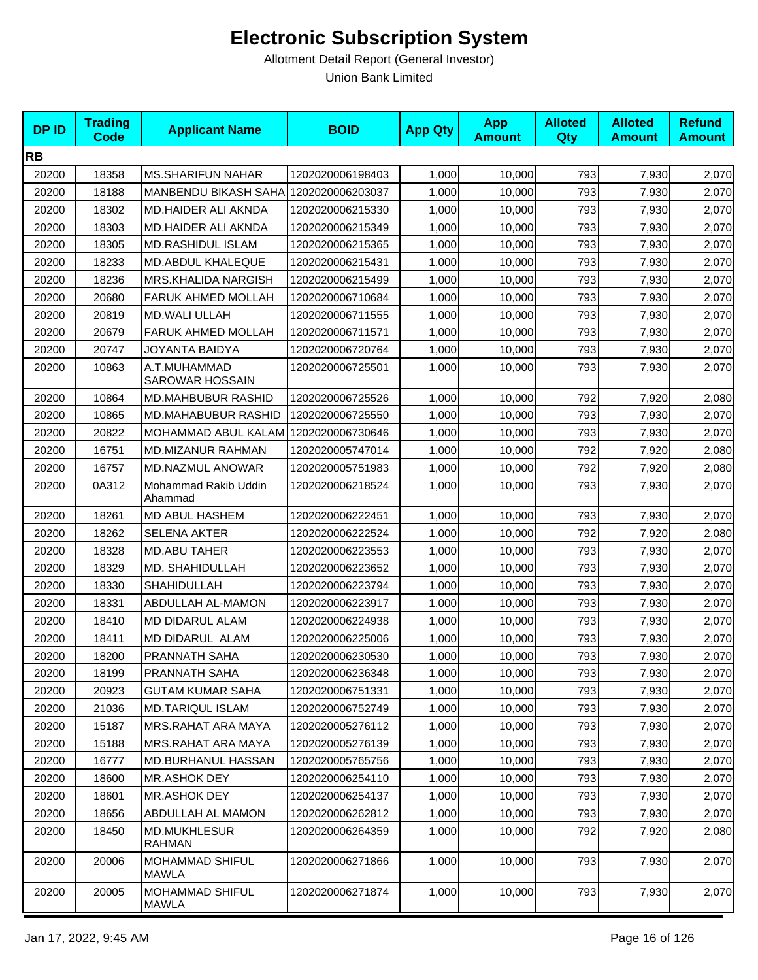| <b>DPID</b> | <b>Trading</b><br>Code | <b>Applicant Name</b>                  | <b>BOID</b>      | <b>App Qty</b> | <b>App</b><br><b>Amount</b> | <b>Alloted</b><br>Qty | <b>Alloted</b><br><b>Amount</b> | <b>Refund</b><br><b>Amount</b> |
|-------------|------------------------|----------------------------------------|------------------|----------------|-----------------------------|-----------------------|---------------------------------|--------------------------------|
| <b>RB</b>   |                        |                                        |                  |                |                             |                       |                                 |                                |
| 20200       | 18358                  | <b>MS.SHARIFUN NAHAR</b>               | 1202020006198403 | 1,000          | 10,000                      | 793                   | 7,930                           | 2,070                          |
| 20200       | 18188                  | <b>MANBENDU BIKASH SAHAI</b>           | 1202020006203037 | 1,000          | 10,000                      | 793                   | 7,930                           | 2,070                          |
| 20200       | 18302                  | MD.HAIDER ALI AKNDA                    | 1202020006215330 | 1,000          | 10,000                      | 793                   | 7,930                           | 2,070                          |
| 20200       | 18303                  | MD.HAIDER ALI AKNDA                    | 1202020006215349 | 1,000          | 10,000                      | 793                   | 7,930                           | 2,070                          |
| 20200       | 18305                  | <b>MD.RASHIDUL ISLAM</b>               | 1202020006215365 | 1,000          | 10,000                      | 793                   | 7,930                           | 2,070                          |
| 20200       | 18233                  | MD.ABDUL KHALEQUE                      | 1202020006215431 | 1,000          | 10,000                      | 793                   | 7,930                           | 2,070                          |
| 20200       | 18236                  | <b>MRS.KHALIDA NARGISH</b>             | 1202020006215499 | 1,000          | 10,000                      | 793                   | 7,930                           | 2,070                          |
| 20200       | 20680                  | <b>FARUK AHMED MOLLAH</b>              | 1202020006710684 | 1,000          | 10,000                      | 793                   | 7,930                           | 2,070                          |
| 20200       | 20819                  | <b>MD.WALI ULLAH</b>                   | 1202020006711555 | 1,000          | 10,000                      | 793                   | 7,930                           | 2,070                          |
| 20200       | 20679                  | <b>FARUK AHMED MOLLAH</b>              | 1202020006711571 | 1,000          | 10,000                      | 793                   | 7,930                           | 2,070                          |
| 20200       | 20747                  | JOYANTA BAIDYA                         | 1202020006720764 | 1,000          | 10,000                      | 793                   | 7,930                           | 2,070                          |
| 20200       | 10863                  | A.T.MUHAMMAD<br><b>SAROWAR HOSSAIN</b> | 1202020006725501 | 1,000          | 10,000                      | 793                   | 7,930                           | 2,070                          |
| 20200       | 10864                  | <b>MD.MAHBUBUR RASHID</b>              | 1202020006725526 | 1,000          | 10,000                      | 792                   | 7,920                           | 2,080                          |
| 20200       | 10865                  | MD.MAHABUBUR RASHID                    | 1202020006725550 | 1,000          | 10,000                      | 793                   | 7,930                           | 2,070                          |
| 20200       | 20822                  | MOHAMMAD ABUL KALAM 1202020006730646   |                  | 1,000          | 10,000                      | 793                   | 7,930                           | 2,070                          |
| 20200       | 16751                  | MD.MIZANUR RAHMAN                      | 1202020005747014 | 1,000          | 10,000                      | 792                   | 7,920                           | 2,080                          |
| 20200       | 16757                  | MD.NAZMUL ANOWAR                       | 1202020005751983 | 1,000          | 10,000                      | 792                   | 7,920                           | 2,080                          |
| 20200       | 0A312                  | Mohammad Rakib Uddin<br>Ahammad        | 1202020006218524 | 1,000          | 10,000                      | 793                   | 7,930                           | 2,070                          |
| 20200       | 18261                  | MD ABUL HASHEM                         | 1202020006222451 | 1,000          | 10,000                      | 793                   | 7,930                           | 2,070                          |
| 20200       | 18262                  | SELENA AKTER                           | 1202020006222524 | 1,000          | 10,000                      | 792                   | 7,920                           | 2,080                          |
| 20200       | 18328                  | <b>MD.ABU TAHER</b>                    | 1202020006223553 | 1,000          | 10,000                      | 793                   | 7,930                           | 2,070                          |
| 20200       | 18329                  | MD. SHAHIDULLAH                        | 1202020006223652 | 1,000          | 10,000                      | 793                   | 7,930                           | 2,070                          |
| 20200       | 18330                  | SHAHIDULLAH                            | 1202020006223794 | 1,000          | 10,000                      | 793                   | 7,930                           | 2,070                          |
| 20200       | 18331                  | ABDULLAH AL-MAMON                      | 1202020006223917 | 1,000          | 10,000                      | 793                   | 7,930                           | 2,070                          |
| 20200       | 18410                  | MD DIDARUL ALAM                        | 1202020006224938 | 1,000          | 10,000                      | 793                   | 7,930                           | 2,070                          |
| 20200       | 18411                  | MD DIDARUL ALAM                        | 1202020006225006 | 1,000          | 10,000                      | 793                   | 7,930                           | 2,070                          |
| 20200       | 18200                  | PRANNATH SAHA                          | 1202020006230530 | 1,000          | 10,000                      | 793                   | 7,930                           | 2,070                          |
| 20200       | 18199                  | PRANNATH SAHA                          | 1202020006236348 | 1,000          | 10,000                      | 793                   | 7,930                           | 2,070                          |
| 20200       | 20923                  | <b>GUTAM KUMAR SAHA</b>                | 1202020006751331 | 1,000          | 10,000                      | 793                   | 7,930                           | 2,070                          |
| 20200       | 21036                  | <b>MD.TARIQUL ISLAM</b>                | 1202020006752749 | 1,000          | 10,000                      | 793                   | 7,930                           | 2,070                          |
| 20200       | 15187                  | MRS.RAHAT ARA MAYA                     | 1202020005276112 | 1,000          | 10,000                      | 793                   | 7,930                           | 2,070                          |
| 20200       | 15188                  | MRS.RAHAT ARA MAYA                     | 1202020005276139 | 1,000          | 10,000                      | 793                   | 7,930                           | 2,070                          |
| 20200       | 16777                  | MD.BURHANUL HASSAN                     | 1202020005765756 | 1,000          | 10,000                      | 793                   | 7,930                           | 2,070                          |
| 20200       | 18600                  | MR.ASHOK DEY                           | 1202020006254110 | 1,000          | 10,000                      | 793                   | 7,930                           | 2,070                          |
| 20200       | 18601                  | <b>MR.ASHOK DEY</b>                    | 1202020006254137 | 1,000          | 10,000                      | 793                   | 7,930                           | 2,070                          |
| 20200       | 18656                  | ABDULLAH AL MAMON                      | 1202020006262812 | 1,000          | 10,000                      | 793                   | 7,930                           | 2,070                          |
| 20200       | 18450                  | <b>MD.MUKHLESUR</b><br>RAHMAN          | 1202020006264359 | 1,000          | 10,000                      | 792                   | 7,920                           | 2,080                          |
| 20200       | 20006                  | <b>MOHAMMAD SHIFUL</b><br><b>MAWLA</b> | 1202020006271866 | 1,000          | 10,000                      | 793                   | 7,930                           | 2,070                          |
| 20200       | 20005                  | <b>MOHAMMAD SHIFUL</b><br>MAWLA        | 1202020006271874 | 1,000          | 10,000                      | 793                   | 7,930                           | 2,070                          |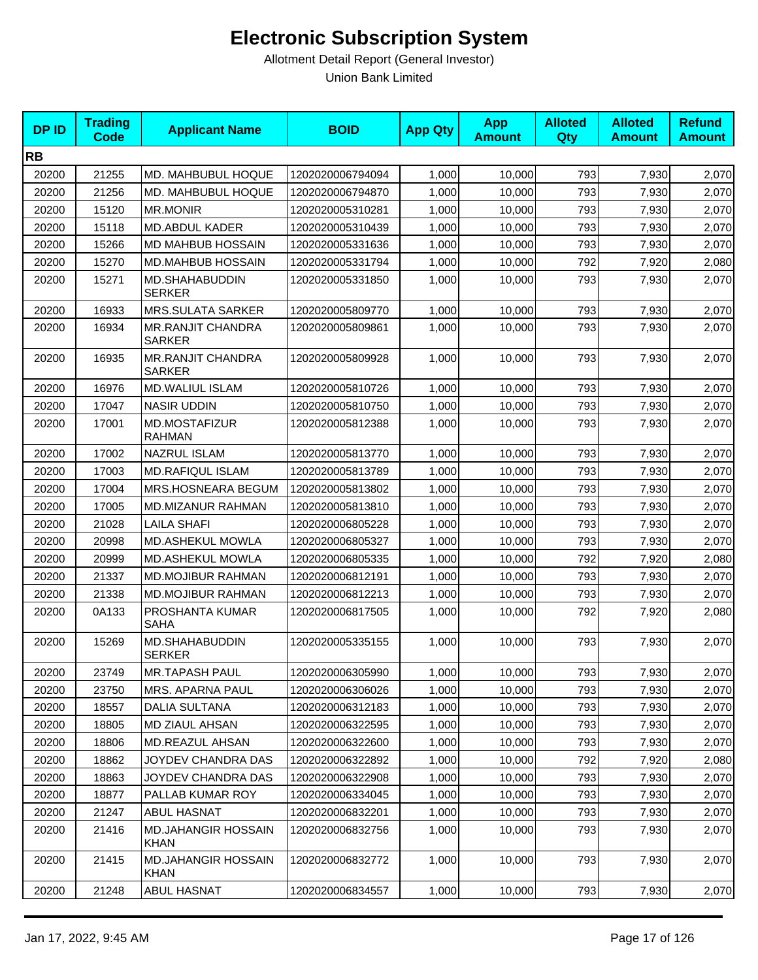| <b>DPID</b> | <b>Trading</b><br>Code | <b>Applicant Name</b>                     | <b>BOID</b>      | <b>App Qty</b> | <b>App</b><br><b>Amount</b> | <b>Alloted</b><br>Qty | <b>Alloted</b><br><b>Amount</b> | <b>Refund</b><br><b>Amount</b> |
|-------------|------------------------|-------------------------------------------|------------------|----------------|-----------------------------|-----------------------|---------------------------------|--------------------------------|
| <b>RB</b>   |                        |                                           |                  |                |                             |                       |                                 |                                |
| 20200       | 21255                  | MD. MAHBUBUL HOQUE                        | 1202020006794094 | 1,000          | 10,000                      | 793                   | 7,930                           | 2,070                          |
| 20200       | 21256                  | <b>MD. MAHBUBUL HOQUE</b>                 | 1202020006794870 | 1,000          | 10,000                      | 793                   | 7,930                           | 2,070                          |
| 20200       | 15120                  | <b>MR.MONIR</b>                           | 1202020005310281 | 1,000          | 10,000                      | 793                   | 7,930                           | 2,070                          |
| 20200       | 15118                  | <b>MD.ABDUL KADER</b>                     | 1202020005310439 | 1,000          | 10,000                      | 793                   | 7,930                           | 2,070                          |
| 20200       | 15266                  | <b>MD MAHBUB HOSSAIN</b>                  | 1202020005331636 | 1,000          | 10,000                      | 793                   | 7,930                           | 2,070                          |
| 20200       | 15270                  | MD.MAHBUB HOSSAIN                         | 1202020005331794 | 1,000          | 10,000                      | 792                   | 7,920                           | 2,080                          |
| 20200       | 15271                  | MD.SHAHABUDDIN<br><b>SERKER</b>           | 1202020005331850 | 1,000          | 10,000                      | 793                   | 7,930                           | 2,070                          |
| 20200       | 16933                  | <b>MRS.SULATA SARKER</b>                  | 1202020005809770 | 1,000          | 10,000                      | 793                   | 7,930                           | 2,070                          |
| 20200       | 16934                  | <b>MR.RANJIT CHANDRA</b><br><b>SARKER</b> | 1202020005809861 | 1,000          | 10,000                      | 793                   | 7,930                           | 2,070                          |
| 20200       | 16935                  | <b>MR.RANJIT CHANDRA</b><br><b>SARKER</b> | 1202020005809928 | 1,000          | 10,000                      | 793                   | 7,930                           | 2,070                          |
| 20200       | 16976                  | <b>MD.WALIUL ISLAM</b>                    | 1202020005810726 | 1,000          | 10,000                      | 793                   | 7,930                           | 2,070                          |
| 20200       | 17047                  | <b>NASIR UDDIN</b>                        | 1202020005810750 | 1,000          | 10,000                      | 793                   | 7,930                           | 2,070                          |
| 20200       | 17001                  | MD.MOSTAFIZUR<br><b>RAHMAN</b>            | 1202020005812388 | 1,000          | 10,000                      | 793                   | 7,930                           | 2,070                          |
| 20200       | 17002                  | <b>NAZRUL ISLAM</b>                       | 1202020005813770 | 1,000          | 10.000                      | 793                   | 7,930                           | 2,070                          |
| 20200       | 17003                  | <b>MD.RAFIQUL ISLAM</b>                   | 1202020005813789 | 1,000          | 10,000                      | 793                   | 7,930                           | 2,070                          |
| 20200       | 17004                  | MRS.HOSNEARA BEGUM                        | 1202020005813802 | 1,000          | 10,000                      | 793                   | 7,930                           | 2,070                          |
| 20200       | 17005                  | MD.MIZANUR RAHMAN                         | 1202020005813810 | 1,000          | 10,000                      | 793                   | 7,930                           | 2,070                          |
| 20200       | 21028                  | <b>LAILA SHAFI</b>                        | 1202020006805228 | 1,000          | 10,000                      | 793                   | 7,930                           | 2,070                          |
| 20200       | 20998                  | MD.ASHEKUL MOWLA                          | 1202020006805327 | 1,000          | 10,000                      | 793                   | 7,930                           | 2,070                          |
| 20200       | 20999                  | MD.ASHEKUL MOWLA                          | 1202020006805335 | 1,000          | 10,000                      | 792                   | 7,920                           | 2,080                          |
| 20200       | 21337                  | <b>MD.MOJIBUR RAHMAN</b>                  | 1202020006812191 | 1,000          | 10,000                      | 793                   | 7,930                           | 2,070                          |
| 20200       | 21338                  | <b>MD.MOJIBUR RAHMAN</b>                  | 1202020006812213 | 1,000          | 10,000                      | 793                   | 7,930                           | 2,070                          |
| 20200       | 0A133                  | PROSHANTA KUMAR<br>SAHA                   | 1202020006817505 | 1.000          | 10,000                      | 792                   | 7,920                           | 2,080                          |
| 20200       | 15269                  | MD.SHAHABUDDIN<br><b>SERKER</b>           | 1202020005335155 | 1,000          | 10,000                      | 793                   | 7,930                           | 2,070                          |
| 20200       | 23749                  | <b>MR.TAPASH PAUL</b>                     | 1202020006305990 | 1,000          | 10,000                      | 793                   | 7,930                           | 2,070                          |
| 20200       | 23750                  | MRS. APARNA PAUL                          | 1202020006306026 | 1,000          | 10,000                      | 793                   | 7,930                           | 2,070                          |
| 20200       | 18557                  | <b>DALIA SULTANA</b>                      | 1202020006312183 | 1,000          | 10,000                      | 793                   | 7,930                           | 2,070                          |
| 20200       | 18805                  | MD ZIAUL AHSAN                            | 1202020006322595 | 1,000          | 10,000                      | 793                   | 7,930                           | 2,070                          |
| 20200       | 18806                  | MD.REAZUL AHSAN                           | 1202020006322600 | 1,000          | 10,000                      | 793                   | 7,930                           | 2,070                          |
| 20200       | 18862                  | JOYDEV CHANDRA DAS                        | 1202020006322892 | 1,000          | 10,000                      | 792                   | 7,920                           | 2,080                          |
| 20200       | 18863                  | JOYDEV CHANDRA DAS                        | 1202020006322908 | 1,000          | 10,000                      | 793                   | 7,930                           | 2,070                          |
| 20200       | 18877                  | PALLAB KUMAR ROY                          | 1202020006334045 | 1,000          | 10,000                      | 793                   | 7,930                           | 2,070                          |
| 20200       | 21247                  | ABUL HASNAT                               | 1202020006832201 | 1,000          | 10,000                      | 793                   | 7,930                           | 2,070                          |
| 20200       | 21416                  | <b>MD.JAHANGIR HOSSAIN</b><br><b>KHAN</b> | 1202020006832756 | 1,000          | 10,000                      | 793                   | 7,930                           | 2,070                          |
| 20200       | 21415                  | <b>MD.JAHANGIR HOSSAIN</b><br>KHAN        | 1202020006832772 | 1,000          | 10,000                      | 793                   | 7,930                           | 2,070                          |
| 20200       | 21248                  | ABUL HASNAT                               | 1202020006834557 | 1,000          | 10,000                      | 793                   | 7,930                           | 2,070                          |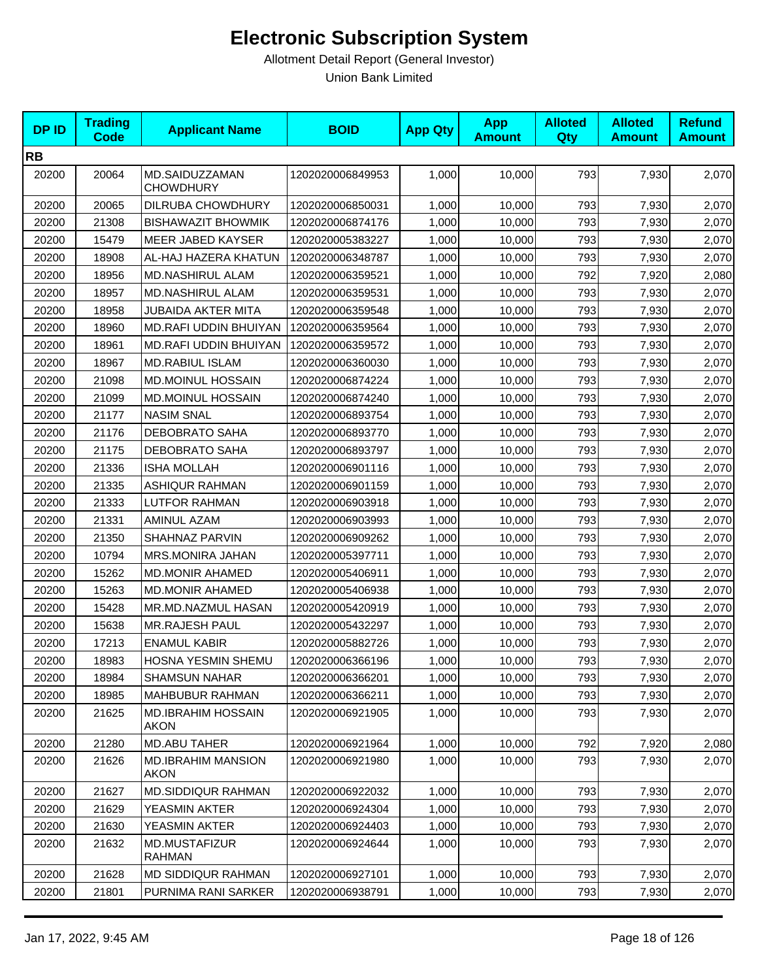| <b>DPID</b> | <b>Trading</b><br><b>Code</b> | <b>Applicant Name</b>                    | <b>BOID</b>      | <b>App Qty</b> | <b>App</b><br><b>Amount</b> | <b>Alloted</b><br>Qty | <b>Alloted</b><br><b>Amount</b> | <b>Refund</b><br><b>Amount</b> |
|-------------|-------------------------------|------------------------------------------|------------------|----------------|-----------------------------|-----------------------|---------------------------------|--------------------------------|
| <b>RB</b>   |                               |                                          |                  |                |                             |                       |                                 |                                |
| 20200       | 20064                         | MD.SAIDUZZAMAN<br><b>CHOWDHURY</b>       | 1202020006849953 | 1,000          | 10,000                      | 793                   | 7,930                           | 2,070                          |
| 20200       | 20065                         | DILRUBA CHOWDHURY                        | 1202020006850031 | 1,000          | 10,000                      | 793                   | 7,930                           | 2,070                          |
| 20200       | 21308                         | <b>BISHAWAZIT BHOWMIK</b>                | 1202020006874176 | 1,000          | 10,000                      | 793                   | 7,930                           | 2,070                          |
| 20200       | 15479                         | MEER JABED KAYSER                        | 1202020005383227 | 1,000          | 10,000                      | 793                   | 7,930                           | 2,070                          |
| 20200       | 18908                         | AL-HAJ HAZERA KHATUN                     | 1202020006348787 | 1,000          | 10,000                      | 793                   | 7,930                           | 2,070                          |
| 20200       | 18956                         | <b>MD.NASHIRUL ALAM</b>                  | 1202020006359521 | 1,000          | 10,000                      | 792                   | 7,920                           | 2,080                          |
| 20200       | 18957                         | <b>MD.NASHIRUL ALAM</b>                  | 1202020006359531 | 1,000          | 10,000                      | 793                   | 7,930                           | 2,070                          |
| 20200       | 18958                         | JUBAIDA AKTER MITA                       | 1202020006359548 | 1,000          | 10,000                      | 793                   | 7,930                           | 2,070                          |
| 20200       | 18960                         | MD.RAFI UDDIN BHUIYAN                    | 1202020006359564 | 1,000          | 10,000                      | 793                   | 7,930                           | 2,070                          |
| 20200       | 18961                         | MD.RAFI UDDIN BHUIYAN                    | 1202020006359572 | 1,000          | 10,000                      | 793                   | 7,930                           | 2,070                          |
| 20200       | 18967                         | <b>MD.RABIUL ISLAM</b>                   | 1202020006360030 | 1,000          | 10,000                      | 793                   | 7,930                           | 2,070                          |
| 20200       | 21098                         | MD.MOINUL HOSSAIN                        | 1202020006874224 | 1,000          | 10,000                      | 793                   | 7,930                           | 2,070                          |
| 20200       | 21099                         | MD.MOINUL HOSSAIN                        | 1202020006874240 | 1,000          | 10,000                      | 793                   | 7,930                           | 2,070                          |
| 20200       | 21177                         | <b>NASIM SNAL</b>                        | 1202020006893754 | 1,000          | 10,000                      | 793                   | 7,930                           | 2,070                          |
| 20200       | 21176                         | <b>DEBOBRATO SAHA</b>                    | 1202020006893770 | 1,000          | 10,000                      | 793                   | 7,930                           | 2,070                          |
| 20200       | 21175                         | DEBOBRATO SAHA                           | 1202020006893797 | 1,000          | 10,000                      | 793                   | 7,930                           | 2,070                          |
| 20200       | 21336                         | <b>ISHA MOLLAH</b>                       | 1202020006901116 | 1,000          | 10,000                      | 793                   | 7,930                           | 2,070                          |
| 20200       | 21335                         | <b>ASHIQUR RAHMAN</b>                    | 1202020006901159 | 1,000          | 10,000                      | 793                   | 7,930                           | 2,070                          |
| 20200       | 21333                         | LUTFOR RAHMAN                            | 1202020006903918 | 1,000          | 10,000                      | 793                   | 7,930                           | 2,070                          |
| 20200       | 21331                         | <b>AMINUL AZAM</b>                       | 1202020006903993 | 1,000          | 10,000                      | 793                   | 7,930                           | 2,070                          |
| 20200       | 21350                         | SHAHNAZ PARVIN                           | 1202020006909262 | 1,000          | 10,000                      | 793                   | 7,930                           | 2,070                          |
| 20200       | 10794                         | MRS.MONIRA JAHAN                         | 1202020005397711 | 1,000          | 10,000                      | 793                   | 7,930                           | 2,070                          |
| 20200       | 15262                         | <b>MD.MONIR AHAMED</b>                   | 1202020005406911 | 1,000          | 10,000                      | 793                   | 7,930                           | 2,070                          |
| 20200       | 15263                         | <b>MD.MONIR AHAMED</b>                   | 1202020005406938 | 1,000          | 10,000                      | 793                   | 7,930                           | 2,070                          |
| 20200       | 15428                         | MR.MD.NAZMUL HASAN                       | 1202020005420919 | 1,000          | 10,000                      | 793                   | 7,930                           | 2,070                          |
| 20200       | 15638                         | MR.RAJESH PAUL                           | 1202020005432297 | 1,000          | 10,000                      | 793                   | 7,930                           | 2,070                          |
| 20200       | 17213                         | <b>ENAMUL KABIR</b>                      | 1202020005882726 | 1,000          | 10,000                      | 793                   | 7,930                           | 2,070                          |
| 20200       | 18983                         | HOSNA YESMIN SHEMU                       | 1202020006366196 | 1,000          | 10,000                      | 793                   | 7,930                           | 2,070                          |
| 20200       | 18984                         | <b>SHAMSUN NAHAR</b>                     | 1202020006366201 | 1,000          | 10,000                      | 793                   | 7,930                           | 2,070                          |
| 20200       | 18985                         | MAHBUBUR RAHMAN                          | 1202020006366211 | 1,000          | 10,000                      | 793                   | 7,930                           | 2,070                          |
| 20200       | 21625                         | <b>MD.IBRAHIM HOSSAIN</b><br>AKON        | 1202020006921905 | 1,000          | 10,000                      | 793                   | 7,930                           | 2,070                          |
| 20200       | 21280                         | MD.ABU TAHER                             | 1202020006921964 | 1,000          | 10,000                      | 792                   | 7,920                           | 2,080                          |
| 20200       | 21626                         | <b>MD.IBRAHIM MANSION</b><br><b>AKON</b> | 1202020006921980 | 1,000          | 10,000                      | 793                   | 7,930                           | 2,070                          |
| 20200       | 21627                         | <b>MD.SIDDIQUR RAHMAN</b>                | 1202020006922032 | 1,000          | 10,000                      | 793                   | 7,930                           | 2,070                          |
| 20200       | 21629                         | YEASMIN AKTER                            | 1202020006924304 | 1,000          | 10,000                      | 793                   | 7,930                           | 2,070                          |
| 20200       | 21630                         | YEASMIN AKTER                            | 1202020006924403 | 1,000          | 10,000                      | 793                   | 7,930                           | 2,070                          |
| 20200       | 21632                         | MD.MUSTAFIZUR<br>RAHMAN                  | 1202020006924644 | 1,000          | 10,000                      | 793                   | 7,930                           | 2,070                          |
| 20200       | 21628                         | MD SIDDIQUR RAHMAN                       | 1202020006927101 | 1,000          | 10,000                      | 793                   | 7,930                           | 2,070                          |
| 20200       | 21801                         | PURNIMA RANI SARKER                      | 1202020006938791 | 1,000          | 10,000                      | 793                   | 7,930                           | 2,070                          |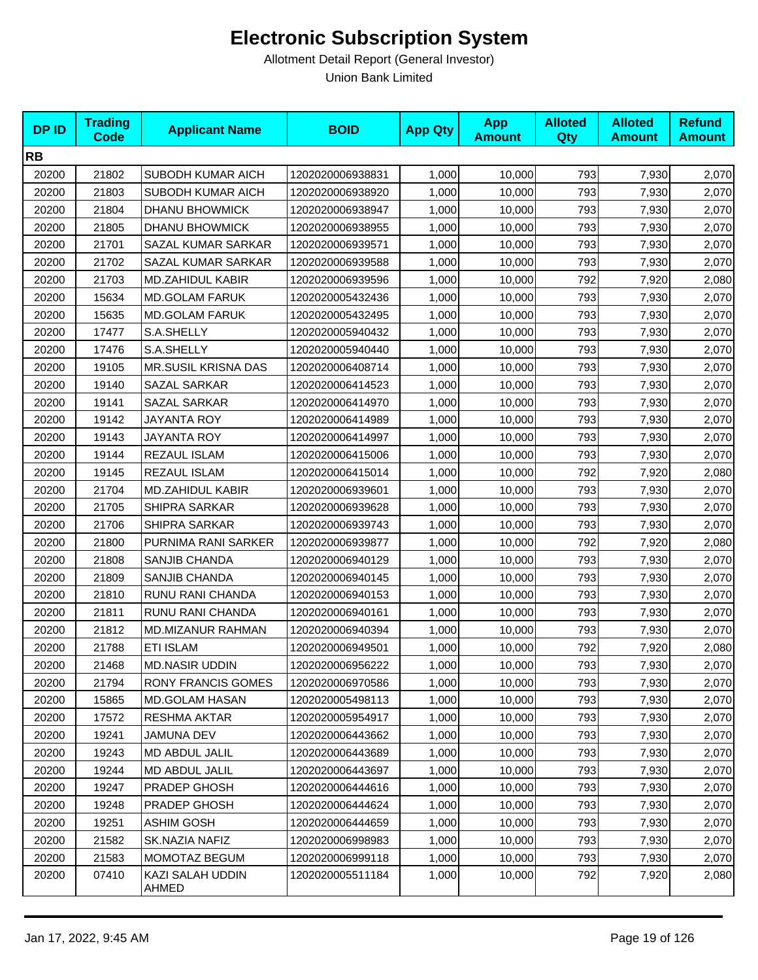| <b>DPID</b> | <b>Trading</b><br><b>Code</b> | <b>Applicant Name</b>     | <b>BOID</b>      | <b>App Qty</b> | <b>App</b><br><b>Amount</b> | <b>Alloted</b><br>Qty | <b>Alloted</b><br><b>Amount</b> | <b>Refund</b><br><b>Amount</b> |
|-------------|-------------------------------|---------------------------|------------------|----------------|-----------------------------|-----------------------|---------------------------------|--------------------------------|
| <b>RB</b>   |                               |                           |                  |                |                             |                       |                                 |                                |
| 20200       | 21802                         | SUBODH KUMAR AICH         | 1202020006938831 | 1,000          | 10,000                      | 793                   | 7,930                           | 2,070                          |
| 20200       | 21803                         | <b>SUBODH KUMAR AICH</b>  | 1202020006938920 | 1,000          | 10,000                      | 793                   | 7,930                           | 2,070                          |
| 20200       | 21804                         | <b>DHANU BHOWMICK</b>     | 1202020006938947 | 1,000          | 10,000                      | 793                   | 7,930                           | 2,070                          |
| 20200       | 21805                         | DHANU BHOWMICK            | 1202020006938955 | 1,000          | 10,000                      | 793                   | 7,930                           | 2,070                          |
| 20200       | 21701                         | SAZAL KUMAR SARKAR        | 1202020006939571 | 1,000          | 10,000                      | 793                   | 7,930                           | 2,070                          |
| 20200       | 21702                         | SAZAL KUMAR SARKAR        | 1202020006939588 | 1,000          | 10,000                      | 793                   | 7,930                           | 2,070                          |
| 20200       | 21703                         | <b>MD.ZAHIDUL KABIR</b>   | 1202020006939596 | 1,000          | 10,000                      | 792                   | 7,920                           | 2,080                          |
| 20200       | 15634                         | <b>MD.GOLAM FARUK</b>     | 1202020005432436 | 1,000          | 10,000                      | 793                   | 7,930                           | 2,070                          |
| 20200       | 15635                         | <b>MD.GOLAM FARUK</b>     | 1202020005432495 | 1,000          | 10,000                      | 793                   | 7,930                           | 2,070                          |
| 20200       | 17477                         | S.A.SHELLY                | 1202020005940432 | 1,000          | 10,000                      | 793                   | 7,930                           | 2,070                          |
| 20200       | 17476                         | S.A.SHELLY                | 1202020005940440 | 1,000          | 10,000                      | 793                   | 7,930                           | 2,070                          |
| 20200       | 19105                         | MR.SUSIL KRISNA DAS       | 1202020006408714 | 1,000          | 10,000                      | 793                   | 7,930                           | 2,070                          |
| 20200       | 19140                         | SAZAL SARKAR              | 1202020006414523 | 1,000          | 10,000                      | 793                   | 7,930                           | 2,070                          |
| 20200       | 19141                         | <b>SAZAL SARKAR</b>       | 1202020006414970 | 1,000          | 10,000                      | 793                   | 7,930                           | 2,070                          |
| 20200       | 19142                         | <b>JAYANTA ROY</b>        | 1202020006414989 | 1,000          | 10,000                      | 793                   | 7,930                           | 2,070                          |
| 20200       | 19143                         | <b>JAYANTA ROY</b>        | 1202020006414997 | 1,000          | 10,000                      | 793                   | 7,930                           | 2,070                          |
| 20200       | 19144                         | REZAUL ISLAM              | 1202020006415006 | 1,000          | 10,000                      | 793                   | 7,930                           | 2,070                          |
| 20200       | 19145                         | REZAUL ISLAM              | 1202020006415014 | 1,000          | 10,000                      | 792                   | 7,920                           | 2,080                          |
| 20200       | 21704                         | <b>MD.ZAHIDUL KABIR</b>   | 1202020006939601 | 1,000          | 10,000                      | 793                   | 7,930                           | 2,070                          |
| 20200       | 21705                         | SHIPRA SARKAR             | 1202020006939628 | 1,000          | 10,000                      | 793                   | 7,930                           | 2,070                          |
| 20200       | 21706                         | <b>SHIPRA SARKAR</b>      | 1202020006939743 | 1,000          | 10,000                      | 793                   | 7,930                           | 2,070                          |
| 20200       | 21800                         | PURNIMA RANI SARKER       | 1202020006939877 | 1,000          | 10,000                      | 792                   | 7,920                           | 2,080                          |
| 20200       | 21808                         | SANJIB CHANDA             | 1202020006940129 | 1,000          | 10,000                      | 793                   | 7,930                           | 2,070                          |
| 20200       | 21809                         | SANJIB CHANDA             | 1202020006940145 | 1,000          | 10,000                      | 793                   | 7,930                           | 2,070                          |
| 20200       | 21810                         | RUNU RANI CHANDA          | 1202020006940153 | 1,000          | 10,000                      | 793                   | 7,930                           | 2,070                          |
| 20200       | 21811                         | RUNU RANI CHANDA          | 1202020006940161 | 1,000          | 10,000                      | 793                   | 7,930                           | 2,070                          |
| 20200       | 21812                         | MD.MIZANUR RAHMAN         | 1202020006940394 | 1,000          | 10,000                      | 793                   | 7,930                           | 2,070                          |
| 20200       | 21788                         | <b>ETI ISLAM</b>          | 1202020006949501 | 1,000          | 10,000                      | 792                   | 7,920                           | 2,080                          |
| 20200       | 21468                         | <b>MD.NASIR UDDIN</b>     | 1202020006956222 | 1,000          | 10,000                      | 793                   | 7,930                           | 2,070                          |
| 20200       | 21794                         | <b>RONY FRANCIS GOMES</b> | 1202020006970586 | 1,000          | 10,000                      | 793                   | 7,930                           | 2,070                          |
| 20200       | 15865                         | <b>MD.GOLAM HASAN</b>     | 1202020005498113 | 1,000          | 10,000                      | 793                   | 7,930                           | 2,070                          |
| 20200       | 17572                         | <b>RESHMA AKTAR</b>       | 1202020005954917 | 1,000          | 10,000                      | 793                   | 7,930                           | 2,070                          |
| 20200       | 19241                         | <b>JAMUNA DEV</b>         | 1202020006443662 | 1,000          | 10,000                      | 793                   | 7,930                           | 2,070                          |
| 20200       | 19243                         | <b>MD ABDUL JALIL</b>     | 1202020006443689 | 1,000          | 10,000                      | 793                   | 7,930                           | 2,070                          |
| 20200       | 19244                         | MD ABDUL JALIL            | 1202020006443697 | 1,000          | 10,000                      | 793                   | 7,930                           | 2,070                          |
| 20200       | 19247                         | PRADEP GHOSH              | 1202020006444616 | 1,000          | 10,000                      | 793                   | 7,930                           | 2,070                          |
| 20200       | 19248                         | PRADEP GHOSH              | 1202020006444624 | 1,000          | 10,000                      | 793                   | 7,930                           | 2,070                          |
| 20200       | 19251                         | <b>ASHIM GOSH</b>         | 1202020006444659 | 1,000          | 10,000                      | 793                   | 7,930                           | 2,070                          |
| 20200       | 21582                         | SK.NAZIA NAFIZ            | 1202020006998983 | 1,000          | 10,000                      | 793                   | 7,930                           | 2,070                          |
| 20200       | 21583                         | MOMOTAZ BEGUM             | 1202020006999118 | 1,000          | 10,000                      | 793                   | 7,930                           | 2,070                          |
| 20200       | 07410                         | KAZI SALAH UDDIN<br>AHMED | 1202020005511184 | 1,000          | 10,000                      | 792                   | 7,920                           | 2,080                          |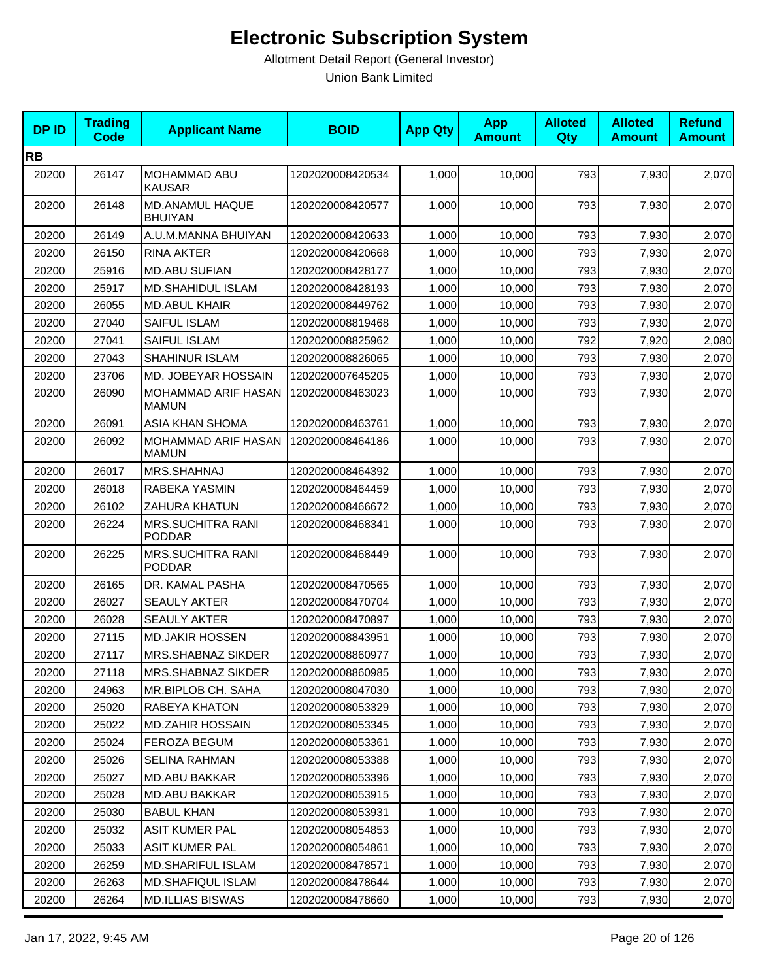| <b>DPID</b> | <b>Trading</b><br><b>Code</b> | <b>Applicant Name</b>                     | <b>BOID</b>      | <b>App Qty</b> | <b>App</b><br><b>Amount</b> | <b>Alloted</b><br>Qty | <b>Alloted</b><br><b>Amount</b> | <b>Refund</b><br><b>Amount</b> |
|-------------|-------------------------------|-------------------------------------------|------------------|----------------|-----------------------------|-----------------------|---------------------------------|--------------------------------|
| <b>RB</b>   |                               |                                           |                  |                |                             |                       |                                 |                                |
| 20200       | 26147                         | <b>MOHAMMAD ABU</b><br>KAUSAR             | 1202020008420534 | 1,000          | 10,000                      | 793                   | 7,930                           | 2,070                          |
| 20200       | 26148                         | MD.ANAMUL HAQUE<br><b>BHUIYAN</b>         | 1202020008420577 | 1,000          | 10,000                      | 793                   | 7,930                           | 2,070                          |
| 20200       | 26149                         | A.U.M.MANNA BHUIYAN                       | 1202020008420633 | 1,000          | 10,000                      | 793                   | 7,930                           | 2,070                          |
| 20200       | 26150                         | <b>RINA AKTER</b>                         | 1202020008420668 | 1,000          | 10,000                      | 793                   | 7,930                           | 2,070                          |
| 20200       | 25916                         | <b>MD.ABU SUFIAN</b>                      | 1202020008428177 | 1,000          | 10,000                      | 793                   | 7,930                           | 2,070                          |
| 20200       | 25917                         | <b>MD.SHAHIDUL ISLAM</b>                  | 1202020008428193 | 1,000          | 10,000                      | 793                   | 7,930                           | 2,070                          |
| 20200       | 26055                         | <b>MD.ABUL KHAIR</b>                      | 1202020008449762 | 1,000          | 10,000                      | 793                   | 7,930                           | 2,070                          |
| 20200       | 27040                         | SAIFUL ISLAM                              | 1202020008819468 | 1,000          | 10,000                      | 793                   | 7,930                           | 2,070                          |
| 20200       | 27041                         | SAIFUL ISLAM                              | 1202020008825962 | 1,000          | 10,000                      | 792                   | 7,920                           | 2,080                          |
| 20200       | 27043                         | SHAHINUR ISLAM                            | 1202020008826065 | 1,000          | 10,000                      | 793                   | 7,930                           | 2,070                          |
| 20200       | 23706                         | MD. JOBEYAR HOSSAIN                       | 1202020007645205 | 1,000          | 10,000                      | 793                   | 7,930                           | 2,070                          |
| 20200       | 26090                         | MOHAMMAD ARIF HASAN<br><b>MAMUN</b>       | 1202020008463023 | 1,000          | 10,000                      | 793                   | 7,930                           | 2,070                          |
| 20200       | 26091                         | ASIA KHAN SHOMA                           | 1202020008463761 | 1,000          | 10,000                      | 793                   | 7,930                           | 2,070                          |
| 20200       | 26092                         | MOHAMMAD ARIF HASAN<br><b>MAMUN</b>       | 1202020008464186 | 1,000          | 10,000                      | 793                   | 7,930                           | 2,070                          |
| 20200       | 26017                         | MRS.SHAHNAJ                               | 1202020008464392 | 1,000          | 10,000                      | 793                   | 7,930                           | 2,070                          |
| 20200       | 26018                         | RABEKA YASMIN                             | 1202020008464459 | 1,000          | 10,000                      | 793                   | 7,930                           | 2,070                          |
| 20200       | 26102                         | <b>ZAHURA KHATUN</b>                      | 1202020008466672 | 1,000          | 10,000                      | 793                   | 7,930                           | 2,070                          |
| 20200       | 26224                         | <b>MRS.SUCHITRA RANI</b><br><b>PODDAR</b> | 1202020008468341 | 1,000          | 10,000                      | 793                   | 7,930                           | 2,070                          |
| 20200       | 26225                         | <b>MRS.SUCHITRA RANI</b><br><b>PODDAR</b> | 1202020008468449 | 1,000          | 10,000                      | 793                   | 7,930                           | 2,070                          |
| 20200       | 26165                         | DR. KAMAL PASHA                           | 1202020008470565 | 1,000          | 10,000                      | 793                   | 7,930                           | 2,070                          |
| 20200       | 26027                         | <b>SEAULY AKTER</b>                       | 1202020008470704 | 1,000          | 10,000                      | 793                   | 7,930                           | 2,070                          |
| 20200       | 26028                         | <b>SEAULY AKTER</b>                       | 1202020008470897 | 1,000          | 10,000                      | 793                   | 7,930                           | 2,070                          |
| 20200       | 27115                         | <b>MD.JAKIR HOSSEN</b>                    | 1202020008843951 | 1,000          | 10,000                      | 793                   | 7,930                           | 2,070                          |
| 20200       | 27117                         | <b>MRS.SHABNAZ SIKDER</b>                 | 1202020008860977 | 1,000          | 10,000                      | 793                   | 7,930                           | 2,070                          |
| 20200       | 27118                         | MRS.SHABNAZ SIKDER                        | 1202020008860985 | 1,000          | 10,000                      | 793                   | 7,930                           | 2,070                          |
| 20200       | 24963                         | MR.BIPLOB CH. SAHA                        | 1202020008047030 | 1,000          | 10,000                      | 793                   | 7,930                           | 2,070                          |
| 20200       | 25020                         | RABEYA KHATON                             | 1202020008053329 | 1,000          | 10,000                      | 793                   | 7,930                           | 2,070                          |
| 20200       | 25022                         | <b>MD.ZAHIR HOSSAIN</b>                   | 1202020008053345 | 1,000          | 10,000                      | 793                   | 7,930                           | 2,070                          |
| 20200       | 25024                         | FEROZA BEGUM                              | 1202020008053361 | 1,000          | 10,000                      | 793                   | 7,930                           | 2,070                          |
| 20200       | 25026                         | <b>SELINA RAHMAN</b>                      | 1202020008053388 | 1,000          | 10,000                      | 793                   | 7,930                           | 2,070                          |
| 20200       | 25027                         | MD.ABU BAKKAR                             | 1202020008053396 | 1,000          | 10,000                      | 793                   | 7,930                           | 2,070                          |
| 20200       | 25028                         | <b>MD.ABU BAKKAR</b>                      | 1202020008053915 | 1,000          | 10,000                      | 793                   | 7,930                           | 2,070                          |
| 20200       | 25030                         | <b>BABUL KHAN</b>                         | 1202020008053931 | 1,000          | 10,000                      | 793                   | 7,930                           | 2,070                          |
| 20200       | 25032                         | <b>ASIT KUMER PAL</b>                     | 1202020008054853 | 1,000          | 10,000                      | 793                   | 7,930                           | 2,070                          |
| 20200       | 25033                         | <b>ASIT KUMER PAL</b>                     | 1202020008054861 | 1,000          | 10,000                      | 793                   | 7,930                           | 2,070                          |
| 20200       | 26259                         | <b>MD.SHARIFUL ISLAM</b>                  | 1202020008478571 | 1,000          | 10,000                      | 793                   | 7,930                           | 2,070                          |
| 20200       | 26263                         | <b>MD.SHAFIQUL ISLAM</b>                  | 1202020008478644 | 1,000          | 10,000                      | 793                   | 7,930                           | 2,070                          |
| 20200       | 26264                         | <b>MD.ILLIAS BISWAS</b>                   | 1202020008478660 | 1,000          | 10,000                      | 793                   | 7,930                           | 2,070                          |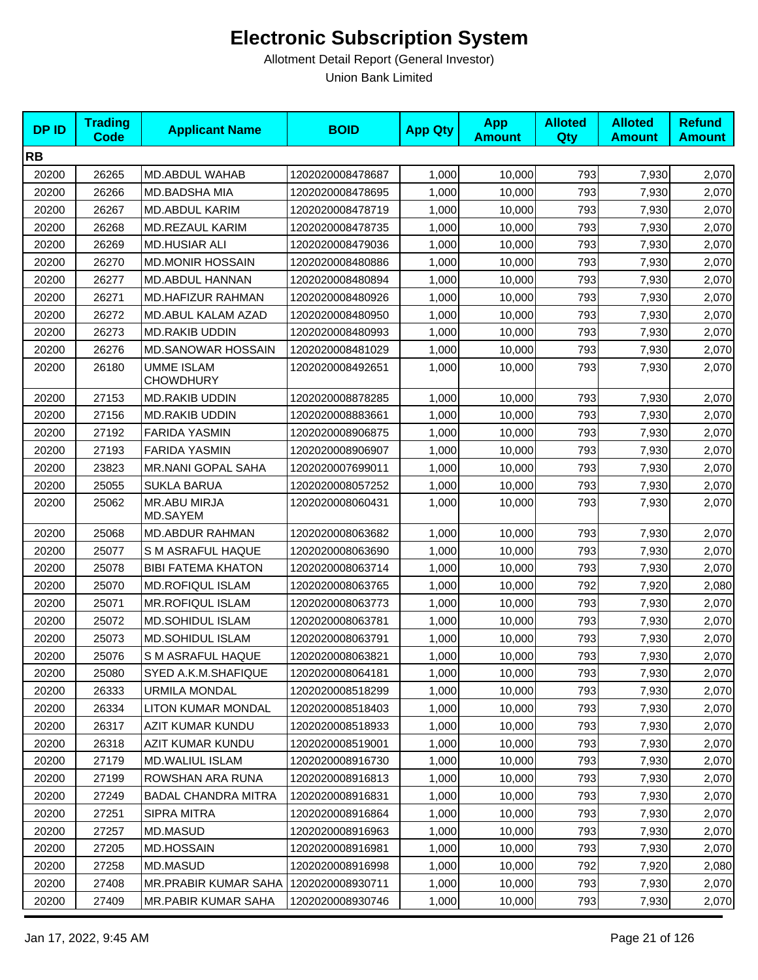| <b>DPID</b> | <b>Trading</b><br><b>Code</b> | <b>Applicant Name</b>                 | <b>BOID</b>      | <b>App Qty</b> | <b>App</b><br><b>Amount</b> | <b>Alloted</b><br><b>Qty</b> | <b>Alloted</b><br><b>Amount</b> | <b>Refund</b><br><b>Amount</b> |
|-------------|-------------------------------|---------------------------------------|------------------|----------------|-----------------------------|------------------------------|---------------------------------|--------------------------------|
| <b>RB</b>   |                               |                                       |                  |                |                             |                              |                                 |                                |
| 20200       | 26265                         | MD.ABDUL WAHAB                        | 1202020008478687 | 1,000          | 10,000                      | 793                          | 7,930                           | 2,070                          |
| 20200       | 26266                         | MD.BADSHA MIA                         | 1202020008478695 | 1,000          | 10,000                      | 793                          | 7,930                           | 2,070                          |
| 20200       | 26267                         | <b>MD.ABDUL KARIM</b>                 | 1202020008478719 | 1,000          | 10,000                      | 793                          | 7,930                           | 2,070                          |
| 20200       | 26268                         | MD.REZAUL KARIM                       | 1202020008478735 | 1,000          | 10,000                      | 793                          | 7,930                           | 2,070                          |
| 20200       | 26269                         | <b>MD.HUSIAR ALI</b>                  | 1202020008479036 | 1,000          | 10,000                      | 793                          | 7,930                           | 2,070                          |
| 20200       | 26270                         | <b>MD.MONIR HOSSAIN</b>               | 1202020008480886 | 1,000          | 10,000                      | 793                          | 7,930                           | 2,070                          |
| 20200       | 26277                         | MD.ABDUL HANNAN                       | 1202020008480894 | 1,000          | 10,000                      | 793                          | 7,930                           | 2,070                          |
| 20200       | 26271                         | <b>MD.HAFIZUR RAHMAN</b>              | 1202020008480926 | 1,000          | 10,000                      | 793                          | 7,930                           | 2,070                          |
| 20200       | 26272                         | MD.ABUL KALAM AZAD                    | 1202020008480950 | 1,000          | 10,000                      | 793                          | 7,930                           | 2,070                          |
| 20200       | 26273                         | MD.RAKIB UDDIN                        | 1202020008480993 | 1,000          | 10,000                      | 793                          | 7,930                           | 2,070                          |
| 20200       | 26276                         | <b>MD.SANOWAR HOSSAIN</b>             | 1202020008481029 | 1,000          | 10,000                      | 793                          | 7,930                           | 2,070                          |
| 20200       | 26180                         | <b>UMME ISLAM</b><br><b>CHOWDHURY</b> | 1202020008492651 | 1,000          | 10,000                      | 793                          | 7,930                           | 2,070                          |
| 20200       | 27153                         | <b>MD.RAKIB UDDIN</b>                 | 1202020008878285 | 1,000          | 10,000                      | 793                          | 7,930                           | 2,070                          |
| 20200       | 27156                         | <b>MD.RAKIB UDDIN</b>                 | 1202020008883661 | 1,000          | 10,000                      | 793                          | 7,930                           | 2,070                          |
| 20200       | 27192                         | <b>FARIDA YASMIN</b>                  | 1202020008906875 | 1,000          | 10,000                      | 793                          | 7,930                           | 2,070                          |
| 20200       | 27193                         | <b>FARIDA YASMIN</b>                  | 1202020008906907 | 1,000          | 10,000                      | 793                          | 7,930                           | 2,070                          |
| 20200       | 23823                         | <b>MR.NANI GOPAL SAHA</b>             | 1202020007699011 | 1,000          | 10,000                      | 793                          | 7,930                           | 2,070                          |
| 20200       | 25055                         | <b>SUKLA BARUA</b>                    | 1202020008057252 | 1,000          | 10,000                      | 793                          | 7,930                           | 2,070                          |
| 20200       | 25062                         | MR.ABU MIRJA<br>MD.SAYEM              | 1202020008060431 | 1,000          | 10,000                      | 793                          | 7,930                           | 2,070                          |
| 20200       | 25068                         | <b>MD.ABDUR RAHMAN</b>                | 1202020008063682 | 1,000          | 10,000                      | 793                          | 7,930                           | 2,070                          |
| 20200       | 25077                         | S M ASRAFUL HAQUE                     | 1202020008063690 | 1,000          | 10,000                      | 793                          | 7,930                           | 2,070                          |
| 20200       | 25078                         | <b>BIBI FATEMA KHATON</b>             | 1202020008063714 | 1,000          | 10,000                      | 793                          | 7,930                           | 2,070                          |
| 20200       | 25070                         | <b>MD.ROFIQUL ISLAM</b>               | 1202020008063765 | 1,000          | 10,000                      | 792                          | 7,920                           | 2,080                          |
| 20200       | 25071                         | <b>MR.ROFIQUL ISLAM</b>               | 1202020008063773 | 1,000          | 10,000                      | 793                          | 7,930                           | 2,070                          |
| 20200       | 25072                         | <b>MD.SOHIDUL ISLAM</b>               | 1202020008063781 | 1,000          | 10,000                      | 793                          | 7,930                           | 2,070                          |
| 20200       | 25073                         | <b>MD.SOHIDUL ISLAM</b>               | 1202020008063791 | 1,000          | 10,000                      | 793                          | 7,930                           | 2,070                          |
| 20200       | 25076                         | S M ASRAFUL HAQUE                     | 1202020008063821 | 1,000          | 10,000                      | 793                          | 7,930                           | 2,070                          |
| 20200       | 25080                         | SYED A.K.M.SHAFIQUE                   | 1202020008064181 | 1,000          | 10,000                      | 793                          | 7,930                           | 2,070                          |
| 20200       | 26333                         | <b>URMILA MONDAL</b>                  | 1202020008518299 | 1,000          | 10,000                      | 793                          | 7,930                           | 2,070                          |
| 20200       | 26334                         | <b>LITON KUMAR MONDAL</b>             | 1202020008518403 | 1,000          | 10,000                      | 793                          | 7,930                           | 2,070                          |
| 20200       | 26317                         | AZIT KUMAR KUNDU                      | 1202020008518933 | 1,000          | 10,000                      | 793                          | 7,930                           | 2,070                          |
| 20200       | 26318                         | AZIT KUMAR KUNDU                      | 1202020008519001 | 1,000          | 10,000                      | 793                          | 7,930                           | 2,070                          |
| 20200       | 27179                         | MD.WALIUL ISLAM                       | 1202020008916730 | 1,000          | 10,000                      | 793                          | 7,930                           | 2,070                          |
| 20200       | 27199                         | ROWSHAN ARA RUNA                      | 1202020008916813 | 1,000          | 10,000                      | 793                          | 7,930                           | 2,070                          |
| 20200       | 27249                         | <b>BADAL CHANDRA MITRA</b>            | 1202020008916831 | 1,000          | 10,000                      | 793                          | 7,930                           | 2,070                          |
| 20200       | 27251                         | SIPRA MITRA                           | 1202020008916864 | 1,000          | 10,000                      | 793                          | 7,930                           | 2,070                          |
| 20200       | 27257                         | MD.MASUD                              | 1202020008916963 | 1,000          | 10,000                      | 793                          | 7,930                           | 2,070                          |
| 20200       | 27205                         | <b>MD.HOSSAIN</b>                     | 1202020008916981 | 1,000          | 10,000                      | 793                          | 7,930                           | 2,070                          |
| 20200       | 27258                         | MD.MASUD                              | 1202020008916998 | 1,000          | 10,000                      | 792                          | 7,920                           | 2,080                          |
| 20200       | 27408                         | MR.PRABIR KUMAR SAHA                  | 1202020008930711 | 1,000          | 10,000                      | 793                          | 7,930                           | 2,070                          |
| 20200       | 27409                         | MR.PABIR KUMAR SAHA                   | 1202020008930746 | 1,000          | 10,000                      | 793                          | 7,930                           | 2,070                          |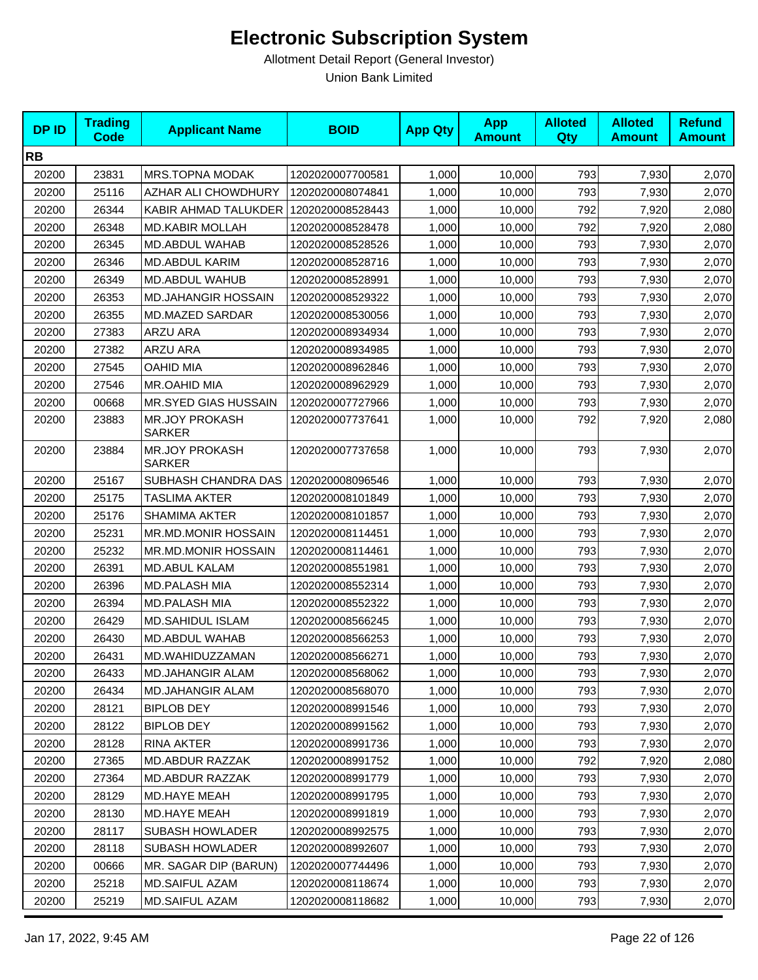| <b>DPID</b> | <b>Trading</b><br><b>Code</b> | <b>Applicant Name</b>                   | <b>BOID</b>      | <b>App Qty</b> | <b>App</b><br><b>Amount</b> | <b>Alloted</b><br>Qty | <b>Alloted</b><br><b>Amount</b> | <b>Refund</b><br><b>Amount</b> |
|-------------|-------------------------------|-----------------------------------------|------------------|----------------|-----------------------------|-----------------------|---------------------------------|--------------------------------|
| <b>RB</b>   |                               |                                         |                  |                |                             |                       |                                 |                                |
| 20200       | 23831                         | MRS.TOPNA MODAK                         | 1202020007700581 | 1,000          | 10,000                      | 793                   | 7,930                           | 2,070                          |
| 20200       | 25116                         | AZHAR ALI CHOWDHURY                     | 1202020008074841 | 1,000          | 10,000                      | 793                   | 7,930                           | 2,070                          |
| 20200       | 26344                         | KABIR AHMAD TALUKDER   1202020008528443 |                  | 1,000          | 10,000                      | 792                   | 7,920                           | 2,080                          |
| 20200       | 26348                         | <b>MD.KABIR MOLLAH</b>                  | 1202020008528478 | 1,000          | 10,000                      | 792                   | 7,920                           | 2,080                          |
| 20200       | 26345                         | MD.ABDUL WAHAB                          | 1202020008528526 | 1,000          | 10,000                      | 793                   | 7,930                           | 2,070                          |
| 20200       | 26346                         | <b>MD.ABDUL KARIM</b>                   | 1202020008528716 | 1,000          | 10,000                      | 793                   | 7,930                           | 2,070                          |
| 20200       | 26349                         | MD.ABDUL WAHUB                          | 1202020008528991 | 1,000          | 10,000                      | 793                   | 7,930                           | 2,070                          |
| 20200       | 26353                         | <b>MD.JAHANGIR HOSSAIN</b>              | 1202020008529322 | 1,000          | 10,000                      | 793                   | 7,930                           | 2,070                          |
| 20200       | 26355                         | <b>MD.MAZED SARDAR</b>                  | 1202020008530056 | 1,000          | 10,000                      | 793                   | 7,930                           | 2,070                          |
| 20200       | 27383                         | ARZU ARA                                | 1202020008934934 | 1,000          | 10,000                      | 793                   | 7,930                           | 2,070                          |
| 20200       | 27382                         | ARZU ARA                                | 1202020008934985 | 1,000          | 10,000                      | 793                   | 7,930                           | 2,070                          |
| 20200       | 27545                         | <b>OAHID MIA</b>                        | 1202020008962846 | 1,000          | 10,000                      | 793                   | 7,930                           | 2,070                          |
| 20200       | 27546                         | MR.OAHID MIA                            | 1202020008962929 | 1,000          | 10,000                      | 793                   | 7,930                           | 2,070                          |
| 20200       | 00668                         | MR.SYED GIAS HUSSAIN                    | 1202020007727966 | 1,000          | 10,000                      | 793                   | 7,930                           | 2,070                          |
| 20200       | 23883                         | <b>MR.JOY PROKASH</b><br><b>SARKER</b>  | 1202020007737641 | 1,000          | 10,000                      | 792                   | 7,920                           | 2,080                          |
| 20200       | 23884                         | <b>MR.JOY PROKASH</b><br><b>SARKER</b>  | 1202020007737658 | 1,000          | 10,000                      | 793                   | 7,930                           | 2,070                          |
| 20200       | 25167                         | SUBHASH CHANDRA DAS                     | 1202020008096546 | 1,000          | 10,000                      | 793                   | 7,930                           | 2,070                          |
| 20200       | 25175                         | <b>TASLIMA AKTER</b>                    | 1202020008101849 | 1,000          | 10,000                      | 793                   | 7,930                           | 2,070                          |
| 20200       | 25176                         | <b>SHAMIMA AKTER</b>                    | 1202020008101857 | 1,000          | 10,000                      | 793                   | 7,930                           | 2,070                          |
| 20200       | 25231                         | MR.MD.MONIR HOSSAIN                     | 1202020008114451 | 1,000          | 10,000                      | 793                   | 7,930                           | 2,070                          |
| 20200       | 25232                         | MR.MD.MONIR HOSSAIN                     | 1202020008114461 | 1,000          | 10,000                      | 793                   | 7,930                           | 2,070                          |
| 20200       | 26391                         | <b>MD.ABUL KALAM</b>                    | 1202020008551981 | 1,000          | 10,000                      | 793                   | 7,930                           | 2,070                          |
| 20200       | 26396                         | <b>MD.PALASH MIA</b>                    | 1202020008552314 | 1,000          | 10,000                      | 793                   | 7,930                           | 2,070                          |
| 20200       | 26394                         | MD.PALASH MIA                           | 1202020008552322 | 1,000          | 10,000                      | 793                   | 7,930                           | 2,070                          |
| 20200       | 26429                         | <b>MD.SAHIDUL ISLAM</b>                 | 1202020008566245 | 1,000          | 10,000                      | 793                   | 7,930                           | 2,070                          |
| 20200       | 26430                         | MD.ABDUL WAHAB                          | 1202020008566253 | 1,000          | 10,000                      | 793                   | 7,930                           | 2,070                          |
| 20200       | 26431                         | MD.WAHIDUZZAMAN                         | 1202020008566271 | 1,000          | 10,000                      | 793                   | 7,930                           | 2,070                          |
| 20200       | 26433                         | <b>MD.JAHANGIR ALAM</b>                 | 1202020008568062 | 1,000          | 10,000                      | 793                   | 7,930                           | 2,070                          |
| 20200       | 26434                         | <b>MD.JAHANGIR ALAM</b>                 | 1202020008568070 | 1,000          | 10,000                      | 793                   | 7,930                           | 2,070                          |
| 20200       | 28121                         | <b>BIPLOB DEY</b>                       | 1202020008991546 | 1,000          | 10,000                      | 793                   | 7,930                           | 2,070                          |
| 20200       | 28122                         | <b>BIPLOB DEY</b>                       | 1202020008991562 | 1,000          | 10,000                      | 793                   | 7,930                           | 2,070                          |
| 20200       | 28128                         | RINA AKTER                              | 1202020008991736 | 1,000          | 10,000                      | 793                   | 7,930                           | 2,070                          |
| 20200       | 27365                         | MD.ABDUR RAZZAK                         | 1202020008991752 | 1,000          | 10,000                      | 792                   | 7,920                           | 2,080                          |
| 20200       | 27364                         | MD.ABDUR RAZZAK                         | 1202020008991779 | 1,000          | 10,000                      | 793                   | 7,930                           | 2,070                          |
| 20200       | 28129                         | MD.HAYE MEAH                            | 1202020008991795 | 1,000          | 10,000                      | 793                   | 7,930                           | 2,070                          |
| 20200       | 28130                         | MD.HAYE MEAH                            | 1202020008991819 | 1,000          | 10,000                      | 793                   | 7,930                           | 2,070                          |
| 20200       | 28117                         | SUBASH HOWLADER                         | 1202020008992575 | 1,000          | 10,000                      | 793                   | 7,930                           | 2,070                          |
| 20200       | 28118                         | <b>SUBASH HOWLADER</b>                  | 1202020008992607 | 1,000          | 10,000                      | 793                   | 7,930                           | 2,070                          |
| 20200       | 00666                         | MR. SAGAR DIP (BARUN)                   | 1202020007744496 | 1,000          | 10,000                      | 793                   | 7,930                           | 2,070                          |
| 20200       | 25218                         | MD.SAIFUL AZAM                          | 1202020008118674 | 1,000          | 10,000                      | 793                   | 7,930                           | 2,070                          |
| 20200       | 25219                         | MD.SAIFUL AZAM                          | 1202020008118682 | 1,000          | 10,000                      | 793                   | 7,930                           | 2,070                          |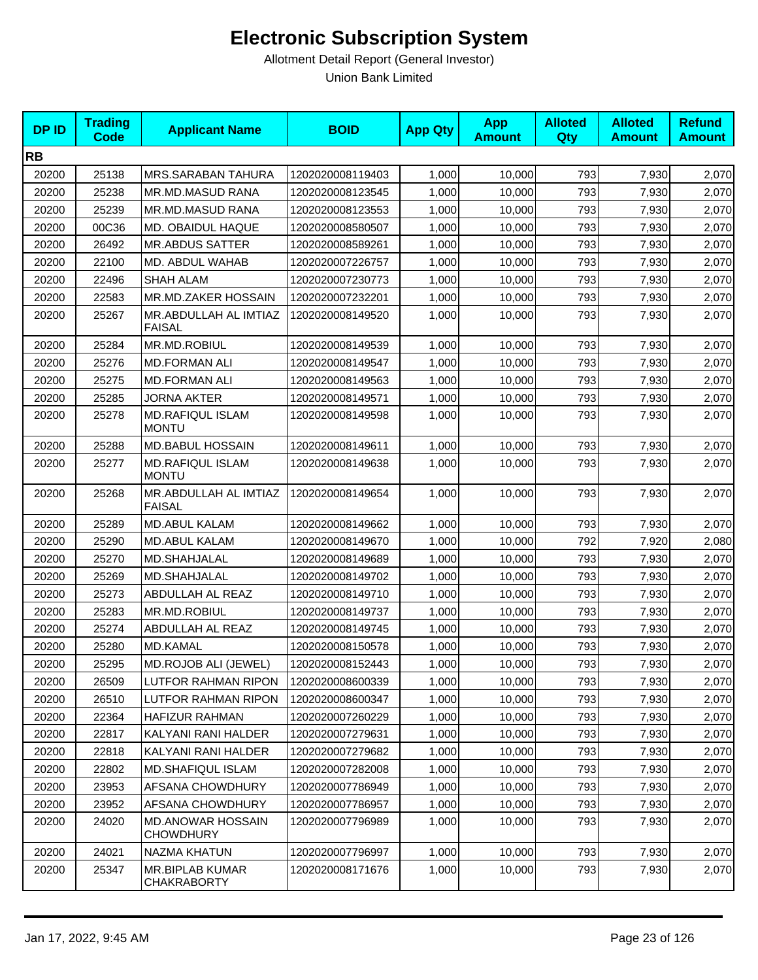| <b>DPID</b> | <b>Trading</b><br><b>Code</b> | <b>Applicant Name</b>                        | <b>BOID</b>      | <b>App Qty</b> | <b>App</b><br><b>Amount</b> | <b>Alloted</b><br>Qty | <b>Alloted</b><br><b>Amount</b> | <b>Refund</b><br><b>Amount</b> |
|-------------|-------------------------------|----------------------------------------------|------------------|----------------|-----------------------------|-----------------------|---------------------------------|--------------------------------|
| <b>RB</b>   |                               |                                              |                  |                |                             |                       |                                 |                                |
| 20200       | 25138                         | MRS.SARABAN TAHURA                           | 1202020008119403 | 1,000          | 10,000                      | 793                   | 7,930                           | 2,070                          |
| 20200       | 25238                         | MR.MD.MASUD RANA                             | 1202020008123545 | 1,000          | 10,000                      | 793                   | 7,930                           | 2,070                          |
| 20200       | 25239                         | MR.MD.MASUD RANA                             | 1202020008123553 | 1,000          | 10,000                      | 793                   | 7,930                           | 2,070                          |
| 20200       | 00C36                         | MD. OBAIDUL HAQUE                            | 1202020008580507 | 1,000          | 10,000                      | 793                   | 7,930                           | 2,070                          |
| 20200       | 26492                         | <b>MR.ABDUS SATTER</b>                       | 1202020008589261 | 1,000          | 10,000                      | 793                   | 7,930                           | 2,070                          |
| 20200       | 22100                         | MD. ABDUL WAHAB                              | 1202020007226757 | 1.000          | 10,000                      | 793                   | 7,930                           | 2,070                          |
| 20200       | 22496                         | <b>SHAH ALAM</b>                             | 1202020007230773 | 1,000          | 10,000                      | 793                   | 7,930                           | 2,070                          |
| 20200       | 22583                         | MR.MD.ZAKER HOSSAIN                          | 1202020007232201 | 1,000          | 10,000                      | 793                   | 7,930                           | 2,070                          |
| 20200       | 25267                         | MR.ABDULLAH AL IMTIAZ<br><b>FAISAL</b>       | 1202020008149520 | 1,000          | 10,000                      | 793                   | 7,930                           | 2,070                          |
| 20200       | 25284                         | MR.MD.ROBIUL                                 | 1202020008149539 | 1,000          | 10,000                      | 793                   | 7,930                           | 2,070                          |
| 20200       | 25276                         | <b>MD.FORMAN ALI</b>                         | 1202020008149547 | 1,000          | 10,000                      | 793                   | 7,930                           | 2,070                          |
| 20200       | 25275                         | <b>MD.FORMAN ALI</b>                         | 1202020008149563 | 1,000          | 10,000                      | 793                   | 7,930                           | 2,070                          |
| 20200       | 25285                         | <b>JORNA AKTER</b>                           | 1202020008149571 | 1,000          | 10,000                      | 793                   | 7,930                           | 2,070                          |
| 20200       | 25278                         | <b>MD.RAFIQUL ISLAM</b><br><b>MONTU</b>      | 1202020008149598 | 1,000          | 10,000                      | 793                   | 7,930                           | 2,070                          |
| 20200       | 25288                         | <b>MD.BABUL HOSSAIN</b>                      | 1202020008149611 | 1,000          | 10,000                      | 793                   | 7,930                           | 2,070                          |
| 20200       | 25277                         | <b>MD.RAFIQUL ISLAM</b><br><b>MONTU</b>      | 1202020008149638 | 1,000          | 10,000                      | 793                   | 7,930                           | 2,070                          |
| 20200       | 25268                         | MR.ABDULLAH AL IMTIAZ<br><b>FAISAL</b>       | 1202020008149654 | 1,000          | 10,000                      | 793                   | 7,930                           | 2,070                          |
| 20200       | 25289                         | <b>MD.ABUL KALAM</b>                         | 1202020008149662 | 1,000          | 10,000                      | 793                   | 7,930                           | 2,070                          |
| 20200       | 25290                         | <b>MD.ABUL KALAM</b>                         | 1202020008149670 | 1,000          | 10,000                      | 792                   | 7,920                           | 2,080                          |
| 20200       | 25270                         | MD.SHAHJALAL                                 | 1202020008149689 | 1,000          | 10,000                      | 793                   | 7,930                           | 2,070                          |
| 20200       | 25269                         | MD.SHAHJALAL                                 | 1202020008149702 | 1,000          | 10,000                      | 793                   | 7,930                           | 2,070                          |
| 20200       | 25273                         | ABDULLAH AL REAZ                             | 1202020008149710 | 1,000          | 10,000                      | 793                   | 7,930                           | 2,070                          |
| 20200       | 25283                         | MR.MD.ROBIUL                                 | 1202020008149737 | 1,000          | 10,000                      | 793                   | 7,930                           | 2,070                          |
| 20200       | 25274                         | ABDULLAH AL REAZ                             | 1202020008149745 | 1,000          | 10,000                      | 793                   | 7,930                           | 2,070                          |
| 20200       | 25280                         | MD.KAMAL                                     | 1202020008150578 | 1,000          | 10,000                      | 793                   | 7,930                           | 2,070                          |
| 20200       | 25295                         | MD.ROJOB ALI (JEWEL)                         | 1202020008152443 | 1,000          | 10,000                      | 793                   | 7,930                           | 2,070                          |
| 20200       | 26509                         | LUTFOR RAHMAN RIPON                          | 1202020008600339 | 1,000          | 10,000                      | 793                   | 7,930                           | 2,070                          |
| 20200       | 26510                         | LUTFOR RAHMAN RIPON                          | 1202020008600347 | 1,000          | 10,000                      | 793                   | 7,930                           | 2,070                          |
| 20200       | 22364                         | <b>HAFIZUR RAHMAN</b>                        | 1202020007260229 | 1,000          | 10,000                      | 793                   | 7,930                           | 2,070                          |
| 20200       | 22817                         | KALYANI RANI HALDER                          | 1202020007279631 | 1,000          | 10,000                      | 793                   | 7,930                           | 2,070                          |
| 20200       | 22818                         | KALYANI RANI HALDER                          | 1202020007279682 | 1,000          | 10,000                      | 793                   | 7,930                           | 2,070                          |
| 20200       | 22802                         | <b>MD.SHAFIQUL ISLAM</b>                     | 1202020007282008 | 1,000          | 10,000                      | 793                   | 7,930                           | 2,070                          |
| 20200       | 23953                         | AFSANA CHOWDHURY                             | 1202020007786949 | 1,000          | 10,000                      | 793                   | 7,930                           | 2,070                          |
| 20200       | 23952                         | AFSANA CHOWDHURY                             | 1202020007786957 | 1,000          | 10,000                      | 793                   | 7,930                           | 2,070                          |
| 20200       | 24020                         | <b>MD.ANOWAR HOSSAIN</b><br><b>CHOWDHURY</b> | 1202020007796989 | 1,000          | 10,000                      | 793                   | 7,930                           | 2,070                          |
| 20200       | 24021                         | NAZMA KHATUN                                 | 1202020007796997 | 1,000          | 10,000                      | 793                   | 7,930                           | 2,070                          |
| 20200       | 25347                         | <b>MR.BIPLAB KUMAR</b><br><b>CHAKRABORTY</b> | 1202020008171676 | 1,000          | 10,000                      | 793                   | 7,930                           | 2,070                          |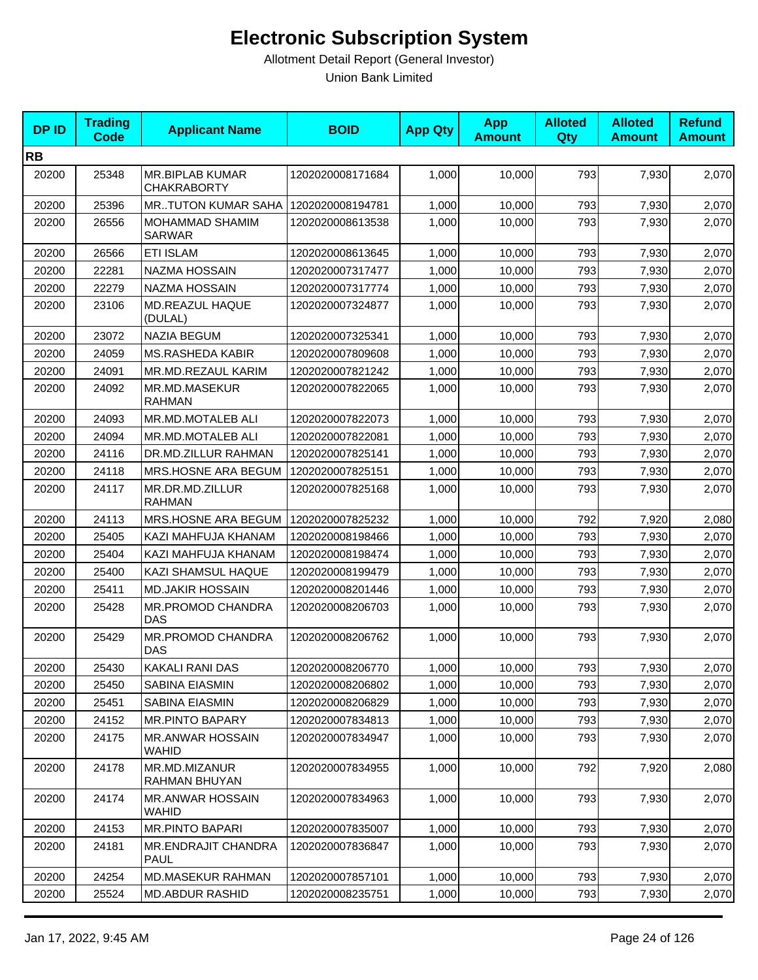| <b>DPID</b> | <b>Trading</b><br><b>Code</b> | <b>Applicant Name</b>                        | <b>BOID</b>      | <b>App Qty</b> | <b>App</b><br><b>Amount</b> | <b>Alloted</b><br>Qty | <b>Alloted</b><br><b>Amount</b> | <b>Refund</b><br><b>Amount</b> |
|-------------|-------------------------------|----------------------------------------------|------------------|----------------|-----------------------------|-----------------------|---------------------------------|--------------------------------|
| <b>RB</b>   |                               |                                              |                  |                |                             |                       |                                 |                                |
| 20200       | 25348                         | <b>MR.BIPLAB KUMAR</b><br><b>CHAKRABORTY</b> | 1202020008171684 | 1,000          | 10,000                      | 793                   | 7,930                           | 2,070                          |
| 20200       | 25396                         | <b>MRTUTON KUMAR SAHA</b>                    | 1202020008194781 | 1,000          | 10,000                      | 793                   | 7,930                           | 2,070                          |
| 20200       | 26556                         | MOHAMMAD SHAMIM<br><b>SARWAR</b>             | 1202020008613538 | 1,000          | 10,000                      | 793                   | 7,930                           | 2,070                          |
| 20200       | 26566                         | <b>ETI ISLAM</b>                             | 1202020008613645 | 1,000          | 10,000                      | 793                   | 7,930                           | 2,070                          |
| 20200       | 22281                         | <b>NAZMA HOSSAIN</b>                         | 1202020007317477 | 1,000          | 10,000                      | 793                   | 7,930                           | 2,070                          |
| 20200       | 22279                         | NAZMA HOSSAIN                                | 1202020007317774 | 1,000          | 10,000                      | 793                   | 7,930                           | 2,070                          |
| 20200       | 23106                         | <b>MD.REAZUL HAQUE</b><br>(DULAL)            | 1202020007324877 | 1,000          | 10,000                      | 793                   | 7,930                           | 2,070                          |
| 20200       | 23072                         | <b>NAZIA BEGUM</b>                           | 1202020007325341 | 1,000          | 10,000                      | 793                   | 7,930                           | 2,070                          |
| 20200       | 24059                         | <b>MS.RASHEDA KABIR</b>                      | 1202020007809608 | 1,000          | 10,000                      | 793                   | 7,930                           | 2,070                          |
| 20200       | 24091                         | MR.MD.REZAUL KARIM                           | 1202020007821242 | 1,000          | 10,000                      | 793                   | 7,930                           | 2,070                          |
| 20200       | 24092                         | MR.MD.MASEKUR<br><b>RAHMAN</b>               | 1202020007822065 | 1,000          | 10,000                      | 793                   | 7,930                           | 2,070                          |
| 20200       | 24093                         | <b>MR.MD.MOTALEB ALI</b>                     | 1202020007822073 | 1,000          | 10,000                      | 793                   | 7,930                           | 2,070                          |
| 20200       | 24094                         | MR.MD.MOTALEB ALI                            | 1202020007822081 | 1,000          | 10,000                      | 793                   | 7,930                           | 2,070                          |
| 20200       | 24116                         | DR.MD.ZILLUR RAHMAN                          | 1202020007825141 | 1,000          | 10,000                      | 793                   | 7,930                           | 2,070                          |
| 20200       | 24118                         | MRS.HOSNE ARA BEGUM                          | 1202020007825151 | 1,000          | 10,000                      | 793                   | 7,930                           | 2,070                          |
| 20200       | 24117                         | MR.DR.MD.ZILLUR<br><b>RAHMAN</b>             | 1202020007825168 | 1,000          | 10,000                      | 793                   | 7,930                           | 2,070                          |
| 20200       | 24113                         | MRS.HOSNE ARA BEGUM                          | 1202020007825232 | 1,000          | 10,000                      | 792                   | 7,920                           | 2,080                          |
| 20200       | 25405                         | KAZI MAHFUJA KHANAM                          | 1202020008198466 | 1,000          | 10,000                      | 793                   | 7,930                           | 2,070                          |
| 20200       | 25404                         | KAZI MAHFUJA KHANAM                          | 1202020008198474 | 1,000          | 10,000                      | 793                   | 7,930                           | 2,070                          |
| 20200       | 25400                         | KAZI SHAMSUL HAQUE                           | 1202020008199479 | 1,000          | 10,000                      | 793                   | 7,930                           | 2,070                          |
| 20200       | 25411                         | <b>MD.JAKIR HOSSAIN</b>                      | 1202020008201446 | 1,000          | 10,000                      | 793                   | 7,930                           | 2,070                          |
| 20200       | 25428                         | MR.PROMOD CHANDRA<br><b>DAS</b>              | 1202020008206703 | 1,000          | 10,000                      | 793                   | 7,930                           | 2,070                          |
| 20200       | 25429                         | MR.PROMOD CHANDRA<br><b>DAS</b>              | 1202020008206762 | 1,000          | 10,000                      | 793                   | 7,930                           | 2,070                          |
| 20200       | 25430                         | KAKALI RANI DAS                              | 1202020008206770 | 1,000          | 10,000                      | 793                   | 7,930                           | 2,070                          |
| 20200       | 25450                         | SABINA EIASMIN                               | 1202020008206802 | 1,000          | 10,000                      | 793                   | 7,930                           | 2,070                          |
| 20200       | 25451                         | SABINA EIASMIN                               | 1202020008206829 | 1,000          | 10,000                      | 793                   | 7,930                           | 2,070                          |
| 20200       | 24152                         | <b>MR.PINTO BAPARY</b>                       | 1202020007834813 | 1,000          | 10,000                      | 793                   | 7,930                           | 2,070                          |
| 20200       | 24175                         | <b>MR.ANWAR HOSSAIN</b><br>WAHID             | 1202020007834947 | 1,000          | 10,000                      | 793                   | 7,930                           | 2,070                          |
| 20200       | 24178                         | MR.MD.MIZANUR<br>RAHMAN BHUYAN               | 1202020007834955 | 1,000          | 10,000                      | 792                   | 7,920                           | 2,080                          |
| 20200       | 24174                         | <b>MR.ANWAR HOSSAIN</b><br><b>WAHID</b>      | 1202020007834963 | 1,000          | 10,000                      | 793                   | 7,930                           | 2,070                          |
| 20200       | 24153                         | <b>MR.PINTO BAPARI</b>                       | 1202020007835007 | 1,000          | 10,000                      | 793                   | 7,930                           | 2,070                          |
| 20200       | 24181                         | <b>MR.ENDRAJIT CHANDRA</b><br>PAUL           | 1202020007836847 | 1,000          | 10,000                      | 793                   | 7,930                           | 2,070                          |
| 20200       | 24254                         | <b>MD.MASEKUR RAHMAN</b>                     | 1202020007857101 | 1,000          | 10,000                      | 793                   | 7,930                           | 2,070                          |
| 20200       | 25524                         | <b>MD.ABDUR RASHID</b>                       | 1202020008235751 | 1,000          | 10,000                      | 793                   | 7,930                           | 2,070                          |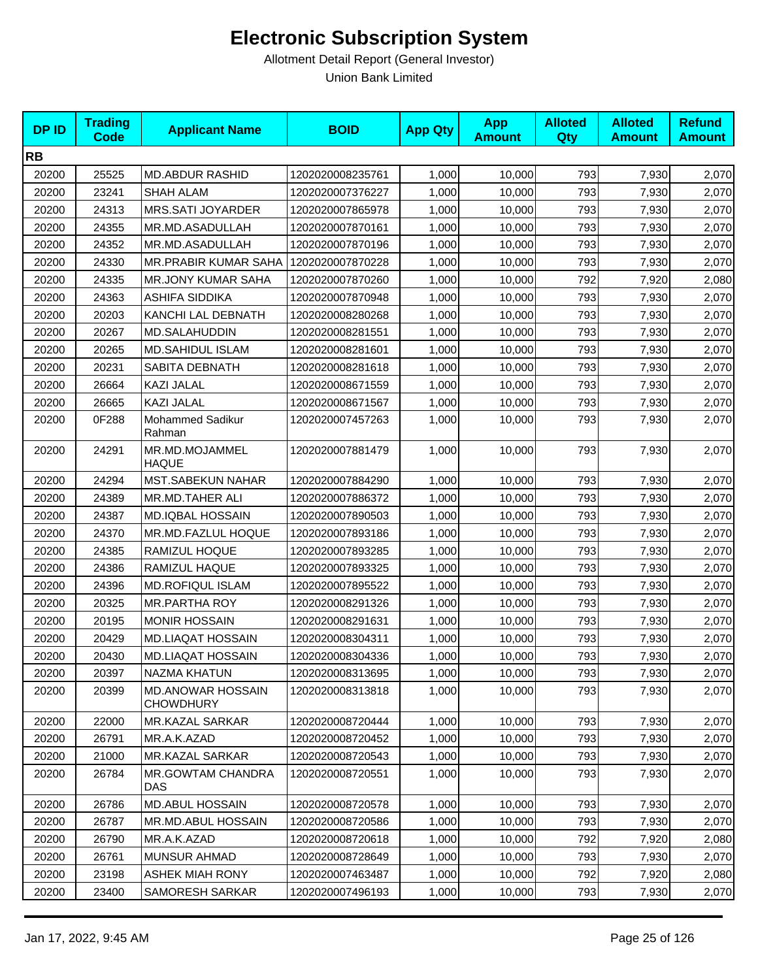| <b>DP ID</b> | <b>Trading</b><br>Code | <b>Applicant Name</b>                        | <b>BOID</b>      | <b>App Qty</b> | <b>App</b><br><b>Amount</b> | <b>Alloted</b><br>Qty | <b>Alloted</b><br><b>Amount</b> | <b>Refund</b><br><b>Amount</b> |
|--------------|------------------------|----------------------------------------------|------------------|----------------|-----------------------------|-----------------------|---------------------------------|--------------------------------|
| <b>RB</b>    |                        |                                              |                  |                |                             |                       |                                 |                                |
| 20200        | 25525                  | <b>MD.ABDUR RASHID</b>                       | 1202020008235761 | 1,000          | 10,000                      | 793                   | 7,930                           | 2,070                          |
| 20200        | 23241                  | <b>SHAH ALAM</b>                             | 1202020007376227 | 1,000          | 10,000                      | 793                   | 7,930                           | 2,070                          |
| 20200        | 24313                  | MRS.SATI JOYARDER                            | 1202020007865978 | 1,000          | 10,000                      | 793                   | 7,930                           | 2,070                          |
| 20200        | 24355                  | MR.MD.ASADULLAH                              | 1202020007870161 | 1,000          | 10,000                      | 793                   | 7,930                           | 2,070                          |
| 20200        | 24352                  | MR.MD.ASADULLAH                              | 1202020007870196 | 1,000          | 10,000                      | 793                   | 7,930                           | 2,070                          |
| 20200        | 24330                  | MR.PRABIR KUMAR SAHA                         | 1202020007870228 | 1,000          | 10,000                      | 793                   | 7,930                           | 2,070                          |
| 20200        | 24335                  | <b>MR.JONY KUMAR SAHA</b>                    | 1202020007870260 | 1,000          | 10,000                      | 792                   | 7,920                           | 2,080                          |
| 20200        | 24363                  | ASHIFA SIDDIKA                               | 1202020007870948 | 1,000          | 10,000                      | 793                   | 7,930                           | 2,070                          |
| 20200        | 20203                  | KANCHI LAL DEBNATH                           | 1202020008280268 | 1,000          | 10,000                      | 793                   | 7,930                           | 2,070                          |
| 20200        | 20267                  | MD.SALAHUDDIN                                | 1202020008281551 | 1,000          | 10,000                      | 793                   | 7,930                           | 2,070                          |
| 20200        | 20265                  | MD.SAHIDUL ISLAM                             | 1202020008281601 | 1,000          | 10,000                      | 793                   | 7,930                           | 2,070                          |
| 20200        | 20231                  | SABITA DEBNATH                               | 1202020008281618 | 1,000          | 10,000                      | 793                   | 7,930                           | 2,070                          |
| 20200        | 26664                  | KAZI JALAL                                   | 1202020008671559 | 1,000          | 10,000                      | 793                   | 7,930                           | 2,070                          |
| 20200        | 26665                  | KAZI JALAL                                   | 1202020008671567 | 1,000          | 10,000                      | 793                   | 7,930                           | 2,070                          |
| 20200        | 0F288                  | Mohammed Sadikur<br>Rahman                   | 1202020007457263 | 1,000          | 10,000                      | 793                   | 7,930                           | 2,070                          |
| 20200        | 24291                  | MR.MD.MOJAMMEL<br><b>HAQUE</b>               | 1202020007881479 | 1,000          | 10,000                      | 793                   | 7,930                           | 2,070                          |
| 20200        | 24294                  | MST.SABEKUN NAHAR                            | 1202020007884290 | 1,000          | 10,000                      | 793                   | 7,930                           | 2,070                          |
| 20200        | 24389                  | MR.MD.TAHER ALI                              | 1202020007886372 | 1,000          | 10,000                      | 793                   | 7,930                           | 2,070                          |
| 20200        | 24387                  | <b>MD.IQBAL HOSSAIN</b>                      | 1202020007890503 | 1,000          | 10,000                      | 793                   | 7,930                           | 2,070                          |
| 20200        | 24370                  | MR.MD.FAZLUL HOQUE                           | 1202020007893186 | 1,000          | 10,000                      | 793                   | 7,930                           | 2,070                          |
| 20200        | 24385                  | RAMIZUL HOQUE                                | 1202020007893285 | 1,000          | 10,000                      | 793                   | 7,930                           | 2,070                          |
| 20200        | 24386                  | RAMIZUL HAQUE                                | 1202020007893325 | 1,000          | 10,000                      | 793                   | 7,930                           | 2,070                          |
| 20200        | 24396                  | MD.ROFIQUL ISLAM                             | 1202020007895522 | 1,000          | 10,000                      | 793                   | 7,930                           | 2,070                          |
| 20200        | 20325                  | <b>MR.PARTHA ROY</b>                         | 1202020008291326 | 1,000          | 10,000                      | 793                   | 7,930                           | 2,070                          |
| 20200        | 20195                  | <b>MONIR HOSSAIN</b>                         | 1202020008291631 | 1,000          | 10,000                      | 793                   | 7,930                           | 2,070                          |
| 20200        | 20429                  | <b>MD.LIAQAT HOSSAIN</b>                     | 1202020008304311 | 1,000          | 10,000                      | 793                   | 7,930                           | 2,070                          |
| 20200        | 20430                  | <b>MD.LIAQAT HOSSAIN</b>                     | 1202020008304336 | 1,000          | 10,000                      | 793                   | 7,930                           | 2,070                          |
| 20200        | 20397                  | <b>NAZMA KHATUN</b>                          | 1202020008313695 | 1,000          | 10,000                      | 793                   | 7,930                           | 2,070                          |
| 20200        | 20399                  | <b>MD.ANOWAR HOSSAIN</b><br><b>CHOWDHURY</b> | 1202020008313818 | 1,000          | 10,000                      | 793                   | 7,930                           | 2,070                          |
| 20200        | 22000                  | MR.KAZAL SARKAR                              | 1202020008720444 | 1,000          | 10,000                      | 793                   | 7,930                           | 2,070                          |
| 20200        | 26791                  | MR.A.K.AZAD                                  | 1202020008720452 | 1,000          | 10,000                      | 793                   | 7,930                           | 2,070                          |
| 20200        | 21000                  | MR.KAZAL SARKAR                              | 1202020008720543 | 1,000          | 10,000                      | 793                   | 7,930                           | 2,070                          |
| 20200        | 26784                  | <b>MR.GOWTAM CHANDRA</b><br>DAS              | 1202020008720551 | 1,000          | 10,000                      | 793                   | 7,930                           | 2,070                          |
| 20200        | 26786                  | <b>MD.ABUL HOSSAIN</b>                       | 1202020008720578 | 1,000          | 10,000                      | 793                   | 7,930                           | 2,070                          |
| 20200        | 26787                  | MR.MD.ABUL HOSSAIN                           | 1202020008720586 | 1,000          | 10,000                      | 793                   | 7,930                           | 2,070                          |
| 20200        | 26790                  | MR.A.K.AZAD                                  | 1202020008720618 | 1,000          | 10,000                      | 792                   | 7,920                           | 2,080                          |
| 20200        | 26761                  | MUNSUR AHMAD                                 | 1202020008728649 | 1,000          | 10,000                      | 793                   | 7,930                           | 2,070                          |
| 20200        | 23198                  | <b>ASHEK MIAH RONY</b>                       | 1202020007463487 | 1,000          | 10,000                      | 792                   | 7,920                           | 2,080                          |
| 20200        | 23400                  | SAMORESH SARKAR                              | 1202020007496193 | 1,000          | 10,000                      | 793                   | 7,930                           | 2,070                          |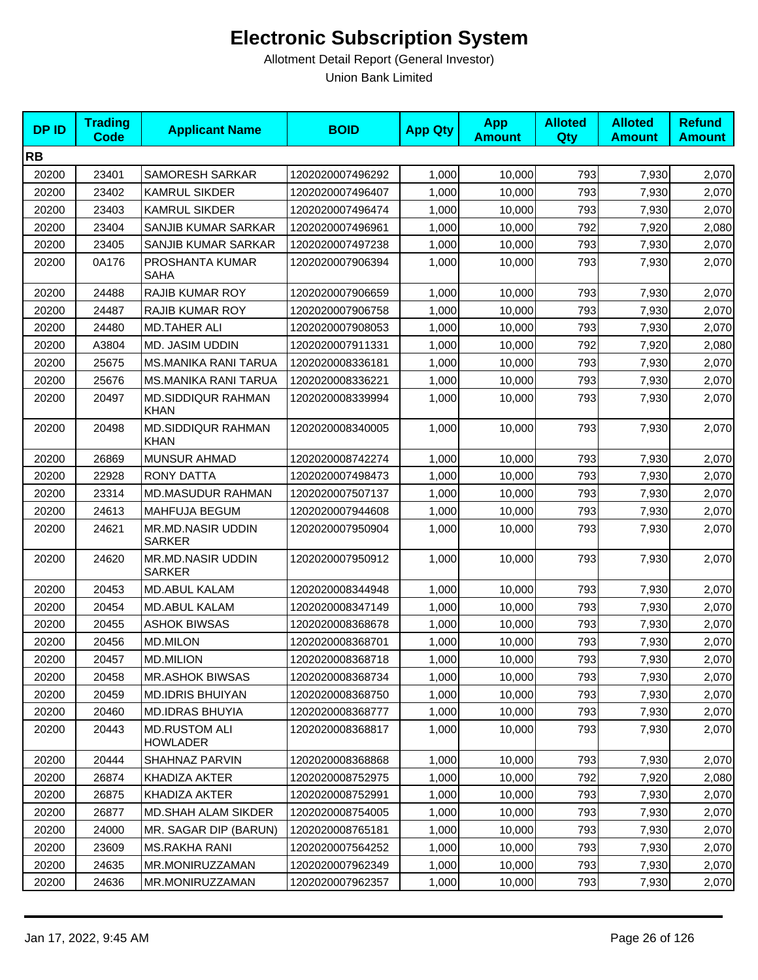| <b>DPID</b> | <b>Trading</b><br><b>Code</b> | <b>Applicant Name</b>                     | <b>BOID</b>      | <b>App Qty</b> | <b>App</b><br><b>Amount</b> | <b>Alloted</b><br><b>Qty</b> | <b>Alloted</b><br><b>Amount</b> | <b>Refund</b><br><b>Amount</b> |
|-------------|-------------------------------|-------------------------------------------|------------------|----------------|-----------------------------|------------------------------|---------------------------------|--------------------------------|
| <b>RB</b>   |                               |                                           |                  |                |                             |                              |                                 |                                |
| 20200       | 23401                         | <b>SAMORESH SARKAR</b>                    | 1202020007496292 | 1,000          | 10,000                      | 793                          | 7,930                           | 2,070                          |
| 20200       | 23402                         | <b>KAMRUL SIKDER</b>                      | 1202020007496407 | 1,000          | 10,000                      | 793                          | 7,930                           | 2,070                          |
| 20200       | 23403                         | <b>KAMRUL SIKDER</b>                      | 1202020007496474 | 1,000          | 10,000                      | 793                          | 7,930                           | 2,070                          |
| 20200       | 23404                         | SANJIB KUMAR SARKAR                       | 1202020007496961 | 1,000          | 10,000                      | 792                          | 7,920                           | 2,080                          |
| 20200       | 23405                         | <b>SANJIB KUMAR SARKAR</b>                | 1202020007497238 | 1,000          | 10,000                      | 793                          | 7,930                           | 2,070                          |
| 20200       | 0A176                         | PROSHANTA KUMAR<br>SAHA                   | 1202020007906394 | 1,000          | 10,000                      | 793                          | 7,930                           | 2,070                          |
| 20200       | 24488                         | <b>RAJIB KUMAR ROY</b>                    | 1202020007906659 | 1,000          | 10,000                      | 793                          | 7,930                           | 2,070                          |
| 20200       | 24487                         | <b>RAJIB KUMAR ROY</b>                    | 1202020007906758 | 1,000          | 10,000                      | 793                          | 7,930                           | 2,070                          |
| 20200       | 24480                         | <b>MD.TAHER ALI</b>                       | 1202020007908053 | 1,000          | 10,000                      | 793                          | 7,930                           | 2,070                          |
| 20200       | A3804                         | MD. JASIM UDDIN                           | 1202020007911331 | 1,000          | 10,000                      | 792                          | 7,920                           | 2,080                          |
| 20200       | 25675                         | MS.MANIKA RANI TARUA                      | 1202020008336181 | 1,000          | 10,000                      | 793                          | 7,930                           | 2,070                          |
| 20200       | 25676                         | <b>MS.MANIKA RANI TARUA</b>               | 1202020008336221 | 1,000          | 10,000                      | 793                          | 7,930                           | 2,070                          |
| 20200       | 20497                         | MD.SIDDIQUR RAHMAN<br><b>KHAN</b>         | 1202020008339994 | 1,000          | 10,000                      | 793                          | 7,930                           | 2,070                          |
| 20200       | 20498                         | <b>MD.SIDDIQUR RAHMAN</b><br><b>KHAN</b>  | 1202020008340005 | 1,000          | 10,000                      | 793                          | 7,930                           | 2,070                          |
| 20200       | 26869                         | <b>MUNSUR AHMAD</b>                       | 1202020008742274 | 1,000          | 10,000                      | 793                          | 7,930                           | 2,070                          |
| 20200       | 22928                         | <b>RONY DATTA</b>                         | 1202020007498473 | 1,000          | 10,000                      | 793                          | 7,930                           | 2,070                          |
| 20200       | 23314                         | <b>MD.MASUDUR RAHMAN</b>                  | 1202020007507137 | 1,000          | 10,000                      | 793                          | 7,930                           | 2,070                          |
| 20200       | 24613                         | MAHFUJA BEGUM                             | 1202020007944608 | 1,000          | 10,000                      | 793                          | 7,930                           | 2,070                          |
| 20200       | 24621                         | <b>MR.MD.NASIR UDDIN</b><br><b>SARKER</b> | 1202020007950904 | 1,000          | 10,000                      | 793                          | 7,930                           | 2,070                          |
| 20200       | 24620                         | <b>MR.MD.NASIR UDDIN</b><br><b>SARKER</b> | 1202020007950912 | 1,000          | 10,000                      | 793                          | 7,930                           | 2,070                          |
| 20200       | 20453                         | <b>MD.ABUL KALAM</b>                      | 1202020008344948 | 1,000          | 10,000                      | 793                          | 7,930                           | 2,070                          |
| 20200       | 20454                         | <b>MD.ABUL KALAM</b>                      | 1202020008347149 | 1,000          | 10,000                      | 793                          | 7,930                           | 2,070                          |
| 20200       | 20455                         | <b>ASHOK BIWSAS</b>                       | 1202020008368678 | 1,000          | 10,000                      | 793                          | 7,930                           | 2,070                          |
| 20200       | 20456                         | <b>MD.MILON</b>                           | 1202020008368701 | 1,000          | 10,000                      | 793                          | 7,930                           | 2,070                          |
| 20200       | 20457                         | <b>MD.MILION</b>                          | 1202020008368718 | 1,000          | 10,000                      | 793                          | 7,930                           | 2,070                          |
| 20200       | 20458                         | <b>MR.ASHOK BIWSAS</b>                    | 1202020008368734 | 1,000          | 10,000                      | 793                          | 7,930                           | 2,070                          |
| 20200       | 20459                         | <b>MD.IDRIS BHUIYAN</b>                   | 1202020008368750 | 1,000          | 10,000                      | 793                          | 7,930                           | 2,070                          |
| 20200       | 20460                         | <b>MD.IDRAS BHUYIA</b>                    | 1202020008368777 | 1,000          | 10,000                      | 793                          | 7,930                           | 2,070                          |
| 20200       | 20443                         | <b>MD.RUSTOM ALI</b><br><b>HOWLADER</b>   | 1202020008368817 | 1,000          | 10,000                      | 793                          | 7,930                           | 2,070                          |
| 20200       | 20444                         | SHAHNAZ PARVIN                            | 1202020008368868 | 1,000          | 10,000                      | 793                          | 7,930                           | 2,070                          |
| 20200       | 26874                         | KHADIZA AKTER                             | 1202020008752975 | 1,000          | 10,000                      | 792                          | 7,920                           | 2,080                          |
| 20200       | 26875                         | KHADIZA AKTER                             | 1202020008752991 | 1,000          | 10,000                      | 793                          | 7,930                           | 2,070                          |
| 20200       | 26877                         | MD.SHAH ALAM SIKDER                       | 1202020008754005 | 1,000          | 10,000                      | 793                          | 7,930                           | 2,070                          |
| 20200       | 24000                         | MR. SAGAR DIP (BARUN)                     | 1202020008765181 | 1,000          | 10,000                      | 793                          | 7,930                           | 2,070                          |
| 20200       | 23609                         | MS.RAKHA RANI                             | 1202020007564252 | 1,000          | 10,000                      | 793                          | 7,930                           | 2,070                          |
| 20200       | 24635                         | MR.MONIRUZZAMAN                           | 1202020007962349 | 1,000          | 10,000                      | 793                          | 7,930                           | 2,070                          |
| 20200       | 24636                         | MR.MONIRUZZAMAN                           | 1202020007962357 | 1,000          | 10,000                      | 793                          | 7,930                           | 2,070                          |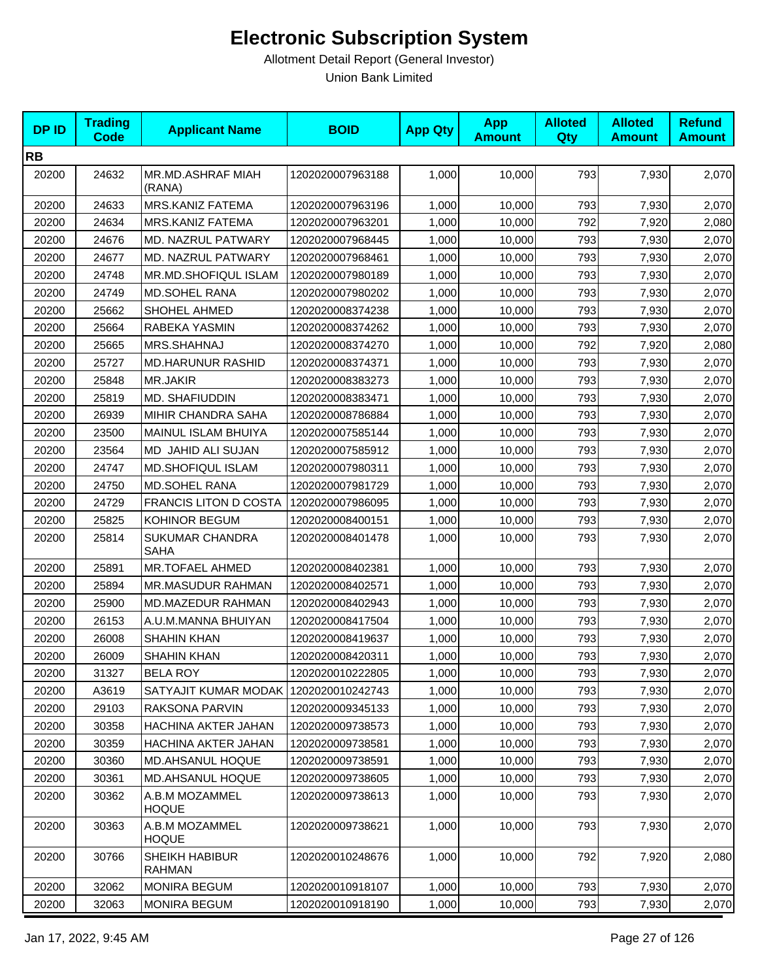| <b>DPID</b> | <b>Trading</b><br><b>Code</b> | <b>Applicant Name</b>          | <b>BOID</b>      | <b>App Qty</b> | <b>App</b><br><b>Amount</b> | <b>Alloted</b><br><b>Qty</b> | <b>Alloted</b><br><b>Amount</b> | <b>Refund</b><br><b>Amount</b> |
|-------------|-------------------------------|--------------------------------|------------------|----------------|-----------------------------|------------------------------|---------------------------------|--------------------------------|
| <b>RB</b>   |                               |                                |                  |                |                             |                              |                                 |                                |
| 20200       | 24632                         | MR.MD.ASHRAF MIAH<br>(RANA)    | 1202020007963188 | 1,000          | 10,000                      | 793                          | 7,930                           | 2,070                          |
| 20200       | 24633                         | MRS.KANIZ FATEMA               | 1202020007963196 | 1,000          | 10,000                      | 793                          | 7,930                           | 2,070                          |
| 20200       | 24634                         | MRS.KANIZ FATEMA               | 1202020007963201 | 1,000          | 10,000                      | 792                          | 7,920                           | 2,080                          |
| 20200       | 24676                         | MD. NAZRUL PATWARY             | 1202020007968445 | 1,000          | 10,000                      | 793                          | 7,930                           | 2,070                          |
| 20200       | 24677                         | MD. NAZRUL PATWARY             | 1202020007968461 | 1,000          | 10,000                      | 793                          | 7,930                           | 2,070                          |
| 20200       | 24748                         | MR.MD.SHOFIQUL ISLAM           | 1202020007980189 | 1,000          | 10,000                      | 793                          | 7,930                           | 2,070                          |
| 20200       | 24749                         | MD.SOHEL RANA                  | 1202020007980202 | 1,000          | 10,000                      | 793                          | 7,930                           | 2,070                          |
| 20200       | 25662                         | SHOHEL AHMED                   | 1202020008374238 | 1,000          | 10,000                      | 793                          | 7,930                           | 2,070                          |
| 20200       | 25664                         | RABEKA YASMIN                  | 1202020008374262 | 1,000          | 10,000                      | 793                          | 7,930                           | 2,070                          |
| 20200       | 25665                         | MRS.SHAHNAJ                    | 1202020008374270 | 1,000          | 10,000                      | 792                          | 7,920                           | 2,080                          |
| 20200       | 25727                         | <b>MD.HARUNUR RASHID</b>       | 1202020008374371 | 1,000          | 10,000                      | 793                          | 7,930                           | 2,070                          |
| 20200       | 25848                         | MR.JAKIR                       | 1202020008383273 | 1,000          | 10,000                      | 793                          | 7,930                           | 2,070                          |
| 20200       | 25819                         | MD. SHAFIUDDIN                 | 1202020008383471 | 1,000          | 10,000                      | 793                          | 7,930                           | 2,070                          |
| 20200       | 26939                         | MIHIR CHANDRA SAHA             | 1202020008786884 | 1,000          | 10,000                      | 793                          | 7,930                           | 2,070                          |
| 20200       | 23500                         | MAINUL ISLAM BHUIYA            | 1202020007585144 | 1,000          | 10,000                      | 793                          | 7,930                           | 2,070                          |
| 20200       | 23564                         | MD JAHID ALI SUJAN             | 1202020007585912 | 1,000          | 10,000                      | 793                          | 7,930                           | 2,070                          |
| 20200       | 24747                         | MD.SHOFIQUL ISLAM              | 1202020007980311 | 1,000          | 10,000                      | 793                          | 7,930                           | 2,070                          |
| 20200       | 24750                         | <b>MD.SOHEL RANA</b>           | 1202020007981729 | 1,000          | 10,000                      | 793                          | 7,930                           | 2,070                          |
| 20200       | 24729                         | FRANCIS LITON D COSTA          | 1202020007986095 | 1,000          | 10,000                      | 793                          | 7,930                           | 2,070                          |
| 20200       | 25825                         | KOHINOR BEGUM                  | 1202020008400151 | 1,000          | 10,000                      | 793                          | 7,930                           | 2,070                          |
| 20200       | 25814                         | <b>SUKUMAR CHANDRA</b><br>SAHA | 1202020008401478 | 1,000          | 10,000                      | 793                          | 7,930                           | 2,070                          |
| 20200       | 25891                         | <b>MR.TOFAEL AHMED</b>         | 1202020008402381 | 1,000          | 10,000                      | 793                          | 7,930                           | 2,070                          |
| 20200       | 25894                         | MR.MASUDUR RAHMAN              | 1202020008402571 | 1,000          | 10,000                      | 793                          | 7,930                           | 2,070                          |
| 20200       | 25900                         | MD.MAZEDUR RAHMAN              | 1202020008402943 | 1,000          | 10,000                      | 793                          | 7,930                           | 2,070                          |
| 20200       | 26153                         | A.U.M.MANNA BHUIYAN            | 1202020008417504 | 1,000          | 10,000                      | 793                          | 7,930                           | 2,070                          |
| 20200       | 26008                         | <b>SHAHIN KHAN</b>             | 1202020008419637 | 1,000          | 10,000                      | 793                          | 7,930                           | 2,070                          |
| 20200       | 26009                         | <b>SHAHIN KHAN</b>             | 1202020008420311 | 1,000          | 10,000                      | 793                          | 7,930                           | 2,070                          |
| 20200       | 31327                         | <b>BELA ROY</b>                | 1202020010222805 | 1,000          | 10,000                      | 793                          | 7,930                           | 2,070                          |
| 20200       | A3619                         | SATYAJIT KUMAR MODAK           | 1202020010242743 | 1,000          | 10,000                      | 793                          | 7,930                           | 2,070                          |
| 20200       | 29103                         | RAKSONA PARVIN                 | 1202020009345133 | 1,000          | 10,000                      | 793                          | 7,930                           | 2,070                          |
| 20200       | 30358                         | HACHINA AKTER JAHAN            | 1202020009738573 | 1,000          | 10,000                      | 793                          | 7,930                           | 2,070                          |
| 20200       | 30359                         | HACHINA AKTER JAHAN            | 1202020009738581 | 1,000          | 10,000                      | 793                          | 7,930                           | 2,070                          |
| 20200       | 30360                         | MD.AHSANUL HOQUE               | 1202020009738591 | 1,000          | 10,000                      | 793                          | 7,930                           | 2,070                          |
| 20200       | 30361                         | MD.AHSANUL HOQUE               | 1202020009738605 | 1,000          | 10,000                      | 793                          | 7,930                           | 2,070                          |
| 20200       | 30362                         | A.B.M MOZAMMEL<br><b>HOQUE</b> | 1202020009738613 | 1,000          | 10,000                      | 793                          | 7,930                           | 2,070                          |
| 20200       | 30363                         | A.B.M MOZAMMEL<br><b>HOQUE</b> | 1202020009738621 | 1,000          | 10,000                      | 793                          | 7,930                           | 2,070                          |
| 20200       | 30766                         | SHEIKH HABIBUR<br>RAHMAN       | 1202020010248676 | 1,000          | 10,000                      | 792                          | 7,920                           | 2,080                          |
| 20200       | 32062                         | <b>MONIRA BEGUM</b>            | 1202020010918107 | 1,000          | 10,000                      | 793                          | 7,930                           | 2,070                          |
| 20200       | 32063                         | <b>MONIRA BEGUM</b>            | 1202020010918190 | 1,000          | 10,000                      | 793                          | 7,930                           | 2,070                          |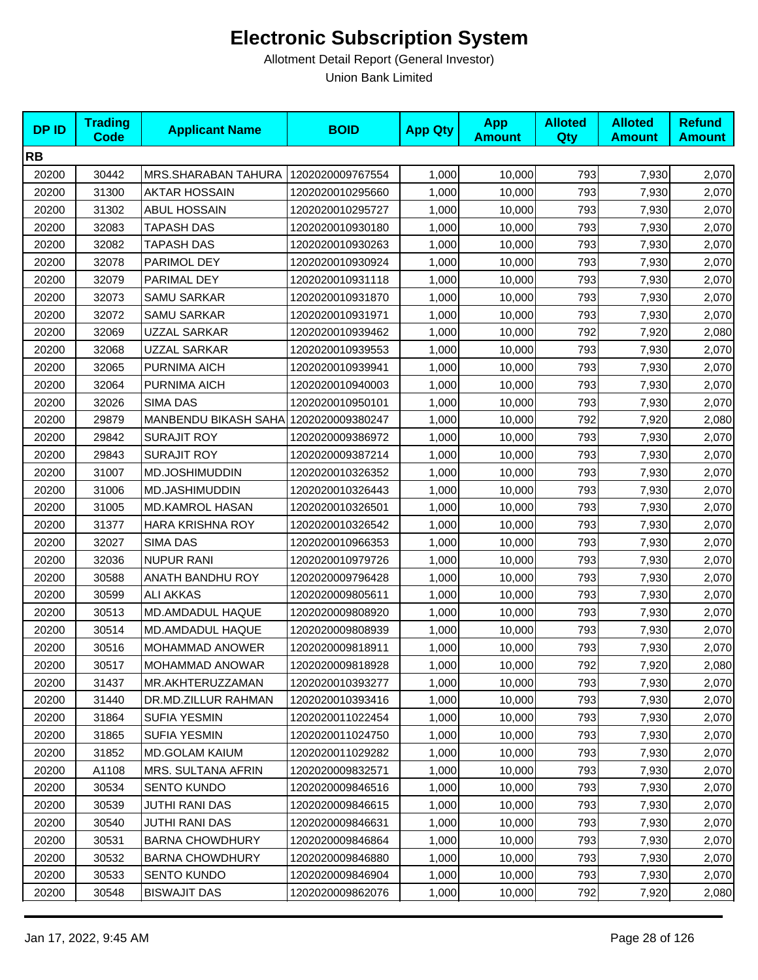| <b>DPID</b> | <b>Trading</b><br><b>Code</b> | <b>Applicant Name</b>                 | <b>BOID</b>      | <b>App Qty</b> | <b>App</b><br><b>Amount</b> | <b>Alloted</b><br>Qty | <b>Alloted</b><br><b>Amount</b> | <b>Refund</b><br><b>Amount</b> |
|-------------|-------------------------------|---------------------------------------|------------------|----------------|-----------------------------|-----------------------|---------------------------------|--------------------------------|
| <b>RB</b>   |                               |                                       |                  |                |                             |                       |                                 |                                |
| 20200       | 30442                         | MRS.SHARABAN TAHURA                   | 1202020009767554 | 1,000          | 10,000                      | 793                   | 7,930                           | 2,070                          |
| 20200       | 31300                         | <b>AKTAR HOSSAIN</b>                  | 1202020010295660 | 1,000          | 10,000                      | 793                   | 7,930                           | 2,070                          |
| 20200       | 31302                         | ABUL HOSSAIN                          | 1202020010295727 | 1,000          | 10,000                      | 793                   | 7,930                           | 2,070                          |
| 20200       | 32083                         | <b>TAPASH DAS</b>                     | 1202020010930180 | 1,000          | 10,000                      | 793                   | 7,930                           | 2,070                          |
| 20200       | 32082                         | <b>TAPASH DAS</b>                     | 1202020010930263 | 1,000          | 10,000                      | 793                   | 7,930                           | 2,070                          |
| 20200       | 32078                         | PARIMOL DEY                           | 1202020010930924 | 1,000          | 10,000                      | 793                   | 7,930                           | 2,070                          |
| 20200       | 32079                         | PARIMAL DEY                           | 1202020010931118 | 1,000          | 10,000                      | 793                   | 7,930                           | 2,070                          |
| 20200       | 32073                         | SAMU SARKAR                           | 1202020010931870 | 1,000          | 10,000                      | 793                   | 7,930                           | 2,070                          |
| 20200       | 32072                         | <b>SAMU SARKAR</b>                    | 1202020010931971 | 1,000          | 10,000                      | 793                   | 7,930                           | 2,070                          |
| 20200       | 32069                         | UZZAL SARKAR                          | 1202020010939462 | 1,000          | 10,000                      | 792                   | 7,920                           | 2,080                          |
| 20200       | 32068                         | UZZAL SARKAR                          | 1202020010939553 | 1,000          | 10,000                      | 793                   | 7,930                           | 2,070                          |
| 20200       | 32065                         | PURNIMA AICH                          | 1202020010939941 | 1,000          | 10,000                      | 793                   | 7,930                           | 2,070                          |
| 20200       | 32064                         | PURNIMA AICH                          | 1202020010940003 | 1,000          | 10,000                      | 793                   | 7,930                           | 2,070                          |
| 20200       | 32026                         | SIMA DAS                              | 1202020010950101 | 1,000          | 10,000                      | 793                   | 7,930                           | 2,070                          |
| 20200       | 29879                         | MANBENDU BIKASH SAHA 1202020009380247 |                  | 1,000          | 10,000                      | 792                   | 7,920                           | 2,080                          |
| 20200       | 29842                         | SURAJIT ROY                           | 1202020009386972 | 1,000          | 10,000                      | 793                   | 7,930                           | 2,070                          |
| 20200       | 29843                         | <b>SURAJIT ROY</b>                    | 1202020009387214 | 1,000          | 10,000                      | 793                   | 7,930                           | 2,070                          |
| 20200       | 31007                         | MD.JOSHIMUDDIN                        | 1202020010326352 | 1,000          | 10,000                      | 793                   | 7,930                           | 2,070                          |
| 20200       | 31006                         | MD.JASHIMUDDIN                        | 1202020010326443 | 1,000          | 10,000                      | 793                   | 7,930                           | 2,070                          |
| 20200       | 31005                         | <b>MD.KAMROL HASAN</b>                | 1202020010326501 | 1,000          | 10,000                      | 793                   | 7,930                           | 2,070                          |
| 20200       | 31377                         | <b>HARA KRISHNA ROY</b>               | 1202020010326542 | 1,000          | 10,000                      | 793                   | 7,930                           | 2,070                          |
| 20200       | 32027                         | SIMA DAS                              | 1202020010966353 | 1,000          | 10,000                      | 793                   | 7,930                           | 2,070                          |
| 20200       | 32036                         | <b>NUPUR RANI</b>                     | 1202020010979726 | 1,000          | 10,000                      | 793                   | 7,930                           | 2,070                          |
| 20200       | 30588                         | ANATH BANDHU ROY                      | 1202020009796428 | 1,000          | 10,000                      | 793                   | 7,930                           | 2,070                          |
| 20200       | 30599                         | <b>ALI AKKAS</b>                      | 1202020009805611 | 1,000          | 10,000                      | 793                   | 7,930                           | 2,070                          |
| 20200       | 30513                         | MD.AMDADUL HAQUE                      | 1202020009808920 | 1,000          | 10,000                      | 793                   | 7,930                           | 2,070                          |
| 20200       | 30514                         | MD.AMDADUL HAQUE                      | 1202020009808939 | 1,000          | 10,000                      | 793                   | 7,930                           | 2,070                          |
| 20200       | 30516                         | MOHAMMAD ANOWER                       | 1202020009818911 | 1,000          | 10,000                      | 793                   | 7,930                           | 2,070                          |
| 20200       | 30517                         | MOHAMMAD ANOWAR                       | 1202020009818928 | 1,000          | 10,000                      | 792                   | 7,920                           | 2,080                          |
| 20200       | 31437                         | MR.AKHTERUZZAMAN                      | 1202020010393277 | 1,000          | 10,000                      | 793                   | 7,930                           | 2,070                          |
| 20200       | 31440                         | DR.MD.ZILLUR RAHMAN                   | 1202020010393416 | 1,000          | 10,000                      | 793                   | 7,930                           | 2,070                          |
| 20200       | 31864                         | <b>SUFIA YESMIN</b>                   | 1202020011022454 | 1,000          | 10,000                      | 793                   | 7,930                           | 2,070                          |
| 20200       | 31865                         | <b>SUFIA YESMIN</b>                   | 1202020011024750 | 1,000          | 10,000                      | 793                   | 7,930                           | 2,070                          |
| 20200       | 31852                         | <b>MD.GOLAM KAIUM</b>                 | 1202020011029282 | 1,000          | 10,000                      | 793                   | 7,930                           | 2,070                          |
| 20200       | A1108                         | <b>MRS. SULTANA AFRIN</b>             | 1202020009832571 | 1,000          | 10,000                      | 793                   | 7,930                           | 2,070                          |
| 20200       | 30534                         | <b>SENTO KUNDO</b>                    | 1202020009846516 | 1,000          | 10,000                      | 793                   | 7,930                           | 2,070                          |
| 20200       | 30539                         | JUTHI RANI DAS                        | 1202020009846615 | 1,000          | 10,000                      | 793                   | 7,930                           | 2,070                          |
| 20200       | 30540                         | JUTHI RANI DAS                        | 1202020009846631 | 1,000          | 10,000                      | 793                   | 7,930                           | 2,070                          |
| 20200       | 30531                         | <b>BARNA CHOWDHURY</b>                | 1202020009846864 | 1,000          | 10,000                      | 793                   | 7,930                           | 2,070                          |
| 20200       | 30532                         | <b>BARNA CHOWDHURY</b>                | 1202020009846880 | 1,000          | 10,000                      | 793                   | 7,930                           | 2,070                          |
| 20200       | 30533                         | <b>SENTO KUNDO</b>                    | 1202020009846904 | 1,000          | 10,000                      | 793                   | 7,930                           | 2,070                          |
| 20200       | 30548                         | <b>BISWAJIT DAS</b>                   | 1202020009862076 | 1,000          | 10,000                      | 792                   | 7,920                           | 2,080                          |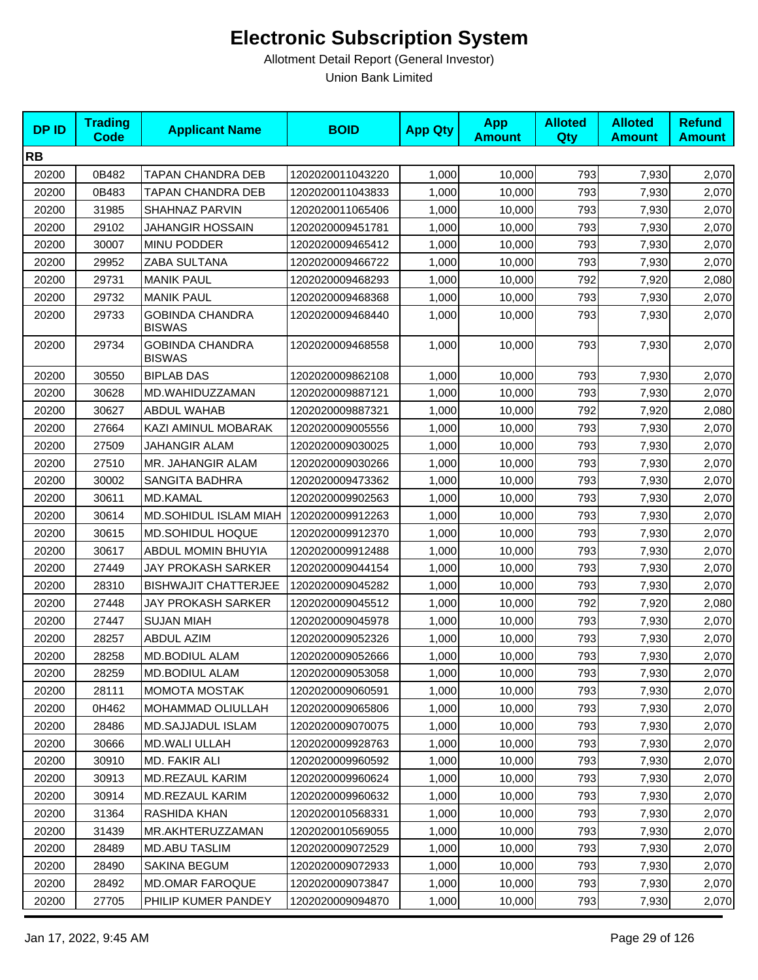| <b>DPID</b> | <b>Trading</b><br><b>Code</b> | <b>Applicant Name</b>                   | <b>BOID</b>      | <b>App Qty</b> | <b>App</b><br><b>Amount</b> | <b>Alloted</b><br><b>Qty</b> | <b>Alloted</b><br><b>Amount</b> | <b>Refund</b><br><b>Amount</b> |
|-------------|-------------------------------|-----------------------------------------|------------------|----------------|-----------------------------|------------------------------|---------------------------------|--------------------------------|
| <b>RB</b>   |                               |                                         |                  |                |                             |                              |                                 |                                |
| 20200       | 0B482                         | TAPAN CHANDRA DEB                       | 1202020011043220 | 1,000          | 10,000                      | 793                          | 7,930                           | 2,070                          |
| 20200       | 0B483                         | TAPAN CHANDRA DEB                       | 1202020011043833 | 1,000          | 10,000                      | 793                          | 7,930                           | 2,070                          |
| 20200       | 31985                         | SHAHNAZ PARVIN                          | 1202020011065406 | 1,000          | 10,000                      | 793                          | 7,930                           | 2,070                          |
| 20200       | 29102                         | <b>JAHANGIR HOSSAIN</b>                 | 1202020009451781 | 1,000          | 10,000                      | 793                          | 7,930                           | 2,070                          |
| 20200       | 30007                         | MINU PODDER                             | 1202020009465412 | 1,000          | 10,000                      | 793                          | 7,930                           | 2,070                          |
| 20200       | 29952                         | ZABA SULTANA                            | 1202020009466722 | 1,000          | 10,000                      | 793                          | 7,930                           | 2,070                          |
| 20200       | 29731                         | <b>MANIK PAUL</b>                       | 1202020009468293 | 1,000          | 10,000                      | 792                          | 7,920                           | 2,080                          |
| 20200       | 29732                         | <b>MANIK PAUL</b>                       | 1202020009468368 | 1,000          | 10,000                      | 793                          | 7,930                           | 2,070                          |
| 20200       | 29733                         | <b>GOBINDA CHANDRA</b><br><b>BISWAS</b> | 1202020009468440 | 1,000          | 10,000                      | 793                          | 7,930                           | 2,070                          |
| 20200       | 29734                         | <b>GOBINDA CHANDRA</b><br><b>BISWAS</b> | 1202020009468558 | 1,000          | 10,000                      | 793                          | 7,930                           | 2,070                          |
| 20200       | 30550                         | <b>BIPLAB DAS</b>                       | 1202020009862108 | 1,000          | 10,000                      | 793                          | 7,930                           | 2,070                          |
| 20200       | 30628                         | MD.WAHIDUZZAMAN                         | 1202020009887121 | 1,000          | 10,000                      | 793                          | 7,930                           | 2,070                          |
| 20200       | 30627                         | <b>ABDUL WAHAB</b>                      | 1202020009887321 | 1,000          | 10,000                      | 792                          | 7,920                           | 2,080                          |
| 20200       | 27664                         | KAZI AMINUL MOBARAK                     | 1202020009005556 | 1,000          | 10,000                      | 793                          | 7,930                           | 2,070                          |
| 20200       | 27509                         | JAHANGIR ALAM                           | 1202020009030025 | 1,000          | 10,000                      | 793                          | 7,930                           | 2,070                          |
| 20200       | 27510                         | MR. JAHANGIR ALAM                       | 1202020009030266 | 1,000          | 10,000                      | 793                          | 7,930                           | 2,070                          |
| 20200       | 30002                         | <b>SANGITA BADHRA</b>                   | 1202020009473362 | 1,000          | 10,000                      | 793                          | 7,930                           | 2,070                          |
| 20200       | 30611                         | MD.KAMAL                                | 1202020009902563 | 1,000          | 10,000                      | 793                          | 7,930                           | 2,070                          |
| 20200       | 30614                         | MD.SOHIDUL ISLAM MIAH                   | 1202020009912263 | 1,000          | 10,000                      | 793                          | 7,930                           | 2,070                          |
| 20200       | 30615                         | <b>MD.SOHIDUL HOQUE</b>                 | 1202020009912370 | 1,000          | 10,000                      | 793                          | 7,930                           | 2,070                          |
| 20200       | 30617                         | ABDUL MOMIN BHUYIA                      | 1202020009912488 | 1,000          | 10,000                      | 793                          | 7,930                           | 2,070                          |
| 20200       | 27449                         | <b>JAY PROKASH SARKER</b>               | 1202020009044154 | 1,000          | 10,000                      | 793                          | 7,930                           | 2,070                          |
| 20200       | 28310                         | <b>BISHWAJIT CHATTERJEE</b>             | 1202020009045282 | 1,000          | 10,000                      | 793                          | 7,930                           | 2,070                          |
| 20200       | 27448                         | JAY PROKASH SARKER                      | 1202020009045512 | 1,000          | 10,000                      | 792                          | 7,920                           | 2,080                          |
| 20200       | 27447                         | <b>SUJAN MIAH</b>                       | 1202020009045978 | 1,000          | 10,000                      | 793                          | 7,930                           | 2,070                          |
| 20200       | 28257                         | <b>ABDUL AZIM</b>                       | 1202020009052326 | 1,000          | 10,000                      | 793                          | 7,930                           | 2,070                          |
| 20200       | 28258                         | <b>MD.BODIUL ALAM</b>                   | 1202020009052666 | 1,000          | 10,000                      | 793                          | 7,930                           | 2,070                          |
| 20200       | 28259                         | MD.BODIUL ALAM                          | 1202020009053058 | 1,000          | 10,000                      | 793                          | 7,930                           | 2,070                          |
| 20200       | 28111                         | <b>MOMOTA MOSTAK</b>                    | 1202020009060591 | 1,000          | 10,000                      | 793                          | 7,930                           | 2,070                          |
| 20200       | 0H462                         | MOHAMMAD OLIULLAH                       | 1202020009065806 | 1,000          | 10,000                      | 793                          | 7,930                           | 2,070                          |
| 20200       | 28486                         | <b>MD.SAJJADUL ISLAM</b>                | 1202020009070075 | 1,000          | 10,000                      | 793                          | 7,930                           | 2,070                          |
| 20200       | 30666                         | MD.WALI ULLAH                           | 1202020009928763 | 1,000          | 10,000                      | 793                          | 7,930                           | 2,070                          |
| 20200       | 30910                         | MD. FAKIR ALI                           | 1202020009960592 | 1,000          | 10,000                      | 793                          | 7,930                           | 2,070                          |
| 20200       | 30913                         | MD.REZAUL KARIM                         | 1202020009960624 | 1,000          | 10,000                      | 793                          | 7,930                           | 2,070                          |
| 20200       | 30914                         | MD.REZAUL KARIM                         | 1202020009960632 | 1,000          | 10,000                      | 793                          | 7,930                           | 2,070                          |
| 20200       | 31364                         | RASHIDA KHAN                            | 1202020010568331 | 1,000          | 10,000                      | 793                          | 7,930                           | 2,070                          |
| 20200       | 31439                         | MR.AKHTERUZZAMAN                        | 1202020010569055 | 1,000          | 10,000                      | 793                          | 7,930                           | 2,070                          |
| 20200       | 28489                         | <b>MD.ABU TASLIM</b>                    | 1202020009072529 | 1,000          | 10,000                      | 793                          | 7,930                           | 2,070                          |
| 20200       | 28490                         | SAKINA BEGUM                            | 1202020009072933 | 1,000          | 10,000                      | 793                          | 7,930                           | 2,070                          |
| 20200       | 28492                         | <b>MD.OMAR FAROQUE</b>                  | 1202020009073847 | 1,000          | 10,000                      | 793                          | 7,930                           | 2,070                          |
| 20200       | 27705                         | PHILIP KUMER PANDEY                     | 1202020009094870 | 1,000          | 10,000                      | 793                          | 7,930                           | 2,070                          |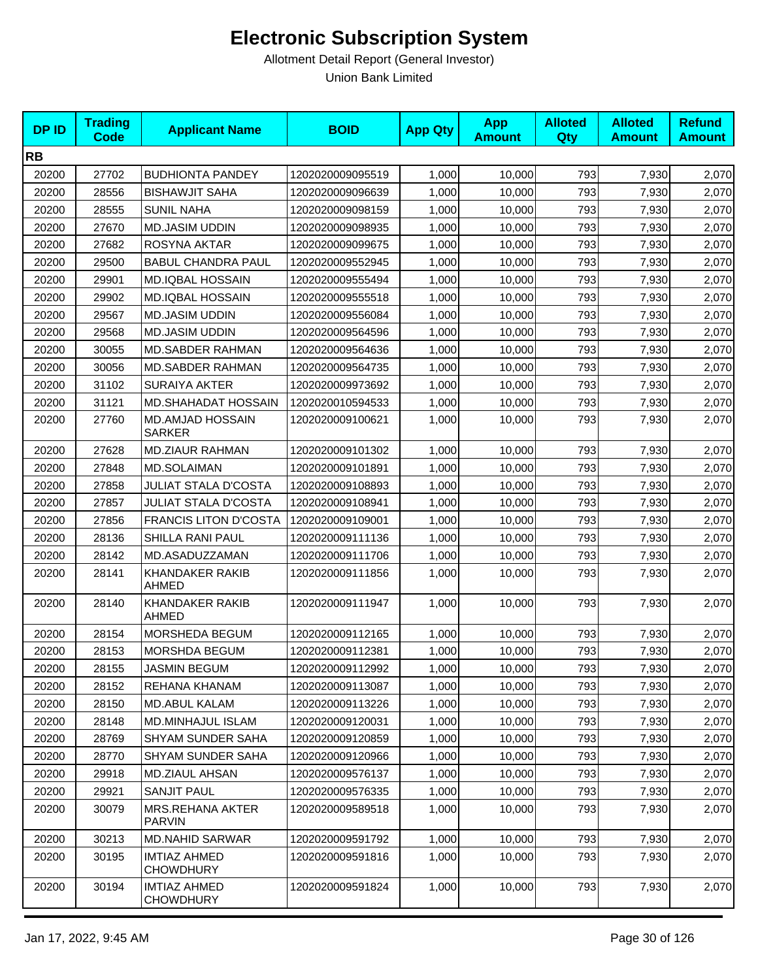| <b>DPID</b> | <b>Trading</b><br><b>Code</b> | <b>Applicant Name</b>                    | <b>BOID</b>      | <b>App Qty</b> | <b>App</b><br><b>Amount</b> | <b>Alloted</b><br>Qty | <b>Alloted</b><br><b>Amount</b> | <b>Refund</b><br><b>Amount</b> |
|-------------|-------------------------------|------------------------------------------|------------------|----------------|-----------------------------|-----------------------|---------------------------------|--------------------------------|
| <b>RB</b>   |                               |                                          |                  |                |                             |                       |                                 |                                |
| 20200       | 27702                         | <b>BUDHIONTA PANDEY</b>                  | 1202020009095519 | 1,000          | 10,000                      | 793                   | 7,930                           | 2,070                          |
| 20200       | 28556                         | <b>BISHAWJIT SAHA</b>                    | 1202020009096639 | 1,000          | 10.000                      | 793                   | 7,930                           | 2,070                          |
| 20200       | 28555                         | <b>SUNIL NAHA</b>                        | 1202020009098159 | 1,000          | 10,000                      | 793                   | 7,930                           | 2,070                          |
| 20200       | 27670                         | <b>MD.JASIM UDDIN</b>                    | 1202020009098935 | 1,000          | 10,000                      | 793                   | 7,930                           | 2,070                          |
| 20200       | 27682                         | ROSYNA AKTAR                             | 1202020009099675 | 1,000          | 10,000                      | 793                   | 7,930                           | 2,070                          |
| 20200       | 29500                         | <b>BABUL CHANDRA PAUL</b>                | 1202020009552945 | 1,000          | 10,000                      | 793                   | 7,930                           | 2,070                          |
| 20200       | 29901                         | <b>MD.IQBAL HOSSAIN</b>                  | 1202020009555494 | 1,000          | 10,000                      | 793                   | 7,930                           | 2,070                          |
| 20200       | 29902                         | <b>MD.IQBAL HOSSAIN</b>                  | 1202020009555518 | 1,000          | 10,000                      | 793                   | 7,930                           | 2,070                          |
| 20200       | 29567                         | <b>MD.JASIM UDDIN</b>                    | 1202020009556084 | 1,000          | 10,000                      | 793                   | 7,930                           | 2,070                          |
| 20200       | 29568                         | <b>MD.JASIM UDDIN</b>                    | 1202020009564596 | 1,000          | 10,000                      | 793                   | 7,930                           | 2,070                          |
| 20200       | 30055                         | <b>MD.SABDER RAHMAN</b>                  | 1202020009564636 | 1,000          | 10,000                      | 793                   | 7,930                           | 2,070                          |
| 20200       | 30056                         | MD.SABDER RAHMAN                         | 1202020009564735 | 1,000          | 10,000                      | 793                   | 7,930                           | 2,070                          |
| 20200       | 31102                         | <b>SURAIYA AKTER</b>                     | 1202020009973692 | 1,000          | 10,000                      | 793                   | 7,930                           | 2,070                          |
| 20200       | 31121                         | <b>MD.SHAHADAT HOSSAIN</b>               | 1202020010594533 | 1,000          | 10,000                      | 793                   | 7,930                           | 2,070                          |
| 20200       | 27760                         | <b>MD.AMJAD HOSSAIN</b><br><b>SARKER</b> | 1202020009100621 | 1,000          | 10,000                      | 793                   | 7,930                           | 2,070                          |
| 20200       | 27628                         | MD.ZIAUR RAHMAN                          | 1202020009101302 | 1,000          | 10,000                      | 793                   | 7,930                           | 2,070                          |
| 20200       | 27848                         | <b>MD.SOLAIMAN</b>                       | 1202020009101891 | 1,000          | 10,000                      | 793                   | 7,930                           | 2,070                          |
| 20200       | 27858                         | <b>JULIAT STALA D'COSTA</b>              | 1202020009108893 | 1,000          | 10,000                      | 793                   | 7,930                           | 2,070                          |
| 20200       | 27857                         | <b>JULIAT STALA D'COSTA</b>              | 1202020009108941 | 1,000          | 10,000                      | 793                   | 7,930                           | 2,070                          |
| 20200       | 27856                         | <b>FRANCIS LITON D'COSTA</b>             | 1202020009109001 | 1,000          | 10,000                      | 793                   | 7,930                           | 2,070                          |
| 20200       | 28136                         | SHILLA RANI PAUL                         | 1202020009111136 | 1,000          | 10,000                      | 793                   | 7,930                           | 2,070                          |
| 20200       | 28142                         | MD.ASADUZZAMAN                           | 1202020009111706 | 1,000          | 10,000                      | 793                   | 7,930                           | 2,070                          |
| 20200       | 28141                         | KHANDAKER RAKIB<br><b>AHMED</b>          | 1202020009111856 | 1,000          | 10,000                      | 793                   | 7,930                           | 2,070                          |
| 20200       | 28140                         | KHANDAKER RAKIB<br>AHMED                 | 1202020009111947 | 1,000          | 10,000                      | 793                   | 7,930                           | 2,070                          |
| 20200       | 28154                         | MORSHEDA BEGUM                           | 1202020009112165 | 1,000          | 10,000                      | 793                   | 7,930                           | 2,070                          |
| 20200       | 28153                         | <b>MORSHDA BEGUM</b>                     | 1202020009112381 | 1,000          | 10,000                      | 793                   | 7,930                           | 2,070                          |
| 20200       | 28155                         | JASMIN BEGUM                             | 1202020009112992 | 1,000          | 10,000                      | 793                   | 7,930                           | 2,070                          |
| 20200       | 28152                         | REHANA KHANAM                            | 1202020009113087 | 1,000          | 10,000                      | 793                   | 7,930                           | 2,070                          |
| 20200       | 28150                         | <b>MD.ABUL KALAM</b>                     | 1202020009113226 | 1,000          | 10,000                      | 793                   | 7,930                           | 2,070                          |
| 20200       | 28148                         | MD.MINHAJUL ISLAM                        | 1202020009120031 | 1,000          | 10,000                      | 793                   | 7,930                           | 2,070                          |
| 20200       | 28769                         | SHYAM SUNDER SAHA                        | 1202020009120859 | 1,000          | 10,000                      | 793                   | 7,930                           | 2,070                          |
| 20200       | 28770                         | <b>SHYAM SUNDER SAHA</b>                 | 1202020009120966 | 1,000          | 10,000                      | 793                   | 7,930                           | 2,070                          |
| 20200       | 29918                         | MD.ZIAUL AHSAN                           | 1202020009576137 | 1,000          | 10,000                      | 793                   | 7,930                           | 2,070                          |
| 20200       | 29921                         | <b>SANJIT PAUL</b>                       | 1202020009576335 | 1,000          | 10,000                      | 793                   | 7,930                           | 2,070                          |
| 20200       | 30079                         | MRS.REHANA AKTER<br><b>PARVIN</b>        | 1202020009589518 | 1,000          | 10,000                      | 793                   | 7,930                           | 2,070                          |
| 20200       | 30213                         | <b>MD.NAHID SARWAR</b>                   | 1202020009591792 | 1,000          | 10,000                      | 793                   | 7,930                           | 2,070                          |
| 20200       | 30195                         | <b>IMTIAZ AHMED</b><br><b>CHOWDHURY</b>  | 1202020009591816 | 1,000          | 10,000                      | 793                   | 7,930                           | 2,070                          |
| 20200       | 30194                         | <b>IMTIAZ AHMED</b><br><b>CHOWDHURY</b>  | 1202020009591824 | 1,000          | 10,000                      | 793                   | 7,930                           | 2,070                          |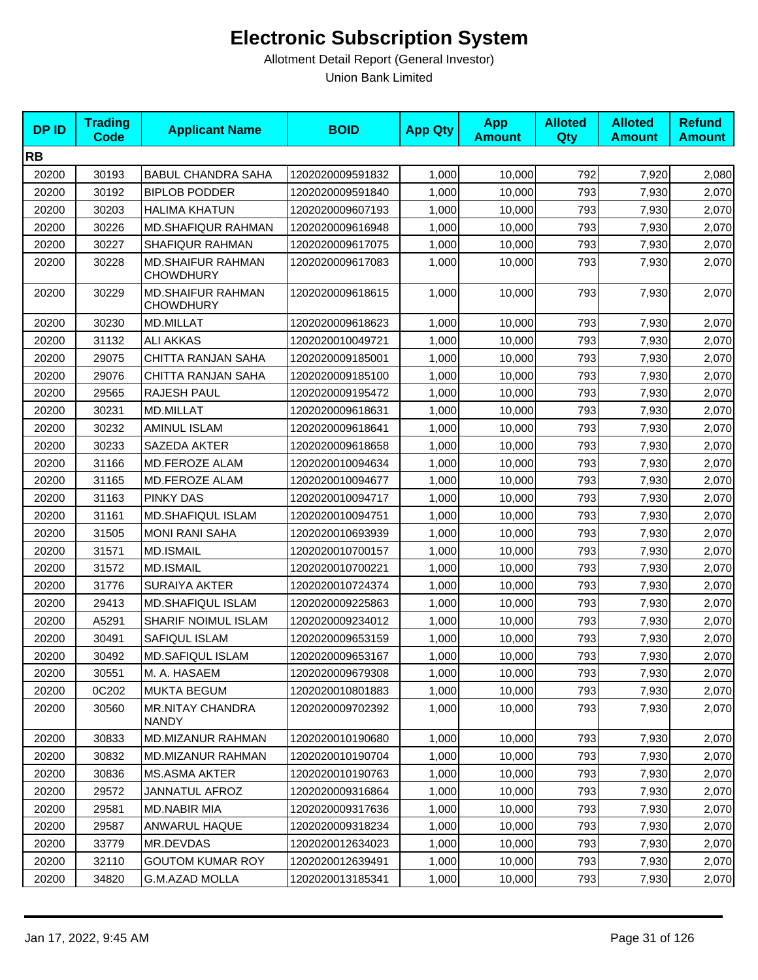| <b>DPID</b> | <b>Trading</b><br><b>Code</b> | <b>Applicant Name</b>                        | <b>BOID</b>      | <b>App Qty</b> | <b>App</b><br><b>Amount</b> | <b>Alloted</b><br>Qty | <b>Alloted</b><br><b>Amount</b> | <b>Refund</b><br><b>Amount</b> |
|-------------|-------------------------------|----------------------------------------------|------------------|----------------|-----------------------------|-----------------------|---------------------------------|--------------------------------|
| <b>RB</b>   |                               |                                              |                  |                |                             |                       |                                 |                                |
| 20200       | 30193                         | <b>BABUL CHANDRA SAHA</b>                    | 1202020009591832 | 1,000          | 10,000                      | 792                   | 7,920                           | 2,080                          |
| 20200       | 30192                         | <b>BIPLOB PODDER</b>                         | 1202020009591840 | 1,000          | 10,000                      | 793                   | 7,930                           | 2,070                          |
| 20200       | 30203                         | <b>HALIMA KHATUN</b>                         | 1202020009607193 | 1,000          | 10,000                      | 793                   | 7,930                           | 2,070                          |
| 20200       | 30226                         | <b>MD.SHAFIQUR RAHMAN</b>                    | 1202020009616948 | 1,000          | 10,000                      | 793                   | 7,930                           | 2,070                          |
| 20200       | 30227                         | SHAFIQUR RAHMAN                              | 1202020009617075 | 1,000          | 10,000                      | 793                   | 7,930                           | 2,070                          |
| 20200       | 30228                         | <b>MD.SHAIFUR RAHMAN</b><br><b>CHOWDHURY</b> | 1202020009617083 | 1,000          | 10,000                      | 793                   | 7,930                           | 2,070                          |
| 20200       | 30229                         | <b>MD.SHAIFUR RAHMAN</b><br><b>CHOWDHURY</b> | 1202020009618615 | 1,000          | 10,000                      | 793                   | 7,930                           | 2,070                          |
| 20200       | 30230                         | MD.MILLAT                                    | 1202020009618623 | 1,000          | 10,000                      | 793                   | 7,930                           | 2,070                          |
| 20200       | 31132                         | <b>ALI AKKAS</b>                             | 1202020010049721 | 1,000          | 10,000                      | 793                   | 7,930                           | 2,070                          |
| 20200       | 29075                         | CHITTA RANJAN SAHA                           | 1202020009185001 | 1,000          | 10,000                      | 793                   | 7,930                           | 2,070                          |
| 20200       | 29076                         | CHITTA RANJAN SAHA                           | 1202020009185100 | 1,000          | 10,000                      | 793                   | 7,930                           | 2,070                          |
| 20200       | 29565                         | RAJESH PAUL                                  | 1202020009195472 | 1,000          | 10,000                      | 793                   | 7,930                           | 2,070                          |
| 20200       | 30231                         | <b>MD.MILLAT</b>                             | 1202020009618631 | 1,000          | 10,000                      | 793                   | 7,930                           | 2,070                          |
| 20200       | 30232                         | AMINUL ISLAM                                 | 1202020009618641 | 1,000          | 10,000                      | 793                   | 7,930                           | 2,070                          |
| 20200       | 30233                         | SAZEDA AKTER                                 | 1202020009618658 | 1,000          | 10,000                      | 793                   | 7,930                           | 2,070                          |
| 20200       | 31166                         | MD.FEROZE ALAM                               | 1202020010094634 | 1,000          | 10,000                      | 793                   | 7,930                           | 2,070                          |
| 20200       | 31165                         | MD.FEROZE ALAM                               | 1202020010094677 | 1,000          | 10,000                      | 793                   | 7,930                           | 2,070                          |
| 20200       | 31163                         | <b>PINKY DAS</b>                             | 1202020010094717 | 1,000          | 10,000                      | 793                   | 7,930                           | 2,070                          |
| 20200       | 31161                         | <b>MD.SHAFIQUL ISLAM</b>                     | 1202020010094751 | 1,000          | 10,000                      | 793                   | 7,930                           | 2,070                          |
| 20200       | 31505                         | <b>MONI RANI SAHA</b>                        | 1202020010693939 | 1,000          | 10,000                      | 793                   | 7,930                           | 2,070                          |
| 20200       | 31571                         | <b>MD.ISMAIL</b>                             | 1202020010700157 | 1,000          | 10,000                      | 793                   | 7,930                           | 2,070                          |
| 20200       | 31572                         | <b>MD.ISMAIL</b>                             | 1202020010700221 | 1,000          | 10,000                      | 793                   | 7,930                           | 2,070                          |
| 20200       | 31776                         | SURAIYA AKTER                                | 1202020010724374 | 1,000          | 10,000                      | 793                   | 7,930                           | 2,070                          |
| 20200       | 29413                         | MD.SHAFIQUL ISLAM                            | 1202020009225863 | 1,000          | 10,000                      | 793                   | 7,930                           | 2,070                          |
| 20200       | A5291                         | SHARIF NOIMUL ISLAM                          | 1202020009234012 | 1,000          | 10,000                      | 793                   | 7,930                           | 2,070                          |
| 20200       | 30491                         | SAFIQUL ISLAM                                | 1202020009653159 | 1,000          | 10,000                      | 793                   | 7,930                           | 2,070                          |
| 20200       | 30492                         | MD.SAFIQUL ISLAM                             | 1202020009653167 | 1,000          | 10,000                      | 793                   | 7,930                           | 2,070                          |
| 20200       | 30551                         | M. A. HASAEM                                 | 1202020009679308 | 1,000          | 10,000                      | 793                   | 7,930                           | 2,070                          |
| 20200       | 0C202                         | <b>MUKTA BEGUM</b>                           | 1202020010801883 | 1,000          | 10,000                      | 793                   | 7,930                           | 2,070                          |
| 20200       | 30560                         | <b>MR.NITAY CHANDRA</b><br><b>NANDY</b>      | 1202020009702392 | 1,000          | 10,000                      | 793                   | 7,930                           | 2,070                          |
| 20200       | 30833                         | <b>MD.MIZANUR RAHMAN</b>                     | 1202020010190680 | 1,000          | 10,000                      | 793                   | 7,930                           | 2,070                          |
| 20200       | 30832                         | <b>MD.MIZANUR RAHMAN</b>                     | 1202020010190704 | 1,000          | 10,000                      | 793                   | 7,930                           | 2,070                          |
| 20200       | 30836                         | MS.ASMA AKTER                                | 1202020010190763 | 1,000          | 10,000                      | 793                   | 7,930                           | 2,070                          |
| 20200       | 29572                         | <b>JANNATUL AFROZ</b>                        | 1202020009316864 | 1,000          | 10,000                      | 793                   | 7,930                           | 2,070                          |
| 20200       | 29581                         | MD.NABIR MIA                                 | 1202020009317636 | 1,000          | 10,000                      | 793                   | 7,930                           | 2,070                          |
| 20200       | 29587                         | ANWARUL HAQUE                                | 1202020009318234 | 1,000          | 10,000                      | 793                   | 7,930                           | 2,070                          |
| 20200       | 33779                         | MR.DEVDAS                                    | 1202020012634023 | 1,000          | 10,000                      | 793                   | 7,930                           | 2,070                          |
| 20200       | 32110                         | <b>GOUTOM KUMAR ROY</b>                      | 1202020012639491 | 1,000          | 10,000                      | 793                   | 7,930                           | 2,070                          |
| 20200       | 34820                         | G.M.AZAD MOLLA                               | 1202020013185341 | 1,000          | 10,000                      | 793                   | 7,930                           | 2,070                          |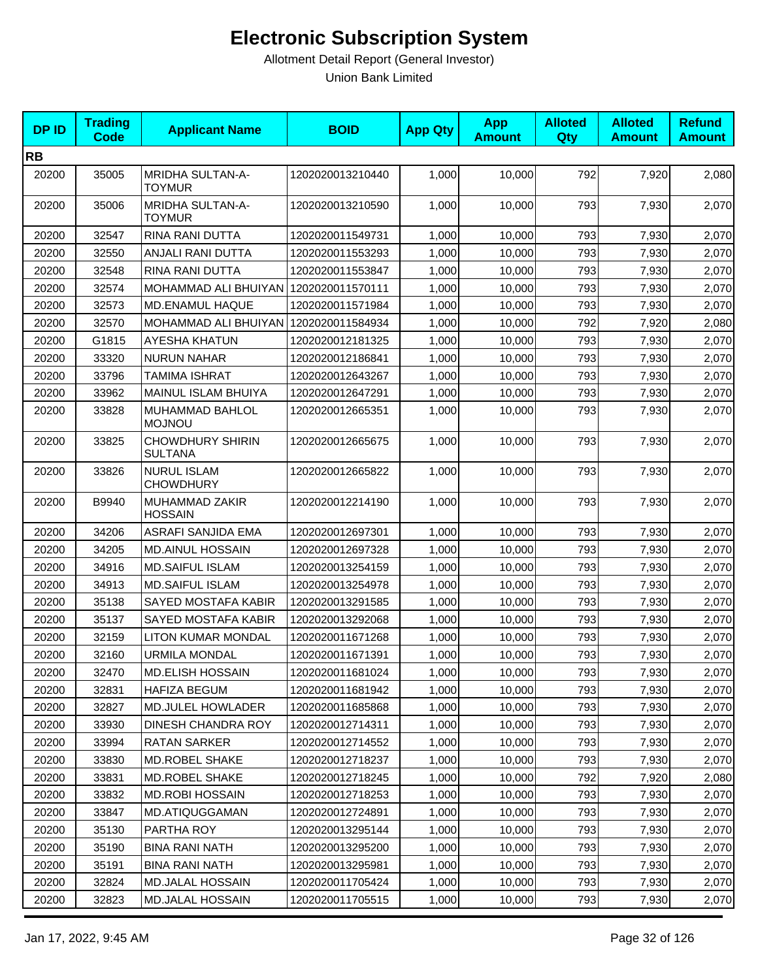| <b>DPID</b> | <b>Trading</b><br><b>Code</b> | <b>Applicant Name</b>                     | <b>BOID</b>      | <b>App Qty</b> | <b>App</b><br><b>Amount</b> | <b>Alloted</b><br><b>Qty</b> | <b>Alloted</b><br><b>Amount</b> | <b>Refund</b><br><b>Amount</b> |
|-------------|-------------------------------|-------------------------------------------|------------------|----------------|-----------------------------|------------------------------|---------------------------------|--------------------------------|
| <b>RB</b>   |                               |                                           |                  |                |                             |                              |                                 |                                |
| 20200       | 35005                         | MRIDHA SULTAN-A-<br><b>TOYMUR</b>         | 1202020013210440 | 1,000          | 10,000                      | 792                          | 7,920                           | 2,080                          |
| 20200       | 35006                         | <b>MRIDHA SULTAN-A-</b><br><b>TOYMUR</b>  | 1202020013210590 | 1,000          | 10,000                      | 793                          | 7,930                           | 2,070                          |
| 20200       | 32547                         | RINA RANI DUTTA                           | 1202020011549731 | 1,000          | 10,000                      | 793                          | 7,930                           | 2,070                          |
| 20200       | 32550                         | ANJALI RANI DUTTA                         | 1202020011553293 | 1,000          | 10,000                      | 793                          | 7,930                           | 2,070                          |
| 20200       | 32548                         | RINA RANI DUTTA                           | 1202020011553847 | 1,000          | 10.000                      | 793                          | 7,930                           | 2,070                          |
| 20200       | 32574                         | MOHAMMAD ALI BHUIYAN 1202020011570111     |                  | 1,000          | 10,000                      | 793                          | 7,930                           | 2,070                          |
| 20200       | 32573                         | <b>MD.ENAMUL HAQUE</b>                    | 1202020011571984 | 1,000          | 10,000                      | 793                          | 7,930                           | 2,070                          |
| 20200       | 32570                         | MOHAMMAD ALI BHUIYAN                      | 1202020011584934 | 1,000          | 10,000                      | 792                          | 7,920                           | 2,080                          |
| 20200       | G1815                         | AYESHA KHATUN                             | 1202020012181325 | 1,000          | 10,000                      | 793                          | 7,930                           | 2,070                          |
| 20200       | 33320                         | <b>NURUN NAHAR</b>                        | 1202020012186841 | 1,000          | 10,000                      | 793                          | 7,930                           | 2,070                          |
| 20200       | 33796                         | <b>TAMIMA ISHRAT</b>                      | 1202020012643267 | 1,000          | 10,000                      | 793                          | 7,930                           | 2,070                          |
| 20200       | 33962                         | MAINUL ISLAM BHUIYA                       | 1202020012647291 | 1,000          | 10,000                      | 793                          | 7,930                           | 2,070                          |
| 20200       | 33828                         | MUHAMMAD BAHLOL<br><b>MOJNOU</b>          | 1202020012665351 | 1,000          | 10,000                      | 793                          | 7,930                           | 2,070                          |
| 20200       | 33825                         | <b>CHOWDHURY SHIRIN</b><br><b>SULTANA</b> | 1202020012665675 | 1,000          | 10,000                      | 793                          | 7,930                           | 2,070                          |
| 20200       | 33826                         | <b>NURUL ISLAM</b><br><b>CHOWDHURY</b>    | 1202020012665822 | 1,000          | 10,000                      | 793                          | 7,930                           | 2,070                          |
| 20200       | B9940                         | MUHAMMAD ZAKIR<br><b>HOSSAIN</b>          | 1202020012214190 | 1,000          | 10,000                      | 793                          | 7,930                           | 2,070                          |
| 20200       | 34206                         | ASRAFI SANJIDA EMA                        | 1202020012697301 | 1,000          | 10,000                      | 793                          | 7,930                           | 2,070                          |
| 20200       | 34205                         | <b>MD.AINUL HOSSAIN</b>                   | 1202020012697328 | 1,000          | 10,000                      | 793                          | 7,930                           | 2,070                          |
| 20200       | 34916                         | <b>MD.SAIFUL ISLAM</b>                    | 1202020013254159 | 1,000          | 10,000                      | 793                          | 7,930                           | 2,070                          |
| 20200       | 34913                         | <b>MD.SAIFUL ISLAM</b>                    | 1202020013254978 | 1,000          | 10,000                      | 793                          | 7,930                           | 2,070                          |
| 20200       | 35138                         | SAYED MOSTAFA KABIR                       | 1202020013291585 | 1,000          | 10,000                      | 793                          | 7,930                           | 2,070                          |
| 20200       | 35137                         | SAYED MOSTAFA KABIR                       | 1202020013292068 | 1,000          | 10,000                      | 793                          | 7,930                           | 2,070                          |
| 20200       | 32159                         | LITON KUMAR MONDAL                        | 1202020011671268 | 1,000          | 10,000                      | 793                          | 7,930                           | 2,070                          |
| 20200       | 32160                         | <b>URMILA MONDAL</b>                      | 1202020011671391 | 1,000          | 10,000                      | 793                          | 7,930                           | 2,070                          |
| 20200       | 32470                         | <b>MD.ELISH HOSSAIN</b>                   | 1202020011681024 | 1,000          | 10,000                      | 793                          | 7,930                           | 2,070                          |
| 20200       | 32831                         | <b>HAFIZA BEGUM</b>                       | 1202020011681942 | 1,000          | 10,000                      | 793                          | 7,930                           | 2,070                          |
| 20200       | 32827                         | MD.JULEL HOWLADER                         | 1202020011685868 | 1,000          | 10,000                      | 793                          | 7,930                           | 2,070                          |
| 20200       | 33930                         | DINESH CHANDRA ROY                        | 1202020012714311 | 1,000          | 10,000                      | 793                          | 7,930                           | 2,070                          |
| 20200       | 33994                         | RATAN SARKER                              | 1202020012714552 | 1,000          | 10,000                      | 793                          | 7,930                           | 2,070                          |
| 20200       | 33830                         | MD.ROBEL SHAKE                            | 1202020012718237 | 1,000          | 10,000                      | 793                          | 7,930                           | 2,070                          |
| 20200       | 33831                         | MD.ROBEL SHAKE                            | 1202020012718245 | 1,000          | 10,000                      | 792                          | 7,920                           | 2,080                          |
| 20200       | 33832                         | <b>MD.ROBI HOSSAIN</b>                    | 1202020012718253 | 1,000          | 10,000                      | 793                          | 7,930                           | 2,070                          |
| 20200       | 33847                         | <b>MD.ATIQUGGAMAN</b>                     | 1202020012724891 | 1,000          | 10,000                      | 793                          | 7,930                           | 2,070                          |
| 20200       | 35130                         | PARTHA ROY                                | 1202020013295144 | 1,000          | 10,000                      | 793                          | 7,930                           | 2,070                          |
| 20200       | 35190                         | <b>BINA RANI NATH</b>                     | 1202020013295200 | 1,000          | 10,000                      | 793                          | 7,930                           | 2,070                          |
| 20200       | 35191                         | <b>BINA RANI NATH</b>                     | 1202020013295981 | 1,000          | 10,000                      | 793                          | 7,930                           | 2,070                          |
| 20200       | 32824                         | <b>MD.JALAL HOSSAIN</b>                   | 1202020011705424 | 1,000          | 10,000                      | 793                          | 7,930                           | 2,070                          |
| 20200       | 32823                         | <b>MD.JALAL HOSSAIN</b>                   | 1202020011705515 | 1,000          | 10,000                      | 793                          | 7,930                           | 2,070                          |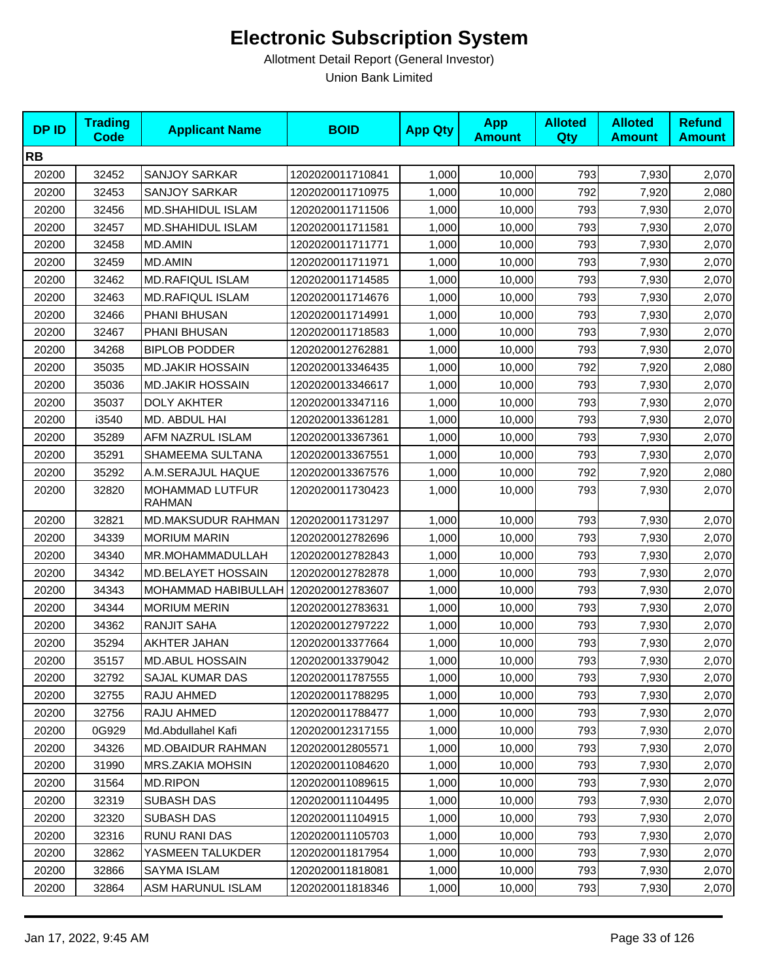| <b>DPID</b> | <b>Trading</b><br><b>Code</b> | <b>Applicant Name</b>                   | <b>BOID</b>      | <b>App Qty</b> | <b>App</b><br><b>Amount</b> | <b>Alloted</b><br>Qty | <b>Alloted</b><br><b>Amount</b> | <b>Refund</b><br><b>Amount</b> |
|-------------|-------------------------------|-----------------------------------------|------------------|----------------|-----------------------------|-----------------------|---------------------------------|--------------------------------|
| <b>RB</b>   |                               |                                         |                  |                |                             |                       |                                 |                                |
| 20200       | 32452                         | <b>SANJOY SARKAR</b>                    | 1202020011710841 | 1,000          | 10,000                      | 793                   | 7,930                           | 2,070                          |
| 20200       | 32453                         | <b>SANJOY SARKAR</b>                    | 1202020011710975 | 1,000          | 10,000                      | 792                   | 7,920                           | 2,080                          |
| 20200       | 32456                         | MD.SHAHIDUL ISLAM                       | 1202020011711506 | 1,000          | 10,000                      | 793                   | 7,930                           | 2,070                          |
| 20200       | 32457                         | MD.SHAHIDUL ISLAM                       | 1202020011711581 | 1,000          | 10,000                      | 793                   | 7,930                           | 2,070                          |
| 20200       | 32458                         | <b>MD.AMIN</b>                          | 1202020011711771 | 1,000          | 10,000                      | 793                   | 7,930                           | 2,070                          |
| 20200       | 32459                         | <b>MD.AMIN</b>                          | 1202020011711971 | 1,000          | 10,000                      | 793                   | 7,930                           | 2,070                          |
| 20200       | 32462                         | <b>MD.RAFIQUL ISLAM</b>                 | 1202020011714585 | 1,000          | 10,000                      | 793                   | 7,930                           | 2,070                          |
| 20200       | 32463                         | <b>MD.RAFIQUL ISLAM</b>                 | 1202020011714676 | 1,000          | 10,000                      | 793                   | 7,930                           | 2,070                          |
| 20200       | 32466                         | PHANI BHUSAN                            | 1202020011714991 | 1,000          | 10,000                      | 793                   | 7,930                           | 2,070                          |
| 20200       | 32467                         | PHANI BHUSAN                            | 1202020011718583 | 1,000          | 10,000                      | 793                   | 7,930                           | 2,070                          |
| 20200       | 34268                         | <b>BIPLOB PODDER</b>                    | 1202020012762881 | 1,000          | 10,000                      | 793                   | 7,930                           | 2,070                          |
| 20200       | 35035                         | <b>MD.JAKIR HOSSAIN</b>                 | 1202020013346435 | 1,000          | 10,000                      | 792                   | 7,920                           | 2,080                          |
| 20200       | 35036                         | <b>MD.JAKIR HOSSAIN</b>                 | 1202020013346617 | 1,000          | 10,000                      | 793                   | 7,930                           | 2,070                          |
| 20200       | 35037                         | <b>DOLY AKHTER</b>                      | 1202020013347116 | 1,000          | 10,000                      | 793                   | 7,930                           | 2,070                          |
| 20200       | i3540                         | MD. ABDUL HAI                           | 1202020013361281 | 1,000          | 10,000                      | 793                   | 7,930                           | 2,070                          |
| 20200       | 35289                         | AFM NAZRUL ISLAM                        | 1202020013367361 | 1,000          | 10,000                      | 793                   | 7,930                           | 2,070                          |
| 20200       | 35291                         | SHAMEEMA SULTANA                        | 1202020013367551 | 1,000          | 10,000                      | 793                   | 7,930                           | 2,070                          |
| 20200       | 35292                         | A.M.SERAJUL HAQUE                       | 1202020013367576 | 1,000          | 10,000                      | 792                   | 7,920                           | 2,080                          |
| 20200       | 32820                         | <b>MOHAMMAD LUTFUR</b><br><b>RAHMAN</b> | 1202020011730423 | 1,000          | 10,000                      | 793                   | 7,930                           | 2,070                          |
| 20200       | 32821                         | <b>MD.MAKSUDUR RAHMAN</b>               | 1202020011731297 | 1,000          | 10,000                      | 793                   | 7,930                           | 2,070                          |
| 20200       | 34339                         | <b>MORIUM MARIN</b>                     | 1202020012782696 | 1,000          | 10,000                      | 793                   | 7,930                           | 2,070                          |
| 20200       | 34340                         | MR.MOHAMMADULLAH                        | 1202020012782843 | 1,000          | 10,000                      | 793                   | 7,930                           | 2,070                          |
| 20200       | 34342                         | MD.BELAYET HOSSAIN                      | 1202020012782878 | 1,000          | 10,000                      | 793                   | 7,930                           | 2,070                          |
| 20200       | 34343                         | MOHAMMAD HABIBULLAH 1202020012783607    |                  | 1,000          | 10,000                      | 793                   | 7,930                           | 2,070                          |
| 20200       | 34344                         | <b>MORIUM MERIN</b>                     | 1202020012783631 | 1,000          | 10,000                      | 793                   | 7,930                           | 2,070                          |
| 20200       | 34362                         | <b>RANJIT SAHA</b>                      | 1202020012797222 | 1,000          | 10,000                      | 793                   | 7,930                           | 2,070                          |
| 20200       | 35294                         | AKHTER JAHAN                            | 1202020013377664 | 1,000          | 10,000                      | 793                   | 7,930                           | 2,070                          |
| 20200       | 35157                         | <b>MD.ABUL HOSSAIN</b>                  | 1202020013379042 | 1,000          | 10,000                      | 793                   | 7,930                           | 2,070                          |
| 20200       | 32792                         | SAJAL KUMAR DAS                         | 1202020011787555 | 1,000          | 10,000                      | 793                   | 7,930                           | 2,070                          |
| 20200       | 32755                         | RAJU AHMED                              | 1202020011788295 | 1,000          | 10,000                      | 793                   | 7,930                           | 2,070                          |
| 20200       | 32756                         | RAJU AHMED                              | 1202020011788477 | 1,000          | 10,000                      | 793                   | 7,930                           | 2,070                          |
| 20200       | 0G929                         | Md.Abdullahel Kafi                      | 1202020012317155 | 1,000          | 10,000                      | 793                   | 7,930                           | 2,070                          |
| 20200       | 34326                         | <b>MD.OBAIDUR RAHMAN</b>                | 1202020012805571 | 1,000          | 10,000                      | 793                   | 7,930                           | 2,070                          |
| 20200       | 31990                         | <b>MRS.ZAKIA MOHSIN</b>                 | 1202020011084620 | 1,000          | 10,000                      | 793                   | 7,930                           | 2,070                          |
| 20200       | 31564                         | <b>MD.RIPON</b>                         | 1202020011089615 | 1,000          | 10,000                      | 793                   | 7,930                           | 2,070                          |
| 20200       | 32319                         | SUBASH DAS                              | 1202020011104495 | 1,000          | 10,000                      | 793                   | 7,930                           | 2,070                          |
| 20200       | 32320                         | SUBASH DAS                              | 1202020011104915 | 1,000          | 10,000                      | 793                   | 7,930                           | 2,070                          |
| 20200       | 32316                         | RUNU RANI DAS                           | 1202020011105703 | 1,000          | 10,000                      | 793                   | 7,930                           | 2,070                          |
| 20200       | 32862                         | YASMEEN TALUKDER                        | 1202020011817954 | 1,000          | 10,000                      | 793                   | 7,930                           | 2,070                          |
| 20200       | 32866                         | SAYMA ISLAM                             | 1202020011818081 | 1,000          | 10,000                      | 793                   | 7,930                           | 2,070                          |
| 20200       | 32864                         | ASM HARUNUL ISLAM                       | 1202020011818346 | 1,000          | 10,000                      | 793                   | 7,930                           | 2,070                          |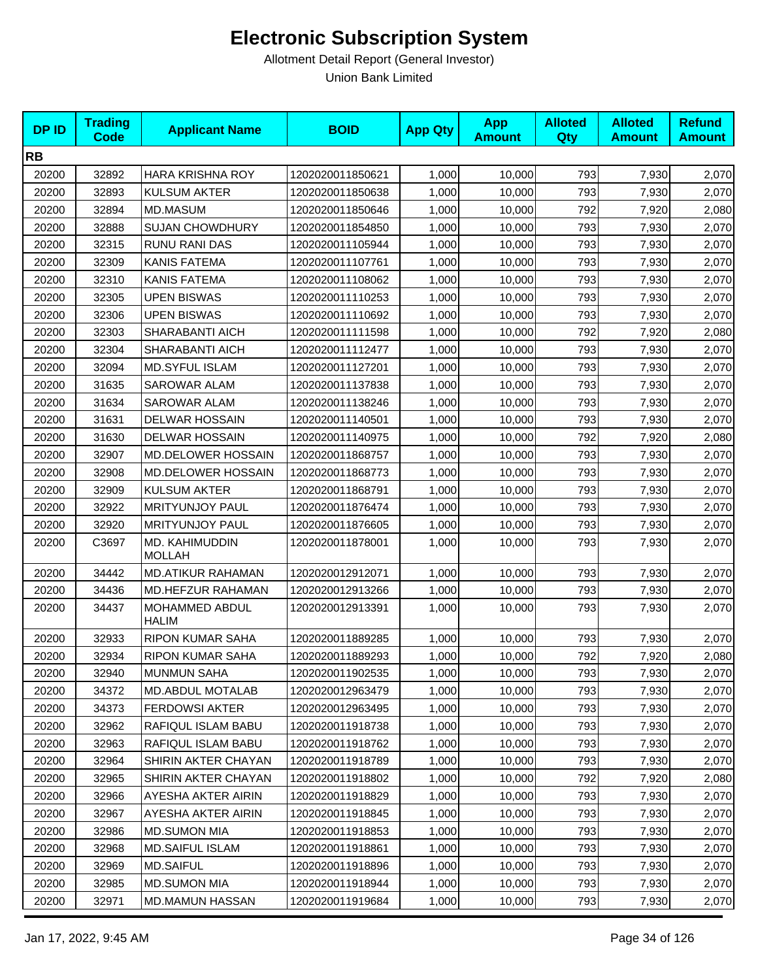| <b>DPID</b> | <b>Trading</b><br><b>Code</b> | <b>Applicant Name</b>           | <b>BOID</b>      | <b>App Qty</b> | <b>App</b><br><b>Amount</b> | <b>Alloted</b><br>Qty | <b>Alloted</b><br><b>Amount</b> | <b>Refund</b><br><b>Amount</b> |
|-------------|-------------------------------|---------------------------------|------------------|----------------|-----------------------------|-----------------------|---------------------------------|--------------------------------|
| <b>RB</b>   |                               |                                 |                  |                |                             |                       |                                 |                                |
| 20200       | 32892                         | <b>HARA KRISHNA ROY</b>         | 1202020011850621 | 1,000          | 10,000                      | 793                   | 7,930                           | 2,070                          |
| 20200       | 32893                         | <b>KULSUM AKTER</b>             | 1202020011850638 | 1,000          | 10.000                      | 793                   | 7,930                           | 2,070                          |
| 20200       | 32894                         | MD.MASUM                        | 1202020011850646 | 1,000          | 10,000                      | 792                   | 7,920                           | 2,080                          |
| 20200       | 32888                         | <b>SUJAN CHOWDHURY</b>          | 1202020011854850 | 1,000          | 10,000                      | 793                   | 7,930                           | 2,070                          |
| 20200       | 32315                         | RUNU RANI DAS                   | 1202020011105944 | 1,000          | 10,000                      | 793                   | 7,930                           | 2,070                          |
| 20200       | 32309                         | <b>KANIS FATEMA</b>             | 1202020011107761 | 1,000          | 10,000                      | 793                   | 7,930                           | 2,070                          |
| 20200       | 32310                         | <b>KANIS FATEMA</b>             | 1202020011108062 | 1,000          | 10,000                      | 793                   | 7,930                           | 2,070                          |
| 20200       | 32305                         | <b>UPEN BISWAS</b>              | 1202020011110253 | 1,000          | 10,000                      | 793                   | 7,930                           | 2,070                          |
| 20200       | 32306                         | <b>UPEN BISWAS</b>              | 1202020011110692 | 1,000          | 10,000                      | 793                   | 7,930                           | 2,070                          |
| 20200       | 32303                         | SHARABANTI AICH                 | 1202020011111598 | 1,000          | 10,000                      | 792                   | 7,920                           | 2,080                          |
| 20200       | 32304                         | SHARABANTI AICH                 | 1202020011112477 | 1,000          | 10,000                      | 793                   | 7,930                           | 2,070                          |
| 20200       | 32094                         | <b>MD.SYFUL ISLAM</b>           | 1202020011127201 | 1,000          | 10,000                      | 793                   | 7,930                           | 2,070                          |
| 20200       | 31635                         | <b>SAROWAR ALAM</b>             | 1202020011137838 | 1,000          | 10,000                      | 793                   | 7,930                           | 2,070                          |
| 20200       | 31634                         | SAROWAR ALAM                    | 1202020011138246 | 1,000          | 10,000                      | 793                   | 7,930                           | 2,070                          |
| 20200       | 31631                         | <b>DELWAR HOSSAIN</b>           | 1202020011140501 | 1,000          | 10,000                      | 793                   | 7,930                           | 2,070                          |
| 20200       | 31630                         | <b>DELWAR HOSSAIN</b>           | 1202020011140975 | 1,000          | 10,000                      | 792                   | 7,920                           | 2,080                          |
| 20200       | 32907                         | MD.DELOWER HOSSAIN              | 1202020011868757 | 1,000          | 10,000                      | 793                   | 7,930                           | 2,070                          |
| 20200       | 32908                         | MD.DELOWER HOSSAIN              | 1202020011868773 | 1,000          | 10,000                      | 793                   | 7,930                           | 2,070                          |
| 20200       | 32909                         | <b>KULSUM AKTER</b>             | 1202020011868791 | 1,000          | 10,000                      | 793                   | 7,930                           | 2,070                          |
| 20200       | 32922                         | <b>MRITYUNJOY PAUL</b>          | 1202020011876474 | 1,000          | 10,000                      | 793                   | 7,930                           | 2,070                          |
| 20200       | 32920                         | <b>MRITYUNJOY PAUL</b>          | 1202020011876605 | 1,000          | 10,000                      | 793                   | 7,930                           | 2,070                          |
| 20200       | C3697                         | MD. KAHIMUDDIN<br><b>MOLLAH</b> | 1202020011878001 | 1,000          | 10,000                      | 793                   | 7,930                           | 2,070                          |
| 20200       | 34442                         | <b>MD.ATIKUR RAHAMAN</b>        | 1202020012912071 | 1,000          | 10,000                      | 793                   | 7,930                           | 2,070                          |
| 20200       | 34436                         | MD.HEFZUR RAHAMAN               | 1202020012913266 | 1,000          | 10,000                      | 793                   | 7,930                           | 2,070                          |
| 20200       | 34437                         | MOHAMMED ABDUL<br><b>HALIM</b>  | 1202020012913391 | 1,000          | 10,000                      | 793                   | 7,930                           | 2,070                          |
| 20200       | 32933                         | <b>RIPON KUMAR SAHA</b>         | 1202020011889285 | 1,000          | 10,000                      | 793                   | 7,930                           | 2,070                          |
| 20200       | 32934                         | <b>RIPON KUMAR SAHA</b>         | 1202020011889293 | 1,000          | 10,000                      | 792                   | 7,920                           | 2,080                          |
| 20200       | 32940                         | <b>MUNMUN SAHA</b>              | 1202020011902535 | 1,000          | 10,000                      | 793                   | 7,930                           | 2,070                          |
| 20200       | 34372                         | <b>MD.ABDUL MOTALAB</b>         | 1202020012963479 | 1,000          | 10,000                      | 793                   | 7,930                           | 2,070                          |
| 20200       | 34373                         | <b>FERDOWSI AKTER</b>           | 1202020012963495 | 1,000          | 10,000                      | 793                   | 7,930                           | 2,070                          |
| 20200       | 32962                         | RAFIQUL ISLAM BABU              | 1202020011918738 | 1,000          | 10,000                      | 793                   | 7,930                           | 2,070                          |
| 20200       | 32963                         | RAFIQUL ISLAM BABU              | 1202020011918762 | 1,000          | 10,000                      | 793                   | 7,930                           | 2,070                          |
| 20200       | 32964                         | SHIRIN AKTER CHAYAN             | 1202020011918789 | 1,000          | 10,000                      | 793                   | 7,930                           | 2,070                          |
| 20200       | 32965                         | SHIRIN AKTER CHAYAN             | 1202020011918802 | 1,000          | 10,000                      | 792                   | 7,920                           | 2,080                          |
| 20200       | 32966                         | AYESHA AKTER AIRIN              | 1202020011918829 | 1,000          | 10,000                      | 793                   | 7,930                           | 2,070                          |
| 20200       | 32967                         | AYESHA AKTER AIRIN              | 1202020011918845 | 1,000          | 10,000                      | 793                   | 7,930                           | 2,070                          |
| 20200       | 32986                         | <b>MD.SUMON MIA</b>             | 1202020011918853 | 1,000          | 10,000                      | 793                   | 7,930                           | 2,070                          |
| 20200       | 32968                         | MD.SAIFUL ISLAM                 | 1202020011918861 | 1,000          | 10,000                      | 793                   | 7,930                           | 2,070                          |
| 20200       | 32969                         | <b>MD.SAIFUL</b>                | 1202020011918896 | 1,000          | 10,000                      | 793                   | 7,930                           | 2,070                          |
| 20200       | 32985                         | <b>MD.SUMON MIA</b>             | 1202020011918944 | 1,000          | 10,000                      | 793                   | 7,930                           | 2,070                          |
| 20200       | 32971                         | MD.MAMUN HASSAN                 | 1202020011919684 | 1,000          | 10,000                      | 793                   | 7,930                           | 2,070                          |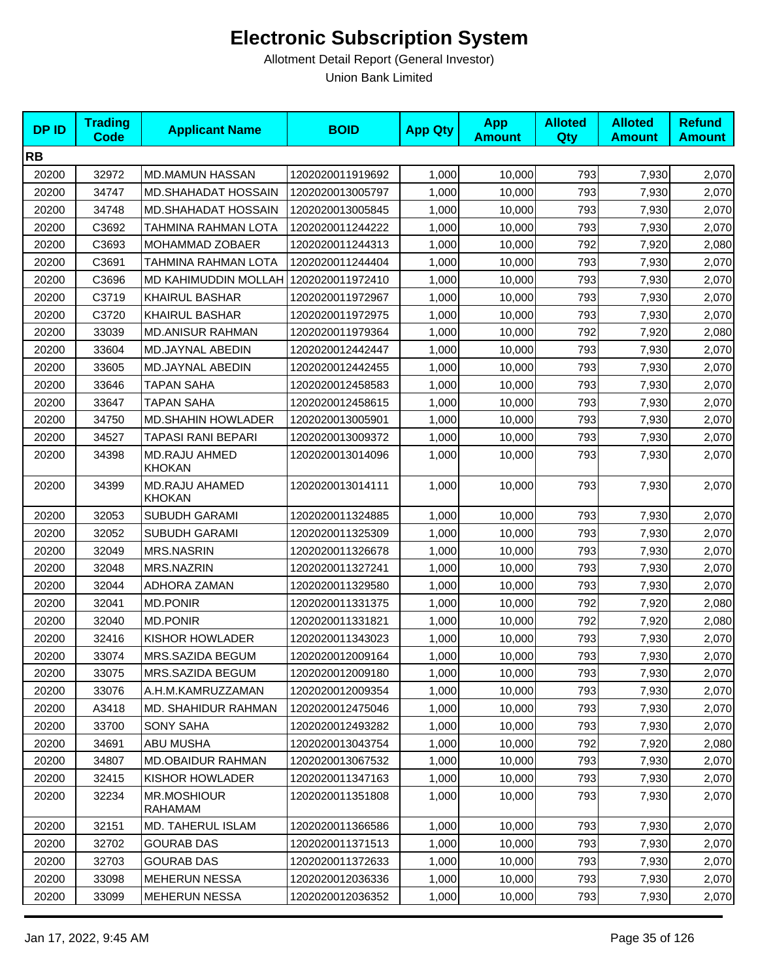| <b>DPID</b> | <b>Trading</b><br><b>Code</b> | <b>Applicant Name</b>                 | <b>BOID</b>      | <b>App Qty</b> | <b>App</b><br><b>Amount</b> | <b>Alloted</b><br>Qty | <b>Alloted</b><br><b>Amount</b> | <b>Refund</b><br><b>Amount</b> |
|-------------|-------------------------------|---------------------------------------|------------------|----------------|-----------------------------|-----------------------|---------------------------------|--------------------------------|
| <b>RB</b>   |                               |                                       |                  |                |                             |                       |                                 |                                |
| 20200       | 32972                         | <b>MD.MAMUN HASSAN</b>                | 1202020011919692 | 1,000          | 10,000                      | 793                   | 7,930                           | 2,070                          |
| 20200       | 34747                         | <b>MD.SHAHADAT HOSSAIN</b>            | 1202020013005797 | 1,000          | 10,000                      | 793                   | 7,930                           | 2,070                          |
| 20200       | 34748                         | <b>MD.SHAHADAT HOSSAIN</b>            | 1202020013005845 | 1,000          | 10,000                      | 793                   | 7,930                           | 2,070                          |
| 20200       | C3692                         | TAHMINA RAHMAN LOTA                   | 1202020011244222 | 1,000          | 10,000                      | 793                   | 7,930                           | 2,070                          |
| 20200       | C3693                         | MOHAMMAD ZOBAER                       | 1202020011244313 | 1,000          | 10,000                      | 792                   | 7,920                           | 2,080                          |
| 20200       | C3691                         | TAHMINA RAHMAN LOTA                   | 1202020011244404 | 1,000          | 10,000                      | 793                   | 7,930                           | 2,070                          |
| 20200       | C3696                         | MD KAHIMUDDIN MOLLAH 1202020011972410 |                  | 1,000          | 10,000                      | 793                   | 7,930                           | 2,070                          |
| 20200       | C3719                         | <b>KHAIRUL BASHAR</b>                 | 1202020011972967 | 1,000          | 10,000                      | 793                   | 7,930                           | 2,070                          |
| 20200       | C3720                         | <b>KHAIRUL BASHAR</b>                 | 1202020011972975 | 1,000          | 10,000                      | 793                   | 7,930                           | 2,070                          |
| 20200       | 33039                         | <b>MD.ANISUR RAHMAN</b>               | 1202020011979364 | 1,000          | 10,000                      | 792                   | 7,920                           | 2,080                          |
| 20200       | 33604                         | MD.JAYNAL ABEDIN                      | 1202020012442447 | 1,000          | 10,000                      | 793                   | 7,930                           | 2,070                          |
| 20200       | 33605                         | <b>MD.JAYNAL ABEDIN</b>               | 1202020012442455 | 1,000          | 10,000                      | 793                   | 7,930                           | 2,070                          |
| 20200       | 33646                         | <b>TAPAN SAHA</b>                     | 1202020012458583 | 1,000          | 10,000                      | 793                   | 7,930                           | 2,070                          |
| 20200       | 33647                         | <b>TAPAN SAHA</b>                     | 1202020012458615 | 1,000          | 10,000                      | 793                   | 7,930                           | 2,070                          |
| 20200       | 34750                         | <b>MD.SHAHIN HOWLADER</b>             | 1202020013005901 | 1,000          | 10,000                      | 793                   | 7,930                           | 2,070                          |
| 20200       | 34527                         | TAPASI RANI BEPARI                    | 1202020013009372 | 1,000          | 10,000                      | 793                   | 7,930                           | 2,070                          |
| 20200       | 34398                         | <b>MD.RAJU AHMED</b><br>KHOKAN        | 1202020013014096 | 1,000          | 10,000                      | 793                   | 7,930                           | 2,070                          |
| 20200       | 34399                         | MD.RAJU AHAMED<br><b>KHOKAN</b>       | 1202020013014111 | 1,000          | 10,000                      | 793                   | 7,930                           | 2,070                          |
| 20200       | 32053                         | <b>SUBUDH GARAMI</b>                  | 1202020011324885 | 1,000          | 10,000                      | 793                   | 7,930                           | 2,070                          |
| 20200       | 32052                         | SUBUDH GARAMI                         | 1202020011325309 | 1,000          | 10,000                      | 793                   | 7,930                           | 2,070                          |
| 20200       | 32049                         | <b>MRS.NASRIN</b>                     | 1202020011326678 | 1,000          | 10,000                      | 793                   | 7,930                           | 2,070                          |
| 20200       | 32048                         | <b>MRS.NAZRIN</b>                     | 1202020011327241 | 1,000          | 10,000                      | 793                   | 7,930                           | 2,070                          |
| 20200       | 32044                         | ADHORA ZAMAN                          | 1202020011329580 | 1,000          | 10,000                      | 793                   | 7,930                           | 2,070                          |
| 20200       | 32041                         | <b>MD.PONIR</b>                       | 1202020011331375 | 1,000          | 10,000                      | 792                   | 7,920                           | 2,080                          |
| 20200       | 32040                         | <b>MD.PONIR</b>                       | 1202020011331821 | 1,000          | 10,000                      | 792                   | 7,920                           | 2,080                          |
| 20200       | 32416                         | <b>KISHOR HOWLADER</b>                | 1202020011343023 | 1,000          | 10,000                      | 793                   | 7,930                           | 2,070                          |
| 20200       | 33074                         | MRS.SAZIDA BEGUM                      | 1202020012009164 | 1,000          | 10,000                      | 793                   | 7,930                           | 2,070                          |
| 20200       | 33075                         | MRS.SAZIDA BEGUM                      | 1202020012009180 | 1,000          | 10,000                      | 793                   | 7,930                           | 2,070                          |
| 20200       | 33076                         | A.H.M.KAMRUZZAMAN                     | 1202020012009354 | 1,000          | 10,000                      | 793                   | 7,930                           | 2,070                          |
| 20200       | A3418                         | <b>MD. SHAHIDUR RAHMAN</b>            | 1202020012475046 | 1,000          | 10,000                      | 793                   | 7,930                           | 2,070                          |
| 20200       | 33700                         | <b>SONY SAHA</b>                      | 1202020012493282 | 1,000          | 10,000                      | 793                   | 7,930                           | 2,070                          |
| 20200       | 34691                         | ABU MUSHA                             | 1202020013043754 | 1,000          | 10,000                      | 792                   | 7,920                           | 2,080                          |
| 20200       | 34807                         | <b>MD.OBAIDUR RAHMAN</b>              | 1202020013067532 | 1,000          | 10,000                      | 793                   | 7,930                           | 2,070                          |
| 20200       | 32415                         | <b>KISHOR HOWLADER</b>                | 1202020011347163 | 1,000          | 10,000                      | 793                   | 7,930                           | 2,070                          |
| 20200       | 32234                         | <b>MR.MOSHIOUR</b><br>RAHAMAM         | 1202020011351808 | 1,000          | 10,000                      | 793                   | 7,930                           | 2,070                          |
| 20200       | 32151                         | MD. TAHERUL ISLAM                     | 1202020011366586 | 1,000          | 10,000                      | 793                   | 7,930                           | 2,070                          |
| 20200       | 32702                         | <b>GOURAB DAS</b>                     | 1202020011371513 | 1,000          | 10,000                      | 793                   | 7,930                           | 2,070                          |
| 20200       | 32703                         | <b>GOURAB DAS</b>                     | 1202020011372633 | 1,000          | 10,000                      | 793                   | 7,930                           | 2,070                          |
| 20200       | 33098                         | MEHERUN NESSA                         | 1202020012036336 | 1,000          | 10,000                      | 793                   | 7,930                           | 2,070                          |
| 20200       | 33099                         | <b>MEHERUN NESSA</b>                  | 1202020012036352 | 1,000          | 10,000                      | 793                   | 7,930                           | 2,070                          |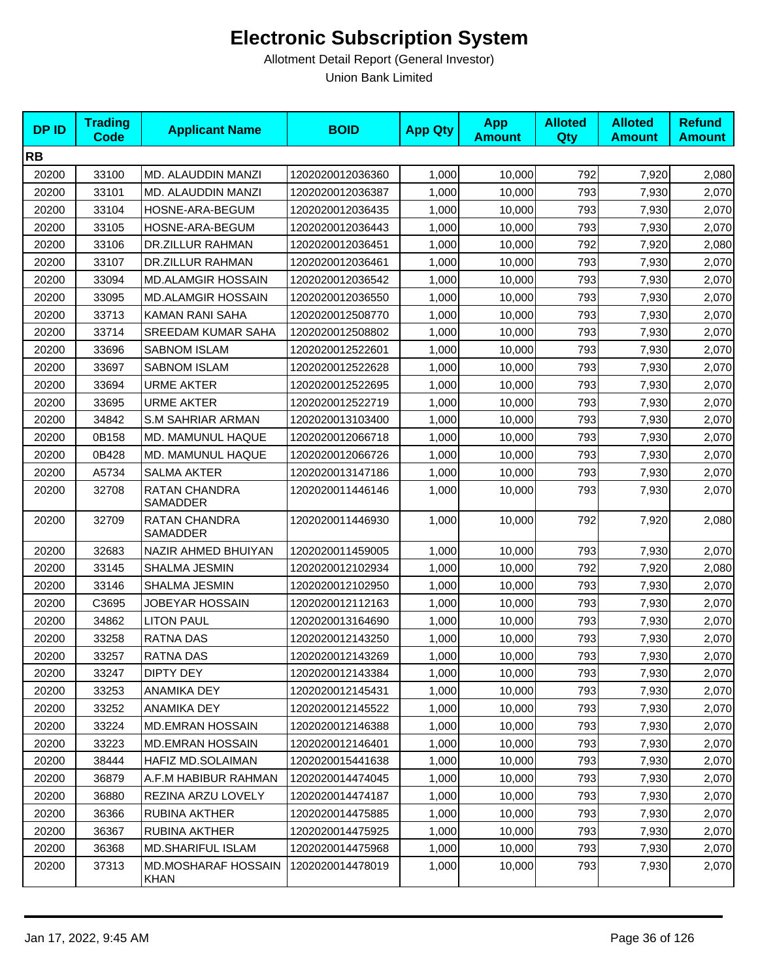| <b>DPID</b> | <b>Trading</b><br><b>Code</b> | <b>Applicant Name</b>                     | <b>BOID</b>      | <b>App Qty</b> | <b>App</b><br><b>Amount</b> | <b>Alloted</b><br>Qty | <b>Alloted</b><br><b>Amount</b> | <b>Refund</b><br><b>Amount</b> |
|-------------|-------------------------------|-------------------------------------------|------------------|----------------|-----------------------------|-----------------------|---------------------------------|--------------------------------|
| <b>RB</b>   |                               |                                           |                  |                |                             |                       |                                 |                                |
| 20200       | 33100                         | MD. ALAUDDIN MANZI                        | 1202020012036360 | 1,000          | 10,000                      | 792                   | 7,920                           | 2,080                          |
| 20200       | 33101                         | MD. ALAUDDIN MANZI                        | 1202020012036387 | 1,000          | 10,000                      | 793                   | 7,930                           | 2,070                          |
| 20200       | 33104                         | HOSNE-ARA-BEGUM                           | 1202020012036435 | 1,000          | 10,000                      | 793                   | 7,930                           | 2,070                          |
| 20200       | 33105                         | HOSNE-ARA-BEGUM                           | 1202020012036443 | 1,000          | 10,000                      | 793                   | 7,930                           | 2,070                          |
| 20200       | 33106                         | DR.ZILLUR RAHMAN                          | 1202020012036451 | 1,000          | 10,000                      | 792                   | 7,920                           | 2,080                          |
| 20200       | 33107                         | DR.ZILLUR RAHMAN                          | 1202020012036461 | 1,000          | 10,000                      | 793                   | 7,930                           | 2,070                          |
| 20200       | 33094                         | <b>MD.ALAMGIR HOSSAIN</b>                 | 1202020012036542 | 1,000          | 10,000                      | 793                   | 7,930                           | 2,070                          |
| 20200       | 33095                         | <b>MD.ALAMGIR HOSSAIN</b>                 | 1202020012036550 | 1,000          | 10,000                      | 793                   | 7,930                           | 2,070                          |
| 20200       | 33713                         | KAMAN RANI SAHA                           | 1202020012508770 | 1,000          | 10,000                      | 793                   | 7,930                           | 2,070                          |
| 20200       | 33714                         | SREEDAM KUMAR SAHA                        | 1202020012508802 | 1,000          | 10,000                      | 793                   | 7,930                           | 2,070                          |
| 20200       | 33696                         | <b>SABNOM ISLAM</b>                       | 1202020012522601 | 1,000          | 10,000                      | 793                   | 7,930                           | 2,070                          |
| 20200       | 33697                         | <b>SABNOM ISLAM</b>                       | 1202020012522628 | 1,000          | 10,000                      | 793                   | 7,930                           | 2,070                          |
| 20200       | 33694                         | <b>URME AKTER</b>                         | 1202020012522695 | 1,000          | 10,000                      | 793                   | 7,930                           | 2,070                          |
| 20200       | 33695                         | <b>URME AKTER</b>                         | 1202020012522719 | 1,000          | 10,000                      | 793                   | 7,930                           | 2,070                          |
| 20200       | 34842                         | <b>S.M SAHRIAR ARMAN</b>                  | 1202020013103400 | 1,000          | 10,000                      | 793                   | 7,930                           | 2,070                          |
| 20200       | 0B158                         | MD. MAMUNUL HAQUE                         | 1202020012066718 | 1,000          | 10,000                      | 793                   | 7,930                           | 2,070                          |
| 20200       | 0B428                         | MD. MAMUNUL HAQUE                         | 1202020012066726 | 1,000          | 10,000                      | 793                   | 7,930                           | 2,070                          |
| 20200       | A5734                         | <b>SALMA AKTER</b>                        | 1202020013147186 | 1,000          | 10,000                      | 793                   | 7,930                           | 2,070                          |
| 20200       | 32708                         | RATAN CHANDRA<br>SAMADDER                 | 1202020011446146 | 1,000          | 10,000                      | 793                   | 7,930                           | 2,070                          |
| 20200       | 32709                         | RATAN CHANDRA<br>SAMADDER                 | 1202020011446930 | 1,000          | 10,000                      | 792                   | 7,920                           | 2,080                          |
| 20200       | 32683                         | NAZIR AHMED BHUIYAN                       | 1202020011459005 | 1,000          | 10,000                      | 793                   | 7,930                           | 2,070                          |
| 20200       | 33145                         | SHALMA JESMIN                             | 1202020012102934 | 1,000          | 10,000                      | 792                   | 7,920                           | 2,080                          |
| 20200       | 33146                         | SHALMA JESMIN                             | 1202020012102950 | 1,000          | 10,000                      | 793                   | 7,930                           | 2,070                          |
| 20200       | C3695                         | JOBEYAR HOSSAIN                           | 1202020012112163 | 1,000          | 10,000                      | 793                   | 7,930                           | 2,070                          |
| 20200       | 34862                         | <b>LITON PAUL</b>                         | 1202020013164690 | 1,000          | 10,000                      | 793                   | 7,930                           | 2,070                          |
| 20200       | 33258                         | <b>RATNA DAS</b>                          | 1202020012143250 | 1,000          | 10,000                      | 793                   | 7,930                           | 2,070                          |
| 20200       | 33257                         | <b>RATNA DAS</b>                          | 1202020012143269 | 1,000          | 10,000                      | 793                   | 7,930                           | 2,070                          |
| 20200       | 33247                         | <b>DIPTY DEY</b>                          | 1202020012143384 | 1,000          | 10,000                      | 793                   | 7,930                           | 2,070                          |
| 20200       | 33253                         | ANAMIKA DEY                               | 1202020012145431 | 1,000          | 10,000                      | 793                   | 7,930                           | 2,070                          |
| 20200       | 33252                         | ANAMIKA DEY                               | 1202020012145522 | 1,000          | 10,000                      | 793                   | 7,930                           | 2,070                          |
| 20200       | 33224                         | <b>MD.EMRAN HOSSAIN</b>                   | 1202020012146388 | 1,000          | 10,000                      | 793                   | 7,930                           | 2,070                          |
| 20200       | 33223                         | <b>MD.EMRAN HOSSAIN</b>                   | 1202020012146401 | 1,000          | 10,000                      | 793                   | 7,930                           | 2,070                          |
| 20200       | 38444                         | HAFIZ MD.SOLAIMAN                         | 1202020015441638 | 1,000          | 10,000                      | 793                   | 7,930                           | 2,070                          |
| 20200       | 36879                         | A.F.M HABIBUR RAHMAN                      | 1202020014474045 | 1,000          | 10,000                      | 793                   | 7,930                           | 2,070                          |
| 20200       | 36880                         | REZINA ARZU LOVELY                        | 1202020014474187 | 1,000          | 10,000                      | 793                   | 7,930                           | 2,070                          |
| 20200       | 36366                         | RUBINA AKTHER                             | 1202020014475885 | 1,000          | 10,000                      | 793                   | 7,930                           | 2,070                          |
| 20200       | 36367                         | RUBINA AKTHER                             | 1202020014475925 | 1,000          | 10,000                      | 793                   | 7,930                           | 2,070                          |
| 20200       | 36368                         | <b>MD.SHARIFUL ISLAM</b>                  | 1202020014475968 | 1,000          | 10,000                      | 793                   | 7,930                           | 2,070                          |
| 20200       | 37313                         | <b>MD.MOSHARAF HOSSAIN</b><br><b>KHAN</b> | 1202020014478019 | 1,000          | 10,000                      | 793                   | 7,930                           | 2,070                          |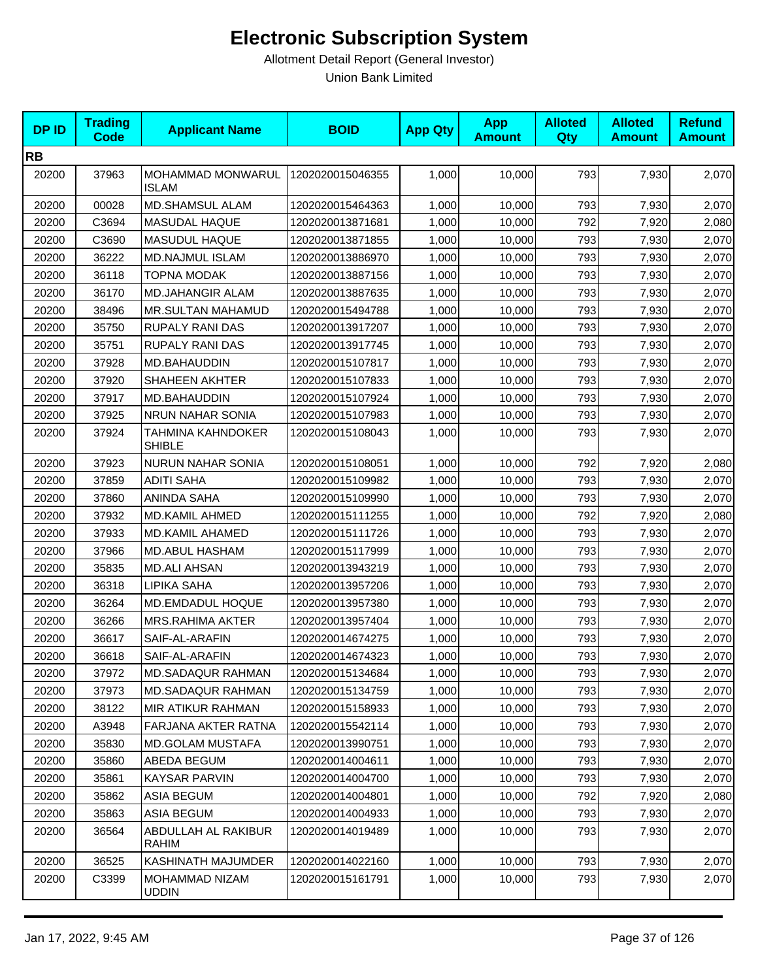| <b>DPID</b> | <b>Trading</b><br><b>Code</b> | <b>Applicant Name</b>              | <b>BOID</b>      | <b>App Qty</b> | <b>App</b><br><b>Amount</b> | <b>Alloted</b><br>Qty | <b>Alloted</b><br><b>Amount</b> | <b>Refund</b><br><b>Amount</b> |
|-------------|-------------------------------|------------------------------------|------------------|----------------|-----------------------------|-----------------------|---------------------------------|--------------------------------|
| <b>RB</b>   |                               |                                    |                  |                |                             |                       |                                 |                                |
| 20200       | 37963                         | MOHAMMAD MONWARUL<br><b>ISLAM</b>  | 1202020015046355 | 1,000          | 10,000                      | 793                   | 7,930                           | 2,070                          |
| 20200       | 00028                         | <b>MD.SHAMSUL ALAM</b>             | 1202020015464363 | 1,000          | 10,000                      | 793                   | 7,930                           | 2,070                          |
| 20200       | C3694                         | MASUDAL HAQUE                      | 1202020013871681 | 1,000          | 10,000                      | 792                   | 7,920                           | 2,080                          |
| 20200       | C3690                         | MASUDUL HAQUE                      | 1202020013871855 | 1,000          | 10,000                      | 793                   | 7,930                           | 2,070                          |
| 20200       | 36222                         | MD.NAJMUL ISLAM                    | 1202020013886970 | 1,000          | 10,000                      | 793                   | 7,930                           | 2,070                          |
| 20200       | 36118                         | <b>TOPNA MODAK</b>                 | 1202020013887156 | 1,000          | 10,000                      | 793                   | 7,930                           | 2,070                          |
| 20200       | 36170                         | <b>MD.JAHANGIR ALAM</b>            | 1202020013887635 | 1,000          | 10,000                      | 793                   | 7,930                           | 2,070                          |
| 20200       | 38496                         | MR.SULTAN MAHAMUD                  | 1202020015494788 | 1,000          | 10,000                      | 793                   | 7,930                           | 2,070                          |
| 20200       | 35750                         | RUPALY RANI DAS                    | 1202020013917207 | 1,000          | 10,000                      | 793                   | 7,930                           | 2,070                          |
| 20200       | 35751                         | <b>RUPALY RANI DAS</b>             | 1202020013917745 | 1,000          | 10,000                      | 793                   | 7,930                           | 2,070                          |
| 20200       | 37928                         | MD.BAHAUDDIN                       | 1202020015107817 | 1,000          | 10,000                      | 793                   | 7,930                           | 2,070                          |
| 20200       | 37920                         | SHAHEEN AKHTER                     | 1202020015107833 | 1,000          | 10,000                      | 793                   | 7,930                           | 2,070                          |
| 20200       | 37917                         | MD.BAHAUDDIN                       | 1202020015107924 | 1,000          | 10,000                      | 793                   | 7,930                           | 2,070                          |
| 20200       | 37925                         | NRUN NAHAR SONIA                   | 1202020015107983 | 1,000          | 10,000                      | 793                   | 7,930                           | 2,070                          |
| 20200       | 37924                         | TAHMINA KAHNDOKER<br><b>SHIBLE</b> | 1202020015108043 | 1,000          | 10,000                      | 793                   | 7,930                           | 2,070                          |
| 20200       | 37923                         | <b>NURUN NAHAR SONIA</b>           | 1202020015108051 | 1,000          | 10,000                      | 792                   | 7,920                           | 2,080                          |
| 20200       | 37859                         | <b>ADITI SAHA</b>                  | 1202020015109982 | 1,000          | 10,000                      | 793                   | 7,930                           | 2,070                          |
| 20200       | 37860                         | <b>ANINDA SAHA</b>                 | 1202020015109990 | 1,000          | 10,000                      | 793                   | 7,930                           | 2,070                          |
| 20200       | 37932                         | <b>MD.KAMIL AHMED</b>              | 1202020015111255 | 1,000          | 10,000                      | 792                   | 7,920                           | 2,080                          |
| 20200       | 37933                         | MD.KAMIL AHAMED                    | 1202020015111726 | 1,000          | 10,000                      | 793                   | 7,930                           | 2,070                          |
| 20200       | 37966                         | MD.ABUL HASHAM                     | 1202020015117999 | 1,000          | 10,000                      | 793                   | 7,930                           | 2,070                          |
| 20200       | 35835                         | <b>MD.ALI AHSAN</b>                | 1202020013943219 | 1,000          | 10,000                      | 793                   | 7,930                           | 2,070                          |
| 20200       | 36318                         | LIPIKA SAHA                        | 1202020013957206 | 1,000          | 10,000                      | 793                   | 7,930                           | 2,070                          |
| 20200       | 36264                         | MD.EMDADUL HOQUE                   | 1202020013957380 | 1,000          | 10,000                      | 793                   | 7,930                           | 2,070                          |
| 20200       | 36266                         | <b>MRS.RAHIMA AKTER</b>            | 1202020013957404 | 1,000          | 10,000                      | 793                   | 7,930                           | 2,070                          |
| 20200       | 36617                         | SAIF-AL-ARAFIN                     | 1202020014674275 | 1,000          | 10,000                      | 793                   | 7,930                           | 2,070                          |
| 20200       | 36618                         | SAIF-AL-ARAFIN                     | 1202020014674323 | 1,000          | 10,000                      | 793                   | 7,930                           | 2,070                          |
| 20200       | 37972                         | MD.SADAQUR RAHMAN                  | 1202020015134684 | 1,000          | 10,000                      | 793                   | 7,930                           | 2,070                          |
| 20200       | 37973                         | <b>MD.SADAQUR RAHMAN</b>           | 1202020015134759 | 1,000          | 10,000                      | 793                   | 7,930                           | 2,070                          |
| 20200       | 38122                         | <b>MIR ATIKUR RAHMAN</b>           | 1202020015158933 | 1,000          | 10,000                      | 793                   | 7,930                           | 2,070                          |
| 20200       | A3948                         | FARJANA AKTER RATNA                | 1202020015542114 | 1,000          | 10,000                      | 793                   | 7,930                           | 2,070                          |
| 20200       | 35830                         | <b>MD.GOLAM MUSTAFA</b>            | 1202020013990751 | 1,000          | 10,000                      | 793                   | 7,930                           | 2,070                          |
| 20200       | 35860                         | ABEDA BEGUM                        | 1202020014004611 | 1,000          | 10,000                      | 793                   | 7,930                           | 2,070                          |
| 20200       | 35861                         | <b>KAYSAR PARVIN</b>               | 1202020014004700 | 1,000          | 10,000                      | 793                   | 7,930                           | 2,070                          |
| 20200       | 35862                         | <b>ASIA BEGUM</b>                  | 1202020014004801 | 1,000          | 10,000                      | 792                   | 7,920                           | 2,080                          |
| 20200       | 35863                         | <b>ASIA BEGUM</b>                  | 1202020014004933 | 1,000          | 10,000                      | 793                   | 7,930                           | 2,070                          |
| 20200       | 36564                         | ABDULLAH AL RAKIBUR<br>RAHIM       | 1202020014019489 | 1,000          | 10,000                      | 793                   | 7,930                           | 2,070                          |
| 20200       | 36525                         | KASHINATH MAJUMDER                 | 1202020014022160 | 1,000          | 10,000                      | 793                   | 7,930                           | 2,070                          |
| 20200       | C3399                         | MOHAMMAD NIZAM<br><b>UDDIN</b>     | 1202020015161791 | 1,000          | 10,000                      | 793                   | 7,930                           | 2,070                          |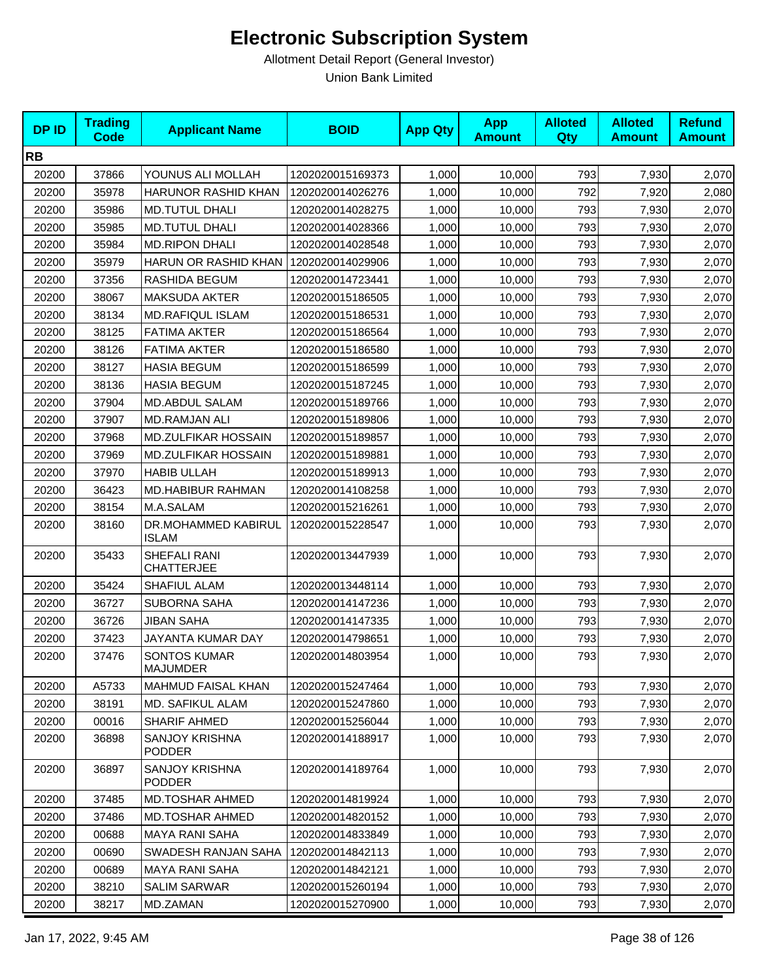| <b>DPID</b> | <b>Trading</b><br><b>Code</b> | <b>Applicant Name</b>                  | <b>BOID</b>      | <b>App Qty</b> | <b>App</b><br><b>Amount</b> | <b>Alloted</b><br>Qty | <b>Alloted</b><br><b>Amount</b> | <b>Refund</b><br><b>Amount</b> |
|-------------|-------------------------------|----------------------------------------|------------------|----------------|-----------------------------|-----------------------|---------------------------------|--------------------------------|
| <b>RB</b>   |                               |                                        |                  |                |                             |                       |                                 |                                |
| 20200       | 37866                         | YOUNUS ALI MOLLAH                      | 1202020015169373 | 1,000          | 10,000                      | 793                   | 7,930                           | 2,070                          |
| 20200       | 35978                         | HARUNOR RASHID KHAN                    | 1202020014026276 | 1,000          | 10,000                      | 792                   | 7,920                           | 2,080                          |
| 20200       | 35986                         | <b>MD.TUTUL DHALI</b>                  | 1202020014028275 | 1,000          | 10,000                      | 793                   | 7,930                           | 2,070                          |
| 20200       | 35985                         | <b>MD.TUTUL DHALI</b>                  | 1202020014028366 | 1,000          | 10,000                      | 793                   | 7,930                           | 2,070                          |
| 20200       | 35984                         | <b>MD.RIPON DHALI</b>                  | 1202020014028548 | 1,000          | 10,000                      | 793                   | 7,930                           | 2,070                          |
| 20200       | 35979                         | HARUN OR RASHID KHAN                   | 1202020014029906 | 1,000          | 10,000                      | 793                   | 7,930                           | 2,070                          |
| 20200       | 37356                         | RASHIDA BEGUM                          | 1202020014723441 | 1,000          | 10,000                      | 793                   | 7,930                           | 2,070                          |
| 20200       | 38067                         | <b>MAKSUDA AKTER</b>                   | 1202020015186505 | 1,000          | 10,000                      | 793                   | 7,930                           | 2,070                          |
| 20200       | 38134                         | <b>MD.RAFIQUL ISLAM</b>                | 1202020015186531 | 1,000          | 10,000                      | 793                   | 7,930                           | 2,070                          |
| 20200       | 38125                         | <b>FATIMA AKTER</b>                    | 1202020015186564 | 1,000          | 10,000                      | 793                   | 7,930                           | 2,070                          |
| 20200       | 38126                         | <b>FATIMA AKTER</b>                    | 1202020015186580 | 1,000          | 10,000                      | 793                   | 7,930                           | 2,070                          |
| 20200       | 38127                         | <b>HASIA BEGUM</b>                     | 1202020015186599 | 1,000          | 10,000                      | 793                   | 7,930                           | 2,070                          |
| 20200       | 38136                         | <b>HASIA BEGUM</b>                     | 1202020015187245 | 1,000          | 10,000                      | 793                   | 7,930                           | 2,070                          |
| 20200       | 37904                         | MD.ABDUL SALAM                         | 1202020015189766 | 1,000          | 10,000                      | 793                   | 7,930                           | 2,070                          |
| 20200       | 37907                         | <b>MD.RAMJAN ALI</b>                   | 1202020015189806 | 1,000          | 10,000                      | 793                   | 7,930                           | 2,070                          |
| 20200       | 37968                         | MD.ZULFIKAR HOSSAIN                    | 1202020015189857 | 1,000          | 10,000                      | 793                   | 7,930                           | 2,070                          |
| 20200       | 37969                         | <b>MD.ZULFIKAR HOSSAIN</b>             | 1202020015189881 | 1,000          | 10,000                      | 793                   | 7,930                           | 2,070                          |
| 20200       | 37970                         | <b>HABIB ULLAH</b>                     | 1202020015189913 | 1,000          | 10,000                      | 793                   | 7,930                           | 2,070                          |
| 20200       | 36423                         | MD.HABIBUR RAHMAN                      | 1202020014108258 | 1,000          | 10,000                      | 793                   | 7,930                           | 2,070                          |
| 20200       | 38154                         | M.A.SALAM                              | 1202020015216261 | 1,000          | 10,000                      | 793                   | 7,930                           | 2,070                          |
| 20200       | 38160                         | DR.MOHAMMED KABIRUL<br><b>ISLAM</b>    | 1202020015228547 | 1,000          | 10,000                      | 793                   | 7,930                           | 2,070                          |
| 20200       | 35433                         | SHEFALI RANI<br><b>CHATTERJEE</b>      | 1202020013447939 | 1,000          | 10,000                      | 793                   | 7,930                           | 2,070                          |
| 20200       | 35424                         | <b>SHAFIUL ALAM</b>                    | 1202020013448114 | 1,000          | 10,000                      | 793                   | 7,930                           | 2,070                          |
| 20200       | 36727                         | <b>SUBORNA SAHA</b>                    | 1202020014147236 | 1,000          | 10,000                      | 793                   | 7,930                           | 2,070                          |
| 20200       | 36726                         | <b>JIBAN SAHA</b>                      | 1202020014147335 | 1,000          | 10,000                      | 793                   | 7,930                           | 2,070                          |
| 20200       | 37423                         | JAYANTA KUMAR DAY                      | 1202020014798651 | 1,000          | 10,000                      | 793                   | 7,930                           | 2,070                          |
| 20200       | 37476                         | <b>SONTOS KUMAR</b><br><b>MAJUMDER</b> | 1202020014803954 | 1,000          | 10,000                      | 793                   | 7,930                           | 2,070                          |
| 20200       | A5733                         | <b>MAHMUD FAISAL KHAN</b>              | 1202020015247464 | 1,000          | 10,000                      | 793                   | 7,930                           | 2,070                          |
| 20200       | 38191                         | <b>MD. SAFIKUL ALAM</b>                | 1202020015247860 | 1,000          | 10,000                      | 793                   | 7,930                           | 2,070                          |
| 20200       | 00016                         | <b>SHARIF AHMED</b>                    | 1202020015256044 | 1,000          | 10,000                      | 793                   | 7,930                           | 2,070                          |
| 20200       | 36898                         | <b>SANJOY KRISHNA</b><br><b>PODDER</b> | 1202020014188917 | 1,000          | 10,000                      | 793                   | 7,930                           | 2,070                          |
| 20200       | 36897                         | <b>SANJOY KRISHNA</b><br><b>PODDER</b> | 1202020014189764 | 1,000          | 10,000                      | 793                   | 7,930                           | 2,070                          |
| 20200       | 37485                         | MD.TOSHAR AHMED                        | 1202020014819924 | 1,000          | 10,000                      | 793                   | 7,930                           | 2,070                          |
| 20200       | 37486                         | <b>MD.TOSHAR AHMED</b>                 | 1202020014820152 | 1,000          | 10,000                      | 793                   | 7,930                           | 2,070                          |
| 20200       | 00688                         | <b>MAYA RANI SAHA</b>                  | 1202020014833849 | 1,000          | 10,000                      | 793                   | 7,930                           | 2,070                          |
| 20200       | 00690                         | SWADESH RANJAN SAHA                    | 1202020014842113 | 1,000          | 10,000                      | 793                   | 7,930                           | 2,070                          |
| 20200       | 00689                         | <b>MAYA RANI SAHA</b>                  | 1202020014842121 | 1,000          | 10,000                      | 793                   | 7,930                           | 2,070                          |
| 20200       | 38210                         | <b>SALIM SARWAR</b>                    | 1202020015260194 | 1,000          | 10,000                      | 793                   | 7,930                           | 2,070                          |
| 20200       | 38217                         | MD.ZAMAN                               | 1202020015270900 | 1,000          | 10,000                      | 793                   | 7,930                           | 2,070                          |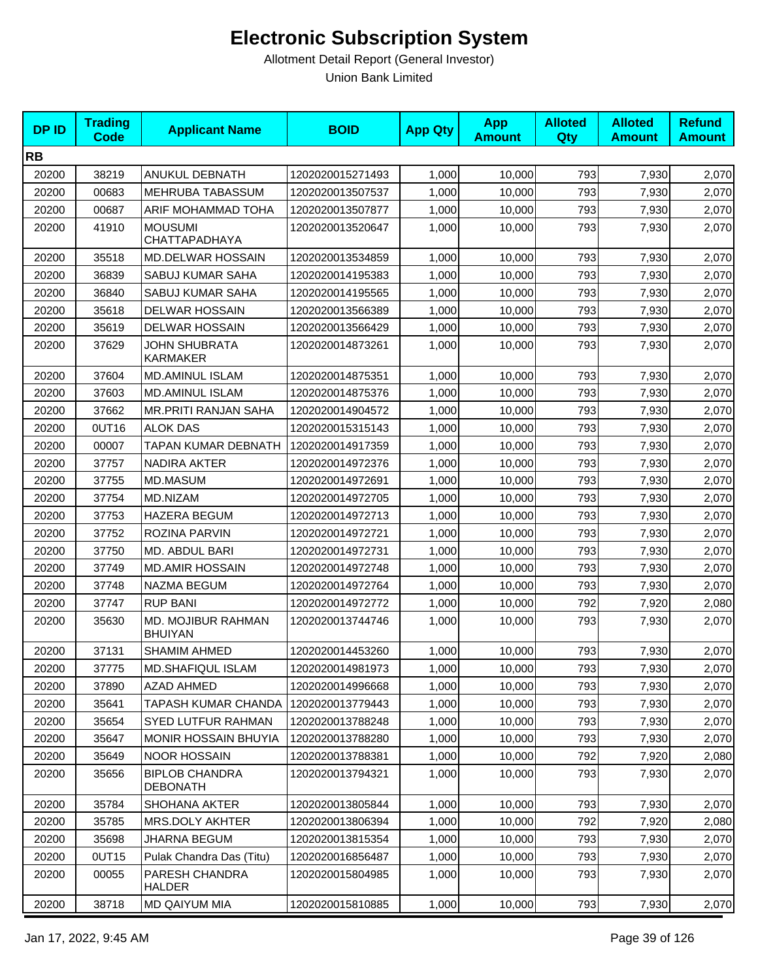| <b>DPID</b> | <b>Trading</b><br><b>Code</b> | <b>Applicant Name</b>                    | <b>BOID</b>      | <b>App Qty</b> | <b>App</b><br><b>Amount</b> | <b>Alloted</b><br>Qty | <b>Alloted</b><br><b>Amount</b> | <b>Refund</b><br><b>Amount</b> |
|-------------|-------------------------------|------------------------------------------|------------------|----------------|-----------------------------|-----------------------|---------------------------------|--------------------------------|
| <b>RB</b>   |                               |                                          |                  |                |                             |                       |                                 |                                |
| 20200       | 38219                         | ANUKUL DEBNATH                           | 1202020015271493 | 1,000          | 10,000                      | 793                   | 7,930                           | 2,070                          |
| 20200       | 00683                         | MEHRUBA TABASSUM                         | 1202020013507537 | 1,000          | 10,000                      | 793                   | 7,930                           | 2,070                          |
| 20200       | 00687                         | ARIF MOHAMMAD TOHA                       | 1202020013507877 | 1,000          | 10,000                      | 793                   | 7,930                           | 2,070                          |
| 20200       | 41910                         | <b>MOUSUMI</b><br><b>CHATTAPADHAYA</b>   | 1202020013520647 | 1,000          | 10,000                      | 793                   | 7,930                           | 2,070                          |
| 20200       | 35518                         | <b>MD.DELWAR HOSSAIN</b>                 | 1202020013534859 | 1,000          | 10,000                      | 793                   | 7,930                           | 2,070                          |
| 20200       | 36839                         | SABUJ KUMAR SAHA                         | 1202020014195383 | 1,000          | 10,000                      | 793                   | 7,930                           | 2,070                          |
| 20200       | 36840                         | SABUJ KUMAR SAHA                         | 1202020014195565 | 1,000          | 10,000                      | 793                   | 7,930                           | 2,070                          |
| 20200       | 35618                         | <b>DELWAR HOSSAIN</b>                    | 1202020013566389 | 1,000          | 10,000                      | 793                   | 7,930                           | 2,070                          |
| 20200       | 35619                         | <b>DELWAR HOSSAIN</b>                    | 1202020013566429 | 1,000          | 10,000                      | 793                   | 7,930                           | 2,070                          |
| 20200       | 37629                         | <b>JOHN SHUBRATA</b><br>KARMAKER         | 1202020014873261 | 1,000          | 10,000                      | 793                   | 7,930                           | 2,070                          |
| 20200       | 37604                         | <b>MD.AMINUL ISLAM</b>                   | 1202020014875351 | 1,000          | 10,000                      | 793                   | 7,930                           | 2,070                          |
| 20200       | 37603                         | MD.AMINUL ISLAM                          | 1202020014875376 | 1,000          | 10,000                      | 793                   | 7,930                           | 2,070                          |
| 20200       | 37662                         | MR.PRITI RANJAN SAHA                     | 1202020014904572 | 1,000          | 10,000                      | 793                   | 7,930                           | 2,070                          |
| 20200       | OUT16                         | <b>ALOK DAS</b>                          | 1202020015315143 | 1,000          | 10,000                      | 793                   | 7,930                           | 2,070                          |
| 20200       | 00007                         | TAPAN KUMAR DEBNATH                      | 1202020014917359 | 1,000          | 10,000                      | 793                   | 7,930                           | 2,070                          |
| 20200       | 37757                         | NADIRA AKTER                             | 1202020014972376 | 1,000          | 10,000                      | 793                   | 7,930                           | 2,070                          |
| 20200       | 37755                         | <b>MD.MASUM</b>                          | 1202020014972691 | 1,000          | 10,000                      | 793                   | 7,930                           | 2,070                          |
| 20200       | 37754                         | MD.NIZAM                                 | 1202020014972705 | 1,000          | 10,000                      | 793                   | 7,930                           | 2,070                          |
| 20200       | 37753                         | <b>HAZERA BEGUM</b>                      | 1202020014972713 | 1,000          | 10,000                      | 793                   | 7,930                           | 2,070                          |
| 20200       | 37752                         | ROZINA PARVIN                            | 1202020014972721 | 1,000          | 10,000                      | 793                   | 7,930                           | 2,070                          |
| 20200       | 37750                         | MD. ABDUL BARI                           | 1202020014972731 | 1,000          | 10,000                      | 793                   | 7,930                           | 2,070                          |
| 20200       | 37749                         | <b>MD.AMIR HOSSAIN</b>                   | 1202020014972748 | 1,000          | 10,000                      | 793                   | 7,930                           | 2,070                          |
| 20200       | 37748                         | NAZMA BEGUM                              | 1202020014972764 | 1,000          | 10,000                      | 793                   | 7,930                           | 2,070                          |
| 20200       | 37747                         | <b>RUP BANI</b>                          | 1202020014972772 | 1,000          | 10,000                      | 792                   | 7,920                           | 2,080                          |
| 20200       | 35630                         | MD. MOJIBUR RAHMAN<br><b>BHUIYAN</b>     | 1202020013744746 | 1,000          | 10,000                      | 793                   | 7,930                           | 2,070                          |
| 20200       | 37131                         | <b>SHAMIM AHMED</b>                      | 1202020014453260 | 1,000          | 10,000                      | 793                   | 7,930                           | 2,070                          |
| 20200       | 37775                         | MD.SHAFIQUL ISLAM                        | 1202020014981973 | 1,000          | 10,000                      | 793                   | 7,930                           | 2,070                          |
| 20200       | 37890                         | AZAD AHMED                               | 1202020014996668 | 1,000          | 10,000                      | 793                   | 7,930                           | 2,070                          |
| 20200       | 35641                         | TAPASH KUMAR CHANDA                      | 1202020013779443 | 1,000          | 10,000                      | 793                   | 7,930                           | 2,070                          |
| 20200       | 35654                         | <b>SYED LUTFUR RAHMAN</b>                | 1202020013788248 | 1,000          | 10,000                      | 793                   | 7,930                           | 2,070                          |
| 20200       | 35647                         | <b>MONIR HOSSAIN BHUYIA</b>              | 1202020013788280 | 1,000          | 10,000                      | 793                   | 7,930                           | 2,070                          |
| 20200       | 35649                         | <b>NOOR HOSSAIN</b>                      | 1202020013788381 | 1,000          | 10,000                      | 792                   | 7,920                           | 2,080                          |
| 20200       | 35656                         | <b>BIPLOB CHANDRA</b><br><b>DEBONATH</b> | 1202020013794321 | 1,000          | 10,000                      | 793                   | 7,930                           | 2,070                          |
| 20200       | 35784                         | SHOHANA AKTER                            | 1202020013805844 | 1,000          | 10,000                      | 793                   | 7,930                           | 2,070                          |
| 20200       | 35785                         | <b>MRS.DOLY AKHTER</b>                   | 1202020013806394 | 1,000          | 10,000                      | 792                   | 7,920                           | 2,080                          |
| 20200       | 35698                         | <b>JHARNA BEGUM</b>                      | 1202020013815354 | 1,000          | 10,000                      | 793                   | 7,930                           | 2,070                          |
| 20200       | 0UT15                         | Pulak Chandra Das (Titu)                 | 1202020016856487 | 1,000          | 10,000                      | 793                   | 7,930                           | 2,070                          |
| 20200       | 00055                         | PARESH CHANDRA<br>HALDER                 | 1202020015804985 | 1,000          | 10,000                      | 793                   | 7,930                           | 2,070                          |
| 20200       | 38718                         | MD QAIYUM MIA                            | 1202020015810885 | 1,000          | 10,000                      | 793                   | 7,930                           | 2,070                          |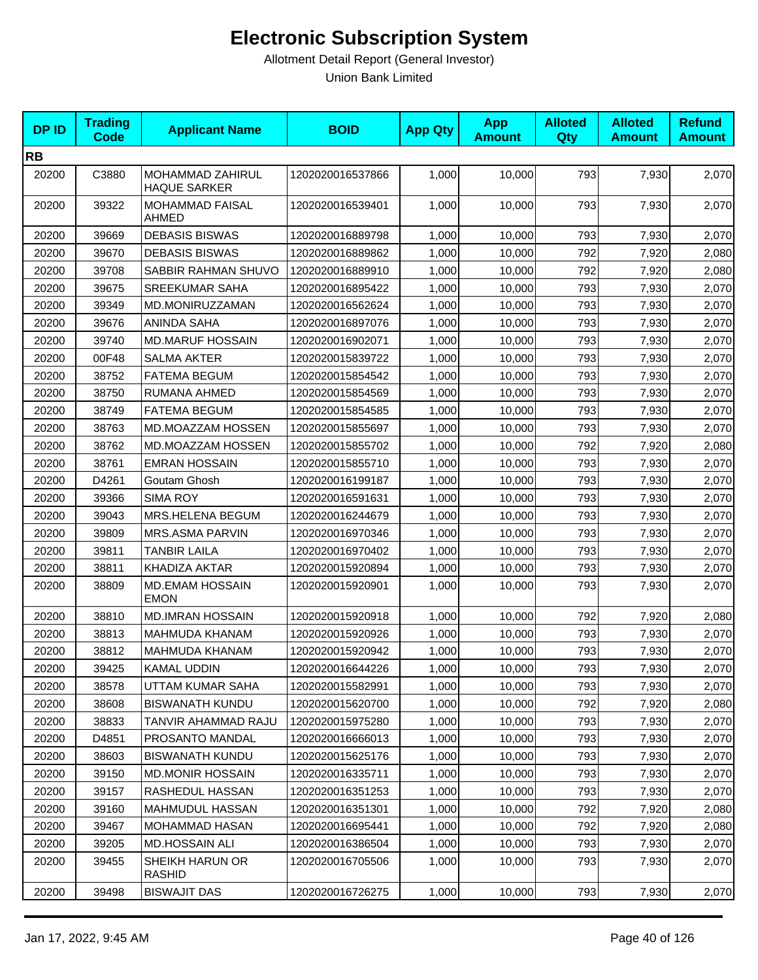| <b>DPID</b> | <b>Trading</b><br><b>Code</b> | <b>Applicant Name</b>                   | <b>BOID</b>      | <b>App Qty</b> | <b>App</b><br><b>Amount</b> | <b>Alloted</b><br><b>Qty</b> | <b>Alloted</b><br><b>Amount</b> | <b>Refund</b><br><b>Amount</b> |
|-------------|-------------------------------|-----------------------------------------|------------------|----------------|-----------------------------|------------------------------|---------------------------------|--------------------------------|
| <b>RB</b>   |                               |                                         |                  |                |                             |                              |                                 |                                |
| 20200       | C3880                         | MOHAMMAD ZAHIRUL<br><b>HAQUE SARKER</b> | 1202020016537866 | 1,000          | 10,000                      | 793                          | 7,930                           | 2,070                          |
| 20200       | 39322                         | <b>MOHAMMAD FAISAL</b><br>AHMED         | 1202020016539401 | 1,000          | 10,000                      | 793                          | 7,930                           | 2,070                          |
| 20200       | 39669                         | <b>DEBASIS BISWAS</b>                   | 1202020016889798 | 1,000          | 10,000                      | 793                          | 7,930                           | 2,070                          |
| 20200       | 39670                         | <b>DEBASIS BISWAS</b>                   | 1202020016889862 | 1,000          | 10,000                      | 792                          | 7,920                           | 2,080                          |
| 20200       | 39708                         | SABBIR RAHMAN SHUVO                     | 1202020016889910 | 1,000          | 10,000                      | 792                          | 7,920                           | 2,080                          |
| 20200       | 39675                         | SREEKUMAR SAHA                          | 1202020016895422 | 1,000          | 10,000                      | 793                          | 7,930                           | 2,070                          |
| 20200       | 39349                         | MD.MONIRUZZAMAN                         | 1202020016562624 | 1,000          | 10,000                      | 793                          | 7,930                           | 2,070                          |
| 20200       | 39676                         | ANINDA SAHA                             | 1202020016897076 | 1,000          | 10,000                      | 793                          | 7,930                           | 2,070                          |
| 20200       | 39740                         | <b>MD.MARUF HOSSAIN</b>                 | 1202020016902071 | 1,000          | 10,000                      | 793                          | 7,930                           | 2,070                          |
| 20200       | 00F48                         | <b>SALMA AKTER</b>                      | 1202020015839722 | 1,000          | 10,000                      | 793                          | 7,930                           | 2,070                          |
| 20200       | 38752                         | <b>FATEMA BEGUM</b>                     | 1202020015854542 | 1,000          | 10,000                      | 793                          | 7,930                           | 2,070                          |
| 20200       | 38750                         | RUMANA AHMED                            | 1202020015854569 | 1,000          | 10,000                      | 793                          | 7,930                           | 2,070                          |
| 20200       | 38749                         | <b>FATEMA BEGUM</b>                     | 1202020015854585 | 1,000          | 10,000                      | 793                          | 7,930                           | 2,070                          |
| 20200       | 38763                         | MD.MOAZZAM HOSSEN                       | 1202020015855697 | 1,000          | 10,000                      | 793                          | 7,930                           | 2,070                          |
| 20200       | 38762                         | <b>MD.MOAZZAM HOSSEN</b>                | 1202020015855702 | 1,000          | 10,000                      | 792                          | 7,920                           | 2,080                          |
| 20200       | 38761                         | <b>EMRAN HOSSAIN</b>                    | 1202020015855710 | 1,000          | 10,000                      | 793                          | 7,930                           | 2,070                          |
| 20200       | D4261                         | Goutam Ghosh                            | 1202020016199187 | 1,000          | 10,000                      | 793                          | 7,930                           | 2,070                          |
| 20200       | 39366                         | <b>SIMA ROY</b>                         | 1202020016591631 | 1,000          | 10,000                      | 793                          | 7,930                           | 2,070                          |
| 20200       | 39043                         | MRS.HELENA BEGUM                        | 1202020016244679 | 1,000          | 10,000                      | 793                          | 7,930                           | 2,070                          |
| 20200       | 39809                         | MRS.ASMA PARVIN                         | 1202020016970346 | 1,000          | 10,000                      | 793                          | 7,930                           | 2,070                          |
| 20200       | 39811                         | <b>TANBIR LAILA</b>                     | 1202020016970402 | 1,000          | 10,000                      | 793                          | 7,930                           | 2,070                          |
| 20200       | 38811                         | KHADIZA AKTAR                           | 1202020015920894 | 1,000          | 10,000                      | 793                          | 7,930                           | 2,070                          |
| 20200       | 38809                         | <b>MD.EMAM HOSSAIN</b><br><b>EMON</b>   | 1202020015920901 | 1,000          | 10,000                      | 793                          | 7,930                           | 2,070                          |
| 20200       | 38810                         | <b>MD.IMRAN HOSSAIN</b>                 | 1202020015920918 | 1,000          | 10,000                      | 792                          | 7,920                           | 2,080                          |
| 20200       | 38813                         | MAHMUDA KHANAM                          | 1202020015920926 | 1,000          | 10,000                      | 793                          | 7,930                           | 2,070                          |
| 20200       | 38812                         | MAHMUDA KHANAM                          | 1202020015920942 | 1,000          | 10,000                      | 793                          | 7,930                           | 2,070                          |
| 20200       | 39425                         | KAMAL UDDIN                             | 1202020016644226 | 1,000          | 10,000                      | 793                          | 7,930                           | 2,070                          |
| 20200       | 38578                         | UTTAM KUMAR SAHA                        | 1202020015582991 | 1,000          | 10,000                      | 793                          | 7,930                           | 2,070                          |
| 20200       | 38608                         | <b>BISWANATH KUNDU</b>                  | 1202020015620700 | 1,000          | 10,000                      | 792                          | 7,920                           | 2,080                          |
| 20200       | 38833                         | TANVIR AHAMMAD RAJU                     | 1202020015975280 | 1,000          | 10,000                      | 793                          | 7,930                           | 2,070                          |
| 20200       | D4851                         | PROSANTO MANDAL                         | 1202020016666013 | 1,000          | 10,000                      | 793                          | 7,930                           | 2,070                          |
| 20200       | 38603                         | <b>BISWANATH KUNDU</b>                  | 1202020015625176 | 1,000          | 10,000                      | 793                          | 7,930                           | 2,070                          |
| 20200       | 39150                         | <b>MD.MONIR HOSSAIN</b>                 | 1202020016335711 | 1,000          | 10,000                      | 793                          | 7,930                           | 2,070                          |
| 20200       | 39157                         | RASHEDUL HASSAN                         | 1202020016351253 | 1,000          | 10,000                      | 793                          | 7,930                           | 2,070                          |
| 20200       | 39160                         | MAHMUDUL HASSAN                         | 1202020016351301 | 1,000          | 10,000                      | 792                          | 7,920                           | 2,080                          |
| 20200       | 39467                         | MOHAMMAD HASAN                          | 1202020016695441 | 1,000          | 10,000                      | 792                          | 7,920                           | 2,080                          |
| 20200       | 39205                         | <b>MD.HOSSAIN ALI</b>                   | 1202020016386504 | 1,000          | 10,000                      | 793                          | 7,930                           | 2,070                          |
| 20200       | 39455                         | SHEIKH HARUN OR<br>RASHID               | 1202020016705506 | 1,000          | 10,000                      | 793                          | 7,930                           | 2,070                          |
| 20200       | 39498                         | <b>BISWAJIT DAS</b>                     | 1202020016726275 | 1,000          | 10,000                      | 793                          | 7,930                           | 2,070                          |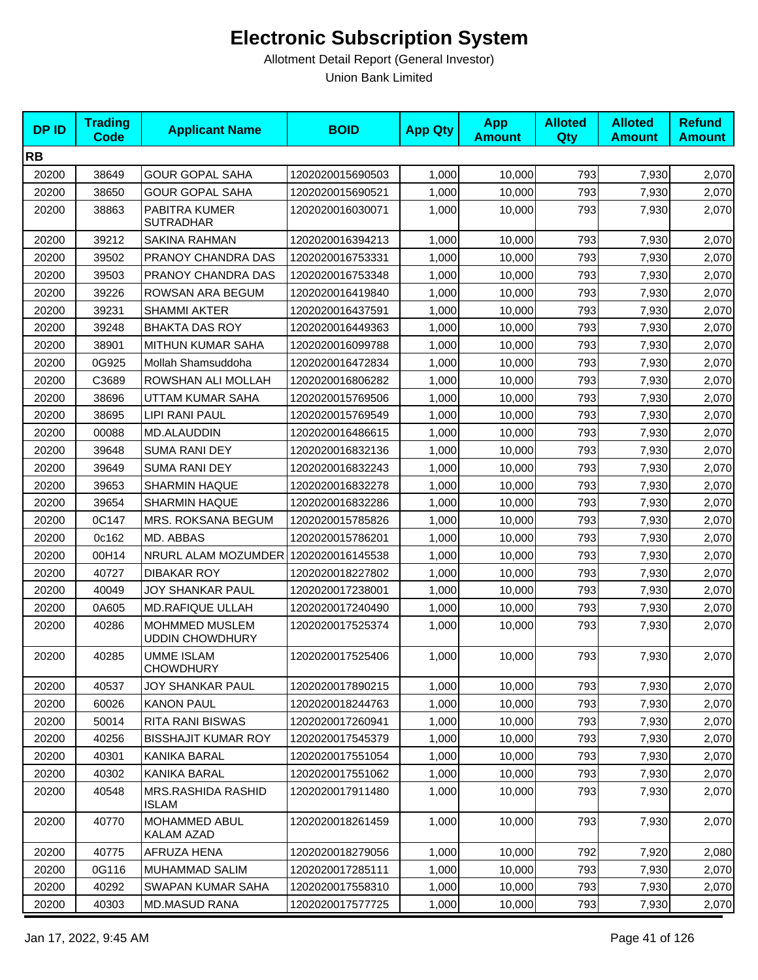| <b>DPID</b> | <b>Trading</b><br><b>Code</b> | <b>Applicant Name</b>                    | <b>BOID</b>      | <b>App Qty</b> | <b>App</b><br><b>Amount</b> | <b>Alloted</b><br><b>Qty</b> | <b>Alloted</b><br><b>Amount</b> | <b>Refund</b><br><b>Amount</b> |
|-------------|-------------------------------|------------------------------------------|------------------|----------------|-----------------------------|------------------------------|---------------------------------|--------------------------------|
| <b>RB</b>   |                               |                                          |                  |                |                             |                              |                                 |                                |
| 20200       | 38649                         | <b>GOUR GOPAL SAHA</b>                   | 1202020015690503 | 1,000          | 10,000                      | 793                          | 7,930                           | 2,070                          |
| 20200       | 38650                         | <b>GOUR GOPAL SAHA</b>                   | 1202020015690521 | 1,000          | 10,000                      | 793                          | 7,930                           | 2,070                          |
| 20200       | 38863                         | PABITRA KUMER<br><b>SUTRADHAR</b>        | 1202020016030071 | 1,000          | 10,000                      | 793                          | 7,930                           | 2,070                          |
| 20200       | 39212                         | SAKINA RAHMAN                            | 1202020016394213 | 1.000          | 10.000                      | 793                          | 7,930                           | 2,070                          |
| 20200       | 39502                         | PRANOY CHANDRA DAS                       | 1202020016753331 | 1,000          | 10,000                      | 793                          | 7,930                           | 2,070                          |
| 20200       | 39503                         | PRANOY CHANDRA DAS                       | 1202020016753348 | 1,000          | 10.000                      | 793                          | 7,930                           | 2,070                          |
| 20200       | 39226                         | ROWSAN ARA BEGUM                         | 1202020016419840 | 1,000          | 10,000                      | 793                          | 7,930                           | 2,070                          |
| 20200       | 39231                         | <b>SHAMMI AKTER</b>                      | 1202020016437591 | 1,000          | 10,000                      | 793                          | 7,930                           | 2,070                          |
| 20200       | 39248                         | <b>BHAKTA DAS ROY</b>                    | 1202020016449363 | 1,000          | 10,000                      | 793                          | 7,930                           | 2,070                          |
| 20200       | 38901                         | MITHUN KUMAR SAHA                        | 1202020016099788 | 1,000          | 10,000                      | 793                          | 7,930                           | 2,070                          |
| 20200       | 0G925                         | Mollah Shamsuddoha                       | 1202020016472834 | 1,000          | 10,000                      | 793                          | 7,930                           | 2,070                          |
| 20200       | C3689                         | ROWSHAN ALI MOLLAH                       | 1202020016806282 | 1,000          | 10,000                      | 793                          | 7,930                           | 2,070                          |
| 20200       | 38696                         | UTTAM KUMAR SAHA                         | 1202020015769506 | 1,000          | 10,000                      | 793                          | 7,930                           | 2,070                          |
| 20200       | 38695                         | LIPI RANI PAUL                           | 1202020015769549 | 1,000          | 10,000                      | 793                          | 7,930                           | 2,070                          |
| 20200       | 00088                         | <b>MD.ALAUDDIN</b>                       | 1202020016486615 | 1,000          | 10.000                      | 793                          | 7,930                           | 2,070                          |
| 20200       | 39648                         | <b>SUMA RANI DEY</b>                     | 1202020016832136 | 1,000          | 10,000                      | 793                          | 7,930                           | 2,070                          |
| 20200       | 39649                         | <b>SUMA RANI DEY</b>                     | 1202020016832243 | 1,000          | 10,000                      | 793                          | 7,930                           | 2,070                          |
| 20200       | 39653                         | <b>SHARMIN HAQUE</b>                     | 1202020016832278 | 1,000          | 10,000                      | 793                          | 7,930                           | 2,070                          |
| 20200       | 39654                         | <b>SHARMIN HAQUE</b>                     | 1202020016832286 | 1,000          | 10,000                      | 793                          | 7,930                           | 2,070                          |
| 20200       | 0C147                         | MRS. ROKSANA BEGUM                       | 1202020015785826 | 1,000          | 10,000                      | 793                          | 7,930                           | 2,070                          |
| 20200       | 0c162                         | MD. ABBAS                                | 1202020015786201 | 1,000          | 10,000                      | 793                          | 7,930                           | 2,070                          |
| 20200       | 00H14                         | NRURL ALAM MOZUMDER 1202020016145538     |                  | 1,000          | 10,000                      | 793                          | 7,930                           | 2,070                          |
| 20200       | 40727                         | <b>DIBAKAR ROY</b>                       | 1202020018227802 | 1,000          | 10,000                      | 793                          | 7,930                           | 2,070                          |
| 20200       | 40049                         | <b>JOY SHANKAR PAUL</b>                  | 1202020017238001 | 1,000          | 10,000                      | 793                          | 7,930                           | 2,070                          |
| 20200       | 0A605                         | MD.RAFIQUE ULLAH                         | 1202020017240490 | 1,000          | 10,000                      | 793                          | 7,930                           | 2,070                          |
| 20200       | 40286                         | MOHMMED MUSLEM<br><b>UDDIN CHOWDHURY</b> | 1202020017525374 | 1,000          | 10,000                      | 793                          | 7,930                           | 2,070                          |
| 20200       | 40285                         | <b>UMME ISLAM</b><br><b>CHOWDHURY</b>    | 1202020017525406 | 1,000          | 10,000                      | 793                          | 7,930                           | 2,070                          |
| 20200       | 40537                         | JOY SHANKAR PAUL                         | 1202020017890215 | 1,000          | 10,000                      | 793                          | 7,930                           | 2,070                          |
| 20200       | 60026                         | <b>KANON PAUL</b>                        | 1202020018244763 | 1,000          | 10,000                      | 793                          | 7,930                           | 2,070                          |
| 20200       | 50014                         | <b>RITA RANI BISWAS</b>                  | 1202020017260941 | 1,000          | 10,000                      | 793                          | 7,930                           | 2,070                          |
| 20200       | 40256                         | <b>BISSHAJIT KUMAR ROY</b>               | 1202020017545379 | 1,000          | 10,000                      | 793                          | 7,930                           | 2,070                          |
| 20200       | 40301                         | KANIKA BARAL                             | 1202020017551054 | 1,000          | 10,000                      | 793                          | 7,930                           | 2,070                          |
| 20200       | 40302                         | KANIKA BARAL                             | 1202020017551062 | 1,000          | 10,000                      | 793                          | 7,930                           | 2,070                          |
| 20200       | 40548                         | MRS.RASHIDA RASHID<br>ISLAM              | 1202020017911480 | 1,000          | 10,000                      | 793                          | 7,930                           | 2,070                          |
| 20200       | 40770                         | MOHAMMED ABUL<br>KALAM AZAD              | 1202020018261459 | 1,000          | 10,000                      | 793                          | 7,930                           | 2,070                          |
| 20200       | 40775                         | AFRUZA HENA                              | 1202020018279056 | 1,000          | 10,000                      | 792                          | 7,920                           | 2,080                          |
| 20200       | 0G116                         | <b>MUHAMMAD SALIM</b>                    | 1202020017285111 | 1,000          | 10,000                      | 793                          | 7,930                           | 2,070                          |
| 20200       | 40292                         | SWAPAN KUMAR SAHA                        | 1202020017558310 | 1,000          | 10,000                      | 793                          | 7,930                           | 2,070                          |
| 20200       | 40303                         | <b>MD.MASUD RANA</b>                     | 1202020017577725 | 1,000          | 10,000                      | 793                          | 7,930                           | 2,070                          |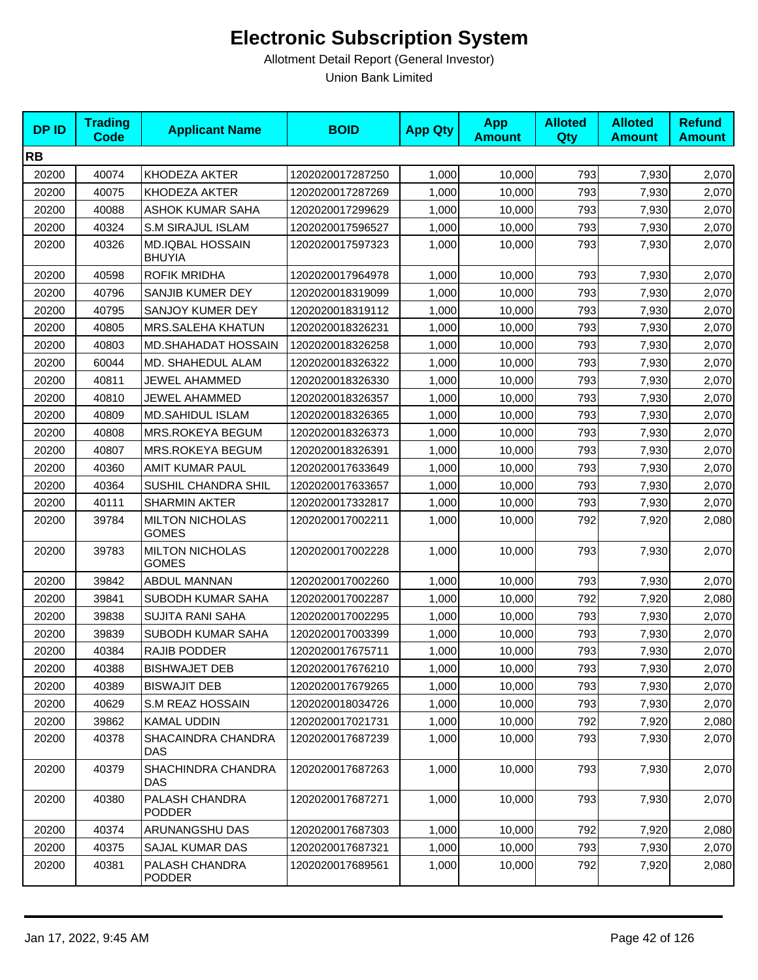| <b>DPID</b> | <b>Trading</b><br><b>Code</b> | <b>Applicant Name</b>                    | <b>BOID</b>      | <b>App Qty</b> | <b>App</b><br><b>Amount</b> | <b>Alloted</b><br>Qty | <b>Alloted</b><br><b>Amount</b> | <b>Refund</b><br><b>Amount</b> |
|-------------|-------------------------------|------------------------------------------|------------------|----------------|-----------------------------|-----------------------|---------------------------------|--------------------------------|
| <b>RB</b>   |                               |                                          |                  |                |                             |                       |                                 |                                |
| 20200       | 40074                         | KHODEZA AKTER                            | 1202020017287250 | 1,000          | 10,000                      | 793                   | 7,930                           | 2,070                          |
| 20200       | 40075                         | KHODEZA AKTER                            | 1202020017287269 | 1,000          | 10,000                      | 793                   | 7,930                           | 2,070                          |
| 20200       | 40088                         | ASHOK KUMAR SAHA                         | 1202020017299629 | 1,000          | 10,000                      | 793                   | 7,930                           | 2,070                          |
| 20200       | 40324                         | <b>S.M SIRAJUL ISLAM</b>                 | 1202020017596527 | 1,000          | 10,000                      | 793                   | 7,930                           | 2,070                          |
| 20200       | 40326                         | <b>MD.IQBAL HOSSAIN</b><br><b>BHUYIA</b> | 1202020017597323 | 1,000          | 10,000                      | 793                   | 7,930                           | 2,070                          |
| 20200       | 40598                         | <b>ROFIK MRIDHA</b>                      | 1202020017964978 | 1,000          | 10,000                      | 793                   | 7,930                           | 2,070                          |
| 20200       | 40796                         | SANJIB KUMER DEY                         | 1202020018319099 | 1,000          | 10,000                      | 793                   | 7,930                           | 2,070                          |
| 20200       | 40795                         | SANJOY KUMER DEY                         | 1202020018319112 | 1,000          | 10,000                      | 793                   | 7,930                           | 2,070                          |
| 20200       | 40805                         | MRS.SALEHA KHATUN                        | 1202020018326231 | 1,000          | 10,000                      | 793                   | 7,930                           | 2,070                          |
| 20200       | 40803                         | MD.SHAHADAT HOSSAIN                      | 1202020018326258 | 1,000          | 10,000                      | 793                   | 7,930                           | 2,070                          |
| 20200       | 60044                         | MD. SHAHEDUL ALAM                        | 1202020018326322 | 1,000          | 10,000                      | 793                   | 7,930                           | 2,070                          |
| 20200       | 40811                         | JEWEL AHAMMED                            | 1202020018326330 | 1,000          | 10,000                      | 793                   | 7,930                           | 2,070                          |
| 20200       | 40810                         | JEWEL AHAMMED                            | 1202020018326357 | 1,000          | 10,000                      | 793                   | 7,930                           | 2,070                          |
| 20200       | 40809                         | <b>MD.SAHIDUL ISLAM</b>                  | 1202020018326365 | 1,000          | 10,000                      | 793                   | 7,930                           | 2,070                          |
| 20200       | 40808                         | MRS.ROKEYA BEGUM                         | 1202020018326373 | 1,000          | 10,000                      | 793                   | 7,930                           | 2,070                          |
| 20200       | 40807                         | MRS.ROKEYA BEGUM                         | 1202020018326391 | 1,000          | 10,000                      | 793                   | 7,930                           | 2,070                          |
| 20200       | 40360                         | AMIT KUMAR PAUL                          | 1202020017633649 | 1,000          | 10,000                      | 793                   | 7,930                           | 2,070                          |
| 20200       | 40364                         | SUSHIL CHANDRA SHIL                      | 1202020017633657 | 1,000          | 10,000                      | 793                   | 7,930                           | 2,070                          |
| 20200       | 40111                         | SHARMIN AKTER                            | 1202020017332817 | 1,000          | 10,000                      | 793                   | 7,930                           | 2,070                          |
| 20200       | 39784                         | <b>MILTON NICHOLAS</b><br><b>GOMES</b>   | 1202020017002211 | 1,000          | 10,000                      | 792                   | 7,920                           | 2,080                          |
| 20200       | 39783                         | <b>MILTON NICHOLAS</b><br><b>GOMES</b>   | 1202020017002228 | 1,000          | 10,000                      | 793                   | 7,930                           | 2,070                          |
| 20200       | 39842                         | ABDUL MANNAN                             | 1202020017002260 | 1,000          | 10,000                      | 793                   | 7,930                           | 2,070                          |
| 20200       | 39841                         | SUBODH KUMAR SAHA                        | 1202020017002287 | 1,000          | 10,000                      | 792                   | 7,920                           | 2,080                          |
| 20200       | 39838                         | <b>SUJITA RANI SAHA</b>                  | 1202020017002295 | 1,000          | 10,000                      | 793                   | 7,930                           | 2,070                          |
| 20200       | 39839                         | SUBODH KUMAR SAHA                        | 1202020017003399 | 1,000          | 10,000                      | 793                   | 7,930                           | 2,070                          |
| 20200       | 40384                         | RAJIB PODDER                             | 1202020017675711 | 1,000          | 10,000                      | 793                   | 7,930                           | 2,070                          |
| 20200       | 40388                         | <b>BISHWAJET DEB</b>                     | 1202020017676210 | 1,000          | 10,000                      | 793                   | 7,930                           | 2,070                          |
| 20200       | 40389                         | <b>BISWAJIT DEB</b>                      | 1202020017679265 | 1,000          | 10,000                      | 793                   | 7,930                           | 2,070                          |
| 20200       | 40629                         | S.M REAZ HOSSAIN                         | 1202020018034726 | 1,000          | 10,000                      | 793                   | 7,930                           | 2,070                          |
| 20200       | 39862                         | <b>KAMAL UDDIN</b>                       | 1202020017021731 | 1,000          | 10,000                      | 792                   | 7,920                           | 2,080                          |
| 20200       | 40378                         | SHACAINDRA CHANDRA<br>DAS                | 1202020017687239 | 1,000          | 10,000                      | 793                   | 7,930                           | 2,070                          |
| 20200       | 40379                         | SHACHINDRA CHANDRA<br>DAS                | 1202020017687263 | 1,000          | 10,000                      | 793                   | 7,930                           | 2,070                          |
| 20200       | 40380                         | PALASH CHANDRA<br><b>PODDER</b>          | 1202020017687271 | 1,000          | 10,000                      | 793                   | 7,930                           | 2,070                          |
| 20200       | 40374                         | ARUNANGSHU DAS                           | 1202020017687303 | 1,000          | 10,000                      | 792                   | 7,920                           | 2,080                          |
| 20200       | 40375                         | SAJAL KUMAR DAS                          | 1202020017687321 | 1,000          | 10,000                      | 793                   | 7,930                           | 2,070                          |
| 20200       | 40381                         | PALASH CHANDRA<br><b>PODDER</b>          | 1202020017689561 | 1,000          | 10,000                      | 792                   | 7,920                           | 2,080                          |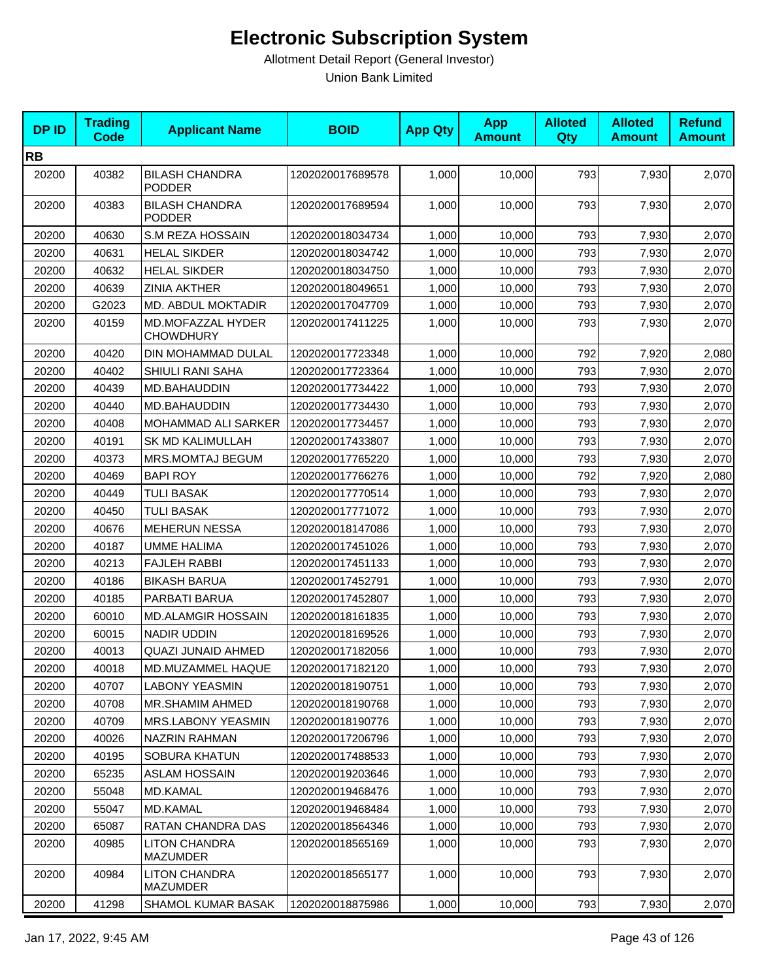| <b>DPID</b> | <b>Trading</b><br><b>Code</b> | <b>Applicant Name</b>                   | <b>BOID</b>      | <b>App Qty</b> | <b>App</b><br><b>Amount</b> | <b>Alloted</b><br><b>Qty</b> | <b>Alloted</b><br><b>Amount</b> | <b>Refund</b><br><b>Amount</b> |
|-------------|-------------------------------|-----------------------------------------|------------------|----------------|-----------------------------|------------------------------|---------------------------------|--------------------------------|
| <b>RB</b>   |                               |                                         |                  |                |                             |                              |                                 |                                |
| 20200       | 40382                         | <b>BILASH CHANDRA</b><br><b>PODDER</b>  | 1202020017689578 | 1,000          | 10,000                      | 793                          | 7,930                           | 2,070                          |
| 20200       | 40383                         | <b>BILASH CHANDRA</b><br><b>PODDER</b>  | 1202020017689594 | 1,000          | 10,000                      | 793                          | 7,930                           | 2,070                          |
| 20200       | 40630                         | S.M REZA HOSSAIN                        | 1202020018034734 | 1,000          | 10,000                      | 793                          | 7,930                           | 2,070                          |
| 20200       | 40631                         | <b>HELAL SIKDER</b>                     | 1202020018034742 | 1,000          | 10,000                      | 793                          | 7,930                           | 2,070                          |
| 20200       | 40632                         | <b>HELAL SIKDER</b>                     | 1202020018034750 | 1,000          | 10,000                      | 793                          | 7,930                           | 2,070                          |
| 20200       | 40639                         | <b>ZINIA AKTHER</b>                     | 1202020018049651 | 1,000          | 10,000                      | 793                          | 7,930                           | 2,070                          |
| 20200       | G2023                         | MD. ABDUL MOKTADIR                      | 1202020017047709 | 1,000          | 10,000                      | 793                          | 7,930                           | 2,070                          |
| 20200       | 40159                         | MD.MOFAZZAL HYDER<br><b>CHOWDHURY</b>   | 1202020017411225 | 1,000          | 10,000                      | 793                          | 7,930                           | 2,070                          |
| 20200       | 40420                         | DIN MOHAMMAD DULAL                      | 1202020017723348 | 1,000          | 10,000                      | 792                          | 7,920                           | 2,080                          |
| 20200       | 40402                         | SHIULI RANI SAHA                        | 1202020017723364 | 1,000          | 10,000                      | 793                          | 7,930                           | 2,070                          |
| 20200       | 40439                         | MD.BAHAUDDIN                            | 1202020017734422 | 1,000          | 10,000                      | 793                          | 7,930                           | 2,070                          |
| 20200       | 40440                         | MD.BAHAUDDIN                            | 1202020017734430 | 1,000          | 10,000                      | 793                          | 7,930                           | 2,070                          |
| 20200       | 40408                         | MOHAMMAD ALI SARKER                     | 1202020017734457 | 1,000          | 10,000                      | 793                          | 7,930                           | 2,070                          |
| 20200       | 40191                         | SK MD KALIMULLAH                        | 1202020017433807 | 1,000          | 10,000                      | 793                          | 7,930                           | 2,070                          |
| 20200       | 40373                         | <b>MRS.MOMTAJ BEGUM</b>                 | 1202020017765220 | 1,000          | 10,000                      | 793                          | 7,930                           | 2,070                          |
| 20200       | 40469                         | <b>BAPI ROY</b>                         | 1202020017766276 | 1,000          | 10,000                      | 792                          | 7,920                           | 2,080                          |
| 20200       | 40449                         | <b>TULI BASAK</b>                       | 1202020017770514 | 1,000          | 10,000                      | 793                          | 7,930                           | 2,070                          |
| 20200       | 40450                         | <b>TULI BASAK</b>                       | 1202020017771072 | 1,000          | 10,000                      | 793                          | 7,930                           | 2,070                          |
| 20200       | 40676                         | <b>MEHERUN NESSA</b>                    | 1202020018147086 | 1,000          | 10,000                      | 793                          | 7,930                           | 2,070                          |
| 20200       | 40187                         | <b>UMME HALIMA</b>                      | 1202020017451026 | 1,000          | 10,000                      | 793                          | 7,930                           | 2,070                          |
| 20200       | 40213                         | <b>FAJLEH RABBI</b>                     | 1202020017451133 | 1,000          | 10,000                      | 793                          | 7,930                           | 2,070                          |
| 20200       | 40186                         | <b>BIKASH BARUA</b>                     | 1202020017452791 | 1,000          | 10,000                      | 793                          | 7,930                           | 2,070                          |
| 20200       | 40185                         | PARBATI BARUA                           | 1202020017452807 | 1,000          | 10,000                      | 793                          | 7,930                           | 2,070                          |
| 20200       | 60010                         | <b>MD.ALAMGIR HOSSAIN</b>               | 1202020018161835 | 1,000          | 10,000                      | 793                          | 7,930                           | 2,070                          |
| 20200       | 60015                         | <b>NADIR UDDIN</b>                      | 1202020018169526 | 1,000          | 10,000                      | 793                          | 7,930                           | 2,070                          |
| 20200       | 40013                         | QUAZI JUNAID AHMED                      | 1202020017182056 | 1,000          | 10,000                      | 793                          | 7,930                           | 2,070                          |
| 20200       | 40018                         | MD.MUZAMMEL HAQUE                       | 1202020017182120 | 1,000          | 10,000                      | 793                          | 7,930                           | 2,070                          |
| 20200       | 40707                         | <b>LABONY YEASMIN</b>                   | 1202020018190751 | 1,000          | 10,000                      | 793                          | 7,930                           | 2,070                          |
| 20200       | 40708                         | MR.SHAMIM AHMED                         | 1202020018190768 | 1,000          | 10,000                      | 793                          | 7,930                           | 2,070                          |
| 20200       | 40709                         | <b>MRS.LABONY YEASMIN</b>               | 1202020018190776 | 1,000          | 10,000                      | 793                          | 7,930                           | 2,070                          |
| 20200       | 40026                         | NAZRIN RAHMAN                           | 1202020017206796 | 1,000          | 10,000                      | 793                          | 7,930                           | 2,070                          |
| 20200       | 40195                         | <b>SOBURA KHATUN</b>                    | 1202020017488533 | 1,000          | 10,000                      | 793                          | 7,930                           | 2,070                          |
| 20200       | 65235                         | ASLAM HOSSAIN                           | 1202020019203646 | 1,000          | 10,000                      | 793                          | 7,930                           | 2,070                          |
| 20200       | 55048                         | <b>MD.KAMAL</b>                         | 1202020019468476 | 1,000          | 10,000                      | 793                          | 7,930                           | 2,070                          |
| 20200       | 55047                         | <b>MD.KAMAL</b>                         | 1202020019468484 | 1,000          | 10,000                      | 793                          | 7,930                           | 2,070                          |
| 20200       | 65087                         | RATAN CHANDRA DAS                       | 1202020018564346 | 1,000          | 10,000                      | 793                          | 7,930                           | 2,070                          |
| 20200       | 40985                         | <b>LITON CHANDRA</b><br><b>MAZUMDER</b> | 1202020018565169 | 1,000          | 10,000                      | 793                          | 7,930                           | 2,070                          |
| 20200       | 40984                         | <b>LITON CHANDRA</b><br>MAZUMDER        | 1202020018565177 | 1,000          | 10,000                      | 793                          | 7,930                           | 2,070                          |
| 20200       | 41298                         | SHAMOL KUMAR BASAK                      | 1202020018875986 | 1,000          | 10,000                      | 793                          | 7,930                           | 2,070                          |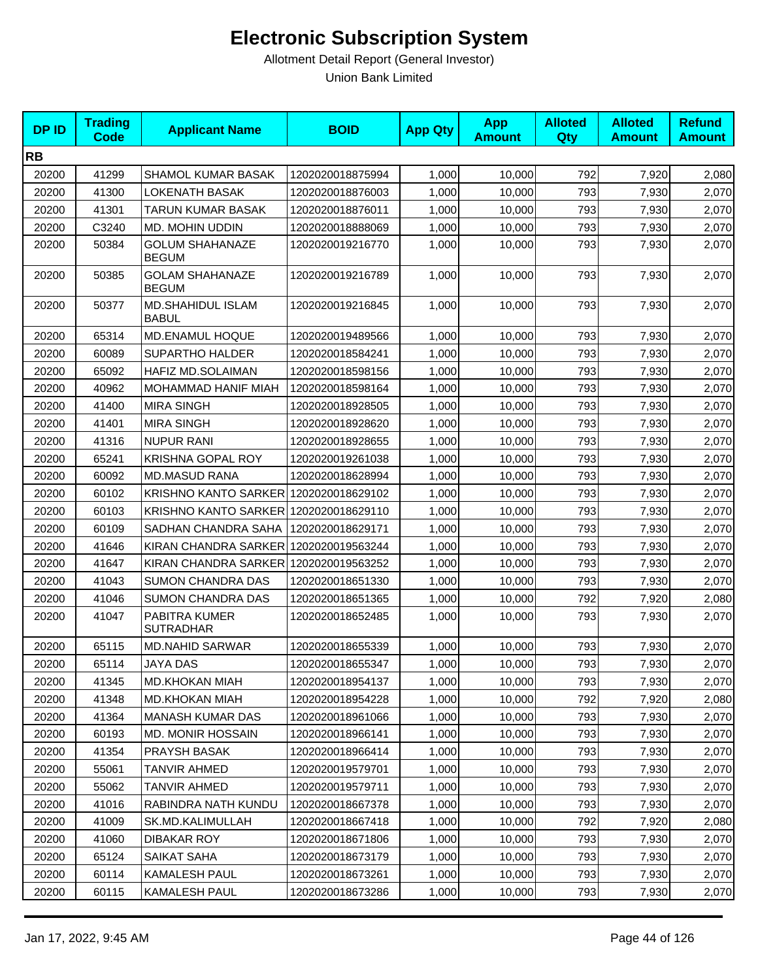| <b>DPID</b> | <b>Trading</b><br><b>Code</b> | <b>Applicant Name</b>                  | <b>BOID</b>      | <b>App Qty</b> | <b>App</b><br><b>Amount</b> | <b>Alloted</b><br>Qty | <b>Alloted</b><br><b>Amount</b> | <b>Refund</b><br><b>Amount</b> |
|-------------|-------------------------------|----------------------------------------|------------------|----------------|-----------------------------|-----------------------|---------------------------------|--------------------------------|
| <b>RB</b>   |                               |                                        |                  |                |                             |                       |                                 |                                |
| 20200       | 41299                         | SHAMOL KUMAR BASAK                     | 1202020018875994 | 1,000          | 10,000                      | 792                   | 7,920                           | 2,080                          |
| 20200       | 41300                         | <b>LOKENATH BASAK</b>                  | 1202020018876003 | 1,000          | 10,000                      | 793                   | 7,930                           | 2,070                          |
| 20200       | 41301                         | TARUN KUMAR BASAK                      | 1202020018876011 | 1,000          | 10,000                      | 793                   | 7,930                           | 2,070                          |
| 20200       | C3240                         | <b>MD. MOHIN UDDIN</b>                 | 1202020018888069 | 1,000          | 10,000                      | 793                   | 7,930                           | 2,070                          |
| 20200       | 50384                         | <b>GOLUM SHAHANAZE</b><br><b>BEGUM</b> | 1202020019216770 | 1,000          | 10,000                      | 793                   | 7,930                           | 2,070                          |
| 20200       | 50385                         | <b>GOLAM SHAHANAZE</b><br><b>BEGUM</b> | 1202020019216789 | 1,000          | 10,000                      | 793                   | 7,930                           | 2,070                          |
| 20200       | 50377                         | MD.SHAHIDUL ISLAM<br><b>BABUL</b>      | 1202020019216845 | 1,000          | 10,000                      | 793                   | 7,930                           | 2,070                          |
| 20200       | 65314                         | MD.ENAMUL HOQUE                        | 1202020019489566 | 1,000          | 10,000                      | 793                   | 7,930                           | 2,070                          |
| 20200       | 60089                         | SUPARTHO HALDER                        | 1202020018584241 | 1,000          | 10,000                      | 793                   | 7,930                           | 2,070                          |
| 20200       | 65092                         | HAFIZ MD.SOLAIMAN                      | 1202020018598156 | 1,000          | 10,000                      | 793                   | 7,930                           | 2,070                          |
| 20200       | 40962                         | <b>MOHAMMAD HANIF MIAH</b>             | 1202020018598164 | 1,000          | 10,000                      | 793                   | 7,930                           | 2,070                          |
| 20200       | 41400                         | <b>MIRA SINGH</b>                      | 1202020018928505 | 1,000          | 10,000                      | 793                   | 7,930                           | 2,070                          |
| 20200       | 41401                         | <b>MIRA SINGH</b>                      | 1202020018928620 | 1,000          | 10,000                      | 793                   | 7,930                           | 2,070                          |
| 20200       | 41316                         | <b>NUPUR RANI</b>                      | 1202020018928655 | 1,000          | 10,000                      | 793                   | 7,930                           | 2,070                          |
| 20200       | 65241                         | <b>KRISHNA GOPAL ROY</b>               | 1202020019261038 | 1,000          | 10,000                      | 793                   | 7,930                           | 2,070                          |
| 20200       | 60092                         | <b>MD.MASUD RANA</b>                   | 1202020018628994 | 1,000          | 10,000                      | 793                   | 7,930                           | 2,070                          |
| 20200       | 60102                         | KRISHNO KANTO SARKER 1202020018629102  |                  | 1,000          | 10,000                      | 793                   | 7,930                           | 2,070                          |
| 20200       | 60103                         | KRISHNO KANTO SARKER 1202020018629110  |                  | 1,000          | 10,000                      | 793                   | 7,930                           | 2,070                          |
| 20200       | 60109                         | SADHAN CHANDRA SAHA                    | 1202020018629171 | 1,000          | 10,000                      | 793                   | 7,930                           | 2,070                          |
| 20200       | 41646                         | KIRAN CHANDRA SARKER                   | 1202020019563244 | 1,000          | 10,000                      | 793                   | 7,930                           | 2,070                          |
| 20200       | 41647                         | KIRAN CHANDRA SARKER 1202020019563252  |                  | 1,000          | 10,000                      | 793                   | 7,930                           | 2,070                          |
| 20200       | 41043                         | <b>SUMON CHANDRA DAS</b>               | 1202020018651330 | 1,000          | 10,000                      | 793                   | 7,930                           | 2,070                          |
| 20200       | 41046                         | <b>SUMON CHANDRA DAS</b>               | 1202020018651365 | 1,000          | 10,000                      | 792                   | 7,920                           | 2,080                          |
| 20200       | 41047                         | PABITRA KUMER<br><b>SUTRADHAR</b>      | 1202020018652485 | 1,000          | 10,000                      | 793                   | 7,930                           | 2,070                          |
| 20200       | 65115                         | <b>MD.NAHID SARWAR</b>                 | 1202020018655339 | 1,000          | 10,000                      | 793                   | 7,930                           | 2,070                          |
| 20200       | 65114                         | JAYA DAS                               | 1202020018655347 | 1,000          | 10,000                      | 793                   | 7,930                           | 2,070                          |
| 20200       | 41345                         | <b>MD.KHOKAN MIAH</b>                  | 1202020018954137 | 1,000          | 10,000                      | 793                   | 7,930                           | 2,070                          |
| 20200       | 41348                         | <b>MD.KHOKAN MIAH</b>                  | 1202020018954228 | 1,000          | 10,000                      | 792                   | 7,920                           | 2,080                          |
| 20200       | 41364                         | <b>MANASH KUMAR DAS</b>                | 1202020018961066 | 1,000          | 10,000                      | 793                   | 7,930                           | 2,070                          |
| 20200       | 60193                         | <b>MD. MONIR HOSSAIN</b>               | 1202020018966141 | 1,000          | 10,000                      | 793                   | 7,930                           | 2,070                          |
| 20200       | 41354                         | PRAYSH BASAK                           | 1202020018966414 | 1,000          | 10,000                      | 793                   | 7,930                           | 2,070                          |
| 20200       | 55061                         | TANVIR AHMED                           | 1202020019579701 | 1,000          | 10,000                      | 793                   | 7,930                           | 2,070                          |
| 20200       | 55062                         | TANVIR AHMED                           | 1202020019579711 | 1,000          | 10,000                      | 793                   | 7,930                           | 2,070                          |
| 20200       | 41016                         | RABINDRA NATH KUNDU                    | 1202020018667378 | 1,000          | 10,000                      | 793                   | 7,930                           | 2,070                          |
| 20200       | 41009                         | SK.MD.KALIMULLAH                       | 1202020018667418 | 1,000          | 10,000                      | 792                   | 7,920                           | 2,080                          |
| 20200       | 41060                         | DIBAKAR ROY                            | 1202020018671806 | 1,000          | 10,000                      | 793                   | 7,930                           | 2,070                          |
| 20200       | 65124                         | SAIKAT SAHA                            | 1202020018673179 | 1,000          | 10,000                      | 793                   | 7,930                           | 2,070                          |
| 20200       | 60114                         | KAMALESH PAUL                          | 1202020018673261 | 1,000          | 10,000                      | 793                   | 7,930                           | 2,070                          |
| 20200       | 60115                         | KAMALESH PAUL                          | 1202020018673286 | 1,000          | 10,000                      | 793                   | 7,930                           | 2,070                          |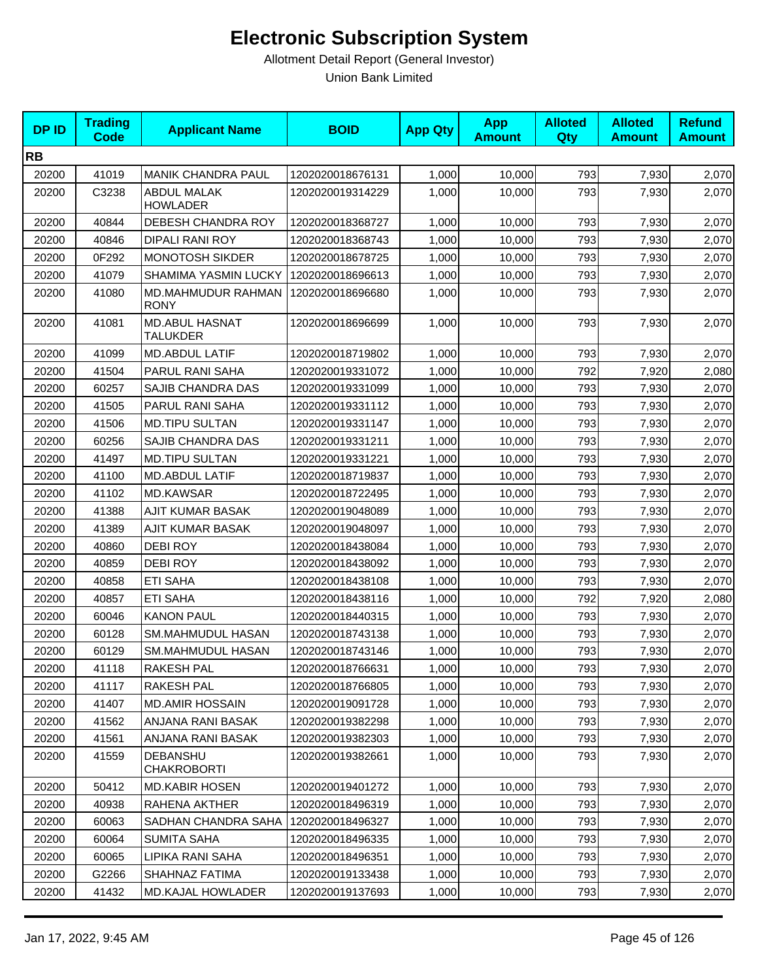| <b>DPID</b> | <b>Trading</b><br>Code | <b>Applicant Name</b>                    | <b>BOID</b>      | <b>App Qty</b> | <b>App</b><br><b>Amount</b> | <b>Alloted</b><br><b>Qty</b> | <b>Alloted</b><br><b>Amount</b> | <b>Refund</b><br><b>Amount</b> |
|-------------|------------------------|------------------------------------------|------------------|----------------|-----------------------------|------------------------------|---------------------------------|--------------------------------|
| <b>RB</b>   |                        |                                          |                  |                |                             |                              |                                 |                                |
| 20200       | 41019                  | <b>MANIK CHANDRA PAUL</b>                | 1202020018676131 | 1,000          | 10,000                      | 793                          | 7,930                           | 2,070                          |
| 20200       | C3238                  | ABDUL MALAK<br><b>HOWLADER</b>           | 1202020019314229 | 1,000          | 10.000                      | 793                          | 7,930                           | 2,070                          |
| 20200       | 40844                  | DEBESH CHANDRA ROY                       | 1202020018368727 | 1,000          | 10,000                      | 793                          | 7,930                           | 2,070                          |
| 20200       | 40846                  | <b>DIPALI RANI ROY</b>                   | 1202020018368743 | 1,000          | 10,000                      | 793                          | 7,930                           | 2,070                          |
| 20200       | 0F292                  | <b>MONOTOSH SIKDER</b>                   | 1202020018678725 | 1,000          | 10,000                      | 793                          | 7,930                           | 2,070                          |
| 20200       | 41079                  | <b>SHAMIMA YASMIN LUCKY</b>              | 1202020018696613 | 1,000          | 10,000                      | 793                          | 7,930                           | 2,070                          |
| 20200       | 41080                  | <b>MD.MAHMUDUR RAHMAN</b><br><b>RONY</b> | 1202020018696680 | 1,000          | 10,000                      | 793                          | 7,930                           | 2,070                          |
| 20200       | 41081                  | <b>MD.ABUL HASNAT</b><br><b>TALUKDER</b> | 1202020018696699 | 1,000          | 10,000                      | 793                          | 7,930                           | 2,070                          |
| 20200       | 41099                  | <b>MD.ABDUL LATIF</b>                    | 1202020018719802 | 1,000          | 10,000                      | 793                          | 7,930                           | 2,070                          |
| 20200       | 41504                  | PARUL RANI SAHA                          | 1202020019331072 | 1,000          | 10,000                      | 792                          | 7,920                           | 2,080                          |
| 20200       | 60257                  | SAJIB CHANDRA DAS                        | 1202020019331099 | 1,000          | 10.000                      | 793                          | 7,930                           | 2,070                          |
| 20200       | 41505                  | PARUL RANI SAHA                          | 1202020019331112 | 1,000          | 10,000                      | 793                          | 7,930                           | 2,070                          |
| 20200       | 41506                  | <b>MD.TIPU SULTAN</b>                    | 1202020019331147 | 1,000          | 10,000                      | 793                          | 7,930                           | 2,070                          |
| 20200       | 60256                  | SAJIB CHANDRA DAS                        | 1202020019331211 | 1,000          | 10,000                      | 793                          | 7,930                           | 2,070                          |
| 20200       | 41497                  | <b>MD.TIPU SULTAN</b>                    | 1202020019331221 | 1,000          | 10,000                      | 793                          | 7,930                           | 2,070                          |
| 20200       | 41100                  | <b>MD.ABDUL LATIF</b>                    | 1202020018719837 | 1,000          | 10,000                      | 793                          | 7,930                           | 2,070                          |
| 20200       | 41102                  | <b>MD.KAWSAR</b>                         | 1202020018722495 | 1,000          | 10,000                      | 793                          | 7,930                           | 2,070                          |
| 20200       | 41388                  | AJIT KUMAR BASAK                         | 1202020019048089 | 1,000          | 10,000                      | 793                          | 7,930                           | 2,070                          |
| 20200       | 41389                  | AJIT KUMAR BASAK                         | 1202020019048097 | 1,000          | 10,000                      | 793                          | 7,930                           | 2,070                          |
| 20200       | 40860                  | DEBI ROY                                 | 1202020018438084 | 1,000          | 10,000                      | 793                          | 7,930                           | 2,070                          |
| 20200       | 40859                  | <b>DEBI ROY</b>                          | 1202020018438092 | 1,000          | 10,000                      | 793                          | 7,930                           | 2,070                          |
| 20200       | 40858                  | <b>ETI SAHA</b>                          | 1202020018438108 | 1,000          | 10,000                      | 793                          | 7,930                           | 2,070                          |
| 20200       | 40857                  | <b>ETI SAHA</b>                          | 1202020018438116 | 1,000          | 10,000                      | 792                          | 7,920                           | 2,080                          |
| 20200       | 60046                  | <b>KANON PAUL</b>                        | 1202020018440315 | 1,000          | 10,000                      | 793                          | 7,930                           | 2,070                          |
| 20200       | 60128                  | <b>SM.MAHMUDUL HASAN</b>                 | 1202020018743138 | 1,000          | 10,000                      | 793                          | 7,930                           | 2,070                          |
| 20200       | 60129                  | <b>SM.MAHMUDUL HASAN</b>                 | 1202020018743146 | 1,000          | 10,000                      | 793                          | 7,930                           | 2,070                          |
| 20200       | 41118                  | RAKESH PAL                               | 1202020018766631 | 1,000          | 10,000                      | 793                          | 7,930                           | 2,070                          |
| 20200       | 41117                  | <b>RAKESH PAL</b>                        | 1202020018766805 | 1,000          | 10,000                      | 793                          | 7,930                           | 2,070                          |
| 20200       | 41407                  | <b>MD.AMIR HOSSAIN</b>                   | 1202020019091728 | 1,000          | 10,000                      | 793                          | 7,930                           | 2,070                          |
| 20200       | 41562                  | ANJANA RANI BASAK                        | 1202020019382298 | 1,000          | 10,000                      | 793                          | 7,930                           | 2,070                          |
| 20200       | 41561                  | ANJANA RANI BASAK                        | 1202020019382303 | 1,000          | 10,000                      | 793                          | 7,930                           | 2,070                          |
| 20200       | 41559                  | <b>DEBANSHU</b><br><b>CHAKROBORTI</b>    | 1202020019382661 | 1,000          | 10,000                      | 793                          | 7,930                           | 2,070                          |
| 20200       | 50412                  | <b>MD.KABIR HOSEN</b>                    | 1202020019401272 | 1,000          | 10,000                      | 793                          | 7,930                           | 2,070                          |
| 20200       | 40938                  | RAHENA AKTHER                            | 1202020018496319 | 1,000          | 10,000                      | 793                          | 7,930                           | 2,070                          |
| 20200       | 60063                  | SADHAN CHANDRA SAHA                      | 1202020018496327 | 1,000          | 10,000                      | 793                          | 7,930                           | 2,070                          |
| 20200       | 60064                  | <b>SUMITA SAHA</b>                       | 1202020018496335 | 1,000          | 10,000                      | 793                          | 7,930                           | 2,070                          |
| 20200       | 60065                  | LIPIKA RANI SAHA                         | 1202020018496351 | 1,000          | 10,000                      | 793                          | 7,930                           | 2,070                          |
| 20200       | G2266                  | SHAHNAZ FATIMA                           | 1202020019133438 | 1,000          | 10,000                      | 793                          | 7,930                           | 2,070                          |
| 20200       | 41432                  | <b>MD.KAJAL HOWLADER</b>                 | 1202020019137693 | 1,000          | 10,000                      | 793                          | 7,930                           | 2,070                          |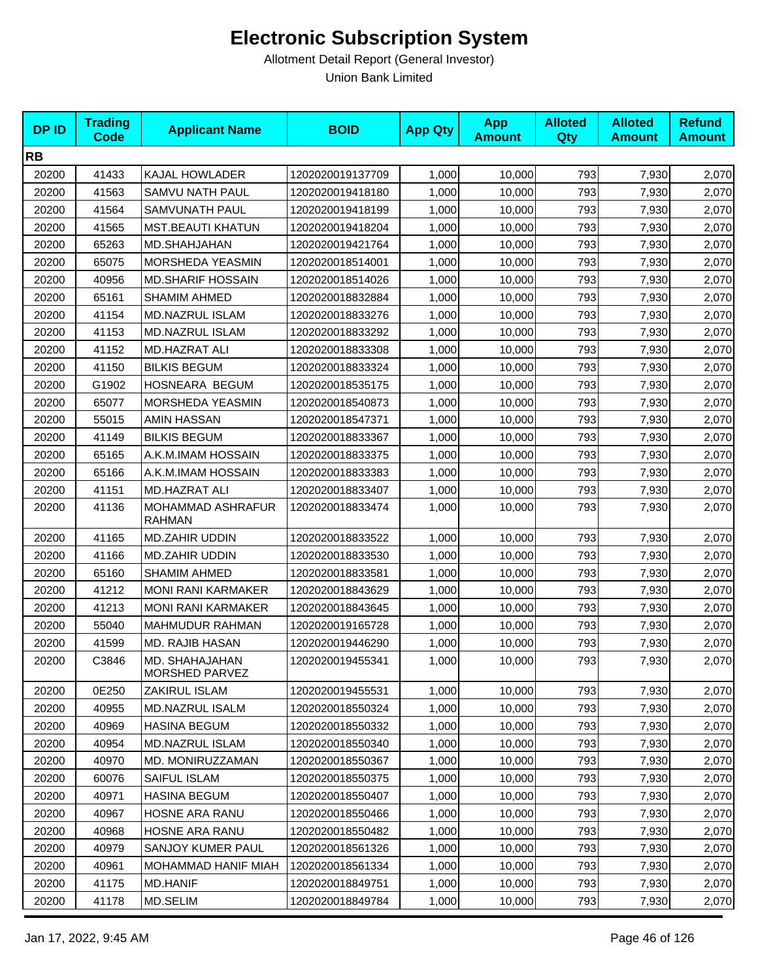| <b>DPID</b> | <b>Trading</b><br><b>Code</b> | <b>Applicant Name</b>                          | <b>BOID</b>      | <b>App Qty</b> | <b>App</b><br><b>Amount</b> | <b>Alloted</b><br>Qty | <b>Alloted</b><br><b>Amount</b> | <b>Refund</b><br><b>Amount</b> |
|-------------|-------------------------------|------------------------------------------------|------------------|----------------|-----------------------------|-----------------------|---------------------------------|--------------------------------|
| <b>RB</b>   |                               |                                                |                  |                |                             |                       |                                 |                                |
| 20200       | 41433                         | KAJAL HOWLADER                                 | 1202020019137709 | 1,000          | 10,000                      | 793                   | 7,930                           | 2,070                          |
| 20200       | 41563                         | SAMVU NATH PAUL                                | 1202020019418180 | 1,000          | 10,000                      | 793                   | 7,930                           | 2,070                          |
| 20200       | 41564                         | SAMVUNATH PAUL                                 | 1202020019418199 | 1,000          | 10,000                      | 793                   | 7,930                           | 2,070                          |
| 20200       | 41565                         | <b>MST.BEAUTI KHATUN</b>                       | 1202020019418204 | 1,000          | 10,000                      | 793                   | 7,930                           | 2,070                          |
| 20200       | 65263                         | MD.SHAHJAHAN                                   | 1202020019421764 | 1,000          | 10,000                      | 793                   | 7,930                           | 2,070                          |
| 20200       | 65075                         | <b>MORSHEDA YEASMIN</b>                        | 1202020018514001 | 1,000          | 10,000                      | 793                   | 7,930                           | 2,070                          |
| 20200       | 40956                         | <b>MD.SHARIF HOSSAIN</b>                       | 1202020018514026 | 1,000          | 10,000                      | 793                   | 7,930                           | 2,070                          |
| 20200       | 65161                         | <b>SHAMIM AHMED</b>                            | 1202020018832884 | 1,000          | 10,000                      | 793                   | 7,930                           | 2,070                          |
| 20200       | 41154                         | <b>MD.NAZRUL ISLAM</b>                         | 1202020018833276 | 1,000          | 10,000                      | 793                   | 7,930                           | 2,070                          |
| 20200       | 41153                         | MD.NAZRUL ISLAM                                | 1202020018833292 | 1,000          | 10,000                      | 793                   | 7,930                           | 2,070                          |
| 20200       | 41152                         | MD.HAZRAT ALI                                  | 1202020018833308 | 1,000          | 10,000                      | 793                   | 7,930                           | 2,070                          |
| 20200       | 41150                         | <b>BILKIS BEGUM</b>                            | 1202020018833324 | 1,000          | 10,000                      | 793                   | 7,930                           | 2,070                          |
| 20200       | G1902                         | HOSNEARA BEGUM                                 | 1202020018535175 | 1,000          | 10,000                      | 793                   | 7,930                           | 2,070                          |
| 20200       | 65077                         | MORSHEDA YEASMIN                               | 1202020018540873 | 1,000          | 10,000                      | 793                   | 7,930                           | 2,070                          |
| 20200       | 55015                         | AMIN HASSAN                                    | 1202020018547371 | 1,000          | 10,000                      | 793                   | 7,930                           | 2,070                          |
| 20200       | 41149                         | <b>BILKIS BEGUM</b>                            | 1202020018833367 | 1,000          | 10,000                      | 793                   | 7,930                           | 2,070                          |
| 20200       | 65165                         | A.K.M.IMAM HOSSAIN                             | 1202020018833375 | 1,000          | 10,000                      | 793                   | 7,930                           | 2,070                          |
| 20200       | 65166                         | A.K.M.IMAM HOSSAIN                             | 1202020018833383 | 1,000          | 10,000                      | 793                   | 7,930                           | 2,070                          |
| 20200       | 41151                         | <b>MD.HAZRAT ALI</b>                           | 1202020018833407 | 1,000          | 10,000                      | 793                   | 7,930                           | 2,070                          |
| 20200       | 41136                         | MOHAMMAD ASHRAFUR<br><b>RAHMAN</b>             | 1202020018833474 | 1,000          | 10,000                      | 793                   | 7,930                           | 2,070                          |
| 20200       | 41165                         | <b>MD.ZAHIR UDDIN</b>                          | 1202020018833522 | 1,000          | 10,000                      | 793                   | 7,930                           | 2,070                          |
| 20200       | 41166                         | <b>MD.ZAHIR UDDIN</b>                          | 1202020018833530 | 1,000          | 10,000                      | 793                   | 7,930                           | 2,070                          |
| 20200       | 65160                         | <b>SHAMIM AHMED</b>                            | 1202020018833581 | 1,000          | 10,000                      | 793                   | 7,930                           | 2,070                          |
| 20200       | 41212                         | <b>MONI RANI KARMAKER</b>                      | 1202020018843629 | 1,000          | 10,000                      | 793                   | 7,930                           | 2,070                          |
| 20200       | 41213                         | <b>MONI RANI KARMAKER</b>                      | 1202020018843645 | 1,000          | 10,000                      | 793                   | 7,930                           | 2,070                          |
| 20200       | 55040                         | MAHMUDUR RAHMAN                                | 1202020019165728 | 1,000          | 10,000                      | 793                   | 7,930                           | 2,070                          |
| 20200       | 41599                         | MD. RAJIB HASAN                                | 1202020019446290 | 1,000          | 10,000                      | 793                   | 7,930                           | 2,070                          |
| 20200       | C3846                         | <b>MD. SHAHAJAHAN</b><br><b>MORSHED PARVEZ</b> | 1202020019455341 | 1,000          | 10,000                      | 793                   | 7,930                           | 2,070                          |
| 20200       | 0E250                         | ZAKIRUL ISLAM                                  | 1202020019455531 | 1,000          | 10,000                      | 793                   | 7,930                           | 2,070                          |
| 20200       | 40955                         | <b>MD.NAZRUL ISALM</b>                         | 1202020018550324 | 1,000          | 10,000                      | 793                   | 7,930                           | 2,070                          |
| 20200       | 40969                         | <b>HASINA BEGUM</b>                            | 1202020018550332 | 1,000          | 10,000                      | 793                   | 7,930                           | 2,070                          |
| 20200       | 40954                         | MD.NAZRUL ISLAM                                | 1202020018550340 | 1,000          | 10,000                      | 793                   | 7,930                           | 2,070                          |
| 20200       | 40970                         | MD. MONIRUZZAMAN                               | 1202020018550367 | 1,000          | 10.000                      | 793                   | 7,930                           | 2,070                          |
| 20200       | 60076                         | SAIFUL ISLAM                                   | 1202020018550375 | 1,000          | 10,000                      | 793                   | 7,930                           | 2,070                          |
| 20200       | 40971                         | <b>HASINA BEGUM</b>                            | 1202020018550407 | 1,000          | 10,000                      | 793                   | 7,930                           | 2,070                          |
| 20200       | 40967                         | <b>HOSNE ARA RANU</b>                          | 1202020018550466 | 1,000          | 10,000                      | 793                   | 7,930                           | 2,070                          |
| 20200       | 40968                         | HOSNE ARA RANU                                 | 1202020018550482 | 1,000          | 10,000                      | 793                   | 7,930                           | 2,070                          |
| 20200       | 40979                         | SANJOY KUMER PAUL                              | 1202020018561326 | 1,000          | 10,000                      | 793                   | 7,930                           | 2,070                          |
| 20200       | 40961                         | MOHAMMAD HANIF MIAH                            | 1202020018561334 | 1,000          | 10,000                      | 793                   | 7,930                           | 2,070                          |
| 20200       | 41175                         | <b>MD.HANIF</b>                                | 1202020018849751 | 1,000          | 10,000                      | 793                   | 7,930                           | 2,070                          |
| 20200       | 41178                         | MD.SELIM                                       | 1202020018849784 | 1,000          | 10,000                      | 793                   | 7,930                           | 2,070                          |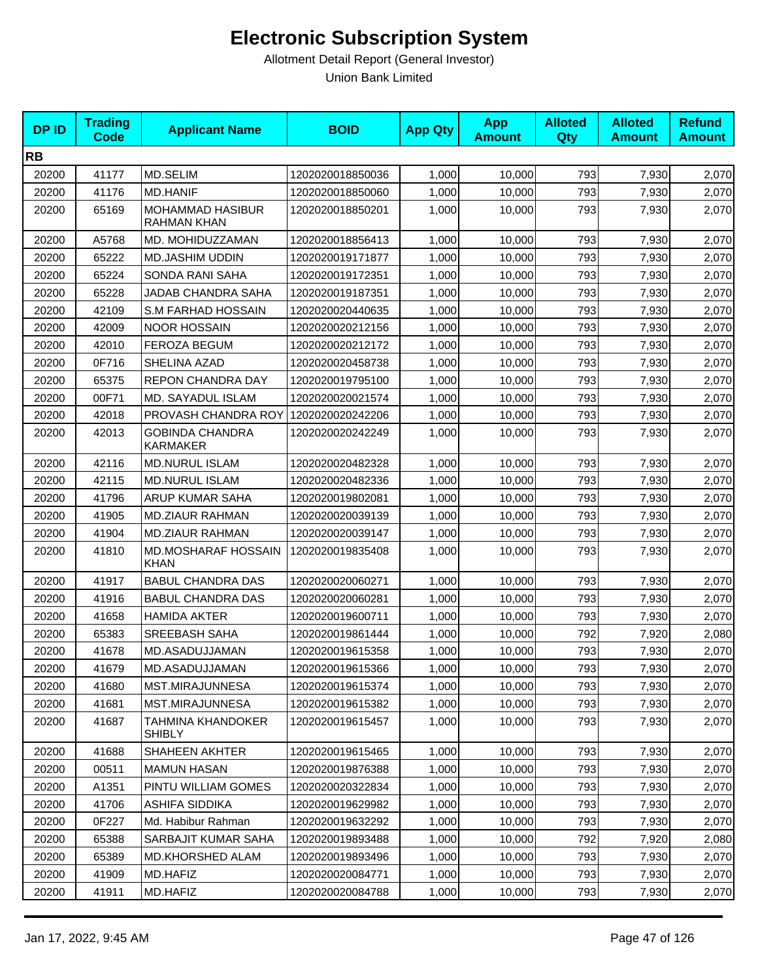| <b>DPID</b> | <b>Trading</b><br><b>Code</b> | <b>Applicant Name</b>                     | <b>BOID</b>      | <b>App Qty</b> | <b>App</b><br><b>Amount</b> | <b>Alloted</b><br>Qty | <b>Alloted</b><br><b>Amount</b> | <b>Refund</b><br><b>Amount</b> |
|-------------|-------------------------------|-------------------------------------------|------------------|----------------|-----------------------------|-----------------------|---------------------------------|--------------------------------|
| <b>RB</b>   |                               |                                           |                  |                |                             |                       |                                 |                                |
| 20200       | 41177                         | <b>MD.SELIM</b>                           | 1202020018850036 | 1,000          | 10,000                      | 793                   | 7,930                           | 2,070                          |
| 20200       | 41176                         | <b>MD.HANIF</b>                           | 1202020018850060 | 1,000          | 10,000                      | 793                   | 7,930                           | 2,070                          |
| 20200       | 65169                         | <b>MOHAMMAD HASIBUR</b><br>RAHMAN KHAN    | 1202020018850201 | 1,000          | 10,000                      | 793                   | 7,930                           | 2,070                          |
| 20200       | A5768                         | MD. MOHIDUZZAMAN                          | 1202020018856413 | 1,000          | 10,000                      | 793                   | 7,930                           | 2,070                          |
| 20200       | 65222                         | <b>MD.JASHIM UDDIN</b>                    | 1202020019171877 | 1,000          | 10,000                      | 793                   | 7,930                           | 2,070                          |
| 20200       | 65224                         | SONDA RANI SAHA                           | 1202020019172351 | 1,000          | 10,000                      | 793                   | 7,930                           | 2,070                          |
| 20200       | 65228                         | JADAB CHANDRA SAHA                        | 1202020019187351 | 1,000          | 10,000                      | 793                   | 7,930                           | 2,070                          |
| 20200       | 42109                         | S.M FARHAD HOSSAIN                        | 1202020020440635 | 1,000          | 10,000                      | 793                   | 7,930                           | 2,070                          |
| 20200       | 42009                         | <b>NOOR HOSSAIN</b>                       | 1202020020212156 | 1,000          | 10,000                      | 793                   | 7,930                           | 2,070                          |
| 20200       | 42010                         | <b>FEROZA BEGUM</b>                       | 1202020020212172 | 1,000          | 10,000                      | 793                   | 7,930                           | 2,070                          |
| 20200       | 0F716                         | SHELINA AZAD                              | 1202020020458738 | 1,000          | 10,000                      | 793                   | 7,930                           | 2,070                          |
| 20200       | 65375                         | REPON CHANDRA DAY                         | 1202020019795100 | 1,000          | 10,000                      | 793                   | 7,930                           | 2,070                          |
| 20200       | 00F71                         | MD. SAYADUL ISLAM                         | 1202020020021574 | 1,000          | 10,000                      | 793                   | 7,930                           | 2,070                          |
| 20200       | 42018                         | PROVASH CHANDRA ROY                       | 1202020020242206 | 1,000          | 10,000                      | 793                   | 7,930                           | 2,070                          |
| 20200       | 42013                         | <b>GOBINDA CHANDRA</b><br><b>KARMAKER</b> | 1202020020242249 | 1,000          | 10,000                      | 793                   | 7,930                           | 2,070                          |
| 20200       | 42116                         | <b>MD.NURUL ISLAM</b>                     | 1202020020482328 | 1,000          | 10,000                      | 793                   | 7,930                           | 2,070                          |
| 20200       | 42115                         | <b>MD.NURUL ISLAM</b>                     | 1202020020482336 | 1,000          | 10,000                      | 793                   | 7,930                           | 2,070                          |
| 20200       | 41796                         | ARUP KUMAR SAHA                           | 1202020019802081 | 1,000          | 10,000                      | 793                   | 7,930                           | 2,070                          |
| 20200       | 41905                         | <b>MD.ZIAUR RAHMAN</b>                    | 1202020020039139 | 1,000          | 10,000                      | 793                   | 7,930                           | 2,070                          |
| 20200       | 41904                         | <b>MD.ZIAUR RAHMAN</b>                    | 1202020020039147 | 1,000          | 10,000                      | 793                   | 7,930                           | 2,070                          |
| 20200       | 41810                         | <b>MD.MOSHARAF HOSSAIN</b><br><b>KHAN</b> | 1202020019835408 | 1,000          | 10,000                      | 793                   | 7,930                           | 2,070                          |
| 20200       | 41917                         | <b>BABUL CHANDRA DAS</b>                  | 1202020020060271 | 1,000          | 10,000                      | 793                   | 7,930                           | 2,070                          |
| 20200       | 41916                         | <b>BABUL CHANDRA DAS</b>                  | 1202020020060281 | 1,000          | 10,000                      | 793                   | 7,930                           | 2,070                          |
| 20200       | 41658                         | <b>HAMIDA AKTER</b>                       | 1202020019600711 | 1,000          | 10,000                      | 793                   | 7,930                           | 2,070                          |
| 20200       | 65383                         | <b>SREEBASH SAHA</b>                      | 1202020019861444 | 1,000          | 10,000                      | 792                   | 7,920                           | 2,080                          |
| 20200       | 41678                         | MD.ASADUJJAMAN                            | 1202020019615358 | 1,000          | 10,000                      | 793                   | 7,930                           | 2,070                          |
| 20200       | 41679                         | MD.ASADUJJAMAN                            | 1202020019615366 | 1,000          | 10,000                      | 793                   | 7,930                           | 2,070                          |
| 20200       | 41680                         | MST.MIRAJUNNESA                           | 1202020019615374 | 1,000          | 10,000                      | 793                   | 7,930                           | 2,070                          |
| 20200       | 41681                         | MST.MIRAJUNNESA                           | 1202020019615382 | 1,000          | 10,000                      | 793                   | 7,930                           | 2,070                          |
| 20200       | 41687                         | TAHMINA KHANDOKER<br><b>SHIBLY</b>        | 1202020019615457 | 1,000          | 10,000                      | 793                   | 7,930                           | 2,070                          |
| 20200       | 41688                         | SHAHEEN AKHTER                            | 1202020019615465 | 1,000          | 10,000                      | 793                   | 7,930                           | 2,070                          |
| 20200       | 00511                         | <b>MAMUN HASAN</b>                        | 1202020019876388 | 1,000          | 10,000                      | 793                   | 7,930                           | 2,070                          |
| 20200       | A1351                         | PINTU WILLIAM GOMES                       | 1202020020322834 | 1,000          | 10,000                      | 793                   | 7,930                           | 2,070                          |
| 20200       | 41706                         | ASHIFA SIDDIKA                            | 1202020019629982 | 1,000          | 10,000                      | 793                   | 7,930                           | 2,070                          |
| 20200       | 0F227                         | Md. Habibur Rahman                        | 1202020019632292 | 1,000          | 10,000                      | 793                   | 7,930                           | 2,070                          |
| 20200       | 65388                         | SARBAJIT KUMAR SAHA                       | 1202020019893488 | 1,000          | 10,000                      | 792                   | 7,920                           | 2,080                          |
| 20200       | 65389                         | <b>MD.KHORSHED ALAM</b>                   | 1202020019893496 | 1,000          | 10,000                      | 793                   | 7,930                           | 2,070                          |
| 20200       | 41909                         | MD.HAFIZ                                  | 1202020020084771 | 1,000          | 10,000                      | 793                   | 7,930                           | 2,070                          |
| 20200       | 41911                         | MD.HAFIZ                                  | 1202020020084788 | 1,000          | 10,000                      | 793                   | 7,930                           | 2,070                          |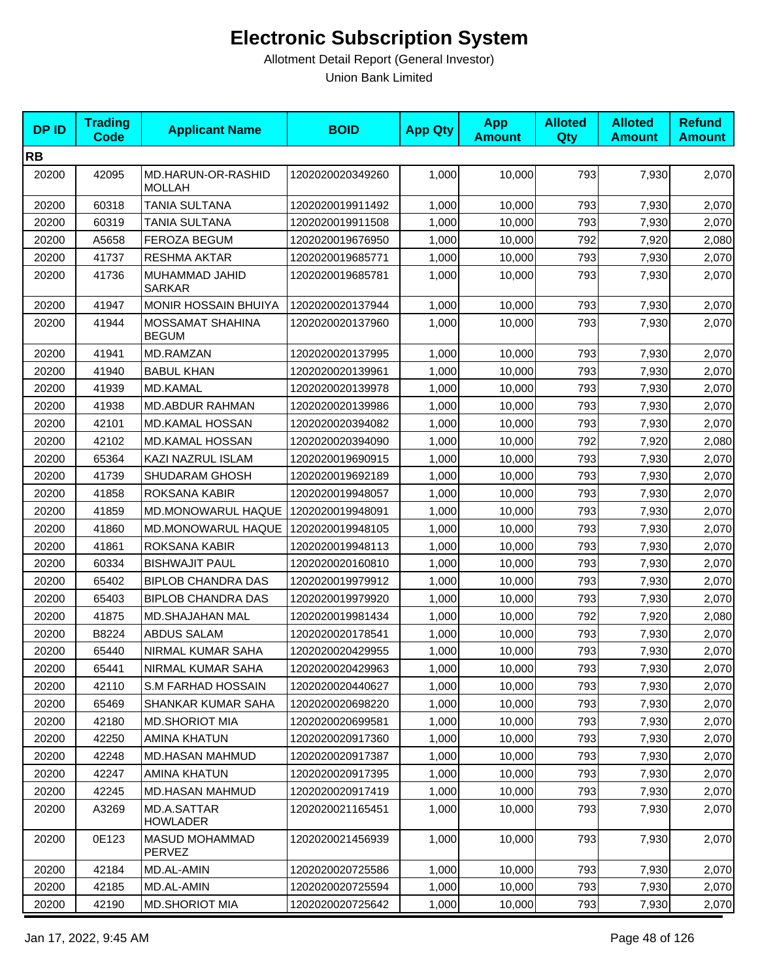| <b>DPID</b> | <b>Trading</b><br><b>Code</b> | <b>Applicant Name</b>                   | <b>BOID</b>      | <b>App Qty</b> | <b>App</b><br><b>Amount</b> | <b>Alloted</b><br><b>Qty</b> | <b>Alloted</b><br><b>Amount</b> | <b>Refund</b><br><b>Amount</b> |
|-------------|-------------------------------|-----------------------------------------|------------------|----------------|-----------------------------|------------------------------|---------------------------------|--------------------------------|
| <b>RB</b>   |                               |                                         |                  |                |                             |                              |                                 |                                |
| 20200       | 42095                         | MD.HARUN-OR-RASHID<br><b>MOLLAH</b>     | 1202020020349260 | 1,000          | 10,000                      | 793                          | 7,930                           | 2,070                          |
| 20200       | 60318                         | TANIA SULTANA                           | 1202020019911492 | 1,000          | 10,000                      | 793                          | 7,930                           | 2,070                          |
| 20200       | 60319                         | TANIA SULTANA                           | 1202020019911508 | 1,000          | 10,000                      | 793                          | 7,930                           | 2,070                          |
| 20200       | A5658                         | <b>FEROZA BEGUM</b>                     | 1202020019676950 | 1,000          | 10,000                      | 792                          | 7,920                           | 2,080                          |
| 20200       | 41737                         | RESHMA AKTAR                            | 1202020019685771 | 1,000          | 10,000                      | 793                          | 7,930                           | 2,070                          |
| 20200       | 41736                         | MUHAMMAD JAHID<br><b>SARKAR</b>         | 1202020019685781 | 1,000          | 10,000                      | 793                          | 7,930                           | 2,070                          |
| 20200       | 41947                         | <b>MONIR HOSSAIN BHUIYA</b>             | 1202020020137944 | 1,000          | 10,000                      | 793                          | 7,930                           | 2,070                          |
| 20200       | 41944                         | <b>MOSSAMAT SHAHINA</b><br><b>BEGUM</b> | 1202020020137960 | 1,000          | 10,000                      | 793                          | 7,930                           | 2,070                          |
| 20200       | 41941                         | MD.RAMZAN                               | 1202020020137995 | 1,000          | 10,000                      | 793                          | 7,930                           | 2,070                          |
| 20200       | 41940                         | <b>BABUL KHAN</b>                       | 1202020020139961 | 1,000          | 10,000                      | 793                          | 7,930                           | 2,070                          |
| 20200       | 41939                         | <b>MD.KAMAL</b>                         | 1202020020139978 | 1,000          | 10,000                      | 793                          | 7,930                           | 2,070                          |
| 20200       | 41938                         | <b>MD.ABDUR RAHMAN</b>                  | 1202020020139986 | 1,000          | 10,000                      | 793                          | 7,930                           | 2,070                          |
| 20200       | 42101                         | MD.KAMAL HOSSAN                         | 1202020020394082 | 1,000          | 10,000                      | 793                          | 7,930                           | 2,070                          |
| 20200       | 42102                         | <b>MD.KAMAL HOSSAN</b>                  | 1202020020394090 | 1,000          | 10,000                      | 792                          | 7,920                           | 2,080                          |
| 20200       | 65364                         | KAZI NAZRUL ISLAM                       | 1202020019690915 | 1,000          | 10,000                      | 793                          | 7,930                           | 2,070                          |
| 20200       | 41739                         | SHUDARAM GHOSH                          | 1202020019692189 | 1,000          | 10,000                      | 793                          | 7,930                           | 2,070                          |
| 20200       | 41858                         | ROKSANA KABIR                           | 1202020019948057 | 1,000          | 10,000                      | 793                          | 7,930                           | 2,070                          |
| 20200       | 41859                         | MD.MONOWARUL HAQUE                      | 1202020019948091 | 1,000          | 10,000                      | 793                          | 7,930                           | 2,070                          |
| 20200       | 41860                         | MD.MONOWARUL HAQUE                      | 1202020019948105 | 1,000          | 10,000                      | 793                          | 7,930                           | 2,070                          |
| 20200       | 41861                         | ROKSANA KABIR                           | 1202020019948113 | 1,000          | 10,000                      | 793                          | 7,930                           | 2,070                          |
| 20200       | 60334                         | <b>BISHWAJIT PAUL</b>                   | 1202020020160810 | 1,000          | 10,000                      | 793                          | 7,930                           | 2,070                          |
| 20200       | 65402                         | <b>BIPLOB CHANDRA DAS</b>               | 1202020019979912 | 1,000          | 10,000                      | 793                          | 7,930                           | 2,070                          |
| 20200       | 65403                         | <b>BIPLOB CHANDRA DAS</b>               | 1202020019979920 | 1,000          | 10,000                      | 793                          | 7,930                           | 2,070                          |
| 20200       | 41875                         | MD.SHAJAHAN MAL                         | 1202020019981434 | 1,000          | 10,000                      | 792                          | 7,920                           | 2,080                          |
| 20200       | B8224                         | <b>ABDUS SALAM</b>                      | 1202020020178541 | 1,000          | 10,000                      | 793                          | 7,930                           | 2,070                          |
| 20200       | 65440                         | NIRMAL KUMAR SAHA                       | 1202020020429955 | 1,000          | 10,000                      | 793                          | 7,930                           | 2,070                          |
| 20200       | 65441                         | NIRMAL KUMAR SAHA                       | 1202020020429963 | 1,000          | 10,000                      | 793                          | 7,930                           | 2,070                          |
| 20200       | 42110                         | <b>S.M FARHAD HOSSAIN</b>               | 1202020020440627 | 1,000          | 10.000                      | 793                          | 7,930                           | 2,070                          |
| 20200       | 65469                         | SHANKAR KUMAR SAHA                      | 1202020020698220 | 1,000          | 10,000                      | 793                          | 7,930                           | 2,070                          |
| 20200       | 42180                         | <b>MD.SHORIOT MIA</b>                   | 1202020020699581 | 1,000          | 10,000                      | 793                          | 7,930                           | 2,070                          |
| 20200       | 42250                         | AMINA KHATUN                            | 1202020020917360 | 1,000          | 10,000                      | 793                          | 7,930                           | 2,070                          |
| 20200       | 42248                         | MD.HASAN MAHMUD                         | 1202020020917387 | 1,000          | 10,000                      | 793                          | 7,930                           | 2,070                          |
| 20200       | 42247                         | AMINA KHATUN                            | 1202020020917395 | 1,000          | 10,000                      | 793                          | 7,930                           | 2,070                          |
| 20200       | 42245                         | MD.HASAN MAHMUD                         | 1202020020917419 | 1,000          | 10,000                      | 793                          | 7,930                           | 2,070                          |
| 20200       | A3269                         | MD.A.SATTAR<br><b>HOWLADER</b>          | 1202020021165451 | 1,000          | 10,000                      | 793                          | 7,930                           | 2,070                          |
| 20200       | 0E123                         | MASUD MOHAMMAD<br>PERVEZ                | 1202020021456939 | 1,000          | 10,000                      | 793                          | 7,930                           | 2,070                          |
| 20200       | 42184                         | MD.AL-AMIN                              | 1202020020725586 | 1,000          | 10,000                      | 793                          | 7,930                           | 2,070                          |
| 20200       | 42185                         | MD.AL-AMIN                              | 1202020020725594 | 1,000          | 10,000                      | 793                          | 7,930                           | 2,070                          |
| 20200       | 42190                         | <b>MD.SHORIOT MIA</b>                   | 1202020020725642 | 1,000          | 10,000                      | 793                          | 7,930                           | 2,070                          |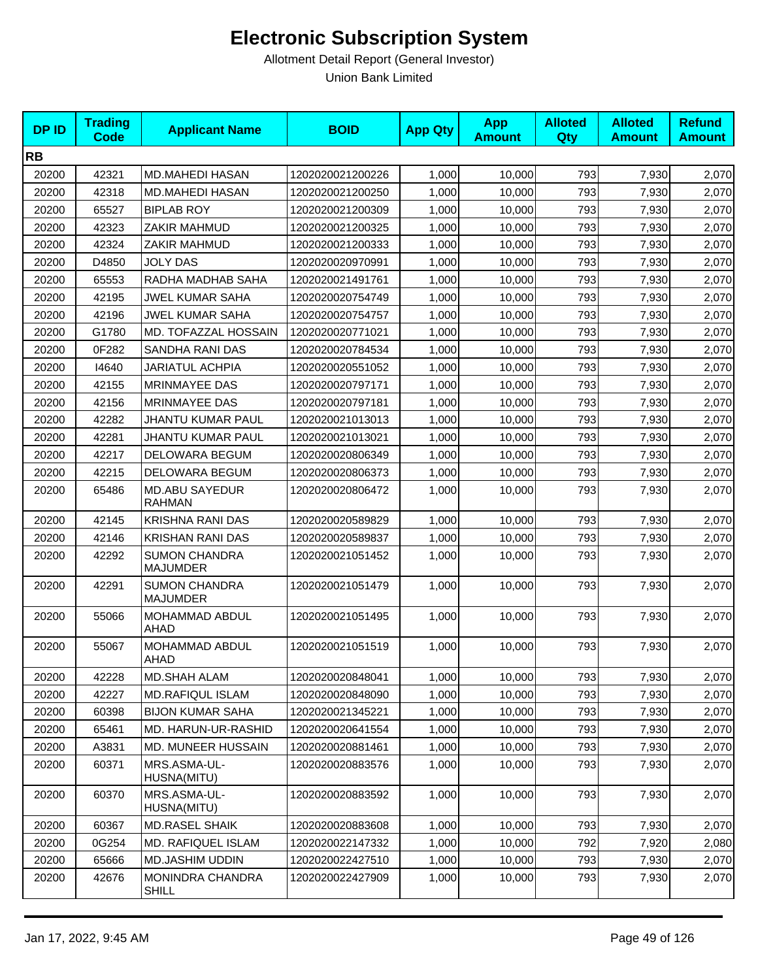| <b>DPID</b> | <b>Trading</b><br>Code | <b>Applicant Name</b>                   | <b>BOID</b>      | <b>App Qty</b> | <b>App</b><br><b>Amount</b> | <b>Alloted</b><br>Qty | <b>Alloted</b><br><b>Amount</b> | <b>Refund</b><br><b>Amount</b> |
|-------------|------------------------|-----------------------------------------|------------------|----------------|-----------------------------|-----------------------|---------------------------------|--------------------------------|
| <b>RB</b>   |                        |                                         |                  |                |                             |                       |                                 |                                |
| 20200       | 42321                  | <b>MD.MAHEDI HASAN</b>                  | 1202020021200226 | 1,000          | 10,000                      | 793                   | 7,930                           | 2,070                          |
| 20200       | 42318                  | <b>MD.MAHEDI HASAN</b>                  | 1202020021200250 | 1,000          | 10,000                      | 793                   | 7,930                           | 2,070                          |
| 20200       | 65527                  | <b>BIPLAB ROY</b>                       | 1202020021200309 | 1,000          | 10,000                      | 793                   | 7,930                           | 2,070                          |
| 20200       | 42323                  | ZAKIR MAHMUD                            | 1202020021200325 | 1,000          | 10,000                      | 793                   | 7,930                           | 2,070                          |
| 20200       | 42324                  | ZAKIR MAHMUD                            | 1202020021200333 | 1,000          | 10,000                      | 793                   | 7,930                           | 2,070                          |
| 20200       | D4850                  | <b>JOLY DAS</b>                         | 1202020020970991 | 1,000          | 10,000                      | 793                   | 7,930                           | 2,070                          |
| 20200       | 65553                  | RADHA MADHAB SAHA                       | 1202020021491761 | 1,000          | 10,000                      | 793                   | 7,930                           | 2,070                          |
| 20200       | 42195                  | JWEL KUMAR SAHA                         | 1202020020754749 | 1,000          | 10,000                      | 793                   | 7,930                           | 2,070                          |
| 20200       | 42196                  | <b>JWEL KUMAR SAHA</b>                  | 1202020020754757 | 1,000          | 10,000                      | 793                   | 7,930                           | 2,070                          |
| 20200       | G1780                  | MD. TOFAZZAL HOSSAIN                    | 1202020020771021 | 1,000          | 10,000                      | 793                   | 7,930                           | 2,070                          |
| 20200       | 0F282                  | SANDHA RANI DAS                         | 1202020020784534 | 1,000          | 10,000                      | 793                   | 7,930                           | 2,070                          |
| 20200       | 14640                  | <b>JARIATUL ACHPIA</b>                  | 1202020020551052 | 1,000          | 10,000                      | 793                   | 7,930                           | 2,070                          |
| 20200       | 42155                  | <b>MRINMAYEE DAS</b>                    | 1202020020797171 | 1,000          | 10,000                      | 793                   | 7,930                           | 2,070                          |
| 20200       | 42156                  | MRINMAYEE DAS                           | 1202020020797181 | 1,000          | 10,000                      | 793                   | 7,930                           | 2,070                          |
| 20200       | 42282                  | <b>JHANTU KUMAR PAUL</b>                | 1202020021013013 | 1,000          | 10,000                      | 793                   | 7,930                           | 2,070                          |
| 20200       | 42281                  | <b>JHANTU KUMAR PAUL</b>                | 1202020021013021 | 1,000          | 10.000                      | 793                   | 7,930                           | 2,070                          |
| 20200       | 42217                  | DELOWARA BEGUM                          | 1202020020806349 | 1,000          | 10,000                      | 793                   | 7,930                           | 2,070                          |
| 20200       | 42215                  | DELOWARA BEGUM                          | 1202020020806373 | 1,000          | 10,000                      | 793                   | 7,930                           | 2,070                          |
| 20200       | 65486                  | <b>MD.ABU SAYEDUR</b><br><b>RAHMAN</b>  | 1202020020806472 | 1,000          | 10,000                      | 793                   | 7,930                           | 2,070                          |
| 20200       | 42145                  | KRISHNA RANI DAS                        | 1202020020589829 | 1,000          | 10,000                      | 793                   | 7,930                           | 2,070                          |
| 20200       | 42146                  | <b>KRISHAN RANI DAS</b>                 | 1202020020589837 | 1,000          | 10,000                      | 793                   | 7,930                           | 2,070                          |
| 20200       | 42292                  | <b>SUMON CHANDRA</b><br><b>MAJUMDER</b> | 1202020021051452 | 1,000          | 10,000                      | 793                   | 7,930                           | 2,070                          |
| 20200       | 42291                  | <b>SUMON CHANDRA</b><br><b>MAJUMDER</b> | 1202020021051479 | 1,000          | 10,000                      | 793                   | 7,930                           | 2,070                          |
| 20200       | 55066                  | MOHAMMAD ABDUL<br>AHAD                  | 1202020021051495 | 1,000          | 10,000                      | 793                   | 7,930                           | 2,070                          |
| 20200       | 55067                  | MOHAMMAD ABDUL<br>AHAD                  | 1202020021051519 | 1,000          | 10,000                      | 793                   | 7,930                           | 2,070                          |
| 20200       | 42228                  | MD.SHAH ALAM                            | 1202020020848041 | 1,000          | 10,000                      | 793                   | 7,930                           | 2,070                          |
| 20200       | 42227                  | <b>MD.RAFIQUL ISLAM</b>                 | 1202020020848090 | 1,000          | 10,000                      | 793                   | 7,930                           | 2,070                          |
| 20200       | 60398                  | <b>BIJON KUMAR SAHA</b>                 | 1202020021345221 | 1,000          | 10,000                      | 793                   | 7,930                           | 2,070                          |
| 20200       | 65461                  | MD. HARUN-UR-RASHID                     | 1202020020641554 | 1,000          | 10,000                      | 793                   | 7,930                           | 2,070                          |
| 20200       | A3831                  | MD. MUNEER HUSSAIN                      | 1202020020881461 | 1,000          | 10,000                      | 793                   | 7,930                           | 2,070                          |
| 20200       | 60371                  | MRS.ASMA-UL-<br>HUSNA(MITU)             | 1202020020883576 | 1,000          | 10,000                      | 793                   | 7,930                           | 2,070                          |
| 20200       | 60370                  | MRS.ASMA-UL-<br>HUSNA(MITU)             | 1202020020883592 | 1,000          | 10,000                      | 793                   | 7,930                           | 2,070                          |
| 20200       | 60367                  | MD.RASEL SHAIK                          | 1202020020883608 | 1,000          | 10,000                      | 793                   | 7,930                           | 2,070                          |
| 20200       | 0G254                  | MD. RAFIQUEL ISLAM                      | 1202020022147332 | 1,000          | 10,000                      | 792                   | 7,920                           | 2,080                          |
| 20200       | 65666                  | MD.JASHIM UDDIN                         | 1202020022427510 | 1,000          | 10,000                      | 793                   | 7,930                           | 2,070                          |
| 20200       | 42676                  | MONINDRA CHANDRA<br>SHILL               | 1202020022427909 | 1,000          | 10,000                      | 793                   | 7,930                           | 2,070                          |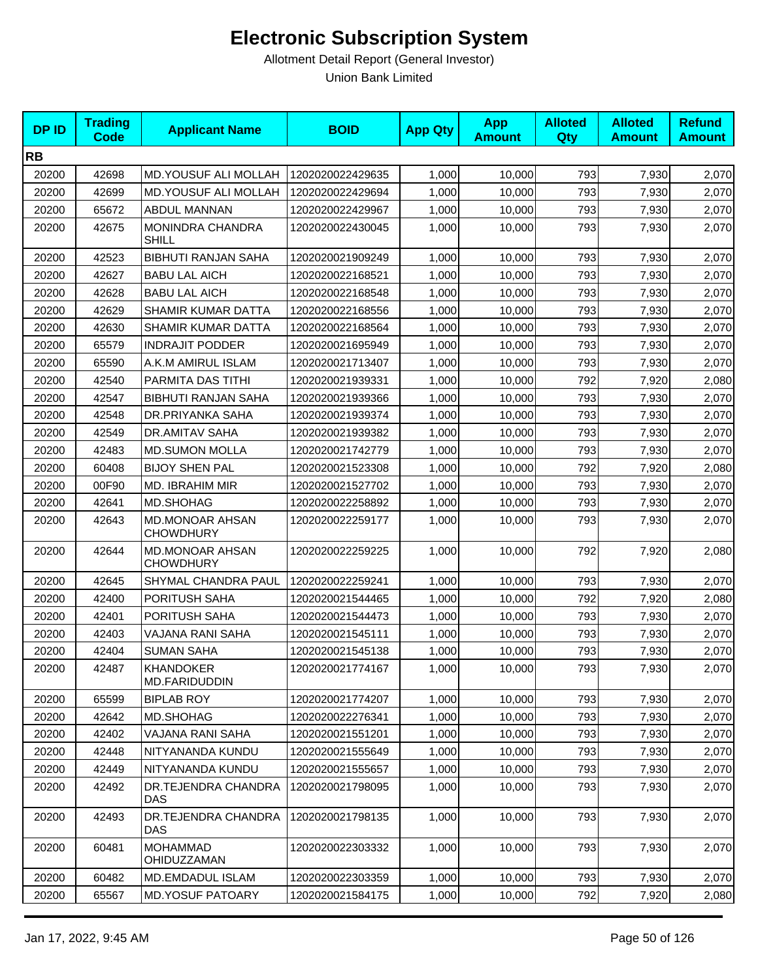| <b>DPID</b> | <b>Trading</b><br>Code | <b>Applicant Name</b>                      | <b>BOID</b>      | <b>App Qty</b> | <b>App</b><br><b>Amount</b> | <b>Alloted</b><br>Qty | <b>Alloted</b><br><b>Amount</b> | <b>Refund</b><br><b>Amount</b> |
|-------------|------------------------|--------------------------------------------|------------------|----------------|-----------------------------|-----------------------|---------------------------------|--------------------------------|
| <b>RB</b>   |                        |                                            |                  |                |                             |                       |                                 |                                |
| 20200       | 42698                  | <b>MD.YOUSUF ALI MOLLAH</b>                | 1202020022429635 | 1,000          | 10,000                      | 793                   | 7,930                           | 2,070                          |
| 20200       | 42699                  | MD.YOUSUF ALI MOLLAH                       | 1202020022429694 | 1,000          | 10,000                      | 793                   | 7,930                           | 2,070                          |
| 20200       | 65672                  | ABDUL MANNAN                               | 1202020022429967 | 1,000          | 10,000                      | 793                   | 7,930                           | 2,070                          |
| 20200       | 42675                  | MONINDRA CHANDRA<br>SHILL                  | 1202020022430045 | 1,000          | 10,000                      | 793                   | 7,930                           | 2,070                          |
| 20200       | 42523                  | <b>BIBHUTI RANJAN SAHA</b>                 | 1202020021909249 | 1,000          | 10,000                      | 793                   | 7,930                           | 2,070                          |
| 20200       | 42627                  | <b>BABU LAL AICH</b>                       | 1202020022168521 | 1,000          | 10,000                      | 793                   | 7,930                           | 2,070                          |
| 20200       | 42628                  | <b>BABU LAL AICH</b>                       | 1202020022168548 | 1,000          | 10,000                      | 793                   | 7,930                           | 2,070                          |
| 20200       | 42629                  | SHAMIR KUMAR DATTA                         | 1202020022168556 | 1,000          | 10,000                      | 793                   | 7,930                           | 2,070                          |
| 20200       | 42630                  | SHAMIR KUMAR DATTA                         | 1202020022168564 | 1,000          | 10,000                      | 793                   | 7,930                           | 2,070                          |
| 20200       | 65579                  | <b>INDRAJIT PODDER</b>                     | 1202020021695949 | 1,000          | 10,000                      | 793                   | 7,930                           | 2,070                          |
| 20200       | 65590                  | A.K.M AMIRUL ISLAM                         | 1202020021713407 | 1,000          | 10,000                      | 793                   | 7,930                           | 2,070                          |
| 20200       | 42540                  | PARMITA DAS TITHI                          | 1202020021939331 | 1,000          | 10,000                      | 792                   | 7,920                           | 2,080                          |
| 20200       | 42547                  | <b>BIBHUTI RANJAN SAHA</b>                 | 1202020021939366 | 1,000          | 10,000                      | 793                   | 7,930                           | 2,070                          |
| 20200       | 42548                  | DR.PRIYANKA SAHA                           | 1202020021939374 | 1,000          | 10,000                      | 793                   | 7,930                           | 2,070                          |
| 20200       | 42549                  | DR.AMITAV SAHA                             | 1202020021939382 | 1,000          | 10,000                      | 793                   | 7,930                           | 2,070                          |
| 20200       | 42483                  | <b>MD.SUMON MOLLA</b>                      | 1202020021742779 | 1,000          | 10,000                      | 793                   | 7,930                           | 2,070                          |
| 20200       | 60408                  | <b>BIJOY SHEN PAL</b>                      | 1202020021523308 | 1,000          | 10,000                      | 792                   | 7,920                           | 2,080                          |
| 20200       | 00F90                  | <b>MD. IBRAHIM MIR</b>                     | 1202020021527702 | 1,000          | 10,000                      | 793                   | 7,930                           | 2,070                          |
| 20200       | 42641                  | MD.SHOHAG                                  | 1202020022258892 | 1,000          | 10,000                      | 793                   | 7,930                           | 2,070                          |
| 20200       | 42643                  | <b>MD.MONOAR AHSAN</b><br><b>CHOWDHURY</b> | 1202020022259177 | 1,000          | 10,000                      | 793                   | 7,930                           | 2,070                          |
| 20200       | 42644                  | <b>MD.MONOAR AHSAN</b><br><b>CHOWDHURY</b> | 1202020022259225 | 1,000          | 10,000                      | 792                   | 7,920                           | 2,080                          |
| 20200       | 42645                  | SHYMAL CHANDRA PAUL                        | 1202020022259241 | 1,000          | 10,000                      | 793                   | 7,930                           | 2,070                          |
| 20200       | 42400                  | PORITUSH SAHA                              | 1202020021544465 | 1,000          | 10,000                      | 792                   | 7,920                           | 2,080                          |
| 20200       | 42401                  | PORITUSH SAHA                              | 1202020021544473 | 1,000          | 10,000                      | 793                   | 7,930                           | 2,070                          |
| 20200       | 42403                  | VAJANA RANI SAHA                           | 1202020021545111 | 1,000          | 10,000                      | 793                   | 7,930                           | 2,070                          |
| 20200       | 42404                  | <b>SUMAN SAHA</b>                          | 1202020021545138 | 1,000          | 10,000                      | 793                   | 7,930                           | 2,070                          |
| 20200       | 42487                  | <b>KHANDOKER</b><br>MD.FARIDUDDIN          | 1202020021774167 | 1,000          | 10,000                      | 793                   | 7,930                           | 2,070                          |
| 20200       | 65599                  | <b>BIPLAB ROY</b>                          | 1202020021774207 | 1,000          | 10,000                      | 793                   | 7,930                           | 2,070                          |
| 20200       | 42642                  | MD.SHOHAG                                  | 1202020022276341 | 1,000          | 10,000                      | 793                   | 7,930                           | 2,070                          |
| 20200       | 42402                  | VAJANA RANI SAHA                           | 1202020021551201 | 1,000          | 10,000                      | 793                   | 7,930                           | 2,070                          |
| 20200       | 42448                  | NITYANANDA KUNDU                           | 1202020021555649 | 1,000          | 10,000                      | 793                   | 7,930                           | 2,070                          |
| 20200       | 42449                  | NITYANANDA KUNDU                           | 1202020021555657 | 1,000          | 10,000                      | 793                   | 7,930                           | 2,070                          |
| 20200       | 42492                  | DR.TEJENDRA CHANDRA<br>DAS                 | 1202020021798095 | 1,000          | 10,000                      | 793                   | 7,930                           | 2,070                          |
| 20200       | 42493                  | DR.TEJENDRA CHANDRA<br>DAS                 | 1202020021798135 | 1,000          | 10,000                      | 793                   | 7,930                           | 2,070                          |
| 20200       | 60481                  | <b>MOHAMMAD</b><br>OHIDUZZAMAN             | 1202020022303332 | 1,000          | 10,000                      | 793                   | 7,930                           | 2,070                          |
| 20200       | 60482                  | <b>MD.EMDADUL ISLAM</b>                    | 1202020022303359 | 1,000          | 10,000                      | 793                   | 7,930                           | 2,070                          |
| 20200       | 65567                  | <b>MD.YOSUF PATOARY</b>                    | 1202020021584175 | 1,000          | 10,000                      | 792                   | 7,920                           | 2,080                          |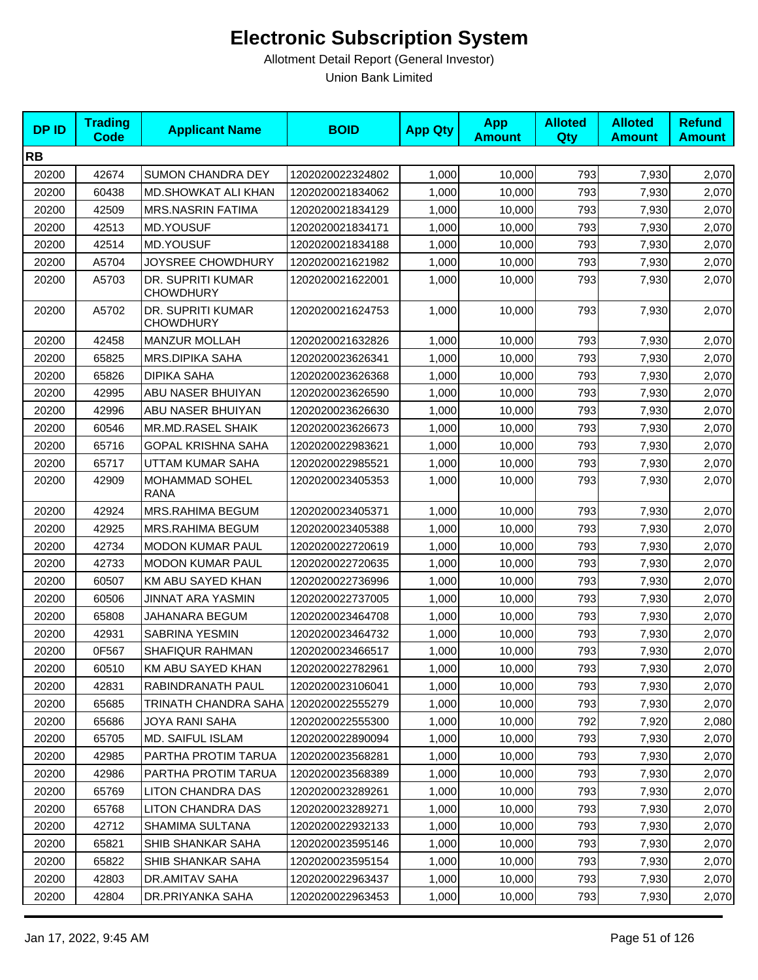| <b>DPID</b> | <b>Trading</b><br><b>Code</b> | <b>Applicant Name</b>                   | <b>BOID</b>      | <b>App Qty</b> | <b>App</b><br><b>Amount</b> | <b>Alloted</b><br><b>Qty</b> | <b>Alloted</b><br><b>Amount</b> | <b>Refund</b><br><b>Amount</b> |
|-------------|-------------------------------|-----------------------------------------|------------------|----------------|-----------------------------|------------------------------|---------------------------------|--------------------------------|
| <b>RB</b>   |                               |                                         |                  |                |                             |                              |                                 |                                |
| 20200       | 42674                         | <b>SUMON CHANDRA DEY</b>                | 1202020022324802 | 1,000          | 10,000                      | 793                          | 7,930                           | 2,070                          |
| 20200       | 60438                         | <b>MD.SHOWKAT ALI KHAN</b>              | 1202020021834062 | 1,000          | 10,000                      | 793                          | 7,930                           | 2,070                          |
| 20200       | 42509                         | <b>MRS.NASRIN FATIMA</b>                | 1202020021834129 | 1,000          | 10,000                      | 793                          | 7,930                           | 2,070                          |
| 20200       | 42513                         | <b>MD.YOUSUF</b>                        | 1202020021834171 | 1,000          | 10,000                      | 793                          | 7,930                           | 2,070                          |
| 20200       | 42514                         | MD.YOUSUF                               | 1202020021834188 | 1,000          | 10,000                      | 793                          | 7,930                           | 2,070                          |
| 20200       | A5704                         | JOYSREE CHOWDHURY                       | 1202020021621982 | 1,000          | 10,000                      | 793                          | 7,930                           | 2,070                          |
| 20200       | A5703                         | DR. SUPRITI KUMAR<br><b>CHOWDHURY</b>   | 1202020021622001 | 1,000          | 10,000                      | 793                          | 7,930                           | 2,070                          |
| 20200       | A5702                         | DR. SUPRITI KUMAR<br><b>CHOWDHURY</b>   | 1202020021624753 | 1,000          | 10,000                      | 793                          | 7,930                           | 2,070                          |
| 20200       | 42458                         | <b>MANZUR MOLLAH</b>                    | 1202020021632826 | 1,000          | 10,000                      | 793                          | 7,930                           | 2,070                          |
| 20200       | 65825                         | <b>MRS.DIPIKA SAHA</b>                  | 1202020023626341 | 1,000          | 10,000                      | 793                          | 7,930                           | 2,070                          |
| 20200       | 65826                         | <b>DIPIKA SAHA</b>                      | 1202020023626368 | 1,000          | 10,000                      | 793                          | 7,930                           | 2,070                          |
| 20200       | 42995                         | ABU NASER BHUIYAN                       | 1202020023626590 | 1,000          | 10,000                      | 793                          | 7,930                           | 2,070                          |
| 20200       | 42996                         | ABU NASER BHUIYAN                       | 1202020023626630 | 1,000          | 10,000                      | 793                          | 7,930                           | 2,070                          |
| 20200       | 60546                         | MR.MD.RASEL SHAIK                       | 1202020023626673 | 1,000          | 10,000                      | 793                          | 7,930                           | 2,070                          |
| 20200       | 65716                         | <b>GOPAL KRISHNA SAHA</b>               | 1202020022983621 | 1,000          | 10,000                      | 793                          | 7,930                           | 2,070                          |
| 20200       | 65717                         | UTTAM KUMAR SAHA                        | 1202020022985521 | 1,000          | 10,000                      | 793                          | 7,930                           | 2,070                          |
| 20200       | 42909                         | MOHAMMAD SOHEL<br><b>RANA</b>           | 1202020023405353 | 1,000          | 10,000                      | 793                          | 7,930                           | 2,070                          |
| 20200       | 42924                         | MRS.RAHIMA BEGUM                        | 1202020023405371 | 1,000          | 10,000                      | 793                          | 7,930                           | 2,070                          |
| 20200       | 42925                         | MRS.RAHIMA BEGUM                        | 1202020023405388 | 1,000          | 10,000                      | 793                          | 7,930                           | 2,070                          |
| 20200       | 42734                         | <b>MODON KUMAR PAUL</b>                 | 1202020022720619 | 1,000          | 10,000                      | 793                          | 7,930                           | 2,070                          |
| 20200       | 42733                         | <b>MODON KUMAR PAUL</b>                 | 1202020022720635 | 1,000          | 10,000                      | 793                          | 7,930                           | 2,070                          |
| 20200       | 60507                         | KM ABU SAYED KHAN                       | 1202020022736996 | 1,000          | 10,000                      | 793                          | 7,930                           | 2,070                          |
| 20200       | 60506                         | <b>JINNAT ARA YASMIN</b>                | 1202020022737005 | 1,000          | 10,000                      | 793                          | 7,930                           | 2,070                          |
| 20200       | 65808                         | JAHANARA BEGUM                          | 1202020023464708 | 1,000          | 10,000                      | 793                          | 7,930                           | 2,070                          |
| 20200       | 42931                         | <b>SABRINA YESMIN</b>                   | 1202020023464732 | 1,000          | 10,000                      | 793                          | 7,930                           | 2,070                          |
| 20200       | 0F567                         | SHAFIQUR RAHMAN                         | 1202020023466517 | 1,000          | 10,000                      | 793                          | 7,930                           | 2,070                          |
| 20200       | 60510                         | KM ABU SAYED KHAN                       | 1202020022782961 | 1,000          | 10,000                      | 793                          | 7,930                           | 2,070                          |
| 20200       | 42831                         | RABINDRANATH PAUL                       | 1202020023106041 | 1,000          | 10,000                      | 793                          | 7,930                           | 2,070                          |
| 20200       | 65685                         | TRINATH CHANDRA SAHA   1202020022555279 |                  | 1,000          | 10,000                      | 793                          | 7,930                           | 2,070                          |
| 20200       | 65686                         | JOYA RANI SAHA                          | 1202020022555300 | 1,000          | 10,000                      | 792                          | 7,920                           | 2,080                          |
| 20200       | 65705                         | MD. SAIFUL ISLAM                        | 1202020022890094 | 1,000          | 10,000                      | 793                          | 7,930                           | 2,070                          |
| 20200       | 42985                         | PARTHA PROTIM TARUA                     | 1202020023568281 | 1,000          | 10,000                      | 793                          | 7,930                           | 2,070                          |
| 20200       | 42986                         | PARTHA PROTIM TARUA                     | 1202020023568389 | 1,000          | 10,000                      | 793                          | 7,930                           | 2,070                          |
| 20200       | 65769                         | <b>LITON CHANDRA DAS</b>                | 1202020023289261 | 1,000          | 10,000                      | 793                          | 7,930                           | 2,070                          |
| 20200       | 65768                         | <b>LITON CHANDRA DAS</b>                | 1202020023289271 | 1,000          | 10,000                      | 793                          | 7,930                           | 2,070                          |
| 20200       | 42712                         | SHAMIMA SULTANA                         | 1202020022932133 | 1,000          | 10,000                      | 793                          | 7,930                           | 2,070                          |
| 20200       | 65821                         | SHIB SHANKAR SAHA                       | 1202020023595146 | 1,000          | 10,000                      | 793                          | 7,930                           | 2,070                          |
| 20200       | 65822                         | SHIB SHANKAR SAHA                       | 1202020023595154 | 1,000          | 10,000                      | 793                          | 7,930                           | 2,070                          |
| 20200       | 42803                         | DR.AMITAV SAHA                          | 1202020022963437 | 1,000          | 10,000                      | 793                          | 7,930                           | 2,070                          |
| 20200       | 42804                         | DR.PRIYANKA SAHA                        | 1202020022963453 | 1,000          | 10,000                      | 793                          | 7,930                           | 2,070                          |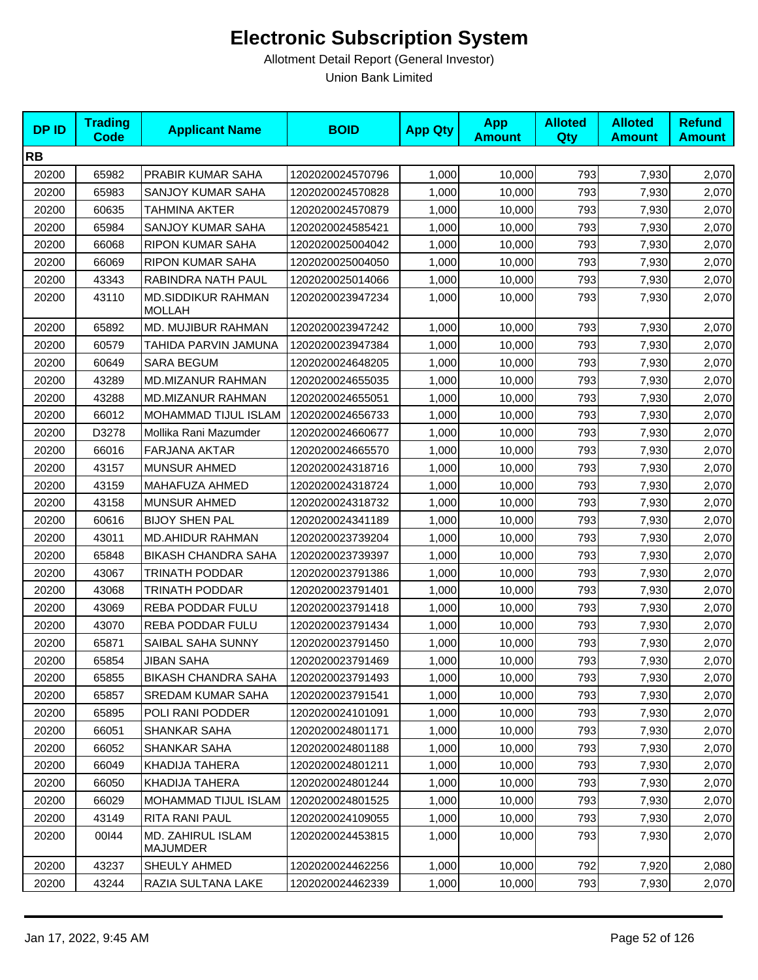| <b>DPID</b> | <b>Trading</b><br>Code | <b>Applicant Name</b>               | <b>BOID</b>      | <b>App Qty</b> | <b>App</b><br><b>Amount</b> | <b>Alloted</b><br>Qty | <b>Alloted</b><br><b>Amount</b> | <b>Refund</b><br><b>Amount</b> |
|-------------|------------------------|-------------------------------------|------------------|----------------|-----------------------------|-----------------------|---------------------------------|--------------------------------|
| <b>RB</b>   |                        |                                     |                  |                |                             |                       |                                 |                                |
| 20200       | 65982                  | PRABIR KUMAR SAHA                   | 1202020024570796 | 1,000          | 10,000                      | 793                   | 7,930                           | 2,070                          |
| 20200       | 65983                  | SANJOY KUMAR SAHA                   | 1202020024570828 | 1,000          | 10.000                      | 793                   | 7,930                           | 2,070                          |
| 20200       | 60635                  | TAHMINA AKTER                       | 1202020024570879 | 1,000          | 10,000                      | 793                   | 7,930                           | 2,070                          |
| 20200       | 65984                  | SANJOY KUMAR SAHA                   | 1202020024585421 | 1,000          | 10,000                      | 793                   | 7,930                           | 2,070                          |
| 20200       | 66068                  | RIPON KUMAR SAHA                    | 1202020025004042 | 1,000          | 10,000                      | 793                   | 7,930                           | 2,070                          |
| 20200       | 66069                  | RIPON KUMAR SAHA                    | 1202020025004050 | 1,000          | 10,000                      | 793                   | 7,930                           | 2,070                          |
| 20200       | 43343                  | RABINDRA NATH PAUL                  | 1202020025014066 | 1,000          | 10,000                      | 793                   | 7,930                           | 2,070                          |
| 20200       | 43110                  | MD.SIDDIKUR RAHMAN<br><b>MOLLAH</b> | 1202020023947234 | 1,000          | 10,000                      | 793                   | 7,930                           | 2,070                          |
| 20200       | 65892                  | MD. MUJIBUR RAHMAN                  | 1202020023947242 | 1,000          | 10,000                      | 793                   | 7,930                           | 2,070                          |
| 20200       | 60579                  | TAHIDA PARVIN JAMUNA                | 1202020023947384 | 1,000          | 10,000                      | 793                   | 7,930                           | 2,070                          |
| 20200       | 60649                  | <b>SARA BEGUM</b>                   | 1202020024648205 | 1,000          | 10,000                      | 793                   | 7,930                           | 2,070                          |
| 20200       | 43289                  | MD.MIZANUR RAHMAN                   | 1202020024655035 | 1,000          | 10,000                      | 793                   | 7,930                           | 2,070                          |
| 20200       | 43288                  | MD.MIZANUR RAHMAN                   | 1202020024655051 | 1,000          | 10,000                      | 793                   | 7,930                           | 2,070                          |
| 20200       | 66012                  | <b>MOHAMMAD TIJUL ISLAM</b>         | 1202020024656733 | 1,000          | 10.000                      | 793                   | 7,930                           | 2,070                          |
| 20200       | D3278                  | Mollika Rani Mazumder               | 1202020024660677 | 1,000          | 10,000                      | 793                   | 7,930                           | 2,070                          |
| 20200       | 66016                  | FARJANA AKTAR                       | 1202020024665570 | 1,000          | 10,000                      | 793                   | 7,930                           | 2,070                          |
| 20200       | 43157                  | <b>MUNSUR AHMED</b>                 | 1202020024318716 | 1,000          | 10,000                      | 793                   | 7,930                           | 2,070                          |
| 20200       | 43159                  | MAHAFUZA AHMED                      | 1202020024318724 | 1,000          | 10,000                      | 793                   | 7,930                           | 2,070                          |
| 20200       | 43158                  | <b>MUNSUR AHMED</b>                 | 1202020024318732 | 1,000          | 10,000                      | 793                   | 7,930                           | 2,070                          |
| 20200       | 60616                  | <b>BIJOY SHEN PAL</b>               | 1202020024341189 | 1,000          | 10,000                      | 793                   | 7,930                           | 2,070                          |
| 20200       | 43011                  | <b>MD.AHIDUR RAHMAN</b>             | 1202020023739204 | 1,000          | 10,000                      | 793                   | 7,930                           | 2,070                          |
| 20200       | 65848                  | <b>BIKASH CHANDRA SAHA</b>          | 1202020023739397 | 1,000          | 10,000                      | 793                   | 7,930                           | 2,070                          |
| 20200       | 43067                  | TRINATH PODDAR                      | 1202020023791386 | 1,000          | 10,000                      | 793                   | 7,930                           | 2,070                          |
| 20200       | 43068                  | TRINATH PODDAR                      | 1202020023791401 | 1,000          | 10,000                      | 793                   | 7,930                           | 2,070                          |
| 20200       | 43069                  | REBA PODDAR FULU                    | 1202020023791418 | 1,000          | 10,000                      | 793                   | 7,930                           | 2,070                          |
| 20200       | 43070                  | <b>REBA PODDAR FULU</b>             | 1202020023791434 | 1,000          | 10,000                      | 793                   | 7,930                           | 2,070                          |
| 20200       | 65871                  | SAIBAL SAHA SUNNY                   | 1202020023791450 | 1,000          | 10,000                      | 793                   | 7,930                           | 2,070                          |
| 20200       | 65854                  | <b>JIBAN SAHA</b>                   | 1202020023791469 | 1,000          | 10,000                      | 793                   | 7,930                           | 2,070                          |
| 20200       | 65855                  | <b>BIKASH CHANDRA SAHA</b>          | 1202020023791493 | 1,000          | 10,000                      | 793                   | 7,930                           | 2,070                          |
| 20200       | 65857                  | <b>SREDAM KUMAR SAHA</b>            | 1202020023791541 | 1,000          | 10,000                      | 793                   | 7,930                           | 2,070                          |
| 20200       | 65895                  | POLI RANI PODDER                    | 1202020024101091 | 1,000          | 10,000                      | 793                   | 7,930                           | 2,070                          |
| 20200       | 66051                  | <b>SHANKAR SAHA</b>                 | 1202020024801171 | 1,000          | 10,000                      | 793                   | 7,930                           | 2,070                          |
| 20200       | 66052                  | SHANKAR SAHA                        | 1202020024801188 | 1,000          | 10,000                      | 793                   | 7,930                           | 2,070                          |
| 20200       | 66049                  | KHADIJA TAHERA                      | 1202020024801211 | 1,000          | 10,000                      | 793                   | 7,930                           | 2,070                          |
| 20200       | 66050                  | KHADIJA TAHERA                      | 1202020024801244 | 1,000          | 10,000                      | 793                   | 7,930                           | 2,070                          |
| 20200       | 66029                  | MOHAMMAD TIJUL ISLAM                | 1202020024801525 | 1,000          | 10,000                      | 793                   | 7,930                           | 2,070                          |
| 20200       | 43149                  | RITA RANI PAUL                      | 1202020024109055 | 1,000          | 10,000                      | 793                   | 7,930                           | 2,070                          |
| 20200       | 00144                  | MD. ZAHIRUL ISLAM<br>MAJUMDER       | 1202020024453815 | 1,000          | 10,000                      | 793                   | 7,930                           | 2,070                          |
| 20200       | 43237                  | SHEULY AHMED                        | 1202020024462256 | 1,000          | 10,000                      | 792                   | 7,920                           | 2,080                          |
| 20200       | 43244                  | RAZIA SULTANA LAKE                  | 1202020024462339 | 1,000          | 10,000                      | 793                   | 7,930                           | 2,070                          |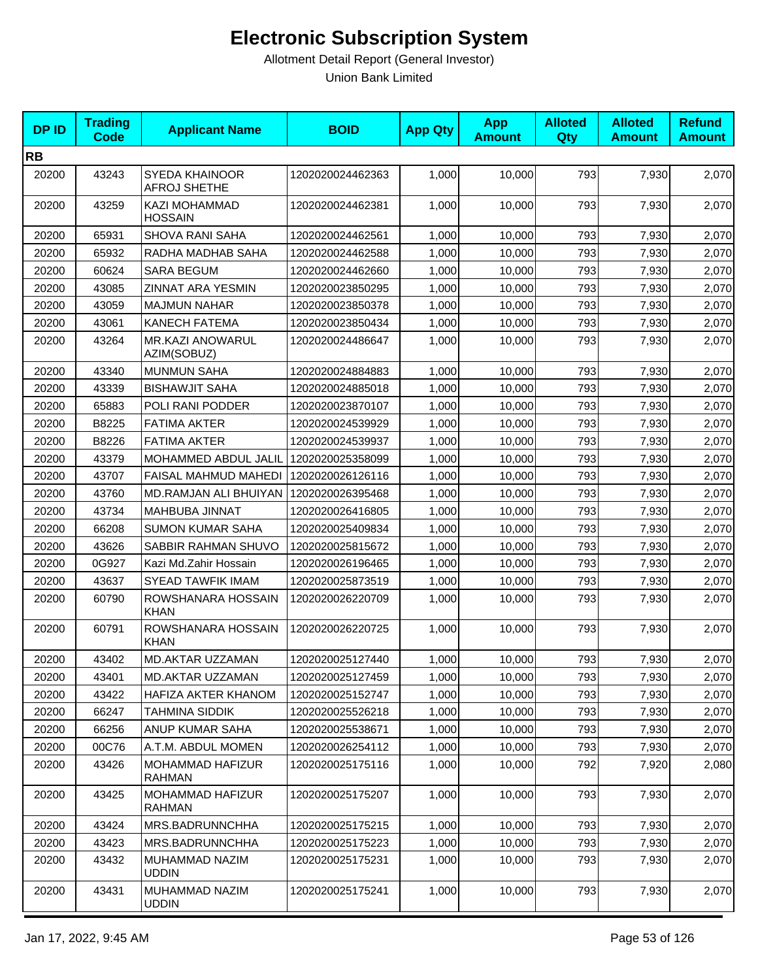| <b>DPID</b> | <b>Trading</b><br><b>Code</b> | <b>Applicant Name</b>             | <b>BOID</b>      | <b>App Qty</b> | <b>App</b><br><b>Amount</b> | <b>Alloted</b><br><b>Qty</b> | <b>Alloted</b><br><b>Amount</b> | <b>Refund</b><br><b>Amount</b> |
|-------------|-------------------------------|-----------------------------------|------------------|----------------|-----------------------------|------------------------------|---------------------------------|--------------------------------|
| <b>RB</b>   |                               |                                   |                  |                |                             |                              |                                 |                                |
| 20200       | 43243                         | SYEDA KHAINOOR<br>AFROJ SHETHE    | 1202020024462363 | 1,000          | 10,000                      | 793                          | 7,930                           | 2,070                          |
| 20200       | 43259                         | KAZI MOHAMMAD<br><b>HOSSAIN</b>   | 1202020024462381 | 1,000          | 10,000                      | 793                          | 7,930                           | 2,070                          |
| 20200       | 65931                         | <b>SHOVA RANI SAHA</b>            | 1202020024462561 | 1,000          | 10,000                      | 793                          | 7,930                           | 2,070                          |
| 20200       | 65932                         | RADHA MADHAB SAHA                 | 1202020024462588 | 1,000          | 10,000                      | 793                          | 7,930                           | 2,070                          |
| 20200       | 60624                         | <b>SARA BEGUM</b>                 | 1202020024462660 | 1,000          | 10,000                      | 793                          | 7,930                           | 2,070                          |
| 20200       | 43085                         | <b>ZINNAT ARA YESMIN</b>          | 1202020023850295 | 1,000          | 10,000                      | 793                          | 7,930                           | 2,070                          |
| 20200       | 43059                         | <b>MAJMUN NAHAR</b>               | 1202020023850378 | 1,000          | 10,000                      | 793                          | 7,930                           | 2,070                          |
| 20200       | 43061                         | <b>KANECH FATEMA</b>              | 1202020023850434 | 1,000          | 10,000                      | 793                          | 7,930                           | 2,070                          |
| 20200       | 43264                         | MR.KAZI ANOWARUL<br>AZIM(SOBUZ)   | 1202020024486647 | 1,000          | 10,000                      | 793                          | 7,930                           | 2,070                          |
| 20200       | 43340                         | <b>MUNMUN SAHA</b>                | 1202020024884883 | 1,000          | 10,000                      | 793                          | 7,930                           | 2,070                          |
| 20200       | 43339                         | <b>BISHAWJIT SAHA</b>             | 1202020024885018 | 1,000          | 10,000                      | 793                          | 7,930                           | 2,070                          |
| 20200       | 65883                         | POLI RANI PODDER                  | 1202020023870107 | 1,000          | 10,000                      | 793                          | 7,930                           | 2,070                          |
| 20200       | B8225                         | <b>FATIMA AKTER</b>               | 1202020024539929 | 1,000          | 10,000                      | 793                          | 7,930                           | 2,070                          |
| 20200       | B8226                         | <b>FATIMA AKTER</b>               | 1202020024539937 | 1,000          | 10,000                      | 793                          | 7,930                           | 2,070                          |
| 20200       | 43379                         | MOHAMMED ABDUL JALIL              | 1202020025358099 | 1,000          | 10,000                      | 793                          | 7,930                           | 2,070                          |
| 20200       | 43707                         | FAISAL MAHMUD MAHEDI              | 1202020026126116 | 1,000          | 10,000                      | 793                          | 7,930                           | 2,070                          |
| 20200       | 43760                         | MD.RAMJAN ALI BHUIYAN             | 1202020026395468 | 1,000          | 10,000                      | 793                          | 7,930                           | 2,070                          |
| 20200       | 43734                         | MAHBUBA JINNAT                    | 1202020026416805 | 1,000          | 10,000                      | 793                          | 7,930                           | 2,070                          |
| 20200       | 66208                         | <b>SUMON KUMAR SAHA</b>           | 1202020025409834 | 1,000          | 10,000                      | 793                          | 7,930                           | 2,070                          |
| 20200       | 43626                         | SABBIR RAHMAN SHUVO               | 1202020025815672 | 1,000          | 10,000                      | 793                          | 7,930                           | 2,070                          |
| 20200       | 0G927                         | Kazi Md.Zahir Hossain             | 1202020026196465 | 1,000          | 10,000                      | 793                          | 7,930                           | 2,070                          |
| 20200       | 43637                         | <b>SYEAD TAWFIK IMAM</b>          | 1202020025873519 | 1,000          | 10,000                      | 793                          | 7,930                           | 2,070                          |
| 20200       | 60790                         | ROWSHANARA HOSSAIN<br><b>KHAN</b> | 1202020026220709 | 1,000          | 10,000                      | 793                          | 7,930                           | 2,070                          |
| 20200       | 60791                         | ROWSHANARA HOSSAIN<br><b>KHAN</b> | 1202020026220725 | 1,000          | 10,000                      | 793                          | 7,930                           | 2,070                          |
| 20200       | 43402                         | <b>MD.AKTAR UZZAMAN</b>           | 1202020025127440 | 1,000          | 10,000                      | 793                          | 7,930                           | 2,070                          |
| 20200       | 43401                         | <b>MD.AKTAR UZZAMAN</b>           | 1202020025127459 | 1,000          | 10,000                      | 793                          | 7,930                           | 2,070                          |
| 20200       | 43422                         | HAFIZA AKTER KHANOM               | 1202020025152747 | 1,000          | 10,000                      | 793                          | 7,930                           | 2,070                          |
| 20200       | 66247                         | <b>TAHMINA SIDDIK</b>             | 1202020025526218 | 1,000          | 10,000                      | 793                          | 7,930                           | 2,070                          |
| 20200       | 66256                         | ANUP KUMAR SAHA                   | 1202020025538671 | 1,000          | 10,000                      | 793                          | 7,930                           | 2,070                          |
| 20200       | 00C76                         | A.T.M. ABDUL MOMEN                | 1202020026254112 | 1,000          | 10,000                      | 793                          | 7,930                           | 2,070                          |
| 20200       | 43426                         | MOHAMMAD HAFIZUR<br><b>RAHMAN</b> | 1202020025175116 | 1,000          | 10,000                      | 792                          | 7,920                           | 2,080                          |
| 20200       | 43425                         | MOHAMMAD HAFIZUR<br><b>RAHMAN</b> | 1202020025175207 | 1,000          | 10,000                      | 793                          | 7,930                           | 2,070                          |
| 20200       | 43424                         | MRS.BADRUNNCHHA                   | 1202020025175215 | 1,000          | 10,000                      | 793                          | 7,930                           | 2,070                          |
| 20200       | 43423                         | MRS.BADRUNNCHHA                   | 1202020025175223 | 1,000          | 10,000                      | 793                          | 7,930                           | 2,070                          |
| 20200       | 43432                         | MUHAMMAD NAZIM<br><b>UDDIN</b>    | 1202020025175231 | 1,000          | 10,000                      | 793                          | 7,930                           | 2,070                          |
| 20200       | 43431                         | MUHAMMAD NAZIM<br><b>UDDIN</b>    | 1202020025175241 | 1,000          | 10,000                      | 793                          | 7,930                           | 2,070                          |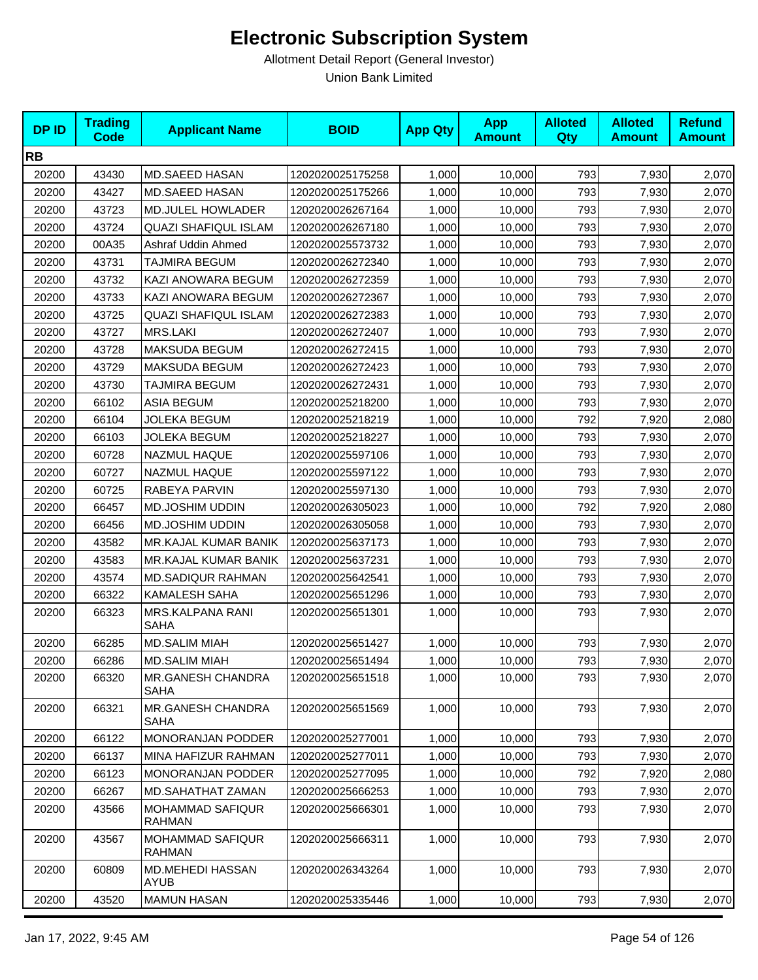| <b>DP ID</b> | <b>Trading</b><br><b>Code</b> | <b>Applicant Name</b>                    | <b>BOID</b>      | <b>App Qty</b> | <b>App</b><br><b>Amount</b> | <b>Alloted</b><br>Qty | <b>Alloted</b><br><b>Amount</b> | <b>Refund</b><br><b>Amount</b> |
|--------------|-------------------------------|------------------------------------------|------------------|----------------|-----------------------------|-----------------------|---------------------------------|--------------------------------|
| <b>RB</b>    |                               |                                          |                  |                |                             |                       |                                 |                                |
| 20200        | 43430                         | <b>MD.SAEED HASAN</b>                    | 1202020025175258 | 1,000          | 10,000                      | 793                   | 7,930                           | 2,070                          |
| 20200        | 43427                         | <b>MD.SAEED HASAN</b>                    | 1202020025175266 | 1,000          | 10,000                      | 793                   | 7,930                           | 2,070                          |
| 20200        | 43723                         | <b>MD.JULEL HOWLADER</b>                 | 1202020026267164 | 1,000          | 10,000                      | 793                   | 7,930                           | 2,070                          |
| 20200        | 43724                         | <b>QUAZI SHAFIQUL ISLAM</b>              | 1202020026267180 | 1,000          | 10,000                      | 793                   | 7,930                           | 2,070                          |
| 20200        | 00A35                         | Ashraf Uddin Ahmed                       | 1202020025573732 | 1,000          | 10,000                      | 793                   | 7,930                           | 2,070                          |
| 20200        | 43731                         | TAJMIRA BEGUM                            | 1202020026272340 | 1,000          | 10,000                      | 793                   | 7,930                           | 2,070                          |
| 20200        | 43732                         | KAZI ANOWARA BEGUM                       | 1202020026272359 | 1,000          | 10,000                      | 793                   | 7,930                           | 2,070                          |
| 20200        | 43733                         | KAZI ANOWARA BEGUM                       | 1202020026272367 | 1,000          | 10,000                      | 793                   | 7,930                           | 2,070                          |
| 20200        | 43725                         | QUAZI SHAFIQUL ISLAM                     | 1202020026272383 | 1,000          | 10,000                      | 793                   | 7,930                           | 2,070                          |
| 20200        | 43727                         | MRS.LAKI                                 | 1202020026272407 | 1,000          | 10,000                      | 793                   | 7,930                           | 2,070                          |
| 20200        | 43728                         | MAKSUDA BEGUM                            | 1202020026272415 | 1,000          | 10,000                      | 793                   | 7,930                           | 2,070                          |
| 20200        | 43729                         | MAKSUDA BEGUM                            | 1202020026272423 | 1,000          | 10,000                      | 793                   | 7,930                           | 2,070                          |
| 20200        | 43730                         | TAJMIRA BEGUM                            | 1202020026272431 | 1,000          | 10,000                      | 793                   | 7,930                           | 2,070                          |
| 20200        | 66102                         | <b>ASIA BEGUM</b>                        | 1202020025218200 | 1,000          | 10,000                      | 793                   | 7,930                           | 2,070                          |
| 20200        | 66104                         | <b>JOLEKA BEGUM</b>                      | 1202020025218219 | 1,000          | 10,000                      | 792                   | 7,920                           | 2,080                          |
| 20200        | 66103                         | JOLEKA BEGUM                             | 1202020025218227 | 1,000          | 10,000                      | 793                   | 7,930                           | 2,070                          |
| 20200        | 60728                         | NAZMUL HAQUE                             | 1202020025597106 | 1,000          | 10,000                      | 793                   | 7,930                           | 2,070                          |
| 20200        | 60727                         | NAZMUL HAQUE                             | 1202020025597122 | 1,000          | 10,000                      | 793                   | 7,930                           | 2,070                          |
| 20200        | 60725                         | RABEYA PARVIN                            | 1202020025597130 | 1,000          | 10,000                      | 793                   | 7,930                           | 2,070                          |
| 20200        | 66457                         | MD.JOSHIM UDDIN                          | 1202020026305023 | 1,000          | 10,000                      | 792                   | 7,920                           | 2,080                          |
| 20200        | 66456                         | MD.JOSHIM UDDIN                          | 1202020026305058 | 1,000          | 10,000                      | 793                   | 7,930                           | 2,070                          |
| 20200        | 43582                         | <b>MR.KAJAL KUMAR BANIK</b>              | 1202020025637173 | 1,000          | 10,000                      | 793                   | 7,930                           | 2,070                          |
| 20200        | 43583                         | <b>MR.KAJAL KUMAR BANIK</b>              | 1202020025637231 | 1,000          | 10,000                      | 793                   | 7,930                           | 2,070                          |
| 20200        | 43574                         | <b>MD.SADIQUR RAHMAN</b>                 | 1202020025642541 | 1,000          | 10,000                      | 793                   | 7,930                           | 2,070                          |
| 20200        | 66322                         | <b>KAMALESH SAHA</b>                     | 1202020025651296 | 1,000          | 10,000                      | 793                   | 7,930                           | 2,070                          |
| 20200        | 66323                         | MRS.KALPANA RANI<br>SAHA                 | 1202020025651301 | 1,000          | 10,000                      | 793                   | 7,930                           | 2,070                          |
| 20200        | 66285                         | <b>MD.SALIM MIAH</b>                     | 1202020025651427 | 1,000          | 10,000                      | 793                   | 7,930                           | 2,070                          |
| 20200        | 66286                         | <b>MD.SALIM MIAH</b>                     | 1202020025651494 | 1,000          | 10,000                      | 793                   | 7,930                           | 2,070                          |
| 20200        | 66320                         | <b>MR.GANESH CHANDRA</b><br>SAHA         | 1202020025651518 | 1,000          | 10,000                      | 793                   | 7,930                           | 2,070                          |
| 20200        | 66321                         | MR.GANESH CHANDRA<br>SAHA                | 1202020025651569 | 1,000          | 10,000                      | 793                   | 7,930                           | 2,070                          |
| 20200        | 66122                         | MONORANJAN PODDER                        | 1202020025277001 | 1.000          | 10,000                      | 793                   | 7,930                           | 2,070                          |
| 20200        | 66137                         | MINA HAFIZUR RAHMAN                      | 1202020025277011 | 1,000          | 10,000                      | 793                   | 7,930                           | 2,070                          |
| 20200        | 66123                         | MONORANJAN PODDER                        | 1202020025277095 | 1,000          | 10,000                      | 792                   | 7,920                           | 2,080                          |
| 20200        | 66267                         | MD.SAHATHAT ZAMAN                        | 1202020025666253 | 1,000          | 10,000                      | 793                   | 7,930                           | 2,070                          |
| 20200        | 43566                         | <b>MOHAMMAD SAFIQUR</b><br><b>RAHMAN</b> | 1202020025666301 | 1,000          | 10,000                      | 793                   | 7,930                           | 2,070                          |
| 20200        | 43567                         | <b>MOHAMMAD SAFIQUR</b><br><b>RAHMAN</b> | 1202020025666311 | 1,000          | 10,000                      | 793                   | 7,930                           | 2,070                          |
| 20200        | 60809                         | MD.MEHEDI HASSAN<br>AYUB                 | 1202020026343264 | 1,000          | 10,000                      | 793                   | 7,930                           | 2,070                          |
| 20200        | 43520                         | <b>MAMUN HASAN</b>                       | 1202020025335446 | 1,000          | 10,000                      | 793                   | 7,930                           | 2,070                          |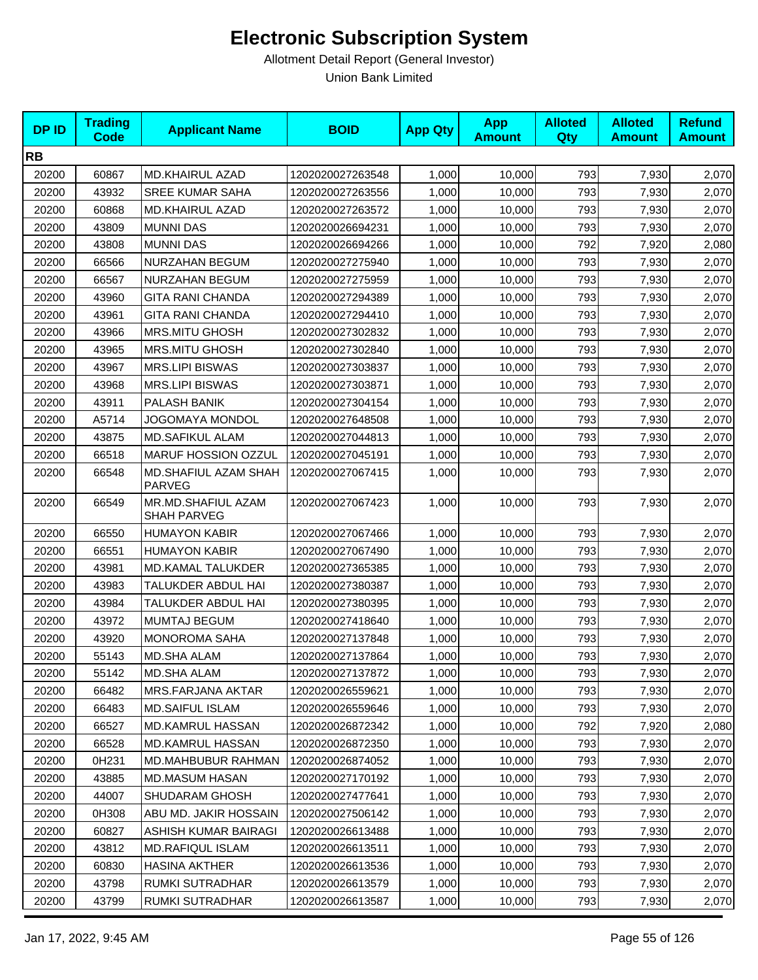| <b>DPID</b> | <b>Trading</b><br>Code | <b>Applicant Name</b>                    | <b>BOID</b>      | <b>App Qty</b> | <b>App</b><br><b>Amount</b> | <b>Alloted</b><br>Qty | <b>Alloted</b><br><b>Amount</b> | <b>Refund</b><br><b>Amount</b> |
|-------------|------------------------|------------------------------------------|------------------|----------------|-----------------------------|-----------------------|---------------------------------|--------------------------------|
| <b>RB</b>   |                        |                                          |                  |                |                             |                       |                                 |                                |
| 20200       | 60867                  | <b>MD.KHAIRUL AZAD</b>                   | 1202020027263548 | 1,000          | 10,000                      | 793                   | 7,930                           | 2,070                          |
| 20200       | 43932                  | <b>SREE KUMAR SAHA</b>                   | 1202020027263556 | 1,000          | 10,000                      | 793                   | 7,930                           | 2,070                          |
| 20200       | 60868                  | <b>MD.KHAIRUL AZAD</b>                   | 1202020027263572 | 1,000          | 10,000                      | 793                   | 7,930                           | 2,070                          |
| 20200       | 43809                  | <b>MUNNI DAS</b>                         | 1202020026694231 | 1,000          | 10,000                      | 793                   | 7,930                           | 2,070                          |
| 20200       | 43808                  | <b>MUNNI DAS</b>                         | 1202020026694266 | 1,000          | 10,000                      | 792                   | 7,920                           | 2,080                          |
| 20200       | 66566                  | <b>NURZAHAN BEGUM</b>                    | 1202020027275940 | 1,000          | 10,000                      | 793                   | 7,930                           | 2,070                          |
| 20200       | 66567                  | NURZAHAN BEGUM                           | 1202020027275959 | 1,000          | 10,000                      | 793                   | 7,930                           | 2,070                          |
| 20200       | 43960                  | <b>GITA RANI CHANDA</b>                  | 1202020027294389 | 1,000          | 10,000                      | 793                   | 7,930                           | 2,070                          |
| 20200       | 43961                  | <b>GITA RANI CHANDA</b>                  | 1202020027294410 | 1,000          | 10,000                      | 793                   | 7,930                           | 2,070                          |
| 20200       | 43966                  | MRS.MITU GHOSH                           | 1202020027302832 | 1,000          | 10,000                      | 793                   | 7,930                           | 2,070                          |
| 20200       | 43965                  | <b>MRS.MITU GHOSH</b>                    | 1202020027302840 | 1,000          | 10,000                      | 793                   | 7,930                           | 2,070                          |
| 20200       | 43967                  | <b>MRS.LIPI BISWAS</b>                   | 1202020027303837 | 1,000          | 10,000                      | 793                   | 7,930                           | 2,070                          |
| 20200       | 43968                  | <b>MRS.LIPI BISWAS</b>                   | 1202020027303871 | 1,000          | 10,000                      | 793                   | 7,930                           | 2,070                          |
| 20200       | 43911                  | PALASH BANIK                             | 1202020027304154 | 1,000          | 10,000                      | 793                   | 7,930                           | 2,070                          |
| 20200       | A5714                  | <b>JOGOMAYA MONDOL</b>                   | 1202020027648508 | 1,000          | 10,000                      | 793                   | 7,930                           | 2,070                          |
| 20200       | 43875                  | <b>MD.SAFIKUL ALAM</b>                   | 1202020027044813 | 1,000          | 10,000                      | 793                   | 7,930                           | 2,070                          |
| 20200       | 66518                  | MARUF HOSSION OZZUL                      | 1202020027045191 | 1,000          | 10,000                      | 793                   | 7,930                           | 2,070                          |
| 20200       | 66548                  | MD.SHAFIUL AZAM SHAH<br><b>PARVEG</b>    | 1202020027067415 | 1,000          | 10,000                      | 793                   | 7,930                           | 2,070                          |
| 20200       | 66549                  | MR.MD.SHAFIUL AZAM<br><b>SHAH PARVEG</b> | 1202020027067423 | 1,000          | 10,000                      | 793                   | 7,930                           | 2,070                          |
| 20200       | 66550                  | <b>HUMAYON KABIR</b>                     | 1202020027067466 | 1,000          | 10,000                      | 793                   | 7,930                           | 2,070                          |
| 20200       | 66551                  | <b>HUMAYON KABIR</b>                     | 1202020027067490 | 1,000          | 10,000                      | 793                   | 7,930                           | 2,070                          |
| 20200       | 43981                  | MD.KAMAL TALUKDER                        | 1202020027365385 | 1,000          | 10,000                      | 793                   | 7,930                           | 2,070                          |
| 20200       | 43983                  | TALUKDER ABDUL HAI                       | 1202020027380387 | 1,000          | 10,000                      | 793                   | 7,930                           | 2,070                          |
| 20200       | 43984                  | TALUKDER ABDUL HAI                       | 1202020027380395 | 1,000          | 10,000                      | 793                   | 7,930                           | 2,070                          |
| 20200       | 43972                  | <b>MUMTAJ BEGUM</b>                      | 1202020027418640 | 1,000          | 10,000                      | 793                   | 7,930                           | 2,070                          |
| 20200       | 43920                  | <b>MONOROMA SAHA</b>                     | 1202020027137848 | 1,000          | 10,000                      | 793                   | 7,930                           | 2,070                          |
| 20200       | 55143                  | MD.SHA ALAM                              | 1202020027137864 | 1,000          | 10,000                      | 793                   | 7,930                           | 2,070                          |
| 20200       | 55142                  | MD.SHA ALAM                              | 1202020027137872 | 1,000          | 10,000                      | 793                   | 7,930                           | 2,070                          |
| 20200       | 66482                  | MRS.FARJANA AKTAR                        | 1202020026559621 | 1,000          | 10,000                      | 793                   | 7,930                           | 2,070                          |
| 20200       | 66483                  | <b>MD.SAIFUL ISLAM</b>                   | 1202020026559646 | 1,000          | 10,000                      | 793                   | 7,930                           | 2,070                          |
| 20200       | 66527                  | MD.KAMRUL HASSAN                         | 1202020026872342 | 1,000          | 10,000                      | 792                   | 7,920                           | 2,080                          |
| 20200       | 66528                  | MD.KAMRUL HASSAN                         | 1202020026872350 | 1,000          | 10,000                      | 793                   | 7,930                           | 2,070                          |
| 20200       | 0H231                  | <b>MD.MAHBUBUR RAHMAN</b>                | 1202020026874052 | 1,000          | 10,000                      | 793                   | 7,930                           | 2,070                          |
| 20200       | 43885                  | MD.MASUM HASAN                           | 1202020027170192 | 1,000          | 10,000                      | 793                   | 7,930                           | 2,070                          |
| 20200       | 44007                  | SHUDARAM GHOSH                           | 1202020027477641 | 1,000          | 10,000                      | 793                   | 7,930                           | 2,070                          |
| 20200       | 0H308                  | ABU MD. JAKIR HOSSAIN                    | 1202020027506142 | 1,000          | 10,000                      | 793                   | 7,930                           | 2,070                          |
| 20200       | 60827                  | ASHISH KUMAR BAIRAGI                     | 1202020026613488 | 1,000          | 10,000                      | 793                   | 7,930                           | 2,070                          |
| 20200       | 43812                  | <b>MD.RAFIQUL ISLAM</b>                  | 1202020026613511 | 1,000          | 10,000                      | 793                   | 7,930                           | 2,070                          |
| 20200       | 60830                  | <b>HASINA AKTHER</b>                     | 1202020026613536 | 1,000          | 10,000                      | 793                   | 7,930                           | 2,070                          |
| 20200       | 43798                  | RUMKI SUTRADHAR                          | 1202020026613579 | 1,000          | 10,000                      | 793                   | 7,930                           | 2,070                          |
| 20200       | 43799                  | RUMKI SUTRADHAR                          | 1202020026613587 | 1,000          | 10,000                      | 793                   | 7,930                           | 2,070                          |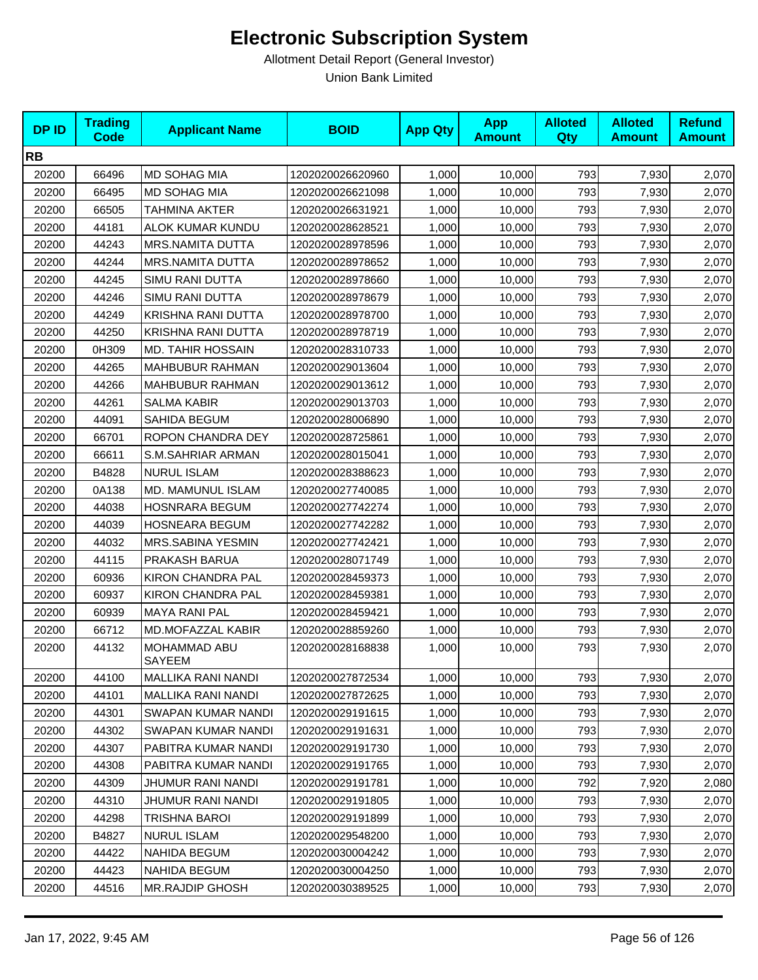| <b>DPID</b> | <b>Trading</b><br>Code | <b>Applicant Name</b>     | <b>BOID</b>      | <b>App Qty</b> | <b>App</b><br><b>Amount</b> | <b>Alloted</b><br><b>Qty</b> | <b>Alloted</b><br><b>Amount</b> | <b>Refund</b><br><b>Amount</b> |
|-------------|------------------------|---------------------------|------------------|----------------|-----------------------------|------------------------------|---------------------------------|--------------------------------|
| <b>RB</b>   |                        |                           |                  |                |                             |                              |                                 |                                |
| 20200       | 66496                  | <b>MD SOHAG MIA</b>       | 1202020026620960 | 1,000          | 10,000                      | 793                          | 7,930                           | 2,070                          |
| 20200       | 66495                  | MD SOHAG MIA              | 1202020026621098 | 1,000          | 10,000                      | 793                          | 7,930                           | 2,070                          |
| 20200       | 66505                  | TAHMINA AKTER             | 1202020026631921 | 1,000          | 10,000                      | 793                          | 7,930                           | 2,070                          |
| 20200       | 44181                  | ALOK KUMAR KUNDU          | 1202020028628521 | 1,000          | 10,000                      | 793                          | 7,930                           | 2,070                          |
| 20200       | 44243                  | <b>MRS.NAMITA DUTTA</b>   | 1202020028978596 | 1,000          | 10,000                      | 793                          | 7,930                           | 2,070                          |
| 20200       | 44244                  | <b>MRS.NAMITA DUTTA</b>   | 1202020028978652 | 1,000          | 10,000                      | 793                          | 7,930                           | 2,070                          |
| 20200       | 44245                  | SIMU RANI DUTTA           | 1202020028978660 | 1,000          | 10,000                      | 793                          | 7,930                           | 2,070                          |
| 20200       | 44246                  | <b>SIMU RANI DUTTA</b>    | 1202020028978679 | 1,000          | 10,000                      | 793                          | 7,930                           | 2,070                          |
| 20200       | 44249                  | KRISHNA RANI DUTTA        | 1202020028978700 | 1,000          | 10,000                      | 793                          | 7,930                           | 2,070                          |
| 20200       | 44250                  | KRISHNA RANI DUTTA        | 1202020028978719 | 1,000          | 10,000                      | 793                          | 7,930                           | 2,070                          |
| 20200       | 0H309                  | MD. TAHIR HOSSAIN         | 1202020028310733 | 1,000          | 10,000                      | 793                          | 7,930                           | 2,070                          |
| 20200       | 44265                  | <b>MAHBUBUR RAHMAN</b>    | 1202020029013604 | 1,000          | 10,000                      | 793                          | 7,930                           | 2,070                          |
| 20200       | 44266                  | <b>MAHBUBUR RAHMAN</b>    | 1202020029013612 | 1,000          | 10,000                      | 793                          | 7,930                           | 2,070                          |
| 20200       | 44261                  | <b>SALMA KABIR</b>        | 1202020029013703 | 1,000          | 10,000                      | 793                          | 7,930                           | 2,070                          |
| 20200       | 44091                  | SAHIDA BEGUM              | 1202020028006890 | 1,000          | 10,000                      | 793                          | 7,930                           | 2,070                          |
| 20200       | 66701                  | ROPON CHANDRA DEY         | 1202020028725861 | 1,000          | 10,000                      | 793                          | 7,930                           | 2,070                          |
| 20200       | 66611                  | S.M.SAHRIAR ARMAN         | 1202020028015041 | 1,000          | 10,000                      | 793                          | 7,930                           | 2,070                          |
| 20200       | B4828                  | <b>NURUL ISLAM</b>        | 1202020028388623 | 1,000          | 10,000                      | 793                          | 7,930                           | 2,070                          |
| 20200       | 0A138                  | MD. MAMUNUL ISLAM         | 1202020027740085 | 1,000          | 10,000                      | 793                          | 7,930                           | 2,070                          |
| 20200       | 44038                  | <b>HOSNRARA BEGUM</b>     | 1202020027742274 | 1,000          | 10,000                      | 793                          | 7,930                           | 2,070                          |
| 20200       | 44039                  | HOSNEARA BEGUM            | 1202020027742282 | 1,000          | 10,000                      | 793                          | 7,930                           | 2,070                          |
| 20200       | 44032                  | MRS.SABINA YESMIN         | 1202020027742421 | 1,000          | 10,000                      | 793                          | 7,930                           | 2,070                          |
| 20200       | 44115                  | PRAKASH BARUA             | 1202020028071749 | 1,000          | 10,000                      | 793                          | 7,930                           | 2,070                          |
| 20200       | 60936                  | KIRON CHANDRA PAL         | 1202020028459373 | 1,000          | 10,000                      | 793                          | 7,930                           | 2,070                          |
| 20200       | 60937                  | <b>KIRON CHANDRA PAL</b>  | 1202020028459381 | 1,000          | 10,000                      | 793                          | 7,930                           | 2,070                          |
| 20200       | 60939                  | <b>MAYA RANI PAL</b>      | 1202020028459421 | 1,000          | 10,000                      | 793                          | 7,930                           | 2,070                          |
| 20200       | 66712                  | MD.MOFAZZAL KABIR         | 1202020028859260 | 1,000          | 10,000                      | 793                          | 7,930                           | 2,070                          |
| 20200       | 44132                  | MOHAMMAD ABU<br>SAYEEM    | 1202020028168838 | 1,000          | 10,000                      | 793                          | 7,930                           | 2,070                          |
| 20200       | 44100                  | <b>MALLIKA RANI NANDI</b> | 1202020027872534 | 1,000          | 10,000                      | 793                          | 7,930                           | 2,070                          |
| 20200       | 44101                  | <b>MALLIKA RANI NANDI</b> | 1202020027872625 | 1,000          | 10,000                      | 793                          | 7,930                           | 2,070                          |
| 20200       | 44301                  | SWAPAN KUMAR NANDI        | 1202020029191615 | 1,000          | 10,000                      | 793                          | 7,930                           | 2,070                          |
| 20200       | 44302                  | SWAPAN KUMAR NANDI        | 1202020029191631 | 1,000          | 10,000                      | 793                          | 7,930                           | 2,070                          |
| 20200       | 44307                  | PABITRA KUMAR NANDI       | 1202020029191730 | 1,000          | 10,000                      | 793                          | 7,930                           | 2,070                          |
| 20200       | 44308                  | PABITRA KUMAR NANDI       | 1202020029191765 | 1,000          | 10,000                      | 793                          | 7,930                           | 2,070                          |
| 20200       | 44309                  | JHUMUR RANI NANDI         | 1202020029191781 | 1,000          | 10,000                      | 792                          | 7,920                           | 2,080                          |
| 20200       | 44310                  | JHUMUR RANI NANDI         | 1202020029191805 | 1,000          | 10,000                      | 793                          | 7,930                           | 2,070                          |
| 20200       | 44298                  | TRISHNA BAROI             | 1202020029191899 | 1,000          | 10,000                      | 793                          | 7,930                           | 2,070                          |
| 20200       | B4827                  | <b>NURUL ISLAM</b>        | 1202020029548200 | 1,000          | 10,000                      | 793                          | 7,930                           | 2,070                          |
| 20200       | 44422                  | NAHIDA BEGUM              | 1202020030004242 | 1,000          | 10,000                      | 793                          | 7,930                           | 2,070                          |
| 20200       | 44423                  | NAHIDA BEGUM              | 1202020030004250 | 1,000          | 10,000                      | 793                          | 7,930                           | 2,070                          |
| 20200       | 44516                  | MR.RAJDIP GHOSH           | 1202020030389525 | 1,000          | 10,000                      | 793                          | 7,930                           | 2,070                          |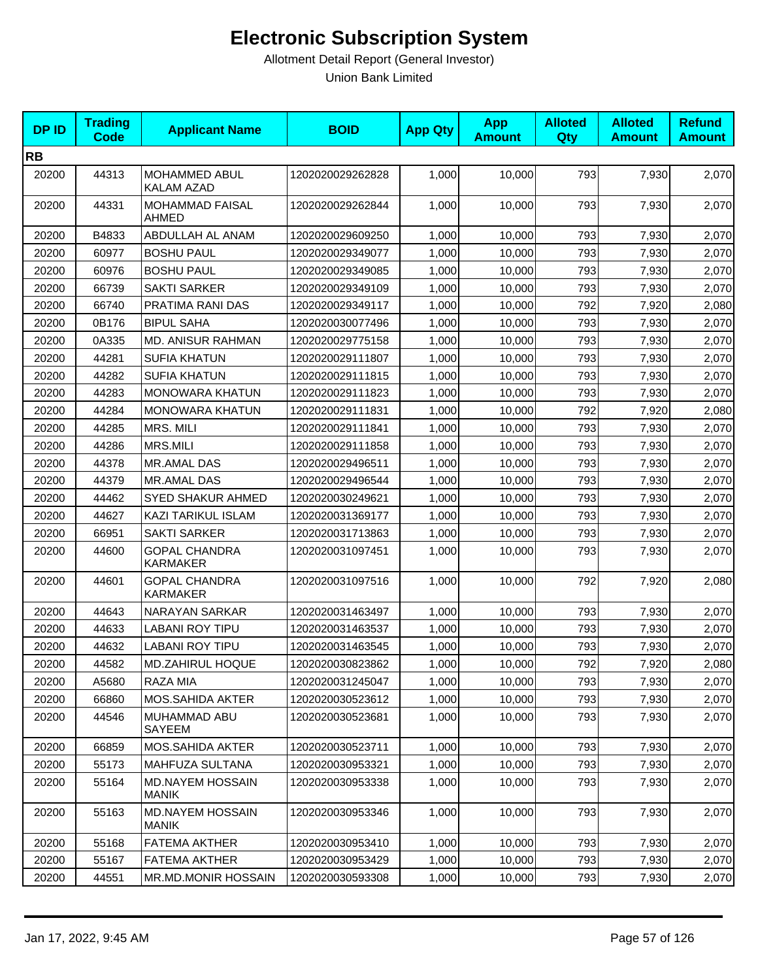| <b>DPID</b> | <b>Trading</b><br><b>Code</b> | <b>Applicant Name</b>                   | <b>BOID</b>      | <b>App Qty</b> | <b>App</b><br><b>Amount</b> | <b>Alloted</b><br>Qty | <b>Alloted</b><br><b>Amount</b> | <b>Refund</b><br><b>Amount</b> |
|-------------|-------------------------------|-----------------------------------------|------------------|----------------|-----------------------------|-----------------------|---------------------------------|--------------------------------|
| <b>RB</b>   |                               |                                         |                  |                |                             |                       |                                 |                                |
| 20200       | 44313                         | <b>MOHAMMED ABUL</b><br>KALAM AZAD      | 1202020029262828 | 1,000          | 10,000                      | 793                   | 7,930                           | 2,070                          |
| 20200       | 44331                         | <b>MOHAMMAD FAISAL</b><br>AHMED         | 1202020029262844 | 1,000          | 10,000                      | 793                   | 7,930                           | 2,070                          |
| 20200       | B4833                         | ABDULLAH AL ANAM                        | 1202020029609250 | 1,000          | 10,000                      | 793                   | 7,930                           | 2,070                          |
| 20200       | 60977                         | <b>BOSHU PAUL</b>                       | 1202020029349077 | 1,000          | 10,000                      | 793                   | 7,930                           | 2,070                          |
| 20200       | 60976                         | <b>BOSHU PAUL</b>                       | 1202020029349085 | 1,000          | 10.000                      | 793                   | 7,930                           | 2,070                          |
| 20200       | 66739                         | <b>SAKTI SARKER</b>                     | 1202020029349109 | 1,000          | 10,000                      | 793                   | 7,930                           | 2,070                          |
| 20200       | 66740                         | PRATIMA RANI DAS                        | 1202020029349117 | 1,000          | 10,000                      | 792                   | 7,920                           | 2,080                          |
| 20200       | 0B176                         | <b>BIPUL SAHA</b>                       | 1202020030077496 | 1,000          | 10,000                      | 793                   | 7,930                           | 2,070                          |
| 20200       | 0A335                         | MD. ANISUR RAHMAN                       | 1202020029775158 | 1,000          | 10,000                      | 793                   | 7,930                           | 2,070                          |
| 20200       | 44281                         | <b>SUFIA KHATUN</b>                     | 1202020029111807 | 1,000          | 10,000                      | 793                   | 7,930                           | 2,070                          |
| 20200       | 44282                         | <b>SUFIA KHATUN</b>                     | 1202020029111815 | 1,000          | 10,000                      | 793                   | 7,930                           | 2,070                          |
| 20200       | 44283                         | <b>MONOWARA KHATUN</b>                  | 1202020029111823 | 1,000          | 10,000                      | 793                   | 7,930                           | 2,070                          |
| 20200       | 44284                         | <b>MONOWARA KHATUN</b>                  | 1202020029111831 | 1,000          | 10,000                      | 792                   | 7,920                           | 2,080                          |
| 20200       | 44285                         | MRS. MILI                               | 1202020029111841 | 1,000          | 10,000                      | 793                   | 7,930                           | 2,070                          |
| 20200       | 44286                         | <b>MRS.MILI</b>                         | 1202020029111858 | 1,000          | 10,000                      | 793                   | 7,930                           | 2,070                          |
| 20200       | 44378                         | <b>MR.AMAL DAS</b>                      | 1202020029496511 | 1,000          | 10,000                      | 793                   | 7,930                           | 2,070                          |
| 20200       | 44379                         | MR.AMAL DAS                             | 1202020029496544 | 1,000          | 10,000                      | 793                   | 7,930                           | 2,070                          |
| 20200       | 44462                         | <b>SYED SHAKUR AHMED</b>                | 1202020030249621 | 1,000          | 10,000                      | 793                   | 7,930                           | 2,070                          |
| 20200       | 44627                         | KAZI TARIKUL ISLAM                      | 1202020031369177 | 1,000          | 10,000                      | 793                   | 7,930                           | 2,070                          |
| 20200       | 66951                         | <b>SAKTI SARKER</b>                     | 1202020031713863 | 1,000          | 10,000                      | 793                   | 7,930                           | 2,070                          |
| 20200       | 44600                         | <b>GOPAL CHANDRA</b><br><b>KARMAKER</b> | 1202020031097451 | 1,000          | 10,000                      | 793                   | 7,930                           | 2,070                          |
| 20200       | 44601                         | <b>GOPAL CHANDRA</b><br><b>KARMAKER</b> | 1202020031097516 | 1,000          | 10,000                      | 792                   | 7,920                           | 2,080                          |
| 20200       | 44643                         | <b>NARAYAN SARKAR</b>                   | 1202020031463497 | 1,000          | 10,000                      | 793                   | 7,930                           | 2,070                          |
| 20200       | 44633                         | <b>LABANI ROY TIPU</b>                  | 1202020031463537 | 1,000          | 10,000                      | 793                   | 7,930                           | 2,070                          |
| 20200       | 44632                         | <b>LABANI ROY TIPU</b>                  | 1202020031463545 | 1,000          | 10,000                      | 793                   | 7,930                           | 2,070                          |
| 20200       | 44582                         | MD.ZAHIRUL HOQUE                        | 1202020030823862 | 1,000          | 10,000                      | 792                   | 7,920                           | 2,080                          |
| 20200       | A5680                         | RAZA MIA                                | 1202020031245047 | 1,000          | 10,000                      | 793                   | 7,930                           | 2,070                          |
| 20200       | 66860                         | MOS.SAHIDA AKTER                        | 1202020030523612 | 1,000          | 10,000                      | 793                   | 7,930                           | 2,070                          |
| 20200       | 44546                         | MUHAMMAD ABU<br>SAYEEM                  | 1202020030523681 | 1,000          | 10,000                      | 793                   | 7,930                           | 2,070                          |
| 20200       | 66859                         | MOS.SAHIDA AKTER                        | 1202020030523711 | 1,000          | 10,000                      | 793                   | 7,930                           | 2,070                          |
| 20200       | 55173                         | MAHFUZA SULTANA                         | 1202020030953321 | 1,000          | 10,000                      | 793                   | 7,930                           | 2,070                          |
| 20200       | 55164                         | <b>MD.NAYEM HOSSAIN</b><br><b>MANIK</b> | 1202020030953338 | 1,000          | 10,000                      | 793                   | 7,930                           | 2,070                          |
| 20200       | 55163                         | <b>MD.NAYEM HOSSAIN</b><br>MANIK        | 1202020030953346 | 1,000          | 10,000                      | 793                   | 7,930                           | 2,070                          |
| 20200       | 55168                         | FATEMA AKTHER                           | 1202020030953410 | 1,000          | 10,000                      | 793                   | 7,930                           | 2,070                          |
| 20200       | 55167                         | FATEMA AKTHER                           | 1202020030953429 | 1,000          | 10,000                      | 793                   | 7,930                           | 2,070                          |
| 20200       | 44551                         | <b>MR.MD.MONIR HOSSAIN</b>              | 1202020030593308 | 1,000          | 10,000                      | 793                   | 7,930                           | 2,070                          |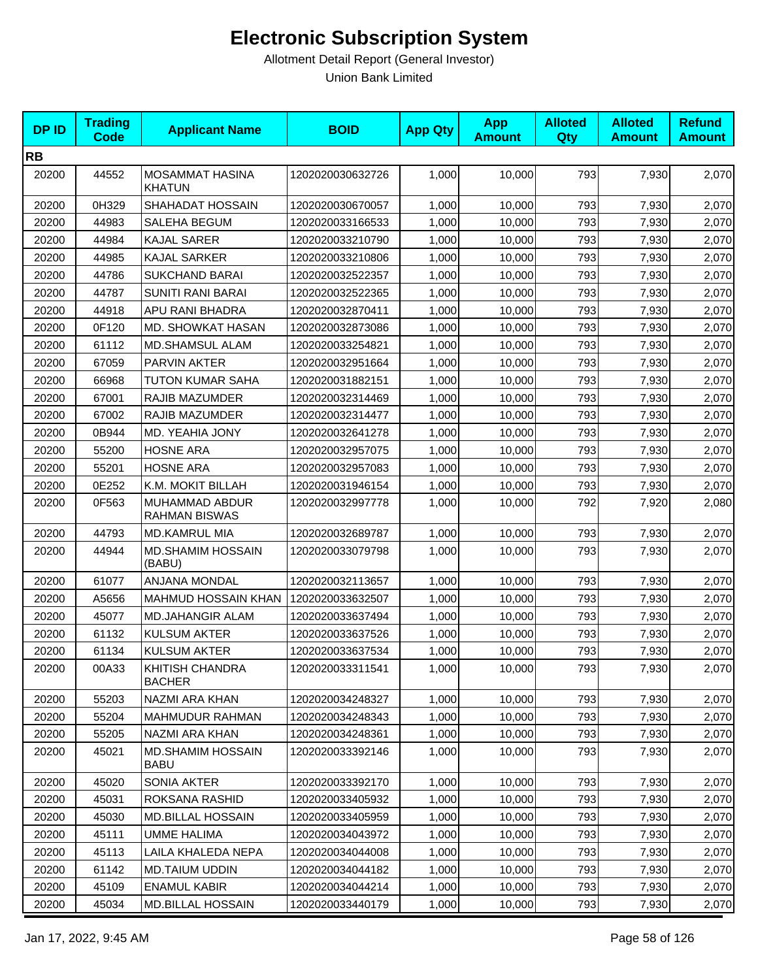| <b>DPID</b> | <b>Trading</b><br><b>Code</b> | <b>Applicant Name</b>                   | <b>BOID</b>      | <b>App Qty</b> | <b>App</b><br><b>Amount</b> | <b>Alloted</b><br>Qty | <b>Alloted</b><br><b>Amount</b> | <b>Refund</b><br><b>Amount</b> |
|-------------|-------------------------------|-----------------------------------------|------------------|----------------|-----------------------------|-----------------------|---------------------------------|--------------------------------|
| <b>RB</b>   |                               |                                         |                  |                |                             |                       |                                 |                                |
| 20200       | 44552                         | MOSAMMAT HASINA<br><b>KHATUN</b>        | 1202020030632726 | 1,000          | 10,000                      | 793                   | 7,930                           | 2,070                          |
| 20200       | 0H329                         | SHAHADAT HOSSAIN                        | 1202020030670057 | 1,000          | 10,000                      | 793                   | 7,930                           | 2,070                          |
| 20200       | 44983                         | SALEHA BEGUM                            | 1202020033166533 | 1,000          | 10,000                      | 793                   | 7,930                           | 2,070                          |
| 20200       | 44984                         | KAJAL SARER                             | 1202020033210790 | 1,000          | 10,000                      | 793                   | 7,930                           | 2,070                          |
| 20200       | 44985                         | <b>KAJAL SARKER</b>                     | 1202020033210806 | 1,000          | 10,000                      | 793                   | 7,930                           | 2,070                          |
| 20200       | 44786                         | <b>SUKCHAND BARAI</b>                   | 1202020032522357 | 1,000          | 10,000                      | 793                   | 7,930                           | 2,070                          |
| 20200       | 44787                         | <b>SUNITI RANI BARAI</b>                | 1202020032522365 | 1,000          | 10,000                      | 793                   | 7,930                           | 2,070                          |
| 20200       | 44918                         | APU RANI BHADRA                         | 1202020032870411 | 1,000          | 10,000                      | 793                   | 7,930                           | 2,070                          |
| 20200       | 0F120                         | MD. SHOWKAT HASAN                       | 1202020032873086 | 1,000          | 10,000                      | 793                   | 7,930                           | 2,070                          |
| 20200       | 61112                         | <b>MD.SHAMSUL ALAM</b>                  | 1202020033254821 | 1,000          | 10,000                      | 793                   | 7,930                           | 2,070                          |
| 20200       | 67059                         | PARVIN AKTER                            | 1202020032951664 | 1,000          | 10,000                      | 793                   | 7,930                           | 2,070                          |
| 20200       | 66968                         | TUTON KUMAR SAHA                        | 1202020031882151 | 1,000          | 10,000                      | 793                   | 7,930                           | 2,070                          |
| 20200       | 67001                         | RAJIB MAZUMDER                          | 1202020032314469 | 1,000          | 10,000                      | 793                   | 7,930                           | 2,070                          |
| 20200       | 67002                         | RAJIB MAZUMDER                          | 1202020032314477 | 1,000          | 10,000                      | 793                   | 7,930                           | 2,070                          |
| 20200       | 0B944                         | MD. YEAHIA JONY                         | 1202020032641278 | 1,000          | 10,000                      | 793                   | 7,930                           | 2,070                          |
| 20200       | 55200                         | <b>HOSNE ARA</b>                        | 1202020032957075 | 1,000          | 10,000                      | 793                   | 7,930                           | 2,070                          |
| 20200       | 55201                         | <b>HOSNE ARA</b>                        | 1202020032957083 | 1,000          | 10,000                      | 793                   | 7,930                           | 2,070                          |
| 20200       | 0E252                         | K.M. MOKIT BILLAH                       | 1202020031946154 | 1,000          | 10,000                      | 793                   | 7,930                           | 2,070                          |
| 20200       | 0F563                         | MUHAMMAD ABDUR<br><b>RAHMAN BISWAS</b>  | 1202020032997778 | 1,000          | 10,000                      | 792                   | 7,920                           | 2,080                          |
| 20200       | 44793                         | <b>MD.KAMRUL MIA</b>                    | 1202020032689787 | 1,000          | 10,000                      | 793                   | 7,930                           | 2,070                          |
| 20200       | 44944                         | MD.SHAMIM HOSSAIN<br>(BABU)             | 1202020033079798 | 1,000          | 10,000                      | 793                   | 7,930                           | 2,070                          |
| 20200       | 61077                         | ANJANA MONDAL                           | 1202020032113657 | 1,000          | 10,000                      | 793                   | 7,930                           | 2,070                          |
| 20200       | A5656                         | MAHMUD HOSSAIN KHAN                     | 1202020033632507 | 1,000          | 10,000                      | 793                   | 7,930                           | 2,070                          |
| 20200       | 45077                         | <b>MD.JAHANGIR ALAM</b>                 | 1202020033637494 | 1,000          | 10,000                      | 793                   | 7,930                           | 2,070                          |
| 20200       | 61132                         | <b>KULSUM AKTER</b>                     | 1202020033637526 | 1,000          | 10,000                      | 793                   | 7,930                           | 2,070                          |
| 20200       | 61134                         | <b>KULSUM AKTER</b>                     | 1202020033637534 | 1,000          | 10,000                      | 793                   | 7,930                           | 2,070                          |
| 20200       | 00A33                         | KHITISH CHANDRA<br><b>BACHER</b>        | 1202020033311541 | 1,000          | 10,000                      | 793                   | 7,930                           | 2,070                          |
| 20200       | 55203                         | NAZMI ARA KHAN                          | 1202020034248327 | 1,000          | 10,000                      | 793                   | 7,930                           | 2,070                          |
| 20200       | 55204                         | MAHMUDUR RAHMAN                         | 1202020034248343 | 1.000          | 10,000                      | 793                   | 7,930                           | 2,070                          |
| 20200       | 55205                         | NAZMI ARA KHAN                          | 1202020034248361 | 1,000          | 10,000                      | 793                   | 7,930                           | 2,070                          |
| 20200       | 45021                         | <b>MD.SHAMIM HOSSAIN</b><br><b>BABU</b> | 1202020033392146 | 1,000          | 10,000                      | 793                   | 7,930                           | 2,070                          |
| 20200       | 45020                         | SONIA AKTER                             | 1202020033392170 | 1,000          | 10,000                      | 793                   | 7,930                           | 2,070                          |
| 20200       | 45031                         | ROKSANA RASHID                          | 1202020033405932 | 1,000          | 10,000                      | 793                   | 7,930                           | 2,070                          |
| 20200       | 45030                         | MD.BILLAL HOSSAIN                       | 1202020033405959 | 1,000          | 10,000                      | 793                   | 7,930                           | 2,070                          |
| 20200       | 45111                         | <b>UMME HALIMA</b>                      | 1202020034043972 | 1,000          | 10,000                      | 793                   | 7,930                           | 2,070                          |
| 20200       | 45113                         | LAILA KHALEDA NEPA                      | 1202020034044008 | 1,000          | 10,000                      | 793                   | 7,930                           | 2,070                          |
| 20200       | 61142                         | <b>MD.TAIUM UDDIN</b>                   | 1202020034044182 | 1,000          | 10,000                      | 793                   | 7,930                           | 2,070                          |
| 20200       | 45109                         | <b>ENAMUL KABIR</b>                     | 1202020034044214 | 1,000          | 10,000                      | 793                   | 7,930                           | 2,070                          |
| 20200       | 45034                         | MD.BILLAL HOSSAIN                       | 1202020033440179 | 1,000          | 10,000                      | 793                   | 7,930                           | 2,070                          |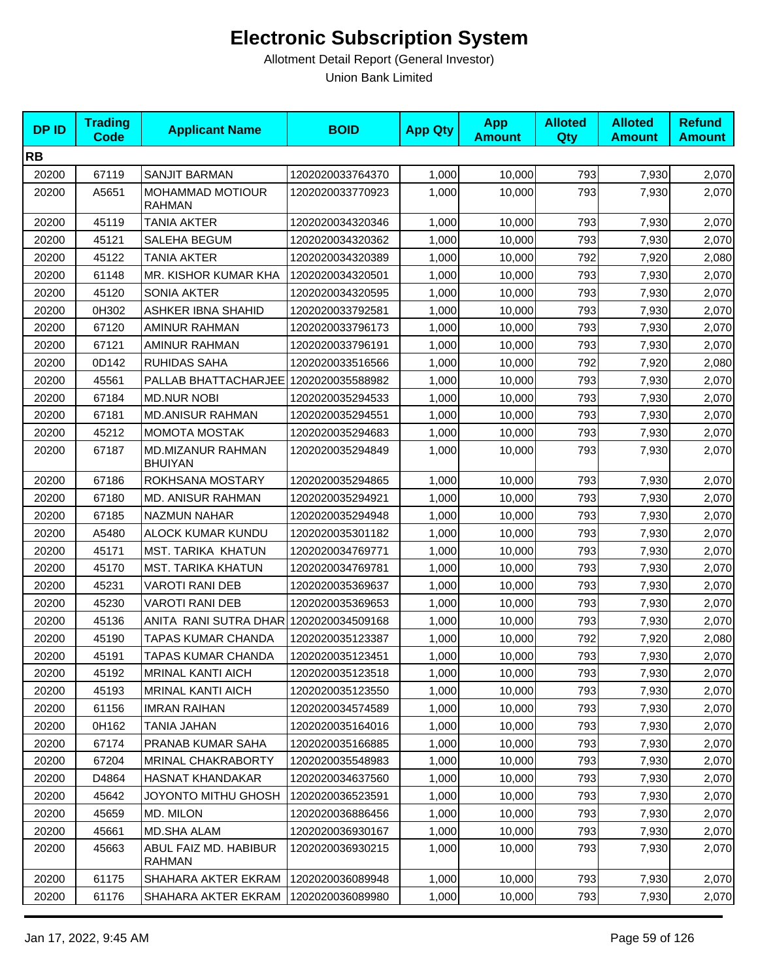| <b>DPID</b> | <b>Trading</b><br><b>Code</b> | <b>Applicant Name</b>                  | <b>BOID</b>      | <b>App Qty</b> | <b>App</b><br><b>Amount</b> | <b>Alloted</b><br><b>Qty</b> | <b>Alloted</b><br><b>Amount</b> | <b>Refund</b><br><b>Amount</b> |
|-------------|-------------------------------|----------------------------------------|------------------|----------------|-----------------------------|------------------------------|---------------------------------|--------------------------------|
| <b>RB</b>   |                               |                                        |                  |                |                             |                              |                                 |                                |
| 20200       | 67119                         | <b>SANJIT BARMAN</b>                   | 1202020033764370 | 1,000          | 10,000                      | 793                          | 7,930                           | 2,070                          |
| 20200       | A5651                         | MOHAMMAD MOTIOUR<br><b>RAHMAN</b>      | 1202020033770923 | 1,000          | 10,000                      | 793                          | 7,930                           | 2,070                          |
| 20200       | 45119                         | <b>TANIA AKTER</b>                     | 1202020034320346 | 1,000          | 10,000                      | 793                          | 7,930                           | 2,070                          |
| 20200       | 45121                         | SALEHA BEGUM                           | 1202020034320362 | 1,000          | 10,000                      | 793                          | 7,930                           | 2,070                          |
| 20200       | 45122                         | <b>TANIA AKTER</b>                     | 1202020034320389 | 1,000          | 10,000                      | 792                          | 7,920                           | 2,080                          |
| 20200       | 61148                         | MR. KISHOR KUMAR KHA                   | 1202020034320501 | 1,000          | 10,000                      | 793                          | 7,930                           | 2,070                          |
| 20200       | 45120                         | SONIA AKTER                            | 1202020034320595 | 1,000          | 10,000                      | 793                          | 7,930                           | 2,070                          |
| 20200       | 0H302                         | <b>ASHKER IBNA SHAHID</b>              | 1202020033792581 | 1,000          | 10,000                      | 793                          | 7,930                           | 2,070                          |
| 20200       | 67120                         | AMINUR RAHMAN                          | 1202020033796173 | 1,000          | 10,000                      | 793                          | 7,930                           | 2,070                          |
| 20200       | 67121                         | AMINUR RAHMAN                          | 1202020033796191 | 1,000          | 10,000                      | 793                          | 7,930                           | 2,070                          |
| 20200       | 0D142                         | RUHIDAS SAHA                           | 1202020033516566 | 1,000          | 10,000                      | 792                          | 7,920                           | 2,080                          |
| 20200       | 45561                         | PALLAB BHATTACHARJEE 1202020035588982  |                  | 1,000          | 10,000                      | 793                          | 7,930                           | 2,070                          |
| 20200       | 67184                         | <b>MD.NUR NOBI</b>                     | 1202020035294533 | 1,000          | 10,000                      | 793                          | 7,930                           | 2,070                          |
| 20200       | 67181                         | <b>MD.ANISUR RAHMAN</b>                | 1202020035294551 | 1,000          | 10,000                      | 793                          | 7,930                           | 2,070                          |
| 20200       | 45212                         | <b>MOMOTA MOSTAK</b>                   | 1202020035294683 | 1,000          | 10,000                      | 793                          | 7,930                           | 2,070                          |
| 20200       | 67187                         | MD.MIZANUR RAHMAN<br><b>BHUIYAN</b>    | 1202020035294849 | 1,000          | 10,000                      | 793                          | 7,930                           | 2,070                          |
| 20200       | 67186                         | ROKHSANA MOSTARY                       | 1202020035294865 | 1,000          | 10,000                      | 793                          | 7,930                           | 2,070                          |
| 20200       | 67180                         | <b>MD. ANISUR RAHMAN</b>               | 1202020035294921 | 1,000          | 10,000                      | 793                          | 7,930                           | 2,070                          |
| 20200       | 67185                         | <b>NAZMUN NAHAR</b>                    | 1202020035294948 | 1,000          | 10,000                      | 793                          | 7,930                           | 2,070                          |
| 20200       | A5480                         | <b>ALOCK KUMAR KUNDU</b>               | 1202020035301182 | 1,000          | 10,000                      | 793                          | 7,930                           | 2,070                          |
| 20200       | 45171                         | MST. TARIKA KHATUN                     | 1202020034769771 | 1,000          | 10,000                      | 793                          | 7,930                           | 2,070                          |
| 20200       | 45170                         | MST. TARIKA KHATUN                     | 1202020034769781 | 1,000          | 10,000                      | 793                          | 7,930                           | 2,070                          |
| 20200       | 45231                         | <b>VAROTI RANI DEB</b>                 | 1202020035369637 | 1,000          | 10,000                      | 793                          | 7,930                           | 2,070                          |
| 20200       | 45230                         | VAROTI RANI DEB                        | 1202020035369653 | 1,000          | 10,000                      | 793                          | 7,930                           | 2,070                          |
| 20200       | 45136                         | ANITA RANI SUTRA DHAR 1202020034509168 |                  | 1,000          | 10,000                      | 793                          | 7,930                           | 2,070                          |
| 20200       | 45190                         | TAPAS KUMAR CHANDA                     | 1202020035123387 | 1,000          | 10,000                      | 792                          | 7,920                           | 2,080                          |
| 20200       | 45191                         | TAPAS KUMAR CHANDA                     | 1202020035123451 | 1,000          | 10,000                      | 793                          | 7,930                           | 2,070                          |
| 20200       | 45192                         | <b>MRINAL KANTI AICH</b>               | 1202020035123518 | 1,000          | 10,000                      | 793                          | 7,930                           | 2,070                          |
| 20200       | 45193                         | <b>MRINAL KANTI AICH</b>               | 1202020035123550 | 1,000          | 10,000                      | 793                          | 7,930                           | 2,070                          |
| 20200       | 61156                         | <b>IMRAN RAIHAN</b>                    | 1202020034574589 | 1,000          | 10,000                      | 793                          | 7,930                           | 2,070                          |
| 20200       | 0H162                         | TANIA JAHAN                            | 1202020035164016 | 1,000          | 10,000                      | 793                          | 7,930                           | 2,070                          |
| 20200       | 67174                         | PRANAB KUMAR SAHA                      | 1202020035166885 | 1,000          | 10,000                      | 793                          | 7,930                           | 2,070                          |
| 20200       | 67204                         | <b>MRINAL CHAKRABORTY</b>              | 1202020035548983 | 1,000          | 10.000                      | 793                          | 7,930                           | 2,070                          |
| 20200       | D4864                         | HASNAT KHANDAKAR                       | 1202020034637560 | 1,000          | 10,000                      | 793                          | 7,930                           | 2,070                          |
| 20200       | 45642                         | JOYONTO MITHU GHOSH                    | 1202020036523591 | 1,000          | 10,000                      | 793                          | 7,930                           | 2,070                          |
| 20200       | 45659                         | MD. MILON                              | 1202020036886456 | 1,000          | 10,000                      | 793                          | 7,930                           | 2,070                          |
| 20200       | 45661                         | MD.SHA ALAM                            | 1202020036930167 | 1,000          | 10,000                      | 793                          | 7,930                           | 2,070                          |
| 20200       | 45663                         | ABUL FAIZ MD. HABIBUR<br>RAHMAN        | 1202020036930215 | 1,000          | 10,000                      | 793                          | 7,930                           | 2,070                          |
| 20200       | 61175                         | SHAHARA AKTER EKRAM                    | 1202020036089948 | 1,000          | 10,000                      | 793                          | 7,930                           | 2,070                          |
| 20200       | 61176                         | SHAHARA AKTER EKRAM                    | 1202020036089980 | 1,000          | 10,000                      | 793                          | 7,930                           | 2,070                          |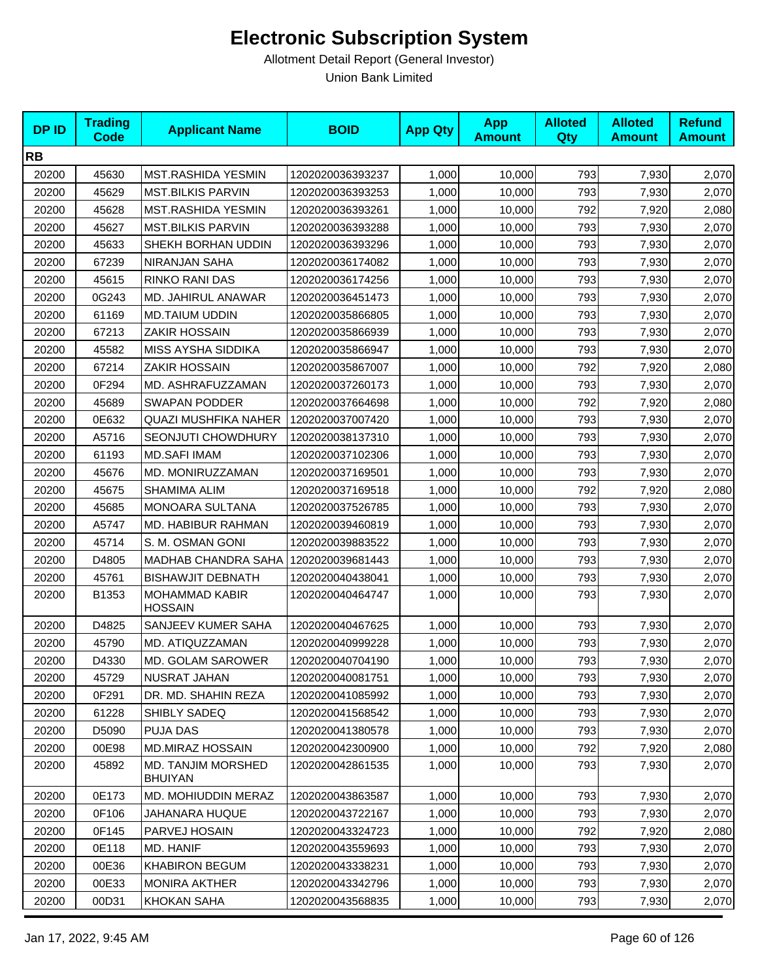| <b>DPID</b> | <b>Trading</b><br><b>Code</b> | <b>Applicant Name</b>                       | <b>BOID</b>      | <b>App Qty</b> | <b>App</b><br><b>Amount</b> | <b>Alloted</b><br>Qty | <b>Alloted</b><br><b>Amount</b> | <b>Refund</b><br><b>Amount</b> |
|-------------|-------------------------------|---------------------------------------------|------------------|----------------|-----------------------------|-----------------------|---------------------------------|--------------------------------|
| <b>RB</b>   |                               |                                             |                  |                |                             |                       |                                 |                                |
| 20200       | 45630                         | MST.RASHIDA YESMIN                          | 1202020036393237 | 1,000          | 10,000                      | 793                   | 7,930                           | 2,070                          |
| 20200       | 45629                         | <b>MST.BILKIS PARVIN</b>                    | 1202020036393253 | 1,000          | 10,000                      | 793                   | 7,930                           | 2,070                          |
| 20200       | 45628                         | MST.RASHIDA YESMIN                          | 1202020036393261 | 1,000          | 10,000                      | 792                   | 7,920                           | 2,080                          |
| 20200       | 45627                         | <b>MST.BILKIS PARVIN</b>                    | 1202020036393288 | 1,000          | 10,000                      | 793                   | 7,930                           | 2,070                          |
| 20200       | 45633                         | SHEKH BORHAN UDDIN                          | 1202020036393296 | 1,000          | 10,000                      | 793                   | 7,930                           | 2,070                          |
| 20200       | 67239                         | NIRANJAN SAHA                               | 1202020036174082 | 1,000          | 10,000                      | 793                   | 7,930                           | 2,070                          |
| 20200       | 45615                         | RINKO RANI DAS                              | 1202020036174256 | 1,000          | 10,000                      | 793                   | 7,930                           | 2,070                          |
| 20200       | 0G243                         | <b>MD. JAHIRUL ANAWAR</b>                   | 1202020036451473 | 1,000          | 10,000                      | 793                   | 7,930                           | 2,070                          |
| 20200       | 61169                         | MD.TAIUM UDDIN                              | 1202020035866805 | 1,000          | 10,000                      | 793                   | 7,930                           | 2,070                          |
| 20200       | 67213                         | <b>ZAKIR HOSSAIN</b>                        | 1202020035866939 | 1,000          | 10,000                      | 793                   | 7,930                           | 2,070                          |
| 20200       | 45582                         | MISS AYSHA SIDDIKA                          | 1202020035866947 | 1,000          | 10,000                      | 793                   | 7,930                           | 2,070                          |
| 20200       | 67214                         | <b>ZAKIR HOSSAIN</b>                        | 1202020035867007 | 1,000          | 10,000                      | 792                   | 7,920                           | 2,080                          |
| 20200       | 0F294                         | MD. ASHRAFUZZAMAN                           | 1202020037260173 | 1,000          | 10,000                      | 793                   | 7,930                           | 2,070                          |
| 20200       | 45689                         | <b>SWAPAN PODDER</b>                        | 1202020037664698 | 1,000          | 10,000                      | 792                   | 7,920                           | 2,080                          |
| 20200       | 0E632                         | <b>QUAZI MUSHFIKA NAHER</b>                 | 1202020037007420 | 1,000          | 10,000                      | 793                   | 7,930                           | 2,070                          |
| 20200       | A5716                         | SEONJUTI CHOWDHURY                          | 1202020038137310 | 1,000          | 10,000                      | 793                   | 7,930                           | 2,070                          |
| 20200       | 61193                         | <b>MD.SAFI IMAM</b>                         | 1202020037102306 | 1,000          | 10,000                      | 793                   | 7,930                           | 2,070                          |
| 20200       | 45676                         | MD. MONIRUZZAMAN                            | 1202020037169501 | 1,000          | 10,000                      | 793                   | 7,930                           | 2,070                          |
| 20200       | 45675                         | SHAMIMA ALIM                                | 1202020037169518 | 1,000          | 10,000                      | 792                   | 7,920                           | 2,080                          |
| 20200       | 45685                         | MONOARA SULTANA                             | 1202020037526785 | 1,000          | 10,000                      | 793                   | 7,930                           | 2,070                          |
| 20200       | A5747                         | MD. HABIBUR RAHMAN                          | 1202020039460819 | 1,000          | 10,000                      | 793                   | 7,930                           | 2,070                          |
| 20200       | 45714                         | S. M. OSMAN GONI                            | 1202020039883522 | 1,000          | 10,000                      | 793                   | 7,930                           | 2,070                          |
| 20200       | D4805                         | <b>MADHAB CHANDRA SAHA</b>                  | 1202020039681443 | 1,000          | 10,000                      | 793                   | 7,930                           | 2,070                          |
| 20200       | 45761                         | <b>BISHAWJIT DEBNATH</b>                    | 1202020040438041 | 1,000          | 10,000                      | 793                   | 7,930                           | 2,070                          |
| 20200       | B1353                         | <b>MOHAMMAD KABIR</b><br><b>HOSSAIN</b>     | 1202020040464747 | 1,000          | 10,000                      | 793                   | 7,930                           | 2,070                          |
| 20200       | D4825                         | SANJEEV KUMER SAHA                          | 1202020040467625 | 1,000          | 10,000                      | 793                   | 7,930                           | 2,070                          |
| 20200       | 45790                         | MD. ATIQUZZAMAN                             | 1202020040999228 | 1,000          | 10,000                      | 793                   | 7,930                           | 2,070                          |
| 20200       | D4330                         | MD. GOLAM SAROWER                           | 1202020040704190 | 1,000          | 10,000                      | 793                   | 7,930                           | 2,070                          |
| 20200       | 45729                         | NUSRAT JAHAN                                | 1202020040081751 | 1,000          | 10,000                      | 793                   | 7,930                           | 2,070                          |
| 20200       | 0F291                         | DR. MD. SHAHIN REZA                         | 1202020041085992 | 1,000          | 10,000                      | 793                   | 7,930                           | 2,070                          |
| 20200       | 61228                         | SHIBLY SADEQ                                | 1202020041568542 | 1,000          | 10,000                      | 793                   | 7,930                           | 2,070                          |
| 20200       | D5090                         | PUJA DAS                                    | 1202020041380578 | 1,000          | 10,000                      | 793                   | 7,930                           | 2,070                          |
| 20200       | 00E98                         | <b>MD.MIRAZ HOSSAIN</b>                     | 1202020042300900 | 1,000          | 10,000                      | 792                   | 7,920                           | 2,080                          |
| 20200       | 45892                         | <b>MD. TANJIM MORSHED</b><br><b>BHUIYAN</b> | 1202020042861535 | 1,000          | 10,000                      | 793                   | 7,930                           | 2,070                          |
| 20200       | 0E173                         | MD. MOHIUDDIN MERAZ                         | 1202020043863587 | 1,000          | 10,000                      | 793                   | 7,930                           | 2,070                          |
| 20200       | 0F106                         | JAHANARA HUQUE                              | 1202020043722167 | 1,000          | 10,000                      | 793                   | 7,930                           | 2,070                          |
| 20200       | 0F145                         | PARVEJ HOSAIN                               | 1202020043324723 | 1,000          | 10,000                      | 792                   | 7,920                           | 2,080                          |
| 20200       | 0E118                         | MD. HANIF                                   | 1202020043559693 | 1,000          | 10,000                      | 793                   | 7,930                           | 2,070                          |
| 20200       | 00E36                         | <b>KHABIRON BEGUM</b>                       | 1202020043338231 | 1,000          | 10,000                      | 793                   | 7,930                           | 2,070                          |
| 20200       | 00E33                         | <b>MONIRA AKTHER</b>                        | 1202020043342796 | 1,000          | 10,000                      | 793                   | 7,930                           | 2,070                          |
| 20200       | 00D31                         | KHOKAN SAHA                                 | 1202020043568835 | 1,000          | 10,000                      | 793                   | 7,930                           | 2,070                          |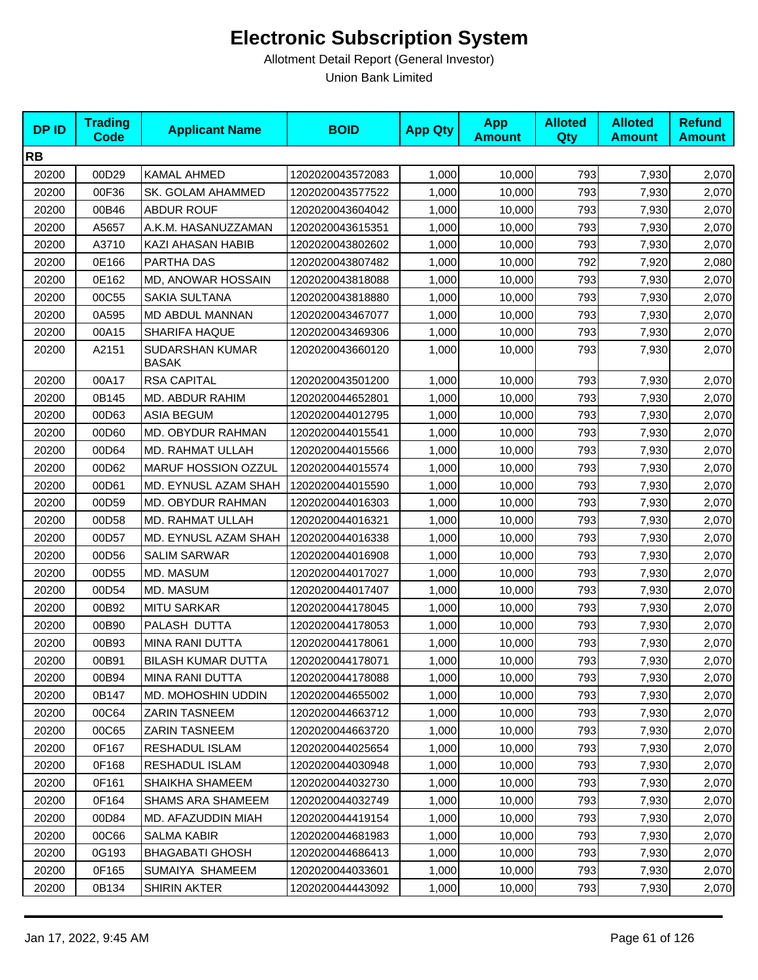| <b>DPID</b> | <b>Trading</b><br><b>Code</b> | <b>Applicant Name</b>           | <b>BOID</b>      | <b>App Qty</b> | <b>App</b><br><b>Amount</b> | <b>Alloted</b><br>Qty | <b>Alloted</b><br><b>Amount</b> | <b>Refund</b><br><b>Amount</b> |
|-------------|-------------------------------|---------------------------------|------------------|----------------|-----------------------------|-----------------------|---------------------------------|--------------------------------|
| <b>RB</b>   |                               |                                 |                  |                |                             |                       |                                 |                                |
| 20200       | 00D29                         | <b>KAMAL AHMED</b>              | 1202020043572083 | 1,000          | 10,000                      | 793                   | 7,930                           | 2,070                          |
| 20200       | 00F36                         | SK. GOLAM AHAMMED               | 1202020043577522 | 1,000          | 10,000                      | 793                   | 7,930                           | 2,070                          |
| 20200       | 00B46                         | <b>ABDUR ROUF</b>               | 1202020043604042 | 1,000          | 10,000                      | 793                   | 7,930                           | 2,070                          |
| 20200       | A5657                         | A.K.M. HASANUZZAMAN             | 1202020043615351 | 1,000          | 10,000                      | 793                   | 7,930                           | 2,070                          |
| 20200       | A3710                         | KAZI AHASAN HABIB               | 1202020043802602 | 1,000          | 10,000                      | 793                   | 7,930                           | 2,070                          |
| 20200       | 0E166                         | PARTHA DAS                      | 1202020043807482 | 1,000          | 10,000                      | 792                   | 7,920                           | 2,080                          |
| 20200       | 0E162                         | MD, ANOWAR HOSSAIN              | 1202020043818088 | 1,000          | 10,000                      | 793                   | 7,930                           | 2,070                          |
| 20200       | 00C55                         | SAKIA SULTANA                   | 1202020043818880 | 1,000          | 10,000                      | 793                   | 7,930                           | 2,070                          |
| 20200       | 0A595                         | MD ABDUL MANNAN                 | 1202020043467077 | 1,000          | 10,000                      | 793                   | 7,930                           | 2,070                          |
| 20200       | 00A15                         | SHARIFA HAQUE                   | 1202020043469306 | 1,000          | 10,000                      | 793                   | 7,930                           | 2,070                          |
| 20200       | A2151                         | SUDARSHAN KUMAR<br><b>BASAK</b> | 1202020043660120 | 1,000          | 10,000                      | 793                   | 7,930                           | 2,070                          |
| 20200       | 00A17                         | <b>RSA CAPITAL</b>              | 1202020043501200 | 1,000          | 10,000                      | 793                   | 7,930                           | 2,070                          |
| 20200       | 0B145                         | MD. ABDUR RAHIM                 | 1202020044652801 | 1,000          | 10,000                      | 793                   | 7,930                           | 2,070                          |
| 20200       | 00D63                         | <b>ASIA BEGUM</b>               | 1202020044012795 | 1,000          | 10,000                      | 793                   | 7,930                           | 2,070                          |
| 20200       | 00D60                         | MD. OBYDUR RAHMAN               | 1202020044015541 | 1,000          | 10,000                      | 793                   | 7,930                           | 2,070                          |
| 20200       | 00D64                         | MD. RAHMAT ULLAH                | 1202020044015566 | 1,000          | 10,000                      | 793                   | 7,930                           | 2,070                          |
| 20200       | 00D62                         | MARUF HOSSION OZZUL             | 1202020044015574 | 1,000          | 10,000                      | 793                   | 7,930                           | 2,070                          |
| 20200       | 00D61                         | MD. EYNUSL AZAM SHAH            | 1202020044015590 | 1,000          | 10,000                      | 793                   | 7,930                           | 2,070                          |
| 20200       | 00D59                         | MD. OBYDUR RAHMAN               | 1202020044016303 | 1,000          | 10,000                      | 793                   | 7,930                           | 2,070                          |
| 20200       | 00D58                         | MD. RAHMAT ULLAH                | 1202020044016321 | 1,000          | 10,000                      | 793                   | 7,930                           | 2,070                          |
| 20200       | 00D57                         | MD. EYNUSL AZAM SHAH            | 1202020044016338 | 1,000          | 10,000                      | 793                   | 7,930                           | 2,070                          |
| 20200       | 00D56                         | <b>SALIM SARWAR</b>             | 1202020044016908 | 1,000          | 10,000                      | 793                   | 7,930                           | 2,070                          |
| 20200       | 00D55                         | MD. MASUM                       | 1202020044017027 | 1,000          | 10,000                      | 793                   | 7,930                           | 2,070                          |
| 20200       | 00D54                         | MD. MASUM                       | 1202020044017407 | 1,000          | 10,000                      | 793                   | 7,930                           | 2,070                          |
| 20200       | 00B92                         | <b>MITU SARKAR</b>              | 1202020044178045 | 1,000          | 10,000                      | 793                   | 7,930                           | 2,070                          |
| 20200       | 00B90                         | PALASH DUTTA                    | 1202020044178053 | 1,000          | 10,000                      | 793                   | 7,930                           | 2,070                          |
| 20200       | 00B93                         | MINA RANI DUTTA                 | 1202020044178061 | 1,000          | 10,000                      | 793                   | 7,930                           | 2,070                          |
| 20200       | 00B91                         | <b>BILASH KUMAR DUTTA</b>       | 1202020044178071 | 1,000          | 10,000                      | 793                   | 7,930                           | 2,070                          |
| 20200       | 00B94                         | <b>MINA RANI DUTTA</b>          | 1202020044178088 | 1,000          | 10,000                      | 793                   | 7,930                           | 2,070                          |
| 20200       | 0B147                         | MD. MOHOSHIN UDDIN              | 1202020044655002 | 1,000          | 10,000                      | 793                   | 7,930                           | 2,070                          |
| 20200       | 00C64                         | ZARIN TASNEEM                   | 1202020044663712 | 1,000          | 10,000                      | 793                   | 7,930                           | 2,070                          |
| 20200       | 00C65                         | ZARIN TASNEEM                   | 1202020044663720 | 1,000          | 10,000                      | 793                   | 7,930                           | 2,070                          |
| 20200       | 0F167                         | RESHADUL ISLAM                  | 1202020044025654 | 1,000          | 10,000                      | 793                   | 7,930                           | 2,070                          |
| 20200       | 0F168                         | RESHADUL ISLAM                  | 1202020044030948 | 1,000          | 10,000                      | 793                   | 7,930                           | 2,070                          |
| 20200       | 0F161                         | SHAIKHA SHAMEEM                 | 1202020044032730 | 1,000          | 10,000                      | 793                   | 7,930                           | 2,070                          |
| 20200       | 0F164                         | <b>SHAMS ARA SHAMEEM</b>        | 1202020044032749 | 1,000          | 10,000                      | 793                   | 7,930                           | 2,070                          |
| 20200       | 00D84                         | MD. AFAZUDDIN MIAH              | 1202020044419154 | 1,000          | 10,000                      | 793                   | 7,930                           | 2,070                          |
| 20200       | 00C66                         | <b>SALMA KABIR</b>              | 1202020044681983 | 1,000          | 10,000                      | 793                   | 7,930                           | 2,070                          |
| 20200       | 0G193                         | <b>BHAGABATI GHOSH</b>          | 1202020044686413 | 1,000          | 10,000                      | 793                   | 7,930                           | 2,070                          |
| 20200       | 0F165                         | SUMAIYA SHAMEEM                 | 1202020044033601 | 1,000          | 10,000                      | 793                   | 7,930                           | 2,070                          |
| 20200       | 0B134                         | SHIRIN AKTER                    | 1202020044443092 | 1,000          | 10,000                      | 793                   | 7,930                           | 2,070                          |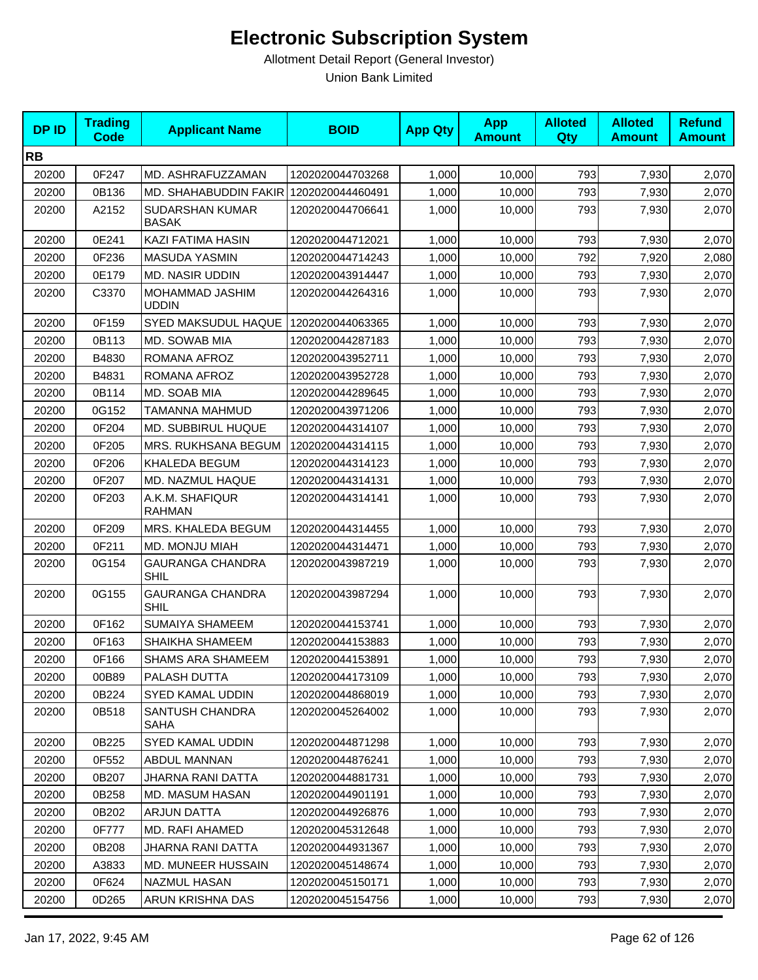| <b>DPID</b> | <b>Trading</b><br>Code | <b>Applicant Name</b>                  | <b>BOID</b>      | <b>App Qty</b> | <b>App</b><br><b>Amount</b> | <b>Alloted</b><br><b>Qty</b> | <b>Alloted</b><br><b>Amount</b> | <b>Refund</b><br><b>Amount</b> |
|-------------|------------------------|----------------------------------------|------------------|----------------|-----------------------------|------------------------------|---------------------------------|--------------------------------|
| <b>RB</b>   |                        |                                        |                  |                |                             |                              |                                 |                                |
| 20200       | 0F247                  | MD. ASHRAFUZZAMAN                      | 1202020044703268 | 1,000          | 10,000                      | 793                          | 7,930                           | 2,070                          |
| 20200       | 0B136                  | MD. SHAHABUDDIN FAKIR 1202020044460491 |                  | 1,000          | 10,000                      | 793                          | 7,930                           | 2,070                          |
| 20200       | A2152                  | SUDARSHAN KUMAR<br><b>BASAK</b>        | 1202020044706641 | 1,000          | 10,000                      | 793                          | 7,930                           | 2,070                          |
| 20200       | 0E241                  | <b>KAZI FATIMA HASIN</b>               | 1202020044712021 | 1,000          | 10,000                      | 793                          | 7,930                           | 2,070                          |
| 20200       | 0F236                  | <b>MASUDA YASMIN</b>                   | 1202020044714243 | 1,000          | 10,000                      | 792                          | 7,920                           | 2,080                          |
| 20200       | 0E179                  | <b>MD. NASIR UDDIN</b>                 | 1202020043914447 | 1,000          | 10,000                      | 793                          | 7,930                           | 2,070                          |
| 20200       | C3370                  | MOHAMMAD JASHIM<br><b>UDDIN</b>        | 1202020044264316 | 1,000          | 10,000                      | 793                          | 7,930                           | 2,070                          |
| 20200       | 0F159                  | SYED MAKSUDUL HAQUE                    | 1202020044063365 | 1,000          | 10,000                      | 793                          | 7,930                           | 2,070                          |
| 20200       | 0B113                  | MD. SOWAB MIA                          | 1202020044287183 | 1,000          | 10,000                      | 793                          | 7,930                           | 2,070                          |
| 20200       | B4830                  | ROMANA AFROZ                           | 1202020043952711 | 1,000          | 10,000                      | 793                          | 7,930                           | 2,070                          |
| 20200       | B4831                  | ROMANA AFROZ                           | 1202020043952728 | 1,000          | 10,000                      | 793                          | 7,930                           | 2,070                          |
| 20200       | 0B114                  | MD. SOAB MIA                           | 1202020044289645 | 1,000          | 10,000                      | 793                          | 7,930                           | 2,070                          |
| 20200       | 0G152                  | TAMANNA MAHMUD                         | 1202020043971206 | 1,000          | 10,000                      | 793                          | 7,930                           | 2,070                          |
| 20200       | 0F204                  | MD. SUBBIRUL HUQUE                     | 1202020044314107 | 1,000          | 10,000                      | 793                          | 7,930                           | 2,070                          |
| 20200       | 0F205                  | MRS. RUKHSANA BEGUM                    | 1202020044314115 | 1,000          | 10,000                      | 793                          | 7,930                           | 2,070                          |
| 20200       | 0F206                  | KHALEDA BEGUM                          | 1202020044314123 | 1,000          | 10,000                      | 793                          | 7,930                           | 2,070                          |
| 20200       | 0F207                  | MD. NAZMUL HAQUE                       | 1202020044314131 | 1,000          | 10,000                      | 793                          | 7,930                           | 2,070                          |
| 20200       | 0F203                  | A.K.M. SHAFIQUR<br><b>RAHMAN</b>       | 1202020044314141 | 1,000          | 10,000                      | 793                          | 7,930                           | 2,070                          |
| 20200       | 0F209                  | MRS. KHALEDA BEGUM                     | 1202020044314455 | 1,000          | 10,000                      | 793                          | 7,930                           | 2,070                          |
| 20200       | 0F211                  | MD. MONJU MIAH                         | 1202020044314471 | 1,000          | 10,000                      | 793                          | 7,930                           | 2,070                          |
| 20200       | 0G154                  | <b>GAURANGA CHANDRA</b><br><b>SHIL</b> | 1202020043987219 | 1,000          | 10,000                      | 793                          | 7,930                           | 2,070                          |
| 20200       | 0G155                  | <b>GAURANGA CHANDRA</b><br><b>SHIL</b> | 1202020043987294 | 1,000          | 10,000                      | 793                          | 7,930                           | 2,070                          |
| 20200       | 0F162                  | SUMAIYA SHAMEEM                        | 1202020044153741 | 1,000          | 10,000                      | 793                          | 7,930                           | 2,070                          |
| 20200       | 0F163                  | SHAIKHA SHAMEEM                        | 1202020044153883 | 1,000          | 10,000                      | 793                          | 7,930                           | 2,070                          |
| 20200       | 0F166                  | <b>SHAMS ARA SHAMEEM</b>               | 1202020044153891 | 1,000          | 10,000                      | 793                          | 7,930                           | 2,070                          |
| 20200       | 00B89                  | PALASH DUTTA                           | 1202020044173109 | 1,000          | 10,000                      | 793                          | 7,930                           | 2,070                          |
| 20200       | 0B224                  | SYED KAMAL UDDIN                       | 1202020044868019 | 1,000          | 10,000                      | 793                          | 7,930                           | 2,070                          |
| 20200       | 0B518                  | SANTUSH CHANDRA<br><b>SAHA</b>         | 1202020045264002 | 1,000          | 10,000                      | 793                          | 7,930                           | 2,070                          |
| 20200       | 0B225                  | SYED KAMAL UDDIN                       | 1202020044871298 | 1,000          | 10,000                      | 793                          | 7,930                           | 2,070                          |
| 20200       | 0F552                  | ABDUL MANNAN                           | 1202020044876241 | 1,000          | 10,000                      | 793                          | 7,930                           | 2,070                          |
| 20200       | 0B207                  | JHARNA RANI DATTA                      | 1202020044881731 | 1,000          | 10,000                      | 793                          | 7,930                           | 2,070                          |
| 20200       | 0B258                  | <b>MD. MASUM HASAN</b>                 | 1202020044901191 | 1,000          | 10,000                      | 793                          | 7,930                           | 2,070                          |
| 20200       | 0B202                  | <b>ARJUN DATTA</b>                     | 1202020044926876 | 1,000          | 10,000                      | 793                          | 7,930                           | 2,070                          |
| 20200       | 0F777                  | MD. RAFI AHAMED                        | 1202020045312648 | 1,000          | 10,000                      | 793                          | 7,930                           | 2,070                          |
| 20200       | 0B208                  | JHARNA RANI DATTA                      | 1202020044931367 | 1,000          | 10,000                      | 793                          | 7,930                           | 2,070                          |
| 20200       | A3833                  | MD. MUNEER HUSSAIN                     | 1202020045148674 | 1,000          | 10,000                      | 793                          | 7,930                           | 2,070                          |
| 20200       | 0F624                  | <b>NAZMUL HASAN</b>                    | 1202020045150171 | 1,000          | 10,000                      | 793                          | 7,930                           | 2,070                          |
| 20200       | 0D265                  | ARUN KRISHNA DAS                       | 1202020045154756 | 1,000          | 10,000                      | 793                          | 7,930                           | 2,070                          |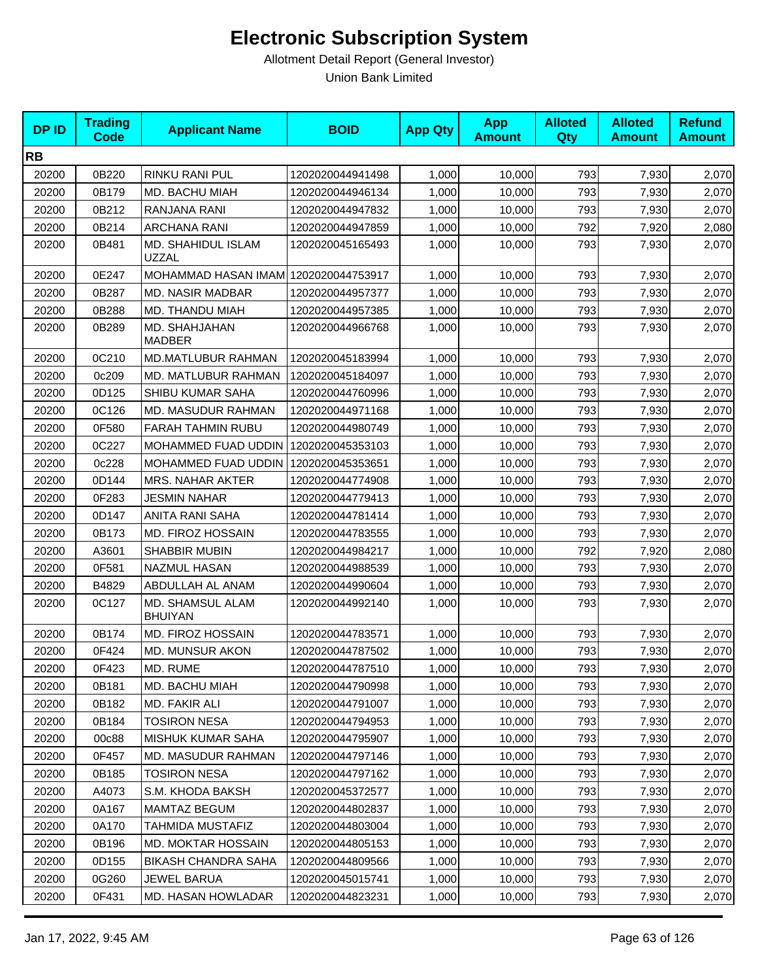| <b>DPID</b> | <b>Trading</b><br><b>Code</b> | <b>Applicant Name</b>                | <b>BOID</b>      | <b>App Qty</b> | <b>App</b><br><b>Amount</b> | <b>Alloted</b><br>Qty | <b>Alloted</b><br><b>Amount</b> | <b>Refund</b><br><b>Amount</b> |
|-------------|-------------------------------|--------------------------------------|------------------|----------------|-----------------------------|-----------------------|---------------------------------|--------------------------------|
| <b>RB</b>   |                               |                                      |                  |                |                             |                       |                                 |                                |
| 20200       | 0B220                         | RINKU RANI PUL                       | 1202020044941498 | 1,000          | 10,000                      | 793                   | 7,930                           | 2,070                          |
| 20200       | 0B179                         | MD. BACHU MIAH                       | 1202020044946134 | 1,000          | 10,000                      | 793                   | 7,930                           | 2,070                          |
| 20200       | 0B212                         | RANJANA RANI                         | 1202020044947832 | 1,000          | 10,000                      | 793                   | 7,930                           | 2,070                          |
| 20200       | 0B214                         | ARCHANA RANI                         | 1202020044947859 | 1,000          | 10,000                      | 792                   | 7,920                           | 2,080                          |
| 20200       | 0B481                         | MD. SHAHIDUL ISLAM<br><b>UZZAL</b>   | 1202020045165493 | 1,000          | 10,000                      | 793                   | 7,930                           | 2,070                          |
| 20200       | 0E247                         | MOHAMMAD HASAN IMAM 1202020044753917 |                  | 1,000          | 10,000                      | 793                   | 7,930                           | 2,070                          |
| 20200       | 0B287                         | <b>MD. NASIR MADBAR</b>              | 1202020044957377 | 1,000          | 10,000                      | 793                   | 7,930                           | 2,070                          |
| 20200       | 0B288                         | MD. THANDU MIAH                      | 1202020044957385 | 1,000          | 10,000                      | 793                   | 7,930                           | 2,070                          |
| 20200       | 0B289                         | MD. SHAHJAHAN<br><b>MADBER</b>       | 1202020044966768 | 1,000          | 10,000                      | 793                   | 7,930                           | 2,070                          |
| 20200       | 0C210                         | MD.MATLUBUR RAHMAN                   | 1202020045183994 | 1,000          | 10,000                      | 793                   | 7,930                           | 2,070                          |
| 20200       | 0c209                         | MD. MATLUBUR RAHMAN                  | 1202020045184097 | 1,000          | 10,000                      | 793                   | 7,930                           | 2,070                          |
| 20200       | 0D125                         | SHIBU KUMAR SAHA                     | 1202020044760996 | 1,000          | 10,000                      | 793                   | 7,930                           | 2,070                          |
| 20200       | 0C126                         | MD. MASUDUR RAHMAN                   | 1202020044971168 | 1,000          | 10,000                      | 793                   | 7,930                           | 2,070                          |
| 20200       | 0F580                         | <b>FARAH TAHMIN RUBU</b>             | 1202020044980749 | 1,000          | 10,000                      | 793                   | 7,930                           | 2,070                          |
| 20200       | 0C227                         | MOHAMMED FUAD UDDIN                  | 1202020045353103 | 1,000          | 10,000                      | 793                   | 7,930                           | 2,070                          |
| 20200       | 0c228                         | MOHAMMED FUAD UDDIN I                | 1202020045353651 | 1,000          | 10.000                      | 793                   | 7,930                           | 2,070                          |
| 20200       | 0D144                         | <b>MRS. NAHAR AKTER</b>              | 1202020044774908 | 1,000          | 10,000                      | 793                   | 7,930                           | 2,070                          |
| 20200       | 0F283                         | <b>JESMIN NAHAR</b>                  | 1202020044779413 | 1,000          | 10,000                      | 793                   | 7,930                           | 2,070                          |
| 20200       | 0D147                         | ANITA RANI SAHA                      | 1202020044781414 | 1,000          | 10,000                      | 793                   | 7,930                           | 2,070                          |
| 20200       | 0B173                         | MD. FIROZ HOSSAIN                    | 1202020044783555 | 1,000          | 10,000                      | 793                   | 7,930                           | 2,070                          |
| 20200       | A3601                         | <b>SHABBIR MUBIN</b>                 | 1202020044984217 | 1,000          | 10,000                      | 792                   | 7,920                           | 2,080                          |
| 20200       | 0F581                         | NAZMUL HASAN                         | 1202020044988539 | 1,000          | 10,000                      | 793                   | 7,930                           | 2,070                          |
| 20200       | B4829                         | ABDULLAH AL ANAM                     | 1202020044990604 | 1,000          | 10,000                      | 793                   | 7,930                           | 2,070                          |
| 20200       | 0C127                         | MD. SHAMSUL ALAM<br><b>BHUIYAN</b>   | 1202020044992140 | 1,000          | 10,000                      | 793                   | 7,930                           | 2,070                          |
| 20200       | 0B174                         | MD. FIROZ HOSSAIN                    | 1202020044783571 | 1,000          | 10,000                      | 793                   | 7,930                           | 2,070                          |
| 20200       | 0F424                         | MD. MUNSUR AKON                      | 1202020044787502 | 1,000          | 10,000                      | 793                   | 7,930                           | 2,070                          |
| 20200       | 0F423                         | MD. RUME                             | 1202020044787510 | 1,000          | 10,000                      | 793                   | 7,930                           | 2,070                          |
| 20200       | 0B181                         | MD. BACHU MIAH                       | 1202020044790998 | 1,000          | 10,000                      | 793                   | 7,930                           | 2,070                          |
| 20200       | 0B182                         | MD. FAKIR ALI                        | 1202020044791007 | 1,000          | 10,000                      | 793                   | 7,930                           | 2,070                          |
| 20200       | 0B184                         | <b>TOSIRON NESA</b>                  | 1202020044794953 | 1,000          | 10,000                      | 793                   | 7,930                           | 2,070                          |
| 20200       | 00c88                         | MISHUK KUMAR SAHA                    | 1202020044795907 | 1,000          | 10,000                      | 793                   | 7,930                           | 2,070                          |
| 20200       | 0F457                         | MD. MASUDUR RAHMAN                   | 1202020044797146 | 1,000          | 10,000                      | 793                   | 7,930                           | 2,070                          |
| 20200       | 0B185                         | <b>TOSIRON NESA</b>                  | 1202020044797162 | 1,000          | 10,000                      | 793                   | 7,930                           | 2,070                          |
| 20200       | A4073                         | S.M. KHODA BAKSH                     | 1202020045372577 | 1,000          | 10,000                      | 793                   | 7,930                           | 2,070                          |
| 20200       | 0A167                         | <b>MAMTAZ BEGUM</b>                  | 1202020044802837 | 1,000          | 10,000                      | 793                   | 7,930                           | 2,070                          |
| 20200       | 0A170                         | TAHMIDA MUSTAFIZ                     | 1202020044803004 | 1,000          | 10,000                      | 793                   | 7,930                           | 2,070                          |
| 20200       | 0B196                         | <b>MD. MOKTAR HOSSAIN</b>            | 1202020044805153 | 1,000          | 10,000                      | 793                   | 7,930                           | 2,070                          |
| 20200       | 0D155                         | BIKASH CHANDRA SAHA                  | 1202020044809566 | 1,000          | 10,000                      | 793                   | 7,930                           | 2,070                          |
| 20200       | 0G260                         | JEWEL BARUA                          | 1202020045015741 | 1,000          | 10,000                      | 793                   | 7,930                           | 2,070                          |
| 20200       | 0F431                         | MD. HASAN HOWLADAR                   | 1202020044823231 | 1,000          | 10,000                      | 793                   | 7,930                           | 2,070                          |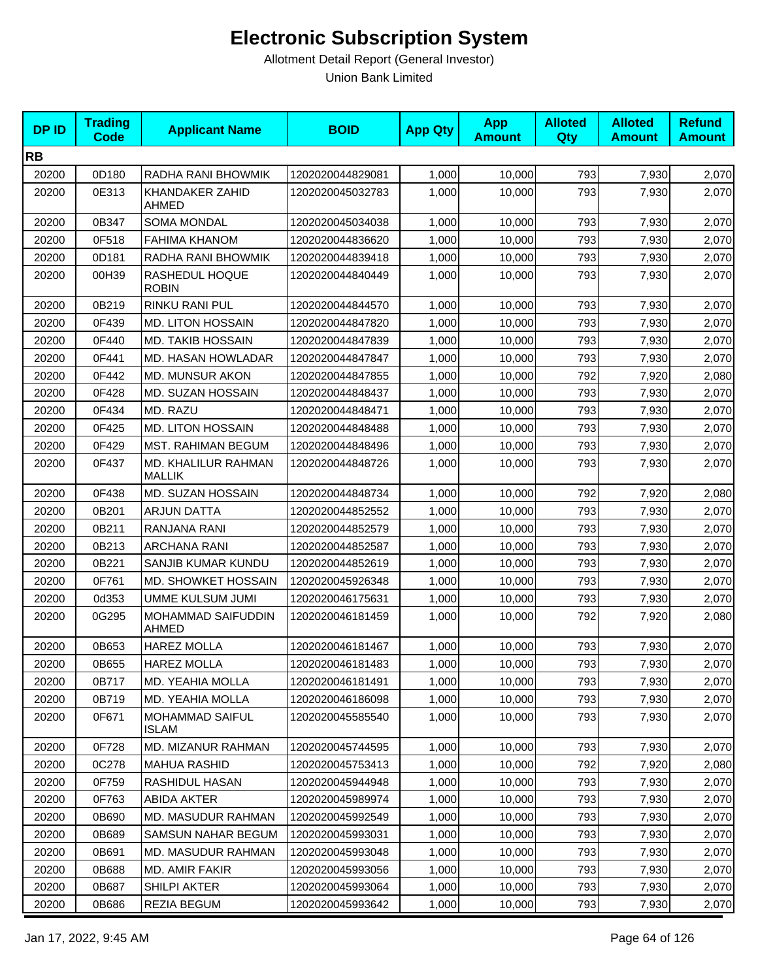| <b>DPID</b> | <b>Trading</b><br>Code | <b>Applicant Name</b>                  | <b>BOID</b>      | <b>App Qty</b> | <b>App</b><br><b>Amount</b> | <b>Alloted</b><br><b>Qty</b> | <b>Alloted</b><br><b>Amount</b> | <b>Refund</b><br><b>Amount</b> |
|-------------|------------------------|----------------------------------------|------------------|----------------|-----------------------------|------------------------------|---------------------------------|--------------------------------|
| <b>RB</b>   |                        |                                        |                  |                |                             |                              |                                 |                                |
| 20200       | 0D180                  | RADHA RANI BHOWMIK                     | 1202020044829081 | 1,000          | 10,000                      | 793                          | 7,930                           | 2,070                          |
| 20200       | 0E313                  | KHANDAKER ZAHID<br>AHMED               | 1202020045032783 | 1,000          | 10,000                      | 793                          | 7,930                           | 2,070                          |
| 20200       | 0B347                  | <b>SOMA MONDAL</b>                     | 1202020045034038 | 1,000          | 10,000                      | 793                          | 7,930                           | 2,070                          |
| 20200       | 0F518                  | <b>FAHIMA KHANOM</b>                   | 1202020044836620 | 1,000          | 10.000                      | 793                          | 7,930                           | 2,070                          |
| 20200       | 0D181                  | RADHA RANI BHOWMIK                     | 1202020044839418 | 1,000          | 10,000                      | 793                          | 7,930                           | 2,070                          |
| 20200       | 00H39                  | RASHEDUL HOQUE<br><b>ROBIN</b>         | 1202020044840449 | 1,000          | 10,000                      | 793                          | 7,930                           | 2,070                          |
| 20200       | 0B219                  | RINKU RANI PUL                         | 1202020044844570 | 1,000          | 10,000                      | 793                          | 7,930                           | 2,070                          |
| 20200       | 0F439                  | <b>MD. LITON HOSSAIN</b>               | 1202020044847820 | 1,000          | 10,000                      | 793                          | 7,930                           | 2,070                          |
| 20200       | 0F440                  | <b>MD. TAKIB HOSSAIN</b>               | 1202020044847839 | 1,000          | 10,000                      | 793                          | 7,930                           | 2,070                          |
| 20200       | 0F441                  | MD. HASAN HOWLADAR                     | 1202020044847847 | 1,000          | 10,000                      | 793                          | 7,930                           | 2,070                          |
| 20200       | 0F442                  | MD. MUNSUR AKON                        | 1202020044847855 | 1,000          | 10,000                      | 792                          | 7,920                           | 2,080                          |
| 20200       | 0F428                  | MD. SUZAN HOSSAIN                      | 1202020044848437 | 1,000          | 10,000                      | 793                          | 7,930                           | 2,070                          |
| 20200       | 0F434                  | MD. RAZU                               | 1202020044848471 | 1,000          | 10.000                      | 793                          | 7,930                           | 2,070                          |
| 20200       | 0F425                  | <b>MD. LITON HOSSAIN</b>               | 1202020044848488 | 1,000          | 10,000                      | 793                          | 7,930                           | 2,070                          |
| 20200       | 0F429                  | <b>MST. RAHIMAN BEGUM</b>              | 1202020044848496 | 1,000          | 10,000                      | 793                          | 7,930                           | 2,070                          |
| 20200       | 0F437                  | MD. KHALILUR RAHMAN<br><b>MALLIK</b>   | 1202020044848726 | 1,000          | 10,000                      | 793                          | 7,930                           | 2,070                          |
| 20200       | 0F438                  | MD. SUZAN HOSSAIN                      | 1202020044848734 | 1,000          | 10,000                      | 792                          | 7,920                           | 2,080                          |
| 20200       | 0B201                  | <b>ARJUN DATTA</b>                     | 1202020044852552 | 1,000          | 10,000                      | 793                          | 7,930                           | 2,070                          |
| 20200       | 0B211                  | RANJANA RANI                           | 1202020044852579 | 1,000          | 10,000                      | 793                          | 7,930                           | 2,070                          |
| 20200       | 0B213                  | <b>ARCHANA RANI</b>                    | 1202020044852587 | 1,000          | 10,000                      | 793                          | 7,930                           | 2,070                          |
| 20200       | 0B221                  | SANJIB KUMAR KUNDU                     | 1202020044852619 | 1,000          | 10,000                      | 793                          | 7,930                           | 2,070                          |
| 20200       | 0F761                  | MD. SHOWKET HOSSAIN                    | 1202020045926348 | 1,000          | 10,000                      | 793                          | 7,930                           | 2,070                          |
| 20200       | 0d353                  | UMME KULSUM JUMI                       | 1202020046175631 | 1,000          | 10,000                      | 793                          | 7,930                           | 2,070                          |
| 20200       | 0G295                  | MOHAMMAD SAIFUDDIN<br>AHMED            | 1202020046181459 | 1,000          | 10,000                      | 792                          | 7,920                           | 2,080                          |
| 20200       | 0B653                  | <b>HAREZ MOLLA</b>                     | 1202020046181467 | 1,000          | 10,000                      | 793                          | 7,930                           | 2,070                          |
| 20200       | 0B655                  | <b>HAREZ MOLLA</b>                     | 1202020046181483 | 1,000          | 10,000                      | 793                          | 7,930                           | 2,070                          |
| 20200       | 0B717                  | <b>MD. YEAHIA MOLLA</b>                | 1202020046181491 | 1,000          | 10,000                      | 793                          | 7,930                           | 2,070                          |
| 20200       | 0B719                  | MD. YEAHIA MOLLA                       | 1202020046186098 | 1,000          | 10,000                      | 793                          | 7,930                           | 2,070                          |
| 20200       | 0F671                  | <b>MOHAMMAD SAIFUL</b><br><b>ISLAM</b> | 1202020045585540 | 1,000          | 10,000                      | 793                          | 7,930                           | 2,070                          |
| 20200       | 0F728                  | MD. MIZANUR RAHMAN                     | 1202020045744595 | 1,000          | 10,000                      | 793                          | 7,930                           | 2,070                          |
| 20200       | 0C278                  | <b>MAHUA RASHID</b>                    | 1202020045753413 | 1,000          | 10,000                      | 792                          | 7,920                           | 2,080                          |
| 20200       | 0F759                  | RASHIDUL HASAN                         | 1202020045944948 | 1,000          | 10,000                      | 793                          | 7,930                           | 2,070                          |
| 20200       | 0F763                  | <b>ABIDA AKTER</b>                     | 1202020045989974 | 1,000          | 10,000                      | 793                          | 7,930                           | 2,070                          |
| 20200       | 0B690                  | MD. MASUDUR RAHMAN                     | 1202020045992549 | 1,000          | 10,000                      | 793                          | 7,930                           | 2,070                          |
| 20200       | 0B689                  | SAMSUN NAHAR BEGUM                     | 1202020045993031 | 1,000          | 10,000                      | 793                          | 7,930                           | 2,070                          |
| 20200       | 0B691                  | MD. MASUDUR RAHMAN                     | 1202020045993048 | 1,000          | 10,000                      | 793                          | 7,930                           | 2,070                          |
| 20200       | 0B688                  | MD. AMIR FAKIR                         | 1202020045993056 | 1,000          | 10,000                      | 793                          | 7,930                           | 2,070                          |
| 20200       | 0B687                  | SHILPI AKTER                           | 1202020045993064 | 1,000          | 10,000                      | 793                          | 7,930                           | 2,070                          |
| 20200       | 0B686                  | <b>REZIA BEGUM</b>                     | 1202020045993642 | 1,000          | 10,000                      | 793                          | 7,930                           | 2,070                          |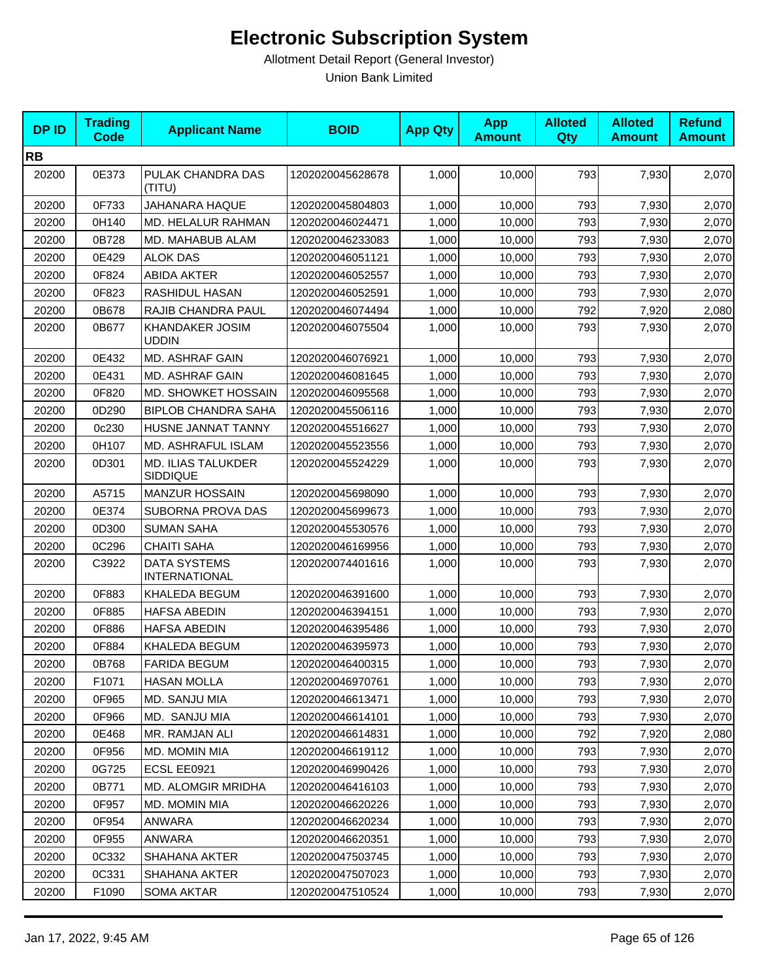| <b>DPID</b> | <b>Trading</b><br><b>Code</b> | <b>Applicant Name</b>                       | <b>BOID</b>      | <b>App Qty</b> | <b>App</b><br><b>Amount</b> | <b>Alloted</b><br>Qty | <b>Alloted</b><br><b>Amount</b> | <b>Refund</b><br><b>Amount</b> |
|-------------|-------------------------------|---------------------------------------------|------------------|----------------|-----------------------------|-----------------------|---------------------------------|--------------------------------|
| <b>RB</b>   |                               |                                             |                  |                |                             |                       |                                 |                                |
| 20200       | 0E373                         | PULAK CHANDRA DAS<br>(TITU)                 | 1202020045628678 | 1,000          | 10,000                      | 793                   | 7,930                           | 2,070                          |
| 20200       | 0F733                         | JAHANARA HAQUE                              | 1202020045804803 | 1,000          | 10,000                      | 793                   | 7,930                           | 2,070                          |
| 20200       | 0H140                         | MD. HELALUR RAHMAN                          | 1202020046024471 | 1,000          | 10,000                      | 793                   | 7,930                           | 2,070                          |
| 20200       | 0B728                         | MD. MAHABUB ALAM                            | 1202020046233083 | 1,000          | 10,000                      | 793                   | 7,930                           | 2,070                          |
| 20200       | 0E429                         | <b>ALOK DAS</b>                             | 1202020046051121 | 1,000          | 10,000                      | 793                   | 7,930                           | 2,070                          |
| 20200       | 0F824                         | <b>ABIDA AKTER</b>                          | 1202020046052557 | 1,000          | 10,000                      | 793                   | 7,930                           | 2,070                          |
| 20200       | 0F823                         | RASHIDUL HASAN                              | 1202020046052591 | 1,000          | 10,000                      | 793                   | 7,930                           | 2,070                          |
| 20200       | 0B678                         | RAJIB CHANDRA PAUL                          | 1202020046074494 | 1,000          | 10,000                      | 792                   | 7,920                           | 2,080                          |
| 20200       | 0B677                         | <b>KHANDAKER JOSIM</b><br><b>UDDIN</b>      | 1202020046075504 | 1,000          | 10,000                      | 793                   | 7,930                           | 2,070                          |
| 20200       | 0E432                         | MD. ASHRAF GAIN                             | 1202020046076921 | 1,000          | 10,000                      | 793                   | 7,930                           | 2,070                          |
| 20200       | 0E431                         | <b>MD. ASHRAF GAIN</b>                      | 1202020046081645 | 1,000          | 10,000                      | 793                   | 7,930                           | 2,070                          |
| 20200       | 0F820                         | MD. SHOWKET HOSSAIN                         | 1202020046095568 | 1,000          | 10,000                      | 793                   | 7,930                           | 2,070                          |
| 20200       | 0D290                         | <b>BIPLOB CHANDRA SAHA</b>                  | 1202020045506116 | 1,000          | 10.000                      | 793                   | 7,930                           | 2,070                          |
| 20200       | 0c230                         | HUSNE JANNAT TANNY                          | 1202020045516627 | 1,000          | 10,000                      | 793                   | 7,930                           | 2,070                          |
| 20200       | 0H107                         | MD. ASHRAFUL ISLAM                          | 1202020045523556 | 1,000          | 10,000                      | 793                   | 7,930                           | 2,070                          |
| 20200       | 0D301                         | <b>MD. ILIAS TALUKDER</b><br>SIDDIQUE       | 1202020045524229 | 1,000          | 10,000                      | 793                   | 7,930                           | 2,070                          |
| 20200       | A5715                         | <b>MANZUR HOSSAIN</b>                       | 1202020045698090 | 1,000          | 10,000                      | 793                   | 7,930                           | 2,070                          |
| 20200       | 0E374                         | SUBORNA PROVA DAS                           | 1202020045699673 | 1,000          | 10,000                      | 793                   | 7,930                           | 2,070                          |
| 20200       | 0D300                         | <b>SUMAN SAHA</b>                           | 1202020045530576 | 1,000          | 10,000                      | 793                   | 7,930                           | 2,070                          |
| 20200       | 0C296                         | <b>CHAITI SAHA</b>                          | 1202020046169956 | 1,000          | 10,000                      | 793                   | 7,930                           | 2,070                          |
| 20200       | C3922                         | <b>DATA SYSTEMS</b><br><b>INTERNATIONAL</b> | 1202020074401616 | 1,000          | 10,000                      | 793                   | 7,930                           | 2,070                          |
| 20200       | 0F883                         | KHALEDA BEGUM                               | 1202020046391600 | 1,000          | 10,000                      | 793                   | 7,930                           | 2,070                          |
| 20200       | 0F885                         | <b>HAFSA ABEDIN</b>                         | 1202020046394151 | 1,000          | 10,000                      | 793                   | 7,930                           | 2,070                          |
| 20200       | 0F886                         | <b>HAFSA ABEDIN</b>                         | 1202020046395486 | 1,000          | 10,000                      | 793                   | 7,930                           | 2,070                          |
| 20200       | 0F884                         | KHALEDA BEGUM                               | 1202020046395973 | 1,000          | 10,000                      | 793                   | 7,930                           | 2,070                          |
| 20200       | 0B768                         | <b>FARIDA BEGUM</b>                         | 1202020046400315 | 1,000          | 10,000                      | 793                   | 7,930                           | 2,070                          |
| 20200       | F1071                         | <b>HASAN MOLLA</b>                          | 1202020046970761 | 1,000          | 10,000                      | 793                   | 7,930                           | 2,070                          |
| 20200       | 0F965                         | MD. SANJU MIA                               | 1202020046613471 | 1,000          | 10,000                      | 793                   | 7,930                           | 2,070                          |
| 20200       | 0F966                         | MD. SANJU MIA                               | 1202020046614101 | 1,000          | 10,000                      | 793                   | 7,930                           | 2,070                          |
| 20200       | 0E468                         | MR. RAMJAN ALI                              | 1202020046614831 | 1,000          | 10,000                      | 792                   | 7,920                           | 2,080                          |
| 20200       | 0F956                         | MD. MOMIN MIA                               | 1202020046619112 | 1,000          | 10,000                      | 793                   | 7,930                           | 2,070                          |
| 20200       | 0G725                         | ECSL EE0921                                 | 1202020046990426 | 1,000          | 10,000                      | 793                   | 7,930                           | 2,070                          |
| 20200       | 0B771                         | MD. ALOMGIR MRIDHA                          | 1202020046416103 | 1,000          | 10,000                      | 793                   | 7,930                           | 2,070                          |
| 20200       | 0F957                         | MD. MOMIN MIA                               | 1202020046620226 | 1,000          | 10,000                      | 793                   | 7,930                           | 2,070                          |
| 20200       | 0F954                         | <b>ANWARA</b>                               | 1202020046620234 | 1,000          | 10,000                      | 793                   | 7,930                           | 2,070                          |
| 20200       | 0F955                         | ANWARA                                      | 1202020046620351 | 1,000          | 10,000                      | 793                   | 7,930                           | 2,070                          |
| 20200       | 0C332                         | SHAHANA AKTER                               | 1202020047503745 | 1,000          | 10,000                      | 793                   | 7,930                           | 2,070                          |
| 20200       | 0C331                         | SHAHANA AKTER                               | 1202020047507023 | 1,000          | 10,000                      | 793                   | 7,930                           | 2,070                          |
| 20200       | F1090                         | SOMA AKTAR                                  | 1202020047510524 | 1,000          | 10,000                      | 793                   | 7,930                           | 2,070                          |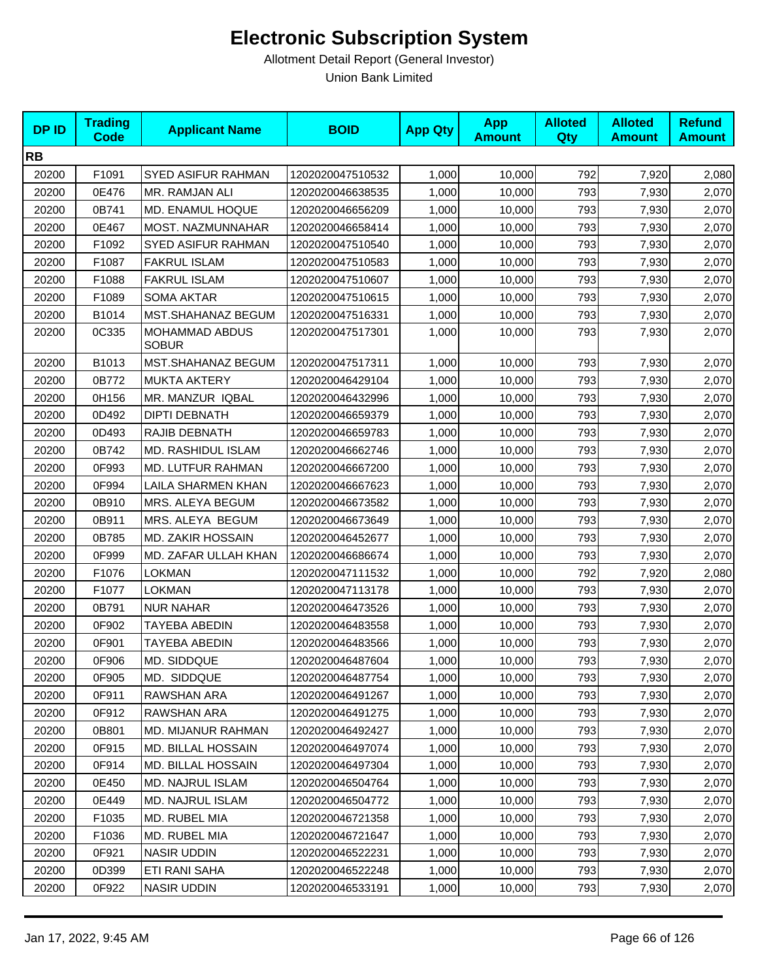| <b>DPID</b> | <b>Trading</b><br><b>Code</b> | <b>Applicant Name</b>          | <b>BOID</b>      | <b>App Qty</b> | <b>App</b><br><b>Amount</b> | <b>Alloted</b><br>Qty | <b>Alloted</b><br><b>Amount</b> | <b>Refund</b><br><b>Amount</b> |
|-------------|-------------------------------|--------------------------------|------------------|----------------|-----------------------------|-----------------------|---------------------------------|--------------------------------|
| <b>RB</b>   |                               |                                |                  |                |                             |                       |                                 |                                |
| 20200       | F1091                         | <b>SYED ASIFUR RAHMAN</b>      | 1202020047510532 | 1,000          | 10,000                      | 792                   | 7,920                           | 2,080                          |
| 20200       | 0E476                         | MR. RAMJAN ALI                 | 1202020046638535 | 1,000          | 10,000                      | 793                   | 7,930                           | 2,070                          |
| 20200       | 0B741                         | MD. ENAMUL HOQUE               | 1202020046656209 | 1,000          | 10,000                      | 793                   | 7,930                           | 2,070                          |
| 20200       | 0E467                         | MOST. NAZMUNNAHAR              | 1202020046658414 | 1,000          | 10,000                      | 793                   | 7,930                           | 2,070                          |
| 20200       | F1092                         | SYED ASIFUR RAHMAN             | 1202020047510540 | 1,000          | 10,000                      | 793                   | 7,930                           | 2,070                          |
| 20200       | F1087                         | <b>FAKRUL ISLAM</b>            | 1202020047510583 | 1,000          | 10,000                      | 793                   | 7,930                           | 2,070                          |
| 20200       | F1088                         | <b>FAKRUL ISLAM</b>            | 1202020047510607 | 1,000          | 10,000                      | 793                   | 7,930                           | 2,070                          |
| 20200       | F1089                         | <b>SOMA AKTAR</b>              | 1202020047510615 | 1,000          | 10,000                      | 793                   | 7,930                           | 2,070                          |
| 20200       | B1014                         | MST.SHAHANAZ BEGUM             | 1202020047516331 | 1,000          | 10,000                      | 793                   | 7,930                           | 2,070                          |
| 20200       | 0C335                         | MOHAMMAD ABDUS<br><b>SOBUR</b> | 1202020047517301 | 1,000          | 10,000                      | 793                   | 7,930                           | 2,070                          |
| 20200       | B1013                         | MST.SHAHANAZ BEGUM             | 1202020047517311 | 1,000          | 10,000                      | 793                   | 7,930                           | 2,070                          |
| 20200       | 0B772                         | <b>MUKTA AKTERY</b>            | 1202020046429104 | 1,000          | 10,000                      | 793                   | 7,930                           | 2,070                          |
| 20200       | 0H156                         | MR. MANZUR IQBAL               | 1202020046432996 | 1,000          | 10,000                      | 793                   | 7,930                           | 2,070                          |
| 20200       | 0D492                         | <b>DIPTI DEBNATH</b>           | 1202020046659379 | 1,000          | 10,000                      | 793                   | 7,930                           | 2,070                          |
| 20200       | 0D493                         | RAJIB DEBNATH                  | 1202020046659783 | 1,000          | 10,000                      | 793                   | 7,930                           | 2,070                          |
| 20200       | 0B742                         | MD. RASHIDUL ISLAM             | 1202020046662746 | 1,000          | 10,000                      | 793                   | 7,930                           | 2,070                          |
| 20200       | 0F993                         | MD. LUTFUR RAHMAN              | 1202020046667200 | 1,000          | 10,000                      | 793                   | 7,930                           | 2,070                          |
| 20200       | 0F994                         | <b>LAILA SHARMEN KHAN</b>      | 1202020046667623 | 1,000          | 10,000                      | 793                   | 7,930                           | 2,070                          |
| 20200       | 0B910                         | MRS. ALEYA BEGUM               | 1202020046673582 | 1,000          | 10,000                      | 793                   | 7,930                           | 2,070                          |
| 20200       | 0B911                         | MRS. ALEYA BEGUM               | 1202020046673649 | 1,000          | 10,000                      | 793                   | 7,930                           | 2,070                          |
| 20200       | 0B785                         | MD. ZAKIR HOSSAIN              | 1202020046452677 | 1,000          | 10,000                      | 793                   | 7,930                           | 2,070                          |
| 20200       | 0F999                         | MD. ZAFAR ULLAH KHAN           | 1202020046686674 | 1,000          | 10,000                      | 793                   | 7,930                           | 2,070                          |
| 20200       | F1076                         | LOKMAN                         | 1202020047111532 | 1,000          | 10,000                      | 792                   | 7,920                           | 2,080                          |
| 20200       | F1077                         | <b>LOKMAN</b>                  | 1202020047113178 | 1,000          | 10,000                      | 793                   | 7,930                           | 2,070                          |
| 20200       | 0B791                         | <b>NUR NAHAR</b>               | 1202020046473526 | 1,000          | 10,000                      | 793                   | 7,930                           | 2,070                          |
| 20200       | 0F902                         | TAYEBA ABEDIN                  | 1202020046483558 | 1,000          | 10,000                      | 793                   | 7,930                           | 2,070                          |
| 20200       | 0F901                         | TAYEBA ABEDIN                  | 1202020046483566 | 1,000          | 10,000                      | 793                   | 7,930                           | 2,070                          |
| 20200       | 0F906                         | MD. SIDDQUE                    | 1202020046487604 | 1,000          | 10,000                      | 793                   | 7,930                           | 2,070                          |
| 20200       | 0F905                         | MD. SIDDQUE                    | 1202020046487754 | 1,000          | 10,000                      | 793                   | 7,930                           | 2,070                          |
| 20200       | 0F911                         | RAWSHAN ARA                    | 1202020046491267 | 1,000          | 10,000                      | 793                   | 7,930                           | 2,070                          |
| 20200       | 0F912                         | RAWSHAN ARA                    | 1202020046491275 | 1,000          | 10,000                      | 793                   | 7,930                           | 2,070                          |
| 20200       | 0B801                         | MD. MIJANUR RAHMAN             | 1202020046492427 | 1,000          | 10,000                      | 793                   | 7,930                           | 2,070                          |
| 20200       | 0F915                         | MD. BILLAL HOSSAIN             | 1202020046497074 | 1,000          | 10,000                      | 793                   | 7,930                           | 2,070                          |
| 20200       | 0F914                         | MD. BILLAL HOSSAIN             | 1202020046497304 | 1,000          | 10,000                      | 793                   | 7,930                           | 2,070                          |
| 20200       | 0E450                         | MD. NAJRUL ISLAM               | 1202020046504764 | 1,000          | 10,000                      | 793                   | 7,930                           | 2,070                          |
| 20200       | 0E449                         | MD. NAJRUL ISLAM               | 1202020046504772 | 1,000          | 10,000                      | 793                   | 7,930                           | 2,070                          |
| 20200       | F1035                         | MD. RUBEL MIA                  | 1202020046721358 | 1,000          | 10,000                      | 793                   | 7,930                           | 2,070                          |
| 20200       | F1036                         | MD. RUBEL MIA                  | 1202020046721647 | 1,000          | 10,000                      | 793                   | 7,930                           | 2,070                          |
| 20200       | 0F921                         | <b>NASIR UDDIN</b>             | 1202020046522231 | 1,000          | 10,000                      | 793                   | 7,930                           | 2,070                          |
| 20200       | 0D399                         | ETI RANI SAHA                  | 1202020046522248 | 1,000          | 10,000                      | 793                   | 7,930                           | 2,070                          |
| 20200       | 0F922                         | <b>NASIR UDDIN</b>             | 1202020046533191 | 1,000          | 10,000                      | 793                   | 7,930                           | 2,070                          |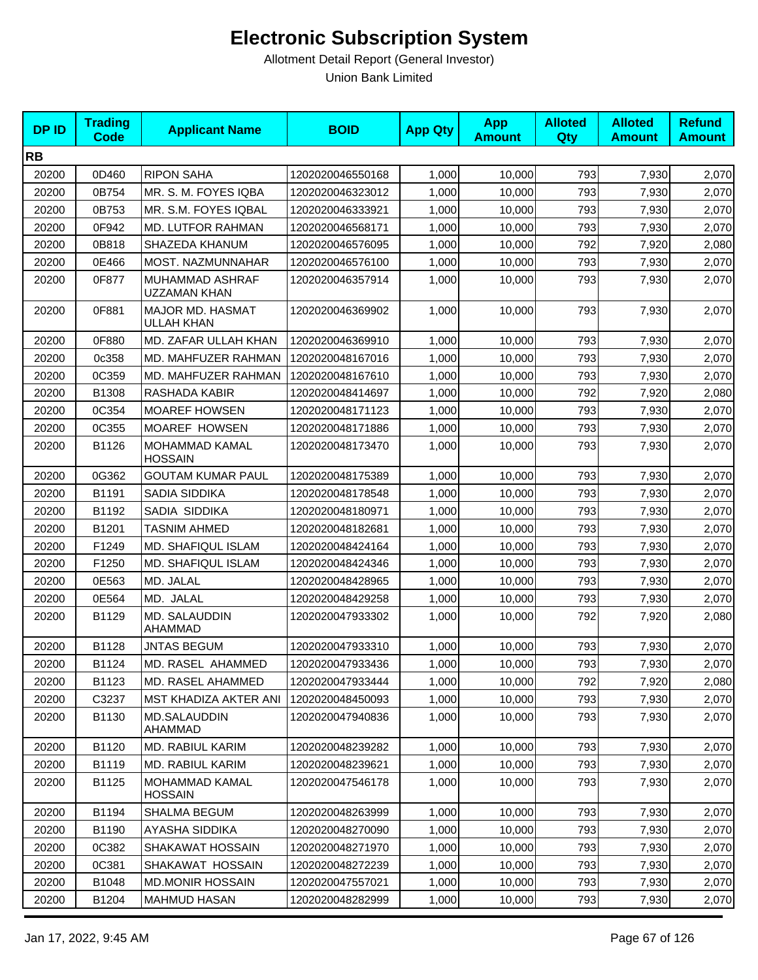| <b>DPID</b> | <b>Trading</b><br><b>Code</b> | <b>Applicant Name</b>                   | <b>BOID</b>      | <b>App Qty</b> | <b>App</b><br><b>Amount</b> | <b>Alloted</b><br><b>Qty</b> | <b>Alloted</b><br><b>Amount</b> | <b>Refund</b><br><b>Amount</b> |
|-------------|-------------------------------|-----------------------------------------|------------------|----------------|-----------------------------|------------------------------|---------------------------------|--------------------------------|
| <b>RB</b>   |                               |                                         |                  |                |                             |                              |                                 |                                |
| 20200       | 0D460                         | <b>RIPON SAHA</b>                       | 1202020046550168 | 1,000          | 10,000                      | 793                          | 7,930                           | 2,070                          |
| 20200       | 0B754                         | MR. S. M. FOYES IQBA                    | 1202020046323012 | 1,000          | 10,000                      | 793                          | 7,930                           | 2,070                          |
| 20200       | 0B753                         | MR. S.M. FOYES IQBAL                    | 1202020046333921 | 1,000          | 10,000                      | 793                          | 7,930                           | 2,070                          |
| 20200       | 0F942                         | MD. LUTFOR RAHMAN                       | 1202020046568171 | 1,000          | 10,000                      | 793                          | 7,930                           | 2,070                          |
| 20200       | 0B818                         | SHAZEDA KHANUM                          | 1202020046576095 | 1,000          | 10,000                      | 792                          | 7,920                           | 2,080                          |
| 20200       | 0E466                         | <b>MOST. NAZMUNNAHAR</b>                | 1202020046576100 | 1,000          | 10,000                      | 793                          | 7,930                           | 2,070                          |
| 20200       | 0F877                         | MUHAMMAD ASHRAF<br><b>UZZAMAN KHAN</b>  | 1202020046357914 | 1,000          | 10,000                      | 793                          | 7,930                           | 2,070                          |
| 20200       | 0F881                         | MAJOR MD. HASMAT<br><b>ULLAH KHAN</b>   | 1202020046369902 | 1,000          | 10,000                      | 793                          | 7,930                           | 2,070                          |
| 20200       | 0F880                         | MD. ZAFAR ULLAH KHAN                    | 1202020046369910 | 1,000          | 10,000                      | 793                          | 7,930                           | 2,070                          |
| 20200       | 0c358                         | MD. MAHFUZER RAHMAN                     | 1202020048167016 | 1,000          | 10,000                      | 793                          | 7,930                           | 2,070                          |
| 20200       | 0C359                         | MD. MAHFUZER RAHMAN                     | 1202020048167610 | 1,000          | 10,000                      | 793                          | 7,930                           | 2,070                          |
| 20200       | B1308                         | RASHADA KABIR                           | 1202020048414697 | 1,000          | 10,000                      | 792                          | 7,920                           | 2,080                          |
| 20200       | 0C354                         | <b>MOAREF HOWSEN</b>                    | 1202020048171123 | 1,000          | 10,000                      | 793                          | 7,930                           | 2,070                          |
| 20200       | 0C355                         | MOAREF HOWSEN                           | 1202020048171886 | 1,000          | 10,000                      | 793                          | 7,930                           | 2,070                          |
| 20200       | B1126                         | MOHAMMAD KAMAL<br><b>HOSSAIN</b>        | 1202020048173470 | 1,000          | 10,000                      | 793                          | 7,930                           | 2,070                          |
| 20200       | 0G362                         | <b>GOUTAM KUMAR PAUL</b>                | 1202020048175389 | 1,000          | 10,000                      | 793                          | 7,930                           | 2,070                          |
| 20200       | B1191                         | SADIA SIDDIKA                           | 1202020048178548 | 1,000          | 10,000                      | 793                          | 7,930                           | 2,070                          |
| 20200       | B1192                         | SADIA SIDDIKA                           | 1202020048180971 | 1,000          | 10,000                      | 793                          | 7,930                           | 2,070                          |
| 20200       | B1201                         | <b>TASNIM AHMED</b>                     | 1202020048182681 | 1,000          | 10,000                      | 793                          | 7,930                           | 2,070                          |
| 20200       | F1249                         | MD. SHAFIQUL ISLAM                      | 1202020048424164 | 1,000          | 10,000                      | 793                          | 7,930                           | 2,070                          |
| 20200       | F1250                         | MD. SHAFIQUL ISLAM                      | 1202020048424346 | 1,000          | 10,000                      | 793                          | 7,930                           | 2,070                          |
| 20200       | 0E563                         | MD. JALAL                               | 1202020048428965 | 1,000          | 10,000                      | 793                          | 7,930                           | 2,070                          |
| 20200       | 0E564                         | MD. JALAL                               | 1202020048429258 | 1,000          | 10,000                      | 793                          | 7,930                           | 2,070                          |
| 20200       | B1129                         | MD. SALAUDDIN<br>AHAMMAD                | 1202020047933302 | 1,000          | 10,000                      | 792                          | 7,920                           | 2,080                          |
| 20200       | B1128                         | <b>JNTAS BEGUM</b>                      | 1202020047933310 | 1,000          | 10,000                      | 793                          | 7,930                           | 2,070                          |
| 20200       | B1124                         | MD. RASEL AHAMMED                       | 1202020047933436 | 1,000          | 10,000                      | 793                          | 7,930                           | 2,070                          |
| 20200       | B1123                         | MD. RASEL AHAMMED                       | 1202020047933444 | 1,000          | 10,000                      | 792                          | 7,920                           | 2,080                          |
| 20200       | C3237                         | MST KHADIZA AKTER ANI                   | 1202020048450093 | 1,000          | 10,000                      | 793                          | 7,930                           | 2,070                          |
| 20200       | B1130                         | MD.SALAUDDIN<br>AHAMMAD                 | 1202020047940836 | 1,000          | 10,000                      | 793                          | 7,930                           | 2,070                          |
| 20200       | B1120                         | MD. RABIUL KARIM                        | 1202020048239282 | 1,000          | 10,000                      | 793                          | 7,930                           | 2,070                          |
| 20200       | B1119                         | <b>MD. RABIUL KARIM</b>                 | 1202020048239621 | 1,000          | 10,000                      | 793                          | 7,930                           | 2,070                          |
| 20200       | B1125                         | <b>MOHAMMAD KAMAL</b><br><b>HOSSAIN</b> | 1202020047546178 | 1,000          | 10,000                      | 793                          | 7,930                           | 2,070                          |
| 20200       | B1194                         | SHALMA BEGUM                            | 1202020048263999 | 1,000          | 10,000                      | 793                          | 7,930                           | 2,070                          |
| 20200       | B1190                         | AYASHA SIDDIKA                          | 1202020048270090 | 1,000          | 10,000                      | 793                          | 7,930                           | 2,070                          |
| 20200       | 0C382                         | SHAKAWAT HOSSAIN                        | 1202020048271970 | 1,000          | 10,000                      | 793                          | 7,930                           | 2,070                          |
| 20200       | 0C381                         | SHAKAWAT HOSSAIN                        | 1202020048272239 | 1,000          | 10,000                      | 793                          | 7,930                           | 2,070                          |
| 20200       | B1048                         | <b>MD.MONIR HOSSAIN</b>                 | 1202020047557021 | 1,000          | 10,000                      | 793                          | 7,930                           | 2,070                          |
| 20200       | B1204                         | <b>MAHMUD HASAN</b>                     | 1202020048282999 | 1,000          | 10,000                      | 793                          | 7,930                           | 2,070                          |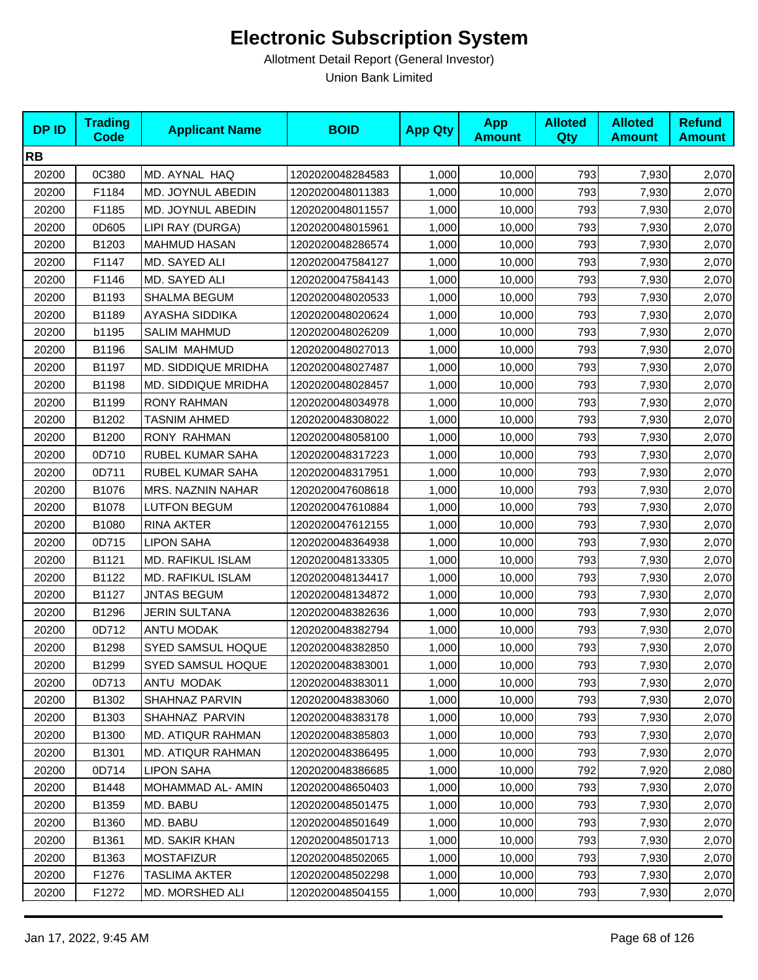| <b>DPID</b> | <b>Trading</b><br><b>Code</b> | <b>Applicant Name</b>    | <b>BOID</b>      | <b>App Qty</b> | <b>App</b><br><b>Amount</b> | <b>Alloted</b><br>Qty | <b>Alloted</b><br><b>Amount</b> | <b>Refund</b><br><b>Amount</b> |
|-------------|-------------------------------|--------------------------|------------------|----------------|-----------------------------|-----------------------|---------------------------------|--------------------------------|
| <b>RB</b>   |                               |                          |                  |                |                             |                       |                                 |                                |
| 20200       | 0C380                         | MD. AYNAL HAQ            | 1202020048284583 | 1,000          | 10,000                      | 793                   | 7,930                           | 2,070                          |
| 20200       | F1184                         | MD. JOYNUL ABEDIN        | 1202020048011383 | 1,000          | 10,000                      | 793                   | 7,930                           | 2,070                          |
| 20200       | F1185                         | MD. JOYNUL ABEDIN        | 1202020048011557 | 1,000          | 10,000                      | 793                   | 7,930                           | 2,070                          |
| 20200       | 0D605                         | LIPI RAY (DURGA)         | 1202020048015961 | 1,000          | 10,000                      | 793                   | 7,930                           | 2,070                          |
| 20200       | B1203                         | <b>MAHMUD HASAN</b>      | 1202020048286574 | 1,000          | 10,000                      | 793                   | 7,930                           | 2,070                          |
| 20200       | F1147                         | MD. SAYED ALI            | 1202020047584127 | 1,000          | 10,000                      | 793                   | 7,930                           | 2,070                          |
| 20200       | F1146                         | MD. SAYED ALI            | 1202020047584143 | 1,000          | 10,000                      | 793                   | 7,930                           | 2,070                          |
| 20200       | B1193                         | <b>SHALMA BEGUM</b>      | 1202020048020533 | 1,000          | 10,000                      | 793                   | 7,930                           | 2,070                          |
| 20200       | B1189                         | AYASHA SIDDIKA           | 1202020048020624 | 1,000          | 10,000                      | 793                   | 7,930                           | 2,070                          |
| 20200       | b1195                         | <b>SALIM MAHMUD</b>      | 1202020048026209 | 1,000          | 10,000                      | 793                   | 7,930                           | 2,070                          |
| 20200       | B1196                         | SALIM MAHMUD             | 1202020048027013 | 1,000          | 10,000                      | 793                   | 7,930                           | 2,070                          |
| 20200       | B1197                         | MD. SIDDIQUE MRIDHA      | 1202020048027487 | 1,000          | 10,000                      | 793                   | 7,930                           | 2,070                          |
| 20200       | B1198                         | MD. SIDDIQUE MRIDHA      | 1202020048028457 | 1,000          | 10,000                      | 793                   | 7,930                           | 2,070                          |
| 20200       | B1199                         | <b>RONY RAHMAN</b>       | 1202020048034978 | 1,000          | 10,000                      | 793                   | 7,930                           | 2,070                          |
| 20200       | B1202                         | <b>TASNIM AHMED</b>      | 1202020048308022 | 1,000          | 10,000                      | 793                   | 7,930                           | 2,070                          |
| 20200       | B1200                         | <b>RONY RAHMAN</b>       | 1202020048058100 | 1,000          | 10,000                      | 793                   | 7,930                           | 2,070                          |
| 20200       | 0D710                         | RUBEL KUMAR SAHA         | 1202020048317223 | 1,000          | 10,000                      | 793                   | 7,930                           | 2,070                          |
| 20200       | 0D711                         | RUBEL KUMAR SAHA         | 1202020048317951 | 1,000          | 10,000                      | 793                   | 7,930                           | 2,070                          |
| 20200       | B1076                         | MRS. NAZNIN NAHAR        | 1202020047608618 | 1,000          | 10,000                      | 793                   | 7,930                           | 2,070                          |
| 20200       | B1078                         | <b>LUTFON BEGUM</b>      | 1202020047610884 | 1,000          | 10,000                      | 793                   | 7,930                           | 2,070                          |
| 20200       | B1080                         | <b>RINA AKTER</b>        | 1202020047612155 | 1,000          | 10,000                      | 793                   | 7,930                           | 2,070                          |
| 20200       | 0D715                         | <b>LIPON SAHA</b>        | 1202020048364938 | 1,000          | 10,000                      | 793                   | 7,930                           | 2,070                          |
| 20200       | B1121                         | <b>MD. RAFIKUL ISLAM</b> | 1202020048133305 | 1,000          | 10,000                      | 793                   | 7,930                           | 2,070                          |
| 20200       | B1122                         | MD. RAFIKUL ISLAM        | 1202020048134417 | 1,000          | 10,000                      | 793                   | 7,930                           | 2,070                          |
| 20200       | B1127                         | <b>JNTAS BEGUM</b>       | 1202020048134872 | 1,000          | 10,000                      | 793                   | 7,930                           | 2,070                          |
| 20200       | B1296                         | <b>JERIN SULTANA</b>     | 1202020048382636 | 1,000          | 10,000                      | 793                   | 7,930                           | 2,070                          |
| 20200       | 0D712                         | ANTU MODAK               | 1202020048382794 | 1,000          | 10,000                      | 793                   | 7,930                           | 2,070                          |
| 20200       | B1298                         | SYED SAMSUL HOQUE        | 1202020048382850 | 1,000          | 10,000                      | 793                   | 7,930                           | 2,070                          |
| 20200       | B1299                         | SYED SAMSUL HOQUE        | 1202020048383001 | 1,000          | 10,000                      | 793                   | 7,930                           | 2,070                          |
| 20200       | 0D713                         | ANTU MODAK               | 1202020048383011 | 1.000          | 10,000                      | 793                   | 7,930                           | 2,070                          |
| 20200       | B1302                         | SHAHNAZ PARVIN           | 1202020048383060 | 1,000          | 10,000                      | 793                   | 7,930                           | 2,070                          |
| 20200       | B1303                         | SHAHNAZ PARVIN           | 1202020048383178 | 1,000          | 10,000                      | 793                   | 7,930                           | 2,070                          |
| 20200       | B1300                         | <b>MD. ATIQUR RAHMAN</b> | 1202020048385803 | 1,000          | 10,000                      | 793                   | 7,930                           | 2,070                          |
| 20200       | B1301                         | MD. ATIQUR RAHMAN        | 1202020048386495 | 1,000          | 10,000                      | 793                   | 7,930                           | 2,070                          |
| 20200       | 0D714                         | <b>LIPON SAHA</b>        | 1202020048386685 | 1,000          | 10,000                      | 792                   | 7,920                           | 2,080                          |
| 20200       | B1448                         | MOHAMMAD AL-AMIN         | 1202020048650403 | 1,000          | 10,000                      | 793                   | 7,930                           | 2,070                          |
| 20200       | B1359                         | MD. BABU                 | 1202020048501475 | 1,000          | 10,000                      | 793                   | 7,930                           | 2,070                          |
| 20200       | B1360                         | MD. BABU                 | 1202020048501649 | 1,000          | 10,000                      | 793                   | 7,930                           | 2,070                          |
| 20200       | B1361                         | MD. SAKIR KHAN           | 1202020048501713 | 1,000          | 10,000                      | 793                   | 7,930                           | 2,070                          |
| 20200       | B1363                         | <b>MOSTAFIZUR</b>        | 1202020048502065 | 1,000          | 10,000                      | 793                   | 7,930                           | 2,070                          |
| 20200       | F1276                         | TASLIMA AKTER            | 1202020048502298 | 1,000          | 10,000                      | 793                   | 7,930                           | 2,070                          |
| 20200       | F1272                         | MD. MORSHED ALI          | 1202020048504155 | 1,000          | 10,000                      | 793                   | 7,930                           | 2,070                          |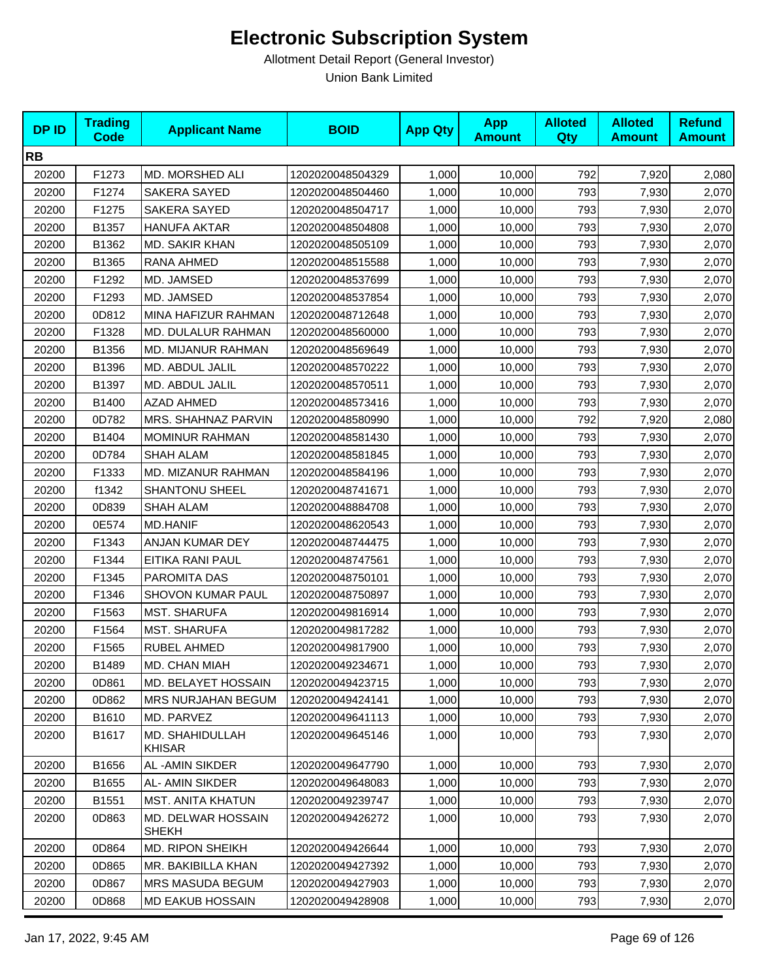| <b>DPID</b> | <b>Trading</b><br><b>Code</b> | <b>Applicant Name</b>       | <b>BOID</b>      | <b>App Qty</b> | <b>App</b><br><b>Amount</b> | <b>Alloted</b><br>Qty | <b>Alloted</b><br><b>Amount</b> | <b>Refund</b><br><b>Amount</b> |
|-------------|-------------------------------|-----------------------------|------------------|----------------|-----------------------------|-----------------------|---------------------------------|--------------------------------|
| <b>RB</b>   |                               |                             |                  |                |                             |                       |                                 |                                |
| 20200       | F1273                         | MD. MORSHED ALI             | 1202020048504329 | 1,000          | 10,000                      | 792                   | 7,920                           | 2,080                          |
| 20200       | F1274                         | <b>SAKERA SAYED</b>         | 1202020048504460 | 1,000          | 10,000                      | 793                   | 7,930                           | 2,070                          |
| 20200       | F1275                         | <b>SAKERA SAYED</b>         | 1202020048504717 | 1,000          | 10,000                      | 793                   | 7,930                           | 2,070                          |
| 20200       | B1357                         | <b>HANUFA AKTAR</b>         | 1202020048504808 | 1,000          | 10,000                      | 793                   | 7,930                           | 2,070                          |
| 20200       | B1362                         | <b>MD. SAKIR KHAN</b>       | 1202020048505109 | 1,000          | 10,000                      | 793                   | 7,930                           | 2,070                          |
| 20200       | B1365                         | RANA AHMED                  | 1202020048515588 | 1,000          | 10,000                      | 793                   | 7,930                           | 2,070                          |
| 20200       | F1292                         | MD. JAMSED                  | 1202020048537699 | 1,000          | 10,000                      | 793                   | 7,930                           | 2,070                          |
| 20200       | F1293                         | MD. JAMSED                  | 1202020048537854 | 1,000          | 10,000                      | 793                   | 7,930                           | 2,070                          |
| 20200       | 0D812                         | MINA HAFIZUR RAHMAN         | 1202020048712648 | 1,000          | 10,000                      | 793                   | 7,930                           | 2,070                          |
| 20200       | F1328                         | MD. DULALUR RAHMAN          | 1202020048560000 | 1,000          | 10,000                      | 793                   | 7,930                           | 2,070                          |
| 20200       | B1356                         | MD. MIJANUR RAHMAN          | 1202020048569649 | 1,000          | 10,000                      | 793                   | 7,930                           | 2,070                          |
| 20200       | B1396                         | MD. ABDUL JALIL             | 1202020048570222 | 1,000          | 10,000                      | 793                   | 7,930                           | 2,070                          |
| 20200       | B1397                         | MD. ABDUL JALIL             | 1202020048570511 | 1,000          | 10,000                      | 793                   | 7,930                           | 2,070                          |
| 20200       | B1400                         | <b>AZAD AHMED</b>           | 1202020048573416 | 1,000          | 10,000                      | 793                   | 7,930                           | 2,070                          |
| 20200       | 0D782                         | MRS. SHAHNAZ PARVIN         | 1202020048580990 | 1,000          | 10,000                      | 792                   | 7,920                           | 2,080                          |
| 20200       | B1404                         | <b>MOMINUR RAHMAN</b>       | 1202020048581430 | 1,000          | 10,000                      | 793                   | 7,930                           | 2,070                          |
| 20200       | 0D784                         | <b>SHAH ALAM</b>            | 1202020048581845 | 1,000          | 10,000                      | 793                   | 7,930                           | 2,070                          |
| 20200       | F1333                         | MD. MIZANUR RAHMAN          | 1202020048584196 | 1,000          | 10,000                      | 793                   | 7,930                           | 2,070                          |
| 20200       | f1342                         | <b>SHANTONU SHEEL</b>       | 1202020048741671 | 1,000          | 10,000                      | 793                   | 7,930                           | 2,070                          |
| 20200       | 0D839                         | SHAH ALAM                   | 1202020048884708 | 1,000          | 10,000                      | 793                   | 7,930                           | 2,070                          |
| 20200       | 0E574                         | <b>MD.HANIF</b>             | 1202020048620543 | 1,000          | 10,000                      | 793                   | 7,930                           | 2,070                          |
| 20200       | F1343                         | ANJAN KUMAR DEY             | 1202020048744475 | 1,000          | 10,000                      | 793                   | 7,930                           | 2,070                          |
| 20200       | F1344                         | EITIKA RANI PAUL            | 1202020048747561 | 1,000          | 10,000                      | 793                   | 7,930                           | 2,070                          |
| 20200       | F1345                         | PAROMITA DAS                | 1202020048750101 | 1,000          | 10,000                      | 793                   | 7,930                           | 2,070                          |
| 20200       | F1346                         | SHOVON KUMAR PAUL           | 1202020048750897 | 1,000          | 10,000                      | 793                   | 7,930                           | 2,070                          |
| 20200       | F1563                         | <b>MST. SHARUFA</b>         | 1202020049816914 | 1,000          | 10,000                      | 793                   | 7,930                           | 2,070                          |
| 20200       | F1564                         | <b>MST. SHARUFA</b>         | 1202020049817282 | 1,000          | 10,000                      | 793                   | 7,930                           | 2,070                          |
| 20200       | F1565                         | RUBEL AHMED                 | 1202020049817900 | 1,000          | 10,000                      | 793                   | 7,930                           | 2,070                          |
| 20200       | B1489                         | MD. CHAN MIAH               | 1202020049234671 | 1,000          | 10,000                      | 793                   | 7,930                           | 2,070                          |
| 20200       | 0D861                         | MD. BELAYET HOSSAIN         | 1202020049423715 | 1,000          | 10,000                      | 793                   | 7,930                           | 2,070                          |
| 20200       | 0D862                         | <b>MRS NURJAHAN BEGUM</b>   | 1202020049424141 | 1,000          | 10,000                      | 793                   | 7,930                           | 2,070                          |
| 20200       | B1610                         | MD. PARVEZ                  | 1202020049641113 | 1,000          | 10,000                      | 793                   | 7,930                           | 2,070                          |
| 20200       | B1617                         | MD. SHAHIDULLAH<br>KHISAR   | 1202020049645146 | 1,000          | 10,000                      | 793                   | 7,930                           | 2,070                          |
| 20200       | B1656                         | AL-AMIN SIKDER              | 1202020049647790 | 1,000          | 10,000                      | 793                   | 7,930                           | 2,070                          |
| 20200       | B1655                         | AL- AMIN SIKDER             | 1202020049648083 | 1,000          | 10,000                      | 793                   | 7,930                           | 2,070                          |
| 20200       | B1551                         | <b>MST. ANITA KHATUN</b>    | 1202020049239747 | 1,000          | 10,000                      | 793                   | 7,930                           | 2,070                          |
| 20200       | 0D863                         | MD. DELWAR HOSSAIN<br>SHEKH | 1202020049426272 | 1,000          | 10,000                      | 793                   | 7,930                           | 2,070                          |
| 20200       | 0D864                         | <b>MD. RIPON SHEIKH</b>     | 1202020049426644 | 1,000          | 10,000                      | 793                   | 7,930                           | 2,070                          |
| 20200       | 0D865                         | MR. BAKIBILLA KHAN          | 1202020049427392 | 1,000          | 10,000                      | 793                   | 7,930                           | 2,070                          |
| 20200       | 0D867                         | <b>MRS MASUDA BEGUM</b>     | 1202020049427903 | 1,000          | 10,000                      | 793                   | 7,930                           | 2,070                          |
| 20200       | 0D868                         | <b>MD EAKUB HOSSAIN</b>     | 1202020049428908 | 1,000          | 10,000                      | 793                   | 7,930                           | 2,070                          |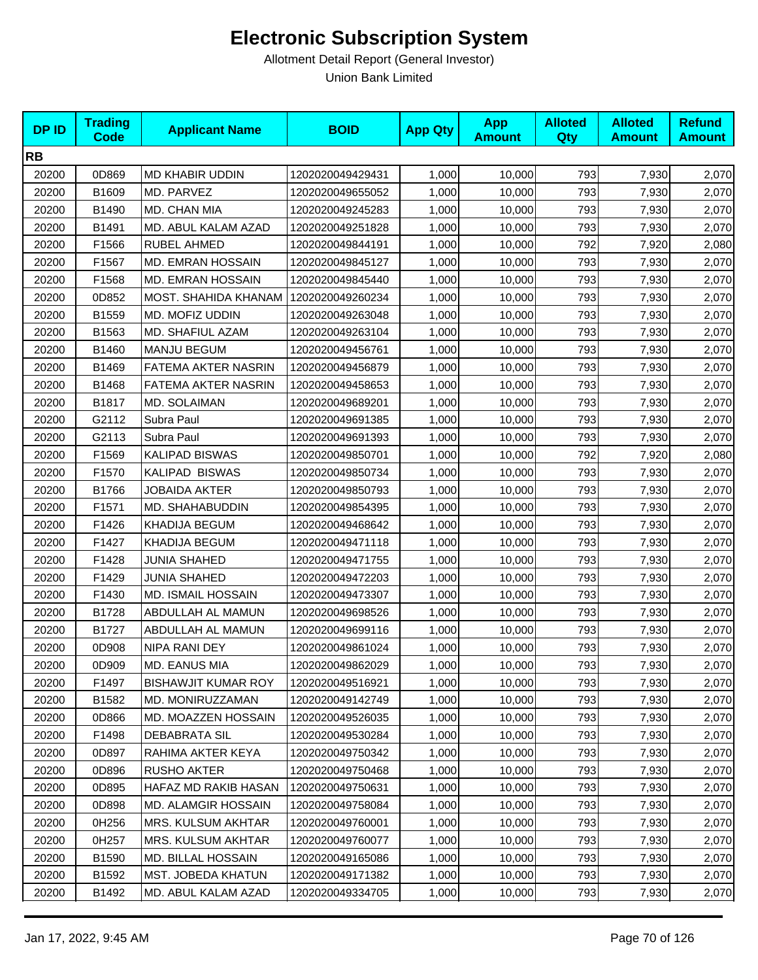| <b>DPID</b> | <b>Trading</b><br><b>Code</b> | <b>Applicant Name</b>      | <b>BOID</b>      | <b>App Qty</b> | <b>App</b><br><b>Amount</b> | <b>Alloted</b><br>Qty | <b>Alloted</b><br><b>Amount</b> | <b>Refund</b><br><b>Amount</b> |
|-------------|-------------------------------|----------------------------|------------------|----------------|-----------------------------|-----------------------|---------------------------------|--------------------------------|
| <b>RB</b>   |                               |                            |                  |                |                             |                       |                                 |                                |
| 20200       | 0D869                         | <b>MD KHABIR UDDIN</b>     | 1202020049429431 | 1,000          | 10,000                      | 793                   | 7,930                           | 2,070                          |
| 20200       | B1609                         | MD. PARVEZ                 | 1202020049655052 | 1,000          | 10,000                      | 793                   | 7,930                           | 2,070                          |
| 20200       | B1490                         | MD. CHAN MIA               | 1202020049245283 | 1,000          | 10,000                      | 793                   | 7,930                           | 2,070                          |
| 20200       | B1491                         | MD. ABUL KALAM AZAD        | 1202020049251828 | 1,000          | 10,000                      | 793                   | 7,930                           | 2,070                          |
| 20200       | F1566                         | RUBEL AHMED                | 1202020049844191 | 1,000          | 10,000                      | 792                   | 7,920                           | 2,080                          |
| 20200       | F1567                         | <b>MD. EMRAN HOSSAIN</b>   | 1202020049845127 | 1,000          | 10,000                      | 793                   | 7,930                           | 2,070                          |
| 20200       | F1568                         | MD. EMRAN HOSSAIN          | 1202020049845440 | 1,000          | 10,000                      | 793                   | 7,930                           | 2,070                          |
| 20200       | 0D852                         | MOST. SHAHIDA KHANAM       | 1202020049260234 | 1,000          | 10,000                      | 793                   | 7,930                           | 2,070                          |
| 20200       | B1559                         | MD. MOFIZ UDDIN            | 1202020049263048 | 1,000          | 10,000                      | 793                   | 7,930                           | 2,070                          |
| 20200       | B1563                         | MD. SHAFIUL AZAM           | 1202020049263104 | 1,000          | 10,000                      | 793                   | 7,930                           | 2,070                          |
| 20200       | B1460                         | <b>MANJU BEGUM</b>         | 1202020049456761 | 1,000          | 10,000                      | 793                   | 7,930                           | 2,070                          |
| 20200       | B1469                         | FATEMA AKTER NASRIN        | 1202020049456879 | 1,000          | 10,000                      | 793                   | 7,930                           | 2,070                          |
| 20200       | B1468                         | FATEMA AKTER NASRIN        | 1202020049458653 | 1,000          | 10,000                      | 793                   | 7,930                           | 2,070                          |
| 20200       | B1817                         | <b>MD. SOLAIMAN</b>        | 1202020049689201 | 1,000          | 10,000                      | 793                   | 7,930                           | 2,070                          |
| 20200       | G2112                         | Subra Paul                 | 1202020049691385 | 1,000          | 10,000                      | 793                   | 7,930                           | 2,070                          |
| 20200       | G2113                         | Subra Paul                 | 1202020049691393 | 1,000          | 10,000                      | 793                   | 7,930                           | 2,070                          |
| 20200       | F1569                         | <b>KALIPAD BISWAS</b>      | 1202020049850701 | 1,000          | 10,000                      | 792                   | 7,920                           | 2,080                          |
| 20200       | F1570                         | KALIPAD BISWAS             | 1202020049850734 | 1,000          | 10,000                      | 793                   | 7,930                           | 2,070                          |
| 20200       | B1766                         | <b>JOBAIDA AKTER</b>       | 1202020049850793 | 1,000          | 10,000                      | 793                   | 7,930                           | 2,070                          |
| 20200       | F1571                         | MD. SHAHABUDDIN            | 1202020049854395 | 1,000          | 10,000                      | 793                   | 7,930                           | 2,070                          |
| 20200       | F1426                         | <b>KHADIJA BEGUM</b>       | 1202020049468642 | 1,000          | 10,000                      | 793                   | 7,930                           | 2,070                          |
| 20200       | F1427                         | <b>KHADIJA BEGUM</b>       | 1202020049471118 | 1,000          | 10,000                      | 793                   | 7,930                           | 2,070                          |
| 20200       | F1428                         | <b>JUNIA SHAHED</b>        | 1202020049471755 | 1,000          | 10,000                      | 793                   | 7,930                           | 2,070                          |
| 20200       | F1429                         | <b>JUNIA SHAHED</b>        | 1202020049472203 | 1,000          | 10,000                      | 793                   | 7,930                           | 2,070                          |
| 20200       | F1430                         | <b>MD. ISMAIL HOSSAIN</b>  | 1202020049473307 | 1,000          | 10,000                      | 793                   | 7,930                           | 2,070                          |
| 20200       | B1728                         | ABDULLAH AL MAMUN          | 1202020049698526 | 1,000          | 10,000                      | 793                   | 7,930                           | 2,070                          |
| 20200       | B1727                         | ABDULLAH AL MAMUN          | 1202020049699116 | 1,000          | 10,000                      | 793                   | 7,930                           | 2,070                          |
| 20200       | 0D908                         | NIPA RANI DEY              | 1202020049861024 | 1,000          | 10,000                      | 793                   | 7,930                           | 2,070                          |
| 20200       | 0D909                         | MD. EANUS MIA              | 1202020049862029 | 1,000          | 10,000                      | 793                   | 7,930                           | 2,070                          |
| 20200       | F1497                         | <b>BISHAWJIT KUMAR ROY</b> | 1202020049516921 | 1,000          | 10,000                      | 793                   | 7,930                           | 2,070                          |
| 20200       | B1582                         | MD. MONIRUZZAMAN           | 1202020049142749 | 1,000          | 10,000                      | 793                   | 7,930                           | 2,070                          |
| 20200       | 0D866                         | <b>MD. MOAZZEN HOSSAIN</b> | 1202020049526035 | 1,000          | 10,000                      | 793                   | 7,930                           | 2,070                          |
| 20200       | F1498                         | <b>DEBABRATA SIL</b>       | 1202020049530284 | 1,000          | 10,000                      | 793                   | 7,930                           | 2,070                          |
| 20200       | 0D897                         | RAHIMA AKTER KEYA          | 1202020049750342 | 1,000          | 10,000                      | 793                   | 7,930                           | 2,070                          |
| 20200       | 0D896                         | <b>RUSHO AKTER</b>         | 1202020049750468 | 1,000          | 10,000                      | 793                   | 7,930                           | 2,070                          |
| 20200       | 0D895                         | HAFAZ MD RAKIB HASAN       | 1202020049750631 | 1,000          | 10,000                      | 793                   | 7,930                           | 2,070                          |
| 20200       | 0D898                         | <b>MD. ALAMGIR HOSSAIN</b> | 1202020049758084 | 1,000          | 10,000                      | 793                   | 7,930                           | 2,070                          |
| 20200       | 0H256                         | MRS. KULSUM AKHTAR         | 1202020049760001 | 1,000          | 10,000                      | 793                   | 7,930                           | 2,070                          |
| 20200       | 0H257                         | <b>MRS. KULSUM AKHTAR</b>  | 1202020049760077 | 1,000          | 10,000                      | 793                   | 7,930                           | 2,070                          |
| 20200       | B1590                         | MD. BILLAL HOSSAIN         | 1202020049165086 | 1,000          | 10,000                      | 793                   | 7,930                           | 2,070                          |
| 20200       | B1592                         | MST. JOBEDA KHATUN         | 1202020049171382 | 1,000          | 10,000                      | 793                   | 7,930                           | 2,070                          |
| 20200       | B1492                         | MD. ABUL KALAM AZAD        | 1202020049334705 | 1,000          | 10,000                      | 793                   | 7,930                           | 2,070                          |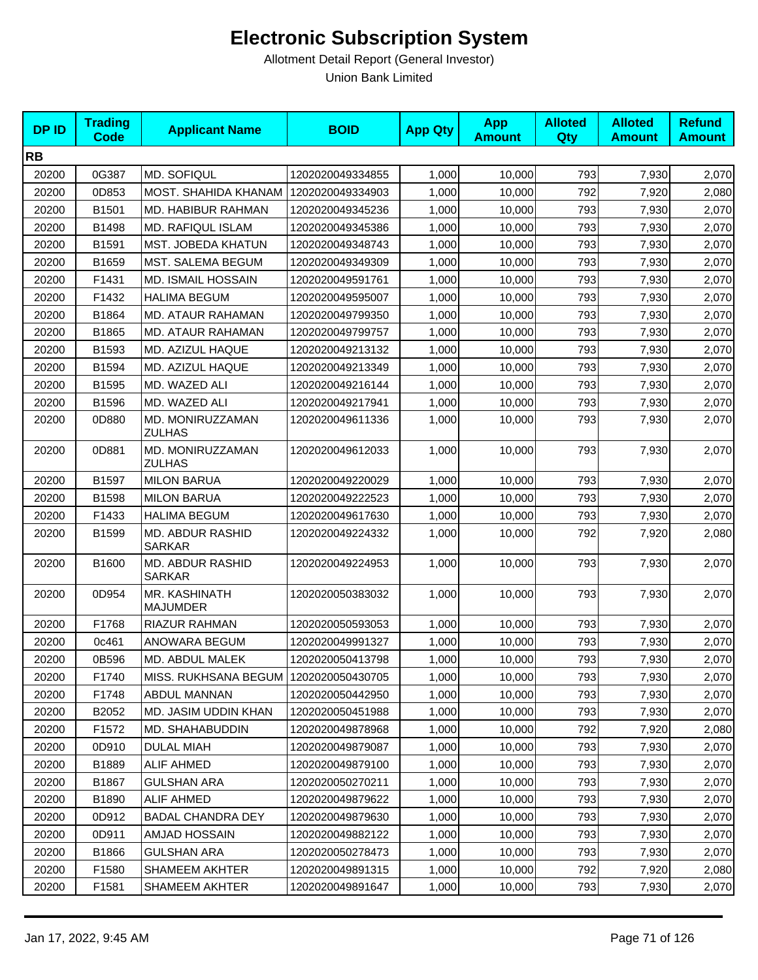| <b>DPID</b> | <b>Trading</b><br>Code | <b>Applicant Name</b>                   | <b>BOID</b>      | <b>App Qty</b> | <b>App</b><br><b>Amount</b> | <b>Alloted</b><br>Qty | <b>Alloted</b><br><b>Amount</b> | <b>Refund</b><br><b>Amount</b> |
|-------------|------------------------|-----------------------------------------|------------------|----------------|-----------------------------|-----------------------|---------------------------------|--------------------------------|
| <b>RB</b>   |                        |                                         |                  |                |                             |                       |                                 |                                |
| 20200       | 0G387                  | <b>MD. SOFIQUL</b>                      | 1202020049334855 | 1,000          | 10,000                      | 793                   | 7,930                           | 2,070                          |
| 20200       | 0D853                  | MOST. SHAHIDA KHANAM                    | 1202020049334903 | 1,000          | 10,000                      | 792                   | 7,920                           | 2,080                          |
| 20200       | B1501                  | <b>MD. HABIBUR RAHMAN</b>               | 1202020049345236 | 1,000          | 10,000                      | 793                   | 7,930                           | 2,070                          |
| 20200       | B1498                  | <b>MD. RAFIQUL ISLAM</b>                | 1202020049345386 | 1,000          | 10,000                      | 793                   | 7,930                           | 2,070                          |
| 20200       | B1591                  | <b>MST. JOBEDA KHATUN</b>               | 1202020049348743 | 1,000          | 10,000                      | 793                   | 7,930                           | 2,070                          |
| 20200       | B1659                  | MST. SALEMA BEGUM                       | 1202020049349309 | 1,000          | 10,000                      | 793                   | 7,930                           | 2,070                          |
| 20200       | F1431                  | <b>MD. ISMAIL HOSSAIN</b>               | 1202020049591761 | 1,000          | 10,000                      | 793                   | 7,930                           | 2,070                          |
| 20200       | F1432                  | <b>HALIMA BEGUM</b>                     | 1202020049595007 | 1,000          | 10,000                      | 793                   | 7,930                           | 2,070                          |
| 20200       | B1864                  | MD. ATAUR RAHAMAN                       | 1202020049799350 | 1,000          | 10,000                      | 793                   | 7,930                           | 2,070                          |
| 20200       | B1865                  | MD. ATAUR RAHAMAN                       | 1202020049799757 | 1,000          | 10,000                      | 793                   | 7,930                           | 2,070                          |
| 20200       | B1593                  | MD. AZIZUL HAQUE                        | 1202020049213132 | 1,000          | 10,000                      | 793                   | 7,930                           | 2,070                          |
| 20200       | B1594                  | MD. AZIZUL HAQUE                        | 1202020049213349 | 1,000          | 10,000                      | 793                   | 7,930                           | 2,070                          |
| 20200       | B1595                  | MD. WAZED ALI                           | 1202020049216144 | 1,000          | 10,000                      | 793                   | 7,930                           | 2,070                          |
| 20200       | B1596                  | MD. WAZED ALI                           | 1202020049217941 | 1,000          | 10,000                      | 793                   | 7,930                           | 2,070                          |
| 20200       | 0D880                  | MD. MONIRUZZAMAN<br><b>ZULHAS</b>       | 1202020049611336 | 1,000          | 10,000                      | 793                   | 7,930                           | 2,070                          |
| 20200       | 0D881                  | MD. MONIRUZZAMAN<br><b>ZULHAS</b>       | 1202020049612033 | 1,000          | 10,000                      | 793                   | 7,930                           | 2,070                          |
| 20200       | B1597                  | <b>MILON BARUA</b>                      | 1202020049220029 | 1,000          | 10,000                      | 793                   | 7,930                           | 2,070                          |
| 20200       | B1598                  | <b>MILON BARUA</b>                      | 1202020049222523 | 1,000          | 10,000                      | 793                   | 7,930                           | 2,070                          |
| 20200       | F1433                  | <b>HALIMA BEGUM</b>                     | 1202020049617630 | 1,000          | 10,000                      | 793                   | 7,930                           | 2,070                          |
| 20200       | B1599                  | MD. ABDUR RASHID<br><b>SARKAR</b>       | 1202020049224332 | 1,000          | 10,000                      | 792                   | 7,920                           | 2,080                          |
| 20200       | B1600                  | MD. ABDUR RASHID<br><b>SARKAR</b>       | 1202020049224953 | 1,000          | 10,000                      | 793                   | 7,930                           | 2,070                          |
| 20200       | 0D954                  | MR. KASHINATH<br><b>MAJUMDER</b>        | 1202020050383032 | 1,000          | 10,000                      | 793                   | 7,930                           | 2,070                          |
| 20200       | F1768                  | RIAZUR RAHMAN                           | 1202020050593053 | 1,000          | 10,000                      | 793                   | 7,930                           | 2,070                          |
| 20200       | 0c461                  | ANOWARA BEGUM                           | 1202020049991327 | 1,000          | 10,000                      | 793                   | 7,930                           | 2,070                          |
| 20200       | 0B596                  | MD. ABDUL MALEK                         | 1202020050413798 | 1,000          | 10,000                      | 793                   | 7,930                           | 2,070                          |
| 20200       | F1740                  | MISS. RUKHSANA BEGUM   1202020050430705 |                  | 1,000          | 10,000                      | 793                   | 7,930                           | 2,070                          |
| 20200       | F1748                  | <b>ABDUL MANNAN</b>                     | 1202020050442950 | 1,000          | 10,000                      | 793                   | 7,930                           | 2,070                          |
| 20200       | B2052                  | MD. JASIM UDDIN KHAN                    | 1202020050451988 | 1,000          | 10,000                      | 793                   | 7,930                           | 2,070                          |
| 20200       | F1572                  | MD. SHAHABUDDIN                         | 1202020049878968 | 1,000          | 10,000                      | 792                   | 7,920                           | 2,080                          |
| 20200       | 0D910                  | <b>DULAL MIAH</b>                       | 1202020049879087 | 1,000          | 10,000                      | 793                   | 7,930                           | 2,070                          |
| 20200       | B1889                  | <b>ALIF AHMED</b>                       | 1202020049879100 | 1,000          | 10,000                      | 793                   | 7,930                           | 2,070                          |
| 20200       | B1867                  | <b>GULSHAN ARA</b>                      | 1202020050270211 | 1,000          | 10,000                      | 793                   | 7,930                           | 2,070                          |
| 20200       | B1890                  | <b>ALIF AHMED</b>                       | 1202020049879622 | 1,000          | 10,000                      | 793                   | 7,930                           | 2,070                          |
| 20200       | 0D912                  | <b>BADAL CHANDRA DEY</b>                | 1202020049879630 | 1,000          | 10,000                      | 793                   | 7,930                           | 2,070                          |
| 20200       | 0D911                  | AMJAD HOSSAIN                           | 1202020049882122 | 1,000          | 10,000                      | 793                   | 7,930                           | 2,070                          |
| 20200       | B1866                  | <b>GULSHAN ARA</b>                      | 1202020050278473 | 1,000          | 10,000                      | 793                   | 7,930                           | 2,070                          |
| 20200       | F1580                  | <b>SHAMEEM AKHTER</b>                   | 1202020049891315 | 1,000          | 10,000                      | 792                   | 7,920                           | 2,080                          |
| 20200       | F1581                  | <b>SHAMEEM AKHTER</b>                   | 1202020049891647 | 1,000          | 10,000                      | 793                   | 7,930                           | 2,070                          |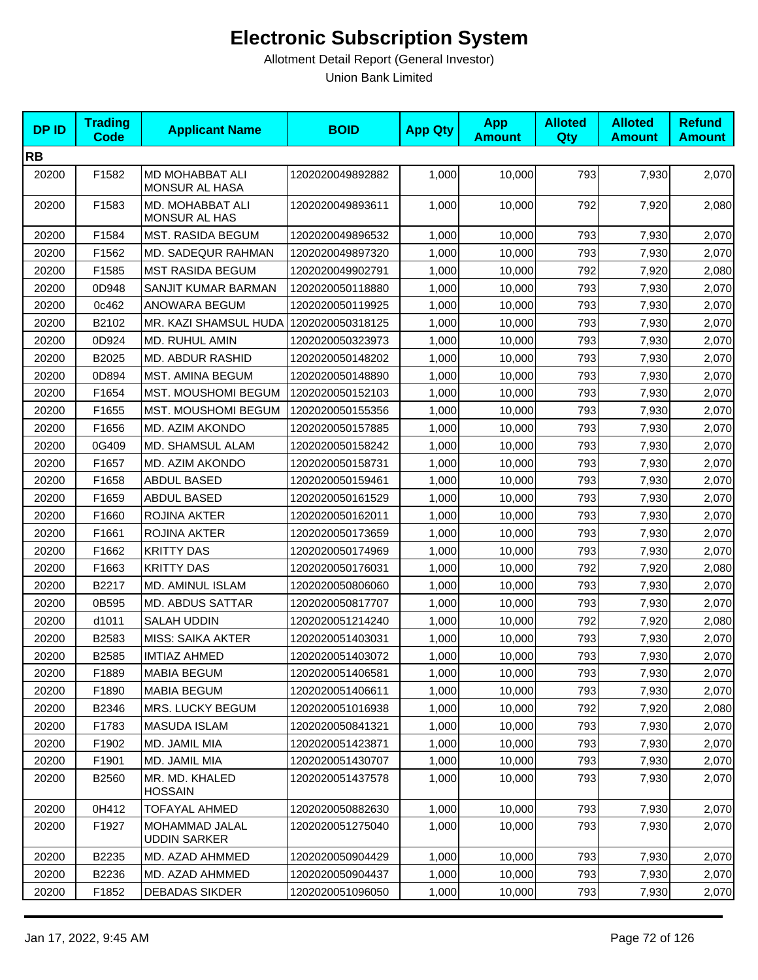| <b>DPID</b> | <b>Trading</b><br><b>Code</b> | <b>Applicant Name</b>                 | <b>BOID</b>      | <b>App Qty</b> | <b>App</b><br><b>Amount</b> | <b>Alloted</b><br>Qty | <b>Alloted</b><br><b>Amount</b> | <b>Refund</b><br><b>Amount</b> |
|-------------|-------------------------------|---------------------------------------|------------------|----------------|-----------------------------|-----------------------|---------------------------------|--------------------------------|
| <b>RB</b>   |                               |                                       |                  |                |                             |                       |                                 |                                |
| 20200       | F1582                         | MD MOHABBAT ALI<br>MONSUR AL HASA     | 1202020049892882 | 1,000          | 10,000                      | 793                   | 7,930                           | 2,070                          |
| 20200       | F1583                         | MD. MOHABBAT ALI<br>MONSUR AL HAS     | 1202020049893611 | 1,000          | 10,000                      | 792                   | 7,920                           | 2,080                          |
| 20200       | F1584                         | MST. RASIDA BEGUM                     | 1202020049896532 | 1,000          | 10,000                      | 793                   | 7,930                           | 2,070                          |
| 20200       | F1562                         | <b>MD. SADEQUR RAHMAN</b>             | 1202020049897320 | 1,000          | 10,000                      | 793                   | 7,930                           | 2,070                          |
| 20200       | F1585                         | <b>MST RASIDA BEGUM</b>               | 1202020049902791 | 1,000          | 10,000                      | 792                   | 7,920                           | 2,080                          |
| 20200       | 0D948                         | SANJIT KUMAR BARMAN                   | 1202020050118880 | 1,000          | 10,000                      | 793                   | 7,930                           | 2,070                          |
| 20200       | 0c462                         | ANOWARA BEGUM                         | 1202020050119925 | 1,000          | 10,000                      | 793                   | 7,930                           | 2,070                          |
| 20200       | B2102                         | MR. KAZI SHAMSUL HUDA                 | 1202020050318125 | 1,000          | 10,000                      | 793                   | 7,930                           | 2,070                          |
| 20200       | 0D924                         | MD. RUHUL AMIN                        | 1202020050323973 | 1,000          | 10,000                      | 793                   | 7,930                           | 2,070                          |
| 20200       | B2025                         | MD. ABDUR RASHID                      | 1202020050148202 | 1,000          | 10,000                      | 793                   | 7,930                           | 2,070                          |
| 20200       | 0D894                         | MST. AMINA BEGUM                      | 1202020050148890 | 1,000          | 10,000                      | 793                   | 7,930                           | 2,070                          |
| 20200       | F1654                         | MST. MOUSHOMI BEGUM                   | 1202020050152103 | 1,000          | 10,000                      | 793                   | 7,930                           | 2,070                          |
| 20200       | F1655                         | MST. MOUSHOMI BEGUM                   | 1202020050155356 | 1,000          | 10,000                      | 793                   | 7,930                           | 2,070                          |
| 20200       | F1656                         | MD. AZIM AKONDO                       | 1202020050157885 | 1,000          | 10,000                      | 793                   | 7,930                           | 2,070                          |
| 20200       | 0G409                         | MD. SHAMSUL ALAM                      | 1202020050158242 | 1,000          | 10,000                      | 793                   | 7,930                           | 2,070                          |
| 20200       | F1657                         | MD. AZIM AKONDO                       | 1202020050158731 | 1,000          | 10,000                      | 793                   | 7,930                           | 2,070                          |
| 20200       | F1658                         | ABDUL BASED                           | 1202020050159461 | 1,000          | 10,000                      | 793                   | 7,930                           | 2,070                          |
| 20200       | F1659                         | ABDUL BASED                           | 1202020050161529 | 1,000          | 10,000                      | 793                   | 7,930                           | 2,070                          |
| 20200       | F1660                         | ROJINA AKTER                          | 1202020050162011 | 1,000          | 10,000                      | 793                   | 7,930                           | 2,070                          |
| 20200       | F1661                         | ROJINA AKTER                          | 1202020050173659 | 1,000          | 10,000                      | 793                   | 7,930                           | 2,070                          |
| 20200       | F1662                         | <b>KRITTY DAS</b>                     | 1202020050174969 | 1,000          | 10,000                      | 793                   | 7,930                           | 2,070                          |
| 20200       | F1663                         | <b>KRITTY DAS</b>                     | 1202020050176031 | 1,000          | 10,000                      | 792                   | 7,920                           | 2,080                          |
| 20200       | B2217                         | MD. AMINUL ISLAM                      | 1202020050806060 | 1,000          | 10,000                      | 793                   | 7,930                           | 2,070                          |
| 20200       | 0B595                         | <b>MD. ABDUS SATTAR</b>               | 1202020050817707 | 1,000          | 10,000                      | 793                   | 7,930                           | 2,070                          |
| 20200       | d1011                         | SALAH UDDIN                           | 1202020051214240 | 1,000          | 10,000                      | 792                   | 7,920                           | 2,080                          |
| 20200       | B2583                         | <b>MISS: SAIKA AKTER</b>              | 1202020051403031 | 1,000          | 10,000                      | 793                   | 7,930                           | 2,070                          |
| 20200       | B2585                         | <b>IMTIAZ AHMED</b>                   | 1202020051403072 | 1,000          | 10,000                      | 793                   | 7,930                           | 2,070                          |
| 20200       | F1889                         | <b>MABIA BEGUM</b>                    | 1202020051406581 | 1,000          | 10,000                      | 793                   | 7,930                           | 2,070                          |
| 20200       | F1890                         | <b>MABIA BEGUM</b>                    | 1202020051406611 | 1,000          | 10,000                      | 793                   | 7,930                           | 2,070                          |
| 20200       | B2346                         | MRS. LUCKY BEGUM                      | 1202020051016938 | 1,000          | 10,000                      | 792                   | 7,920                           | 2,080                          |
| 20200       | F1783                         | <b>MASUDA ISLAM</b>                   | 1202020050841321 | 1,000          | 10,000                      | 793                   | 7,930                           | 2,070                          |
| 20200       | F1902                         | MD. JAMIL MIA                         | 1202020051423871 | 1,000          | 10,000                      | 793                   | 7,930                           | 2,070                          |
| 20200       | F1901                         | MD. JAMIL MIA                         | 1202020051430707 | 1,000          | 10,000                      | 793                   | 7,930                           | 2,070                          |
| 20200       | B2560                         | MR. MD. KHALED<br><b>HOSSAIN</b>      | 1202020051437578 | 1,000          | 10,000                      | 793                   | 7,930                           | 2,070                          |
| 20200       | 0H412                         | <b>TOFAYAL AHMED</b>                  | 1202020050882630 | 1,000          | 10,000                      | 793                   | 7,930                           | 2,070                          |
| 20200       | F1927                         | MOHAMMAD JALAL<br><b>UDDIN SARKER</b> | 1202020051275040 | 1,000          | 10,000                      | 793                   | 7,930                           | 2,070                          |
| 20200       | B2235                         | MD. AZAD AHMMED                       | 1202020050904429 | 1,000          | 10,000                      | 793                   | 7,930                           | 2,070                          |
| 20200       | B2236                         | MD. AZAD AHMMED                       | 1202020050904437 | 1,000          | 10,000                      | 793                   | 7,930                           | 2,070                          |
| 20200       | F1852                         | <b>DEBADAS SIKDER</b>                 | 1202020051096050 | 1,000          | 10,000                      | 793                   | 7,930                           | 2,070                          |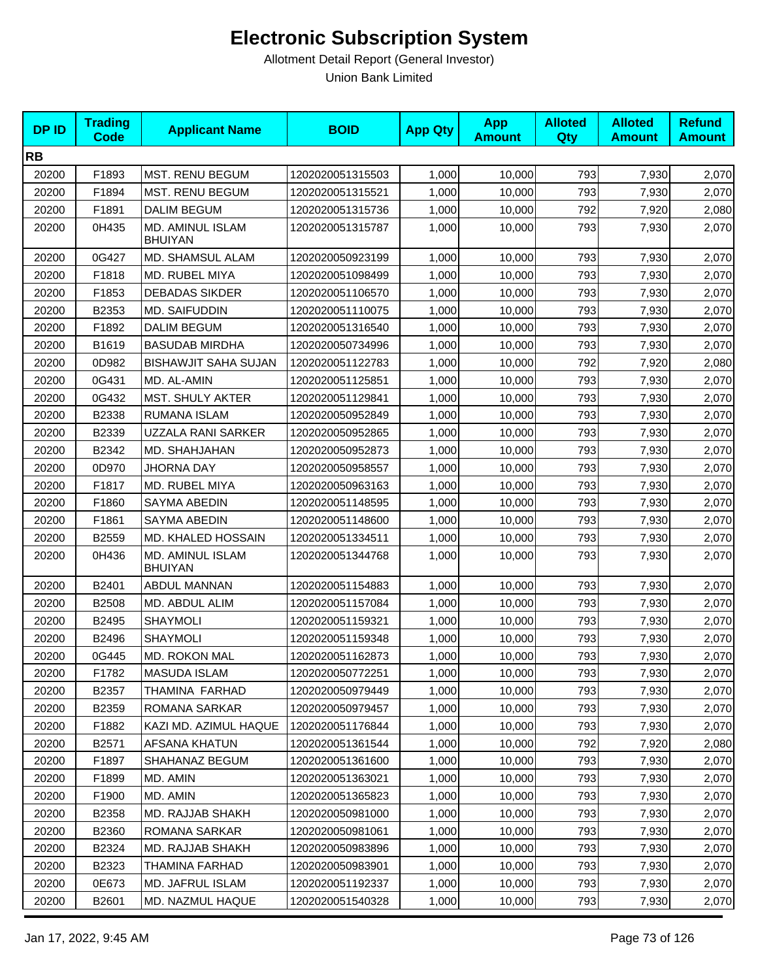| <b>DPID</b> | <b>Trading</b><br><b>Code</b> | <b>Applicant Name</b>              | <b>BOID</b>      | <b>App Qty</b> | <b>App</b><br><b>Amount</b> | <b>Alloted</b><br>Qty | <b>Alloted</b><br><b>Amount</b> | <b>Refund</b><br><b>Amount</b> |
|-------------|-------------------------------|------------------------------------|------------------|----------------|-----------------------------|-----------------------|---------------------------------|--------------------------------|
| <b>RB</b>   |                               |                                    |                  |                |                             |                       |                                 |                                |
| 20200       | F1893                         | MST. RENU BEGUM                    | 1202020051315503 | 1,000          | 10,000                      | 793                   | 7,930                           | 2,070                          |
| 20200       | F1894                         | <b>MST. RENU BEGUM</b>             | 1202020051315521 | 1,000          | 10,000                      | 793                   | 7,930                           | 2,070                          |
| 20200       | F1891                         | <b>DALIM BEGUM</b>                 | 1202020051315736 | 1,000          | 10,000                      | 792                   | 7,920                           | 2,080                          |
| 20200       | 0H435                         | MD. AMINUL ISLAM<br><b>BHUIYAN</b> | 1202020051315787 | 1,000          | 10,000                      | 793                   | 7,930                           | 2,070                          |
| 20200       | 0G427                         | MD. SHAMSUL ALAM                   | 1202020050923199 | 1,000          | 10,000                      | 793                   | 7,930                           | 2,070                          |
| 20200       | F1818                         | MD. RUBEL MIYA                     | 1202020051098499 | 1,000          | 10,000                      | 793                   | 7,930                           | 2,070                          |
| 20200       | F1853                         | <b>DEBADAS SIKDER</b>              | 1202020051106570 | 1,000          | 10,000                      | 793                   | 7,930                           | 2,070                          |
| 20200       | B2353                         | <b>MD. SAIFUDDIN</b>               | 1202020051110075 | 1,000          | 10,000                      | 793                   | 7,930                           | 2,070                          |
| 20200       | F1892                         | <b>DALIM BEGUM</b>                 | 1202020051316540 | 1,000          | 10,000                      | 793                   | 7,930                           | 2,070                          |
| 20200       | B1619                         | <b>BASUDAB MIRDHA</b>              | 1202020050734996 | 1,000          | 10,000                      | 793                   | 7,930                           | 2,070                          |
| 20200       | 0D982                         | BISHAWJIT SAHA SUJAN               | 1202020051122783 | 1,000          | 10,000                      | 792                   | 7,920                           | 2,080                          |
| 20200       | 0G431                         | MD. AL-AMIN                        | 1202020051125851 | 1,000          | 10,000                      | 793                   | 7,930                           | 2,070                          |
| 20200       | 0G432                         | <b>MST. SHULY AKTER</b>            | 1202020051129841 | 1,000          | 10,000                      | 793                   | 7,930                           | 2,070                          |
| 20200       | B2338                         | RUMANA ISLAM                       | 1202020050952849 | 1,000          | 10,000                      | 793                   | 7,930                           | 2,070                          |
| 20200       | B2339                         | UZZALA RANI SARKER                 | 1202020050952865 | 1,000          | 10,000                      | 793                   | 7,930                           | 2,070                          |
| 20200       | B2342                         | MD. SHAHJAHAN                      | 1202020050952873 | 1,000          | 10,000                      | 793                   | 7,930                           | 2,070                          |
| 20200       | 0D970                         | <b>JHORNA DAY</b>                  | 1202020050958557 | 1,000          | 10,000                      | 793                   | 7,930                           | 2,070                          |
| 20200       | F1817                         | MD. RUBEL MIYA                     | 1202020050963163 | 1,000          | 10,000                      | 793                   | 7,930                           | 2,070                          |
| 20200       | F1860                         | SAYMA ABEDIN                       | 1202020051148595 | 1,000          | 10,000                      | 793                   | 7,930                           | 2,070                          |
| 20200       | F1861                         | SAYMA ABEDIN                       | 1202020051148600 | 1,000          | 10,000                      | 793                   | 7,930                           | 2,070                          |
| 20200       | B2559                         | MD. KHALED HOSSAIN                 | 1202020051334511 | 1,000          | 10,000                      | 793                   | 7,930                           | 2,070                          |
| 20200       | 0H436                         | MD. AMINUL ISLAM<br><b>BHUIYAN</b> | 1202020051344768 | 1,000          | 10,000                      | 793                   | 7,930                           | 2,070                          |
| 20200       | B2401                         | ABDUL MANNAN                       | 1202020051154883 | 1,000          | 10,000                      | 793                   | 7,930                           | 2,070                          |
| 20200       | B2508                         | MD. ABDUL ALIM                     | 1202020051157084 | 1,000          | 10,000                      | 793                   | 7,930                           | 2,070                          |
| 20200       | B2495                         | <b>SHAYMOLI</b>                    | 1202020051159321 | 1,000          | 10,000                      | 793                   | 7,930                           | 2,070                          |
| 20200       | B2496                         | <b>SHAYMOLI</b>                    | 1202020051159348 | 1,000          | 10,000                      | 793                   | 7,930                           | 2,070                          |
| 20200       | 0G445                         | <b>MD. ROKON MAL</b>               | 1202020051162873 | 1,000          | 10,000                      | 793                   | 7,930                           | 2,070                          |
| 20200       | F1782                         | <b>MASUDA ISLAM</b>                | 1202020050772251 | 1,000          | 10,000                      | 793                   | 7,930                           | 2,070                          |
| 20200       | B2357                         | THAMINA FARHAD                     | 1202020050979449 | 1,000          | 10,000                      | 793                   | 7,930                           | 2,070                          |
| 20200       | B2359                         | ROMANA SARKAR                      | 1202020050979457 | 1,000          | 10,000                      | 793                   | 7,930                           | 2,070                          |
| 20200       | F1882                         | KAZI MD. AZIMUL HAQUE              | 1202020051176844 | 1,000          | 10,000                      | 793                   | 7,930                           | 2,070                          |
| 20200       | B <sub>2571</sub>             | AFSANA KHATUN                      | 1202020051361544 | 1,000          | 10,000                      | 792                   | 7,920                           | 2,080                          |
| 20200       | F1897                         | SHAHANAZ BEGUM                     | 1202020051361600 | 1,000          | 10,000                      | 793                   | 7,930                           | 2,070                          |
| 20200       | F1899                         | MD. AMIN                           | 1202020051363021 | 1,000          | 10,000                      | 793                   | 7,930                           | 2,070                          |
| 20200       | F1900                         | MD. AMIN                           | 1202020051365823 | 1,000          | 10,000                      | 793                   | 7,930                           | 2,070                          |
| 20200       | B2358                         | MD. RAJJAB SHAKH                   | 1202020050981000 | 1,000          | 10,000                      | 793                   | 7,930                           | 2,070                          |
| 20200       | B2360                         | ROMANA SARKAR                      | 1202020050981061 | 1,000          | 10,000                      | 793                   | 7,930                           | 2,070                          |
| 20200       | B2324                         | MD. RAJJAB SHAKH                   | 1202020050983896 | 1,000          | 10,000                      | 793                   | 7,930                           | 2,070                          |
| 20200       | B2323                         | THAMINA FARHAD                     | 1202020050983901 | 1,000          | 10,000                      | 793                   | 7,930                           | 2,070                          |
| 20200       | 0E673                         | MD. JAFRUL ISLAM                   | 1202020051192337 | 1,000          | 10,000                      | 793                   | 7,930                           | 2,070                          |
| 20200       | B2601                         | MD. NAZMUL HAQUE                   | 1202020051540328 | 1,000          | 10,000                      | 793                   | 7,930                           | 2,070                          |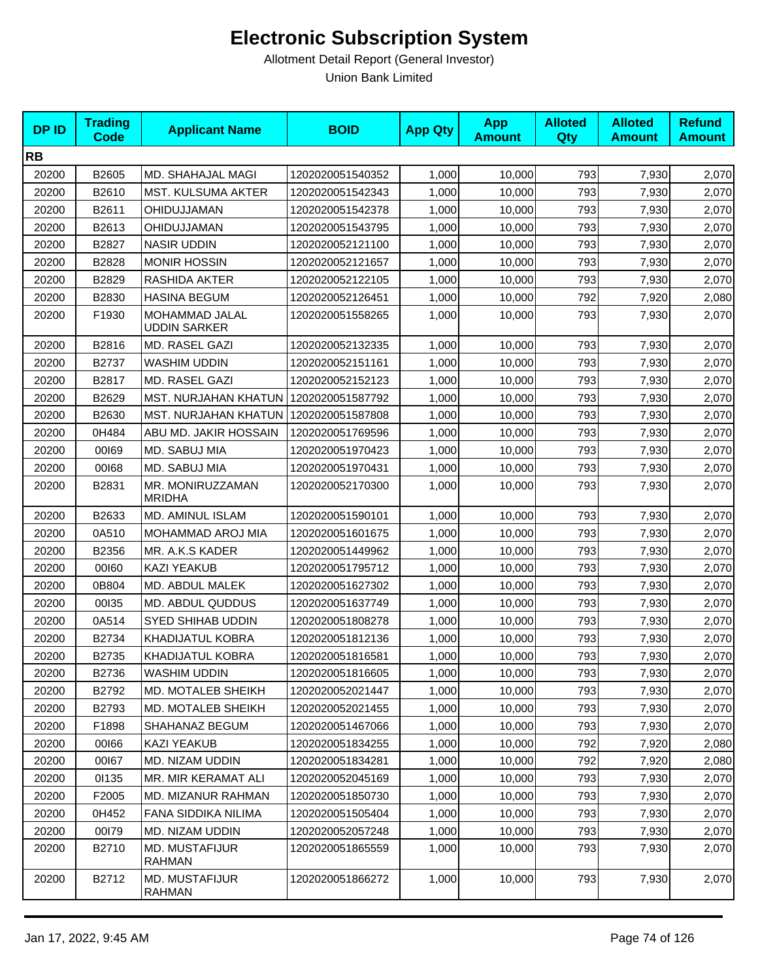| <b>DPID</b> | <b>Trading</b><br><b>Code</b> | <b>Applicant Name</b>                   | <b>BOID</b>      | <b>App Qty</b> | <b>App</b><br><b>Amount</b> | <b>Alloted</b><br>Qty | <b>Alloted</b><br><b>Amount</b> | <b>Refund</b><br><b>Amount</b> |
|-------------|-------------------------------|-----------------------------------------|------------------|----------------|-----------------------------|-----------------------|---------------------------------|--------------------------------|
| <b>RB</b>   |                               |                                         |                  |                |                             |                       |                                 |                                |
| 20200       | B2605                         | MD. SHAHAJAL MAGI                       | 1202020051540352 | 1,000          | 10,000                      | 793                   | 7,930                           | 2,070                          |
| 20200       | B2610                         | <b>MST. KULSUMA AKTER</b>               | 1202020051542343 | 1,000          | 10,000                      | 793                   | 7,930                           | 2,070                          |
| 20200       | B2611                         | OHIDUJJAMAN                             | 1202020051542378 | 1,000          | 10,000                      | 793                   | 7,930                           | 2,070                          |
| 20200       | B2613                         | OHIDUJJAMAN                             | 1202020051543795 | 1,000          | 10,000                      | 793                   | 7,930                           | 2,070                          |
| 20200       | B2827                         | <b>NASIR UDDIN</b>                      | 1202020052121100 | 1,000          | 10,000                      | 793                   | 7,930                           | 2,070                          |
| 20200       | B2828                         | <b>MONIR HOSSIN</b>                     | 1202020052121657 | 1,000          | 10,000                      | 793                   | 7,930                           | 2,070                          |
| 20200       | B2829                         | RASHIDA AKTER                           | 1202020052122105 | 1,000          | 10,000                      | 793                   | 7,930                           | 2,070                          |
| 20200       | B2830                         | <b>HASINA BEGUM</b>                     | 1202020052126451 | 1,000          | 10,000                      | 792                   | 7,920                           | 2,080                          |
| 20200       | F1930                         | MOHAMMAD JALAL<br><b>UDDIN SARKER</b>   | 1202020051558265 | 1,000          | 10,000                      | 793                   | 7,930                           | 2,070                          |
| 20200       | B2816                         | MD. RASEL GAZI                          | 1202020052132335 | 1,000          | 10,000                      | 793                   | 7,930                           | 2,070                          |
| 20200       | B2737                         | WASHIM UDDIN                            | 1202020052151161 | 1,000          | 10,000                      | 793                   | 7,930                           | 2,070                          |
| 20200       | B2817                         | MD. RASEL GAZI                          | 1202020052152123 | 1,000          | 10,000                      | 793                   | 7,930                           | 2,070                          |
| 20200       | B2629                         | MST. NURJAHAN KHATUN   1202020051587792 |                  | 1,000          | 10,000                      | 793                   | 7,930                           | 2,070                          |
| 20200       | B2630                         | <b>MST. NURJAHAN KHATUN</b>             | 1202020051587808 | 1,000          | 10,000                      | 793                   | 7,930                           | 2,070                          |
| 20200       | 0H484                         | ABU MD. JAKIR HOSSAIN                   | 1202020051769596 | 1,000          | 10,000                      | 793                   | 7,930                           | 2,070                          |
| 20200       | 00169                         | MD. SABUJ MIA                           | 1202020051970423 | 1,000          | 10,000                      | 793                   | 7,930                           | 2,070                          |
| 20200       | 00168                         | MD. SABUJ MIA                           | 1202020051970431 | 1,000          | 10,000                      | 793                   | 7,930                           | 2,070                          |
| 20200       | B2831                         | MR. MONIRUZZAMAN<br><b>MRIDHA</b>       | 1202020052170300 | 1,000          | 10,000                      | 793                   | 7,930                           | 2,070                          |
| 20200       | B2633                         | MD. AMINUL ISLAM                        | 1202020051590101 | 1,000          | 10,000                      | 793                   | 7,930                           | 2,070                          |
| 20200       | 0A510                         | MOHAMMAD AROJ MIA                       | 1202020051601675 | 1,000          | 10,000                      | 793                   | 7,930                           | 2,070                          |
| 20200       | B2356                         | MR. A.K.S KADER                         | 1202020051449962 | 1,000          | 10,000                      | 793                   | 7,930                           | 2,070                          |
| 20200       | 00160                         | <b>KAZI YEAKUB</b>                      | 1202020051795712 | 1,000          | 10,000                      | 793                   | 7,930                           | 2,070                          |
| 20200       | 0B804                         | MD. ABDUL MALEK                         | 1202020051627302 | 1,000          | 10,000                      | 793                   | 7,930                           | 2,070                          |
| 20200       | 00135                         | MD. ABDUL QUDDUS                        | 1202020051637749 | 1,000          | 10,000                      | 793                   | 7,930                           | 2,070                          |
| 20200       | 0A514                         | <b>SYED SHIHAB UDDIN</b>                | 1202020051808278 | 1,000          | 10,000                      | 793                   | 7,930                           | 2,070                          |
| 20200       | B2734                         | <b>KHADIJATUL KOBRA</b>                 | 1202020051812136 | 1,000          | 10,000                      | 793                   | 7,930                           | 2,070                          |
| 20200       | B2735                         | <b>KHADIJATUL KOBRA</b>                 | 1202020051816581 | 1,000          | 10,000                      | 793                   | 7,930                           | 2,070                          |
| 20200       | B2736                         | WASHIM UDDIN                            | 1202020051816605 | 1,000          | 10,000                      | 793                   | 7,930                           | 2,070                          |
| 20200       | B2792                         | MD. MOTALEB SHEIKH                      | 1202020052021447 | 1,000          | 10,000                      | 793                   | 7,930                           | 2,070                          |
| 20200       | B2793                         | <b>MD. MOTALEB SHEIKH</b>               | 1202020052021455 | 1,000          | 10,000                      | 793                   | 7,930                           | 2,070                          |
| 20200       | F1898                         | SHAHANAZ BEGUM                          | 1202020051467066 | 1,000          | 10,000                      | 793                   | 7,930                           | 2,070                          |
| 20200       | 00166                         | KAZI YEAKUB                             | 1202020051834255 | 1,000          | 10,000                      | 792                   | 7,920                           | 2,080                          |
| 20200       | 00167                         | MD. NIZAM UDDIN                         | 1202020051834281 | 1,000          | 10,000                      | 792                   | 7,920                           | 2,080                          |
| 20200       | 01135                         | MR. MIR KERAMAT ALI                     | 1202020052045169 | 1,000          | 10,000                      | 793                   | 7,930                           | 2,070                          |
| 20200       | F2005                         | <b>MD. MIZANUR RAHMAN</b>               | 1202020051850730 | 1,000          | 10,000                      | 793                   | 7,930                           | 2,070                          |
| 20200       | 0H452                         | FANA SIDDIKA NILIMA                     | 1202020051505404 | 1,000          | 10,000                      | 793                   | 7,930                           | 2,070                          |
| 20200       | 00179                         | MD. NIZAM UDDIN                         | 1202020052057248 | 1,000          | 10,000                      | 793                   | 7,930                           | 2,070                          |
| 20200       | B2710                         | MD. MUSTAFIJUR<br><b>RAHMAN</b>         | 1202020051865559 | 1,000          | 10,000                      | 793                   | 7,930                           | 2,070                          |
| 20200       | B2712                         | MD. MUSTAFIJUR<br>RAHMAN                | 1202020051866272 | 1,000          | 10,000                      | 793                   | 7,930                           | 2,070                          |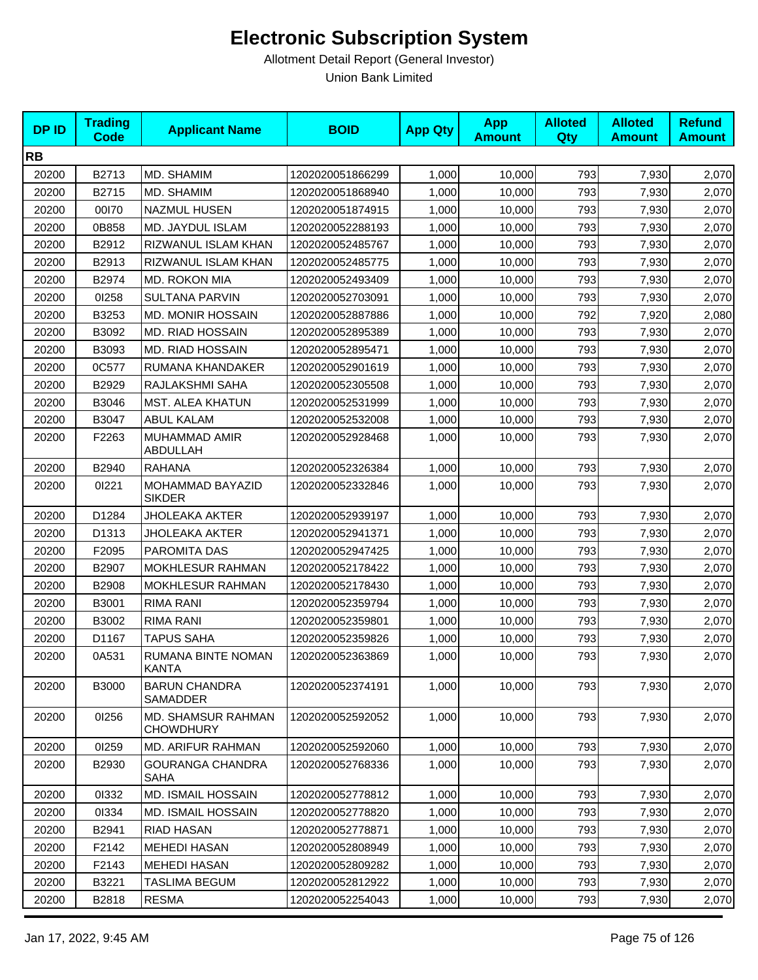| <b>DPID</b> | <b>Trading</b><br><b>Code</b> | <b>Applicant Name</b>                         | <b>BOID</b>      | <b>App Qty</b> | <b>App</b><br><b>Amount</b> | <b>Alloted</b><br><b>Qty</b> | <b>Alloted</b><br><b>Amount</b> | <b>Refund</b><br><b>Amount</b> |
|-------------|-------------------------------|-----------------------------------------------|------------------|----------------|-----------------------------|------------------------------|---------------------------------|--------------------------------|
| <b>RB</b>   |                               |                                               |                  |                |                             |                              |                                 |                                |
| 20200       | B2713                         | MD. SHAMIM                                    | 1202020051866299 | 1,000          | 10,000                      | 793                          | 7,930                           | 2,070                          |
| 20200       | B2715                         | MD. SHAMIM                                    | 1202020051868940 | 1,000          | 10,000                      | 793                          | 7,930                           | 2,070                          |
| 20200       | 00170                         | <b>NAZMUL HUSEN</b>                           | 1202020051874915 | 1,000          | 10,000                      | 793                          | 7,930                           | 2,070                          |
| 20200       | 0B858                         | MD. JAYDUL ISLAM                              | 1202020052288193 | 1,000          | 10,000                      | 793                          | 7,930                           | 2,070                          |
| 20200       | B2912                         | RIZWANUL ISLAM KHAN                           | 1202020052485767 | 1,000          | 10,000                      | 793                          | 7,930                           | 2,070                          |
| 20200       | B2913                         | RIZWANUL ISLAM KHAN                           | 1202020052485775 | 1,000          | 10,000                      | 793                          | 7,930                           | 2,070                          |
| 20200       | B2974                         | MD. ROKON MIA                                 | 1202020052493409 | 1,000          | 10,000                      | 793                          | 7,930                           | 2,070                          |
| 20200       | 01258                         | <b>SULTANA PARVIN</b>                         | 1202020052703091 | 1,000          | 10,000                      | 793                          | 7,930                           | 2,070                          |
| 20200       | B3253                         | MD. MONIR HOSSAIN                             | 1202020052887886 | 1,000          | 10,000                      | 792                          | 7,920                           | 2,080                          |
| 20200       | B3092                         | MD. RIAD HOSSAIN                              | 1202020052895389 | 1,000          | 10,000                      | 793                          | 7,930                           | 2,070                          |
| 20200       | B3093                         | <b>MD. RIAD HOSSAIN</b>                       | 1202020052895471 | 1,000          | 10,000                      | 793                          | 7,930                           | 2,070                          |
| 20200       | 0C577                         | RUMANA KHANDAKER                              | 1202020052901619 | 1,000          | 10,000                      | 793                          | 7,930                           | 2,070                          |
| 20200       | B2929                         | RAJLAKSHMI SAHA                               | 1202020052305508 | 1,000          | 10,000                      | 793                          | 7,930                           | 2,070                          |
| 20200       | B3046                         | <b>MST. ALEA KHATUN</b>                       | 1202020052531999 | 1,000          | 10,000                      | 793                          | 7,930                           | 2,070                          |
| 20200       | B3047                         | <b>ABUL KALAM</b>                             | 1202020052532008 | 1,000          | 10,000                      | 793                          | 7,930                           | 2,070                          |
| 20200       | F2263                         | MUHAMMAD AMIR<br>ABDULLAH                     | 1202020052928468 | 1,000          | 10,000                      | 793                          | 7,930                           | 2,070                          |
| 20200       | B2940                         | <b>RAHANA</b>                                 | 1202020052326384 | 1,000          | 10,000                      | 793                          | 7,930                           | 2,070                          |
| 20200       | 01221                         | MOHAMMAD BAYAZID<br><b>SIKDER</b>             | 1202020052332846 | 1,000          | 10,000                      | 793                          | 7,930                           | 2,070                          |
| 20200       | D1284                         | <b>JHOLEAKA AKTER</b>                         | 1202020052939197 | 1,000          | 10,000                      | 793                          | 7,930                           | 2,070                          |
| 20200       | D1313                         | JHOLEAKA AKTER                                | 1202020052941371 | 1,000          | 10,000                      | 793                          | 7,930                           | 2,070                          |
| 20200       | F2095                         | PAROMITA DAS                                  | 1202020052947425 | 1,000          | 10,000                      | 793                          | 7,930                           | 2,070                          |
| 20200       | B2907                         | MOKHLESUR RAHMAN                              | 1202020052178422 | 1,000          | 10,000                      | 793                          | 7,930                           | 2,070                          |
| 20200       | B2908                         | MOKHLESUR RAHMAN                              | 1202020052178430 | 1,000          | 10,000                      | 793                          | 7,930                           | 2,070                          |
| 20200       | B3001                         | RIMA RANI                                     | 1202020052359794 | 1,000          | 10,000                      | 793                          | 7,930                           | 2,070                          |
| 20200       | B3002                         | RIMA RANI                                     | 1202020052359801 | 1,000          | 10,000                      | 793                          | 7,930                           | 2,070                          |
| 20200       | D1167                         | <b>TAPUS SAHA</b>                             | 1202020052359826 | 1,000          | 10,000                      | 793                          | 7,930                           | 2,070                          |
| 20200       | 0A531                         | RUMANA BINTE NOMAN<br>KANTA                   | 1202020052363869 | 1,000          | 10,000                      | 793                          | 7,930                           | 2,070                          |
| 20200       | <b>B3000</b>                  | <b>BARUN CHANDRA</b><br>SAMADDER              | 1202020052374191 | 1,000          | 10,000                      | 793                          | 7,930                           | 2,070                          |
| 20200       | 01256                         | <b>MD. SHAMSUR RAHMAN</b><br><b>CHOWDHURY</b> | 1202020052592052 | 1,000          | 10,000                      | 793                          | 7,930                           | 2,070                          |
| 20200       | 01259                         | MD. ARIFUR RAHMAN                             | 1202020052592060 | 1,000          | 10,000                      | 793                          | 7,930                           | 2,070                          |
| 20200       | B2930                         | <b>GOURANGA CHANDRA</b><br><b>SAHA</b>        | 1202020052768336 | 1,000          | 10,000                      | 793                          | 7,930                           | 2,070                          |
| 20200       | 01332                         | MD. ISMAIL HOSSAIN                            | 1202020052778812 | 1,000          | 10,000                      | 793                          | 7,930                           | 2,070                          |
| 20200       | 01334                         | <b>MD. ISMAIL HOSSAIN</b>                     | 1202020052778820 | 1,000          | 10,000                      | 793                          | 7,930                           | 2,070                          |
| 20200       | B2941                         | RIAD HASAN                                    | 1202020052778871 | 1,000          | 10,000                      | 793                          | 7,930                           | 2,070                          |
| 20200       | F2142                         | <b>MEHEDI HASAN</b>                           | 1202020052808949 | 1,000          | 10,000                      | 793                          | 7,930                           | 2,070                          |
| 20200       | F2143                         | <b>MEHEDI HASAN</b>                           | 1202020052809282 | 1,000          | 10,000                      | 793                          | 7,930                           | 2,070                          |
| 20200       | B3221                         | TASLIMA BEGUM                                 | 1202020052812922 | 1,000          | 10,000                      | 793                          | 7,930                           | 2,070                          |
| 20200       | B2818                         | <b>RESMA</b>                                  | 1202020052254043 | 1,000          | 10,000                      | 793                          | 7,930                           | 2,070                          |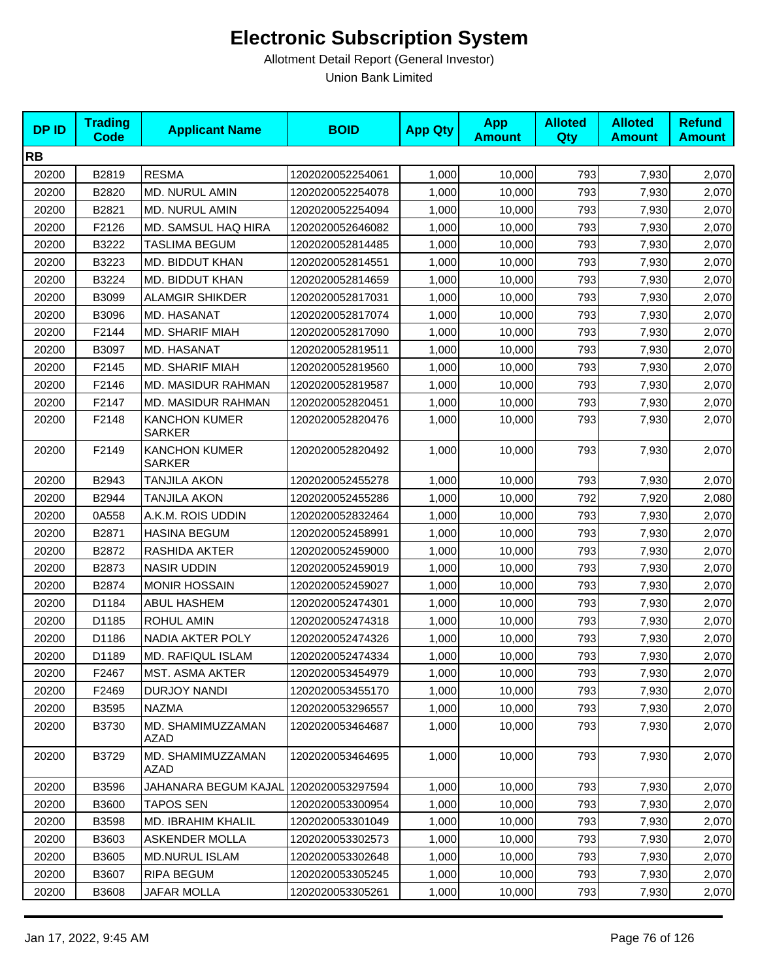| <b>DPID</b> | <b>Trading</b><br><b>Code</b> | <b>Applicant Name</b>                 | <b>BOID</b>      | <b>App Qty</b> | <b>App</b><br><b>Amount</b> | <b>Alloted</b><br>Qty | <b>Alloted</b><br><b>Amount</b> | <b>Refund</b><br><b>Amount</b> |
|-------------|-------------------------------|---------------------------------------|------------------|----------------|-----------------------------|-----------------------|---------------------------------|--------------------------------|
| <b>RB</b>   |                               |                                       |                  |                |                             |                       |                                 |                                |
| 20200       | B2819                         | <b>RESMA</b>                          | 1202020052254061 | 1,000          | 10,000                      | 793                   | 7,930                           | 2,070                          |
| 20200       | B2820                         | <b>MD. NURUL AMIN</b>                 | 1202020052254078 | 1,000          | 10,000                      | 793                   | 7,930                           | 2,070                          |
| 20200       | B2821                         | MD. NURUL AMIN                        | 1202020052254094 | 1,000          | 10,000                      | 793                   | 7,930                           | 2,070                          |
| 20200       | F2126                         | MD. SAMSUL HAQ HIRA                   | 1202020052646082 | 1,000          | 10,000                      | 793                   | 7,930                           | 2,070                          |
| 20200       | B3222                         | TASLIMA BEGUM                         | 1202020052814485 | 1,000          | 10,000                      | 793                   | 7,930                           | 2,070                          |
| 20200       | B3223                         | MD. BIDDUT KHAN                       | 1202020052814551 | 1,000          | 10,000                      | 793                   | 7,930                           | 2,070                          |
| 20200       | B3224                         | MD. BIDDUT KHAN                       | 1202020052814659 | 1,000          | 10,000                      | 793                   | 7,930                           | 2,070                          |
| 20200       | B3099                         | <b>ALAMGIR SHIKDER</b>                | 1202020052817031 | 1,000          | 10,000                      | 793                   | 7,930                           | 2,070                          |
| 20200       | B3096                         | MD. HASANAT                           | 1202020052817074 | 1,000          | 10,000                      | 793                   | 7,930                           | 2,070                          |
| 20200       | F2144                         | MD. SHARIF MIAH                       | 1202020052817090 | 1,000          | 10,000                      | 793                   | 7,930                           | 2,070                          |
| 20200       | B3097                         | MD. HASANAT                           | 1202020052819511 | 1,000          | 10,000                      | 793                   | 7,930                           | 2,070                          |
| 20200       | F2145                         | <b>MD. SHARIF MIAH</b>                | 1202020052819560 | 1,000          | 10,000                      | 793                   | 7,930                           | 2,070                          |
| 20200       | F2146                         | MD. MASIDUR RAHMAN                    | 1202020052819587 | 1,000          | 10,000                      | 793                   | 7,930                           | 2,070                          |
| 20200       | F2147                         | MD. MASIDUR RAHMAN                    | 1202020052820451 | 1,000          | 10,000                      | 793                   | 7,930                           | 2,070                          |
| 20200       | F2148                         | <b>KANCHON KUMER</b><br><b>SARKER</b> | 1202020052820476 | 1,000          | 10,000                      | 793                   | 7,930                           | 2,070                          |
| 20200       | F2149                         | <b>KANCHON KUMER</b><br><b>SARKER</b> | 1202020052820492 | 1,000          | 10,000                      | 793                   | 7,930                           | 2,070                          |
| 20200       | B2943                         | <b>TANJILA AKON</b>                   | 1202020052455278 | 1,000          | 10,000                      | 793                   | 7,930                           | 2,070                          |
| 20200       | B2944                         | <b>TANJILA AKON</b>                   | 1202020052455286 | 1,000          | 10,000                      | 792                   | 7,920                           | 2,080                          |
| 20200       | 0A558                         | A.K.M. ROIS UDDIN                     | 1202020052832464 | 1,000          | 10,000                      | 793                   | 7,930                           | 2,070                          |
| 20200       | B2871                         | <b>HASINA BEGUM</b>                   | 1202020052458991 | 1,000          | 10,000                      | 793                   | 7,930                           | 2,070                          |
| 20200       | B2872                         | RASHIDA AKTER                         | 1202020052459000 | 1,000          | 10,000                      | 793                   | 7,930                           | 2,070                          |
| 20200       | B2873                         | <b>NASIR UDDIN</b>                    | 1202020052459019 | 1,000          | 10,000                      | 793                   | 7,930                           | 2,070                          |
| 20200       | B2874                         | <b>MONIR HOSSAIN</b>                  | 1202020052459027 | 1,000          | 10,000                      | 793                   | 7,930                           | 2,070                          |
| 20200       | D1184                         | <b>ABUL HASHEM</b>                    | 1202020052474301 | 1,000          | 10,000                      | 793                   | 7,930                           | 2,070                          |
| 20200       | D1185                         | <b>ROHUL AMIN</b>                     | 1202020052474318 | 1,000          | 10,000                      | 793                   | 7,930                           | 2,070                          |
| 20200       | D1186                         | <b>NADIA AKTER POLY</b>               | 1202020052474326 | 1,000          | 10,000                      | 793                   | 7,930                           | 2,070                          |
| 20200       | D1189                         | MD. RAFIQUL ISLAM                     | 1202020052474334 | 1,000          | 10,000                      | 793                   | 7,930                           | 2,070                          |
| 20200       | F2467                         | <b>MST. ASMA AKTER</b>                | 1202020053454979 | 1,000          | 10,000                      | 793                   | 7,930                           | 2,070                          |
| 20200       | F2469                         | DURJOY NANDI                          | 1202020053455170 | 1,000          | 10,000                      | 793                   | 7,930                           | 2,070                          |
| 20200       | B3595                         | <b>NAZMA</b>                          | 1202020053296557 | 1,000          | 10,000                      | 793                   | 7,930                           | 2,070                          |
| 20200       | B3730                         | MD. SHAMIMUZZAMAN<br>AZAD             | 1202020053464687 | 1,000          | 10,000                      | 793                   | 7,930                           | 2,070                          |
| 20200       | B3729                         | MD. SHAMIMUZZAMAN<br>AZAD             | 1202020053464695 | 1,000          | 10,000                      | 793                   | 7,930                           | 2,070                          |
| 20200       | B3596                         | JAHANARA BEGUM KAJAL                  | 1202020053297594 | 1,000          | 10,000                      | 793                   | 7,930                           | 2,070                          |
| 20200       | B3600                         | <b>TAPOS SEN</b>                      | 1202020053300954 | 1,000          | 10,000                      | 793                   | 7,930                           | 2,070                          |
| 20200       | B3598                         | MD. IBRAHIM KHALIL                    | 1202020053301049 | 1,000          | 10,000                      | 793                   | 7,930                           | 2,070                          |
| 20200       | B3603                         | <b>ASKENDER MOLLA</b>                 | 1202020053302573 | 1,000          | 10,000                      | 793                   | 7,930                           | 2,070                          |
| 20200       | B3605                         | MD.NURUL ISLAM                        | 1202020053302648 | 1,000          | 10,000                      | 793                   | 7,930                           | 2,070                          |
| 20200       | B3607                         | RIPA BEGUM                            | 1202020053305245 | 1,000          | 10,000                      | 793                   | 7,930                           | 2,070                          |
| 20200       | <b>B3608</b>                  | JAFAR MOLLA                           | 1202020053305261 | 1,000          | 10,000                      | 793                   | 7,930                           | 2,070                          |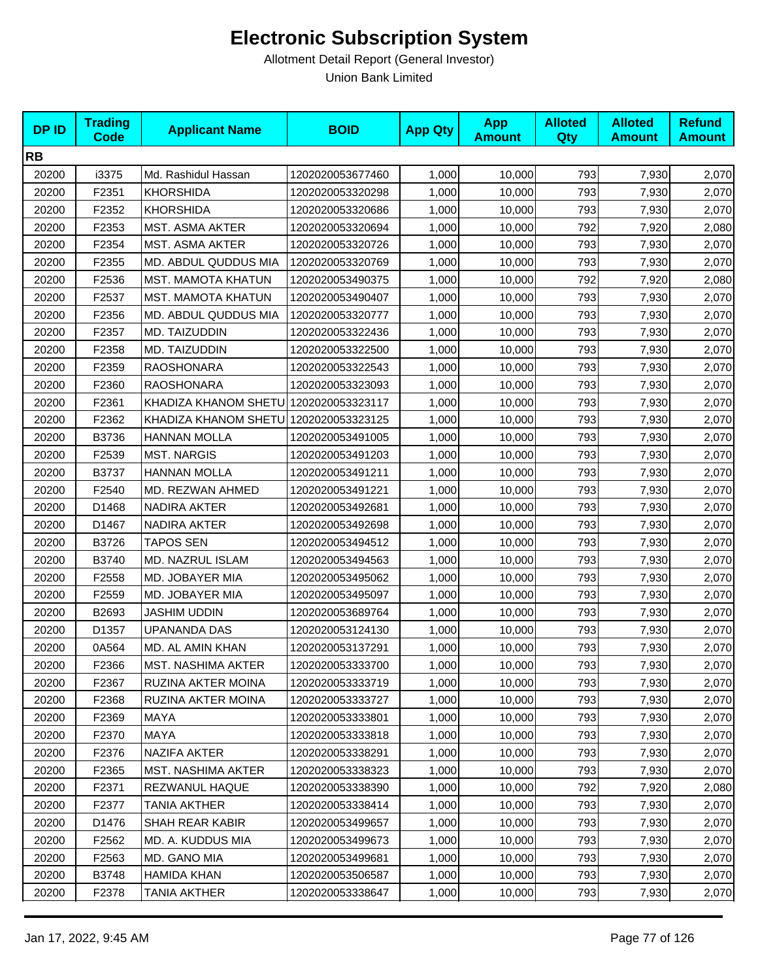| <b>DPID</b> | <b>Trading</b><br><b>Code</b> | <b>Applicant Name</b>                 | <b>BOID</b>      | <b>App Qty</b> | <b>App</b><br><b>Amount</b> | <b>Alloted</b><br><b>Qty</b> | <b>Alloted</b><br><b>Amount</b> | <b>Refund</b><br><b>Amount</b> |
|-------------|-------------------------------|---------------------------------------|------------------|----------------|-----------------------------|------------------------------|---------------------------------|--------------------------------|
| <b>RB</b>   |                               |                                       |                  |                |                             |                              |                                 |                                |
| 20200       | i3375                         | Md. Rashidul Hassan                   | 1202020053677460 | 1,000          | 10,000                      | 793                          | 7,930                           | 2,070                          |
| 20200       | F2351                         | <b>KHORSHIDA</b>                      | 1202020053320298 | 1,000          | 10,000                      | 793                          | 7,930                           | 2,070                          |
| 20200       | F2352                         | <b>KHORSHIDA</b>                      | 1202020053320686 | 1,000          | 10,000                      | 793                          | 7,930                           | 2,070                          |
| 20200       | F2353                         | MST. ASMA AKTER                       | 1202020053320694 | 1,000          | 10,000                      | 792                          | 7,920                           | 2,080                          |
| 20200       | F2354                         | MST. ASMA AKTER                       | 1202020053320726 | 1,000          | 10,000                      | 793                          | 7,930                           | 2,070                          |
| 20200       | F2355                         | MD. ABDUL QUDDUS MIA                  | 1202020053320769 | 1,000          | 10,000                      | 793                          | 7,930                           | 2,070                          |
| 20200       | F2536                         | MST. MAMOTA KHATUN                    | 1202020053490375 | 1,000          | 10,000                      | 792                          | 7,920                           | 2,080                          |
| 20200       | F2537                         | MST. MAMOTA KHATUN                    | 1202020053490407 | 1,000          | 10,000                      | 793                          | 7,930                           | 2,070                          |
| 20200       | F2356                         | MD. ABDUL QUDDUS MIA                  | 1202020053320777 | 1,000          | 10,000                      | 793                          | 7,930                           | 2,070                          |
| 20200       | F2357                         | MD. TAIZUDDIN                         | 1202020053322436 | 1,000          | 10,000                      | 793                          | 7,930                           | 2,070                          |
| 20200       | F2358                         | MD. TAIZUDDIN                         | 1202020053322500 | 1,000          | 10,000                      | 793                          | 7,930                           | 2,070                          |
| 20200       | F2359                         | <b>RAOSHONARA</b>                     | 1202020053322543 | 1,000          | 10,000                      | 793                          | 7,930                           | 2,070                          |
| 20200       | F2360                         | <b>RAOSHONARA</b>                     | 1202020053323093 | 1,000          | 10,000                      | 793                          | 7,930                           | 2,070                          |
| 20200       | F2361                         | KHADIZA KHANOM SHETU 1202020053323117 |                  | 1,000          | 10,000                      | 793                          | 7,930                           | 2,070                          |
| 20200       | F2362                         | KHADIZA KHANOM SHETU                  | 1202020053323125 | 1,000          | 10,000                      | 793                          | 7,930                           | 2,070                          |
| 20200       | B3736                         | <b>HANNAN MOLLA</b>                   | 1202020053491005 | 1,000          | 10,000                      | 793                          | 7,930                           | 2,070                          |
| 20200       | F2539                         | <b>MST. NARGIS</b>                    | 1202020053491203 | 1,000          | 10,000                      | 793                          | 7,930                           | 2,070                          |
| 20200       | B3737                         | <b>HANNAN MOLLA</b>                   | 1202020053491211 | 1,000          | 10,000                      | 793                          | 7,930                           | 2,070                          |
| 20200       | F2540                         | MD. REZWAN AHMED                      | 1202020053491221 | 1,000          | 10,000                      | 793                          | 7,930                           | 2,070                          |
| 20200       | D1468                         | NADIRA AKTER                          | 1202020053492681 | 1,000          | 10,000                      | 793                          | 7,930                           | 2,070                          |
| 20200       | D1467                         | NADIRA AKTER                          | 1202020053492698 | 1,000          | 10,000                      | 793                          | 7,930                           | 2,070                          |
| 20200       | B3726                         | TAPOS SEN                             | 1202020053494512 | 1,000          | 10,000                      | 793                          | 7,930                           | 2,070                          |
| 20200       | B3740                         | MD. NAZRUL ISLAM                      | 1202020053494563 | 1,000          | 10,000                      | 793                          | 7,930                           | 2,070                          |
| 20200       | F2558                         | MD. JOBAYER MIA                       | 1202020053495062 | 1,000          | 10,000                      | 793                          | 7,930                           | 2,070                          |
| 20200       | F2559                         | <b>MD. JOBAYER MIA</b>                | 1202020053495097 | 1,000          | 10,000                      | 793                          | 7,930                           | 2,070                          |
| 20200       | B2693                         | <b>JASHIM UDDIN</b>                   | 1202020053689764 | 1,000          | 10,000                      | 793                          | 7,930                           | 2,070                          |
| 20200       | D1357                         | <b>UPANANDA DAS</b>                   | 1202020053124130 | 1,000          | 10,000                      | 793                          | 7,930                           | 2,070                          |
| 20200       | 0A564                         | MD. AL AMIN KHAN                      | 1202020053137291 | 1,000          | 10,000                      | 793                          | 7,930                           | 2,070                          |
| 20200       | F2366                         | <b>MST. NASHIMA AKTER</b>             | 1202020053333700 | 1,000          | 10,000                      | 793                          | 7,930                           | 2,070                          |
| 20200       | F2367                         | RUZINA AKTER MOINA                    | 1202020053333719 | 1,000          | 10,000                      | 793                          | 7,930                           | 2,070                          |
| 20200       | F2368                         | RUZINA AKTER MOINA                    | 1202020053333727 | 1,000          | 10,000                      | 793                          | 7,930                           | 2,070                          |
| 20200       | F2369                         | <b>MAYA</b>                           | 1202020053333801 | 1,000          | 10,000                      | 793                          | 7,930                           | 2,070                          |
| 20200       | F2370                         | MAYA                                  | 1202020053333818 | 1,000          | 10,000                      | 793                          | 7,930                           | 2,070                          |
| 20200       | F2376                         | NAZIFA AKTER                          | 1202020053338291 | 1,000          | 10,000                      | 793                          | 7,930                           | 2,070                          |
| 20200       | F2365                         | MST. NASHIMA AKTER                    | 1202020053338323 | 1,000          | 10,000                      | 793                          | 7,930                           | 2,070                          |
| 20200       | F2371                         | REZWANUL HAQUE                        | 1202020053338390 | 1,000          | 10,000                      | 792                          | 7,920                           | 2,080                          |
| 20200       | F2377                         | <b>TANIA AKTHER</b>                   | 1202020053338414 | 1,000          | 10,000                      | 793                          | 7,930                           | 2,070                          |
| 20200       | D1476                         | SHAH REAR KABIR                       | 1202020053499657 | 1,000          | 10,000                      | 793                          | 7,930                           | 2,070                          |
| 20200       | F <sub>2562</sub>             | MD. A. KUDDUS MIA                     | 1202020053499673 | 1,000          | 10,000                      | 793                          | 7,930                           | 2,070                          |
| 20200       | F2563                         | MD. GANO MIA                          | 1202020053499681 | 1,000          | 10,000                      | 793                          | 7,930                           | 2,070                          |
| 20200       | B3748                         | <b>HAMIDA KHAN</b>                    | 1202020053506587 | 1,000          | 10,000                      | 793                          | 7,930                           | 2,070                          |
| 20200       | F2378                         | TANIA AKTHER                          | 1202020053338647 | 1,000          | 10,000                      | 793                          | 7,930                           | 2,070                          |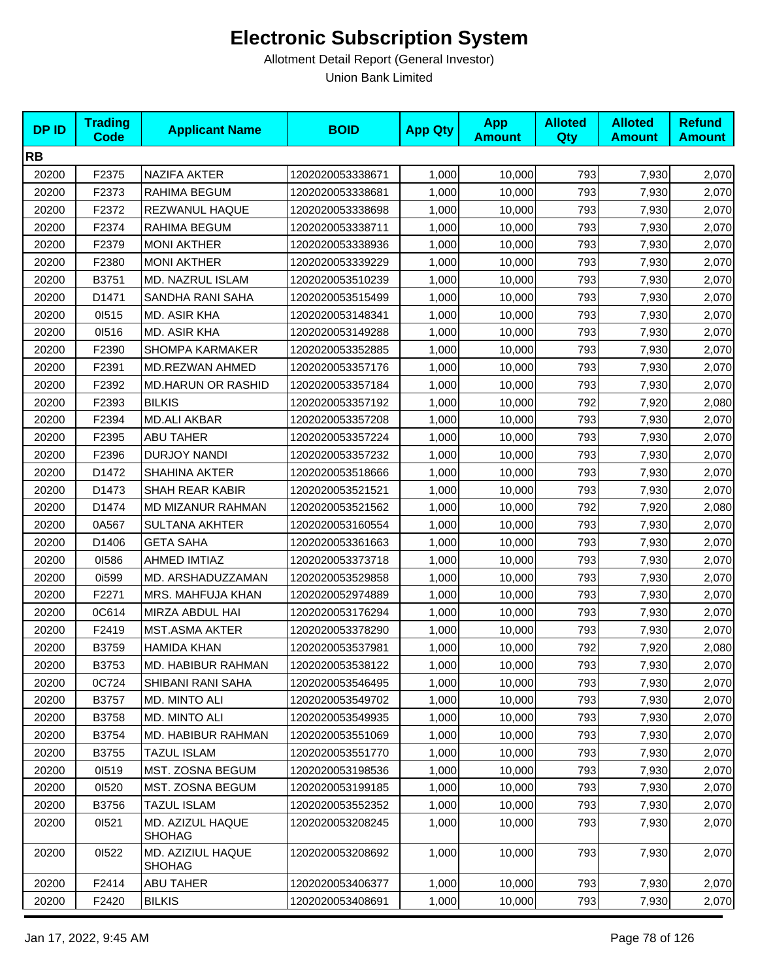| <b>DPID</b> | <b>Trading</b><br><b>Code</b> | <b>Applicant Name</b>             | <b>BOID</b>      | <b>App Qty</b> | <b>App</b><br><b>Amount</b> | <b>Alloted</b><br><b>Qty</b> | <b>Alloted</b><br><b>Amount</b> | <b>Refund</b><br><b>Amount</b> |
|-------------|-------------------------------|-----------------------------------|------------------|----------------|-----------------------------|------------------------------|---------------------------------|--------------------------------|
| <b>RB</b>   |                               |                                   |                  |                |                             |                              |                                 |                                |
| 20200       | F2375                         | NAZIFA AKTER                      | 1202020053338671 | 1,000          | 10,000                      | 793                          | 7,930                           | 2,070                          |
| 20200       | F2373                         | RAHIMA BEGUM                      | 1202020053338681 | 1,000          | 10,000                      | 793                          | 7,930                           | 2,070                          |
| 20200       | F2372                         | REZWANUL HAQUE                    | 1202020053338698 | 1,000          | 10,000                      | 793                          | 7,930                           | 2,070                          |
| 20200       | F2374                         | RAHIMA BEGUM                      | 1202020053338711 | 1,000          | 10,000                      | 793                          | 7,930                           | 2,070                          |
| 20200       | F2379                         | <b>MONI AKTHER</b>                | 1202020053338936 | 1,000          | 10,000                      | 793                          | 7,930                           | 2,070                          |
| 20200       | F2380                         | <b>MONI AKTHER</b>                | 1202020053339229 | 1,000          | 10,000                      | 793                          | 7,930                           | 2,070                          |
| 20200       | B3751                         | MD. NAZRUL ISLAM                  | 1202020053510239 | 1,000          | 10,000                      | 793                          | 7,930                           | 2,070                          |
| 20200       | D1471                         | SANDHA RANI SAHA                  | 1202020053515499 | 1,000          | 10,000                      | 793                          | 7,930                           | 2,070                          |
| 20200       | 01515                         | MD. ASIR KHA                      | 1202020053148341 | 1,000          | 10,000                      | 793                          | 7,930                           | 2,070                          |
| 20200       | 01516                         | MD. ASIR KHA                      | 1202020053149288 | 1,000          | 10,000                      | 793                          | 7,930                           | 2,070                          |
| 20200       | F2390                         | <b>SHOMPA KARMAKER</b>            | 1202020053352885 | 1,000          | 10,000                      | 793                          | 7,930                           | 2,070                          |
| 20200       | F2391                         | MD.REZWAN AHMED                   | 1202020053357176 | 1,000          | 10,000                      | 793                          | 7,930                           | 2,070                          |
| 20200       | F2392                         | <b>MD.HARUN OR RASHID</b>         | 1202020053357184 | 1,000          | 10,000                      | 793                          | 7,930                           | 2,070                          |
| 20200       | F2393                         | <b>BILKIS</b>                     | 1202020053357192 | 1,000          | 10,000                      | 792                          | 7,920                           | 2,080                          |
| 20200       | F2394                         | <b>MD.ALI AKBAR</b>               | 1202020053357208 | 1,000          | 10,000                      | 793                          | 7,930                           | 2,070                          |
| 20200       | F2395                         | <b>ABU TAHER</b>                  | 1202020053357224 | 1,000          | 10,000                      | 793                          | 7,930                           | 2,070                          |
| 20200       | F2396                         | <b>DURJOY NANDI</b>               | 1202020053357232 | 1,000          | 10,000                      | 793                          | 7,930                           | 2,070                          |
| 20200       | D1472                         | SHAHINA AKTER                     | 1202020053518666 | 1,000          | 10,000                      | 793                          | 7,930                           | 2,070                          |
| 20200       | D1473                         | SHAH REAR KABIR                   | 1202020053521521 | 1,000          | 10,000                      | 793                          | 7,930                           | 2,070                          |
| 20200       | D1474                         | MD MIZANUR RAHMAN                 | 1202020053521562 | 1,000          | 10,000                      | 792                          | 7,920                           | 2,080                          |
| 20200       | 0A567                         | <b>SULTANA AKHTER</b>             | 1202020053160554 | 1,000          | 10,000                      | 793                          | 7,930                           | 2,070                          |
| 20200       | D1406                         | <b>GETA SAHA</b>                  | 1202020053361663 | 1,000          | 10,000                      | 793                          | 7,930                           | 2,070                          |
| 20200       | 01586                         | <b>AHMED IMTIAZ</b>               | 1202020053373718 | 1,000          | 10,000                      | 793                          | 7,930                           | 2,070                          |
| 20200       | 0i599                         | MD. ARSHADUZZAMAN                 | 1202020053529858 | 1,000          | 10,000                      | 793                          | 7,930                           | 2,070                          |
| 20200       | F2271                         | MRS. MAHFUJA KHAN                 | 1202020052974889 | 1,000          | 10,000                      | 793                          | 7,930                           | 2,070                          |
| 20200       | 0C614                         | MIRZA ABDUL HAI                   | 1202020053176294 | 1,000          | 10,000                      | 793                          | 7,930                           | 2,070                          |
| 20200       | F2419                         | <b>MST.ASMA AKTER</b>             | 1202020053378290 | 1,000          | 10,000                      | 793                          | 7,930                           | 2,070                          |
| 20200       | B3759                         | <b>HAMIDA KHAN</b>                | 1202020053537981 | 1,000          | 10,000                      | 792                          | 7,920                           | 2,080                          |
| 20200       | B3753                         | MD. HABIBUR RAHMAN                | 1202020053538122 | 1,000          | 10,000                      | 793                          | 7,930                           | 2,070                          |
| 20200       | 0C724                         | SHIBANI RANI SAHA                 | 1202020053546495 | 1,000          | 10,000                      | 793                          | 7,930                           | 2,070                          |
| 20200       | B3757                         | MD. MINTO ALI                     | 1202020053549702 | 1,000          | 10,000                      | 793                          | 7,930                           | 2,070                          |
| 20200       | B3758                         | MD. MINTO ALI                     | 1202020053549935 | 1,000          | 10,000                      | 793                          | 7,930                           | 2,070                          |
| 20200       | B3754                         | MD. HABIBUR RAHMAN                | 1202020053551069 | 1,000          | 10,000                      | 793                          | 7,930                           | 2,070                          |
| 20200       | B3755                         | <b>TAZUL ISLAM</b>                | 1202020053551770 | 1,000          | 10,000                      | 793                          | 7,930                           | 2,070                          |
| 20200       | 01519                         | MST. ZOSNA BEGUM                  | 1202020053198536 | 1,000          | 10,000                      | 793                          | 7,930                           | 2,070                          |
| 20200       | 01520                         | MST. ZOSNA BEGUM                  | 1202020053199185 | 1,000          | 10,000                      | 793                          | 7,930                           | 2,070                          |
| 20200       | B3756                         | <b>TAZUL ISLAM</b>                | 1202020053552352 | 1,000          | 10,000                      | 793                          | 7,930                           | 2,070                          |
| 20200       | 01521                         | MD. AZIZUL HAQUE<br><b>SHOHAG</b> | 1202020053208245 | 1,000          | 10,000                      | 793                          | 7,930                           | 2,070                          |
| 20200       | 01522                         | MD. AZIZIUL HAQUE<br>SHOHAG       | 1202020053208692 | 1,000          | 10,000                      | 793                          | 7,930                           | 2,070                          |
| 20200       | F2414                         | ABU TAHER                         | 1202020053406377 | 1,000          | 10,000                      | 793                          | 7,930                           | 2,070                          |
| 20200       | F2420                         | <b>BILKIS</b>                     | 1202020053408691 | 1,000          | 10,000                      | 793                          | 7,930                           | 2,070                          |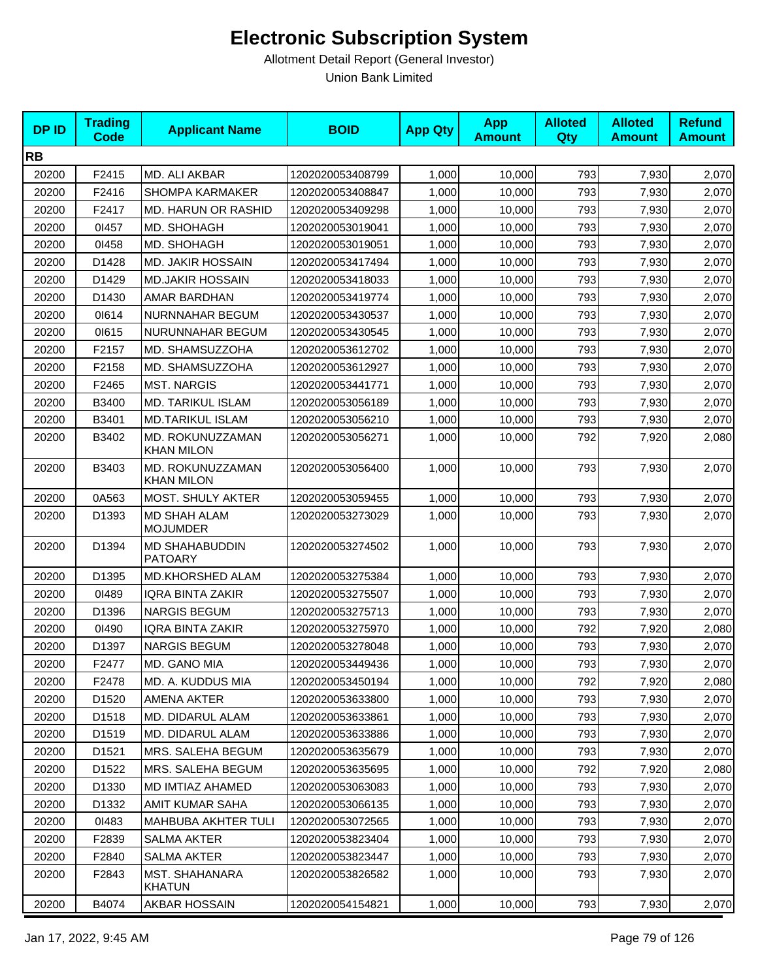| <b>DPID</b> | <b>Trading</b><br><b>Code</b> | <b>Applicant Name</b>                   | <b>BOID</b>      | <b>App Qty</b> | <b>App</b><br><b>Amount</b> | <b>Alloted</b><br>Qty | <b>Alloted</b><br><b>Amount</b> | <b>Refund</b><br><b>Amount</b> |
|-------------|-------------------------------|-----------------------------------------|------------------|----------------|-----------------------------|-----------------------|---------------------------------|--------------------------------|
| <b>RB</b>   |                               |                                         |                  |                |                             |                       |                                 |                                |
| 20200       | F2415                         | MD. ALI AKBAR                           | 1202020053408799 | 1,000          | 10,000                      | 793                   | 7,930                           | 2,070                          |
| 20200       | F2416                         | <b>SHOMPA KARMAKER</b>                  | 1202020053408847 | 1,000          | 10,000                      | 793                   | 7,930                           | 2,070                          |
| 20200       | F2417                         | <b>MD. HARUN OR RASHID</b>              | 1202020053409298 | 1,000          | 10,000                      | 793                   | 7,930                           | 2,070                          |
| 20200       | 01457                         | MD. SHOHAGH                             | 1202020053019041 | 1,000          | 10,000                      | 793                   | 7,930                           | 2,070                          |
| 20200       | 01458                         | MD. SHOHAGH                             | 1202020053019051 | 1,000          | 10,000                      | 793                   | 7,930                           | 2,070                          |
| 20200       | D1428                         | <b>MD. JAKIR HOSSAIN</b>                | 1202020053417494 | 1,000          | 10,000                      | 793                   | 7,930                           | 2,070                          |
| 20200       | D1429                         | <b>MD.JAKIR HOSSAIN</b>                 | 1202020053418033 | 1,000          | 10,000                      | 793                   | 7,930                           | 2,070                          |
| 20200       | D1430                         | AMAR BARDHAN                            | 1202020053419774 | 1,000          | 10,000                      | 793                   | 7,930                           | 2,070                          |
| 20200       | 01614                         | NURNNAHAR BEGUM                         | 1202020053430537 | 1,000          | 10,000                      | 793                   | 7,930                           | 2,070                          |
| 20200       | 01615                         | NURUNNAHAR BEGUM                        | 1202020053430545 | 1,000          | 10,000                      | 793                   | 7,930                           | 2,070                          |
| 20200       | F2157                         | MD. SHAMSUZZOHA                         | 1202020053612702 | 1,000          | 10,000                      | 793                   | 7,930                           | 2,070                          |
| 20200       | F2158                         | MD. SHAMSUZZOHA                         | 1202020053612927 | 1,000          | 10,000                      | 793                   | 7,930                           | 2,070                          |
| 20200       | F2465                         | <b>MST. NARGIS</b>                      | 1202020053441771 | 1,000          | 10,000                      | 793                   | 7,930                           | 2,070                          |
| 20200       | B3400                         | MD. TARIKUL ISLAM                       | 1202020053056189 | 1,000          | 10,000                      | 793                   | 7,930                           | 2,070                          |
| 20200       | B3401                         | <b>MD.TARIKUL ISLAM</b>                 | 1202020053056210 | 1,000          | 10,000                      | 793                   | 7,930                           | 2,070                          |
| 20200       | B3402                         | MD. ROKUNUZZAMAN<br><b>KHAN MILON</b>   | 1202020053056271 | 1,000          | 10,000                      | 792                   | 7,920                           | 2,080                          |
| 20200       | B3403                         | MD. ROKUNUZZAMAN<br>KHAN MILON          | 1202020053056400 | 1,000          | 10,000                      | 793                   | 7,930                           | 2,070                          |
| 20200       | 0A563                         | MOST. SHULY AKTER                       | 1202020053059455 | 1,000          | 10,000                      | 793                   | 7,930                           | 2,070                          |
| 20200       | D1393                         | <b>MD SHAH ALAM</b><br><b>MOJUMDER</b>  | 1202020053273029 | 1,000          | 10,000                      | 793                   | 7,930                           | 2,070                          |
| 20200       | D1394                         | <b>MD SHAHABUDDIN</b><br><b>PATOARY</b> | 1202020053274502 | 1,000          | 10,000                      | 793                   | 7,930                           | 2,070                          |
| 20200       | D1395                         | MD.KHORSHED ALAM                        | 1202020053275384 | 1,000          | 10,000                      | 793                   | 7,930                           | 2,070                          |
| 20200       | 01489                         | <b>IQRA BINTA ZAKIR</b>                 | 1202020053275507 | 1,000          | 10,000                      | 793                   | 7,930                           | 2,070                          |
| 20200       | D1396                         | <b>NARGIS BEGUM</b>                     | 1202020053275713 | 1,000          | 10,000                      | 793                   | 7,930                           | 2,070                          |
| 20200       | 01490                         | <b>IQRA BINTA ZAKIR</b>                 | 1202020053275970 | 1,000          | 10,000                      | 792                   | 7,920                           | 2,080                          |
| 20200       | D1397                         | <b>NARGIS BEGUM</b>                     | 1202020053278048 | 1,000          | 10,000                      | 793                   | 7,930                           | 2,070                          |
| 20200       | F2477                         | MD. GANO MIA                            | 1202020053449436 | 1,000          | 10,000                      | 793                   | 7,930                           | 2,070                          |
| 20200       | F2478                         | MD. A. KUDDUS MIA                       | 1202020053450194 | 1,000          | 10,000                      | 792                   | 7,920                           | 2,080                          |
| 20200       | D1520                         | AMENA AKTER                             | 1202020053633800 | 1,000          | 10,000                      | 793                   | 7,930                           | 2,070                          |
| 20200       | D1518                         | MD. DIDARUL ALAM                        | 1202020053633861 | 1,000          | 10,000                      | 793                   | 7,930                           | 2,070                          |
| 20200       | D1519                         | MD. DIDARUL ALAM                        | 1202020053633886 | 1,000          | 10,000                      | 793                   | 7,930                           | 2,070                          |
| 20200       | D1521                         | MRS. SALEHA BEGUM                       | 1202020053635679 | 1,000          | 10,000                      | 793                   | 7,930                           | 2,070                          |
| 20200       | D1522                         | MRS. SALEHA BEGUM                       | 1202020053635695 | 1,000          | 10,000                      | 792                   | 7,920                           | 2,080                          |
| 20200       | D1330                         | MD IMTIAZ AHAMED                        | 1202020053063083 | 1,000          | 10,000                      | 793                   | 7,930                           | 2,070                          |
| 20200       | D1332                         | AMIT KUMAR SAHA                         | 1202020053066135 | 1,000          | 10,000                      | 793                   | 7,930                           | 2,070                          |
| 20200       | 01483                         | MAHBUBA AKHTER TULI                     | 1202020053072565 | 1,000          | 10,000                      | 793                   | 7,930                           | 2,070                          |
| 20200       | F2839                         | <b>SALMA AKTER</b>                      | 1202020053823404 | 1,000          | 10,000                      | 793                   | 7,930                           | 2,070                          |
| 20200       | F2840                         | SALMA AKTER                             | 1202020053823447 | 1,000          | 10,000                      | 793                   | 7,930                           | 2,070                          |
| 20200       | F <sub>2843</sub>             | MST. SHAHANARA<br><b>KHATUN</b>         | 1202020053826582 | 1,000          | 10,000                      | 793                   | 7,930                           | 2,070                          |
| 20200       | B4074                         | AKBAR HOSSAIN                           | 1202020054154821 | 1,000          | 10,000                      | 793                   | 7,930                           | 2,070                          |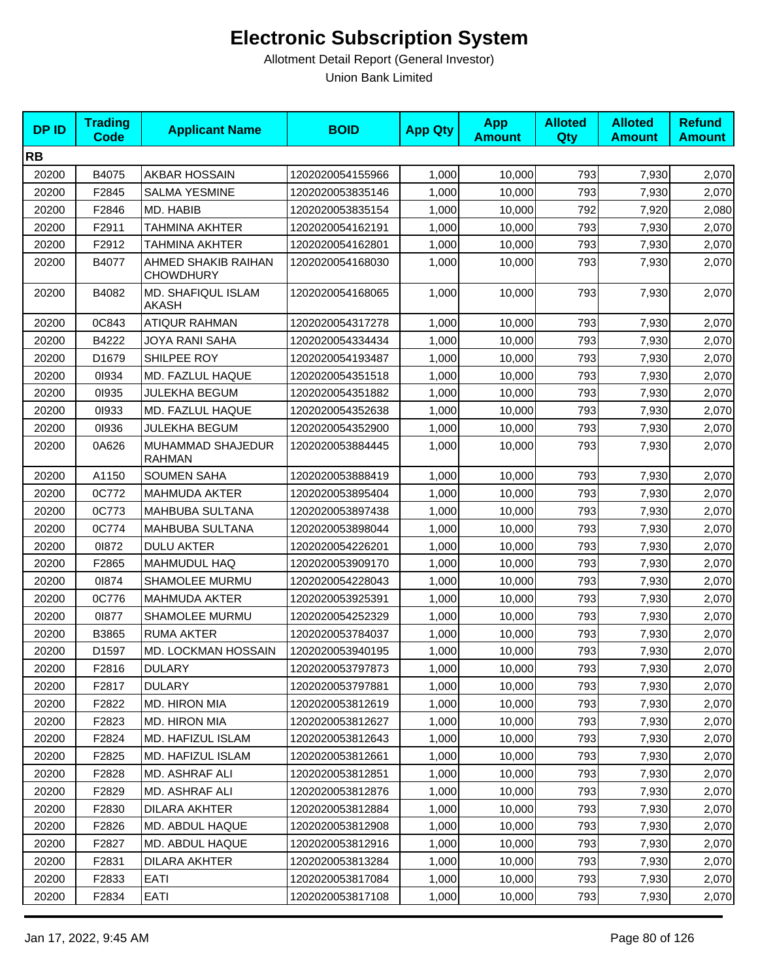| <b>DPID</b> | <b>Trading</b><br><b>Code</b> | <b>Applicant Name</b>                   | <b>BOID</b>      | <b>App Qty</b> | <b>App</b><br><b>Amount</b> | <b>Alloted</b><br><b>Qty</b> | <b>Alloted</b><br><b>Amount</b> | <b>Refund</b><br><b>Amount</b> |
|-------------|-------------------------------|-----------------------------------------|------------------|----------------|-----------------------------|------------------------------|---------------------------------|--------------------------------|
| <b>RB</b>   |                               |                                         |                  |                |                             |                              |                                 |                                |
| 20200       | B4075                         | <b>AKBAR HOSSAIN</b>                    | 1202020054155966 | 1,000          | 10,000                      | 793                          | 7,930                           | 2,070                          |
| 20200       | F2845                         | <b>SALMA YESMINE</b>                    | 1202020053835146 | 1,000          | 10,000                      | 793                          | 7,930                           | 2,070                          |
| 20200       | F2846                         | MD. HABIB                               | 1202020053835154 | 1,000          | 10,000                      | 792                          | 7,920                           | 2,080                          |
| 20200       | F2911                         | TAHMINA AKHTER                          | 1202020054162191 | 1,000          | 10,000                      | 793                          | 7,930                           | 2,070                          |
| 20200       | F2912                         | <b>TAHMINA AKHTER</b>                   | 1202020054162801 | 1,000          | 10,000                      | 793                          | 7,930                           | 2,070                          |
| 20200       | B4077                         | AHMED SHAKIB RAIHAN<br><b>CHOWDHURY</b> | 1202020054168030 | 1,000          | 10,000                      | 793                          | 7,930                           | 2,070                          |
| 20200       | B4082                         | MD. SHAFIQUL ISLAM<br>AKASH             | 1202020054168065 | 1,000          | 10,000                      | 793                          | 7,930                           | 2,070                          |
| 20200       | 0C843                         | <b>ATIQUR RAHMAN</b>                    | 1202020054317278 | 1,000          | 10,000                      | 793                          | 7,930                           | 2,070                          |
| 20200       | B4222                         | JOYA RANI SAHA                          | 1202020054334434 | 1,000          | 10,000                      | 793                          | 7,930                           | 2,070                          |
| 20200       | D1679                         | SHILPEE ROY                             | 1202020054193487 | 1,000          | 10,000                      | 793                          | 7,930                           | 2,070                          |
| 20200       | 01934                         | MD. FAZLUL HAQUE                        | 1202020054351518 | 1,000          | 10,000                      | 793                          | 7,930                           | 2,070                          |
| 20200       | 01935                         | <b>JULEKHA BEGUM</b>                    | 1202020054351882 | 1,000          | 10,000                      | 793                          | 7,930                           | 2,070                          |
| 20200       | 01933                         | MD. FAZLUL HAQUE                        | 1202020054352638 | 1,000          | 10,000                      | 793                          | 7,930                           | 2,070                          |
| 20200       | 01936                         | <b>JULEKHA BEGUM</b>                    | 1202020054352900 | 1,000          | 10,000                      | 793                          | 7,930                           | 2,070                          |
| 20200       | 0A626                         | MUHAMMAD SHAJEDUR<br><b>RAHMAN</b>      | 1202020053884445 | 1,000          | 10,000                      | 793                          | 7,930                           | 2,070                          |
| 20200       | A1150                         | <b>SOUMEN SAHA</b>                      | 1202020053888419 | 1,000          | 10,000                      | 793                          | 7,930                           | 2,070                          |
| 20200       | 0C772                         | <b>MAHMUDA AKTER</b>                    | 1202020053895404 | 1,000          | 10,000                      | 793                          | 7,930                           | 2,070                          |
| 20200       | 0C773                         | MAHBUBA SULTANA                         | 1202020053897438 | 1,000          | 10,000                      | 793                          | 7,930                           | 2,070                          |
| 20200       | 0C774                         | MAHBUBA SULTANA                         | 1202020053898044 | 1,000          | 10,000                      | 793                          | 7,930                           | 2,070                          |
| 20200       | 01872                         | <b>DULU AKTER</b>                       | 1202020054226201 | 1,000          | 10,000                      | 793                          | 7,930                           | 2,070                          |
| 20200       | F2865                         | <b>MAHMUDUL HAQ</b>                     | 1202020053909170 | 1,000          | 10,000                      | 793                          | 7,930                           | 2,070                          |
| 20200       | 01874                         | SHAMOLEE MURMU                          | 1202020054228043 | 1,000          | 10,000                      | 793                          | 7,930                           | 2,070                          |
| 20200       | 0C776                         | <b>MAHMUDA AKTER</b>                    | 1202020053925391 | 1,000          | 10,000                      | 793                          | 7,930                           | 2,070                          |
| 20200       | 01877                         | SHAMOLEE MURMU                          | 1202020054252329 | 1,000          | 10,000                      | 793                          | 7,930                           | 2,070                          |
| 20200       | B3865                         | <b>RUMA AKTER</b>                       | 1202020053784037 | 1,000          | 10,000                      | 793                          | 7,930                           | 2,070                          |
| 20200       | D1597                         | MD. LOCKMAN HOSSAIN                     | 1202020053940195 | 1,000          | 10,000                      | 793                          | 7,930                           | 2,070                          |
| 20200       | F2816                         | <b>DULARY</b>                           | 1202020053797873 | 1,000          | 10,000                      | 793                          | 7,930                           | 2,070                          |
| 20200       | F2817                         | <b>DULARY</b>                           | 1202020053797881 | 1,000          | 10,000                      | 793                          | 7,930                           | 2,070                          |
| 20200       | F2822                         | <b>MD. HIRON MIA</b>                    | 1202020053812619 | 1,000          | 10,000                      | 793                          | 7,930                           | 2,070                          |
| 20200       | F2823                         | MD. HIRON MIA                           | 1202020053812627 | 1,000          | 10,000                      | 793                          | 7,930                           | 2,070                          |
| 20200       | F2824                         | MD. HAFIZUL ISLAM                       | 1202020053812643 | 1,000          | 10,000                      | 793                          | 7,930                           | 2,070                          |
| 20200       | F <sub>2825</sub>             | MD. HAFIZUL ISLAM                       | 1202020053812661 | 1,000          | 10,000                      | 793                          | 7,930                           | 2,070                          |
| 20200       | F2828                         | MD. ASHRAF ALI                          | 1202020053812851 | 1,000          | 10,000                      | 793                          | 7,930                           | 2,070                          |
| 20200       | F2829                         | MD. ASHRAF ALI                          | 1202020053812876 | 1,000          | 10,000                      | 793                          | 7,930                           | 2,070                          |
| 20200       | F2830                         | <b>DILARA AKHTER</b>                    | 1202020053812884 | 1,000          | 10,000                      | 793                          | 7,930                           | 2,070                          |
| 20200       | F2826                         | MD. ABDUL HAQUE                         | 1202020053812908 | 1,000          | 10,000                      | 793                          | 7,930                           | 2,070                          |
| 20200       | F <sub>2827</sub>             | MD. ABDUL HAQUE                         | 1202020053812916 | 1,000          | 10,000                      | 793                          | 7,930                           | 2,070                          |
| 20200       | F2831                         | DILARA AKHTER                           | 1202020053813284 | 1,000          | 10,000                      | 793                          | 7,930                           | 2,070                          |
| 20200       | F2833                         | EATI                                    | 1202020053817084 | 1,000          | 10,000                      | 793                          | 7,930                           | 2,070                          |
| 20200       | F2834                         | EATI                                    | 1202020053817108 | 1,000          | 10,000                      | 793                          | 7,930                           | 2,070                          |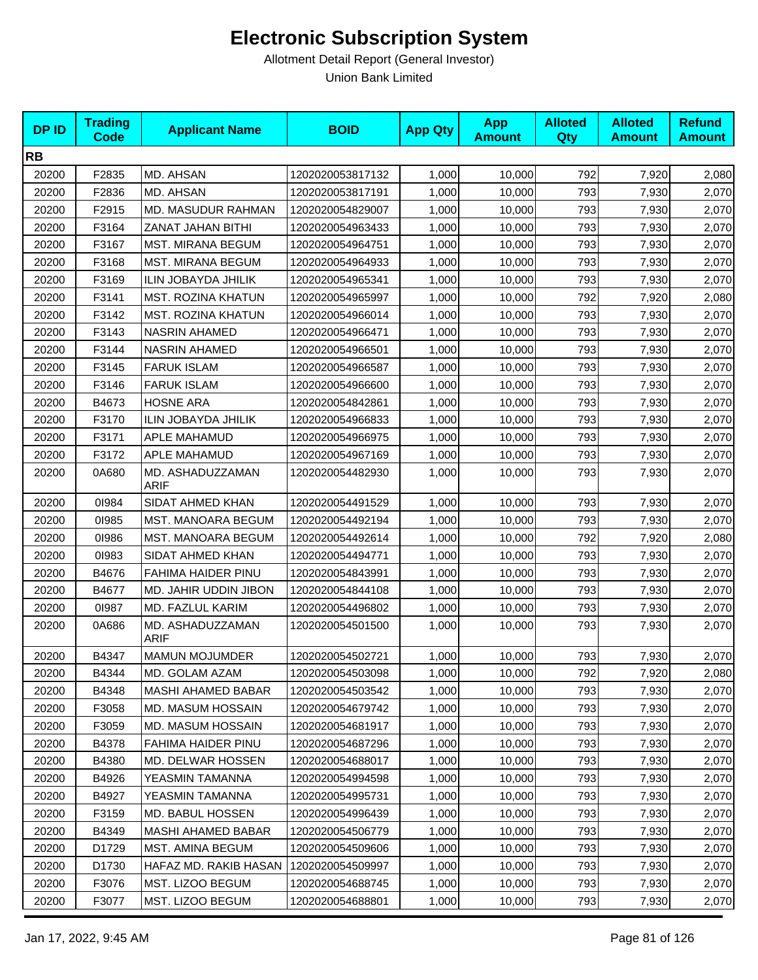| <b>DP ID</b> | <b>Trading</b><br><b>Code</b> | <b>Applicant Name</b>           | <b>BOID</b>      | <b>App Qty</b> | <b>App</b><br><b>Amount</b> | <b>Alloted</b><br>Qty | <b>Alloted</b><br><b>Amount</b> | <b>Refund</b><br><b>Amount</b> |
|--------------|-------------------------------|---------------------------------|------------------|----------------|-----------------------------|-----------------------|---------------------------------|--------------------------------|
| <b>RB</b>    |                               |                                 |                  |                |                             |                       |                                 |                                |
| 20200        | F2835                         | MD. AHSAN                       | 1202020053817132 | 1,000          | 10,000                      | 792                   | 7,920                           | 2,080                          |
| 20200        | F2836                         | MD. AHSAN                       | 1202020053817191 | 1,000          | 10,000                      | 793                   | 7,930                           | 2,070                          |
| 20200        | F2915                         | MD. MASUDUR RAHMAN              | 1202020054829007 | 1,000          | 10,000                      | 793                   | 7,930                           | 2,070                          |
| 20200        | F3164                         | ZANAT JAHAN BITHI               | 1202020054963433 | 1,000          | 10,000                      | 793                   | 7,930                           | 2,070                          |
| 20200        | F3167                         | MST. MIRANA BEGUM               | 1202020054964751 | 1,000          | 10,000                      | 793                   | 7,930                           | 2,070                          |
| 20200        | F3168                         | <b>MST. MIRANA BEGUM</b>        | 1202020054964933 | 1,000          | 10,000                      | 793                   | 7,930                           | 2,070                          |
| 20200        | F3169                         | ILIN JOBAYDA JHILIK             | 1202020054965341 | 1,000          | 10,000                      | 793                   | 7,930                           | 2,070                          |
| 20200        | F3141                         | <b>MST. ROZINA KHATUN</b>       | 1202020054965997 | 1,000          | 10,000                      | 792                   | 7,920                           | 2,080                          |
| 20200        | F3142                         | <b>MST. ROZINA KHATUN</b>       | 1202020054966014 | 1,000          | 10,000                      | 793                   | 7,930                           | 2,070                          |
| 20200        | F3143                         | NASRIN AHAMED                   | 1202020054966471 | 1,000          | 10,000                      | 793                   | 7,930                           | 2,070                          |
| 20200        | F3144                         | <b>NASRIN AHAMED</b>            | 1202020054966501 | 1,000          | 10,000                      | 793                   | 7,930                           | 2,070                          |
| 20200        | F3145                         | <b>FARUK ISLAM</b>              | 1202020054966587 | 1,000          | 10,000                      | 793                   | 7,930                           | 2,070                          |
| 20200        | F3146                         | <b>FARUK ISLAM</b>              | 1202020054966600 | 1,000          | 10,000                      | 793                   | 7,930                           | 2,070                          |
| 20200        | B4673                         | <b>HOSNE ARA</b>                | 1202020054842861 | 1,000          | 10,000                      | 793                   | 7,930                           | 2,070                          |
| 20200        | F3170                         | ILIN JOBAYDA JHILIK             | 1202020054966833 | 1,000          | 10,000                      | 793                   | 7,930                           | 2,070                          |
| 20200        | F3171                         | APLE MAHAMUD                    | 1202020054966975 | 1,000          | 10,000                      | 793                   | 7,930                           | 2,070                          |
| 20200        | F3172                         | APLE MAHAMUD                    | 1202020054967169 | 1,000          | 10,000                      | 793                   | 7,930                           | 2,070                          |
| 20200        | 0A680                         | MD. ASHADUZZAMAN<br><b>ARIF</b> | 1202020054482930 | 1,000          | 10,000                      | 793                   | 7,930                           | 2,070                          |
| 20200        | 01984                         | SIDAT AHMED KHAN                | 1202020054491529 | 1,000          | 10,000                      | 793                   | 7,930                           | 2,070                          |
| 20200        | 01985                         | <b>MST. MANOARA BEGUM</b>       | 1202020054492194 | 1,000          | 10,000                      | 793                   | 7,930                           | 2,070                          |
| 20200        | 01986                         | MST. MANOARA BEGUM              | 1202020054492614 | 1,000          | 10,000                      | 792                   | 7,920                           | 2,080                          |
| 20200        | 01983                         | SIDAT AHMED KHAN                | 1202020054494771 | 1,000          | 10,000                      | 793                   | 7,930                           | 2,070                          |
| 20200        | B4676                         | FAHIMA HAIDER PINU              | 1202020054843991 | 1,000          | 10,000                      | 793                   | 7,930                           | 2,070                          |
| 20200        | B4677                         | MD. JAHIR UDDIN JIBON           | 1202020054844108 | 1,000          | 10,000                      | 793                   | 7,930                           | 2,070                          |
| 20200        | 01987                         | MD. FAZLUL KARIM                | 1202020054496802 | 1,000          | 10,000                      | 793                   | 7,930                           | 2,070                          |
| 20200        | 0A686                         | MD. ASHADUZZAMAN<br><b>ARIF</b> | 1202020054501500 | 1,000          | 10,000                      | 793                   | 7,930                           | 2,070                          |
| 20200        | B4347                         | <b>MAMUN MOJUMDER</b>           | 1202020054502721 | 1,000          | 10,000                      | 793                   | 7,930                           | 2,070                          |
| 20200        | B4344                         | MD. GOLAM AZAM                  | 1202020054503098 | 1,000          | 10,000                      | 792                   | 7,920                           | 2,080                          |
| 20200        | B4348                         | <b>MASHI AHAMED BABAR</b>       | 1202020054503542 | 1,000          | 10,000                      | 793                   | 7,930                           | 2,070                          |
| 20200        | F3058                         | <b>MD. MASUM HOSSAIN</b>        | 1202020054679742 | 1,000          | 10,000                      | 793                   | 7,930                           | 2,070                          |
| 20200        | F3059                         | MD. MASUM HOSSAIN               | 1202020054681917 | 1,000          | 10,000                      | 793                   | 7,930                           | 2,070                          |
| 20200        | B4378                         | FAHIMA HAIDER PINU              | 1202020054687296 | 1,000          | 10,000                      | 793                   | 7,930                           | 2,070                          |
| 20200        | B4380                         | MD. DELWAR HOSSEN               | 1202020054688017 | 1,000          | 10,000                      | 793                   | 7,930                           | 2,070                          |
| 20200        | B4926                         | YEASMIN TAMANNA                 | 1202020054994598 | 1,000          | 10,000                      | 793                   | 7,930                           | 2,070                          |
| 20200        | B4927                         | YEASMIN TAMANNA                 | 1202020054995731 | 1,000          | 10,000                      | 793                   | 7,930                           | 2,070                          |
| 20200        | F3159                         | MD. BABUL HOSSEN                | 1202020054996439 | 1,000          | 10,000                      | 793                   | 7,930                           | 2,070                          |
| 20200        | B4349                         | MASHI AHAMED BABAR              | 1202020054506779 | 1,000          | 10,000                      | 793                   | 7,930                           | 2,070                          |
| 20200        | D1729                         | MST. AMINA BEGUM                | 1202020054509606 | 1,000          | 10,000                      | 793                   | 7,930                           | 2,070                          |
| 20200        | D1730                         | HAFAZ MD. RAKIB HASAN           | 1202020054509997 | 1,000          | 10,000                      | 793                   | 7,930                           | 2,070                          |
| 20200        | F3076                         | MST. LIZOO BEGUM                | 1202020054688745 | 1,000          | 10,000                      | 793                   | 7,930                           | 2,070                          |
| 20200        | F3077                         | MST. LIZOO BEGUM                | 1202020054688801 | 1,000          | 10,000                      | 793                   | 7,930                           | 2,070                          |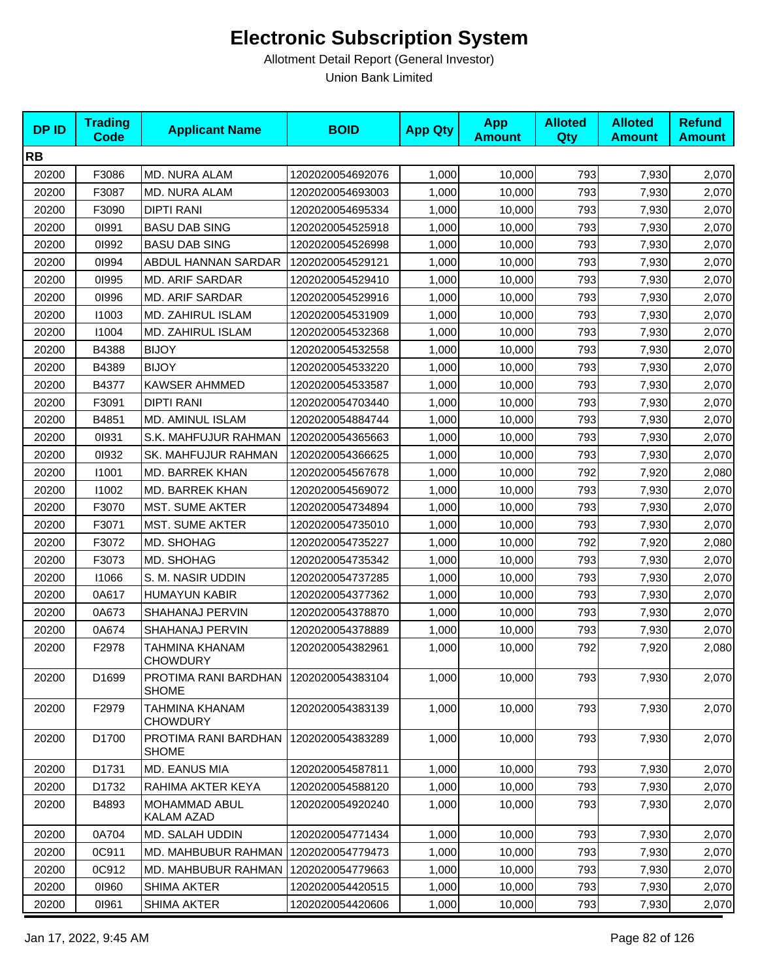| <b>DPID</b> | <b>Trading</b><br><b>Code</b> | <b>Applicant Name</b>                | <b>BOID</b>      | <b>App Qty</b> | <b>App</b><br><b>Amount</b> | <b>Alloted</b><br>Qty | <b>Alloted</b><br><b>Amount</b> | <b>Refund</b><br><b>Amount</b> |
|-------------|-------------------------------|--------------------------------------|------------------|----------------|-----------------------------|-----------------------|---------------------------------|--------------------------------|
| <b>RB</b>   |                               |                                      |                  |                |                             |                       |                                 |                                |
| 20200       | F3086                         | MD. NURA ALAM                        | 1202020054692076 | 1,000          | 10,000                      | 793                   | 7,930                           | 2,070                          |
| 20200       | F3087                         | <b>MD. NURA ALAM</b>                 | 1202020054693003 | 1,000          | 10,000                      | 793                   | 7,930                           | 2,070                          |
| 20200       | F3090                         | <b>DIPTI RANI</b>                    | 1202020054695334 | 1,000          | 10,000                      | 793                   | 7,930                           | 2,070                          |
| 20200       | 01991                         | <b>BASU DAB SING</b>                 | 1202020054525918 | 1,000          | 10,000                      | 793                   | 7,930                           | 2,070                          |
| 20200       | 01992                         | <b>BASU DAB SING</b>                 | 1202020054526998 | 1,000          | 10,000                      | 793                   | 7,930                           | 2,070                          |
| 20200       | 01994                         | ABDUL HANNAN SARDAR                  | 1202020054529121 | 1,000          | 10,000                      | 793                   | 7,930                           | 2,070                          |
| 20200       | 01995                         | <b>MD. ARIF SARDAR</b>               | 1202020054529410 | 1,000          | 10,000                      | 793                   | 7,930                           | 2,070                          |
| 20200       | 01996                         | MD. ARIF SARDAR                      | 1202020054529916 | 1,000          | 10,000                      | 793                   | 7,930                           | 2,070                          |
| 20200       | 11003                         | MD. ZAHIRUL ISLAM                    | 1202020054531909 | 1,000          | 10,000                      | 793                   | 7,930                           | 2,070                          |
| 20200       | 11004                         | MD. ZAHIRUL ISLAM                    | 1202020054532368 | 1,000          | 10,000                      | 793                   | 7,930                           | 2,070                          |
| 20200       | B4388                         | <b>BIJOY</b>                         | 1202020054532558 | 1,000          | 10,000                      | 793                   | 7,930                           | 2,070                          |
| 20200       | B4389                         | <b>BIJOY</b>                         | 1202020054533220 | 1,000          | 10,000                      | 793                   | 7,930                           | 2,070                          |
| 20200       | B4377                         | <b>KAWSER AHMMED</b>                 | 1202020054533587 | 1,000          | 10,000                      | 793                   | 7,930                           | 2,070                          |
| 20200       | F3091                         | <b>DIPTI RANI</b>                    | 1202020054703440 | 1,000          | 10,000                      | 793                   | 7,930                           | 2,070                          |
| 20200       | B4851                         | MD. AMINUL ISLAM                     | 1202020054884744 | 1,000          | 10,000                      | 793                   | 7,930                           | 2,070                          |
| 20200       | 01931                         | S.K. MAHFUJUR RAHMAN                 | 1202020054365663 | 1,000          | 10,000                      | 793                   | 7,930                           | 2,070                          |
| 20200       | 01932                         | <b>SK. MAHFUJUR RAHMAN</b>           | 1202020054366625 | 1,000          | 10,000                      | 793                   | 7,930                           | 2,070                          |
| 20200       | 11001                         | MD. BARREK KHAN                      | 1202020054567678 | 1,000          | 10,000                      | 792                   | 7,920                           | 2,080                          |
| 20200       | 11002                         | <b>MD. BARREK KHAN</b>               | 1202020054569072 | 1,000          | 10,000                      | 793                   | 7,930                           | 2,070                          |
| 20200       | F3070                         | <b>MST. SUME AKTER</b>               | 1202020054734894 | 1,000          | 10,000                      | 793                   | 7,930                           | 2,070                          |
| 20200       | F3071                         | <b>MST. SUME AKTER</b>               | 1202020054735010 | 1,000          | 10,000                      | 793                   | 7,930                           | 2,070                          |
| 20200       | F3072                         | MD. SHOHAG                           | 1202020054735227 | 1,000          | 10,000                      | 792                   | 7,920                           | 2,080                          |
| 20200       | F3073                         | MD. SHOHAG                           | 1202020054735342 | 1,000          | 10,000                      | 793                   | 7,930                           | 2,070                          |
| 20200       | 11066                         | S. M. NASIR UDDIN                    | 1202020054737285 | 1,000          | 10,000                      | 793                   | 7,930                           | 2,070                          |
| 20200       | 0A617                         | <b>HUMAYUN KABIR</b>                 | 1202020054377362 | 1,000          | 10,000                      | 793                   | 7,930                           | 2,070                          |
| 20200       | 0A673                         | SHAHANAJ PERVIN                      | 1202020054378870 | 1,000          | 10,000                      | 793                   | 7,930                           | 2,070                          |
| 20200       | 0A674                         | SHAHANAJ PERVIN                      | 1202020054378889 | 1,000          | 10,000                      | 793                   | 7,930                           | 2,070                          |
| 20200       | F2978                         | TAHMINA KHANAM<br><b>CHOWDURY</b>    | 1202020054382961 | 1,000          | 10,000                      | 792                   | 7,920                           | 2,080                          |
| 20200       | D1699                         | PROTIMA RANI BARDHAN<br><b>SHOME</b> | 1202020054383104 | 1,000          | 10,000                      | 793                   | 7,930                           | 2,070                          |
| 20200       | F2979                         | TAHMINA KHANAM<br><b>CHOWDURY</b>    | 1202020054383139 | 1,000          | 10,000                      | 793                   | 7,930                           | 2,070                          |
| 20200       | D1700                         | PROTIMA RANI BARDHAN<br><b>SHOME</b> | 1202020054383289 | 1,000          | 10,000                      | 793                   | 7,930                           | 2,070                          |
| 20200       | D1731                         | MD. EANUS MIA                        | 1202020054587811 | 1,000          | 10,000                      | 793                   | 7,930                           | 2,070                          |
| 20200       | D1732                         | RAHIMA AKTER KEYA                    | 1202020054588120 | 1,000          | 10,000                      | 793                   | 7,930                           | 2,070                          |
| 20200       | B4893                         | MOHAMMAD ABUL<br>KALAM AZAD          | 1202020054920240 | 1,000          | 10,000                      | 793                   | 7,930                           | 2,070                          |
| 20200       | 0A704                         | MD. SALAH UDDIN                      | 1202020054771434 | 1,000          | 10,000                      | 793                   | 7,930                           | 2,070                          |
| 20200       | 0C911                         | MD. MAHBUBUR RAHMAN                  | 1202020054779473 | 1,000          | 10,000                      | 793                   | 7,930                           | 2,070                          |
| 20200       | 0C912                         | MD. MAHBUBUR RAHMAN                  | 1202020054779663 | 1,000          | 10,000                      | 793                   | 7,930                           | 2,070                          |
| 20200       | 01960                         | SHIMA AKTER                          | 1202020054420515 | 1,000          | 10,000                      | 793                   | 7,930                           | 2,070                          |
| 20200       | 01961                         | SHIMA AKTER                          | 1202020054420606 | 1,000          | 10,000                      | 793                   | 7,930                           | 2,070                          |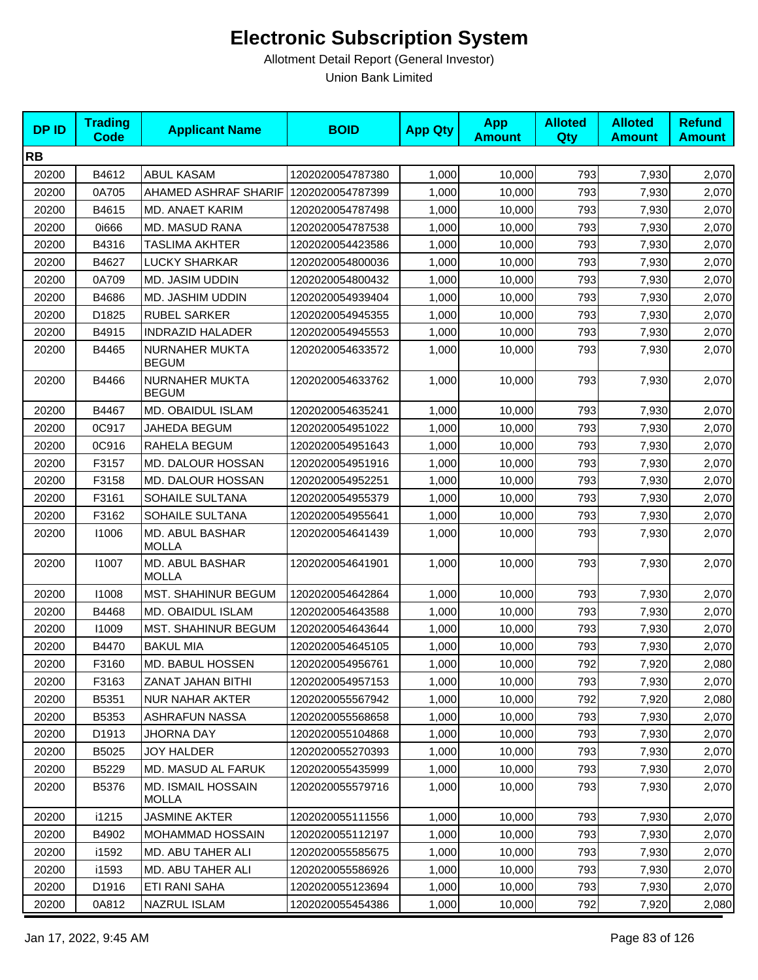| <b>DPID</b> | <b>Trading</b><br><b>Code</b> | <b>Applicant Name</b>                     | <b>BOID</b>      | <b>App Qty</b> | <b>App</b><br><b>Amount</b> | <b>Alloted</b><br>Qty | <b>Alloted</b><br><b>Amount</b> | <b>Refund</b><br><b>Amount</b> |
|-------------|-------------------------------|-------------------------------------------|------------------|----------------|-----------------------------|-----------------------|---------------------------------|--------------------------------|
| <b>RB</b>   |                               |                                           |                  |                |                             |                       |                                 |                                |
| 20200       | B4612                         | <b>ABUL KASAM</b>                         | 1202020054787380 | 1,000          | 10,000                      | 793                   | 7,930                           | 2,070                          |
| 20200       | 0A705                         | AHAMED ASHRAF SHARIF                      | 1202020054787399 | 1,000          | 10,000                      | 793                   | 7,930                           | 2,070                          |
| 20200       | B4615                         | MD. ANAET KARIM                           | 1202020054787498 | 1,000          | 10,000                      | 793                   | 7,930                           | 2,070                          |
| 20200       | 0i666                         | MD. MASUD RANA                            | 1202020054787538 | 1,000          | 10,000                      | 793                   | 7,930                           | 2,070                          |
| 20200       | B4316                         | TASLIMA AKHTER                            | 1202020054423586 | 1,000          | 10,000                      | 793                   | 7,930                           | 2,070                          |
| 20200       | B4627                         | <b>LUCKY SHARKAR</b>                      | 1202020054800036 | 1,000          | 10,000                      | 793                   | 7,930                           | 2,070                          |
| 20200       | 0A709                         | MD. JASIM UDDIN                           | 1202020054800432 | 1,000          | 10,000                      | 793                   | 7,930                           | 2,070                          |
| 20200       | B4686                         | MD. JASHIM UDDIN                          | 1202020054939404 | 1,000          | 10,000                      | 793                   | 7,930                           | 2,070                          |
| 20200       | D1825                         | <b>RUBEL SARKER</b>                       | 1202020054945355 | 1,000          | 10,000                      | 793                   | 7,930                           | 2,070                          |
| 20200       | B4915                         | <b>INDRAZID HALADER</b>                   | 1202020054945553 | 1,000          | 10,000                      | 793                   | 7,930                           | 2,070                          |
| 20200       | B4465                         | NURNAHER MUKTA<br><b>BEGUM</b>            | 1202020054633572 | 1,000          | 10,000                      | 793                   | 7,930                           | 2,070                          |
| 20200       | B4466                         | NURNAHER MUKTA<br><b>BEGUM</b>            | 1202020054633762 | 1,000          | 10,000                      | 793                   | 7,930                           | 2,070                          |
| 20200       | B4467                         | <b>MD. OBAIDUL ISLAM</b>                  | 1202020054635241 | 1,000          | 10,000                      | 793                   | 7,930                           | 2,070                          |
| 20200       | 0C917                         | JAHEDA BEGUM                              | 1202020054951022 | 1,000          | 10,000                      | 793                   | 7,930                           | 2,070                          |
| 20200       | 0C916                         | RAHELA BEGUM                              | 1202020054951643 | 1,000          | 10,000                      | 793                   | 7,930                           | 2,070                          |
| 20200       | F3157                         | MD. DALOUR HOSSAN                         | 1202020054951916 | 1,000          | 10,000                      | 793                   | 7,930                           | 2,070                          |
| 20200       | F3158                         | MD. DALOUR HOSSAN                         | 1202020054952251 | 1,000          | 10,000                      | 793                   | 7,930                           | 2,070                          |
| 20200       | F3161                         | SOHAILE SULTANA                           | 1202020054955379 | 1,000          | 10,000                      | 793                   | 7,930                           | 2,070                          |
| 20200       | F3162                         | SOHAILE SULTANA                           | 1202020054955641 | 1,000          | 10,000                      | 793                   | 7,930                           | 2,070                          |
| 20200       | 11006                         | MD. ABUL BASHAR<br><b>MOLLA</b>           | 1202020054641439 | 1,000          | 10,000                      | 793                   | 7,930                           | 2,070                          |
| 20200       | 11007                         | MD. ABUL BASHAR<br><b>MOLLA</b>           | 1202020054641901 | 1,000          | 10,000                      | 793                   | 7,930                           | 2,070                          |
| 20200       | 11008                         | <b>MST. SHAHINUR BEGUM</b>                | 1202020054642864 | 1,000          | 10,000                      | 793                   | 7,930                           | 2,070                          |
| 20200       | B4468                         | MD. OBAIDUL ISLAM                         | 1202020054643588 | 1,000          | 10,000                      | 793                   | 7,930                           | 2,070                          |
| 20200       | 11009                         | <b>MST. SHAHINUR BEGUM</b>                | 1202020054643644 | 1,000          | 10,000                      | 793                   | 7,930                           | 2,070                          |
| 20200       | B4470                         | <b>BAKUL MIA</b>                          | 1202020054645105 | 1,000          | 10,000                      | 793                   | 7,930                           | 2,070                          |
| 20200       | F3160                         | MD. BABUL HOSSEN                          | 1202020054956761 | 1,000          | 10,000                      | 792                   | 7,920                           | 2,080                          |
| 20200       | F3163                         | ZANAT JAHAN BITHI                         | 1202020054957153 | 1,000          | 10,000                      | 793                   | 7,930                           | 2,070                          |
| 20200       | B5351                         | <b>NUR NAHAR AKTER</b>                    | 1202020055567942 | 1,000          | 10,000                      | 792                   | 7,920                           | 2,080                          |
| 20200       | B5353                         | ASHRAFUN NASSA                            | 1202020055568658 | 1,000          | 10.000                      | 793                   | 7,930                           | 2,070                          |
| 20200       | D1913                         | JHORNA DAY                                | 1202020055104868 | 1,000          | 10,000                      | 793                   | 7,930                           | 2,070                          |
| 20200       | B5025                         | JOY HALDER                                | 1202020055270393 | 1,000          | 10,000                      | 793                   | 7,930                           | 2,070                          |
| 20200       | B5229                         | MD. MASUD AL FARUK                        | 1202020055435999 | 1,000          | 10,000                      | 793                   | 7,930                           | 2,070                          |
| 20200       | B5376                         | <b>MD. ISMAIL HOSSAIN</b><br><b>MOLLA</b> | 1202020055579716 | 1,000          | 10,000                      | 793                   | 7,930                           | 2,070                          |
| 20200       | i1215                         | <b>JASMINE AKTER</b>                      | 1202020055111556 | 1,000          | 10,000                      | 793                   | 7,930                           | 2,070                          |
| 20200       | B4902                         | <b>MOHAMMAD HOSSAIN</b>                   | 1202020055112197 | 1,000          | 10,000                      | 793                   | 7,930                           | 2,070                          |
| 20200       | i1592                         | MD. ABU TAHER ALI                         | 1202020055585675 | 1,000          | 10,000                      | 793                   | 7,930                           | 2,070                          |
| 20200       | i1593                         | MD. ABU TAHER ALI                         | 1202020055586926 | 1,000          | 10,000                      | 793                   | 7,930                           | 2,070                          |
| 20200       | D1916                         | ETI RANI SAHA                             | 1202020055123694 | 1,000          | 10,000                      | 793                   | 7,930                           | 2,070                          |
| 20200       | 0A812                         | NAZRUL ISLAM                              | 1202020055454386 | 1,000          | 10,000                      | 792                   | 7,920                           | 2,080                          |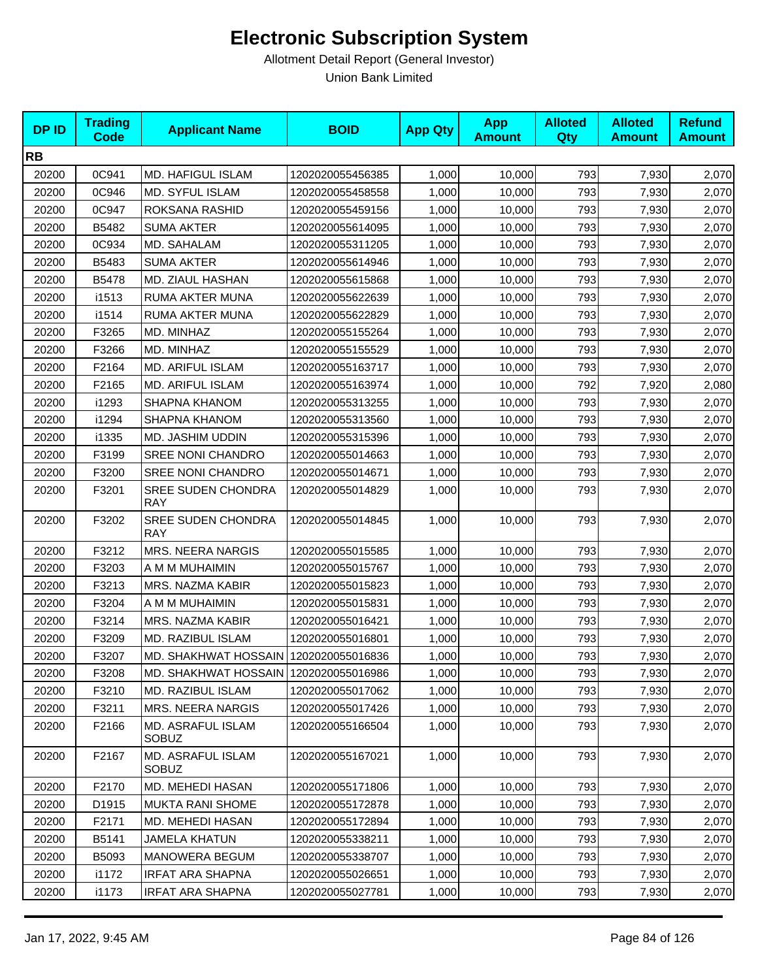| <b>DPID</b> | <b>Trading</b><br>Code | <b>Applicant Name</b>                   | <b>BOID</b>      | <b>App Qty</b> | <b>App</b><br><b>Amount</b> | <b>Alloted</b><br>Qty | <b>Alloted</b><br><b>Amount</b> | <b>Refund</b><br><b>Amount</b> |
|-------------|------------------------|-----------------------------------------|------------------|----------------|-----------------------------|-----------------------|---------------------------------|--------------------------------|
| <b>RB</b>   |                        |                                         |                  |                |                             |                       |                                 |                                |
| 20200       | 0C941                  | <b>MD. HAFIGUL ISLAM</b>                | 1202020055456385 | 1,000          | 10,000                      | 793                   | 7,930                           | 2,070                          |
| 20200       | 0C946                  | MD. SYFUL ISLAM                         | 1202020055458558 | 1,000          | 10,000                      | 793                   | 7,930                           | 2,070                          |
| 20200       | 0C947                  | ROKSANA RASHID                          | 1202020055459156 | 1,000          | 10,000                      | 793                   | 7,930                           | 2,070                          |
| 20200       | B5482                  | <b>SUMA AKTER</b>                       | 1202020055614095 | 1,000          | 10,000                      | 793                   | 7,930                           | 2,070                          |
| 20200       | 0C934                  | MD. SAHALAM                             | 1202020055311205 | 1,000          | 10,000                      | 793                   | 7,930                           | 2,070                          |
| 20200       | B5483                  | <b>SUMA AKTER</b>                       | 1202020055614946 | 1,000          | 10,000                      | 793                   | 7,930                           | 2,070                          |
| 20200       | B5478                  | MD. ZIAUL HASHAN                        | 1202020055615868 | 1,000          | 10,000                      | 793                   | 7,930                           | 2,070                          |
| 20200       | i1513                  | RUMA AKTER MUNA                         | 1202020055622639 | 1,000          | 10,000                      | 793                   | 7,930                           | 2,070                          |
| 20200       | i1514                  | RUMA AKTER MUNA                         | 1202020055622829 | 1,000          | 10,000                      | 793                   | 7,930                           | 2,070                          |
| 20200       | F3265                  | MD. MINHAZ                              | 1202020055155264 | 1,000          | 10,000                      | 793                   | 7,930                           | 2,070                          |
| 20200       | F3266                  | MD. MINHAZ                              | 1202020055155529 | 1,000          | 10,000                      | 793                   | 7,930                           | 2,070                          |
| 20200       | F2164                  | MD. ARIFUL ISLAM                        | 1202020055163717 | 1,000          | 10,000                      | 793                   | 7,930                           | 2,070                          |
| 20200       | F2165                  | MD. ARIFUL ISLAM                        | 1202020055163974 | 1,000          | 10,000                      | 792                   | 7,920                           | 2,080                          |
| 20200       | i1293                  | SHAPNA KHANOM                           | 1202020055313255 | 1,000          | 10,000                      | 793                   | 7,930                           | 2,070                          |
| 20200       | i1294                  | SHAPNA KHANOM                           | 1202020055313560 | 1,000          | 10,000                      | 793                   | 7,930                           | 2,070                          |
| 20200       | i1335                  | MD. JASHIM UDDIN                        | 1202020055315396 | 1,000          | 10,000                      | 793                   | 7,930                           | 2,070                          |
| 20200       | F3199                  | <b>SREE NONI CHANDRO</b>                | 1202020055014663 | 1,000          | 10,000                      | 793                   | 7,930                           | 2,070                          |
| 20200       | F3200                  | <b>SREE NONI CHANDRO</b>                | 1202020055014671 | 1,000          | 10,000                      | 793                   | 7,930                           | 2,070                          |
| 20200       | F3201                  | <b>SREE SUDEN CHONDRA</b><br><b>RAY</b> | 1202020055014829 | 1,000          | 10,000                      | 793                   | 7,930                           | 2,070                          |
| 20200       | F3202                  | SREE SUDEN CHONDRA<br><b>RAY</b>        | 1202020055014845 | 1,000          | 10,000                      | 793                   | 7,930                           | 2,070                          |
| 20200       | F3212                  | <b>MRS. NEERA NARGIS</b>                | 1202020055015585 | 1,000          | 10,000                      | 793                   | 7,930                           | 2,070                          |
| 20200       | F3203                  | A M M MUHAIMIN                          | 1202020055015767 | 1,000          | 10,000                      | 793                   | 7,930                           | 2,070                          |
| 20200       | F3213                  | MRS. NAZMA KABIR                        | 1202020055015823 | 1,000          | 10,000                      | 793                   | 7,930                           | 2,070                          |
| 20200       | F3204                  | A M M MUHAIMIN                          | 1202020055015831 | 1,000          | 10,000                      | 793                   | 7,930                           | 2,070                          |
| 20200       | F3214                  | MRS. NAZMA KABIR                        | 1202020055016421 | 1,000          | 10,000                      | 793                   | 7,930                           | 2,070                          |
| 20200       | F3209                  | MD. RAZIBUL ISLAM                       | 1202020055016801 | 1,000          | 10,000                      | 793                   | 7,930                           | 2,070                          |
| 20200       | F3207                  | MD. SHAKHWAT HOSSAIN                    | 1202020055016836 | 1,000          | 10,000                      | 793                   | 7,930                           | 2,070                          |
| 20200       | F3208                  | MD. SHAKHWAT HOSSAIN   1202020055016986 |                  | 1,000          | 10,000                      | 793                   | 7,930                           | 2,070                          |
| 20200       | F3210                  | MD. RAZIBUL ISLAM                       | 1202020055017062 | 1,000          | 10,000                      | 793                   | 7,930                           | 2,070                          |
| 20200       | F3211                  | MRS. NEERA NARGIS                       | 1202020055017426 | 1,000          | 10,000                      | 793                   | 7,930                           | 2,070                          |
| 20200       | F2166                  | MD. ASRAFUL ISLAM<br><b>SOBUZ</b>       | 1202020055166504 | 1,000          | 10,000                      | 793                   | 7,930                           | 2,070                          |
| 20200       | F2167                  | MD. ASRAFUL ISLAM<br><b>SOBUZ</b>       | 1202020055167021 | 1,000          | 10,000                      | 793                   | 7,930                           | 2,070                          |
| 20200       | F2170                  | MD. MEHEDI HASAN                        | 1202020055171806 | 1,000          | 10,000                      | 793                   | 7,930                           | 2,070                          |
| 20200       | D1915                  | <b>MUKTA RANI SHOME</b>                 | 1202020055172878 | 1,000          | 10,000                      | 793                   | 7,930                           | 2,070                          |
| 20200       | F2171                  | MD. MEHEDI HASAN                        | 1202020055172894 | 1,000          | 10,000                      | 793                   | 7,930                           | 2,070                          |
| 20200       | B5141                  | <b>JAMELA KHATUN</b>                    | 1202020055338211 | 1,000          | 10,000                      | 793                   | 7,930                           | 2,070                          |
| 20200       | B5093                  | MANOWERA BEGUM                          | 1202020055338707 | 1,000          | 10,000                      | 793                   | 7,930                           | 2,070                          |
| 20200       | i1172                  | <b>IRFAT ARA SHAPNA</b>                 | 1202020055026651 | 1,000          | 10,000                      | 793                   | 7,930                           | 2,070                          |
| 20200       | i1173                  | <b>IRFAT ARA SHAPNA</b>                 | 1202020055027781 | 1,000          | 10,000                      | 793                   | 7,930                           | 2,070                          |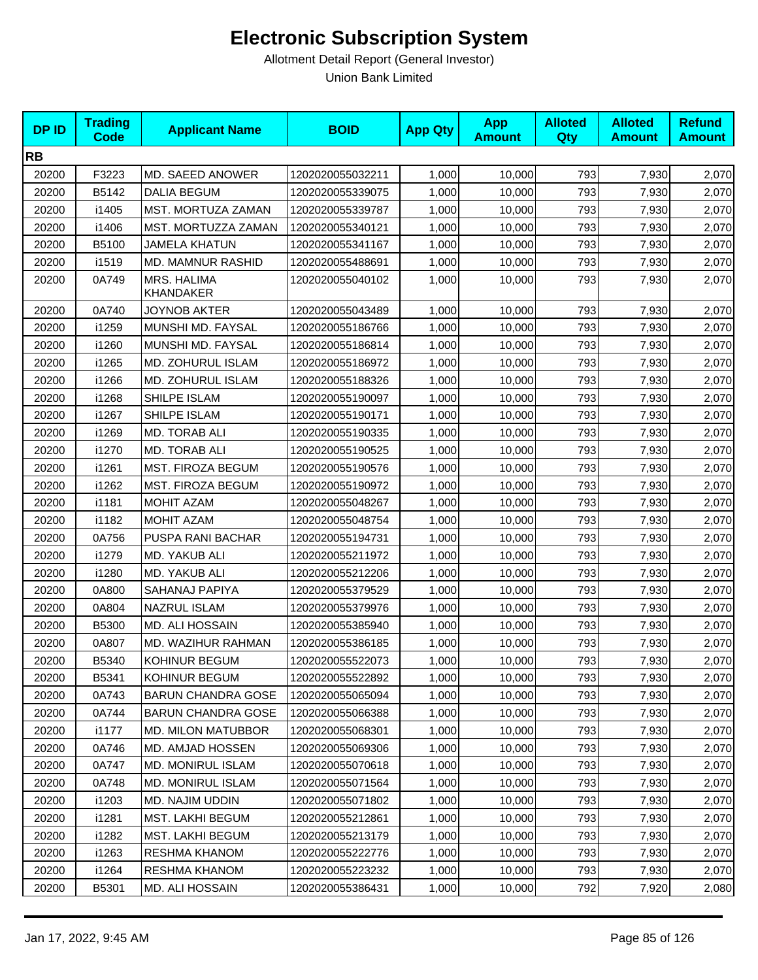| <b>DPID</b> | <b>Trading</b><br><b>Code</b> | <b>Applicant Name</b>           | <b>BOID</b>      | <b>App Qty</b> | <b>App</b><br><b>Amount</b> | <b>Alloted</b><br>Qty | <b>Alloted</b><br><b>Amount</b> | <b>Refund</b><br><b>Amount</b> |
|-------------|-------------------------------|---------------------------------|------------------|----------------|-----------------------------|-----------------------|---------------------------------|--------------------------------|
| <b>RB</b>   |                               |                                 |                  |                |                             |                       |                                 |                                |
| 20200       | F3223                         | MD. SAEED ANOWER                | 1202020055032211 | 1,000          | 10,000                      | 793                   | 7,930                           | 2,070                          |
| 20200       | B5142                         | <b>DALIA BEGUM</b>              | 1202020055339075 | 1,000          | 10,000                      | 793                   | 7,930                           | 2,070                          |
| 20200       | i1405                         | MST. MORTUZA ZAMAN              | 1202020055339787 | 1,000          | 10,000                      | 793                   | 7,930                           | 2,070                          |
| 20200       | i1406                         | MST. MORTUZZA ZAMAN             | 1202020055340121 | 1,000          | 10,000                      | 793                   | 7,930                           | 2,070                          |
| 20200       | B5100                         | <b>JAMELA KHATUN</b>            | 1202020055341167 | 1,000          | 10,000                      | 793                   | 7,930                           | 2,070                          |
| 20200       | i1519                         | MD. MAMNUR RASHID               | 1202020055488691 | 1,000          | 10,000                      | 793                   | 7,930                           | 2,070                          |
| 20200       | 0A749                         | MRS. HALIMA<br><b>KHANDAKER</b> | 1202020055040102 | 1,000          | 10,000                      | 793                   | 7,930                           | 2,070                          |
| 20200       | 0A740                         | <b>JOYNOB AKTER</b>             | 1202020055043489 | 1,000          | 10,000                      | 793                   | 7,930                           | 2,070                          |
| 20200       | i1259                         | MUNSHI MD. FAYSAL               | 1202020055186766 | 1,000          | 10,000                      | 793                   | 7,930                           | 2,070                          |
| 20200       | i1260                         | MUNSHI MD. FAYSAL               | 1202020055186814 | 1,000          | 10,000                      | 793                   | 7,930                           | 2,070                          |
| 20200       | i1265                         | MD. ZOHURUL ISLAM               | 1202020055186972 | 1,000          | 10,000                      | 793                   | 7,930                           | 2,070                          |
| 20200       | i1266                         | MD. ZOHURUL ISLAM               | 1202020055188326 | 1,000          | 10,000                      | 793                   | 7,930                           | 2,070                          |
| 20200       | i1268                         | SHILPE ISLAM                    | 1202020055190097 | 1,000          | 10,000                      | 793                   | 7,930                           | 2,070                          |
| 20200       | i1267                         | SHILPE ISLAM                    | 1202020055190171 | 1,000          | 10,000                      | 793                   | 7,930                           | 2,070                          |
| 20200       | i1269                         | MD. TORAB ALI                   | 1202020055190335 | 1,000          | 10,000                      | 793                   | 7,930                           | 2,070                          |
| 20200       | i1270                         | MD. TORAB ALI                   | 1202020055190525 | 1,000          | 10,000                      | 793                   | 7,930                           | 2,070                          |
| 20200       | i1261                         | MST. FIROZA BEGUM               | 1202020055190576 | 1,000          | 10,000                      | 793                   | 7,930                           | 2,070                          |
| 20200       | i1262                         | MST. FIROZA BEGUM               | 1202020055190972 | 1,000          | 10,000                      | 793                   | 7,930                           | 2,070                          |
| 20200       | i1181                         | MOHIT AZAM                      | 1202020055048267 | 1,000          | 10,000                      | 793                   | 7,930                           | 2,070                          |
| 20200       | i1182                         | <b>MOHIT AZAM</b>               | 1202020055048754 | 1,000          | 10,000                      | 793                   | 7,930                           | 2,070                          |
| 20200       | 0A756                         | PUSPA RANI BACHAR               | 1202020055194731 | 1,000          | 10,000                      | 793                   | 7,930                           | 2,070                          |
| 20200       | i1279                         | MD. YAKUB ALI                   | 1202020055211972 | 1,000          | 10,000                      | 793                   | 7,930                           | 2,070                          |
| 20200       | i1280                         | MD. YAKUB ALI                   | 1202020055212206 | 1,000          | 10,000                      | 793                   | 7,930                           | 2,070                          |
| 20200       | 0A800                         | SAHANAJ PAPIYA                  | 1202020055379529 | 1,000          | 10,000                      | 793                   | 7,930                           | 2,070                          |
| 20200       | 0A804                         | <b>NAZRUL ISLAM</b>             | 1202020055379976 | 1,000          | 10,000                      | 793                   | 7,930                           | 2,070                          |
| 20200       | B5300                         | MD. ALI HOSSAIN                 | 1202020055385940 | 1,000          | 10,000                      | 793                   | 7,930                           | 2,070                          |
| 20200       | 0A807                         | MD. WAZIHUR RAHMAN              | 1202020055386185 | 1,000          | 10,000                      | 793                   | 7,930                           | 2,070                          |
| 20200       | B5340                         | KOHINUR BEGUM                   | 1202020055522073 | 1,000          | 10,000                      | 793                   | 7,930                           | 2,070                          |
| 20200       | B5341                         | KOHINUR BEGUM                   | 1202020055522892 | 1,000          | 10,000                      | 793                   | 7,930                           | 2,070                          |
| 20200       | 0A743                         | <b>BARUN CHANDRA GOSE</b>       | 1202020055065094 | 1,000          | 10,000                      | 793                   | 7,930                           | 2,070                          |
| 20200       | 0A744                         | <b>BARUN CHANDRA GOSE</b>       | 1202020055066388 | 1,000          | 10,000                      | 793                   | 7,930                           | 2,070                          |
| 20200       | i1177                         | <b>MD. MILON MATUBBOR</b>       | 1202020055068301 | 1,000          | 10,000                      | 793                   | 7,930                           | 2,070                          |
| 20200       | 0A746                         | MD. AMJAD HOSSEN                | 1202020055069306 | 1,000          | 10,000                      | 793                   | 7,930                           | 2,070                          |
| 20200       | 0A747                         | <b>MD. MONIRUL ISLAM</b>        | 1202020055070618 | 1,000          | 10,000                      | 793                   | 7,930                           | 2,070                          |
| 20200       | 0A748                         | <b>MD. MONIRUL ISLAM</b>        | 1202020055071564 | 1,000          | 10,000                      | 793                   | 7,930                           | 2,070                          |
| 20200       | i1203                         | MD. NAJIM UDDIN                 | 1202020055071802 | 1,000          | 10,000                      | 793                   | 7,930                           | 2,070                          |
| 20200       | i1281                         | MST. LAKHI BEGUM                | 1202020055212861 | 1,000          | 10,000                      | 793                   | 7,930                           | 2,070                          |
| 20200       | i1282                         | <b>MST. LAKHI BEGUM</b>         | 1202020055213179 | 1,000          | 10,000                      | 793                   | 7,930                           | 2,070                          |
| 20200       | i1263                         | RESHMA KHANOM                   | 1202020055222776 | 1,000          | 10,000                      | 793                   | 7,930                           | 2,070                          |
| 20200       | i1264                         | RESHMA KHANOM                   | 1202020055223232 | 1,000          | 10,000                      | 793                   | 7,930                           | 2,070                          |
| 20200       | B5301                         | MD. ALI HOSSAIN                 | 1202020055386431 | 1,000          | 10,000                      | 792                   | 7,920                           | 2,080                          |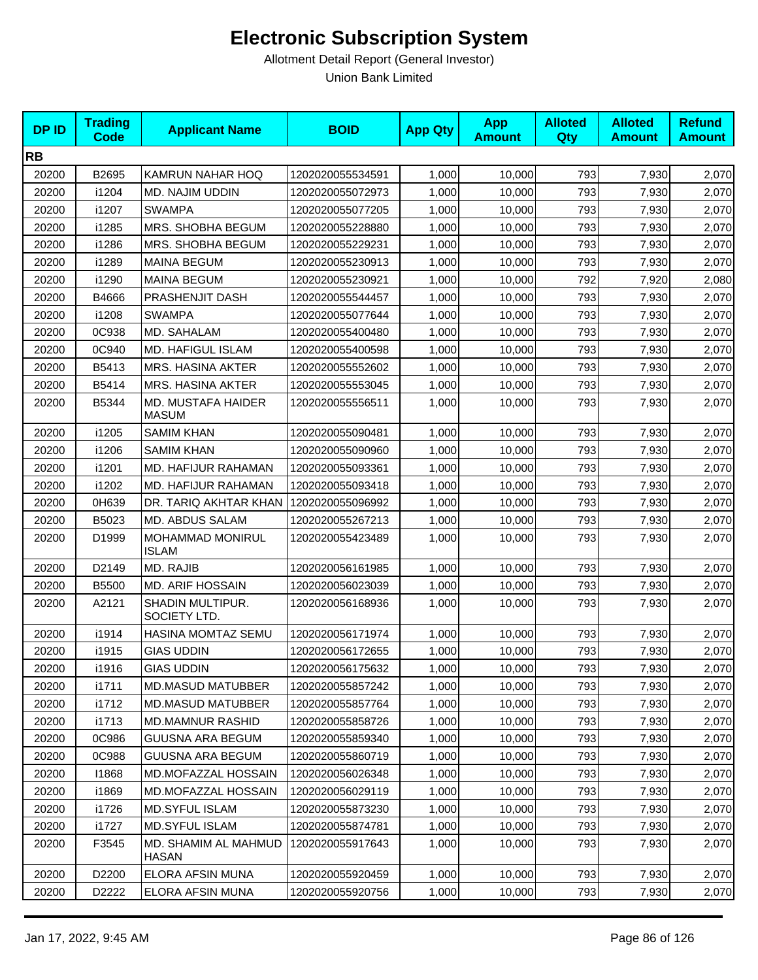| <b>DPID</b> | <b>Trading</b><br><b>Code</b> | <b>Applicant Name</b>                | <b>BOID</b>      | <b>App Qty</b> | <b>App</b><br><b>Amount</b> | <b>Alloted</b><br>Qty | <b>Alloted</b><br><b>Amount</b> | <b>Refund</b><br><b>Amount</b> |
|-------------|-------------------------------|--------------------------------------|------------------|----------------|-----------------------------|-----------------------|---------------------------------|--------------------------------|
| <b>RB</b>   |                               |                                      |                  |                |                             |                       |                                 |                                |
| 20200       | B2695                         | KAMRUN NAHAR HOQ                     | 1202020055534591 | 1,000          | 10,000                      | 793                   | 7,930                           | 2,070                          |
| 20200       | i1204                         | MD. NAJIM UDDIN                      | 1202020055072973 | 1,000          | 10.000                      | 793                   | 7,930                           | 2,070                          |
| 20200       | i1207                         | <b>SWAMPA</b>                        | 1202020055077205 | 1,000          | 10,000                      | 793                   | 7,930                           | 2,070                          |
| 20200       | i1285                         | MRS. SHOBHA BEGUM                    | 1202020055228880 | 1,000          | 10,000                      | 793                   | 7,930                           | 2,070                          |
| 20200       | i1286                         | MRS. SHOBHA BEGUM                    | 1202020055229231 | 1,000          | 10,000                      | 793                   | 7,930                           | 2,070                          |
| 20200       | i1289                         | <b>MAINA BEGUM</b>                   | 1202020055230913 | 1,000          | 10,000                      | 793                   | 7,930                           | 2,070                          |
| 20200       | i1290                         | <b>MAINA BEGUM</b>                   | 1202020055230921 | 1,000          | 10,000                      | 792                   | 7,920                           | 2,080                          |
| 20200       | B4666                         | PRASHENJIT DASH                      | 1202020055544457 | 1,000          | 10,000                      | 793                   | 7,930                           | 2,070                          |
| 20200       | i1208                         | <b>SWAMPA</b>                        | 1202020055077644 | 1,000          | 10,000                      | 793                   | 7,930                           | 2,070                          |
| 20200       | 0C938                         | MD. SAHALAM                          | 1202020055400480 | 1,000          | 10,000                      | 793                   | 7,930                           | 2,070                          |
| 20200       | 0C940                         | MD. HAFIGUL ISLAM                    | 1202020055400598 | 1,000          | 10,000                      | 793                   | 7,930                           | 2,070                          |
| 20200       | B5413                         | <b>MRS. HASINA AKTER</b>             | 1202020055552602 | 1,000          | 10,000                      | 793                   | 7,930                           | 2,070                          |
| 20200       | B5414                         | MRS. HASINA AKTER                    | 1202020055553045 | 1,000          | 10,000                      | 793                   | 7,930                           | 2,070                          |
| 20200       | B5344                         | MD. MUSTAFA HAIDER<br><b>MASUM</b>   | 1202020055556511 | 1,000          | 10,000                      | 793                   | 7,930                           | 2,070                          |
| 20200       | i1205                         | <b>SAMIM KHAN</b>                    | 1202020055090481 | 1,000          | 10,000                      | 793                   | 7,930                           | 2,070                          |
| 20200       | i1206                         | <b>SAMIM KHAN</b>                    | 1202020055090960 | 1,000          | 10,000                      | 793                   | 7,930                           | 2,070                          |
| 20200       | i1201                         | MD. HAFIJUR RAHAMAN                  | 1202020055093361 | 1,000          | 10,000                      | 793                   | 7,930                           | 2,070                          |
| 20200       | i1202                         | MD. HAFIJUR RAHAMAN                  | 1202020055093418 | 1,000          | 10,000                      | 793                   | 7,930                           | 2,070                          |
| 20200       | 0H639                         | DR. TARIQ AKHTAR KHAN                | 1202020055096992 | 1,000          | 10,000                      | 793                   | 7,930                           | 2,070                          |
| 20200       | B5023                         | MD. ABDUS SALAM                      | 1202020055267213 | 1,000          | 10,000                      | 793                   | 7,930                           | 2,070                          |
| 20200       | D1999                         | MOHAMMAD MONIRUL<br><b>ISLAM</b>     | 1202020055423489 | 1,000          | 10,000                      | 793                   | 7,930                           | 2,070                          |
| 20200       | D2149                         | MD. RAJIB                            | 1202020056161985 | 1,000          | 10,000                      | 793                   | 7,930                           | 2,070                          |
| 20200       | B5500                         | <b>MD. ARIF HOSSAIN</b>              | 1202020056023039 | 1,000          | 10,000                      | 793                   | 7,930                           | 2,070                          |
| 20200       | A2121                         | SHADIN MULTIPUR.<br>SOCIETY LTD.     | 1202020056168936 | 1,000          | 10,000                      | 793                   | 7,930                           | 2,070                          |
| 20200       | i1914                         | HASINA MOMTAZ SEMU                   | 1202020056171974 | 1,000          | 10,000                      | 793                   | 7,930                           | 2,070                          |
| 20200       | i1915                         | <b>GIAS UDDIN</b>                    | 1202020056172655 | 1,000          | 10,000                      | 793                   | 7,930                           | 2,070                          |
| 20200       | i1916                         | <b>GIAS UDDIN</b>                    | 1202020056175632 | 1,000          | 10,000                      | 793                   | 7,930                           | 2,070                          |
| 20200       | i1711                         | <b>MD.MASUD MATUBBER</b>             | 1202020055857242 | 1,000          | 10,000                      | 793                   | 7,930                           | 2,070                          |
| 20200       | i1712                         | <b>MD.MASUD MATUBBER</b>             | 1202020055857764 | 1,000          | 10,000                      | 793                   | 7,930                           | 2,070                          |
| 20200       | i1713                         | <b>MD.MAMNUR RASHID</b>              | 1202020055858726 | 1,000          | 10,000                      | 793                   | 7,930                           | 2,070                          |
| 20200       | 0C986                         | GUUSNA ARA BEGUM                     | 1202020055859340 | 1,000          | 10,000                      | 793                   | 7,930                           | 2,070                          |
| 20200       | 0C988                         | <b>GUUSNA ARA BEGUM</b>              | 1202020055860719 | 1,000          | 10,000                      | 793                   | 7,930                           | 2,070                          |
| 20200       | 11868                         | <b>MD.MOFAZZAL HOSSAIN</b>           | 1202020056026348 | 1,000          | 10,000                      | 793                   | 7,930                           | 2,070                          |
| 20200       | i1869                         | <b>MD.MOFAZZAL HOSSAIN</b>           | 1202020056029119 | 1,000          | 10,000                      | 793                   | 7,930                           | 2,070                          |
| 20200       | i1726                         | MD.SYFUL ISLAM                       | 1202020055873230 | 1,000          | 10,000                      | 793                   | 7,930                           | 2,070                          |
| 20200       | i1727                         | MD.SYFUL ISLAM                       | 1202020055874781 | 1,000          | 10,000                      | 793                   | 7,930                           | 2,070                          |
| 20200       | F3545                         | MD. SHAMIM AL MAHMUD<br><b>HASAN</b> | 1202020055917643 | 1,000          | 10,000                      | 793                   | 7,930                           | 2,070                          |
| 20200       | D2200                         | ELORA AFSIN MUNA                     | 1202020055920459 | 1,000          | 10,000                      | 793                   | 7,930                           | 2,070                          |
| 20200       | D2222                         | ELORA AFSIN MUNA                     | 1202020055920756 | 1,000          | 10,000                      | 793                   | 7,930                           | 2,070                          |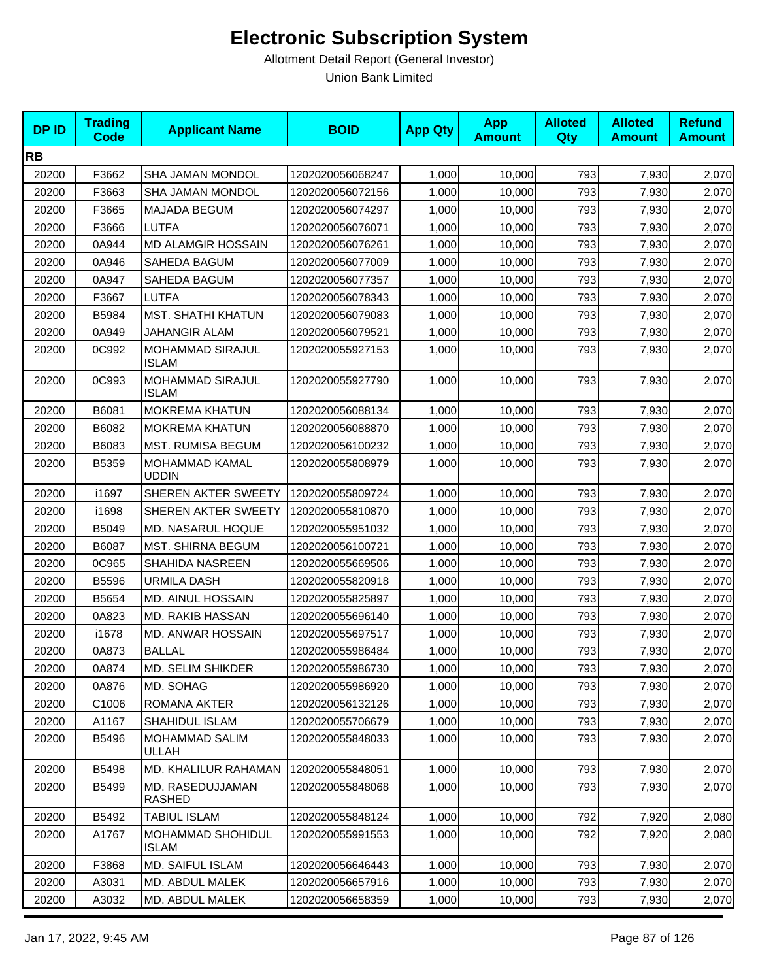| <b>DPID</b> | <b>Trading</b><br>Code | <b>Applicant Name</b>             | <b>BOID</b>      | <b>App Qty</b> | <b>App</b><br><b>Amount</b> | <b>Alloted</b><br><b>Qty</b> | <b>Alloted</b><br><b>Amount</b> | <b>Refund</b><br><b>Amount</b> |
|-------------|------------------------|-----------------------------------|------------------|----------------|-----------------------------|------------------------------|---------------------------------|--------------------------------|
| <b>RB</b>   |                        |                                   |                  |                |                             |                              |                                 |                                |
| 20200       | F3662                  | SHA JAMAN MONDOL                  | 1202020056068247 | 1,000          | 10,000                      | 793                          | 7,930                           | 2,070                          |
| 20200       | F3663                  | <b>SHA JAMAN MONDOL</b>           | 1202020056072156 | 1,000          | 10,000                      | 793                          | 7,930                           | 2,070                          |
| 20200       | F3665                  | <b>MAJADA BEGUM</b>               | 1202020056074297 | 1,000          | 10,000                      | 793                          | 7,930                           | 2,070                          |
| 20200       | F3666                  | <b>LUTFA</b>                      | 1202020056076071 | 1,000          | 10,000                      | 793                          | 7,930                           | 2,070                          |
| 20200       | 0A944                  | <b>MD ALAMGIR HOSSAIN</b>         | 1202020056076261 | 1,000          | 10,000                      | 793                          | 7,930                           | 2,070                          |
| 20200       | 0A946                  | SAHEDA BAGUM                      | 1202020056077009 | 1,000          | 10,000                      | 793                          | 7,930                           | 2,070                          |
| 20200       | 0A947                  | SAHEDA BAGUM                      | 1202020056077357 | 1,000          | 10,000                      | 793                          | 7,930                           | 2,070                          |
| 20200       | F3667                  | LUTFA                             | 1202020056078343 | 1,000          | 10,000                      | 793                          | 7,930                           | 2,070                          |
| 20200       | B5984                  | <b>MST. SHATHI KHATUN</b>         | 1202020056079083 | 1,000          | 10,000                      | 793                          | 7,930                           | 2,070                          |
| 20200       | 0A949                  | JAHANGIR ALAM                     | 1202020056079521 | 1,000          | 10,000                      | 793                          | 7,930                           | 2,070                          |
| 20200       | 0C992                  | MOHAMMAD SIRAJUL<br><b>ISLAM</b>  | 1202020055927153 | 1,000          | 10,000                      | 793                          | 7,930                           | 2,070                          |
| 20200       | 0C993                  | MOHAMMAD SIRAJUL<br><b>ISLAM</b>  | 1202020055927790 | 1,000          | 10,000                      | 793                          | 7,930                           | 2,070                          |
| 20200       | B6081                  | <b>MOKREMA KHATUN</b>             | 1202020056088134 | 1,000          | 10,000                      | 793                          | 7,930                           | 2,070                          |
| 20200       | B6082                  | <b>MOKREMA KHATUN</b>             | 1202020056088870 | 1,000          | 10,000                      | 793                          | 7,930                           | 2,070                          |
| 20200       | B6083                  | <b>MST. RUMISA BEGUM</b>          | 1202020056100232 | 1,000          | 10,000                      | 793                          | 7,930                           | 2,070                          |
| 20200       | B5359                  | MOHAMMAD KAMAL<br><b>UDDIN</b>    | 1202020055808979 | 1,000          | 10,000                      | 793                          | 7,930                           | 2,070                          |
| 20200       | i1697                  | SHEREN AKTER SWEETY               | 1202020055809724 | 1,000          | 10,000                      | 793                          | 7,930                           | 2,070                          |
| 20200       | i1698                  | SHEREN AKTER SWEETY               | 1202020055810870 | 1,000          | 10,000                      | 793                          | 7,930                           | 2,070                          |
| 20200       | B5049                  | MD. NASARUL HOQUE                 | 1202020055951032 | 1,000          | 10,000                      | 793                          | 7,930                           | 2,070                          |
| 20200       | B6087                  | <b>MST. SHIRNA BEGUM</b>          | 1202020056100721 | 1,000          | 10,000                      | 793                          | 7,930                           | 2,070                          |
| 20200       | 0C965                  | <b>SHAHIDA NASREEN</b>            | 1202020055669506 | 1,000          | 10,000                      | 793                          | 7,930                           | 2,070                          |
| 20200       | B5596                  | <b>URMILA DASH</b>                | 1202020055820918 | 1,000          | 10,000                      | 793                          | 7,930                           | 2,070                          |
| 20200       | B5654                  | MD. AINUL HOSSAIN                 | 1202020055825897 | 1,000          | 10,000                      | 793                          | 7,930                           | 2,070                          |
| 20200       | 0A823                  | MD. RAKIB HASSAN                  | 1202020055696140 | 1,000          | 10,000                      | 793                          | 7,930                           | 2,070                          |
| 20200       | i1678                  | MD. ANWAR HOSSAIN                 | 1202020055697517 | 1,000          | 10,000                      | 793                          | 7,930                           | 2,070                          |
| 20200       | 0A873                  | <b>BALLAL</b>                     | 1202020055986484 | 1,000          | 10,000                      | 793                          | 7,930                           | 2,070                          |
| 20200       | 0A874                  | MD. SELIM SHIKDER                 | 1202020055986730 | 1,000          | 10,000                      | 793                          | 7,930                           | 2,070                          |
| 20200       | 0A876                  | MD. SOHAG                         | 1202020055986920 | 1,000          | 10,000                      | 793                          | 7,930                           | 2,070                          |
| 20200       | C1006                  | ROMANA AKTER                      | 1202020056132126 | 1,000          | 10,000                      | 793                          | 7,930                           | 2,070                          |
| 20200       | A1167                  | SHAHIDUL ISLAM                    | 1202020055706679 | 1,000          | 10,000                      | 793                          | 7,930                           | 2,070                          |
| 20200       | B5496                  | <b>MOHAMMAD SALIM</b><br>ULLAH    | 1202020055848033 | 1,000          | 10,000                      | 793                          | 7,930                           | 2,070                          |
| 20200       | B5498                  | MD. KHALILUR RAHAMAN              | 1202020055848051 | 1,000          | 10,000                      | 793                          | 7,930                           | 2,070                          |
| 20200       | B5499                  | MD. RASEDUJJAMAN<br>RASHED        | 1202020055848068 | 1,000          | 10.000                      | 793                          | 7,930                           | 2,070                          |
| 20200       | B5492                  | TABIUL ISLAM                      | 1202020055848124 | 1,000          | 10,000                      | 792                          | 7,920                           | 2,080                          |
| 20200       | A1767                  | MOHAMMAD SHOHIDUL<br><b>ISLAM</b> | 1202020055991553 | 1,000          | 10,000                      | 792                          | 7,920                           | 2,080                          |
| 20200       | F3868                  | <b>MD. SAIFUL ISLAM</b>           | 1202020056646443 | 1,000          | 10,000                      | 793                          | 7,930                           | 2,070                          |
| 20200       | A3031                  | MD. ABDUL MALEK                   | 1202020056657916 | 1,000          | 10,000                      | 793                          | 7,930                           | 2,070                          |
| 20200       | A3032                  | MD. ABDUL MALEK                   | 1202020056658359 | 1,000          | 10,000                      | 793                          | 7,930                           | 2,070                          |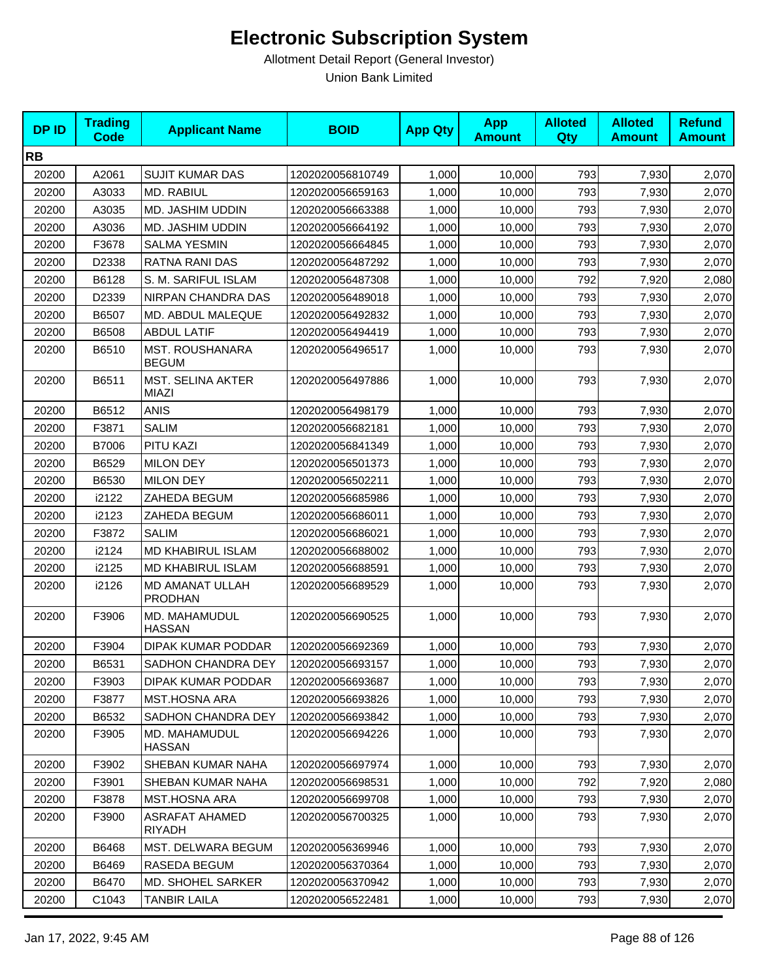| <b>DPID</b> | <b>Trading</b><br>Code | <b>Applicant Name</b>                    | <b>BOID</b>      | <b>App Qty</b> | <b>App</b><br><b>Amount</b> | <b>Alloted</b><br><b>Qty</b> | <b>Alloted</b><br><b>Amount</b> | <b>Refund</b><br><b>Amount</b> |
|-------------|------------------------|------------------------------------------|------------------|----------------|-----------------------------|------------------------------|---------------------------------|--------------------------------|
| <b>RB</b>   |                        |                                          |                  |                |                             |                              |                                 |                                |
| 20200       | A2061                  | <b>SUJIT KUMAR DAS</b>                   | 1202020056810749 | 1,000          | 10,000                      | 793                          | 7,930                           | 2,070                          |
| 20200       | A3033                  | MD. RABIUL                               | 1202020056659163 | 1,000          | 10,000                      | 793                          | 7,930                           | 2,070                          |
| 20200       | A3035                  | MD. JASHIM UDDIN                         | 1202020056663388 | 1,000          | 10,000                      | 793                          | 7,930                           | 2,070                          |
| 20200       | A3036                  | MD. JASHIM UDDIN                         | 1202020056664192 | 1,000          | 10,000                      | 793                          | 7,930                           | 2,070                          |
| 20200       | F3678                  | <b>SALMA YESMIN</b>                      | 1202020056664845 | 1,000          | 10,000                      | 793                          | 7,930                           | 2,070                          |
| 20200       | D2338                  | RATNA RANI DAS                           | 1202020056487292 | 1,000          | 10,000                      | 793                          | 7,930                           | 2,070                          |
| 20200       | B6128                  | S. M. SARIFUL ISLAM                      | 1202020056487308 | 1,000          | 10,000                      | 792                          | 7,920                           | 2,080                          |
| 20200       | D2339                  | NIRPAN CHANDRA DAS                       | 1202020056489018 | 1,000          | 10,000                      | 793                          | 7,930                           | 2,070                          |
| 20200       | B6507                  | MD. ABDUL MALEQUE                        | 1202020056492832 | 1,000          | 10,000                      | 793                          | 7,930                           | 2,070                          |
| 20200       | B6508                  | <b>ABDUL LATIF</b>                       | 1202020056494419 | 1,000          | 10,000                      | 793                          | 7,930                           | 2,070                          |
| 20200       | B6510                  | <b>MST. ROUSHANARA</b><br><b>BEGUM</b>   | 1202020056496517 | 1,000          | 10,000                      | 793                          | 7,930                           | 2,070                          |
| 20200       | B6511                  | <b>MST. SELINA AKTER</b><br><b>MIAZI</b> | 1202020056497886 | 1,000          | 10,000                      | 793                          | 7,930                           | 2,070                          |
| 20200       | B6512                  | <b>ANIS</b>                              | 1202020056498179 | 1,000          | 10,000                      | 793                          | 7,930                           | 2,070                          |
| 20200       | F3871                  | <b>SALIM</b>                             | 1202020056682181 | 1,000          | 10,000                      | 793                          | 7,930                           | 2,070                          |
| 20200       | B7006                  | PITU KAZI                                | 1202020056841349 | 1,000          | 10,000                      | 793                          | 7,930                           | 2,070                          |
| 20200       | B6529                  | <b>MILON DEY</b>                         | 1202020056501373 | 1,000          | 10,000                      | 793                          | 7,930                           | 2,070                          |
| 20200       | B6530                  | <b>MILON DEY</b>                         | 1202020056502211 | 1,000          | 10,000                      | 793                          | 7,930                           | 2,070                          |
| 20200       | i2122                  | ZAHEDA BEGUM                             | 1202020056685986 | 1,000          | 10,000                      | 793                          | 7,930                           | 2,070                          |
| 20200       | i2123                  | ZAHEDA BEGUM                             | 1202020056686011 | 1,000          | 10,000                      | 793                          | 7,930                           | 2,070                          |
| 20200       | F3872                  | <b>SALIM</b>                             | 1202020056686021 | 1,000          | 10,000                      | 793                          | 7,930                           | 2,070                          |
| 20200       | i2124                  | MD KHABIRUL ISLAM                        | 1202020056688002 | 1,000          | 10,000                      | 793                          | 7,930                           | 2,070                          |
| 20200       | i2125                  | MD KHABIRUL ISLAM                        | 1202020056688591 | 1,000          | 10,000                      | 793                          | 7,930                           | 2,070                          |
| 20200       | i2126                  | MD AMANAT ULLAH<br><b>PRODHAN</b>        | 1202020056689529 | 1,000          | 10,000                      | 793                          | 7,930                           | 2,070                          |
| 20200       | F3906                  | MD. MAHAMUDUL<br><b>HASSAN</b>           | 1202020056690525 | 1,000          | 10,000                      | 793                          | 7,930                           | 2,070                          |
| 20200       | F3904                  | DIPAK KUMAR PODDAR                       | 1202020056692369 | 1,000          | 10,000                      | 793                          | 7,930                           | 2,070                          |
| 20200       | B6531                  | SADHON CHANDRA DEY                       | 1202020056693157 | 1,000          | 10,000                      | 793                          | 7,930                           | 2,070                          |
| 20200       | F3903                  | DIPAK KUMAR PODDAR                       | 1202020056693687 | 1,000          | 10,000                      | 793                          | 7,930                           | 2,070                          |
| 20200       | F3877                  | MST.HOSNA ARA                            | 1202020056693826 | 1,000          | 10,000                      | 793                          | 7,930                           | 2,070                          |
| 20200       | B6532                  | SADHON CHANDRA DEY                       | 1202020056693842 | 1,000          | 10,000                      | 793                          | 7,930                           | 2,070                          |
| 20200       | F3905                  | MD. MAHAMUDUL<br><b>HASSAN</b>           | 1202020056694226 | 1,000          | 10,000                      | 793                          | 7,930                           | 2,070                          |
| 20200       | F3902                  | SHEBAN KUMAR NAHA                        | 1202020056697974 | 1,000          | 10,000                      | 793                          | 7,930                           | 2,070                          |
| 20200       | F3901                  | SHEBAN KUMAR NAHA                        | 1202020056698531 | 1,000          | 10,000                      | 792                          | 7,920                           | 2,080                          |
| 20200       | F3878                  | <b>MST.HOSNA ARA</b>                     | 1202020056699708 | 1,000          | 10,000                      | 793                          | 7,930                           | 2,070                          |
| 20200       | F3900                  | ASRAFAT AHAMED<br>RIYADH                 | 1202020056700325 | 1,000          | 10,000                      | 793                          | 7,930                           | 2,070                          |
| 20200       | B6468                  | MST. DELWARA BEGUM                       | 1202020056369946 | 1,000          | 10,000                      | 793                          | 7,930                           | 2,070                          |
| 20200       | B6469                  | RASEDA BEGUM                             | 1202020056370364 | 1,000          | 10,000                      | 793                          | 7,930                           | 2,070                          |
| 20200       | B6470                  | <b>MD. SHOHEL SARKER</b>                 | 1202020056370942 | 1,000          | 10,000                      | 793                          | 7,930                           | 2,070                          |
| 20200       | C1043                  | <b>TANBIR LAILA</b>                      | 1202020056522481 | 1,000          | 10,000                      | 793                          | 7,930                           | 2,070                          |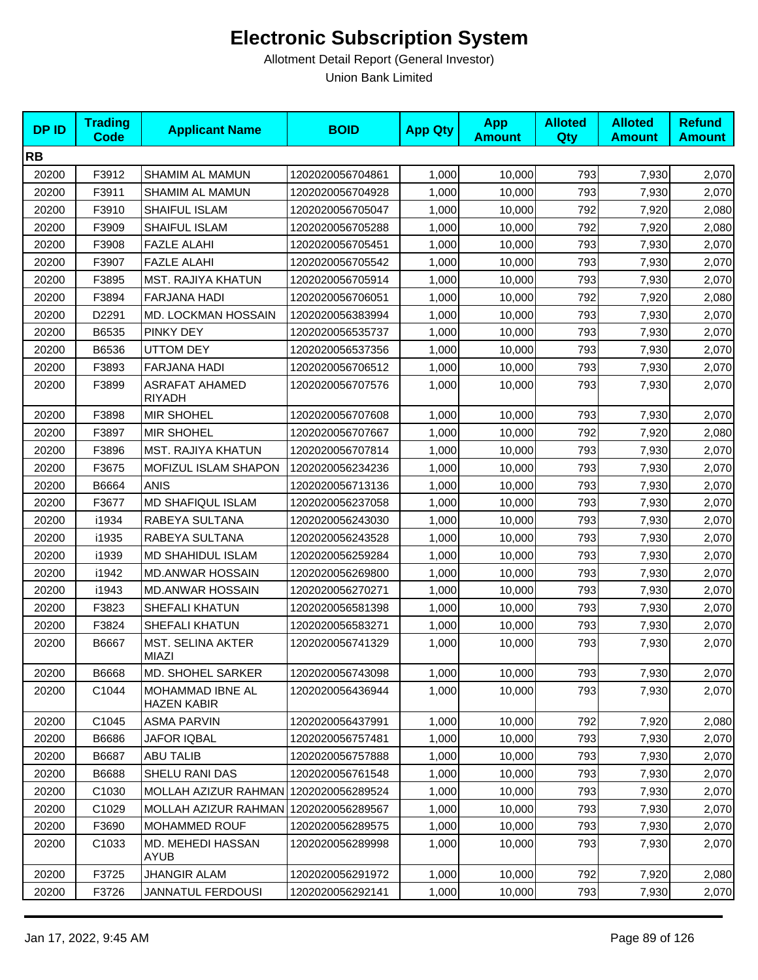| <b>DPID</b> | <b>Trading</b><br>Code | <b>Applicant Name</b>                  | <b>BOID</b>      | <b>App Qty</b> | <b>App</b><br><b>Amount</b> | <b>Alloted</b><br><b>Qty</b> | <b>Alloted</b><br><b>Amount</b> | <b>Refund</b><br><b>Amount</b> |
|-------------|------------------------|----------------------------------------|------------------|----------------|-----------------------------|------------------------------|---------------------------------|--------------------------------|
| <b>RB</b>   |                        |                                        |                  |                |                             |                              |                                 |                                |
| 20200       | F3912                  | SHAMIM AL MAMUN                        | 1202020056704861 | 1,000          | 10,000                      | 793                          | 7,930                           | 2,070                          |
| 20200       | F3911                  | SHAMIM AL MAMUN                        | 1202020056704928 | 1,000          | 10,000                      | 793                          | 7,930                           | 2,070                          |
| 20200       | F3910                  | SHAIFUL ISLAM                          | 1202020056705047 | 1,000          | 10,000                      | 792                          | 7,920                           | 2,080                          |
| 20200       | F3909                  | SHAIFUL ISLAM                          | 1202020056705288 | 1,000          | 10,000                      | 792                          | 7,920                           | 2,080                          |
| 20200       | F3908                  | <b>FAZLE ALAHI</b>                     | 1202020056705451 | 1,000          | 10,000                      | 793                          | 7,930                           | 2,070                          |
| 20200       | F3907                  | <b>FAZLE ALAHI</b>                     | 1202020056705542 | 1,000          | 10,000                      | 793                          | 7,930                           | 2,070                          |
| 20200       | F3895                  | <b>MST. RAJIYA KHATUN</b>              | 1202020056705914 | 1,000          | 10,000                      | 793                          | 7,930                           | 2,070                          |
| 20200       | F3894                  | FARJANA HADI                           | 1202020056706051 | 1,000          | 10,000                      | 792                          | 7,920                           | 2,080                          |
| 20200       | D2291                  | MD. LOCKMAN HOSSAIN                    | 1202020056383994 | 1,000          | 10,000                      | 793                          | 7,930                           | 2,070                          |
| 20200       | B6535                  | PINKY DEY                              | 1202020056535737 | 1,000          | 10,000                      | 793                          | 7,930                           | 2,070                          |
| 20200       | B6536                  | <b>UTTOM DEY</b>                       | 1202020056537356 | 1,000          | 10,000                      | 793                          | 7,930                           | 2,070                          |
| 20200       | F3893                  | <b>FARJANA HADI</b>                    | 1202020056706512 | 1,000          | 10,000                      | 793                          | 7,930                           | 2,070                          |
| 20200       | F3899                  | <b>ASRAFAT AHAMED</b><br><b>RIYADH</b> | 1202020056707576 | 1,000          | 10,000                      | 793                          | 7,930                           | 2,070                          |
| 20200       | F3898                  | <b>MIR SHOHEL</b>                      | 1202020056707608 | 1,000          | 10,000                      | 793                          | 7,930                           | 2,070                          |
| 20200       | F3897                  | <b>MIR SHOHEL</b>                      | 1202020056707667 | 1,000          | 10,000                      | 792                          | 7,920                           | 2,080                          |
| 20200       | F3896                  | <b>MST. RAJIYA KHATUN</b>              | 1202020056707814 | 1,000          | 10,000                      | 793                          | 7,930                           | 2,070                          |
| 20200       | F3675                  | MOFIZUL ISLAM SHAPON                   | 1202020056234236 | 1,000          | 10,000                      | 793                          | 7,930                           | 2,070                          |
| 20200       | B6664                  | <b>ANIS</b>                            | 1202020056713136 | 1,000          | 10,000                      | 793                          | 7,930                           | 2,070                          |
| 20200       | F3677                  | <b>MD SHAFIQUL ISLAM</b>               | 1202020056237058 | 1,000          | 10,000                      | 793                          | 7,930                           | 2,070                          |
| 20200       | i1934                  | RABEYA SULTANA                         | 1202020056243030 | 1,000          | 10,000                      | 793                          | 7,930                           | 2,070                          |
| 20200       | i1935                  | RABEYA SULTANA                         | 1202020056243528 | 1,000          | 10,000                      | 793                          | 7,930                           | 2,070                          |
| 20200       | i1939                  | <b>MD SHAHIDUL ISLAM</b>               | 1202020056259284 | 1,000          | 10,000                      | 793                          | 7,930                           | 2,070                          |
| 20200       | i1942                  | <b>MD.ANWAR HOSSAIN</b>                | 1202020056269800 | 1,000          | 10,000                      | 793                          | 7,930                           | 2,070                          |
| 20200       | i1943                  | <b>MD.ANWAR HOSSAIN</b>                | 1202020056270271 | 1,000          | 10,000                      | 793                          | 7,930                           | 2,070                          |
| 20200       | F3823                  | SHEFALI KHATUN                         | 1202020056581398 | 1,000          | 10,000                      | 793                          | 7,930                           | 2,070                          |
| 20200       | F3824                  | SHEFALI KHATUN                         | 1202020056583271 | 1,000          | 10,000                      | 793                          | 7,930                           | 2,070                          |
| 20200       | B6667                  | MST. SELINA AKTER<br>MIAZI             | 1202020056741329 | 1,000          | 10,000                      | 793                          | 7,930                           | 2,070                          |
| 20200       | B6668                  | MD. SHOHEL SARKER                      | 1202020056743098 | 1,000          | 10,000                      | 793                          | 7,930                           | 2,070                          |
| 20200       | C1044                  | MOHAMMAD IBNE AL<br>HAZEN KABIR        | 1202020056436944 | 1,000          | 10,000                      | 793                          | 7,930                           | 2,070                          |
| 20200       | C1045                  | <b>ASMA PARVIN</b>                     | 1202020056437991 | 1,000          | 10,000                      | 792                          | 7,920                           | 2,080                          |
| 20200       | B6686                  | <b>JAFOR IQBAL</b>                     | 1202020056757481 | 1,000          | 10,000                      | 793                          | 7,930                           | 2,070                          |
| 20200       | B6687                  | <b>ABU TALIB</b>                       | 1202020056757888 | 1,000          | 10,000                      | 793                          | 7,930                           | 2,070                          |
| 20200       | B6688                  | SHELU RANI DAS                         | 1202020056761548 | 1,000          | 10,000                      | 793                          | 7,930                           | 2,070                          |
| 20200       | C1030                  | MOLLAH AZIZUR RAHMAN                   | 1202020056289524 | 1,000          | 10,000                      | 793                          | 7,930                           | 2,070                          |
| 20200       | C1029                  | MOLLAH AZIZUR RAHMAN 1202020056289567  |                  | 1,000          | 10,000                      | 793                          | 7,930                           | 2,070                          |
| 20200       | F3690                  | MOHAMMED ROUF                          | 1202020056289575 | 1,000          | 10,000                      | 793                          | 7,930                           | 2,070                          |
| 20200       | C1033                  | MD. MEHEDI HASSAN<br>AYUB              | 1202020056289998 | 1,000          | 10,000                      | 793                          | 7,930                           | 2,070                          |
| 20200       | F3725                  | <b>JHANGIR ALAM</b>                    | 1202020056291972 | 1,000          | 10,000                      | 792                          | 7,920                           | 2,080                          |
| 20200       | F3726                  | JANNATUL FERDOUSI                      | 1202020056292141 | 1,000          | 10,000                      | 793                          | 7,930                           | 2,070                          |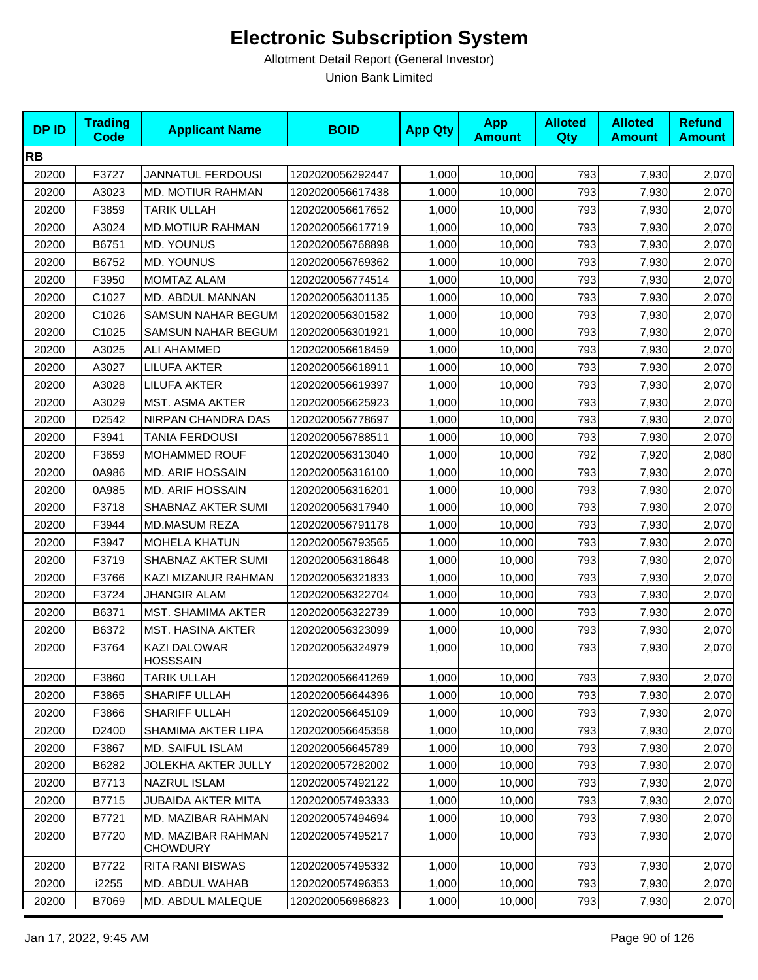| <b>DPID</b> | <b>Trading</b><br><b>Code</b> | <b>Applicant Name</b>                 | <b>BOID</b>      | <b>App Qty</b> | <b>App</b><br><b>Amount</b> | <b>Alloted</b><br>Qty | <b>Alloted</b><br><b>Amount</b> | <b>Refund</b><br><b>Amount</b> |
|-------------|-------------------------------|---------------------------------------|------------------|----------------|-----------------------------|-----------------------|---------------------------------|--------------------------------|
| <b>RB</b>   |                               |                                       |                  |                |                             |                       |                                 |                                |
| 20200       | F3727                         | <b>JANNATUL FERDOUSI</b>              | 1202020056292447 | 1,000          | 10,000                      | 793                   | 7,930                           | 2,070                          |
| 20200       | A3023                         | MD. MOTIUR RAHMAN                     | 1202020056617438 | 1,000          | 10,000                      | 793                   | 7,930                           | 2,070                          |
| 20200       | F3859                         | <b>TARIK ULLAH</b>                    | 1202020056617652 | 1,000          | 10,000                      | 793                   | 7,930                           | 2,070                          |
| 20200       | A3024                         | <b>MD.MOTIUR RAHMAN</b>               | 1202020056617719 | 1,000          | 10,000                      | 793                   | 7,930                           | 2,070                          |
| 20200       | B6751                         | MD. YOUNUS                            | 1202020056768898 | 1,000          | 10,000                      | 793                   | 7,930                           | 2,070                          |
| 20200       | B6752                         | <b>MD. YOUNUS</b>                     | 1202020056769362 | 1,000          | 10,000                      | 793                   | 7,930                           | 2,070                          |
| 20200       | F3950                         | MOMTAZ ALAM                           | 1202020056774514 | 1,000          | 10,000                      | 793                   | 7,930                           | 2,070                          |
| 20200       | C1027                         | MD. ABDUL MANNAN                      | 1202020056301135 | 1,000          | 10,000                      | 793                   | 7,930                           | 2,070                          |
| 20200       | C1026                         | SAMSUN NAHAR BEGUM                    | 1202020056301582 | 1,000          | 10,000                      | 793                   | 7,930                           | 2,070                          |
| 20200       | C1025                         | <b>SAMSUN NAHAR BEGUM</b>             | 1202020056301921 | 1,000          | 10,000                      | 793                   | 7,930                           | 2,070                          |
| 20200       | A3025                         | ALI AHAMMED                           | 1202020056618459 | 1,000          | 10,000                      | 793                   | 7,930                           | 2,070                          |
| 20200       | A3027                         | LILUFA AKTER                          | 1202020056618911 | 1,000          | 10,000                      | 793                   | 7,930                           | 2,070                          |
| 20200       | A3028                         | <b>LILUFA AKTER</b>                   | 1202020056619397 | 1,000          | 10,000                      | 793                   | 7,930                           | 2,070                          |
| 20200       | A3029                         | <b>MST. ASMA AKTER</b>                | 1202020056625923 | 1,000          | 10,000                      | 793                   | 7,930                           | 2,070                          |
| 20200       | D2542                         | NIRPAN CHANDRA DAS                    | 1202020056778697 | 1,000          | 10,000                      | 793                   | 7,930                           | 2,070                          |
| 20200       | F3941                         | TANIA FERDOUSI                        | 1202020056788511 | 1,000          | 10,000                      | 793                   | 7,930                           | 2,070                          |
| 20200       | F3659                         | MOHAMMED ROUF                         | 1202020056313040 | 1,000          | 10,000                      | 792                   | 7,920                           | 2,080                          |
| 20200       | 0A986                         | <b>MD. ARIF HOSSAIN</b>               | 1202020056316100 | 1,000          | 10,000                      | 793                   | 7,930                           | 2,070                          |
| 20200       | 0A985                         | <b>MD. ARIF HOSSAIN</b>               | 1202020056316201 | 1,000          | 10,000                      | 793                   | 7,930                           | 2,070                          |
| 20200       | F3718                         | SHABNAZ AKTER SUMI                    | 1202020056317940 | 1,000          | 10,000                      | 793                   | 7,930                           | 2,070                          |
| 20200       | F3944                         | MD.MASUM REZA                         | 1202020056791178 | 1,000          | 10,000                      | 793                   | 7,930                           | 2,070                          |
| 20200       | F3947                         | <b>MOHELA KHATUN</b>                  | 1202020056793565 | 1,000          | 10,000                      | 793                   | 7,930                           | 2,070                          |
| 20200       | F3719                         | SHABNAZ AKTER SUMI                    | 1202020056318648 | 1,000          | 10,000                      | 793                   | 7,930                           | 2,070                          |
| 20200       | F3766                         | KAZI MIZANUR RAHMAN                   | 1202020056321833 | 1,000          | 10,000                      | 793                   | 7,930                           | 2,070                          |
| 20200       | F3724                         | <b>JHANGIR ALAM</b>                   | 1202020056322704 | 1,000          | 10,000                      | 793                   | 7,930                           | 2,070                          |
| 20200       | B6371                         | MST. SHAMIMA AKTER                    | 1202020056322739 | 1,000          | 10,000                      | 793                   | 7,930                           | 2,070                          |
| 20200       | B6372                         | MST. HASINA AKTER                     | 1202020056323099 | 1,000          | 10,000                      | 793                   | 7,930                           | 2,070                          |
| 20200       | F3764                         | KAZI DALOWAR<br><b>HOSSSAIN</b>       | 1202020056324979 | 1,000          | 10,000                      | 793                   | 7,930                           | 2,070                          |
| 20200       | F3860                         | <b>TARIK ULLAH</b>                    | 1202020056641269 | 1,000          | 10,000                      | 793                   | 7,930                           | 2,070                          |
| 20200       | F3865                         | SHARIFF ULLAH                         | 1202020056644396 | 1,000          | 10,000                      | 793                   | 7,930                           | 2,070                          |
| 20200       | F3866                         | SHARIFF ULLAH                         | 1202020056645109 | 1,000          | 10,000                      | 793                   | 7,930                           | 2,070                          |
| 20200       | D2400                         | SHAMIMA AKTER LIPA                    | 1202020056645358 | 1,000          | 10,000                      | 793                   | 7,930                           | 2,070                          |
| 20200       | F3867                         | MD. SAIFUL ISLAM                      | 1202020056645789 | 1,000          | 10,000                      | 793                   | 7,930                           | 2,070                          |
| 20200       | B6282                         | JOLEKHA AKTER JULLY                   | 1202020057282002 | 1,000          | 10,000                      | 793                   | 7,930                           | 2,070                          |
| 20200       | B7713                         | <b>NAZRUL ISLAM</b>                   | 1202020057492122 | 1,000          | 10,000                      | 793                   | 7,930                           | 2,070                          |
| 20200       | B7715                         | JUBAIDA AKTER MITA                    | 1202020057493333 | 1,000          | 10,000                      | 793                   | 7,930                           | 2,070                          |
| 20200       | B7721                         | MD. MAZIBAR RAHMAN                    | 1202020057494694 | 1,000          | 10,000                      | 793                   | 7,930                           | 2,070                          |
| 20200       | B7720                         | MD. MAZIBAR RAHMAN<br><b>CHOWDURY</b> | 1202020057495217 | 1,000          | 10,000                      | 793                   | 7,930                           | 2,070                          |
| 20200       | B7722                         | RITA RANI BISWAS                      | 1202020057495332 | 1,000          | 10,000                      | 793                   | 7,930                           | 2,070                          |
| 20200       | i2255                         | MD. ABDUL WAHAB                       | 1202020057496353 | 1,000          | 10,000                      | 793                   | 7,930                           | 2,070                          |
| 20200       | B7069                         | MD. ABDUL MALEQUE                     | 1202020056986823 | 1,000          | 10,000                      | 793                   | 7,930                           | 2,070                          |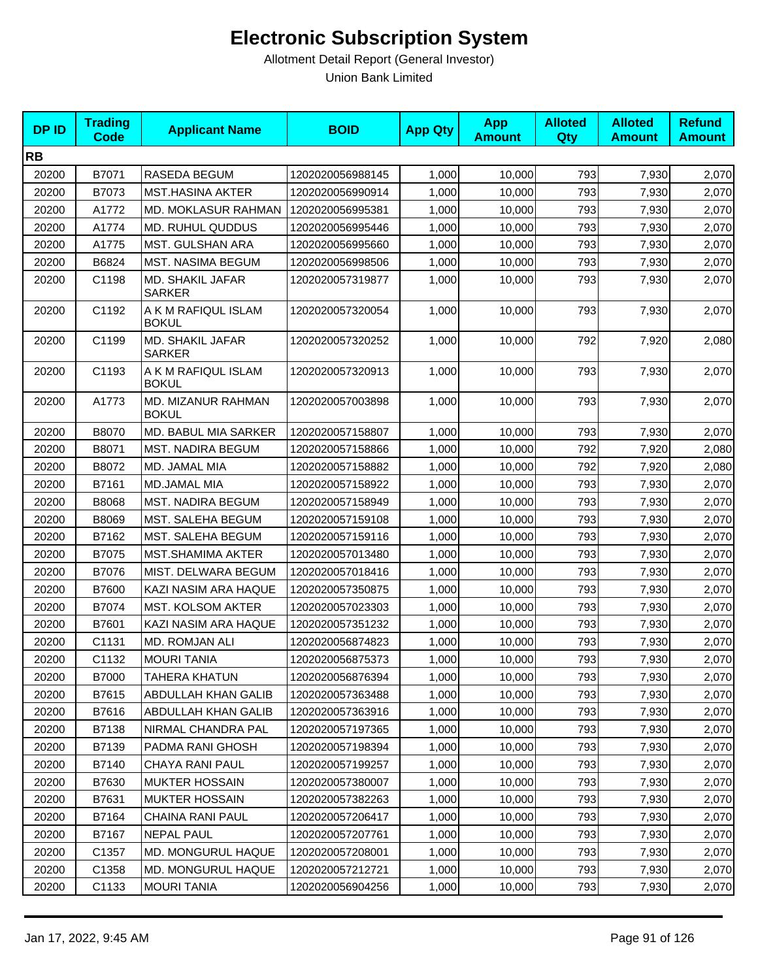| <b>DPID</b> | <b>Trading</b><br><b>Code</b> | <b>Applicant Name</b>               | <b>BOID</b>      | <b>App Qty</b> | <b>App</b><br><b>Amount</b> | <b>Alloted</b><br>Qty | <b>Alloted</b><br><b>Amount</b> | <b>Refund</b><br><b>Amount</b> |
|-------------|-------------------------------|-------------------------------------|------------------|----------------|-----------------------------|-----------------------|---------------------------------|--------------------------------|
| <b>RB</b>   |                               |                                     |                  |                |                             |                       |                                 |                                |
| 20200       | B7071                         | RASEDA BEGUM                        | 1202020056988145 | 1,000          | 10,000                      | 793                   | 7,930                           | 2,070                          |
| 20200       | B7073                         | <b>MST.HASINA AKTER</b>             | 1202020056990914 | 1,000          | 10,000                      | 793                   | 7,930                           | 2,070                          |
| 20200       | A1772                         | MD. MOKLASUR RAHMAN                 | 1202020056995381 | 1,000          | 10,000                      | 793                   | 7,930                           | 2,070                          |
| 20200       | A1774                         | <b>MD. RUHUL QUDDUS</b>             | 1202020056995446 | 1,000          | 10,000                      | 793                   | 7,930                           | 2,070                          |
| 20200       | A1775                         | MST. GULSHAN ARA                    | 1202020056995660 | 1,000          | 10,000                      | 793                   | 7,930                           | 2,070                          |
| 20200       | B6824                         | MST. NASIMA BEGUM                   | 1202020056998506 | 1,000          | 10,000                      | 793                   | 7,930                           | 2,070                          |
| 20200       | C1198                         | MD. SHAKIL JAFAR<br><b>SARKER</b>   | 1202020057319877 | 1,000          | 10,000                      | 793                   | 7,930                           | 2,070                          |
| 20200       | C1192                         | A K M RAFIQUL ISLAM<br><b>BOKUL</b> | 1202020057320054 | 1,000          | 10,000                      | 793                   | 7,930                           | 2,070                          |
| 20200       | C1199                         | MD. SHAKIL JAFAR<br><b>SARKER</b>   | 1202020057320252 | 1,000          | 10,000                      | 792                   | 7,920                           | 2,080                          |
| 20200       | C1193                         | A K M RAFIQUL ISLAM<br><b>BOKUL</b> | 1202020057320913 | 1,000          | 10,000                      | 793                   | 7,930                           | 2,070                          |
| 20200       | A1773                         | MD. MIZANUR RAHMAN<br><b>BOKUL</b>  | 1202020057003898 | 1,000          | 10,000                      | 793                   | 7,930                           | 2,070                          |
| 20200       | B8070                         | MD. BABUL MIA SARKER                | 1202020057158807 | 1,000          | 10,000                      | 793                   | 7,930                           | 2,070                          |
| 20200       | B8071                         | <b>MST. NADIRA BEGUM</b>            | 1202020057158866 | 1,000          | 10,000                      | 792                   | 7,920                           | 2,080                          |
| 20200       | B8072                         | MD. JAMAL MIA                       | 1202020057158882 | 1,000          | 10,000                      | 792                   | 7,920                           | 2,080                          |
| 20200       | B7161                         | MD.JAMAL MIA                        | 1202020057158922 | 1,000          | 10,000                      | 793                   | 7,930                           | 2,070                          |
| 20200       | B8068                         | <b>MST. NADIRA BEGUM</b>            | 1202020057158949 | 1,000          | 10,000                      | 793                   | 7,930                           | 2,070                          |
| 20200       | B8069                         | <b>MST. SALEHA BEGUM</b>            | 1202020057159108 | 1,000          | 10,000                      | 793                   | 7,930                           | 2,070                          |
| 20200       | B7162                         | MST. SALEHA BEGUM                   | 1202020057159116 | 1,000          | 10,000                      | 793                   | 7,930                           | 2,070                          |
| 20200       | B7075                         | MST.SHAMIMA AKTER                   | 1202020057013480 | 1,000          | 10,000                      | 793                   | 7,930                           | 2,070                          |
| 20200       | B7076                         | MIST. DELWARA BEGUM                 | 1202020057018416 | 1,000          | 10,000                      | 793                   | 7,930                           | 2,070                          |
| 20200       | B7600                         | KAZI NASIM ARA HAQUE                | 1202020057350875 | 1,000          | 10,000                      | 793                   | 7,930                           | 2,070                          |
| 20200       | B7074                         | MST. KOLSOM AKTER                   | 1202020057023303 | 1,000          | 10,000                      | 793                   | 7,930                           | 2,070                          |
| 20200       | B7601                         | KAZI NASIM ARA HAQUE                | 1202020057351232 | 1,000          | 10,000                      | 793                   | 7,930                           | 2,070                          |
| 20200       | C1131                         | MD. ROMJAN ALI                      | 1202020056874823 | 1,000          | 10,000                      | 793                   | 7,930                           | 2,070                          |
| 20200       | C1132                         | <b>MOURI TANIA</b>                  | 1202020056875373 | 1,000          | 10,000                      | 793                   | 7,930                           | 2,070                          |
| 20200       | B7000                         | TAHERA KHATUN                       | 1202020056876394 | 1,000          | 10,000                      | 793                   | 7,930                           | 2,070                          |
| 20200       | B7615                         | ABDULLAH KHAN GALIB                 | 1202020057363488 | 1,000          | 10,000                      | 793                   | 7,930                           | 2,070                          |
| 20200       | B7616                         | ABDULLAH KHAN GALIB                 | 1202020057363916 | 1,000          | 10,000                      | 793                   | 7,930                           | 2,070                          |
| 20200       | B7138                         | NIRMAL CHANDRA PAL                  | 1202020057197365 | 1,000          | 10,000                      | 793                   | 7,930                           | 2,070                          |
| 20200       | B7139                         | PADMA RANI GHOSH                    | 1202020057198394 | 1,000          | 10,000                      | 793                   | 7,930                           | 2,070                          |
| 20200       | B7140                         | CHAYA RANI PAUL                     | 1202020057199257 | 1,000          | 10,000                      | 793                   | 7,930                           | 2,070                          |
| 20200       | B7630                         | <b>MUKTER HOSSAIN</b>               | 1202020057380007 | 1,000          | 10,000                      | 793                   | 7,930                           | 2,070                          |
| 20200       | B7631                         | <b>MUKTER HOSSAIN</b>               | 1202020057382263 | 1,000          | 10,000                      | 793                   | 7,930                           | 2,070                          |
| 20200       | B7164                         | CHAINA RANI PAUL                    | 1202020057206417 | 1,000          | 10,000                      | 793                   | 7,930                           | 2,070                          |
| 20200       | B7167                         | <b>NEPAL PAUL</b>                   | 1202020057207761 | 1,000          | 10,000                      | 793                   | 7,930                           | 2,070                          |
| 20200       | C1357                         | MD. MONGURUL HAQUE                  | 1202020057208001 | 1,000          | 10,000                      | 793                   | 7,930                           | 2,070                          |
| 20200       | C1358                         | <b>MD. MONGURUL HAQUE</b>           | 1202020057212721 | 1,000          | 10,000                      | 793                   | 7,930                           | 2,070                          |
| 20200       | C1133                         | <b>MOURI TANIA</b>                  | 1202020056904256 | 1,000          | 10,000                      | 793                   | 7,930                           | 2,070                          |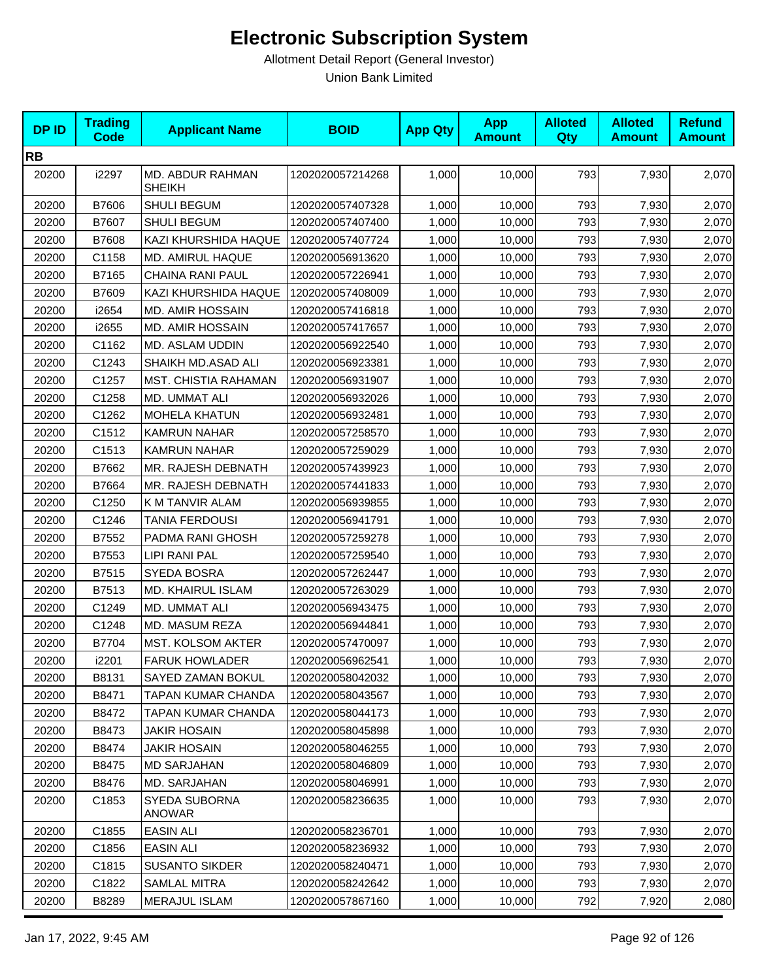| <b>DPID</b> | <b>Trading</b><br>Code | <b>Applicant Name</b>             | <b>BOID</b>      | <b>App Qty</b> | <b>App</b><br><b>Amount</b> | <b>Alloted</b><br>Qty | <b>Alloted</b><br><b>Amount</b> | <b>Refund</b><br><b>Amount</b> |
|-------------|------------------------|-----------------------------------|------------------|----------------|-----------------------------|-----------------------|---------------------------------|--------------------------------|
| <b>RB</b>   |                        |                                   |                  |                |                             |                       |                                 |                                |
| 20200       | i2297                  | MD. ABDUR RAHMAN<br><b>SHEIKH</b> | 1202020057214268 | 1,000          | 10,000                      | 793                   | 7,930                           | 2,070                          |
| 20200       | B7606                  | SHULI BEGUM                       | 1202020057407328 | 1,000          | 10,000                      | 793                   | 7,930                           | 2,070                          |
| 20200       | B7607                  | <b>SHULI BEGUM</b>                | 1202020057407400 | 1,000          | 10,000                      | 793                   | 7,930                           | 2,070                          |
| 20200       | B7608                  | KAZI KHURSHIDA HAQUE              | 1202020057407724 | 1,000          | 10,000                      | 793                   | 7,930                           | 2,070                          |
| 20200       | C1158                  | MD. AMIRUL HAQUE                  | 1202020056913620 | 1,000          | 10,000                      | 793                   | 7,930                           | 2,070                          |
| 20200       | B7165                  | CHAINA RANI PAUL                  | 1202020057226941 | 1,000          | 10,000                      | 793                   | 7,930                           | 2,070                          |
| 20200       | B7609                  | KAZI KHURSHIDA HAQUE              | 1202020057408009 | 1,000          | 10,000                      | 793                   | 7,930                           | 2,070                          |
| 20200       | i2654                  | MD. AMIR HOSSAIN                  | 1202020057416818 | 1,000          | 10,000                      | 793                   | 7,930                           | 2,070                          |
| 20200       | i2655                  | <b>MD. AMIR HOSSAIN</b>           | 1202020057417657 | 1,000          | 10,000                      | 793                   | 7,930                           | 2,070                          |
| 20200       | C1162                  | MD. ASLAM UDDIN                   | 1202020056922540 | 1,000          | 10,000                      | 793                   | 7,930                           | 2,070                          |
| 20200       | C1243                  | SHAIKH MD.ASAD ALI                | 1202020056923381 | 1,000          | 10,000                      | 793                   | 7,930                           | 2,070                          |
| 20200       | C1257                  | MST. CHISTIA RAHAMAN              | 1202020056931907 | 1,000          | 10,000                      | 793                   | 7,930                           | 2,070                          |
| 20200       | C1258                  | MD. UMMAT ALI                     | 1202020056932026 | 1,000          | 10,000                      | 793                   | 7,930                           | 2,070                          |
| 20200       | C1262                  | <b>MOHELA KHATUN</b>              | 1202020056932481 | 1,000          | 10,000                      | 793                   | 7,930                           | 2,070                          |
| 20200       | C1512                  | KAMRUN NAHAR                      | 1202020057258570 | 1,000          | 10,000                      | 793                   | 7,930                           | 2,070                          |
| 20200       | C1513                  | <b>KAMRUN NAHAR</b>               | 1202020057259029 | 1,000          | 10,000                      | 793                   | 7,930                           | 2,070                          |
| 20200       | B7662                  | MR. RAJESH DEBNATH                | 1202020057439923 | 1,000          | 10,000                      | 793                   | 7,930                           | 2,070                          |
| 20200       | B7664                  | MR. RAJESH DEBNATH                | 1202020057441833 | 1,000          | 10,000                      | 793                   | 7,930                           | 2,070                          |
| 20200       | C1250                  | K M TANVIR ALAM                   | 1202020056939855 | 1,000          | 10,000                      | 793                   | 7,930                           | 2,070                          |
| 20200       | C1246                  | <b>TANIA FERDOUSI</b>             | 1202020056941791 | 1,000          | 10,000                      | 793                   | 7,930                           | 2,070                          |
| 20200       | B7552                  | PADMA RANI GHOSH                  | 1202020057259278 | 1,000          | 10,000                      | 793                   | 7,930                           | 2,070                          |
| 20200       | B7553                  | <b>LIPI RANI PAL</b>              | 1202020057259540 | 1,000          | 10,000                      | 793                   | 7,930                           | 2,070                          |
| 20200       | B7515                  | SYEDA BOSRA                       | 1202020057262447 | 1,000          | 10,000                      | 793                   | 7,930                           | 2,070                          |
| 20200       | B7513                  | MD. KHAIRUL ISLAM                 | 1202020057263029 | 1,000          | 10,000                      | 793                   | 7,930                           | 2,070                          |
| 20200       | C1249                  | MD. UMMAT ALI                     | 1202020056943475 | 1,000          | 10,000                      | 793                   | 7,930                           | 2,070                          |
| 20200       | C1248                  | MD. MASUM REZA                    | 1202020056944841 | 1,000          | 10,000                      | 793                   | 7,930                           | 2,070                          |
| 20200       | B7704                  | MST. KOLSOM AKTER                 | 1202020057470097 | 1,000          | 10,000                      | 793                   | 7,930                           | 2,070                          |
| 20200       | i2201                  | <b>FARUK HOWLADER</b>             | 1202020056962541 | 1,000          | 10,000                      | 793                   | 7,930                           | 2,070                          |
| 20200       | B8131                  | SAYED ZAMAN BOKUL                 | 1202020058042032 | 1,000          | 10,000                      | 793                   | 7,930                           | 2,070                          |
| 20200       | B8471                  | TAPAN KUMAR CHANDA                | 1202020058043567 | 1,000          | 10,000                      | 793                   | 7,930                           | 2,070                          |
| 20200       | B8472                  | TAPAN KUMAR CHANDA                | 1202020058044173 | 1,000          | 10,000                      | 793                   | 7,930                           | 2,070                          |
| 20200       | B8473                  | <b>JAKIR HOSAIN</b>               | 1202020058045898 | 1,000          | 10,000                      | 793                   | 7,930                           | 2,070                          |
| 20200       | B8474                  | <b>JAKIR HOSAIN</b>               | 1202020058046255 | 1,000          | 10,000                      | 793                   | 7,930                           | 2,070                          |
| 20200       | B8475                  | <b>MD SARJAHAN</b>                | 1202020058046809 | 1,000          | 10,000                      | 793                   | 7,930                           | 2,070                          |
| 20200       | B8476                  | MD. SARJAHAN                      | 1202020058046991 | 1,000          | 10,000                      | 793                   | 7,930                           | 2,070                          |
| 20200       | C <sub>1853</sub>      | SYEDA SUBORNA<br>ANOWAR           | 1202020058236635 | 1,000          | 10.000                      | 793                   | 7,930                           | 2,070                          |
| 20200       | C1855                  | <b>EASIN ALI</b>                  | 1202020058236701 | 1,000          | 10,000                      | 793                   | 7,930                           | 2,070                          |
| 20200       | C1856                  | EASIN ALI                         | 1202020058236932 | 1,000          | 10,000                      | 793                   | 7,930                           | 2,070                          |
| 20200       | C1815                  | <b>SUSANTO SIKDER</b>             | 1202020058240471 | 1,000          | 10,000                      | 793                   | 7,930                           | 2,070                          |
| 20200       | C1822                  | SAMLAL MITRA                      | 1202020058242642 | 1,000          | 10,000                      | 793                   | 7,930                           | 2,070                          |
| 20200       | B8289                  | <b>MERAJUL ISLAM</b>              | 1202020057867160 | 1,000          | 10,000                      | 792                   | 7,920                           | 2,080                          |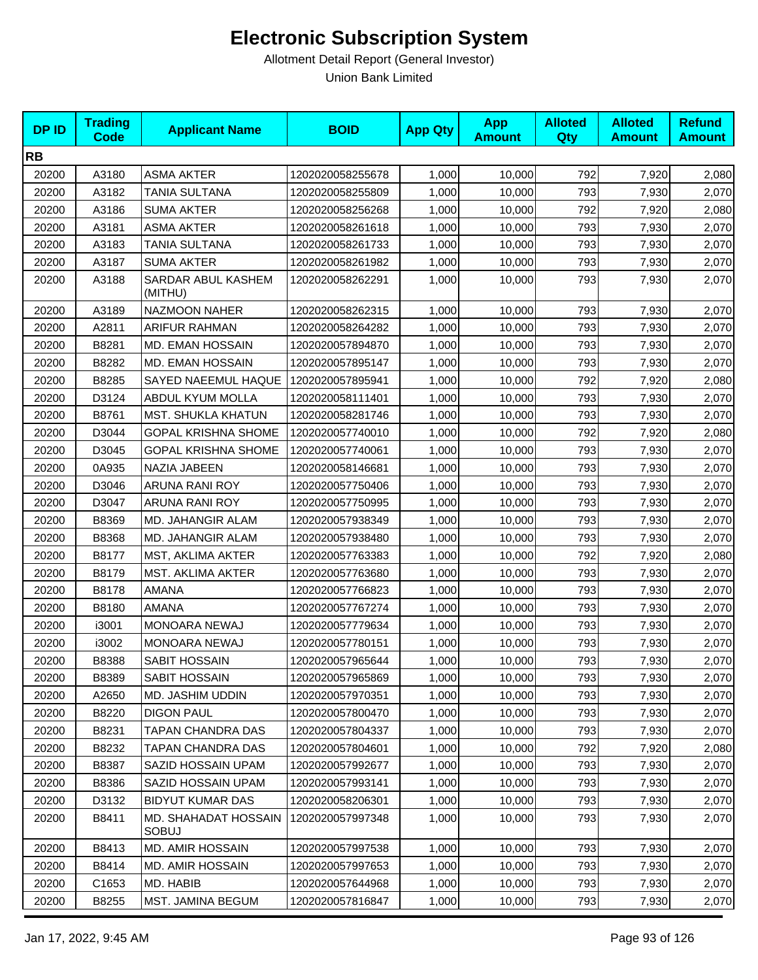| <b>DPID</b> | <b>Trading</b><br><b>Code</b> | <b>Applicant Name</b>         | <b>BOID</b>      | <b>App Qty</b> | <b>App</b><br><b>Amount</b> | <b>Alloted</b><br><b>Qty</b> | <b>Alloted</b><br><b>Amount</b> | <b>Refund</b><br><b>Amount</b> |
|-------------|-------------------------------|-------------------------------|------------------|----------------|-----------------------------|------------------------------|---------------------------------|--------------------------------|
| <b>RB</b>   |                               |                               |                  |                |                             |                              |                                 |                                |
| 20200       | A3180                         | <b>ASMA AKTER</b>             | 1202020058255678 | 1,000          | 10,000                      | 792                          | 7,920                           | 2,080                          |
| 20200       | A3182                         | TANIA SULTANA                 | 1202020058255809 | 1,000          | 10,000                      | 793                          | 7,930                           | 2,070                          |
| 20200       | A3186                         | <b>SUMA AKTER</b>             | 1202020058256268 | 1,000          | 10,000                      | 792                          | 7,920                           | 2,080                          |
| 20200       | A3181                         | <b>ASMA AKTER</b>             | 1202020058261618 | 1,000          | 10,000                      | 793                          | 7,930                           | 2,070                          |
| 20200       | A3183                         | TANIA SULTANA                 | 1202020058261733 | 1,000          | 10,000                      | 793                          | 7,930                           | 2,070                          |
| 20200       | A3187                         | <b>SUMA AKTER</b>             | 1202020058261982 | 1,000          | 10,000                      | 793                          | 7,930                           | 2,070                          |
| 20200       | A3188                         | SARDAR ABUL KASHEM<br>(MITHU) | 1202020058262291 | 1,000          | 10,000                      | 793                          | 7,930                           | 2,070                          |
| 20200       | A3189                         | NAZMOON NAHER                 | 1202020058262315 | 1,000          | 10,000                      | 793                          | 7,930                           | 2,070                          |
| 20200       | A2811                         | <b>ARIFUR RAHMAN</b>          | 1202020058264282 | 1,000          | 10,000                      | 793                          | 7,930                           | 2,070                          |
| 20200       | B8281                         | MD. EMAN HOSSAIN              | 1202020057894870 | 1,000          | 10,000                      | 793                          | 7,930                           | 2,070                          |
| 20200       | B8282                         | <b>MD. EMAN HOSSAIN</b>       | 1202020057895147 | 1,000          | 10,000                      | 793                          | 7,930                           | 2,070                          |
| 20200       | B8285                         | SAYED NAEEMUL HAQUE           | 1202020057895941 | 1,000          | 10,000                      | 792                          | 7,920                           | 2,080                          |
| 20200       | D3124                         | ABDUL KYUM MOLLA              | 1202020058111401 | 1,000          | 10,000                      | 793                          | 7,930                           | 2,070                          |
| 20200       | B8761                         | <b>MST. SHUKLA KHATUN</b>     | 1202020058281746 | 1,000          | 10,000                      | 793                          | 7,930                           | 2,070                          |
| 20200       | D3044                         | <b>GOPAL KRISHNA SHOME</b>    | 1202020057740010 | 1,000          | 10,000                      | 792                          | 7,920                           | 2,080                          |
| 20200       | D3045                         | <b>GOPAL KRISHNA SHOME</b>    | 1202020057740061 | 1,000          | 10,000                      | 793                          | 7,930                           | 2,070                          |
| 20200       | 0A935                         | NAZIA JABEEN                  | 1202020058146681 | 1,000          | 10,000                      | 793                          | 7,930                           | 2,070                          |
| 20200       | D3046                         | ARUNA RANI ROY                | 1202020057750406 | 1,000          | 10,000                      | 793                          | 7,930                           | 2,070                          |
| 20200       | D3047                         | ARUNA RANI ROY                | 1202020057750995 | 1,000          | 10,000                      | 793                          | 7,930                           | 2,070                          |
| 20200       | B8369                         | MD. JAHANGIR ALAM             | 1202020057938349 | 1,000          | 10,000                      | 793                          | 7,930                           | 2,070                          |
| 20200       | B8368                         | MD. JAHANGIR ALAM             | 1202020057938480 | 1,000          | 10,000                      | 793                          | 7,930                           | 2,070                          |
| 20200       | B8177                         | MST, AKLIMA AKTER             | 1202020057763383 | 1,000          | 10,000                      | 792                          | 7,920                           | 2,080                          |
| 20200       | B8179                         | MST. AKLIMA AKTER             | 1202020057763680 | 1,000          | 10,000                      | 793                          | 7,930                           | 2,070                          |
| 20200       | B8178                         | <b>AMANA</b>                  | 1202020057766823 | 1,000          | 10,000                      | 793                          | 7,930                           | 2,070                          |
| 20200       | B8180                         | AMANA                         | 1202020057767274 | 1,000          | 10,000                      | 793                          | 7,930                           | 2,070                          |
| 20200       | i3001                         | MONOARA NEWAJ                 | 1202020057779634 | 1,000          | 10,000                      | 793                          | 7,930                           | 2,070                          |
| 20200       | i3002                         | MONOARA NEWAJ                 | 1202020057780151 | 1,000          | 10,000                      | 793                          | 7,930                           | 2,070                          |
| 20200       | B8388                         | SABIT HOSSAIN                 | 1202020057965644 | 1,000          | 10,000                      | 793                          | 7,930                           | 2,070                          |
| 20200       | B8389                         | SABIT HOSSAIN                 | 1202020057965869 | 1,000          | 10,000                      | 793                          | 7,930                           | 2,070                          |
| 20200       | A2650                         | MD. JASHIM UDDIN              | 1202020057970351 | 1,000          | 10,000                      | 793                          | 7,930                           | 2,070                          |
| 20200       | B8220                         | <b>DIGON PAUL</b>             | 1202020057800470 | 1,000          | 10,000                      | 793                          | 7,930                           | 2,070                          |
| 20200       | B8231                         | TAPAN CHANDRA DAS             | 1202020057804337 | 1,000          | 10,000                      | 793                          | 7,930                           | 2,070                          |
| 20200       | B8232                         | TAPAN CHANDRA DAS             | 1202020057804601 | 1,000          | 10,000                      | 792                          | 7,920                           | 2,080                          |
| 20200       | B8387                         | SAZID HOSSAIN UPAM            | 1202020057992677 | 1,000          | 10,000                      | 793                          | 7,930                           | 2,070                          |
| 20200       | B8386                         | SAZID HOSSAIN UPAM            | 1202020057993141 | 1,000          | 10,000                      | 793                          | 7,930                           | 2,070                          |
| 20200       | D3132                         | <b>BIDYUT KUMAR DAS</b>       | 1202020058206301 | 1,000          | 10,000                      | 793                          | 7,930                           | 2,070                          |
| 20200       | B8411                         | MD. SHAHADAT HOSSAIN<br>SOBUJ | 1202020057997348 | 1,000          | 10,000                      | 793                          | 7,930                           | 2,070                          |
| 20200       | B8413                         | <b>MD. AMIR HOSSAIN</b>       | 1202020057997538 | 1,000          | 10,000                      | 793                          | 7,930                           | 2,070                          |
| 20200       | B8414                         | <b>MD. AMIR HOSSAIN</b>       | 1202020057997653 | 1,000          | 10,000                      | 793                          | 7,930                           | 2,070                          |
| 20200       | C1653                         | MD. HABIB                     | 1202020057644968 | 1,000          | 10,000                      | 793                          | 7,930                           | 2,070                          |
| 20200       | B8255                         | MST. JAMINA BEGUM             | 1202020057816847 | 1,000          | 10,000                      | 793                          | 7,930                           | 2,070                          |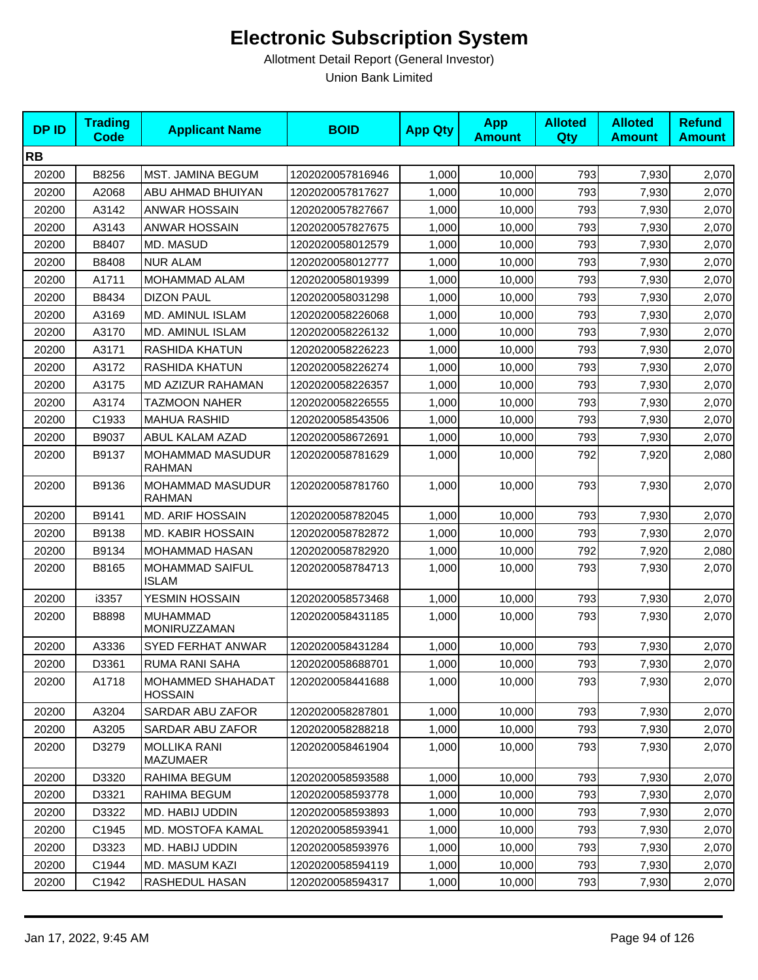| <b>DPID</b> | <b>Trading</b><br><b>Code</b> | <b>Applicant Name</b>                  | <b>BOID</b>      | <b>App Qty</b> | <b>App</b><br><b>Amount</b> | <b>Alloted</b><br>Qty | <b>Alloted</b><br><b>Amount</b> | <b>Refund</b><br><b>Amount</b> |
|-------------|-------------------------------|----------------------------------------|------------------|----------------|-----------------------------|-----------------------|---------------------------------|--------------------------------|
| <b>RB</b>   |                               |                                        |                  |                |                             |                       |                                 |                                |
| 20200       | B8256                         | MST. JAMINA BEGUM                      | 1202020057816946 | 1,000          | 10,000                      | 793                   | 7,930                           | 2,070                          |
| 20200       | A2068                         | ABU AHMAD BHUIYAN                      | 1202020057817627 | 1,000          | 10,000                      | 793                   | 7,930                           | 2,070                          |
| 20200       | A3142                         | <b>ANWAR HOSSAIN</b>                   | 1202020057827667 | 1,000          | 10,000                      | 793                   | 7,930                           | 2,070                          |
| 20200       | A3143                         | <b>ANWAR HOSSAIN</b>                   | 1202020057827675 | 1,000          | 10,000                      | 793                   | 7,930                           | 2,070                          |
| 20200       | B8407                         | MD. MASUD                              | 1202020058012579 | 1,000          | 10,000                      | 793                   | 7,930                           | 2,070                          |
| 20200       | B8408                         | <b>NUR ALAM</b>                        | 1202020058012777 | 1.000          | 10,000                      | 793                   | 7,930                           | 2,070                          |
| 20200       | A1711                         | MOHAMMAD ALAM                          | 1202020058019399 | 1,000          | 10,000                      | 793                   | 7,930                           | 2,070                          |
| 20200       | B8434                         | <b>DIZON PAUL</b>                      | 1202020058031298 | 1,000          | 10,000                      | 793                   | 7,930                           | 2,070                          |
| 20200       | A3169                         | <b>MD. AMINUL ISLAM</b>                | 1202020058226068 | 1,000          | 10,000                      | 793                   | 7,930                           | 2,070                          |
| 20200       | A3170                         | MD. AMINUL ISLAM                       | 1202020058226132 | 1,000          | 10,000                      | 793                   | 7,930                           | 2,070                          |
| 20200       | A3171                         | RASHIDA KHATUN                         | 1202020058226223 | 1,000          | 10,000                      | 793                   | 7,930                           | 2,070                          |
| 20200       | A3172                         | RASHIDA KHATUN                         | 1202020058226274 | 1,000          | 10,000                      | 793                   | 7,930                           | 2,070                          |
| 20200       | A3175                         | MD AZIZUR RAHAMAN                      | 1202020058226357 | 1,000          | 10,000                      | 793                   | 7,930                           | 2,070                          |
| 20200       | A3174                         | <b>TAZMOON NAHER</b>                   | 1202020058226555 | 1,000          | 10,000                      | 793                   | 7,930                           | 2,070                          |
| 20200       | C1933                         | <b>MAHUA RASHID</b>                    | 1202020058543506 | 1,000          | 10,000                      | 793                   | 7,930                           | 2,070                          |
| 20200       | B9037                         | ABUL KALAM AZAD                        | 1202020058672691 | 1,000          | 10,000                      | 793                   | 7,930                           | 2,070                          |
| 20200       | B9137                         | MOHAMMAD MASUDUR<br><b>RAHMAN</b>      | 1202020058781629 | 1,000          | 10,000                      | 792                   | 7,920                           | 2,080                          |
| 20200       | B9136                         | MOHAMMAD MASUDUR<br><b>RAHMAN</b>      | 1202020058781760 | 1,000          | 10,000                      | 793                   | 7,930                           | 2,070                          |
| 20200       | B9141                         | <b>MD. ARIF HOSSAIN</b>                | 1202020058782045 | 1,000          | 10,000                      | 793                   | 7,930                           | 2,070                          |
| 20200       | B9138                         | <b>MD. KABIR HOSSAIN</b>               | 1202020058782872 | 1,000          | 10,000                      | 793                   | 7,930                           | 2,070                          |
| 20200       | B9134                         | MOHAMMAD HASAN                         | 1202020058782920 | 1,000          | 10,000                      | 792                   | 7,920                           | 2,080                          |
| 20200       | B8165                         | MOHAMMAD SAIFUL<br><b>ISLAM</b>        | 1202020058784713 | 1,000          | 10,000                      | 793                   | 7,930                           | 2,070                          |
| 20200       | i3357                         | YESMIN HOSSAIN                         | 1202020058573468 | 1,000          | 10,000                      | 793                   | 7,930                           | 2,070                          |
| 20200       | B8898                         | <b>MUHAMMAD</b><br>MONIRUZZAMAN        | 1202020058431185 | 1,000          | 10,000                      | 793                   | 7,930                           | 2,070                          |
| 20200       | A3336                         | <b>SYED FERHAT ANWAR</b>               | 1202020058431284 | 1,000          | 10,000                      | 793                   | 7,930                           | 2,070                          |
| 20200       | D3361                         | RUMA RANI SAHA                         | 1202020058688701 | 1,000          | 10,000                      | 793                   | 7,930                           | 2,070                          |
| 20200       | A1718                         | MOHAMMED SHAHADAT<br><b>HOSSAIN</b>    | 1202020058441688 | 1,000          | 10,000                      | 793                   | 7,930                           | 2,070                          |
| 20200       | A3204                         | SARDAR ABU ZAFOR                       | 1202020058287801 | 1,000          | 10,000                      | 793                   | 7,930                           | 2,070                          |
| 20200       | A3205                         | SARDAR ABU ZAFOR                       | 1202020058288218 | 1,000          | 10,000                      | 793                   | 7,930                           | 2,070                          |
| 20200       | D3279                         | <b>MOLLIKA RANI</b><br><b>MAZUMAER</b> | 1202020058461904 | 1,000          | 10,000                      | 793                   | 7,930                           | 2,070                          |
| 20200       | D3320                         | RAHIMA BEGUM                           | 1202020058593588 | 1,000          | 10,000                      | 793                   | 7,930                           | 2,070                          |
| 20200       | D3321                         | RAHIMA BEGUM                           | 1202020058593778 | 1,000          | 10,000                      | 793                   | 7,930                           | 2,070                          |
| 20200       | D3322                         | MD. HABIJ UDDIN                        | 1202020058593893 | 1,000          | 10,000                      | 793                   | 7,930                           | 2,070                          |
| 20200       | C1945                         | MD. MOSTOFA KAMAL                      | 1202020058593941 | 1,000          | 10,000                      | 793                   | 7,930                           | 2,070                          |
| 20200       | D3323                         | MD. HABIJ UDDIN                        | 1202020058593976 | 1,000          | 10,000                      | 793                   | 7,930                           | 2,070                          |
| 20200       | C1944                         | MD. MASUM KAZI                         | 1202020058594119 | 1,000          | 10,000                      | 793                   | 7,930                           | 2,070                          |
| 20200       | C1942                         | RASHEDUL HASAN                         | 1202020058594317 | 1,000          | 10,000                      | 793                   | 7,930                           | 2,070                          |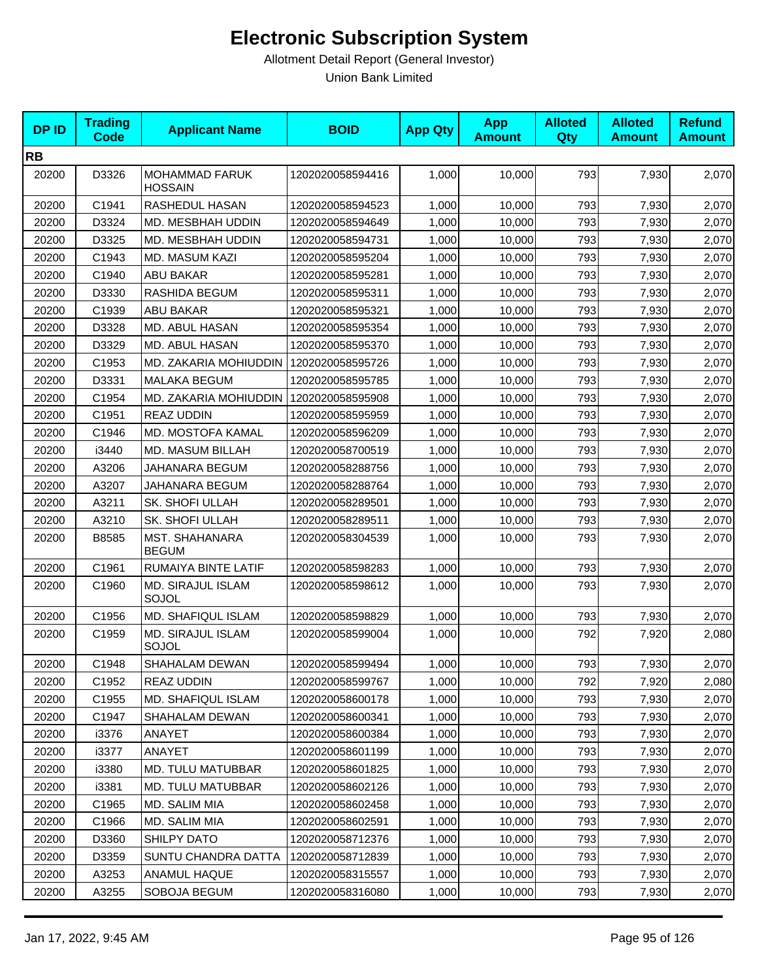| <b>DPID</b> | <b>Trading</b><br><b>Code</b> | <b>Applicant Name</b>                   | <b>BOID</b>      | <b>App Qty</b> | <b>App</b><br><b>Amount</b> | <b>Alloted</b><br><b>Qty</b> | <b>Alloted</b><br><b>Amount</b> | <b>Refund</b><br><b>Amount</b> |
|-------------|-------------------------------|-----------------------------------------|------------------|----------------|-----------------------------|------------------------------|---------------------------------|--------------------------------|
| <b>RB</b>   |                               |                                         |                  |                |                             |                              |                                 |                                |
| 20200       | D3326                         | <b>MOHAMMAD FARUK</b><br><b>HOSSAIN</b> | 1202020058594416 | 1,000          | 10,000                      | 793                          | 7,930                           | 2,070                          |
| 20200       | C1941                         | RASHEDUL HASAN                          | 1202020058594523 | 1,000          | 10,000                      | 793                          | 7,930                           | 2,070                          |
| 20200       | D3324                         | MD. MESBHAH UDDIN                       | 1202020058594649 | 1,000          | 10,000                      | 793                          | 7,930                           | 2,070                          |
| 20200       | D3325                         | MD. MESBHAH UDDIN                       | 1202020058594731 | 1,000          | 10,000                      | 793                          | 7,930                           | 2,070                          |
| 20200       | C1943                         | MD. MASUM KAZI                          | 1202020058595204 | 1,000          | 10,000                      | 793                          | 7,930                           | 2,070                          |
| 20200       | C1940                         | ABU BAKAR                               | 1202020058595281 | 1,000          | 10,000                      | 793                          | 7,930                           | 2,070                          |
| 20200       | D3330                         | RASHIDA BEGUM                           | 1202020058595311 | 1,000          | 10,000                      | 793                          | 7,930                           | 2,070                          |
| 20200       | C1939                         | <b>ABU BAKAR</b>                        | 1202020058595321 | 1,000          | 10,000                      | 793                          | 7,930                           | 2,070                          |
| 20200       | D3328                         | MD. ABUL HASAN                          | 1202020058595354 | 1,000          | 10,000                      | 793                          | 7,930                           | 2,070                          |
| 20200       | D3329                         | MD. ABUL HASAN                          | 1202020058595370 | 1,000          | 10,000                      | 793                          | 7,930                           | 2,070                          |
| 20200       | C1953                         | MD. ZAKARIA MOHIUDDIN                   | 1202020058595726 | 1,000          | 10,000                      | 793                          | 7,930                           | 2,070                          |
| 20200       | D3331                         | MALAKA BEGUM                            | 1202020058595785 | 1,000          | 10,000                      | 793                          | 7,930                           | 2,070                          |
| 20200       | C1954                         | MD. ZAKARIA MOHIUDDIN                   | 1202020058595908 | 1,000          | 10,000                      | 793                          | 7,930                           | 2,070                          |
| 20200       | C1951                         | <b>REAZ UDDIN</b>                       | 1202020058595959 | 1,000          | 10,000                      | 793                          | 7,930                           | 2,070                          |
| 20200       | C1946                         | MD. MOSTOFA KAMAL                       | 1202020058596209 | 1,000          | 10,000                      | 793                          | 7,930                           | 2,070                          |
| 20200       | i3440                         | MD. MASUM BILLAH                        | 1202020058700519 | 1,000          | 10,000                      | 793                          | 7,930                           | 2,070                          |
| 20200       | A3206                         | JAHANARA BEGUM                          | 1202020058288756 | 1,000          | 10,000                      | 793                          | 7,930                           | 2,070                          |
| 20200       | A3207                         | JAHANARA BEGUM                          | 1202020058288764 | 1,000          | 10,000                      | 793                          | 7,930                           | 2,070                          |
| 20200       | A3211                         | SK. SHOFI ULLAH                         | 1202020058289501 | 1,000          | 10,000                      | 793                          | 7,930                           | 2,070                          |
| 20200       | A3210                         | SK. SHOFI ULLAH                         | 1202020058289511 | 1,000          | 10,000                      | 793                          | 7,930                           | 2,070                          |
| 20200       | B8585                         | MST. SHAHANARA<br><b>BEGUM</b>          | 1202020058304539 | 1,000          | 10,000                      | 793                          | 7,930                           | 2,070                          |
| 20200       | C1961                         | RUMAIYA BINTE LATIF                     | 1202020058598283 | 1,000          | 10,000                      | 793                          | 7,930                           | 2,070                          |
| 20200       | C1960                         | MD. SIRAJUL ISLAM<br>SOJOL              | 1202020058598612 | 1,000          | 10,000                      | 793                          | 7,930                           | 2,070                          |
| 20200       | C1956                         | MD. SHAFIQUL ISLAM                      | 1202020058598829 | 1,000          | 10,000                      | 793                          | 7,930                           | 2,070                          |
| 20200       | C1959                         | <b>MD. SIRAJUL ISLAM</b><br>SOJOL       | 1202020058599004 | 1,000          | 10,000                      | 792                          | 7,920                           | 2,080                          |
| 20200       | C1948                         | SHAHALAM DEWAN                          | 1202020058599494 | 1,000          | 10,000                      | 793                          | 7,930                           | 2,070                          |
| 20200       | C1952                         | <b>REAZ UDDIN</b>                       | 1202020058599767 | 1,000          | 10,000                      | 792                          | 7,920                           | 2,080                          |
| 20200       | C1955                         | MD. SHAFIQUL ISLAM                      | 1202020058600178 | 1,000          | 10,000                      | 793                          | 7,930                           | 2,070                          |
| 20200       | C1947                         | SHAHALAM DEWAN                          | 1202020058600341 | 1,000          | 10,000                      | 793                          | 7,930                           | 2,070                          |
| 20200       | i3376                         | <b>ANAYET</b>                           | 1202020058600384 | 1,000          | 10,000                      | 793                          | 7,930                           | 2,070                          |
| 20200       | i3377                         | ANAYET                                  | 1202020058601199 | 1,000          | 10,000                      | 793                          | 7,930                           | 2,070                          |
| 20200       | i3380                         | MD. TULU MATUBBAR                       | 1202020058601825 | 1,000          | 10,000                      | 793                          | 7,930                           | 2,070                          |
| 20200       | i3381                         | <b>MD. TULU MATUBBAR</b>                | 1202020058602126 | 1,000          | 10,000                      | 793                          | 7,930                           | 2,070                          |
| 20200       | C1965                         | MD. SALIM MIA                           | 1202020058602458 | 1,000          | 10,000                      | 793                          | 7,930                           | 2,070                          |
| 20200       | C1966                         | MD. SALIM MIA                           | 1202020058602591 | 1,000          | 10,000                      | 793                          | 7,930                           | 2,070                          |
| 20200       | D3360                         | SHILPY DATO                             | 1202020058712376 | 1,000          | 10,000                      | 793                          | 7,930                           | 2,070                          |
| 20200       | D3359                         | SUNTU CHANDRA DATTA                     | 1202020058712839 | 1,000          | 10,000                      | 793                          | 7,930                           | 2,070                          |
| 20200       | A3253                         | ANAMUL HAQUE                            | 1202020058315557 | 1,000          | 10,000                      | 793                          | 7,930                           | 2,070                          |
| 20200       | A3255                         | SOBOJA BEGUM                            | 1202020058316080 | 1,000          | 10,000                      | 793                          | 7,930                           | 2,070                          |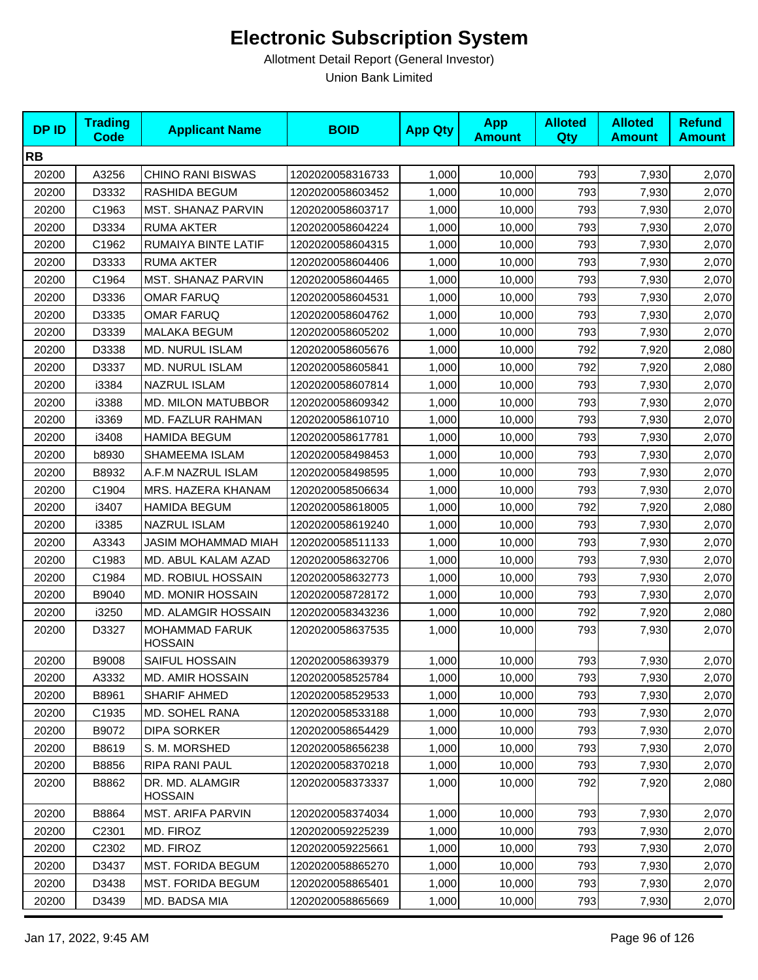| <b>DPID</b> | <b>Trading</b><br>Code | <b>Applicant Name</b>                   | <b>BOID</b>      | <b>App Qty</b> | <b>App</b><br><b>Amount</b> | <b>Alloted</b><br>Qty | <b>Alloted</b><br><b>Amount</b> | <b>Refund</b><br><b>Amount</b> |
|-------------|------------------------|-----------------------------------------|------------------|----------------|-----------------------------|-----------------------|---------------------------------|--------------------------------|
| <b>RB</b>   |                        |                                         |                  |                |                             |                       |                                 |                                |
| 20200       | A3256                  | <b>CHINO RANI BISWAS</b>                | 1202020058316733 | 1,000          | 10,000                      | 793                   | 7,930                           | 2,070                          |
| 20200       | D3332                  | RASHIDA BEGUM                           | 1202020058603452 | 1,000          | 10,000                      | 793                   | 7,930                           | 2,070                          |
| 20200       | C1963                  | <b>MST. SHANAZ PARVIN</b>               | 1202020058603717 | 1,000          | 10,000                      | 793                   | 7,930                           | 2,070                          |
| 20200       | D3334                  | <b>RUMA AKTER</b>                       | 1202020058604224 | 1,000          | 10,000                      | 793                   | 7,930                           | 2,070                          |
| 20200       | C1962                  | RUMAIYA BINTE LATIF                     | 1202020058604315 | 1,000          | 10,000                      | 793                   | 7,930                           | 2,070                          |
| 20200       | D3333                  | <b>RUMA AKTER</b>                       | 1202020058604406 | 1,000          | 10,000                      | 793                   | 7,930                           | 2,070                          |
| 20200       | C1964                  | MST. SHANAZ PARVIN                      | 1202020058604465 | 1,000          | 10,000                      | 793                   | 7,930                           | 2,070                          |
| 20200       | D3336                  | <b>OMAR FARUQ</b>                       | 1202020058604531 | 1,000          | 10,000                      | 793                   | 7,930                           | 2,070                          |
| 20200       | D3335                  | <b>OMAR FARUQ</b>                       | 1202020058604762 | 1,000          | 10,000                      | 793                   | 7,930                           | 2,070                          |
| 20200       | D3339                  | <b>MALAKA BEGUM</b>                     | 1202020058605202 | 1,000          | 10,000                      | 793                   | 7,930                           | 2,070                          |
| 20200       | D3338                  | MD. NURUL ISLAM                         | 1202020058605676 | 1,000          | 10,000                      | 792                   | 7,920                           | 2,080                          |
| 20200       | D3337                  | <b>MD. NURUL ISLAM</b>                  | 1202020058605841 | 1,000          | 10,000                      | 792                   | 7,920                           | 2,080                          |
| 20200       | i3384                  | <b>NAZRUL ISLAM</b>                     | 1202020058607814 | 1,000          | 10,000                      | 793                   | 7,930                           | 2,070                          |
| 20200       | i3388                  | <b>MD. MILON MATUBBOR</b>               | 1202020058609342 | 1,000          | 10,000                      | 793                   | 7,930                           | 2,070                          |
| 20200       | i3369                  | MD. FAZLUR RAHMAN                       | 1202020058610710 | 1,000          | 10,000                      | 793                   | 7,930                           | 2,070                          |
| 20200       | i3408                  | <b>HAMIDA BEGUM</b>                     | 1202020058617781 | 1,000          | 10,000                      | 793                   | 7,930                           | 2,070                          |
| 20200       | b8930                  | SHAMEEMA ISLAM                          | 1202020058498453 | 1,000          | 10,000                      | 793                   | 7,930                           | 2,070                          |
| 20200       | B8932                  | A.F.M NAZRUL ISLAM                      | 1202020058498595 | 1,000          | 10,000                      | 793                   | 7,930                           | 2,070                          |
| 20200       | C1904                  | MRS. HAZERA KHANAM                      | 1202020058506634 | 1,000          | 10,000                      | 793                   | 7,930                           | 2,070                          |
| 20200       | i3407                  | <b>HAMIDA BEGUM</b>                     | 1202020058618005 | 1,000          | 10,000                      | 792                   | 7,920                           | 2,080                          |
| 20200       | i3385                  | NAZRUL ISLAM                            | 1202020058619240 | 1,000          | 10,000                      | 793                   | 7,930                           | 2,070                          |
| 20200       | A3343                  | JASIM MOHAMMAD MIAH                     | 1202020058511133 | 1,000          | 10,000                      | 793                   | 7,930                           | 2,070                          |
| 20200       | C1983                  | MD. ABUL KALAM AZAD                     | 1202020058632706 | 1,000          | 10,000                      | 793                   | 7,930                           | 2,070                          |
| 20200       | C1984                  | MD. ROBIUL HOSSAIN                      | 1202020058632773 | 1,000          | 10,000                      | 793                   | 7,930                           | 2,070                          |
| 20200       | B9040                  | <b>MD. MONIR HOSSAIN</b>                | 1202020058728172 | 1,000          | 10,000                      | 793                   | 7,930                           | 2,070                          |
| 20200       | i3250                  | MD. ALAMGIR HOSSAIN                     | 1202020058343236 | 1,000          | 10,000                      | 792                   | 7,920                           | 2,080                          |
| 20200       | D3327                  | <b>MOHAMMAD FARUK</b><br><b>HOSSAIN</b> | 1202020058637535 | 1,000          | 10,000                      | 793                   | 7,930                           | 2,070                          |
| 20200       | B9008                  | SAIFUL HOSSAIN                          | 1202020058639379 | 1,000          | 10,000                      | 793                   | 7,930                           | 2,070                          |
| 20200       | A3332                  | <b>MD. AMIR HOSSAIN</b>                 | 1202020058525784 | 1,000          | 10,000                      | 793                   | 7,930                           | 2,070                          |
| 20200       | B8961                  | <b>SHARIF AHMED</b>                     | 1202020058529533 | 1,000          | 10,000                      | 793                   | 7,930                           | 2,070                          |
| 20200       | C1935                  | MD. SOHEL RANA                          | 1202020058533188 | 1,000          | 10,000                      | 793                   | 7,930                           | 2,070                          |
| 20200       | B9072                  | <b>DIPA SORKER</b>                      | 1202020058654429 | 1,000          | 10,000                      | 793                   | 7,930                           | 2,070                          |
| 20200       | B8619                  | S. M. MORSHED                           | 1202020058656238 | 1,000          | 10,000                      | 793                   | 7,930                           | 2,070                          |
| 20200       | B8856                  | RIPA RANI PAUL                          | 1202020058370218 | 1,000          | 10,000                      | 793                   | 7,930                           | 2,070                          |
| 20200       | B8862                  | DR. MD. ALAMGIR<br><b>HOSSAIN</b>       | 1202020058373337 | 1,000          | 10,000                      | 792                   | 7,920                           | 2,080                          |
| 20200       | B8864                  | MST. ARIFA PARVIN                       | 1202020058374034 | 1,000          | 10,000                      | 793                   | 7,930                           | 2,070                          |
| 20200       | C2301                  | MD. FIROZ                               | 1202020059225239 | 1,000          | 10,000                      | 793                   | 7,930                           | 2,070                          |
| 20200       | C <sub>2302</sub>      | MD. FIROZ                               | 1202020059225661 | 1,000          | 10,000                      | 793                   | 7,930                           | 2,070                          |
| 20200       | D3437                  | <b>MST. FORIDA BEGUM</b>                | 1202020058865270 | 1,000          | 10,000                      | 793                   | 7,930                           | 2,070                          |
| 20200       | D3438                  | <b>MST. FORIDA BEGUM</b>                | 1202020058865401 | 1,000          | 10,000                      | 793                   | 7,930                           | 2,070                          |
| 20200       | D3439                  | MD. BADSA MIA                           | 1202020058865669 | 1,000          | 10,000                      | 793                   | 7,930                           | 2,070                          |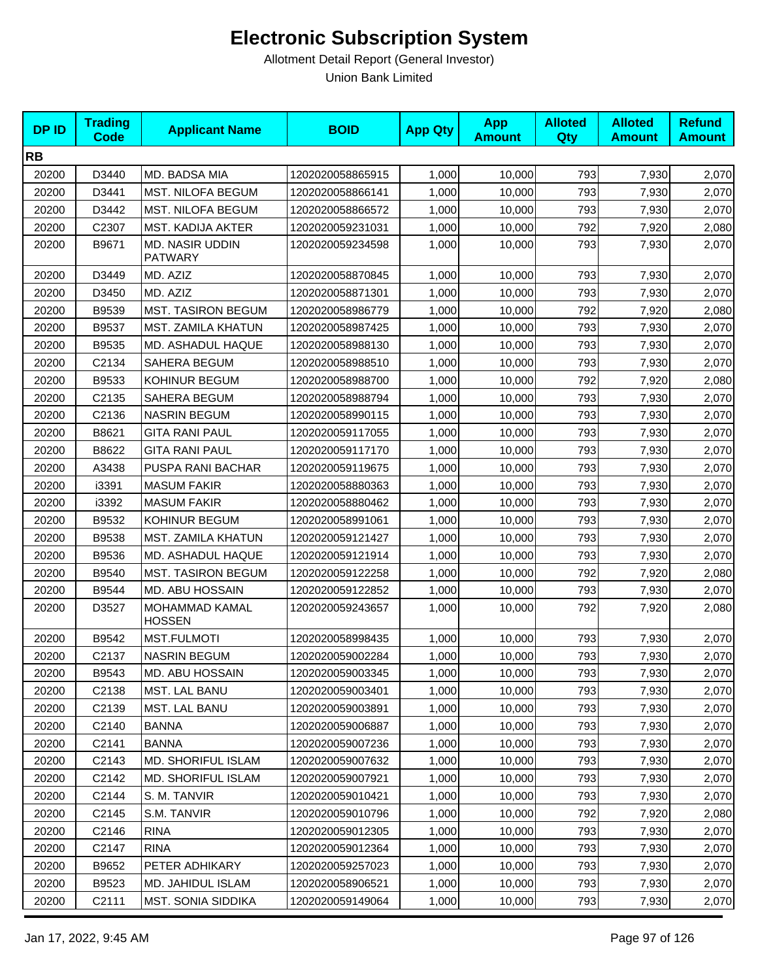| <b>DPID</b> | <b>Trading</b><br><b>Code</b> | <b>Applicant Name</b>                    | <b>BOID</b>      | <b>App Qty</b> | <b>App</b><br><b>Amount</b> | <b>Alloted</b><br>Qty | <b>Alloted</b><br><b>Amount</b> | <b>Refund</b><br><b>Amount</b> |
|-------------|-------------------------------|------------------------------------------|------------------|----------------|-----------------------------|-----------------------|---------------------------------|--------------------------------|
| <b>RB</b>   |                               |                                          |                  |                |                             |                       |                                 |                                |
| 20200       | D3440                         | MD. BADSA MIA                            | 1202020058865915 | 1,000          | 10,000                      | 793                   | 7,930                           | 2,070                          |
| 20200       | D3441                         | <b>MST. NILOFA BEGUM</b>                 | 1202020058866141 | 1,000          | 10,000                      | 793                   | 7,930                           | 2,070                          |
| 20200       | D3442                         | <b>MST. NILOFA BEGUM</b>                 | 1202020058866572 | 1,000          | 10,000                      | 793                   | 7,930                           | 2,070                          |
| 20200       | C2307                         | MST. KADIJA AKTER                        | 1202020059231031 | 1,000          | 10,000                      | 792                   | 7,920                           | 2,080                          |
| 20200       | B9671                         | <b>MD. NASIR UDDIN</b><br><b>PATWARY</b> | 1202020059234598 | 1,000          | 10,000                      | 793                   | 7,930                           | 2,070                          |
| 20200       | D3449                         | MD. AZIZ                                 | 1202020058870845 | 1,000          | 10,000                      | 793                   | 7,930                           | 2,070                          |
| 20200       | D3450                         | MD. AZIZ                                 | 1202020058871301 | 1,000          | 10,000                      | 793                   | 7,930                           | 2,070                          |
| 20200       | B9539                         | <b>MST. TASIRON BEGUM</b>                | 1202020058986779 | 1,000          | 10,000                      | 792                   | 7,920                           | 2,080                          |
| 20200       | B9537                         | MST. ZAMILA KHATUN                       | 1202020058987425 | 1,000          | 10,000                      | 793                   | 7,930                           | 2,070                          |
| 20200       | B9535                         | MD. ASHADUL HAQUE                        | 1202020058988130 | 1,000          | 10,000                      | 793                   | 7,930                           | 2,070                          |
| 20200       | C2134                         | SAHERA BEGUM                             | 1202020058988510 | 1,000          | 10,000                      | 793                   | 7,930                           | 2,070                          |
| 20200       | B9533                         | KOHINUR BEGUM                            | 1202020058988700 | 1,000          | 10,000                      | 792                   | 7,920                           | 2,080                          |
| 20200       | C2135                         | <b>SAHERA BEGUM</b>                      | 1202020058988794 | 1,000          | 10,000                      | 793                   | 7,930                           | 2,070                          |
| 20200       | C2136                         | <b>NASRIN BEGUM</b>                      | 1202020058990115 | 1,000          | 10,000                      | 793                   | 7,930                           | 2,070                          |
| 20200       | B8621                         | <b>GITA RANI PAUL</b>                    | 1202020059117055 | 1,000          | 10,000                      | 793                   | 7,930                           | 2,070                          |
| 20200       | B8622                         | <b>GITA RANI PAUL</b>                    | 1202020059117170 | 1,000          | 10,000                      | 793                   | 7,930                           | 2,070                          |
| 20200       | A3438                         | PUSPA RANI BACHAR                        | 1202020059119675 | 1,000          | 10,000                      | 793                   | 7,930                           | 2,070                          |
| 20200       | i3391                         | <b>MASUM FAKIR</b>                       | 1202020058880363 | 1,000          | 10,000                      | 793                   | 7,930                           | 2,070                          |
| 20200       | i3392                         | <b>MASUM FAKIR</b>                       | 1202020058880462 | 1,000          | 10,000                      | 793                   | 7,930                           | 2,070                          |
| 20200       | B9532                         | KOHINUR BEGUM                            | 1202020058991061 | 1,000          | 10,000                      | 793                   | 7,930                           | 2,070                          |
| 20200       | B9538                         | MST. ZAMILA KHATUN                       | 1202020059121427 | 1,000          | 10,000                      | 793                   | 7,930                           | 2,070                          |
| 20200       | B9536                         | MD. ASHADUL HAQUE                        | 1202020059121914 | 1,000          | 10,000                      | 793                   | 7,930                           | 2,070                          |
| 20200       | B9540                         | <b>MST. TASIRON BEGUM</b>                | 1202020059122258 | 1,000          | 10,000                      | 792                   | 7,920                           | 2,080                          |
| 20200       | B9544                         | MD. ABU HOSSAIN                          | 1202020059122852 | 1,000          | 10,000                      | 793                   | 7,930                           | 2,070                          |
| 20200       | D3527                         | MOHAMMAD KAMAL<br><b>HOSSEN</b>          | 1202020059243657 | 1,000          | 10,000                      | 792                   | 7,920                           | 2,080                          |
| 20200       | B9542                         | <b>MST.FULMOTI</b>                       | 1202020058998435 | 1,000          | 10,000                      | 793                   | 7,930                           | 2,070                          |
| 20200       | C2137                         | <b>NASRIN BEGUM</b>                      | 1202020059002284 | 1,000          | 10,000                      | 793                   | 7,930                           | 2,070                          |
| 20200       | B9543                         | MD. ABU HOSSAIN                          | 1202020059003345 | 1,000          | 10,000                      | 793                   | 7,930                           | 2,070                          |
| 20200       | C2138                         | <b>MST. LAL BANU</b>                     | 1202020059003401 | 1,000          | 10,000                      | 793                   | 7,930                           | 2,070                          |
| 20200       | C2139                         | MST. LAL BANU                            | 1202020059003891 | 1,000          | 10,000                      | 793                   | 7,930                           | 2,070                          |
| 20200       | C2140                         | <b>BANNA</b>                             | 1202020059006887 | 1,000          | 10,000                      | 793                   | 7,930                           | 2,070                          |
| 20200       | C2141                         | <b>BANNA</b>                             | 1202020059007236 | 1,000          | 10,000                      | 793                   | 7,930                           | 2,070                          |
| 20200       | C2143                         | <b>MD. SHORIFUL ISLAM</b>                | 1202020059007632 | 1,000          | 10,000                      | 793                   | 7,930                           | 2,070                          |
| 20200       | C2142                         | <b>MD. SHORIFUL ISLAM</b>                | 1202020059007921 | 1,000          | 10,000                      | 793                   | 7,930                           | 2,070                          |
| 20200       | C2144                         | S. M. TANVIR                             | 1202020059010421 | 1,000          | 10,000                      | 793                   | 7,930                           | 2,070                          |
| 20200       | C2145                         | S.M. TANVIR                              | 1202020059010796 | 1,000          | 10,000                      | 792                   | 7,920                           | 2,080                          |
| 20200       | C2146                         | <b>RINA</b>                              | 1202020059012305 | 1,000          | 10,000                      | 793                   | 7,930                           | 2,070                          |
| 20200       | C <sub>2</sub> 147            | <b>RINA</b>                              | 1202020059012364 | 1,000          | 10,000                      | 793                   | 7,930                           | 2,070                          |
| 20200       | B9652                         | PETER ADHIKARY                           | 1202020059257023 | 1,000          | 10,000                      | 793                   | 7,930                           | 2,070                          |
| 20200       | B9523                         | MD. JAHIDUL ISLAM                        | 1202020058906521 | 1,000          | 10,000                      | 793                   | 7,930                           | 2,070                          |
| 20200       | C2111                         | MST. SONIA SIDDIKA                       | 1202020059149064 | 1,000          | 10,000                      | 793                   | 7,930                           | 2,070                          |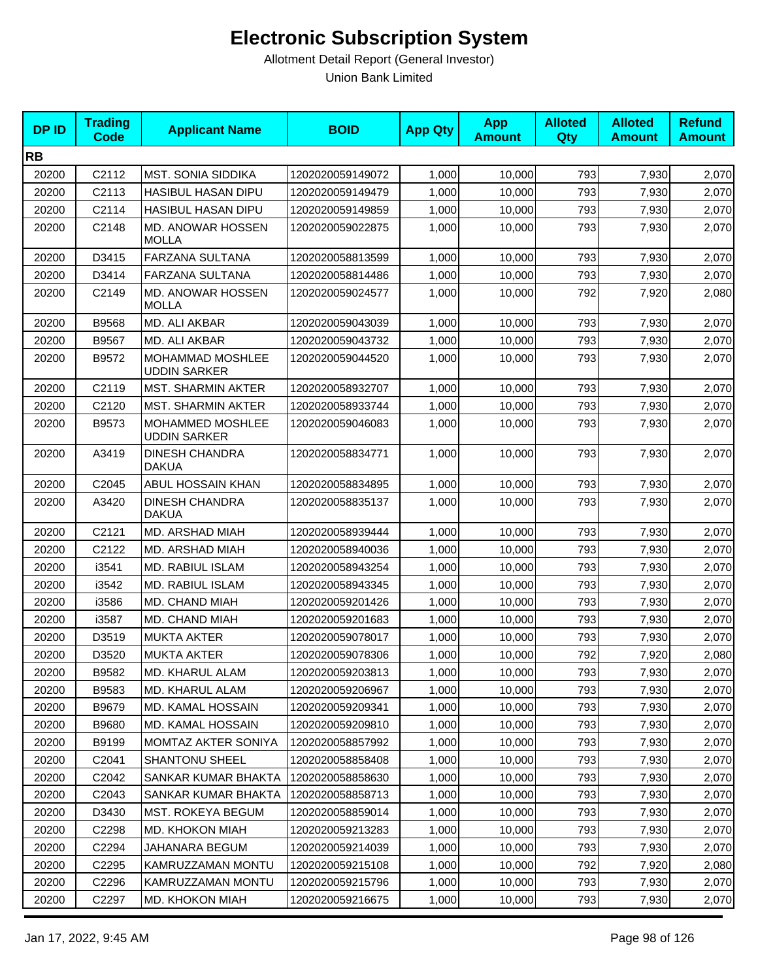| <b>DPID</b> | <b>Trading</b><br><b>Code</b> | <b>Applicant Name</b>                   | <b>BOID</b>      | <b>App Qty</b> | <b>App</b><br><b>Amount</b> | <b>Alloted</b><br><b>Qty</b> | <b>Alloted</b><br><b>Amount</b> | <b>Refund</b><br><b>Amount</b> |
|-------------|-------------------------------|-----------------------------------------|------------------|----------------|-----------------------------|------------------------------|---------------------------------|--------------------------------|
| <b>RB</b>   |                               |                                         |                  |                |                             |                              |                                 |                                |
| 20200       | C2112                         | <b>MST. SONIA SIDDIKA</b>               | 1202020059149072 | 1,000          | 10,000                      | 793                          | 7,930                           | 2,070                          |
| 20200       | C2113                         | <b>HASIBUL HASAN DIPU</b>               | 1202020059149479 | 1,000          | 10,000                      | 793                          | 7,930                           | 2,070                          |
| 20200       | C2114                         | <b>HASIBUL HASAN DIPU</b>               | 1202020059149859 | 1,000          | 10,000                      | 793                          | 7,930                           | 2,070                          |
| 20200       | C2148                         | MD. ANOWAR HOSSEN<br><b>MOLLA</b>       | 1202020059022875 | 1,000          | 10,000                      | 793                          | 7,930                           | 2,070                          |
| 20200       | D3415                         | FARZANA SULTANA                         | 1202020058813599 | 1,000          | 10,000                      | 793                          | 7,930                           | 2,070                          |
| 20200       | D3414                         | FARZANA SULTANA                         | 1202020058814486 | 1,000          | 10,000                      | 793                          | 7,930                           | 2,070                          |
| 20200       | C2149                         | MD. ANOWAR HOSSEN<br>MOLLA              | 1202020059024577 | 1,000          | 10,000                      | 792                          | 7,920                           | 2,080                          |
| 20200       | B9568                         | MD. ALI AKBAR                           | 1202020059043039 | 1,000          | 10,000                      | 793                          | 7,930                           | 2,070                          |
| 20200       | B9567                         | MD. ALI AKBAR                           | 1202020059043732 | 1,000          | 10,000                      | 793                          | 7,930                           | 2,070                          |
| 20200       | B9572                         | MOHAMMAD MOSHLEE<br><b>UDDIN SARKER</b> | 1202020059044520 | 1,000          | 10,000                      | 793                          | 7,930                           | 2,070                          |
| 20200       | C2119                         | <b>MST. SHARMIN AKTER</b>               | 1202020058932707 | 1.000          | 10,000                      | 793                          | 7,930                           | 2,070                          |
| 20200       | C2120                         | <b>MST. SHARMIN AKTER</b>               | 1202020058933744 | 1,000          | 10,000                      | 793                          | 7,930                           | 2,070                          |
| 20200       | B9573                         | MOHAMMED MOSHLEE<br><b>UDDIN SARKER</b> | 1202020059046083 | 1,000          | 10,000                      | 793                          | 7,930                           | 2,070                          |
| 20200       | A3419                         | <b>DINESH CHANDRA</b><br><b>DAKUA</b>   | 1202020058834771 | 1,000          | 10,000                      | 793                          | 7,930                           | 2,070                          |
| 20200       | C2045                         | ABUL HOSSAIN KHAN                       | 1202020058834895 | 1,000          | 10,000                      | 793                          | 7,930                           | 2,070                          |
| 20200       | A3420                         | <b>DINESH CHANDRA</b><br><b>DAKUA</b>   | 1202020058835137 | 1,000          | 10,000                      | 793                          | 7,930                           | 2,070                          |
| 20200       | C2121                         | MD. ARSHAD MIAH                         | 1202020058939444 | 1,000          | 10,000                      | 793                          | 7,930                           | 2,070                          |
| 20200       | C2122                         | MD. ARSHAD MIAH                         | 1202020058940036 | 1,000          | 10,000                      | 793                          | 7,930                           | 2,070                          |
| 20200       | i3541                         | <b>MD. RABIUL ISLAM</b>                 | 1202020058943254 | 1,000          | 10,000                      | 793                          | 7,930                           | 2,070                          |
| 20200       | i3542                         | MD. RABIUL ISLAM                        | 1202020058943345 | 1,000          | 10,000                      | 793                          | 7,930                           | 2,070                          |
| 20200       | i3586                         | MD. CHAND MIAH                          | 1202020059201426 | 1,000          | 10,000                      | 793                          | 7,930                           | 2,070                          |
| 20200       | i3587                         | MD. CHAND MIAH                          | 1202020059201683 | 1,000          | 10,000                      | 793                          | 7,930                           | 2,070                          |
| 20200       | D3519                         | <b>MUKTA AKTER</b>                      | 1202020059078017 | 1,000          | 10,000                      | 793                          | 7,930                           | 2,070                          |
| 20200       | D3520                         | <b>MUKTA AKTER</b>                      | 1202020059078306 | 1,000          | 10,000                      | 792                          | 7,920                           | 2,080                          |
| 20200       | B9582                         | MD. KHARUL ALAM                         | 1202020059203813 | 1,000          | 10,000                      | 793                          | 7,930                           | 2,070                          |
| 20200       | B9583                         | MD. KHARUL ALAM                         | 1202020059206967 | 1,000          | 10,000                      | 793                          | 7,930                           | 2,070                          |
| 20200       | B9679                         | MD. KAMAL HOSSAIN                       | 1202020059209341 | 1,000          | 10,000                      | 793                          | 7,930                           | 2,070                          |
| 20200       | B9680                         | MD. KAMAL HOSSAIN                       | 1202020059209810 | 1,000          | 10,000                      | 793                          | 7,930                           | 2,070                          |
| 20200       | B9199                         | MOMTAZ AKTER SONIYA                     | 1202020058857992 | 1,000          | 10,000                      | 793                          | 7,930                           | 2,070                          |
| 20200       | C <sub>2041</sub>             | <b>SHANTONU SHEEL</b>                   | 1202020058858408 | 1,000          | 10,000                      | 793                          | 7,930                           | 2,070                          |
| 20200       | C2042                         | SANKAR KUMAR BHAKTA                     | 1202020058858630 | 1,000          | 10,000                      | 793                          | 7,930                           | 2,070                          |
| 20200       | C2043                         | SANKAR KUMAR BHAKTA                     | 1202020058858713 | 1,000          | 10,000                      | 793                          | 7,930                           | 2,070                          |
| 20200       | D3430                         | MST. ROKEYA BEGUM                       | 1202020058859014 | 1,000          | 10,000                      | 793                          | 7,930                           | 2,070                          |
| 20200       | C <sub>2298</sub>             | MD. KHOKON MIAH                         | 1202020059213283 | 1,000          | 10,000                      | 793                          | 7,930                           | 2,070                          |
| 20200       | C <sub>2294</sub>             | JAHANARA BEGUM                          | 1202020059214039 | 1,000          | 10,000                      | 793                          | 7,930                           | 2,070                          |
| 20200       | C2295                         | KAMRUZZAMAN MONTU                       | 1202020059215108 | 1,000          | 10,000                      | 792                          | 7,920                           | 2,080                          |
| 20200       | C2296                         | KAMRUZZAMAN MONTU                       | 1202020059215796 | 1,000          | 10,000                      | 793                          | 7,930                           | 2,070                          |
| 20200       | C2297                         | MD. KHOKON MIAH                         | 1202020059216675 | 1,000          | 10,000                      | 793                          | 7,930                           | 2,070                          |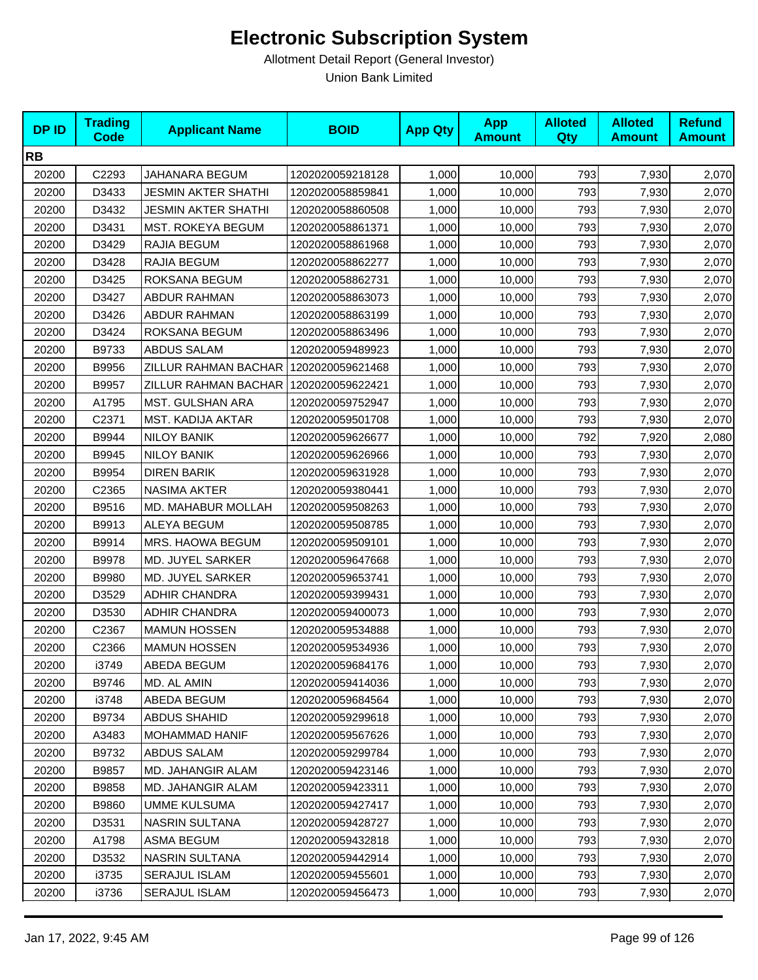| <b>DPID</b> | <b>Trading</b><br><b>Code</b> | <b>Applicant Name</b>      | <b>BOID</b>      | <b>App Qty</b> | <b>App</b><br><b>Amount</b> | <b>Alloted</b><br>Qty | <b>Alloted</b><br><b>Amount</b> | <b>Refund</b><br><b>Amount</b> |
|-------------|-------------------------------|----------------------------|------------------|----------------|-----------------------------|-----------------------|---------------------------------|--------------------------------|
| <b>RB</b>   |                               |                            |                  |                |                             |                       |                                 |                                |
| 20200       | C2293                         | JAHANARA BEGUM             | 1202020059218128 | 1,000          | 10,000                      | 793                   | 7,930                           | 2,070                          |
| 20200       | D3433                         | JESMIN AKTER SHATHI        | 1202020058859841 | 1,000          | 10,000                      | 793                   | 7,930                           | 2,070                          |
| 20200       | D3432                         | <b>JESMIN AKTER SHATHI</b> | 1202020058860508 | 1,000          | 10,000                      | 793                   | 7,930                           | 2,070                          |
| 20200       | D3431                         | <b>MST. ROKEYA BEGUM</b>   | 1202020058861371 | 1,000          | 10,000                      | 793                   | 7,930                           | 2,070                          |
| 20200       | D3429                         | RAJIA BEGUM                | 1202020058861968 | 1,000          | 10,000                      | 793                   | 7,930                           | 2,070                          |
| 20200       | D3428                         | RAJIA BEGUM                | 1202020058862277 | 1,000          | 10,000                      | 793                   | 7,930                           | 2,070                          |
| 20200       | D3425                         | ROKSANA BEGUM              | 1202020058862731 | 1,000          | 10,000                      | 793                   | 7,930                           | 2,070                          |
| 20200       | D3427                         | <b>ABDUR RAHMAN</b>        | 1202020058863073 | 1,000          | 10,000                      | 793                   | 7,930                           | 2,070                          |
| 20200       | D3426                         | ABDUR RAHMAN               | 1202020058863199 | 1,000          | 10,000                      | 793                   | 7,930                           | 2,070                          |
| 20200       | D3424                         | ROKSANA BEGUM              | 1202020058863496 | 1,000          | 10,000                      | 793                   | 7,930                           | 2,070                          |
| 20200       | B9733                         | <b>ABDUS SALAM</b>         | 1202020059489923 | 1,000          | 10,000                      | 793                   | 7,930                           | 2,070                          |
| 20200       | B9956                         | ZILLUR RAHMAN BACHAR       | 1202020059621468 | 1,000          | 10,000                      | 793                   | 7,930                           | 2,070                          |
| 20200       | B9957                         | ZILLUR RAHMAN BACHAR       | 1202020059622421 | 1,000          | 10,000                      | 793                   | 7,930                           | 2,070                          |
| 20200       | A1795                         | MST. GULSHAN ARA           | 1202020059752947 | 1,000          | 10,000                      | 793                   | 7,930                           | 2,070                          |
| 20200       | C2371                         | MST. KADIJA AKTAR          | 1202020059501708 | 1,000          | 10,000                      | 793                   | 7,930                           | 2,070                          |
| 20200       | B9944                         | <b>NILOY BANIK</b>         | 1202020059626677 | 1,000          | 10,000                      | 792                   | 7,920                           | 2,080                          |
| 20200       | B9945                         | NILOY BANIK                | 1202020059626966 | 1,000          | 10,000                      | 793                   | 7,930                           | 2,070                          |
| 20200       | B9954                         | <b>DIREN BARIK</b>         | 1202020059631928 | 1,000          | 10,000                      | 793                   | 7,930                           | 2,070                          |
| 20200       | C2365                         | <b>NASIMA AKTER</b>        | 1202020059380441 | 1,000          | 10,000                      | 793                   | 7,930                           | 2,070                          |
| 20200       | B9516                         | MD. MAHABUR MOLLAH         | 1202020059508263 | 1,000          | 10,000                      | 793                   | 7,930                           | 2,070                          |
| 20200       | B9913                         | ALEYA BEGUM                | 1202020059508785 | 1,000          | 10,000                      | 793                   | 7,930                           | 2,070                          |
| 20200       | B9914                         | MRS. HAOWA BEGUM           | 1202020059509101 | 1,000          | 10,000                      | 793                   | 7,930                           | 2,070                          |
| 20200       | B9978                         | MD. JUYEL SARKER           | 1202020059647668 | 1,000          | 10,000                      | 793                   | 7,930                           | 2,070                          |
| 20200       | B9980                         | MD. JUYEL SARKER           | 1202020059653741 | 1,000          | 10,000                      | 793                   | 7,930                           | 2,070                          |
| 20200       | D3529                         | ADHIR CHANDRA              | 1202020059399431 | 1,000          | 10,000                      | 793                   | 7,930                           | 2,070                          |
| 20200       | D3530                         | ADHIR CHANDRA              | 1202020059400073 | 1,000          | 10,000                      | 793                   | 7,930                           | 2,070                          |
| 20200       | C2367                         | <b>MAMUN HOSSEN</b>        | 1202020059534888 | 1,000          | 10,000                      | 793                   | 7,930                           | 2,070                          |
| 20200       | C2366                         | <b>MAMUN HOSSEN</b>        | 1202020059534936 | 1,000          | 10,000                      | 793                   | 7,930                           | 2,070                          |
| 20200       | i3749                         | ABEDA BEGUM                | 1202020059684176 | 1,000          | 10,000                      | 793                   | 7,930                           | 2,070                          |
| 20200       | B9746                         | MD. AL AMIN                | 1202020059414036 | 1,000          | 10,000                      | 793                   | 7,930                           | 2,070                          |
| 20200       | i3748                         | ABEDA BEGUM                | 1202020059684564 | 1,000          | 10,000                      | 793                   | 7,930                           | 2,070                          |
| 20200       | B9734                         | <b>ABDUS SHAHID</b>        | 1202020059299618 | 1,000          | 10,000                      | 793                   | 7,930                           | 2,070                          |
| 20200       | A3483                         | <b>MOHAMMAD HANIF</b>      | 1202020059567626 | 1,000          | 10,000                      | 793                   | 7,930                           | 2,070                          |
| 20200       | B9732                         | ABDUS SALAM                | 1202020059299784 | 1,000          | 10,000                      | 793                   | 7,930                           | 2,070                          |
| 20200       | B9857                         | MD. JAHANGIR ALAM          | 1202020059423146 | 1,000          | 10,000                      | 793                   | 7,930                           | 2,070                          |
| 20200       | B9858                         | MD. JAHANGIR ALAM          | 1202020059423311 | 1,000          | 10,000                      | 793                   | 7,930                           | 2,070                          |
| 20200       | B9860                         | <b>UMME KULSUMA</b>        | 1202020059427417 | 1,000          | 10,000                      | 793                   | 7,930                           | 2,070                          |
| 20200       | D3531                         | <b>NASRIN SULTANA</b>      | 1202020059428727 | 1,000          | 10,000                      | 793                   | 7,930                           | 2,070                          |
| 20200       | A1798                         | ASMA BEGUM                 | 1202020059432818 | 1,000          | 10,000                      | 793                   | 7,930                           | 2,070                          |
| 20200       | D3532                         | NASRIN SULTANA             | 1202020059442914 | 1,000          | 10,000                      | 793                   | 7,930                           | 2,070                          |
| 20200       | i3735                         | SERAJUL ISLAM              | 1202020059455601 | 1,000          | 10,000                      | 793                   | 7,930                           | 2,070                          |
| 20200       | i3736                         | SERAJUL ISLAM              | 1202020059456473 | 1,000          | 10,000                      | 793                   | 7,930                           | 2,070                          |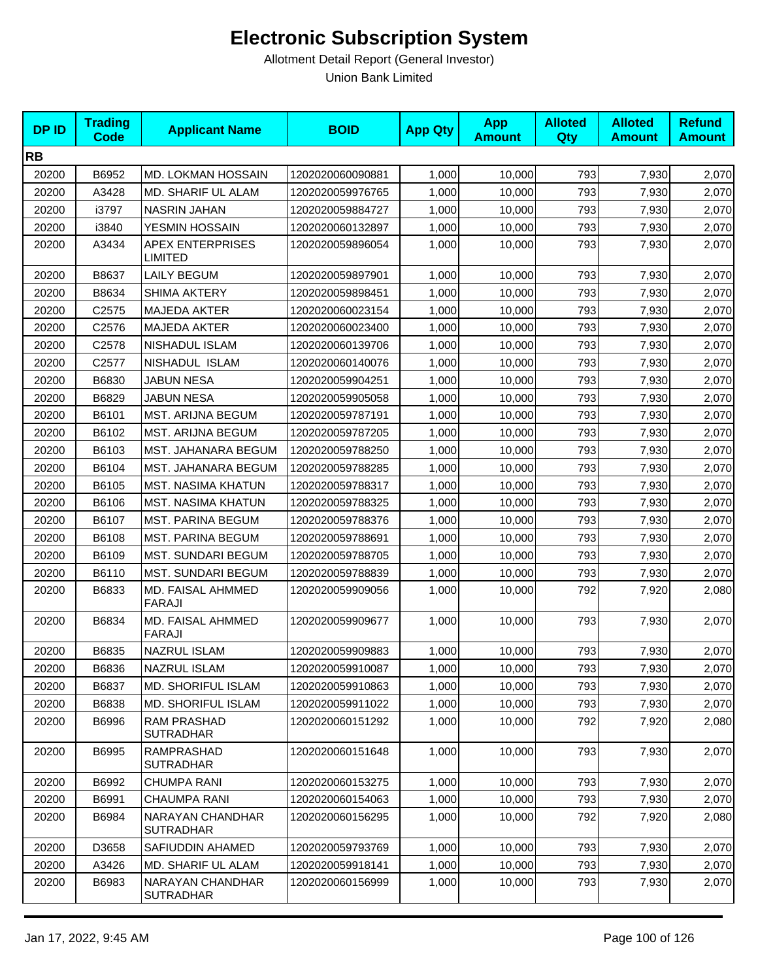| <b>DPID</b> | <b>Trading</b><br><b>Code</b> | <b>Applicant Name</b>                     | <b>BOID</b>      | <b>App Qty</b> | <b>App</b><br><b>Amount</b> | <b>Alloted</b><br><b>Qty</b> | <b>Alloted</b><br><b>Amount</b> | <b>Refund</b><br><b>Amount</b> |
|-------------|-------------------------------|-------------------------------------------|------------------|----------------|-----------------------------|------------------------------|---------------------------------|--------------------------------|
| <b>RB</b>   |                               |                                           |                  |                |                             |                              |                                 |                                |
| 20200       | B6952                         | MD. LOKMAN HOSSAIN                        | 1202020060090881 | 1,000          | 10,000                      | 793                          | 7,930                           | 2,070                          |
| 20200       | A3428                         | MD. SHARIF UL ALAM                        | 1202020059976765 | 1,000          | 10,000                      | 793                          | 7,930                           | 2,070                          |
| 20200       | i3797                         | <b>NASRIN JAHAN</b>                       | 1202020059884727 | 1,000          | 10,000                      | 793                          | 7,930                           | 2,070                          |
| 20200       | i3840                         | YESMIN HOSSAIN                            | 1202020060132897 | 1,000          | 10,000                      | 793                          | 7,930                           | 2,070                          |
| 20200       | A3434                         | <b>APEX ENTERPRISES</b><br><b>LIMITED</b> | 1202020059896054 | 1,000          | 10,000                      | 793                          | 7,930                           | 2,070                          |
| 20200       | B8637                         | <b>LAILY BEGUM</b>                        | 1202020059897901 | 1,000          | 10,000                      | 793                          | 7,930                           | 2,070                          |
| 20200       | B8634                         | <b>SHIMA AKTERY</b>                       | 1202020059898451 | 1,000          | 10,000                      | 793                          | 7,930                           | 2,070                          |
| 20200       | C <sub>2575</sub>             | <b>MAJEDA AKTER</b>                       | 1202020060023154 | 1,000          | 10,000                      | 793                          | 7,930                           | 2,070                          |
| 20200       | C2576                         | <b>MAJEDA AKTER</b>                       | 1202020060023400 | 1,000          | 10,000                      | 793                          | 7,930                           | 2,070                          |
| 20200       | C2578                         | NISHADUL ISLAM                            | 1202020060139706 | 1,000          | 10,000                      | 793                          | 7,930                           | 2,070                          |
| 20200       | C2577                         | NISHADUL ISLAM                            | 1202020060140076 | 1,000          | 10,000                      | 793                          | 7,930                           | 2,070                          |
| 20200       | B6830                         | <b>JABUN NESA</b>                         | 1202020059904251 | 1,000          | 10,000                      | 793                          | 7,930                           | 2,070                          |
| 20200       | B6829                         | <b>JABUN NESA</b>                         | 1202020059905058 | 1,000          | 10,000                      | 793                          | 7,930                           | 2,070                          |
| 20200       | B6101                         | MST. ARIJNA BEGUM                         | 1202020059787191 | 1,000          | 10,000                      | 793                          | 7,930                           | 2,070                          |
| 20200       | B6102                         | MST. ARIJNA BEGUM                         | 1202020059787205 | 1,000          | 10,000                      | 793                          | 7,930                           | 2,070                          |
| 20200       | B6103                         | MST. JAHANARA BEGUM                       | 1202020059788250 | 1,000          | 10,000                      | 793                          | 7,930                           | 2,070                          |
| 20200       | B6104                         | MST. JAHANARA BEGUM                       | 1202020059788285 | 1,000          | 10,000                      | 793                          | 7,930                           | 2,070                          |
| 20200       | B6105                         | <b>MST. NASIMA KHATUN</b>                 | 1202020059788317 | 1,000          | 10,000                      | 793                          | 7,930                           | 2,070                          |
| 20200       | B6106                         | <b>MST. NASIMA KHATUN</b>                 | 1202020059788325 | 1,000          | 10,000                      | 793                          | 7,930                           | 2,070                          |
| 20200       | B6107                         | <b>MST. PARINA BEGUM</b>                  | 1202020059788376 | 1,000          | 10,000                      | 793                          | 7,930                           | 2,070                          |
| 20200       | B6108                         | <b>MST. PARINA BEGUM</b>                  | 1202020059788691 | 1,000          | 10,000                      | 793                          | 7,930                           | 2,070                          |
| 20200       | B6109                         | MST. SUNDARI BEGUM                        | 1202020059788705 | 1,000          | 10,000                      | 793                          | 7,930                           | 2,070                          |
| 20200       | B6110                         | <b>MST. SUNDARI BEGUM</b>                 | 1202020059788839 | 1,000          | 10,000                      | 793                          | 7,930                           | 2,070                          |
| 20200       | B6833                         | MD. FAISAL AHMMED<br>FARAJI               | 1202020059909056 | 1,000          | 10,000                      | 792                          | 7,920                           | 2,080                          |
| 20200       | B6834                         | MD. FAISAL AHMMED<br><b>FARAJI</b>        | 1202020059909677 | 1,000          | 10,000                      | 793                          | 7,930                           | 2,070                          |
| 20200       | B6835                         | NAZRUL ISLAM                              | 1202020059909883 | 1,000          | 10,000                      | 793                          | 7,930                           | 2,070                          |
| 20200       | B6836                         | NAZRUL ISLAM                              | 1202020059910087 | 1,000          | 10,000                      | 793                          | 7,930                           | 2,070                          |
| 20200       | B6837                         | <b>MD. SHORIFUL ISLAM</b>                 | 1202020059910863 | 1,000          | 10,000                      | 793                          | 7,930                           | 2,070                          |
| 20200       | B6838                         | MD. SHORIFUL ISLAM                        | 1202020059911022 | 1,000          | 10,000                      | 793                          | 7,930                           | 2,070                          |
| 20200       | B6996                         | RAM PRASHAD<br><b>SUTRADHAR</b>           | 1202020060151292 | 1,000          | 10,000                      | 792                          | 7,920                           | 2,080                          |
| 20200       | B6995                         | RAMPRASHAD<br><b>SUTRADHAR</b>            | 1202020060151648 | 1,000          | 10,000                      | 793                          | 7,930                           | 2,070                          |
| 20200       | B6992                         | <b>CHUMPA RANI</b>                        | 1202020060153275 | 1,000          | 10,000                      | 793                          | 7,930                           | 2,070                          |
| 20200       | B6991                         | <b>CHAUMPA RANI</b>                       | 1202020060154063 | 1,000          | 10,000                      | 793                          | 7,930                           | 2,070                          |
| 20200       | B6984                         | NARAYAN CHANDHAR<br><b>SUTRADHAR</b>      | 1202020060156295 | 1.000          | 10,000                      | 792                          | 7,920                           | 2,080                          |
| 20200       | D3658                         | SAFIUDDIN AHAMED                          | 1202020059793769 | 1,000          | 10,000                      | 793                          | 7,930                           | 2,070                          |
| 20200       | A3426                         | MD. SHARIF UL ALAM                        | 1202020059918141 | 1,000          | 10,000                      | 793                          | 7,930                           | 2,070                          |
| 20200       | B6983                         | NARAYAN CHANDHAR<br><b>SUTRADHAR</b>      | 1202020060156999 | 1,000          | 10,000                      | 793                          | 7,930                           | 2,070                          |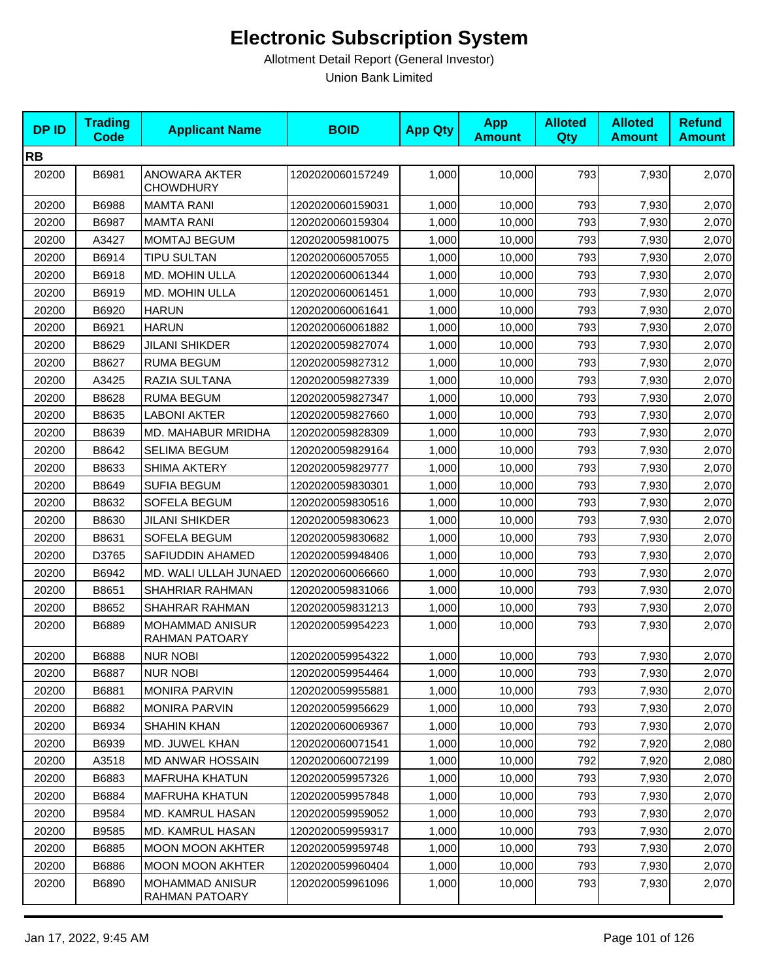| <b>DPID</b> | <b>Trading</b><br><b>Code</b> | <b>Applicant Name</b>                    | <b>BOID</b>      | <b>App Qty</b> | <b>App</b><br><b>Amount</b> | <b>Alloted</b><br><b>Qty</b> | <b>Alloted</b><br><b>Amount</b> | <b>Refund</b><br><b>Amount</b> |
|-------------|-------------------------------|------------------------------------------|------------------|----------------|-----------------------------|------------------------------|---------------------------------|--------------------------------|
| <b>RB</b>   |                               |                                          |                  |                |                             |                              |                                 |                                |
| 20200       | B6981                         | ANOWARA AKTER<br><b>CHOWDHURY</b>        | 1202020060157249 | 1,000          | 10,000                      | 793                          | 7,930                           | 2,070                          |
| 20200       | B6988                         | <b>MAMTA RANI</b>                        | 1202020060159031 | 1,000          | 10,000                      | 793                          | 7,930                           | 2,070                          |
| 20200       | B6987                         | <b>MAMTA RANI</b>                        | 1202020060159304 | 1,000          | 10,000                      | 793                          | 7,930                           | 2,070                          |
| 20200       | A3427                         | <b>MOMTAJ BEGUM</b>                      | 1202020059810075 | 1,000          | 10,000                      | 793                          | 7,930                           | 2,070                          |
| 20200       | B6914                         | <b>TIPU SULTAN</b>                       | 1202020060057055 | 1,000          | 10,000                      | 793                          | 7,930                           | 2,070                          |
| 20200       | B6918                         | MD. MOHIN ULLA                           | 1202020060061344 | 1,000          | 10,000                      | 793                          | 7,930                           | 2,070                          |
| 20200       | B6919                         | MD. MOHIN ULLA                           | 1202020060061451 | 1,000          | 10,000                      | 793                          | 7,930                           | 2,070                          |
| 20200       | B6920                         | <b>HARUN</b>                             | 1202020060061641 | 1,000          | 10,000                      | 793                          | 7,930                           | 2,070                          |
| 20200       | B6921                         | <b>HARUN</b>                             | 1202020060061882 | 1,000          | 10,000                      | 793                          | 7,930                           | 2,070                          |
| 20200       | B8629                         | <b>JILANI SHIKDER</b>                    | 1202020059827074 | 1,000          | 10,000                      | 793                          | 7,930                           | 2,070                          |
| 20200       | B8627                         | <b>RUMA BEGUM</b>                        | 1202020059827312 | 1,000          | 10,000                      | 793                          | 7,930                           | 2,070                          |
| 20200       | A3425                         | RAZIA SULTANA                            | 1202020059827339 | 1,000          | 10,000                      | 793                          | 7,930                           | 2,070                          |
| 20200       | B8628                         | <b>RUMA BEGUM</b>                        | 1202020059827347 | 1,000          | 10,000                      | 793                          | 7,930                           | 2,070                          |
| 20200       | B8635                         | <b>LABONI AKTER</b>                      | 1202020059827660 | 1,000          | 10,000                      | 793                          | 7,930                           | 2,070                          |
| 20200       | B8639                         | MD. MAHABUR MRIDHA                       | 1202020059828309 | 1,000          | 10,000                      | 793                          | 7,930                           | 2,070                          |
| 20200       | B8642                         | <b>SELIMA BEGUM</b>                      | 1202020059829164 | 1,000          | 10,000                      | 793                          | 7,930                           | 2,070                          |
| 20200       | B8633                         | <b>SHIMA AKTERY</b>                      | 1202020059829777 | 1,000          | 10,000                      | 793                          | 7,930                           | 2,070                          |
| 20200       | B8649                         | <b>SUFIA BEGUM</b>                       | 1202020059830301 | 1,000          | 10,000                      | 793                          | 7,930                           | 2,070                          |
| 20200       | B8632                         | SOFELA BEGUM                             | 1202020059830516 | 1,000          | 10,000                      | 793                          | 7,930                           | 2,070                          |
| 20200       | B8630                         | <b>JILANI SHIKDER</b>                    | 1202020059830623 | 1,000          | 10,000                      | 793                          | 7,930                           | 2,070                          |
| 20200       | B8631                         | SOFELA BEGUM                             | 1202020059830682 | 1,000          | 10,000                      | 793                          | 7,930                           | 2,070                          |
| 20200       | D3765                         | SAFIUDDIN AHAMED                         | 1202020059948406 | 1,000          | 10,000                      | 793                          | 7,930                           | 2,070                          |
| 20200       | B6942                         | MD. WALI ULLAH JUNAED                    | 1202020060066660 | 1,000          | 10,000                      | 793                          | 7,930                           | 2,070                          |
| 20200       | B8651                         | SHAHRIAR RAHMAN                          | 1202020059831066 | 1,000          | 10,000                      | 793                          | 7,930                           | 2,070                          |
| 20200       | B8652                         | SHAHRAR RAHMAN                           | 1202020059831213 | 1,000          | 10,000                      | 793                          | 7,930                           | 2,070                          |
| 20200       | B6889                         | <b>MOHAMMAD ANISUR</b><br>RAHMAN PATOARY | 1202020059954223 | 1,000          | 10,000                      | 793                          | 7,930                           | 2,070                          |
| 20200       | B6888                         | <b>NUR NOBI</b>                          | 1202020059954322 | 1,000          | 10,000                      | 793                          | 7,930                           | 2,070                          |
| 20200       | B6887                         | NUR NOBI                                 | 1202020059954464 | 1,000          | 10,000                      | 793                          | 7,930                           | 2,070                          |
| 20200       | B6881                         | <b>MONIRA PARVIN</b>                     | 1202020059955881 | 1,000          | 10,000                      | 793                          | 7,930                           | 2,070                          |
| 20200       | B6882                         | <b>MONIRA PARVIN</b>                     | 1202020059956629 | 1,000          | 10,000                      | 793                          | 7,930                           | 2,070                          |
| 20200       | B6934                         | SHAHIN KHAN                              | 1202020060069367 | 1,000          | 10,000                      | 793                          | 7,930                           | 2,070                          |
| 20200       | B6939                         | MD. JUWEL KHAN                           | 1202020060071541 | 1,000          | 10,000                      | 792                          | 7,920                           | 2,080                          |
| 20200       | A3518                         | <b>MD ANWAR HOSSAIN</b>                  | 1202020060072199 | 1,000          | 10,000                      | 792                          | 7,920                           | 2,080                          |
| 20200       | B6883                         | <b>MAFRUHA KHATUN</b>                    | 1202020059957326 | 1,000          | 10,000                      | 793                          | 7,930                           | 2,070                          |
| 20200       | B6884                         | <b>MAFRUHA KHATUN</b>                    | 1202020059957848 | 1,000          | 10,000                      | 793                          | 7,930                           | 2,070                          |
| 20200       | B9584                         | MD. KAMRUL HASAN                         | 1202020059959052 | 1,000          | 10,000                      | 793                          | 7,930                           | 2,070                          |
| 20200       | B9585                         | MD. KAMRUL HASAN                         | 1202020059959317 | 1,000          | 10,000                      | 793                          | 7,930                           | 2,070                          |
| 20200       | B6885                         | <b>MOON MOON AKHTER</b>                  | 1202020059959748 | 1,000          | 10,000                      | 793                          | 7,930                           | 2,070                          |
| 20200       | B6886                         | <b>MOON MOON AKHTER</b>                  | 1202020059960404 | 1,000          | 10,000                      | 793                          | 7,930                           | 2,070                          |
| 20200       | B6890                         | <b>MOHAMMAD ANISUR</b><br>RAHMAN PATOARY | 1202020059961096 | 1,000          | 10,000                      | 793                          | 7,930                           | 2,070                          |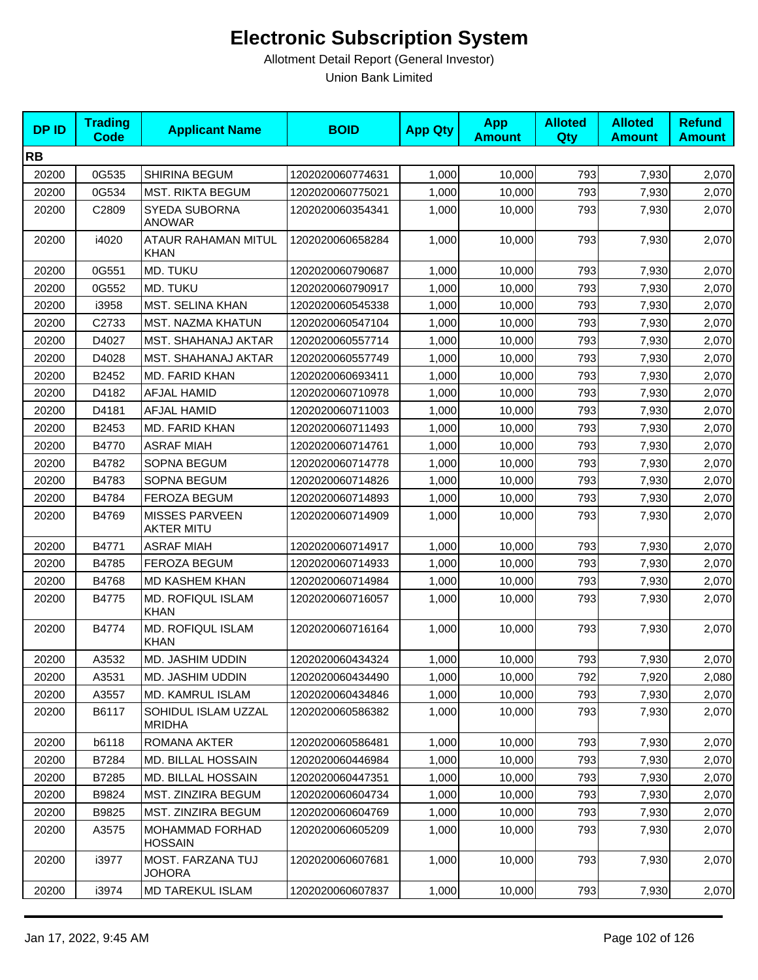| <b>DPID</b> | <b>Trading</b><br><b>Code</b> | <b>Applicant Name</b>                      | <b>BOID</b>      | <b>App Qty</b> | <b>App</b><br><b>Amount</b> | <b>Alloted</b><br>Qty | <b>Alloted</b><br><b>Amount</b> | <b>Refund</b><br><b>Amount</b> |
|-------------|-------------------------------|--------------------------------------------|------------------|----------------|-----------------------------|-----------------------|---------------------------------|--------------------------------|
| <b>RB</b>   |                               |                                            |                  |                |                             |                       |                                 |                                |
| 20200       | 0G535                         | SHIRINA BEGUM                              | 1202020060774631 | 1,000          | 10,000                      | 793                   | 7,930                           | 2,070                          |
| 20200       | 0G534                         | <b>MST. RIKTA BEGUM</b>                    | 1202020060775021 | 1,000          | 10,000                      | 793                   | 7,930                           | 2,070                          |
| 20200       | C2809                         | SYEDA SUBORNA<br><b>ANOWAR</b>             | 1202020060354341 | 1,000          | 10,000                      | 793                   | 7,930                           | 2,070                          |
| 20200       | i4020                         | ATAUR RAHAMAN MITUL<br><b>KHAN</b>         | 1202020060658284 | 1,000          | 10,000                      | 793                   | 7,930                           | 2,070                          |
| 20200       | 0G551                         | MD. TUKU                                   | 1202020060790687 | 1.000          | 10,000                      | 793                   | 7,930                           | 2,070                          |
| 20200       | 0G552                         | MD. TUKU                                   | 1202020060790917 | 1,000          | 10,000                      | 793                   | 7,930                           | 2,070                          |
| 20200       | i3958                         | <b>MST. SELINA KHAN</b>                    | 1202020060545338 | 1,000          | 10,000                      | 793                   | 7,930                           | 2,070                          |
| 20200       | C2733                         | MST. NAZMA KHATUN                          | 1202020060547104 | 1,000          | 10,000                      | 793                   | 7,930                           | 2,070                          |
| 20200       | D4027                         | MST. SHAHANAJ AKTAR                        | 1202020060557714 | 1,000          | 10,000                      | 793                   | 7,930                           | 2,070                          |
| 20200       | D4028                         | MST. SHAHANAJ AKTAR                        | 1202020060557749 | 1,000          | 10,000                      | 793                   | 7,930                           | 2,070                          |
| 20200       | B2452                         | MD. FARID KHAN                             | 1202020060693411 | 1,000          | 10,000                      | 793                   | 7,930                           | 2,070                          |
| 20200       | D4182                         | AFJAL HAMID                                | 1202020060710978 | 1,000          | 10,000                      | 793                   | 7,930                           | 2,070                          |
| 20200       | D4181                         | <b>AFJAL HAMID</b>                         | 1202020060711003 | 1,000          | 10,000                      | 793                   | 7,930                           | 2,070                          |
| 20200       | B2453                         | MD. FARID KHAN                             | 1202020060711493 | 1,000          | 10,000                      | 793                   | 7,930                           | 2,070                          |
| 20200       | B4770                         | <b>ASRAF MIAH</b>                          | 1202020060714761 | 1,000          | 10,000                      | 793                   | 7,930                           | 2,070                          |
| 20200       | B4782                         | <b>SOPNA BEGUM</b>                         | 1202020060714778 | 1,000          | 10,000                      | 793                   | 7,930                           | 2,070                          |
| 20200       | B4783                         | SOPNA BEGUM                                | 1202020060714826 | 1,000          | 10,000                      | 793                   | 7,930                           | 2,070                          |
| 20200       | B4784                         | FEROZA BEGUM                               | 1202020060714893 | 1,000          | 10,000                      | 793                   | 7,930                           | 2,070                          |
| 20200       | B4769                         | <b>MISSES PARVEEN</b><br><b>AKTER MITU</b> | 1202020060714909 | 1,000          | 10,000                      | 793                   | 7,930                           | 2,070                          |
| 20200       | B4771                         | <b>ASRAF MIAH</b>                          | 1202020060714917 | 1,000          | 10,000                      | 793                   | 7,930                           | 2,070                          |
| 20200       | B4785                         | FEROZA BEGUM                               | 1202020060714933 | 1,000          | 10,000                      | 793                   | 7,930                           | 2,070                          |
| 20200       | B4768                         | <b>MD KASHEM KHAN</b>                      | 1202020060714984 | 1,000          | 10,000                      | 793                   | 7,930                           | 2,070                          |
| 20200       | B4775                         | <b>MD. ROFIQUL ISLAM</b><br><b>KHAN</b>    | 1202020060716057 | 1,000          | 10,000                      | 793                   | 7,930                           | 2,070                          |
| 20200       | B4774                         | <b>MD. ROFIQUL ISLAM</b><br><b>KHAN</b>    | 1202020060716164 | 1,000          | 10,000                      | 793                   | 7,930                           | 2,070                          |
| 20200       | A3532                         | MD. JASHIM UDDIN                           | 1202020060434324 | 1,000          | 10,000                      | 793                   | 7,930                           | 2,070                          |
| 20200       | A3531                         | MD. JASHIM UDDIN                           | 1202020060434490 | 1,000          | 10,000                      | 792                   | 7,920                           | 2,080                          |
| 20200       | A3557                         | MD. KAMRUL ISLAM                           | 1202020060434846 | 1,000          | 10,000                      | 793                   | 7,930                           | 2,070                          |
| 20200       | B6117                         | SOHIDUL ISLAM UZZAL<br><b>MRIDHA</b>       | 1202020060586382 | 1,000          | 10,000                      | 793                   | 7,930                           | 2,070                          |
| 20200       | b6118                         | ROMANA AKTER                               | 1202020060586481 | 1,000          | 10,000                      | 793                   | 7,930                           | 2,070                          |
| 20200       | B7284                         | MD. BILLAL HOSSAIN                         | 1202020060446984 | 1,000          | 10,000                      | 793                   | 7,930                           | 2,070                          |
| 20200       | B7285                         | MD. BILLAL HOSSAIN                         | 1202020060447351 | 1,000          | 10,000                      | 793                   | 7,930                           | 2,070                          |
| 20200       | B9824                         | MST. ZINZIRA BEGUM                         | 1202020060604734 | 1,000          | 10,000                      | 793                   | 7,930                           | 2,070                          |
| 20200       | B9825                         | MST. ZINZIRA BEGUM                         | 1202020060604769 | 1,000          | 10,000                      | 793                   | 7,930                           | 2,070                          |
| 20200       | A3575                         | MOHAMMAD FORHAD<br><b>HOSSAIN</b>          | 1202020060605209 | 1,000          | 10,000                      | 793                   | 7,930                           | 2,070                          |
| 20200       | i3977                         | MOST. FARZANA TUJ<br>JOHORA                | 1202020060607681 | 1,000          | 10,000                      | 793                   | 7,930                           | 2,070                          |
| 20200       | i3974                         | MD TAREKUL ISLAM                           | 1202020060607837 | 1,000          | 10,000                      | 793                   | 7,930                           | 2,070                          |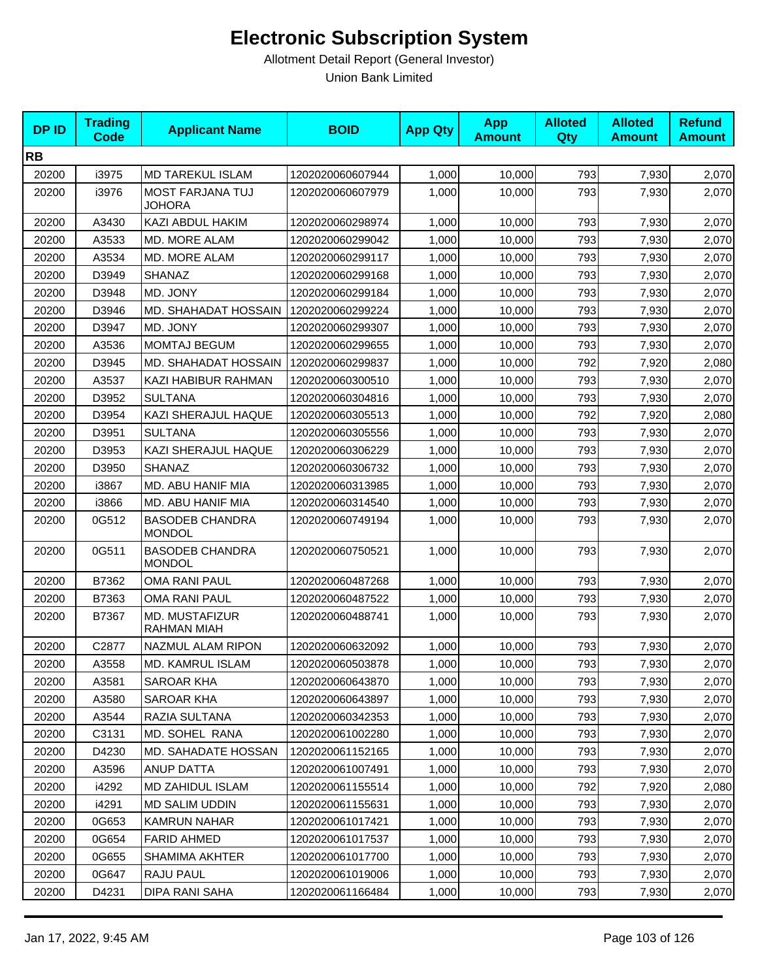| <b>DPID</b> | <b>Trading</b><br>Code | <b>Applicant Name</b>                       | <b>BOID</b>      | <b>App Qty</b> | <b>App</b><br><b>Amount</b> | <b>Alloted</b><br>Qty | <b>Alloted</b><br><b>Amount</b> | <b>Refund</b><br><b>Amount</b> |
|-------------|------------------------|---------------------------------------------|------------------|----------------|-----------------------------|-----------------------|---------------------------------|--------------------------------|
| <b>RB</b>   |                        |                                             |                  |                |                             |                       |                                 |                                |
| 20200       | i3975                  | <b>MD TAREKUL ISLAM</b>                     | 1202020060607944 | 1,000          | 10,000                      | 793                   | 7,930                           | 2,070                          |
| 20200       | i3976                  | MOST FARJANA TUJ<br><b>JOHORA</b>           | 1202020060607979 | 1,000          | 10,000                      | 793                   | 7,930                           | 2,070                          |
| 20200       | A3430                  | KAZI ABDUL HAKIM                            | 1202020060298974 | 1,000          | 10,000                      | 793                   | 7,930                           | 2,070                          |
| 20200       | A3533                  | MD. MORE ALAM                               | 1202020060299042 | 1,000          | 10,000                      | 793                   | 7,930                           | 2,070                          |
| 20200       | A3534                  | MD. MORE ALAM                               | 1202020060299117 | 1,000          | 10,000                      | 793                   | 7,930                           | 2,070                          |
| 20200       | D3949                  | SHANAZ                                      | 1202020060299168 | 1,000          | 10,000                      | 793                   | 7,930                           | 2,070                          |
| 20200       | D3948                  | MD. JONY                                    | 1202020060299184 | 1,000          | 10,000                      | 793                   | 7,930                           | 2,070                          |
| 20200       | D3946                  | MD. SHAHADAT HOSSAIN                        | 1202020060299224 | 1,000          | 10,000                      | 793                   | 7,930                           | 2,070                          |
| 20200       | D3947                  | MD. JONY                                    | 1202020060299307 | 1,000          | 10,000                      | 793                   | 7,930                           | 2,070                          |
| 20200       | A3536                  | <b>MOMTAJ BEGUM</b>                         | 1202020060299655 | 1,000          | 10,000                      | 793                   | 7,930                           | 2,070                          |
| 20200       | D3945                  | MD. SHAHADAT HOSSAIN                        | 1202020060299837 | 1,000          | 10,000                      | 792                   | 7,920                           | 2,080                          |
| 20200       | A3537                  | KAZI HABIBUR RAHMAN                         | 1202020060300510 | 1,000          | 10,000                      | 793                   | 7,930                           | 2,070                          |
| 20200       | D3952                  | <b>SULTANA</b>                              | 1202020060304816 | 1,000          | 10,000                      | 793                   | 7,930                           | 2,070                          |
| 20200       | D3954                  | KAZI SHERAJUL HAQUE                         | 1202020060305513 | 1,000          | 10,000                      | 792                   | 7,920                           | 2,080                          |
| 20200       | D3951                  | <b>SULTANA</b>                              | 1202020060305556 | 1,000          | 10,000                      | 793                   | 7,930                           | 2,070                          |
| 20200       | D3953                  | KAZI SHERAJUL HAQUE                         | 1202020060306229 | 1,000          | 10,000                      | 793                   | 7,930                           | 2,070                          |
| 20200       | D3950                  | <b>SHANAZ</b>                               | 1202020060306732 | 1,000          | 10,000                      | 793                   | 7,930                           | 2,070                          |
| 20200       | i3867                  | MD. ABU HANIF MIA                           | 1202020060313985 | 1,000          | 10,000                      | 793                   | 7,930                           | 2,070                          |
| 20200       | i3866                  | MD. ABU HANIF MIA                           | 1202020060314540 | 1,000          | 10,000                      | 793                   | 7,930                           | 2,070                          |
| 20200       | 0G512                  | <b>BASODEB CHANDRA</b><br><b>MONDOL</b>     | 1202020060749194 | 1,000          | 10,000                      | 793                   | 7,930                           | 2,070                          |
| 20200       | 0G511                  | <b>BASODEB CHANDRA</b><br><b>MONDOL</b>     | 1202020060750521 | 1,000          | 10,000                      | 793                   | 7,930                           | 2,070                          |
| 20200       | B7362                  | <b>OMA RANI PAUL</b>                        | 1202020060487268 | 1,000          | 10,000                      | 793                   | 7,930                           | 2,070                          |
| 20200       | B7363                  | OMA RANI PAUL                               | 1202020060487522 | 1,000          | 10,000                      | 793                   | 7,930                           | 2,070                          |
| 20200       | B7367                  | <b>MD. MUSTAFIZUR</b><br><b>RAHMAN MIAH</b> | 1202020060488741 | 1,000          | 10,000                      | 793                   | 7,930                           | 2,070                          |
| 20200       | C2877                  | NAZMUL ALAM RIPON                           | 1202020060632092 | 1,000          | 10,000                      | 793                   | 7,930                           | 2,070                          |
| 20200       | A3558                  | MD. KAMRUL ISLAM                            | 1202020060503878 | 1,000          | 10,000                      | 793                   | 7,930                           | 2,070                          |
| 20200       | A3581                  | SAROAR KHA                                  | 1202020060643870 | 1,000          | 10,000                      | 793                   | 7,930                           | 2,070                          |
| 20200       | A3580                  | SAROAR KHA                                  | 1202020060643897 | 1,000          | 10,000                      | 793                   | 7,930                           | 2,070                          |
| 20200       | A3544                  | RAZIA SULTANA                               | 1202020060342353 | 1,000          | 10,000                      | 793                   | 7,930                           | 2,070                          |
| 20200       | C3131                  | MD. SOHEL RANA                              | 1202020061002280 | 1,000          | 10,000                      | 793                   | 7,930                           | 2,070                          |
| 20200       | D4230                  | MD. SAHADATE HOSSAN                         | 1202020061152165 | 1,000          | 10,000                      | 793                   | 7,930                           | 2,070                          |
| 20200       | A3596                  | ANUP DATTA                                  | 1202020061007491 | 1,000          | 10,000                      | 793                   | 7,930                           | 2,070                          |
| 20200       | i4292                  | MD ZAHIDUL ISLAM                            | 1202020061155514 | 1,000          | 10,000                      | 792                   | 7,920                           | 2,080                          |
| 20200       | i4291                  | <b>MD SALIM UDDIN</b>                       | 1202020061155631 | 1,000          | 10,000                      | 793                   | 7,930                           | 2,070                          |
| 20200       | 0G653                  | <b>KAMRUN NAHAR</b>                         | 1202020061017421 | 1,000          | 10,000                      | 793                   | 7,930                           | 2,070                          |
| 20200       | 0G654                  | <b>FARID AHMED</b>                          | 1202020061017537 | 1,000          | 10,000                      | 793                   | 7,930                           | 2,070                          |
| 20200       | 0G655                  | SHAMIMA AKHTER                              | 1202020061017700 | 1,000          | 10,000                      | 793                   | 7,930                           | 2,070                          |
| 20200       | 0G647                  | RAJU PAUL                                   | 1202020061019006 | 1,000          | 10,000                      | 793                   | 7,930                           | 2,070                          |
| 20200       | D4231                  | DIPA RANI SAHA                              | 1202020061166484 | 1,000          | 10,000                      | 793                   | 7,930                           | 2,070                          |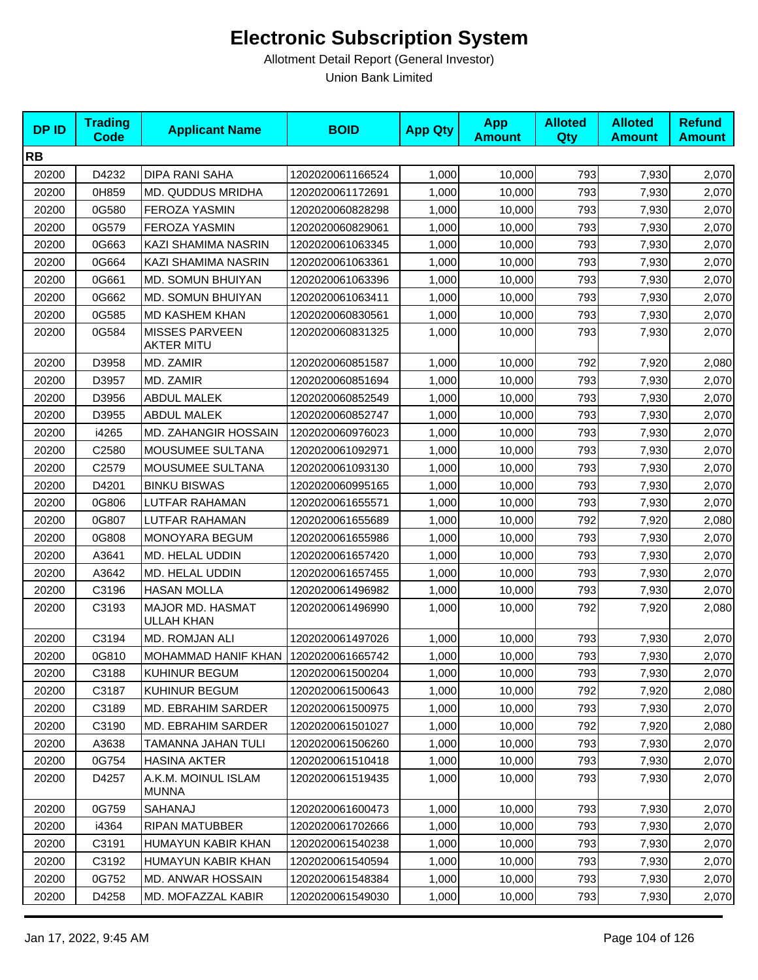| <b>DPID</b> | <b>Trading</b><br>Code | <b>Applicant Name</b>                      | <b>BOID</b>      | <b>App Qty</b> | <b>App</b><br><b>Amount</b> | <b>Alloted</b><br>Qty | <b>Alloted</b><br><b>Amount</b> | <b>Refund</b><br><b>Amount</b> |
|-------------|------------------------|--------------------------------------------|------------------|----------------|-----------------------------|-----------------------|---------------------------------|--------------------------------|
| <b>RB</b>   |                        |                                            |                  |                |                             |                       |                                 |                                |
| 20200       | D4232                  | DIPA RANI SAHA                             | 1202020061166524 | 1,000          | 10,000                      | 793                   | 7,930                           | 2,070                          |
| 20200       | 0H859                  | MD. QUDDUS MRIDHA                          | 1202020061172691 | 1,000          | 10,000                      | 793                   | 7,930                           | 2,070                          |
| 20200       | 0G580                  | <b>FEROZA YASMIN</b>                       | 1202020060828298 | 1,000          | 10,000                      | 793                   | 7,930                           | 2,070                          |
| 20200       | 0G579                  | FEROZA YASMIN                              | 1202020060829061 | 1,000          | 10,000                      | 793                   | 7,930                           | 2,070                          |
| 20200       | 0G663                  | KAZI SHAMIMA NASRIN                        | 1202020061063345 | 1,000          | 10,000                      | 793                   | 7,930                           | 2,070                          |
| 20200       | 0G664                  | KAZI SHAMIMA NASRIN                        | 1202020061063361 | 1,000          | 10,000                      | 793                   | 7,930                           | 2,070                          |
| 20200       | 0G661                  | MD. SOMUN BHUIYAN                          | 1202020061063396 | 1,000          | 10,000                      | 793                   | 7,930                           | 2,070                          |
| 20200       | 0G662                  | MD. SOMUN BHUIYAN                          | 1202020061063411 | 1,000          | 10,000                      | 793                   | 7,930                           | 2,070                          |
| 20200       | 0G585                  | MD KASHEM KHAN                             | 1202020060830561 | 1,000          | 10,000                      | 793                   | 7,930                           | 2,070                          |
| 20200       | 0G584                  | <b>MISSES PARVEEN</b><br><b>AKTER MITU</b> | 1202020060831325 | 1,000          | 10,000                      | 793                   | 7,930                           | 2,070                          |
| 20200       | D3958                  | MD. ZAMIR                                  | 1202020060851587 | 1,000          | 10,000                      | 792                   | 7,920                           | 2,080                          |
| 20200       | D3957                  | MD. ZAMIR                                  | 1202020060851694 | 1,000          | 10,000                      | 793                   | 7,930                           | 2,070                          |
| 20200       | D3956                  | <b>ABDUL MALEK</b>                         | 1202020060852549 | 1,000          | 10,000                      | 793                   | 7,930                           | 2,070                          |
| 20200       | D3955                  | <b>ABDUL MALEK</b>                         | 1202020060852747 | 1,000          | 10.000                      | 793                   | 7,930                           | 2,070                          |
| 20200       | i4265                  | <b>MD. ZAHANGIR HOSSAIN</b>                | 1202020060976023 | 1,000          | 10,000                      | 793                   | 7,930                           | 2,070                          |
| 20200       | C2580                  | MOUSUMEE SULTANA                           | 1202020061092971 | 1,000          | 10,000                      | 793                   | 7,930                           | 2,070                          |
| 20200       | C2579                  | MOUSUMEE SULTANA                           | 1202020061093130 | 1,000          | 10,000                      | 793                   | 7,930                           | 2,070                          |
| 20200       | D4201                  | <b>BINKU BISWAS</b>                        | 1202020060995165 | 1,000          | 10,000                      | 793                   | 7,930                           | 2,070                          |
| 20200       | 0G806                  | LUTFAR RAHAMAN                             | 1202020061655571 | 1,000          | 10,000                      | 793                   | 7,930                           | 2,070                          |
| 20200       | 0G807                  | LUTFAR RAHAMAN                             | 1202020061655689 | 1,000          | 10,000                      | 792                   | 7,920                           | 2,080                          |
| 20200       | 0G808                  | MONOYARA BEGUM                             | 1202020061655986 | 1,000          | 10,000                      | 793                   | 7,930                           | 2,070                          |
| 20200       | A3641                  | MD. HELAL UDDIN                            | 1202020061657420 | 1,000          | 10,000                      | 793                   | 7,930                           | 2,070                          |
| 20200       | A3642                  | MD. HELAL UDDIN                            | 1202020061657455 | 1,000          | 10,000                      | 793                   | 7,930                           | 2,070                          |
| 20200       | C3196                  | <b>HASAN MOLLA</b>                         | 1202020061496982 | 1,000          | 10,000                      | 793                   | 7,930                           | 2,070                          |
| 20200       | C3193                  | MAJOR MD. HASMAT<br><b>ULLAH KHAN</b>      | 1202020061496990 | 1,000          | 10,000                      | 792                   | 7,920                           | 2,080                          |
| 20200       | C3194                  | MD. ROMJAN ALI                             | 1202020061497026 | 1,000          | 10,000                      | 793                   | 7,930                           | 2,070                          |
| 20200       | 0G810                  | MOHAMMAD HANIF KHAN                        | 1202020061665742 | 1,000          | 10,000                      | 793                   | 7,930                           | 2,070                          |
| 20200       | C3188                  | KUHINUR BEGUM                              | 1202020061500204 | 1,000          | 10,000                      | 793                   | 7,930                           | 2,070                          |
| 20200       | C3187                  | KUHINUR BEGUM                              | 1202020061500643 | 1,000          | 10,000                      | 792                   | 7,920                           | 2,080                          |
| 20200       | C3189                  | MD. EBRAHIM SARDER                         | 1202020061500975 | 1,000          | 10,000                      | 793                   | 7,930                           | 2,070                          |
| 20200       | C3190                  | MD. EBRAHIM SARDER                         | 1202020061501027 | 1,000          | 10,000                      | 792                   | 7,920                           | 2,080                          |
| 20200       | A3638                  | TAMANNA JAHAN TULI                         | 1202020061506260 | 1,000          | 10,000                      | 793                   | 7,930                           | 2,070                          |
| 20200       | 0G754                  | <b>HASINA AKTER</b>                        | 1202020061510418 | 1,000          | 10,000                      | 793                   | 7,930                           | 2,070                          |
| 20200       | D4257                  | A.K.M. MOINUL ISLAM<br><b>MUNNA</b>        | 1202020061519435 | 1,000          | 10,000                      | 793                   | 7,930                           | 2,070                          |
| 20200       | 0G759                  | SAHANAJ                                    | 1202020061600473 | 1,000          | 10,000                      | 793                   | 7,930                           | 2,070                          |
| 20200       | i4364                  | <b>RIPAN MATUBBER</b>                      | 1202020061702666 | 1,000          | 10,000                      | 793                   | 7,930                           | 2,070                          |
| 20200       | C3191                  | HUMAYUN KABIR KHAN                         | 1202020061540238 | 1,000          | 10,000                      | 793                   | 7,930                           | 2,070                          |
| 20200       | C3192                  | HUMAYUN KABIR KHAN                         | 1202020061540594 | 1,000          | 10,000                      | 793                   | 7,930                           | 2,070                          |
| 20200       | 0G752                  | <b>MD. ANWAR HOSSAIN</b>                   | 1202020061548384 | 1,000          | 10,000                      | 793                   | 7,930                           | 2,070                          |
| 20200       | D4258                  | MD. MOFAZZAL KABIR                         | 1202020061549030 | 1,000          | 10,000                      | 793                   | 7,930                           | 2,070                          |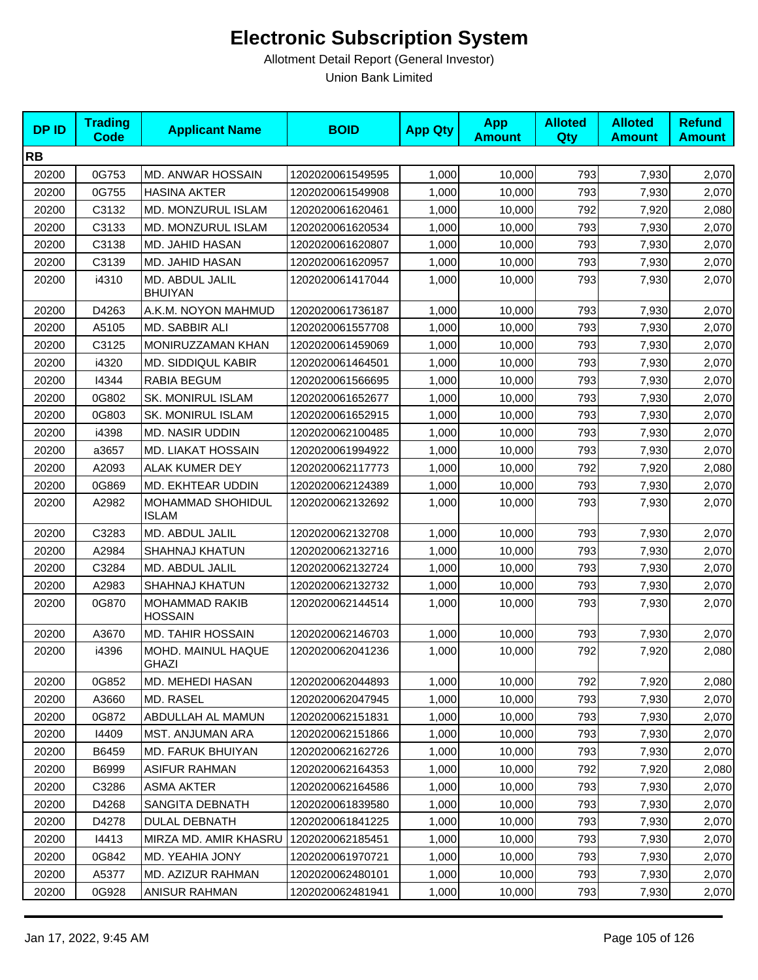| <b>DPID</b> | <b>Trading</b><br><b>Code</b> | <b>Applicant Name</b>                   | <b>BOID</b>      | <b>App Qty</b> | <b>App</b><br><b>Amount</b> | <b>Alloted</b><br>Qty | <b>Alloted</b><br><b>Amount</b> | <b>Refund</b><br><b>Amount</b> |
|-------------|-------------------------------|-----------------------------------------|------------------|----------------|-----------------------------|-----------------------|---------------------------------|--------------------------------|
| <b>RB</b>   |                               |                                         |                  |                |                             |                       |                                 |                                |
| 20200       | 0G753                         | MD. ANWAR HOSSAIN                       | 1202020061549595 | 1,000          | 10,000                      | 793                   | 7,930                           | 2,070                          |
| 20200       | 0G755                         | <b>HASINA AKTER</b>                     | 1202020061549908 | 1,000          | 10,000                      | 793                   | 7,930                           | 2,070                          |
| 20200       | C3132                         | MD. MONZURUL ISLAM                      | 1202020061620461 | 1,000          | 10,000                      | 792                   | 7,920                           | 2,080                          |
| 20200       | C3133                         | MD. MONZURUL ISLAM                      | 1202020061620534 | 1,000          | 10,000                      | 793                   | 7,930                           | 2,070                          |
| 20200       | C3138                         | MD. JAHID HASAN                         | 1202020061620807 | 1,000          | 10,000                      | 793                   | 7,930                           | 2,070                          |
| 20200       | C3139                         | MD. JAHID HASAN                         | 1202020061620957 | 1,000          | 10,000                      | 793                   | 7,930                           | 2,070                          |
| 20200       | i4310                         | MD. ABDUL JALIL<br><b>BHUIYAN</b>       | 1202020061417044 | 1,000          | 10,000                      | 793                   | 7,930                           | 2,070                          |
| 20200       | D4263                         | A.K.M. NOYON MAHMUD                     | 1202020061736187 | 1,000          | 10,000                      | 793                   | 7,930                           | 2,070                          |
| 20200       | A5105                         | MD. SABBIR ALI                          | 1202020061557708 | 1,000          | 10,000                      | 793                   | 7,930                           | 2,070                          |
| 20200       | C3125                         | MONIRUZZAMAN KHAN                       | 1202020061459069 | 1,000          | 10,000                      | 793                   | 7,930                           | 2,070                          |
| 20200       | i4320                         | MD. SIDDIQUL KABIR                      | 1202020061464501 | 1,000          | 10,000                      | 793                   | 7,930                           | 2,070                          |
| 20200       | 14344                         | RABIA BEGUM                             | 1202020061566695 | 1,000          | 10,000                      | 793                   | 7,930                           | 2,070                          |
| 20200       | 0G802                         | <b>SK. MONIRUL ISLAM</b>                | 1202020061652677 | 1,000          | 10,000                      | 793                   | 7,930                           | 2,070                          |
| 20200       | 0G803                         | <b>SK. MONIRUL ISLAM</b>                | 1202020061652915 | 1,000          | 10,000                      | 793                   | 7,930                           | 2,070                          |
| 20200       | i4398                         | <b>MD. NASIR UDDIN</b>                  | 1202020062100485 | 1,000          | 10,000                      | 793                   | 7,930                           | 2,070                          |
| 20200       | a3657                         | <b>MD. LIAKAT HOSSAIN</b>               | 1202020061994922 | 1,000          | 10,000                      | 793                   | 7,930                           | 2,070                          |
| 20200       | A2093                         | <b>ALAK KUMER DEY</b>                   | 1202020062117773 | 1,000          | 10,000                      | 792                   | 7,920                           | 2,080                          |
| 20200       | 0G869                         | MD. EKHTEAR UDDIN                       | 1202020062124389 | 1,000          | 10,000                      | 793                   | 7,930                           | 2,070                          |
| 20200       | A2982                         | MOHAMMAD SHOHIDUL<br><b>ISLAM</b>       | 1202020062132692 | 1,000          | 10,000                      | 793                   | 7,930                           | 2,070                          |
| 20200       | C3283                         | MD. ABDUL JALIL                         | 1202020062132708 | 1,000          | 10,000                      | 793                   | 7,930                           | 2,070                          |
| 20200       | A2984                         | <b>SHAHNAJ KHATUN</b>                   | 1202020062132716 | 1,000          | 10,000                      | 793                   | 7,930                           | 2,070                          |
| 20200       | C3284                         | MD. ABDUL JALIL                         | 1202020062132724 | 1,000          | 10,000                      | 793                   | 7,930                           | 2,070                          |
| 20200       | A2983                         | <b>SHAHNAJ KHATUN</b>                   | 1202020062132732 | 1,000          | 10,000                      | 793                   | 7,930                           | 2,070                          |
| 20200       | 0G870                         | <b>MOHAMMAD RAKIB</b><br><b>HOSSAIN</b> | 1202020062144514 | 1,000          | 10,000                      | 793                   | 7,930                           | 2,070                          |
| 20200       | A3670                         | <b>MD. TAHIR HOSSAIN</b>                | 1202020062146703 | 1,000          | 10,000                      | 793                   | 7,930                           | 2,070                          |
| 20200       | i4396                         | MOHD. MAINUL HAQUE<br><b>GHAZI</b>      | 1202020062041236 | 1,000          | 10,000                      | 792                   | 7,920                           | 2,080                          |
| 20200       | 0G852                         | <b>MD. MEHEDI HASAN</b>                 | 1202020062044893 | 1,000          | 10,000                      | 792                   | 7,920                           | 2,080                          |
| 20200       | A3660                         | MD. RASEL                               | 1202020062047945 | 1,000          | 10,000                      | 793                   | 7,930                           | 2,070                          |
| 20200       | 0G872                         | ABDULLAH AL MAMUN                       | 1202020062151831 | 1,000          | 10,000                      | 793                   | 7,930                           | 2,070                          |
| 20200       | 14409                         | <b>MST. ANJUMAN ARA</b>                 | 1202020062151866 | 1,000          | 10,000                      | 793                   | 7,930                           | 2,070                          |
| 20200       | B6459                         | MD. FARUK BHUIYAN                       | 1202020062162726 | 1,000          | 10,000                      | 793                   | 7,930                           | 2,070                          |
| 20200       | B6999                         | <b>ASIFUR RAHMAN</b>                    | 1202020062164353 | 1,000          | 10,000                      | 792                   | 7,920                           | 2,080                          |
| 20200       | C3286                         | ASMA AKTER                              | 1202020062164586 | 1,000          | 10,000                      | 793                   | 7,930                           | 2,070                          |
| 20200       | D4268                         | SANGITA DEBNATH                         | 1202020061839580 | 1,000          | 10.000                      | 793                   | 7,930                           | 2,070                          |
| 20200       | D4278                         | DULAL DEBNATH                           | 1202020061841225 | 1,000          | 10,000                      | 793                   | 7,930                           | 2,070                          |
| 20200       | 14413                         | MIRZA MD. AMIR KHASRU                   | 1202020062185451 | 1,000          | 10,000                      | 793                   | 7,930                           | 2,070                          |
| 20200       | 0G842                         | MD. YEAHIA JONY                         | 1202020061970721 | 1,000          | 10,000                      | 793                   | 7,930                           | 2,070                          |
| 20200       | A5377                         | MD. AZIZUR RAHMAN                       | 1202020062480101 | 1,000          | 10,000                      | 793                   | 7,930                           | 2,070                          |
| 20200       | 0G928                         | ANISUR RAHMAN                           | 1202020062481941 | 1,000          | 10,000                      | 793                   | 7,930                           | 2,070                          |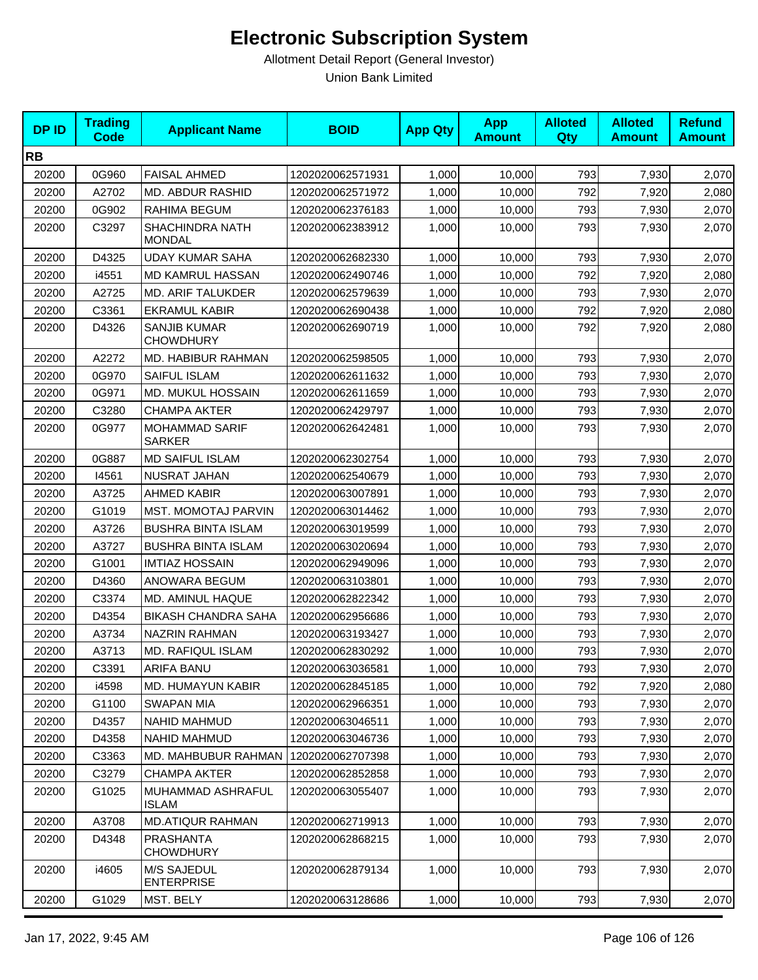| <b>DPID</b> | <b>Trading</b><br><b>Code</b> | <b>Applicant Name</b>                   | <b>BOID</b>      | <b>App Qty</b> | <b>App</b><br><b>Amount</b> | <b>Alloted</b><br><b>Qty</b> | <b>Alloted</b><br><b>Amount</b> | <b>Refund</b><br><b>Amount</b> |
|-------------|-------------------------------|-----------------------------------------|------------------|----------------|-----------------------------|------------------------------|---------------------------------|--------------------------------|
| <b>RB</b>   |                               |                                         |                  |                |                             |                              |                                 |                                |
| 20200       | 0G960                         | <b>FAISAL AHMED</b>                     | 1202020062571931 | 1,000          | 10,000                      | 793                          | 7,930                           | 2,070                          |
| 20200       | A2702                         | MD. ABDUR RASHID                        | 1202020062571972 | 1,000          | 10,000                      | 792                          | 7,920                           | 2,080                          |
| 20200       | 0G902                         | RAHIMA BEGUM                            | 1202020062376183 | 1,000          | 10,000                      | 793                          | 7,930                           | 2,070                          |
| 20200       | C3297                         | <b>SHACHINDRA NATH</b><br>MONDAL        | 1202020062383912 | 1,000          | 10,000                      | 793                          | 7,930                           | 2,070                          |
| 20200       | D4325                         | <b>UDAY KUMAR SAHA</b>                  | 1202020062682330 | 1,000          | 10,000                      | 793                          | 7,930                           | 2,070                          |
| 20200       | i4551                         | <b>MD KAMRUL HASSAN</b>                 | 1202020062490746 | 1,000          | 10,000                      | 792                          | 7,920                           | 2,080                          |
| 20200       | A2725                         | <b>MD. ARIF TALUKDER</b>                | 1202020062579639 | 1,000          | 10,000                      | 793                          | 7,930                           | 2,070                          |
| 20200       | C3361                         | <b>EKRAMUL KABIR</b>                    | 1202020062690438 | 1,000          | 10,000                      | 792                          | 7,920                           | 2,080                          |
| 20200       | D4326                         | <b>SANJIB KUMAR</b><br><b>CHOWDHURY</b> | 1202020062690719 | 1,000          | 10,000                      | 792                          | 7,920                           | 2,080                          |
| 20200       | A2272                         | MD. HABIBUR RAHMAN                      | 1202020062598505 | 1,000          | 10,000                      | 793                          | 7,930                           | 2,070                          |
| 20200       | 0G970                         | SAIFUL ISLAM                            | 1202020062611632 | 1,000          | 10,000                      | 793                          | 7,930                           | 2,070                          |
| 20200       | 0G971                         | MD. MUKUL HOSSAIN                       | 1202020062611659 | 1,000          | 10,000                      | 793                          | 7,930                           | 2,070                          |
| 20200       | C3280                         | <b>CHAMPA AKTER</b>                     | 1202020062429797 | 1,000          | 10,000                      | 793                          | 7,930                           | 2,070                          |
| 20200       | 0G977                         | <b>MOHAMMAD SARIF</b><br><b>SARKER</b>  | 1202020062642481 | 1,000          | 10,000                      | 793                          | 7,930                           | 2,070                          |
| 20200       | 0G887                         | <b>MD SAIFUL ISLAM</b>                  | 1202020062302754 | 1,000          | 10,000                      | 793                          | 7,930                           | 2,070                          |
| 20200       | 14561                         | NUSRAT JAHAN                            | 1202020062540679 | 1,000          | 10,000                      | 793                          | 7,930                           | 2,070                          |
| 20200       | A3725                         | <b>AHMED KABIR</b>                      | 1202020063007891 | 1,000          | 10,000                      | 793                          | 7,930                           | 2,070                          |
| 20200       | G1019                         | <b>MST. MOMOTAJ PARVIN</b>              | 1202020063014462 | 1,000          | 10,000                      | 793                          | 7,930                           | 2,070                          |
| 20200       | A3726                         | <b>BUSHRA BINTA ISLAM</b>               | 1202020063019599 | 1,000          | 10,000                      | 793                          | 7,930                           | 2,070                          |
| 20200       | A3727                         | <b>BUSHRA BINTA ISLAM</b>               | 1202020063020694 | 1,000          | 10,000                      | 793                          | 7,930                           | 2,070                          |
| 20200       | G1001                         | <b>IMTIAZ HOSSAIN</b>                   | 1202020062949096 | 1,000          | 10,000                      | 793                          | 7,930                           | 2,070                          |
| 20200       | D4360                         | ANOWARA BEGUM                           | 1202020063103801 | 1,000          | 10,000                      | 793                          | 7,930                           | 2,070                          |
| 20200       | C3374                         | MD. AMINUL HAQUE                        | 1202020062822342 | 1,000          | 10,000                      | 793                          | 7,930                           | 2,070                          |
| 20200       | D4354                         | <b>BIKASH CHANDRA SAHA</b>              | 1202020062956686 | 1,000          | 10,000                      | 793                          | 7,930                           | 2,070                          |
| 20200       | A3734                         | <b>NAZRIN RAHMAN</b>                    | 1202020063193427 | 1,000          | 10,000                      | 793                          | 7,930                           | 2,070                          |
| 20200       | A3713                         | MD. RAFIQUL ISLAM                       | 1202020062830292 | 1,000          | 10,000                      | 793                          | 7,930                           | 2,070                          |
| 20200       | C3391                         | ARIFA BANU                              | 1202020063036581 | 1,000          | 10,000                      | 793                          | 7,930                           | 2,070                          |
| 20200       | i4598                         | <b>MD. HUMAYUN KABIR</b>                | 1202020062845185 | 1,000          | 10,000                      | 792                          | 7,920                           | 2,080                          |
| 20200       | G1100                         | <b>SWAPAN MIA</b>                       | 1202020062966351 | 1,000          | 10,000                      | 793                          | 7,930                           | 2,070                          |
| 20200       | D4357                         | NAHID MAHMUD                            | 1202020063046511 | 1,000          | 10,000                      | 793                          | 7,930                           | 2,070                          |
| 20200       | D4358                         | <b>NAHID MAHMUD</b>                     | 1202020063046736 | 1,000          | 10,000                      | 793                          | 7,930                           | 2,070                          |
| 20200       | C3363                         | MD. MAHBUBUR RAHMAN                     | 1202020062707398 | 1,000          | 10,000                      | 793                          | 7,930                           | 2,070                          |
| 20200       | C3279                         | <b>CHAMPA AKTER</b>                     | 1202020062852858 | 1,000          | 10,000                      | 793                          | 7,930                           | 2,070                          |
| 20200       | G1025                         | MUHAMMAD ASHRAFUL<br><b>ISLAM</b>       | 1202020063055407 | 1,000          | 10,000                      | 793                          | 7,930                           | 2,070                          |
| 20200       | A3708                         | <b>MD.ATIQUR RAHMAN</b>                 | 1202020062719913 | 1,000          | 10,000                      | 793                          | 7,930                           | 2,070                          |
| 20200       | D4348                         | <b>PRASHANTA</b><br><b>CHOWDHURY</b>    | 1202020062868215 | 1,000          | 10,000                      | 793                          | 7,930                           | 2,070                          |
| 20200       | i4605                         | M/S SAJEDUL<br><b>ENTERPRISE</b>        | 1202020062879134 | 1,000          | 10,000                      | 793                          | 7,930                           | 2,070                          |
| 20200       | G1029                         | MST. BELY                               | 1202020063128686 | 1,000          | 10,000                      | 793                          | 7,930                           | 2,070                          |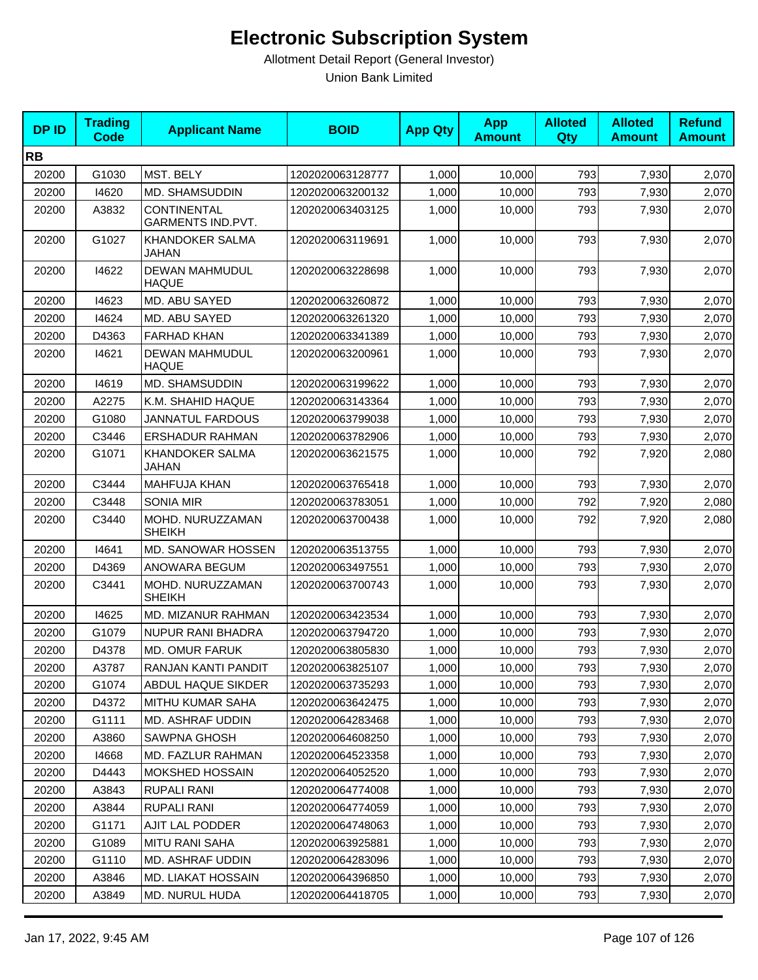| <b>DPID</b> | <b>Trading</b><br>Code | <b>Applicant Name</b>                   | <b>BOID</b>      | <b>App Qty</b> | <b>App</b><br><b>Amount</b> | <b>Alloted</b><br>Qty | <b>Alloted</b><br><b>Amount</b> | <b>Refund</b><br><b>Amount</b> |
|-------------|------------------------|-----------------------------------------|------------------|----------------|-----------------------------|-----------------------|---------------------------------|--------------------------------|
| <b>RB</b>   |                        |                                         |                  |                |                             |                       |                                 |                                |
| 20200       | G1030                  | MST. BELY                               | 1202020063128777 | 1,000          | 10,000                      | 793                   | 7,930                           | 2,070                          |
| 20200       | 14620                  | MD. SHAMSUDDIN                          | 1202020063200132 | 1,000          | 10,000                      | 793                   | 7,930                           | 2,070                          |
| 20200       | A3832                  | <b>CONTINENTAL</b><br>GARMENTS IND.PVT. | 1202020063403125 | 1,000          | 10,000                      | 793                   | 7,930                           | 2,070                          |
| 20200       | G1027                  | <b>KHANDOKER SALMA</b><br>JAHAN         | 1202020063119691 | 1,000          | 10,000                      | 793                   | 7,930                           | 2,070                          |
| 20200       | 14622                  | DEWAN MAHMUDUL<br><b>HAQUE</b>          | 1202020063228698 | 1,000          | 10,000                      | 793                   | 7,930                           | 2,070                          |
| 20200       | 14623                  | MD. ABU SAYED                           | 1202020063260872 | 1,000          | 10,000                      | 793                   | 7,930                           | 2,070                          |
| 20200       | 14624                  | MD. ABU SAYED                           | 1202020063261320 | 1,000          | 10,000                      | 793                   | 7,930                           | 2,070                          |
| 20200       | D4363                  | <b>FARHAD KHAN</b>                      | 1202020063341389 | 1,000          | 10,000                      | 793                   | 7,930                           | 2,070                          |
| 20200       | 14621                  | DEWAN MAHMUDUL<br>HAQUE                 | 1202020063200961 | 1,000          | 10,000                      | 793                   | 7,930                           | 2,070                          |
| 20200       | 14619                  | <b>MD. SHAMSUDDIN</b>                   | 1202020063199622 | 1,000          | 10,000                      | 793                   | 7,930                           | 2,070                          |
| 20200       | A2275                  | K.M. SHAHID HAQUE                       | 1202020063143364 | 1,000          | 10,000                      | 793                   | 7,930                           | 2,070                          |
| 20200       | G1080                  | <b>JANNATUL FARDOUS</b>                 | 1202020063799038 | 1,000          | 10,000                      | 793                   | 7,930                           | 2,070                          |
| 20200       | C3446                  | <b>ERSHADUR RAHMAN</b>                  | 1202020063782906 | 1,000          | 10,000                      | 793                   | 7,930                           | 2,070                          |
| 20200       | G1071                  | <b>KHANDOKER SALMA</b><br><b>JAHAN</b>  | 1202020063621575 | 1,000          | 10,000                      | 792                   | 7,920                           | 2,080                          |
| 20200       | C3444                  | <b>MAHFUJA KHAN</b>                     | 1202020063765418 | 1,000          | 10,000                      | 793                   | 7,930                           | 2,070                          |
| 20200       | C3448                  | <b>SONIA MIR</b>                        | 1202020063783051 | 1,000          | 10,000                      | 792                   | 7,920                           | 2,080                          |
| 20200       | C3440                  | MOHD. NURUZZAMAN<br><b>SHEIKH</b>       | 1202020063700438 | 1,000          | 10,000                      | 792                   | 7,920                           | 2,080                          |
| 20200       | 14641                  | MD. SANOWAR HOSSEN                      | 1202020063513755 | 1,000          | 10,000                      | 793                   | 7,930                           | 2,070                          |
| 20200       | D4369                  | ANOWARA BEGUM                           | 1202020063497551 | 1,000          | 10,000                      | 793                   | 7,930                           | 2,070                          |
| 20200       | C3441                  | MOHD. NURUZZAMAN<br><b>SHEIKH</b>       | 1202020063700743 | 1,000          | 10,000                      | 793                   | 7,930                           | 2,070                          |
| 20200       | 14625                  | MD. MIZANUR RAHMAN                      | 1202020063423534 | 1,000          | 10,000                      | 793                   | 7,930                           | 2,070                          |
| 20200       | G1079                  | <b>NUPUR RANI BHADRA</b>                | 1202020063794720 | 1,000          | 10,000                      | 793                   | 7,930                           | 2,070                          |
| 20200       | D4378                  | <b>MD. OMUR FARUK</b>                   | 1202020063805830 | 1,000          | 10,000                      | 793                   | 7,930                           | 2,070                          |
| 20200       | A3787                  | RANJAN KANTI PANDIT                     | 1202020063825107 | 1,000          | 10,000                      | 793                   | 7,930                           | 2,070                          |
| 20200       | G1074                  | ABDUL HAQUE SIKDER                      | 1202020063735293 | 1,000          | 10,000                      | 793                   | 7,930                           | 2,070                          |
| 20200       | D4372                  | <b>MITHU KUMAR SAHA</b>                 | 1202020063642475 | 1,000          | 10,000                      | 793                   | 7,930                           | 2,070                          |
| 20200       | G1111                  | MD. ASHRAF UDDIN                        | 1202020064283468 | 1,000          | 10,000                      | 793                   | 7,930                           | 2,070                          |
| 20200       | A3860                  | SAWPNA GHOSH                            | 1202020064608250 | 1,000          | 10,000                      | 793                   | 7,930                           | 2,070                          |
| 20200       | 14668                  | <b>MD. FAZLUR RAHMAN</b>                | 1202020064523358 | 1,000          | 10,000                      | 793                   | 7,930                           | 2,070                          |
| 20200       | D4443                  | <b>MOKSHED HOSSAIN</b>                  | 1202020064052520 | 1,000          | 10,000                      | 793                   | 7,930                           | 2,070                          |
| 20200       | A3843                  | RUPALI RANI                             | 1202020064774008 | 1,000          | 10,000                      | 793                   | 7,930                           | 2,070                          |
| 20200       | A3844                  | <b>RUPALI RANI</b>                      | 1202020064774059 | 1,000          | 10,000                      | 793                   | 7,930                           | 2,070                          |
| 20200       | G1171                  | <b>AJIT LAL PODDER</b>                  | 1202020064748063 | 1,000          | 10,000                      | 793                   | 7,930                           | 2,070                          |
| 20200       | G1089                  | MITU RANI SAHA                          | 1202020063925881 | 1,000          | 10,000                      | 793                   | 7,930                           | 2,070                          |
| 20200       | G1110                  | MD. ASHRAF UDDIN                        | 1202020064283096 | 1,000          | 10,000                      | 793                   | 7,930                           | 2,070                          |
| 20200       | A3846                  | MD. LIAKAT HOSSAIN                      | 1202020064396850 | 1,000          | 10,000                      | 793                   | 7,930                           | 2,070                          |
| 20200       | A3849                  | <b>MD. NURUL HUDA</b>                   | 1202020064418705 | 1,000          | 10,000                      | 793                   | 7,930                           | 2,070                          |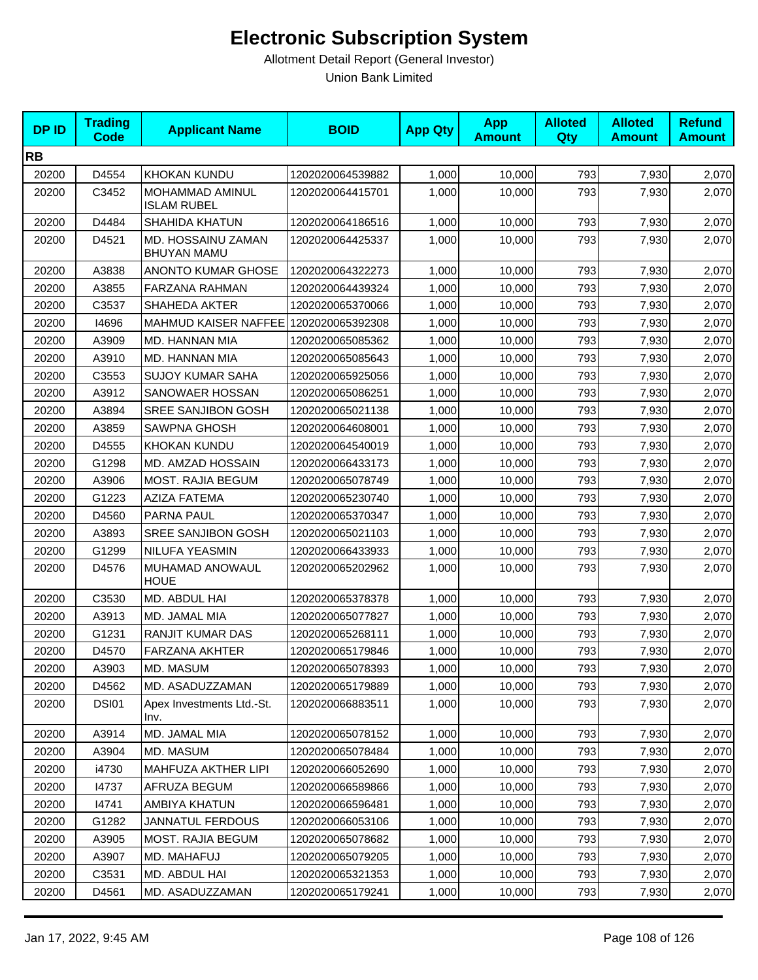| <b>DPID</b> | <b>Trading</b><br><b>Code</b> | <b>Applicant Name</b>                    | <b>BOID</b>      | <b>App Qty</b> | <b>App</b><br><b>Amount</b> | <b>Alloted</b><br><b>Qty</b> | <b>Alloted</b><br><b>Amount</b> | <b>Refund</b><br><b>Amount</b> |
|-------------|-------------------------------|------------------------------------------|------------------|----------------|-----------------------------|------------------------------|---------------------------------|--------------------------------|
| <b>RB</b>   |                               |                                          |                  |                |                             |                              |                                 |                                |
| 20200       | D4554                         | KHOKAN KUNDU                             | 1202020064539882 | 1,000          | 10,000                      | 793                          | 7,930                           | 2,070                          |
| 20200       | C3452                         | MOHAMMAD AMINUL<br><b>ISLAM RUBEL</b>    | 1202020064415701 | 1,000          | 10,000                      | 793                          | 7,930                           | 2,070                          |
| 20200       | D4484                         | <b>SHAHIDA KHATUN</b>                    | 1202020064186516 | 1,000          | 10,000                      | 793                          | 7,930                           | 2,070                          |
| 20200       | D4521                         | MD. HOSSAINU ZAMAN<br><b>BHUYAN MAMU</b> | 1202020064425337 | 1,000          | 10,000                      | 793                          | 7,930                           | 2,070                          |
| 20200       | A3838                         | <b>ANONTO KUMAR GHOSE</b>                | 1202020064322273 | 1,000          | 10,000                      | 793                          | 7,930                           | 2,070                          |
| 20200       | A3855                         | FARZANA RAHMAN                           | 1202020064439324 | 1,000          | 10,000                      | 793                          | 7,930                           | 2,070                          |
| 20200       | C3537                         | SHAHEDA AKTER                            | 1202020065370066 | 1,000          | 10,000                      | 793                          | 7,930                           | 2,070                          |
| 20200       | 14696                         | MAHMUD KAISER NAFFEE                     | 1202020065392308 | 1,000          | 10,000                      | 793                          | 7,930                           | 2,070                          |
| 20200       | A3909                         | MD. HANNAN MIA                           | 1202020065085362 | 1,000          | 10,000                      | 793                          | 7,930                           | 2,070                          |
| 20200       | A3910                         | MD. HANNAN MIA                           | 1202020065085643 | 1,000          | 10,000                      | 793                          | 7,930                           | 2,070                          |
| 20200       | C3553                         | <b>SUJOY KUMAR SAHA</b>                  | 1202020065925056 | 1,000          | 10,000                      | 793                          | 7,930                           | 2,070                          |
| 20200       | A3912                         | SANOWAER HOSSAN                          | 1202020065086251 | 1,000          | 10,000                      | 793                          | 7,930                           | 2,070                          |
| 20200       | A3894                         | SREE SANJIBON GOSH                       | 1202020065021138 | 1,000          | 10,000                      | 793                          | 7,930                           | 2,070                          |
| 20200       | A3859                         | <b>SAWPNA GHOSH</b>                      | 1202020064608001 | 1,000          | 10,000                      | 793                          | 7,930                           | 2,070                          |
| 20200       | D4555                         | KHOKAN KUNDU                             | 1202020064540019 | 1,000          | 10,000                      | 793                          | 7,930                           | 2,070                          |
| 20200       | G1298                         | MD. AMZAD HOSSAIN                        | 1202020066433173 | 1,000          | 10.000                      | 793                          | 7,930                           | 2,070                          |
| 20200       | A3906                         | MOST. RAJIA BEGUM                        | 1202020065078749 | 1,000          | 10,000                      | 793                          | 7,930                           | 2,070                          |
| 20200       | G1223                         | AZIZA FATEMA                             | 1202020065230740 | 1,000          | 10,000                      | 793                          | 7,930                           | 2,070                          |
| 20200       | D4560                         | PARNA PAUL                               | 1202020065370347 | 1,000          | 10,000                      | 793                          | 7,930                           | 2,070                          |
| 20200       | A3893                         | SREE SANJIBON GOSH                       | 1202020065021103 | 1,000          | 10,000                      | 793                          | 7,930                           | 2,070                          |
| 20200       | G1299                         | NILUFA YEASMIN                           | 1202020066433933 | 1,000          | 10,000                      | 793                          | 7,930                           | 2,070                          |
| 20200       | D4576                         | MUHAMAD ANOWAUL<br><b>HOUE</b>           | 1202020065202962 | 1,000          | 10,000                      | 793                          | 7,930                           | 2,070                          |
| 20200       | C3530                         | MD. ABDUL HAI                            | 1202020065378378 | 1,000          | 10,000                      | 793                          | 7,930                           | 2,070                          |
| 20200       | A3913                         | MD. JAMAL MIA                            | 1202020065077827 | 1,000          | 10,000                      | 793                          | 7,930                           | 2,070                          |
| 20200       | G1231                         | RANJIT KUMAR DAS                         | 1202020065268111 | 1,000          | 10,000                      | 793                          | 7,930                           | 2,070                          |
| 20200       | D4570                         | <b>FARZANA AKHTER</b>                    | 1202020065179846 | 1,000          | 10,000                      | 793                          | 7,930                           | 2,070                          |
| 20200       | A3903                         | MD. MASUM                                | 1202020065078393 | 1,000          | 10,000                      | 793                          | 7,930                           | 2,070                          |
| 20200       | D4562                         | MD. ASADUZZAMAN                          | 1202020065179889 | 1,000          | 10,000                      | 793                          | 7,930                           | 2,070                          |
| 20200       | <b>DSI01</b>                  | Apex Investments Ltd.-St.<br>Inv.        | 1202020066883511 | 1,000          | 10,000                      | 793                          | 7,930                           | 2,070                          |
| 20200       | A3914                         | MD. JAMAL MIA                            | 1202020065078152 | 1,000          | 10,000                      | 793                          | 7,930                           | 2,070                          |
| 20200       | A3904                         | MD. MASUM                                | 1202020065078484 | 1,000          | 10,000                      | 793                          | 7,930                           | 2,070                          |
| 20200       | i4730                         | MAHFUZA AKTHER LIPI                      | 1202020066052690 | 1,000          | 10,000                      | 793                          | 7,930                           | 2,070                          |
| 20200       | 14737                         | AFRUZA BEGUM                             | 1202020066589866 | 1,000          | 10,000                      | 793                          | 7,930                           | 2,070                          |
| 20200       | 14741                         | AMBIYA KHATUN                            | 1202020066596481 | 1,000          | 10,000                      | 793                          | 7,930                           | 2,070                          |
| 20200       | G1282                         | <b>JANNATUL FERDOUS</b>                  | 1202020066053106 | 1,000          | 10,000                      | 793                          | 7,930                           | 2,070                          |
| 20200       | A3905                         | <b>MOST. RAJIA BEGUM</b>                 | 1202020065078682 | 1,000          | 10,000                      | 793                          | 7,930                           | 2,070                          |
| 20200       | A3907                         | MD. MAHAFUJ                              | 1202020065079205 | 1,000          | 10,000                      | 793                          | 7,930                           | 2,070                          |
| 20200       | C3531                         | MD. ABDUL HAI                            | 1202020065321353 | 1,000          | 10,000                      | 793                          | 7,930                           | 2,070                          |
| 20200       | D4561                         | MD. ASADUZZAMAN                          | 1202020065179241 | 1,000          | 10,000                      | 793                          | 7,930                           | 2,070                          |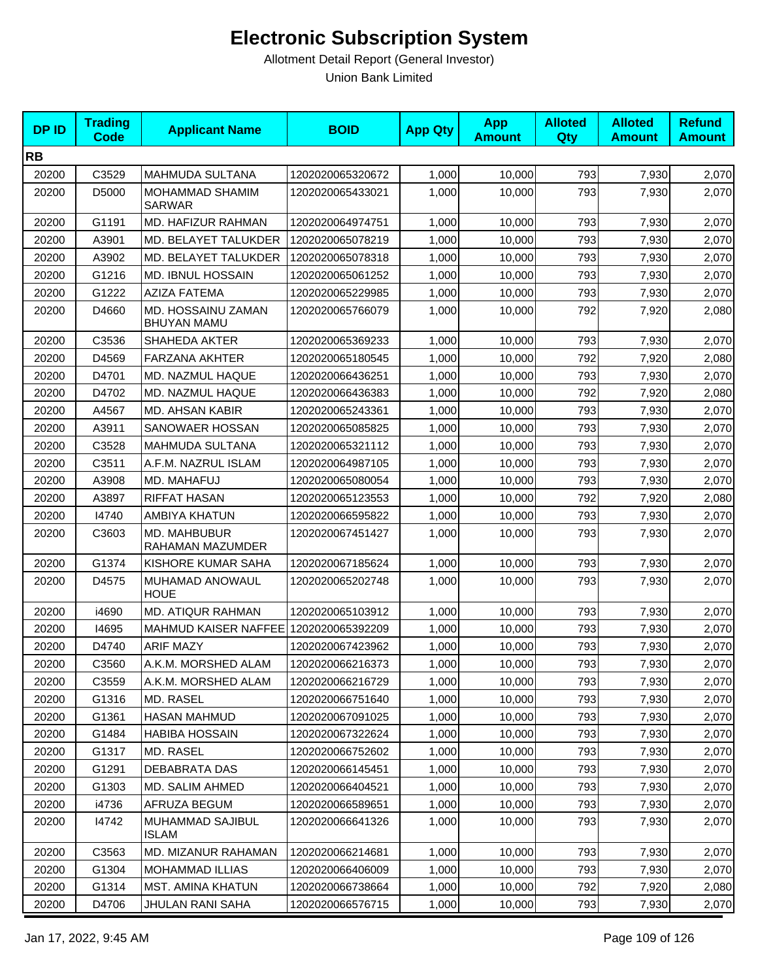| <b>DPID</b> | <b>Trading</b><br>Code | <b>Applicant Name</b>                    | <b>BOID</b>      | <b>App Qty</b> | <b>App</b><br><b>Amount</b> | <b>Alloted</b><br><b>Qty</b> | <b>Alloted</b><br><b>Amount</b> | <b>Refund</b><br><b>Amount</b> |
|-------------|------------------------|------------------------------------------|------------------|----------------|-----------------------------|------------------------------|---------------------------------|--------------------------------|
| <b>RB</b>   |                        |                                          |                  |                |                             |                              |                                 |                                |
| 20200       | C3529                  | <b>MAHMUDA SULTANA</b>                   | 1202020065320672 | 1,000          | 10,000                      | 793                          | 7,930                           | 2,070                          |
| 20200       | D5000                  | MOHAMMAD SHAMIM<br><b>SARWAR</b>         | 1202020065433021 | 1,000          | 10,000                      | 793                          | 7,930                           | 2,070                          |
| 20200       | G1191                  | MD. HAFIZUR RAHMAN                       | 1202020064974751 | 1,000          | 10,000                      | 793                          | 7,930                           | 2,070                          |
| 20200       | A3901                  | MD. BELAYET TALUKDER                     | 1202020065078219 | 1,000          | 10.000                      | 793                          | 7,930                           | 2,070                          |
| 20200       | A3902                  | MD. BELAYET TALUKDER                     | 1202020065078318 | 1,000          | 10,000                      | 793                          | 7,930                           | 2,070                          |
| 20200       | G1216                  | MD. IBNUL HOSSAIN                        | 1202020065061252 | 1,000          | 10,000                      | 793                          | 7,930                           | 2,070                          |
| 20200       | G1222                  | <b>AZIZA FATEMA</b>                      | 1202020065229985 | 1,000          | 10,000                      | 793                          | 7,930                           | 2,070                          |
| 20200       | D4660                  | MD. HOSSAINU ZAMAN<br><b>BHUYAN MAMU</b> | 1202020065766079 | 1,000          | 10,000                      | 792                          | 7,920                           | 2,080                          |
| 20200       | C3536                  | SHAHEDA AKTER                            | 1202020065369233 | 1,000          | 10,000                      | 793                          | 7,930                           | 2,070                          |
| 20200       | D4569                  | <b>FARZANA AKHTER</b>                    | 1202020065180545 | 1,000          | 10,000                      | 792                          | 7,920                           | 2,080                          |
| 20200       | D4701                  | MD. NAZMUL HAQUE                         | 1202020066436251 | 1,000          | 10,000                      | 793                          | 7,930                           | 2,070                          |
| 20200       | D4702                  | MD. NAZMUL HAQUE                         | 1202020066436383 | 1,000          | 10,000                      | 792                          | 7,920                           | 2,080                          |
| 20200       | A4567                  | MD. AHSAN KABIR                          | 1202020065243361 | 1,000          | 10,000                      | 793                          | 7,930                           | 2,070                          |
| 20200       | A3911                  | SANOWAER HOSSAN                          | 1202020065085825 | 1,000          | 10,000                      | 793                          | 7,930                           | 2,070                          |
| 20200       | C3528                  | <b>MAHMUDA SULTANA</b>                   | 1202020065321112 | 1,000          | 10,000                      | 793                          | 7,930                           | 2,070                          |
| 20200       | C3511                  | A.F.M. NAZRUL ISLAM                      | 1202020064987105 | 1,000          | 10.000                      | 793                          | 7,930                           | 2,070                          |
| 20200       | A3908                  | MD. MAHAFUJ                              | 1202020065080054 | 1,000          | 10,000                      | 793                          | 7,930                           | 2,070                          |
| 20200       | A3897                  | <b>RIFFAT HASAN</b>                      | 1202020065123553 | 1,000          | 10,000                      | 792                          | 7,920                           | 2,080                          |
| 20200       | 14740                  | AMBIYA KHATUN                            | 1202020066595822 | 1,000          | 10,000                      | 793                          | 7,930                           | 2,070                          |
| 20200       | C3603                  | MD. MAHBUBUR<br>RAHAMAN MAZUMDER         | 1202020067451427 | 1,000          | 10,000                      | 793                          | 7,930                           | 2,070                          |
| 20200       | G1374                  | KISHORE KUMAR SAHA                       | 1202020067185624 | 1,000          | 10,000                      | 793                          | 7,930                           | 2,070                          |
| 20200       | D4575                  | MUHAMAD ANOWAUL<br><b>HOUE</b>           | 1202020065202748 | 1,000          | 10,000                      | 793                          | 7,930                           | 2,070                          |
| 20200       | i4690                  | MD. ATIQUR RAHMAN                        | 1202020065103912 | 1,000          | 10,000                      | 793                          | 7,930                           | 2,070                          |
| 20200       | 14695                  | MAHMUD KAISER NAFFEE                     | 1202020065392209 | 1,000          | 10,000                      | 793                          | 7,930                           | 2,070                          |
| 20200       | D4740                  | <b>ARIF MAZY</b>                         | 1202020067423962 | 1,000          | 10,000                      | 793                          | 7,930                           | 2,070                          |
| 20200       | C3560                  | A.K.M. MORSHED ALAM                      | 1202020066216373 | 1,000          | 10,000                      | 793                          | 7,930                           | 2,070                          |
| 20200       | C3559                  | A.K.M. MORSHED ALAM                      | 1202020066216729 | 1,000          | 10,000                      | 793                          | 7,930                           | 2,070                          |
| 20200       | G1316                  | MD. RASEL                                | 1202020066751640 | 1,000          | 10,000                      | 793                          | 7,930                           | 2,070                          |
| 20200       | G1361                  | <b>HASAN MAHMUD</b>                      | 1202020067091025 | 1,000          | 10.000                      | 793                          | 7,930                           | 2,070                          |
| 20200       | G1484                  | <b>HABIBA HOSSAIN</b>                    | 1202020067322624 | 1,000          | 10,000                      | 793                          | 7,930                           | 2,070                          |
| 20200       | G1317                  | MD. RASEL                                | 1202020066752602 | 1,000          | 10,000                      | 793                          | 7,930                           | 2,070                          |
| 20200       | G1291                  | DEBABRATA DAS                            | 1202020066145451 | 1,000          | 10,000                      | 793                          | 7,930                           | 2,070                          |
| 20200       | G1303                  | MD. SALIM AHMED                          | 1202020066404521 | 1,000          | 10,000                      | 793                          | 7,930                           | 2,070                          |
| 20200       | i4736                  | AFRUZA BEGUM                             | 1202020066589651 | 1,000          | 10,000                      | 793                          | 7,930                           | 2,070                          |
| 20200       | 14742                  | MUHAMMAD SAJIBUL<br><b>ISLAM</b>         | 1202020066641326 | 1,000          | 10,000                      | 793                          | 7,930                           | 2,070                          |
| 20200       | C3563                  | MD. MIZANUR RAHAMAN                      | 1202020066214681 | 1,000          | 10,000                      | 793                          | 7,930                           | 2,070                          |
| 20200       | G1304                  | <b>MOHAMMAD ILLIAS</b>                   | 1202020066406009 | 1,000          | 10,000                      | 793                          | 7,930                           | 2,070                          |
| 20200       | G1314                  | MST. AMINA KHATUN                        | 1202020066738664 | 1,000          | 10,000                      | 792                          | 7,920                           | 2,080                          |
| 20200       | D4706                  | JHULAN RANI SAHA                         | 1202020066576715 | 1,000          | 10,000                      | 793                          | 7,930                           | 2,070                          |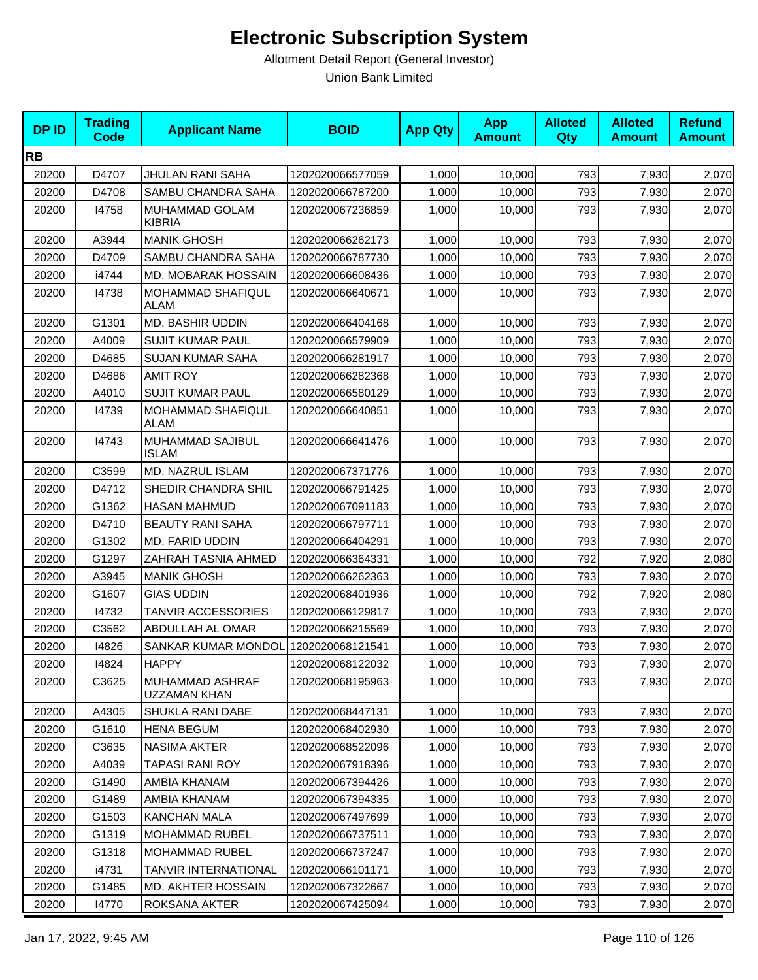| <b>DPID</b> | <b>Trading</b><br>Code | <b>Applicant Name</b>            | <b>BOID</b>      | <b>App Qty</b> | <b>App</b><br><b>Amount</b> | <b>Alloted</b><br><b>Qty</b> | <b>Alloted</b><br><b>Amount</b> | <b>Refund</b><br><b>Amount</b> |
|-------------|------------------------|----------------------------------|------------------|----------------|-----------------------------|------------------------------|---------------------------------|--------------------------------|
| <b>RB</b>   |                        |                                  |                  |                |                             |                              |                                 |                                |
| 20200       | D4707                  | JHULAN RANI SAHA                 | 1202020066577059 | 1,000          | 10,000                      | 793                          | 7,930                           | 2,070                          |
| 20200       | D4708                  | SAMBU CHANDRA SAHA               | 1202020066787200 | 1,000          | 10,000                      | 793                          | 7,930                           | 2,070                          |
| 20200       | 14758                  | MUHAMMAD GOLAM<br><b>KIBRIA</b>  | 1202020067236859 | 1,000          | 10,000                      | 793                          | 7,930                           | 2,070                          |
| 20200       | A3944                  | <b>MANIK GHOSH</b>               | 1202020066262173 | 1,000          | 10,000                      | 793                          | 7,930                           | 2,070                          |
| 20200       | D4709                  | SAMBU CHANDRA SAHA               | 1202020066787730 | 1,000          | 10,000                      | 793                          | 7,930                           | 2,070                          |
| 20200       | i4744                  | MD. MOBARAK HOSSAIN              | 1202020066608436 | 1,000          | 10,000                      | 793                          | 7,930                           | 2,070                          |
| 20200       | 14738                  | MOHAMMAD SHAFIQUL<br>ALAM        | 1202020066640671 | 1,000          | 10,000                      | 793                          | 7,930                           | 2,070                          |
| 20200       | G1301                  | MD. BASHIR UDDIN                 | 1202020066404168 | 1,000          | 10,000                      | 793                          | 7,930                           | 2,070                          |
| 20200       | A4009                  | <b>SUJIT KUMAR PAUL</b>          | 1202020066579909 | 1,000          | 10,000                      | 793                          | 7,930                           | 2,070                          |
| 20200       | D4685                  | <b>SUJAN KUMAR SAHA</b>          | 1202020066281917 | 1,000          | 10,000                      | 793                          | 7,930                           | 2,070                          |
| 20200       | D4686                  | <b>AMIT ROY</b>                  | 1202020066282368 | 1,000          | 10,000                      | 793                          | 7,930                           | 2,070                          |
| 20200       | A4010                  | <b>SUJIT KUMAR PAUL</b>          | 1202020066580129 | 1,000          | 10,000                      | 793                          | 7,930                           | 2,070                          |
| 20200       | 14739                  | MOHAMMAD SHAFIQUL<br>ALAM        | 1202020066640851 | 1,000          | 10,000                      | 793                          | 7,930                           | 2,070                          |
| 20200       | 14743                  | MUHAMMAD SAJIBUL<br><b>ISLAM</b> | 1202020066641476 | 1,000          | 10,000                      | 793                          | 7,930                           | 2,070                          |
| 20200       | C3599                  | <b>MD. NAZRUL ISLAM</b>          | 1202020067371776 | 1,000          | 10,000                      | 793                          | 7,930                           | 2,070                          |
| 20200       | D4712                  | SHEDIR CHANDRA SHIL              | 1202020066791425 | 1,000          | 10,000                      | 793                          | 7,930                           | 2,070                          |
| 20200       | G1362                  | <b>HASAN MAHMUD</b>              | 1202020067091183 | 1,000          | 10,000                      | 793                          | 7,930                           | 2,070                          |
| 20200       | D4710                  | <b>BEAUTY RANI SAHA</b>          | 1202020066797711 | 1,000          | 10,000                      | 793                          | 7,930                           | 2,070                          |
| 20200       | G1302                  | MD. FARID UDDIN                  | 1202020066404291 | 1,000          | 10,000                      | 793                          | 7,930                           | 2,070                          |
| 20200       | G1297                  | ZAHRAH TASNIA AHMED              | 1202020066364331 | 1,000          | 10,000                      | 792                          | 7,920                           | 2,080                          |
| 20200       | A3945                  | <b>MANIK GHOSH</b>               | 1202020066262363 | 1,000          | 10,000                      | 793                          | 7,930                           | 2,070                          |
| 20200       | G1607                  | <b>GIAS UDDIN</b>                | 1202020068401936 | 1,000          | 10,000                      | 792                          | 7,920                           | 2,080                          |
| 20200       | 14732                  | TANVIR ACCESSORIES               | 1202020066129817 | 1,000          | 10,000                      | 793                          | 7,930                           | 2,070                          |
| 20200       | C3562                  | ABDULLAH AL OMAR                 | 1202020066215569 | 1,000          | 10,000                      | 793                          | 7,930                           | 2,070                          |
| 20200       | 14826                  | SANKAR KUMAR MONDOL              | 1202020068121541 | 1,000          | 10,000                      | 793                          | 7,930                           | 2,070                          |
| 20200       | 14824                  | <b>HAPPY</b>                     | 1202020068122032 | 1,000          | 10,000                      | 793                          | 7,930                           | 2,070                          |
| 20200       | C3625                  | MUHAMMAD ASHRAF<br>UZZAMAN KHAN  | 1202020068195963 | 1,000          | 10,000                      | 793                          | 7,930                           | 2,070                          |
| 20200       | A4305                  | SHUKLA RANI DABE                 | 1202020068447131 | 1,000          | 10,000                      | 793                          | 7,930                           | 2,070                          |
| 20200       | G1610                  | <b>HENA BEGUM</b>                | 1202020068402930 | 1,000          | 10,000                      | 793                          | 7,930                           | 2,070                          |
| 20200       | C3635                  | <b>NASIMA AKTER</b>              | 1202020068522096 | 1,000          | 10.000                      | 793                          | 7,930                           | 2,070                          |
| 20200       | A4039                  | <b>TAPASI RANI ROY</b>           | 1202020067918396 | 1,000          | 10,000                      | 793                          | 7,930                           | 2,070                          |
| 20200       | G1490                  | AMBIA KHANAM                     | 1202020067394426 | 1,000          | 10,000                      | 793                          | 7,930                           | 2,070                          |
| 20200       | G1489                  | AMBIA KHANAM                     | 1202020067394335 | 1,000          | 10,000                      | 793                          | 7,930                           | 2,070                          |
| 20200       | G1503                  | KANCHAN MALA                     | 1202020067497699 | 1,000          | 10,000                      | 793                          | 7,930                           | 2,070                          |
| 20200       | G1319                  | <b>MOHAMMAD RUBEL</b>            | 1202020066737511 | 1,000          | 10,000                      | 793                          | 7,930                           | 2,070                          |
| 20200       | G1318                  | MOHAMMAD RUBEL                   | 1202020066737247 | 1,000          | 10,000                      | 793                          | 7,930                           | 2,070                          |
| 20200       | i4731                  | TANVIR INTERNATIONAL             | 1202020066101171 | 1,000          | 10,000                      | 793                          | 7,930                           | 2,070                          |
| 20200       | G1485                  | <b>MD. AKHTER HOSSAIN</b>        | 1202020067322667 | 1,000          | 10,000                      | 793                          | 7,930                           | 2,070                          |
| 20200       | 14770                  | ROKSANA AKTER                    | 1202020067425094 | 1,000          | 10,000                      | 793                          | 7,930                           | 2,070                          |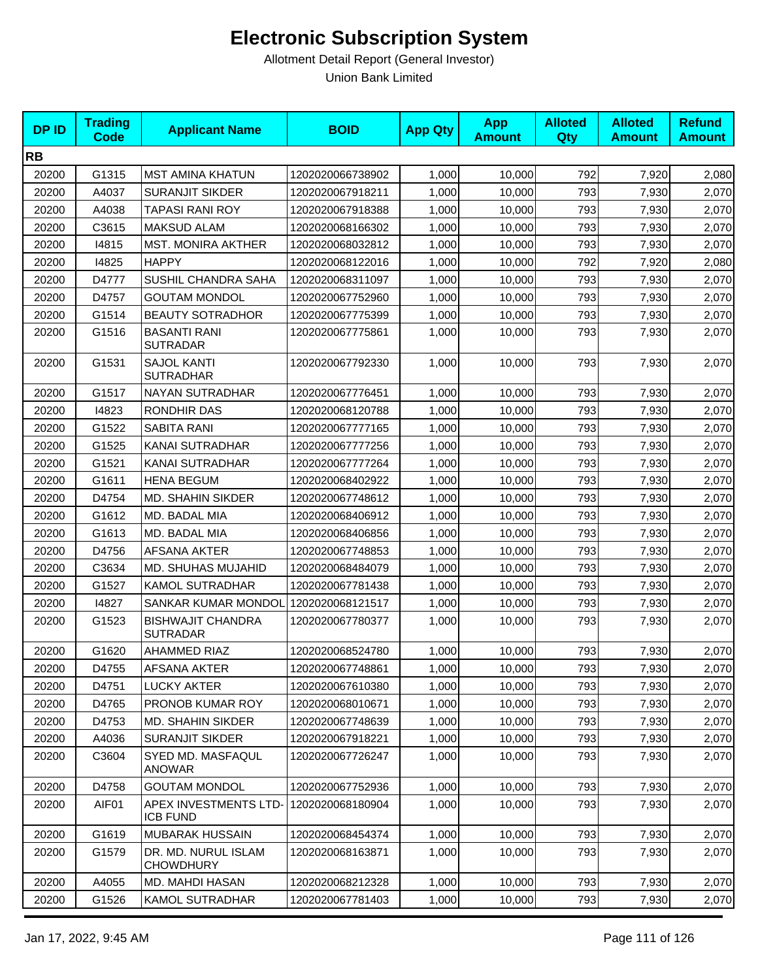| <b>DPID</b> | <b>Trading</b><br><b>Code</b> | <b>Applicant Name</b>                       | <b>BOID</b>      | <b>App Qty</b> | <b>App</b><br><b>Amount</b> | <b>Alloted</b><br>Qty | <b>Alloted</b><br><b>Amount</b> | <b>Refund</b><br><b>Amount</b> |
|-------------|-------------------------------|---------------------------------------------|------------------|----------------|-----------------------------|-----------------------|---------------------------------|--------------------------------|
| <b>RB</b>   |                               |                                             |                  |                |                             |                       |                                 |                                |
| 20200       | G1315                         | <b>MST AMINA KHATUN</b>                     | 1202020066738902 | 1,000          | 10,000                      | 792                   | 7,920                           | 2,080                          |
| 20200       | A4037                         | <b>SURANJIT SIKDER</b>                      | 1202020067918211 | 1,000          | 10,000                      | 793                   | 7,930                           | 2,070                          |
| 20200       | A4038                         | <b>TAPASI RANI ROY</b>                      | 1202020067918388 | 1,000          | 10,000                      | 793                   | 7,930                           | 2,070                          |
| 20200       | C3615                         | <b>MAKSUD ALAM</b>                          | 1202020068166302 | 1,000          | 10,000                      | 793                   | 7,930                           | 2,070                          |
| 20200       | 14815                         | <b>MST. MONIRA AKTHER</b>                   | 1202020068032812 | 1,000          | 10,000                      | 793                   | 7,930                           | 2,070                          |
| 20200       | 14825                         | <b>HAPPY</b>                                | 1202020068122016 | 1,000          | 10,000                      | 792                   | 7,920                           | 2,080                          |
| 20200       | D4777                         | <b>SUSHIL CHANDRA SAHA</b>                  | 1202020068311097 | 1,000          | 10,000                      | 793                   | 7,930                           | 2,070                          |
| 20200       | D4757                         | <b>GOUTAM MONDOL</b>                        | 1202020067752960 | 1,000          | 10,000                      | 793                   | 7,930                           | 2,070                          |
| 20200       | G1514                         | <b>BEAUTY SOTRADHOR</b>                     | 1202020067775399 | 1,000          | 10,000                      | 793                   | 7,930                           | 2,070                          |
| 20200       | G1516                         | <b>BASANTI RANI</b><br><b>SUTRADAR</b>      | 1202020067775861 | 1,000          | 10,000                      | 793                   | 7,930                           | 2,070                          |
| 20200       | G1531                         | <b>SAJOL KANTI</b><br><b>SUTRADHAR</b>      | 1202020067792330 | 1,000          | 10,000                      | 793                   | 7,930                           | 2,070                          |
| 20200       | G1517                         | <b>NAYAN SUTRADHAR</b>                      | 1202020067776451 | 1,000          | 10,000                      | 793                   | 7,930                           | 2,070                          |
| 20200       | 14823                         | RONDHIR DAS                                 | 1202020068120788 | 1,000          | 10,000                      | 793                   | 7,930                           | 2,070                          |
| 20200       | G1522                         | SABITA RANI                                 | 1202020067777165 | 1,000          | 10,000                      | 793                   | 7,930                           | 2,070                          |
| 20200       | G1525                         | KANAI SUTRADHAR                             | 1202020067777256 | 1,000          | 10.000                      | 793                   | 7,930                           | 2,070                          |
| 20200       | G1521                         | KANAI SUTRADHAR                             | 1202020067777264 | 1,000          | 10,000                      | 793                   | 7,930                           | 2,070                          |
| 20200       | G1611                         | <b>HENA BEGUM</b>                           | 1202020068402922 | 1,000          | 10,000                      | 793                   | 7,930                           | 2,070                          |
| 20200       | D4754                         | <b>MD. SHAHIN SIKDER</b>                    | 1202020067748612 | 1,000          | 10,000                      | 793                   | 7,930                           | 2,070                          |
| 20200       | G1612                         | MD. BADAL MIA                               | 1202020068406912 | 1,000          | 10,000                      | 793                   | 7,930                           | 2,070                          |
| 20200       | G1613                         | MD. BADAL MIA                               | 1202020068406856 | 1,000          | 10,000                      | 793                   | 7,930                           | 2,070                          |
| 20200       | D4756                         | <b>AFSANA AKTER</b>                         | 1202020067748853 | 1,000          | 10,000                      | 793                   | 7,930                           | 2,070                          |
| 20200       | C3634                         | MD. SHUHAS MUJAHID                          | 1202020068484079 | 1,000          | 10,000                      | 793                   | 7,930                           | 2,070                          |
| 20200       | G1527                         | <b>KAMOL SUTRADHAR</b>                      | 1202020067781438 | 1,000          | 10,000                      | 793                   | 7,930                           | 2,070                          |
| 20200       | 14827                         | SANKAR KUMAR MONDOL                         | 1202020068121517 | 1,000          | 10,000                      | 793                   | 7,930                           | 2,070                          |
| 20200       | G1523                         | <b>BISHWAJIT CHANDRA</b><br><b>SUTRADAR</b> | 1202020067780377 | 1,000          | 10,000                      | 793                   | 7,930                           | 2,070                          |
| 20200       | G1620                         | <b>AHAMMED RIAZ</b>                         | 1202020068524780 | 1,000          | 10,000                      | 793                   | 7,930                           | 2,070                          |
| 20200       | D4755                         | AFSANA AKTER                                | 1202020067748861 | 1,000          | 10,000                      | 793                   | 7,930                           | 2,070                          |
| 20200       | D4751                         | LUCKY AKTER                                 | 1202020067610380 | 1,000          | 10,000                      | 793                   | 7,930                           | 2,070                          |
| 20200       | D4765                         | PRONOB KUMAR ROY                            | 1202020068010671 | 1,000          | 10,000                      | 793                   | 7,930                           | 2,070                          |
| 20200       | D4753                         | <b>MD. SHAHIN SIKDER</b>                    | 1202020067748639 | 1,000          | 10,000                      | 793                   | 7,930                           | 2,070                          |
| 20200       | A4036                         | SURANJIT SIKDER                             | 1202020067918221 | 1,000          | 10,000                      | 793                   | 7,930                           | 2,070                          |
| 20200       | C3604                         | SYED MD. MASFAQUL<br><b>ANOWAR</b>          | 1202020067726247 | 1,000          | 10,000                      | 793                   | 7,930                           | 2,070                          |
| 20200       | D4758                         | <b>GOUTAM MONDOL</b>                        | 1202020067752936 | 1,000          | 10,000                      | 793                   | 7,930                           | 2,070                          |
| 20200       | AIF01                         | APEX INVESTMENTS LTD-<br><b>ICB FUND</b>    | 1202020068180904 | 1,000          | 10,000                      | 793                   | 7,930                           | 2,070                          |
| 20200       | G1619                         | <b>MUBARAK HUSSAIN</b>                      | 1202020068454374 | 1,000          | 10,000                      | 793                   | 7,930                           | 2,070                          |
| 20200       | G1579                         | DR. MD. NURUL ISLAM<br><b>CHOWDHURY</b>     | 1202020068163871 | 1,000          | 10,000                      | 793                   | 7,930                           | 2,070                          |
| 20200       | A4055                         | MD. MAHDI HASAN                             | 1202020068212328 | 1,000          | 10,000                      | 793                   | 7,930                           | 2,070                          |
| 20200       | G1526                         | <b>KAMOL SUTRADHAR</b>                      | 1202020067781403 | 1,000          | 10,000                      | 793                   | 7,930                           | 2,070                          |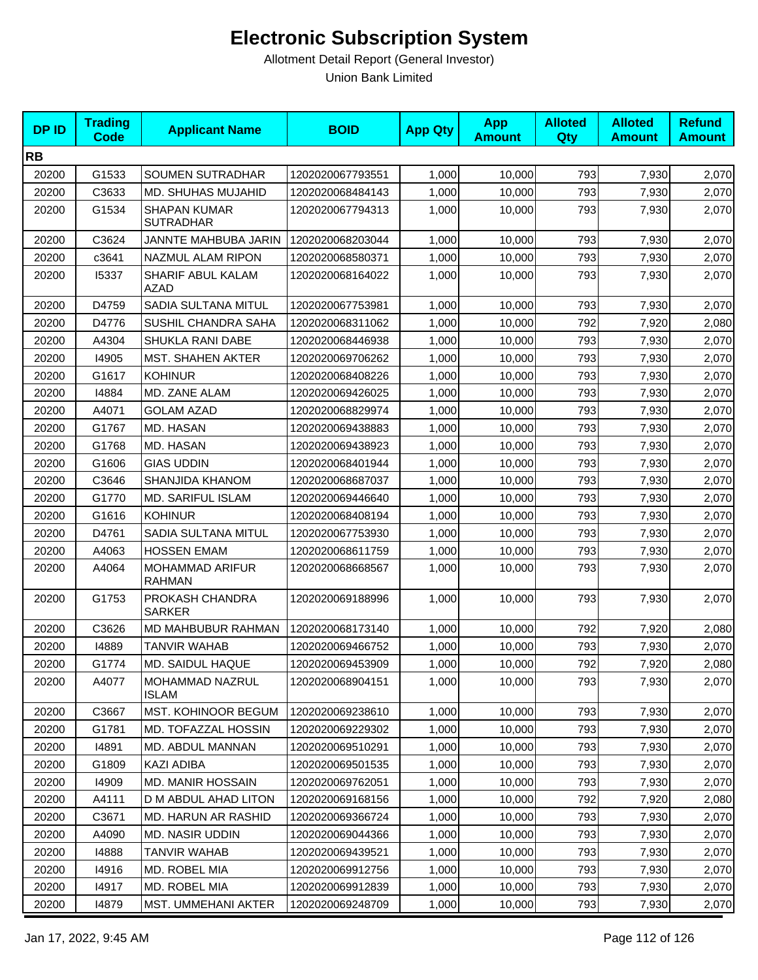| <b>DPID</b> | <b>Trading</b><br>Code | <b>Applicant Name</b>                   | <b>BOID</b>      | <b>App Qty</b> | <b>App</b><br><b>Amount</b> | <b>Alloted</b><br><b>Qty</b> | <b>Alloted</b><br><b>Amount</b> | <b>Refund</b><br><b>Amount</b> |
|-------------|------------------------|-----------------------------------------|------------------|----------------|-----------------------------|------------------------------|---------------------------------|--------------------------------|
| <b>RB</b>   |                        |                                         |                  |                |                             |                              |                                 |                                |
| 20200       | G1533                  | SOUMEN SUTRADHAR                        | 1202020067793551 | 1,000          | 10,000                      | 793                          | 7,930                           | 2,070                          |
| 20200       | C3633                  | MD. SHUHAS MUJAHID                      | 1202020068484143 | 1,000          | 10,000                      | 793                          | 7,930                           | 2,070                          |
| 20200       | G1534                  | <b>SHAPAN KUMAR</b><br><b>SUTRADHAR</b> | 1202020067794313 | 1,000          | 10,000                      | 793                          | 7,930                           | 2,070                          |
| 20200       | C3624                  | JANNTE MAHBUBA JARIN                    | 1202020068203044 | 1,000          | 10,000                      | 793                          | 7,930                           | 2,070                          |
| 20200       | c3641                  | NAZMUL ALAM RIPON                       | 1202020068580371 | 1,000          | 10,000                      | 793                          | 7,930                           | 2,070                          |
| 20200       | 15337                  | SHARIF ABUL KALAM<br><b>AZAD</b>        | 1202020068164022 | 1,000          | 10.000                      | 793                          | 7,930                           | 2,070                          |
| 20200       | D4759                  | SADIA SULTANA MITUL                     | 1202020067753981 | 1,000          | 10,000                      | 793                          | 7,930                           | 2,070                          |
| 20200       | D4776                  | SUSHIL CHANDRA SAHA                     | 1202020068311062 | 1,000          | 10,000                      | 792                          | 7,920                           | 2,080                          |
| 20200       | A4304                  | SHUKLA RANI DABE                        | 1202020068446938 | 1,000          | 10,000                      | 793                          | 7,930                           | 2,070                          |
| 20200       | 14905                  | <b>MST. SHAHEN AKTER</b>                | 1202020069706262 | 1,000          | 10,000                      | 793                          | 7,930                           | 2,070                          |
| 20200       | G1617                  | <b>KOHINUR</b>                          | 1202020068408226 | 1,000          | 10,000                      | 793                          | 7,930                           | 2,070                          |
| 20200       | 14884                  | MD. ZANE ALAM                           | 1202020069426025 | 1,000          | 10,000                      | 793                          | 7,930                           | 2,070                          |
| 20200       | A4071                  | <b>GOLAM AZAD</b>                       | 1202020068829974 | 1,000          | 10.000                      | 793                          | 7,930                           | 2,070                          |
| 20200       | G1767                  | MD. HASAN                               | 1202020069438883 | 1,000          | 10,000                      | 793                          | 7,930                           | 2,070                          |
| 20200       | G1768                  | MD. HASAN                               | 1202020069438923 | 1,000          | 10,000                      | 793                          | 7,930                           | 2,070                          |
| 20200       | G1606                  | <b>GIAS UDDIN</b>                       | 1202020068401944 | 1,000          | 10,000                      | 793                          | 7,930                           | 2,070                          |
| 20200       | C3646                  | SHANJIDA KHANOM                         | 1202020068687037 | 1,000          | 10,000                      | 793                          | 7,930                           | 2,070                          |
| 20200       | G1770                  | MD. SARIFUL ISLAM                       | 1202020069446640 | 1,000          | 10,000                      | 793                          | 7,930                           | 2,070                          |
| 20200       | G1616                  | <b>KOHINUR</b>                          | 1202020068408194 | 1,000          | 10,000                      | 793                          | 7,930                           | 2,070                          |
| 20200       | D4761                  | SADIA SULTANA MITUL                     | 1202020067753930 | 1,000          | 10,000                      | 793                          | 7,930                           | 2,070                          |
| 20200       | A4063                  | <b>HOSSEN EMAM</b>                      | 1202020068611759 | 1,000          | 10,000                      | 793                          | 7,930                           | 2,070                          |
| 20200       | A4064                  | MOHAMMAD ARIFUR<br><b>RAHMAN</b>        | 1202020068668567 | 1,000          | 10,000                      | 793                          | 7,930                           | 2,070                          |
| 20200       | G1753                  | PROKASH CHANDRA<br><b>SARKER</b>        | 1202020069188996 | 1,000          | 10,000                      | 793                          | 7,930                           | 2,070                          |
| 20200       | C3626                  | MD MAHBUBUR RAHMAN                      | 1202020068173140 | 1,000          | 10,000                      | 792                          | 7,920                           | 2,080                          |
| 20200       | 14889                  | <b>TANVIR WAHAB</b>                     | 1202020069466752 | 1,000          | 10,000                      | 793                          | 7,930                           | 2,070                          |
| 20200       | G1774                  | <b>MD. SAIDUL HAQUE</b>                 | 1202020069453909 | 1,000          | 10,000                      | 792                          | 7,920                           | 2,080                          |
| 20200       | A4077                  | MOHAMMAD NAZRUL<br><b>ISLAM</b>         | 1202020068904151 | 1,000          | 10,000                      | 793                          | 7,930                           | 2,070                          |
| 20200       | C3667                  | MST. KOHINOOR BEGUM                     | 1202020069238610 | 1,000          | 10,000                      | 793                          | 7,930                           | 2,070                          |
| 20200       | G1781                  | MD. TOFAZZAL HOSSIN                     | 1202020069229302 | 1,000          | 10,000                      | 793                          | 7,930                           | 2,070                          |
| 20200       | 14891                  | <b>MD. ABDUL MANNAN</b>                 | 1202020069510291 | 1,000          | 10,000                      | 793                          | 7,930                           | 2,070                          |
| 20200       | G1809                  | <b>KAZI ADIBA</b>                       | 1202020069501535 | 1,000          | 10,000                      | 793                          | 7,930                           | 2,070                          |
| 20200       | 14909                  | <b>MD. MANIR HOSSAIN</b>                | 1202020069762051 | 1,000          | 10,000                      | 793                          | 7,930                           | 2,070                          |
| 20200       | A4111                  | D M ABDUL AHAD LITON                    | 1202020069168156 | 1,000          | 10,000                      | 792                          | 7,920                           | 2,080                          |
| 20200       | C3671                  | MD. HARUN AR RASHID                     | 1202020069366724 | 1,000          | 10,000                      | 793                          | 7,930                           | 2,070                          |
| 20200       | A4090                  | MD. NASIR UDDIN                         | 1202020069044366 | 1,000          | 10,000                      | 793                          | 7,930                           | 2,070                          |
| 20200       | 14888                  | TANVIR WAHAB                            | 1202020069439521 | 1,000          | 10,000                      | 793                          | 7,930                           | 2,070                          |
| 20200       | 14916                  | MD. ROBEL MIA                           | 1202020069912756 | 1,000          | 10,000                      | 793                          | 7,930                           | 2,070                          |
| 20200       | 14917                  | MD. ROBEL MIA                           | 1202020069912839 | 1,000          | 10,000                      | 793                          | 7,930                           | 2,070                          |
| 20200       | 14879                  | MST. UMMEHANI AKTER                     | 1202020069248709 | 1,000          | 10,000                      | 793                          | 7,930                           | 2,070                          |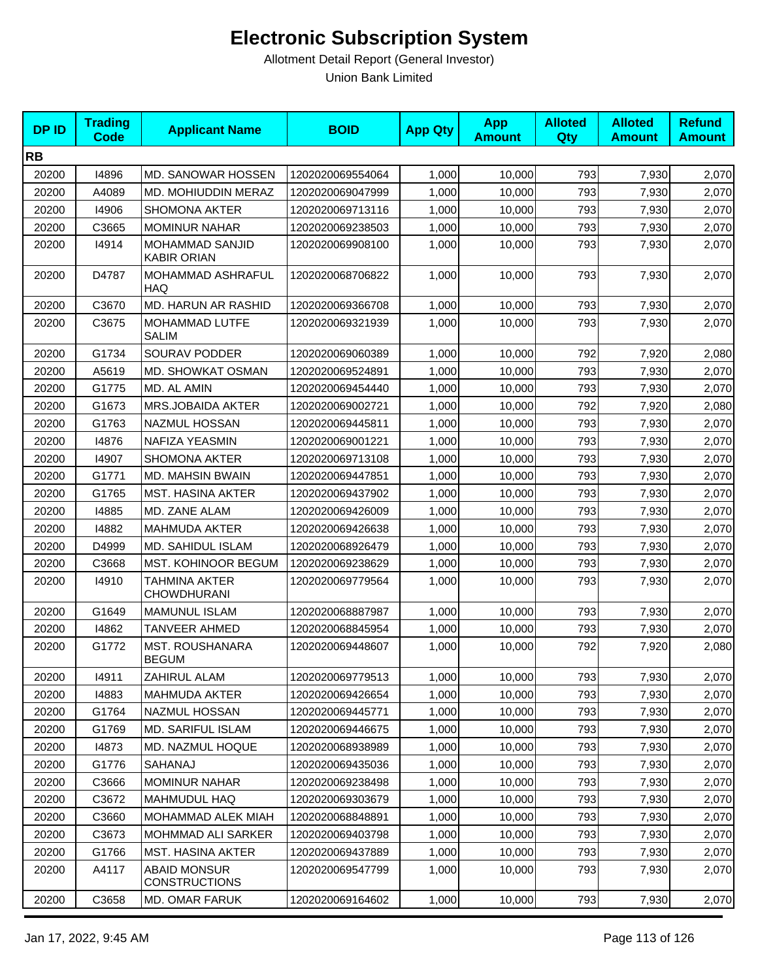| <b>DPID</b> | <b>Trading</b><br><b>Code</b> | <b>Applicant Name</b>                        | <b>BOID</b>      | <b>App Qty</b> | <b>App</b><br><b>Amount</b> | <b>Alloted</b><br>Qty | <b>Alloted</b><br><b>Amount</b> | <b>Refund</b><br><b>Amount</b> |
|-------------|-------------------------------|----------------------------------------------|------------------|----------------|-----------------------------|-----------------------|---------------------------------|--------------------------------|
| <b>RB</b>   |                               |                                              |                  |                |                             |                       |                                 |                                |
| 20200       | 14896                         | MD. SANOWAR HOSSEN                           | 1202020069554064 | 1,000          | 10,000                      | 793                   | 7,930                           | 2,070                          |
| 20200       | A4089                         | MD. MOHIUDDIN MERAZ                          | 1202020069047999 | 1,000          | 10,000                      | 793                   | 7,930                           | 2,070                          |
| 20200       | 14906                         | <b>SHOMONA AKTER</b>                         | 1202020069713116 | 1,000          | 10,000                      | 793                   | 7,930                           | 2,070                          |
| 20200       | C3665                         | <b>MOMINUR NAHAR</b>                         | 1202020069238503 | 1,000          | 10,000                      | 793                   | 7,930                           | 2,070                          |
| 20200       | 14914                         | <b>MOHAMMAD SANJID</b><br><b>KABIR ORIAN</b> | 1202020069908100 | 1,000          | 10,000                      | 793                   | 7,930                           | 2,070                          |
| 20200       | D4787                         | MOHAMMAD ASHRAFUL<br><b>HAQ</b>              | 1202020068706822 | 1,000          | 10,000                      | 793                   | 7,930                           | 2,070                          |
| 20200       | C3670                         | MD. HARUN AR RASHID                          | 1202020069366708 | 1,000          | 10,000                      | 793                   | 7,930                           | 2,070                          |
| 20200       | C3675                         | MOHAMMAD LUTFE<br>SALIM                      | 1202020069321939 | 1,000          | 10,000                      | 793                   | 7,930                           | 2,070                          |
| 20200       | G1734                         | <b>SOURAV PODDER</b>                         | 1202020069060389 | 1,000          | 10,000                      | 792                   | 7,920                           | 2,080                          |
| 20200       | A5619                         | MD. SHOWKAT OSMAN                            | 1202020069524891 | 1,000          | 10.000                      | 793                   | 7,930                           | 2,070                          |
| 20200       | G1775                         | MD. AL AMIN                                  | 1202020069454440 | 1,000          | 10,000                      | 793                   | 7,930                           | 2,070                          |
| 20200       | G1673                         | MRS.JOBAIDA AKTER                            | 1202020069002721 | 1,000          | 10,000                      | 792                   | 7,920                           | 2,080                          |
| 20200       | G1763                         | NAZMUL HOSSAN                                | 1202020069445811 | 1,000          | 10,000                      | 793                   | 7,930                           | 2,070                          |
| 20200       | 14876                         | NAFIZA YEASMIN                               | 1202020069001221 | 1.000          | 10,000                      | 793                   | 7,930                           | 2,070                          |
| 20200       | 14907                         | <b>SHOMONA AKTER</b>                         | 1202020069713108 | 1,000          | 10,000                      | 793                   | 7,930                           | 2,070                          |
| 20200       | G1771                         | <b>MD. MAHSIN BWAIN</b>                      | 1202020069447851 | 1,000          | 10,000                      | 793                   | 7,930                           | 2,070                          |
| 20200       | G1765                         | <b>MST. HASINA AKTER</b>                     | 1202020069437902 | 1,000          | 10,000                      | 793                   | 7,930                           | 2,070                          |
| 20200       | 14885                         | MD. ZANE ALAM                                | 1202020069426009 | 1,000          | 10,000                      | 793                   | 7,930                           | 2,070                          |
| 20200       | 14882                         | <b>MAHMUDA AKTER</b>                         | 1202020069426638 | 1,000          | 10,000                      | 793                   | 7,930                           | 2,070                          |
| 20200       | D4999                         | MD. SAHIDUL ISLAM                            | 1202020068926479 | 1,000          | 10,000                      | 793                   | 7,930                           | 2,070                          |
| 20200       | C3668                         | MST. KOHINOOR BEGUM                          | 1202020069238629 | 1,000          | 10,000                      | 793                   | 7,930                           | 2,070                          |
| 20200       | 14910                         | TAHMINA AKTER<br>CHOWDHURANI                 | 1202020069779564 | 1,000          | 10,000                      | 793                   | 7,930                           | 2,070                          |
| 20200       | G1649                         | <b>MAMUNUL ISLAM</b>                         | 1202020068887987 | 1,000          | 10,000                      | 793                   | 7,930                           | 2,070                          |
| 20200       | 14862                         | <b>TANVEER AHMED</b>                         | 1202020068845954 | 1,000          | 10,000                      | 793                   | 7,930                           | 2,070                          |
| 20200       | G1772                         | <b>MST. ROUSHANARA</b><br><b>BEGUM</b>       | 1202020069448607 | 1,000          | 10,000                      | 792                   | 7,920                           | 2,080                          |
| 20200       | 14911                         | ZAHIRUL ALAM                                 | 1202020069779513 | 1,000          | 10,000                      | 793                   | 7,930                           | 2,070                          |
| 20200       | 14883                         | <b>MAHMUDA AKTER</b>                         | 1202020069426654 | 1,000          | 10,000                      | 793                   | 7,930                           | 2,070                          |
| 20200       | G1764                         | NAZMUL HOSSAN                                | 1202020069445771 | 1,000          | 10,000                      | 793                   | 7,930                           | 2,070                          |
| 20200       | G1769                         | MD. SARIFUL ISLAM                            | 1202020069446675 | 1,000          | 10,000                      | 793                   | 7,930                           | 2,070                          |
| 20200       | 14873                         | <b>MD. NAZMUL HOQUE</b>                      | 1202020068938989 | 1,000          | 10,000                      | 793                   | 7,930                           | 2,070                          |
| 20200       | G1776                         | SAHANAJ                                      | 1202020069435036 | 1,000          | 10,000                      | 793                   | 7,930                           | 2,070                          |
| 20200       | C3666                         | <b>MOMINUR NAHAR</b>                         | 1202020069238498 | 1,000          | 10,000                      | 793                   | 7,930                           | 2,070                          |
| 20200       | C3672                         | <b>MAHMUDUL HAQ</b>                          | 1202020069303679 | 1,000          | 10,000                      | 793                   | 7,930                           | 2,070                          |
| 20200       | C3660                         | MOHAMMAD ALEK MIAH                           | 1202020068848891 | 1,000          | 10,000                      | 793                   | 7,930                           | 2,070                          |
| 20200       | C3673                         | MOHMMAD ALI SARKER                           | 1202020069403798 | 1,000          | 10,000                      | 793                   | 7,930                           | 2,070                          |
| 20200       | G1766                         | <b>MST. HASINA AKTER</b>                     | 1202020069437889 | 1,000          | 10,000                      | 793                   | 7,930                           | 2,070                          |
| 20200       | A4117                         | <b>ABAID MONSUR</b><br><b>CONSTRUCTIONS</b>  | 1202020069547799 | 1,000          | 10,000                      | 793                   | 7,930                           | 2,070                          |
| 20200       | C3658                         | MD. OMAR FARUK                               | 1202020069164602 | 1,000          | 10,000                      | 793                   | 7,930                           | 2,070                          |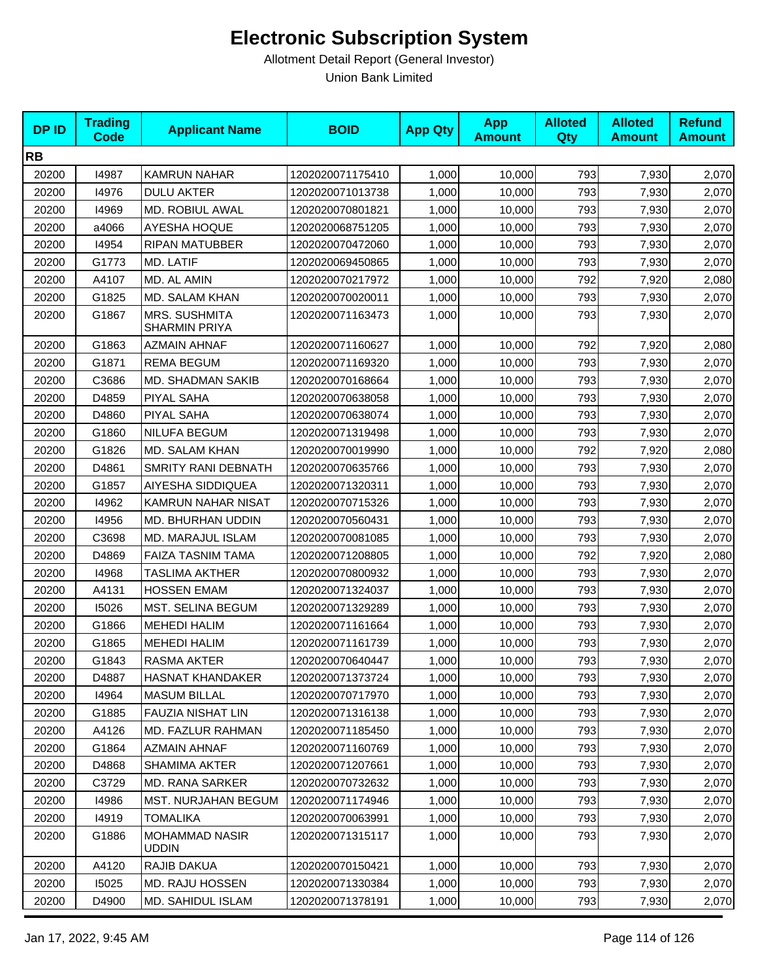| <b>DPID</b> | <b>Trading</b><br><b>Code</b> | <b>Applicant Name</b>                 | <b>BOID</b>      | <b>App Qty</b> | <b>App</b><br><b>Amount</b> | <b>Alloted</b><br><b>Qty</b> | <b>Alloted</b><br><b>Amount</b> | <b>Refund</b><br><b>Amount</b> |
|-------------|-------------------------------|---------------------------------------|------------------|----------------|-----------------------------|------------------------------|---------------------------------|--------------------------------|
| <b>RB</b>   |                               |                                       |                  |                |                             |                              |                                 |                                |
| 20200       | 14987                         | <b>KAMRUN NAHAR</b>                   | 1202020071175410 | 1,000          | 10,000                      | 793                          | 7,930                           | 2,070                          |
| 20200       | 14976                         | <b>DULU AKTER</b>                     | 1202020071013738 | 1,000          | 10,000                      | 793                          | 7,930                           | 2,070                          |
| 20200       | 14969                         | MD. ROBIUL AWAL                       | 1202020070801821 | 1,000          | 10,000                      | 793                          | 7,930                           | 2,070                          |
| 20200       | a4066                         | <b>AYESHA HOQUE</b>                   | 1202020068751205 | 1,000          | 10,000                      | 793                          | 7,930                           | 2,070                          |
| 20200       | 14954                         | <b>RIPAN MATUBBER</b>                 | 1202020070472060 | 1,000          | 10,000                      | 793                          | 7,930                           | 2,070                          |
| 20200       | G1773                         | MD. LATIF                             | 1202020069450865 | 1,000          | 10,000                      | 793                          | 7,930                           | 2,070                          |
| 20200       | A4107                         | MD. AL AMIN                           | 1202020070217972 | 1,000          | 10,000                      | 792                          | 7,920                           | 2,080                          |
| 20200       | G1825                         | MD. SALAM KHAN                        | 1202020070020011 | 1,000          | 10,000                      | 793                          | 7,930                           | 2,070                          |
| 20200       | G1867                         | MRS. SUSHMITA<br>SHARMIN PRIYA        | 1202020071163473 | 1,000          | 10,000                      | 793                          | 7,930                           | 2,070                          |
| 20200       | G1863                         | <b>AZMAIN AHNAF</b>                   | 1202020071160627 | 1,000          | 10,000                      | 792                          | 7,920                           | 2,080                          |
| 20200       | G1871                         | <b>REMA BEGUM</b>                     | 1202020071169320 | 1,000          | 10,000                      | 793                          | 7,930                           | 2,070                          |
| 20200       | C3686                         | MD. SHADMAN SAKIB                     | 1202020070168664 | 1,000          | 10,000                      | 793                          | 7,930                           | 2,070                          |
| 20200       | D4859                         | PIYAL SAHA                            | 1202020070638058 | 1,000          | 10,000                      | 793                          | 7,930                           | 2,070                          |
| 20200       | D4860                         | PIYAL SAHA                            | 1202020070638074 | 1,000          | 10,000                      | 793                          | 7,930                           | 2,070                          |
| 20200       | G1860                         | <b>NILUFA BEGUM</b>                   | 1202020071319498 | 1,000          | 10,000                      | 793                          | 7,930                           | 2,070                          |
| 20200       | G1826                         | MD. SALAM KHAN                        | 1202020070019990 | 1,000          | 10,000                      | 792                          | 7,920                           | 2,080                          |
| 20200       | D4861                         | <b>SMRITY RANI DEBNATH</b>            | 1202020070635766 | 1,000          | 10,000                      | 793                          | 7,930                           | 2,070                          |
| 20200       | G1857                         | AIYESHA SIDDIQUEA                     | 1202020071320311 | 1,000          | 10,000                      | 793                          | 7,930                           | 2,070                          |
| 20200       | 14962                         | KAMRUN NAHAR NISAT                    | 1202020070715326 | 1,000          | 10,000                      | 793                          | 7,930                           | 2,070                          |
| 20200       | 14956                         | MD. BHURHAN UDDIN                     | 1202020070560431 | 1,000          | 10,000                      | 793                          | 7,930                           | 2,070                          |
| 20200       | C3698                         | MD. MARAJUL ISLAM                     | 1202020070081085 | 1,000          | 10,000                      | 793                          | 7,930                           | 2,070                          |
| 20200       | D4869                         | FAIZA TASNIM TAMA                     | 1202020071208805 | 1,000          | 10,000                      | 792                          | 7,920                           | 2,080                          |
| 20200       | 14968                         | <b>TASLIMA AKTHER</b>                 | 1202020070800932 | 1,000          | 10,000                      | 793                          | 7,930                           | 2,070                          |
| 20200       | A4131                         | <b>HOSSEN EMAM</b>                    | 1202020071324037 | 1,000          | 10,000                      | 793                          | 7,930                           | 2,070                          |
| 20200       | 15026                         | MST. SELINA BEGUM                     | 1202020071329289 | 1,000          | 10,000                      | 793                          | 7,930                           | 2,070                          |
| 20200       | G1866                         | <b>MEHEDI HALIM</b>                   | 1202020071161664 | 1,000          | 10,000                      | 793                          | 7,930                           | 2,070                          |
| 20200       | G1865                         | <b>MEHEDI HALIM</b>                   | 1202020071161739 | 1,000          | 10,000                      | 793                          | 7,930                           | 2,070                          |
| 20200       | G1843                         | <b>RASMA AKTER</b>                    | 1202020070640447 | 1,000          | 10,000                      | 793                          | 7,930                           | 2,070                          |
| 20200       | D4887                         | <b>HASNAT KHANDAKER</b>               | 1202020071373724 | 1,000          | 10,000                      | 793                          | 7,930                           | 2,070                          |
| 20200       | 14964                         | <b>MASUM BILLAL</b>                   | 1202020070717970 | 1,000          | 10,000                      | 793                          | 7,930                           | 2,070                          |
| 20200       | G1885                         | FAUZIA NISHAT LIN                     | 1202020071316138 | 1,000          | 10,000                      | 793                          | 7,930                           | 2,070                          |
| 20200       | A4126                         | MD. FAZLUR RAHMAN                     | 1202020071185450 | 1,000          | 10,000                      | 793                          | 7,930                           | 2,070                          |
| 20200       | G1864                         | <b>AZMAIN AHNAF</b>                   | 1202020071160769 | 1,000          | 10,000                      | 793                          | 7,930                           | 2,070                          |
| 20200       | D4868                         | <b>SHAMIMA AKTER</b>                  | 1202020071207661 | 1,000          | 10,000                      | 793                          | 7,930                           | 2,070                          |
| 20200       | C3729                         | MD. RANA SARKER                       | 1202020070732632 | 1,000          | 10,000                      | 793                          | 7,930                           | 2,070                          |
| 20200       | 14986                         | MST. NURJAHAN BEGUM                   | 1202020071174946 | 1,000          | 10,000                      | 793                          | 7,930                           | 2,070                          |
| 20200       | 14919                         | <b>TOMALIKA</b>                       | 1202020070063991 | 1,000          | 10,000                      | 793                          | 7,930                           | 2,070                          |
| 20200       | G1886                         | <b>MOHAMMAD NASIR</b><br><b>UDDIN</b> | 1202020071315117 | 1,000          | 10,000                      | 793                          | 7,930                           | 2,070                          |
| 20200       | A4120                         | RAJIB DAKUA                           | 1202020070150421 | 1,000          | 10,000                      | 793                          | 7,930                           | 2,070                          |
| 20200       | 15025                         | MD. RAJU HOSSEN                       | 1202020071330384 | 1,000          | 10,000                      | 793                          | 7,930                           | 2,070                          |
| 20200       | D4900                         | MD. SAHIDUL ISLAM                     | 1202020071378191 | 1,000          | 10,000                      | 793                          | 7,930                           | 2,070                          |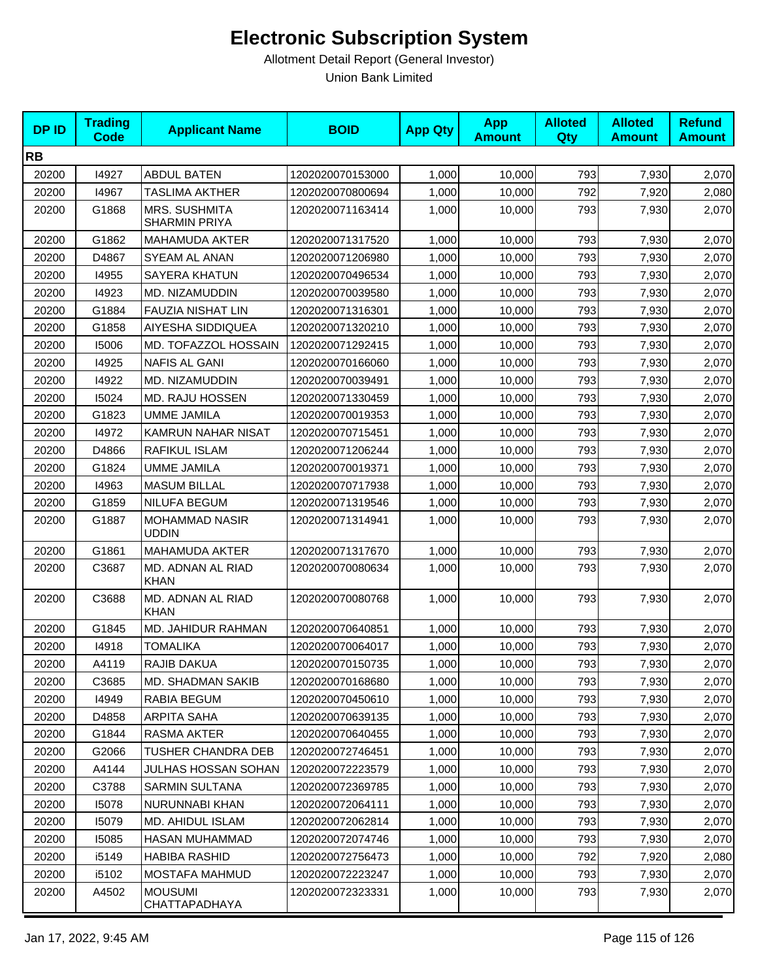| <b>DPID</b> | <b>Trading</b><br><b>Code</b> | <b>Applicant Name</b>                        | <b>BOID</b>      | <b>App Qty</b> | <b>App</b><br><b>Amount</b> | <b>Alloted</b><br><b>Qty</b> | <b>Alloted</b><br><b>Amount</b> | <b>Refund</b><br><b>Amount</b> |
|-------------|-------------------------------|----------------------------------------------|------------------|----------------|-----------------------------|------------------------------|---------------------------------|--------------------------------|
| <b>RB</b>   |                               |                                              |                  |                |                             |                              |                                 |                                |
| 20200       | 14927                         | <b>ABDUL BATEN</b>                           | 1202020070153000 | 1,000          | 10,000                      | 793                          | 7,930                           | 2,070                          |
| 20200       | 14967                         | <b>TASLIMA AKTHER</b>                        | 1202020070800694 | 1,000          | 10,000                      | 792                          | 7,920                           | 2,080                          |
| 20200       | G1868                         | <b>MRS. SUSHMITA</b><br><b>SHARMIN PRIYA</b> | 1202020071163414 | 1,000          | 10,000                      | 793                          | 7,930                           | 2,070                          |
| 20200       | G1862                         | <b>MAHAMUDA AKTER</b>                        | 1202020071317520 | 1,000          | 10,000                      | 793                          | 7,930                           | 2,070                          |
| 20200       | D4867                         | SYEAM AL ANAN                                | 1202020071206980 | 1,000          | 10,000                      | 793                          | 7,930                           | 2,070                          |
| 20200       | 14955                         | <b>SAYERA KHATUN</b>                         | 1202020070496534 | 1,000          | 10,000                      | 793                          | 7,930                           | 2,070                          |
| 20200       | 14923                         | MD. NIZAMUDDIN                               | 1202020070039580 | 1,000          | 10,000                      | 793                          | 7,930                           | 2,070                          |
| 20200       | G1884                         | FAUZIA NISHAT LIN                            | 1202020071316301 | 1,000          | 10,000                      | 793                          | 7,930                           | 2,070                          |
| 20200       | G1858                         | AIYESHA SIDDIQUEA                            | 1202020071320210 | 1,000          | 10,000                      | 793                          | 7,930                           | 2,070                          |
| 20200       | 15006                         | MD. TOFAZZOL HOSSAIN                         | 1202020071292415 | 1,000          | 10,000                      | 793                          | 7,930                           | 2,070                          |
| 20200       | 14925                         | <b>NAFIS AL GANI</b>                         | 1202020070166060 | 1,000          | 10,000                      | 793                          | 7,930                           | 2,070                          |
| 20200       | 14922                         | MD. NIZAMUDDIN                               | 1202020070039491 | 1,000          | 10,000                      | 793                          | 7,930                           | 2,070                          |
| 20200       | 15024                         | <b>MD. RAJU HOSSEN</b>                       | 1202020071330459 | 1,000          | 10,000                      | 793                          | 7,930                           | 2,070                          |
| 20200       | G1823                         | <b>UMME JAMILA</b>                           | 1202020070019353 | 1,000          | 10,000                      | 793                          | 7,930                           | 2,070                          |
| 20200       | 14972                         | <b>KAMRUN NAHAR NISAT</b>                    | 1202020070715451 | 1,000          | 10,000                      | 793                          | 7,930                           | 2,070                          |
| 20200       | D4866                         | RAFIKUL ISLAM                                | 1202020071206244 | 1,000          | 10,000                      | 793                          | 7,930                           | 2,070                          |
| 20200       | G1824                         | <b>UMME JAMILA</b>                           | 1202020070019371 | 1,000          | 10,000                      | 793                          | 7,930                           | 2,070                          |
| 20200       | 14963                         | <b>MASUM BILLAL</b>                          | 1202020070717938 | 1,000          | 10,000                      | 793                          | 7,930                           | 2,070                          |
| 20200       | G1859                         | <b>NILUFA BEGUM</b>                          | 1202020071319546 | 1,000          | 10,000                      | 793                          | 7,930                           | 2,070                          |
| 20200       | G1887                         | <b>MOHAMMAD NASIR</b><br><b>UDDIN</b>        | 1202020071314941 | 1,000          | 10,000                      | 793                          | 7,930                           | 2,070                          |
| 20200       | G1861                         | <b>MAHAMUDA AKTER</b>                        | 1202020071317670 | 1,000          | 10,000                      | 793                          | 7,930                           | 2,070                          |
| 20200       | C3687                         | MD. ADNAN AL RIAD<br><b>KHAN</b>             | 1202020070080634 | 1,000          | 10,000                      | 793                          | 7,930                           | 2,070                          |
| 20200       | C3688                         | MD. ADNAN AL RIAD<br><b>KHAN</b>             | 1202020070080768 | 1,000          | 10,000                      | 793                          | 7,930                           | 2,070                          |
| 20200       | G1845                         | MD. JAHIDUR RAHMAN                           | 1202020070640851 | 1,000          | 10,000                      | 793                          | 7,930                           | 2,070                          |
| 20200       | 14918                         | <b>TOMALIKA</b>                              | 1202020070064017 | 1,000          | 10,000                      | 793                          | 7,930                           | 2,070                          |
| 20200       | A4119                         | RAJIB DAKUA                                  | 1202020070150735 | 1,000          | 10,000                      | 793                          | 7,930                           | 2,070                          |
| 20200       | C3685                         | <b>MD. SHADMAN SAKIB</b>                     | 1202020070168680 | 1,000          | 10,000                      | 793                          | 7,930                           | 2,070                          |
| 20200       | 14949                         | RABIA BEGUM                                  | 1202020070450610 | 1,000          | 10,000                      | 793                          | 7,930                           | 2,070                          |
| 20200       | D4858                         | ARPITA SAHA                                  | 1202020070639135 | 1,000          | 10,000                      | 793                          | 7,930                           | 2,070                          |
| 20200       | G1844                         | RASMA AKTER                                  | 1202020070640455 | 1,000          | 10,000                      | 793                          | 7,930                           | 2,070                          |
| 20200       | G2066                         | TUSHER CHANDRA DEB                           | 1202020072746451 | 1,000          | 10,000                      | 793                          | 7,930                           | 2,070                          |
| 20200       | A4144                         | JULHAS HOSSAN SOHAN                          | 1202020072223579 | 1,000          | 10,000                      | 793                          | 7,930                           | 2,070                          |
| 20200       | C3788                         | SARMIN SULTANA                               | 1202020072369785 | 1,000          | 10,000                      | 793                          | 7,930                           | 2,070                          |
| 20200       | 15078                         | NURUNNABI KHAN                               | 1202020072064111 | 1,000          | 10,000                      | 793                          | 7,930                           | 2,070                          |
| 20200       | 15079                         | MD. AHIDUL ISLAM                             | 1202020072062814 | 1,000          | 10,000                      | 793                          | 7,930                           | 2,070                          |
| 20200       | 15085                         | HASAN MUHAMMAD                               | 1202020072074746 | 1,000          | 10,000                      | 793                          | 7,930                           | 2,070                          |
| 20200       | i5149                         | HABIBA RASHID                                | 1202020072756473 | 1,000          | 10,000                      | 792                          | 7,920                           | 2,080                          |
| 20200       | i5102                         | MOSTAFA MAHMUD                               | 1202020072223247 | 1,000          | 10,000                      | 793                          | 7,930                           | 2,070                          |
| 20200       | A4502                         | <b>MOUSUMI</b><br>CHATTAPADHAYA              | 1202020072323331 | 1,000          | 10,000                      | 793                          | 7,930                           | 2,070                          |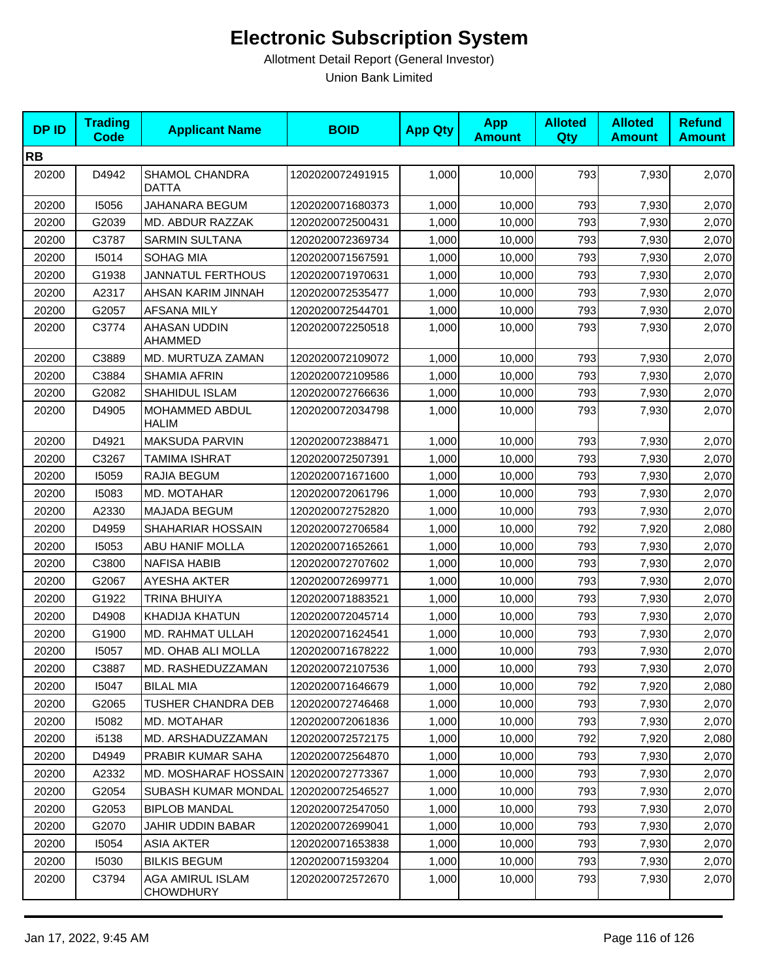| <b>DPID</b> | <b>Trading</b><br><b>Code</b> | <b>Applicant Name</b>                 | <b>BOID</b>      | <b>App Qty</b> | <b>App</b><br><b>Amount</b> | <b>Alloted</b><br>Qty | <b>Alloted</b><br><b>Amount</b> | <b>Refund</b><br><b>Amount</b> |
|-------------|-------------------------------|---------------------------------------|------------------|----------------|-----------------------------|-----------------------|---------------------------------|--------------------------------|
| <b>RB</b>   |                               |                                       |                  |                |                             |                       |                                 |                                |
| 20200       | D4942                         | SHAMOL CHANDRA<br><b>DATTA</b>        | 1202020072491915 | 1,000          | 10,000                      | 793                   | 7,930                           | 2,070                          |
| 20200       | 15056                         | JAHANARA BEGUM                        | 1202020071680373 | 1,000          | 10,000                      | 793                   | 7,930                           | 2,070                          |
| 20200       | G2039                         | MD. ABDUR RAZZAK                      | 1202020072500431 | 1,000          | 10,000                      | 793                   | 7,930                           | 2,070                          |
| 20200       | C3787                         | <b>SARMIN SULTANA</b>                 | 1202020072369734 | 1,000          | 10,000                      | 793                   | 7,930                           | 2,070                          |
| 20200       | 15014                         | <b>SOHAG MIA</b>                      | 1202020071567591 | 1,000          | 10,000                      | 793                   | 7,930                           | 2,070                          |
| 20200       | G1938                         | <b>JANNATUL FERTHOUS</b>              | 1202020071970631 | 1,000          | 10,000                      | 793                   | 7,930                           | 2,070                          |
| 20200       | A2317                         | AHSAN KARIM JINNAH                    | 1202020072535477 | 1,000          | 10,000                      | 793                   | 7,930                           | 2,070                          |
| 20200       | G2057                         | <b>AFSANA MILY</b>                    | 1202020072544701 | 1,000          | 10,000                      | 793                   | 7,930                           | 2,070                          |
| 20200       | C3774                         | AHASAN UDDIN<br>AHAMMED               | 1202020072250518 | 1,000          | 10,000                      | 793                   | 7,930                           | 2,070                          |
| 20200       | C3889                         | MD. MURTUZA ZAMAN                     | 1202020072109072 | 1,000          | 10,000                      | 793                   | 7,930                           | 2,070                          |
| 20200       | C3884                         | <b>SHAMIA AFRIN</b>                   | 1202020072109586 | 1,000          | 10,000                      | 793                   | 7,930                           | 2,070                          |
| 20200       | G2082                         | SHAHIDUL ISLAM                        | 1202020072766636 | 1,000          | 10,000                      | 793                   | 7,930                           | 2,070                          |
| 20200       | D4905                         | MOHAMMED ABDUL<br><b>HALIM</b>        | 1202020072034798 | 1,000          | 10,000                      | 793                   | 7,930                           | 2,070                          |
| 20200       | D4921                         | MAKSUDA PARVIN                        | 1202020072388471 | 1,000          | 10,000                      | 793                   | 7,930                           | 2,070                          |
| 20200       | C3267                         | <b>TAMIMA ISHRAT</b>                  | 1202020072507391 | 1,000          | 10,000                      | 793                   | 7,930                           | 2,070                          |
| 20200       | 15059                         | RAJIA BEGUM                           | 1202020071671600 | 1,000          | 10,000                      | 793                   | 7,930                           | 2,070                          |
| 20200       | 15083                         | MD. MOTAHAR                           | 1202020072061796 | 1,000          | 10,000                      | 793                   | 7,930                           | 2,070                          |
| 20200       | A2330                         | MAJADA BEGUM                          | 1202020072752820 | 1,000          | 10,000                      | 793                   | 7,930                           | 2,070                          |
| 20200       | D4959                         | SHAHARIAR HOSSAIN                     | 1202020072706584 | 1,000          | 10,000                      | 792                   | 7,920                           | 2,080                          |
| 20200       | 15053                         | ABU HANIF MOLLA                       | 1202020071652661 | 1,000          | 10,000                      | 793                   | 7,930                           | 2,070                          |
| 20200       | C3800                         | <b>NAFISA HABIB</b>                   | 1202020072707602 | 1,000          | 10,000                      | 793                   | 7,930                           | 2,070                          |
| 20200       | G2067                         | AYESHA AKTER                          | 1202020072699771 | 1,000          | 10,000                      | 793                   | 7,930                           | 2,070                          |
| 20200       | G1922                         | <b>TRINA BHUIYA</b>                   | 1202020071883521 | 1,000          | 10,000                      | 793                   | 7,930                           | 2,070                          |
| 20200       | D4908                         | <b>KHADIJA KHATUN</b>                 | 1202020072045714 | 1,000          | 10,000                      | 793                   | 7,930                           | 2,070                          |
| 20200       | G1900                         | MD. RAHMAT ULLAH                      | 1202020071624541 | 1,000          | 10,000                      | 793                   | 7,930                           | 2,070                          |
| 20200       | 15057                         | MD. OHAB ALI MOLLA                    | 1202020071678222 | 1,000          | 10,000                      | 793                   | 7,930                           | 2,070                          |
| 20200       | C3887                         | MD. RASHEDUZZAMAN                     | 1202020072107536 | 1,000          | 10,000                      | 793                   | 7,930                           | 2,070                          |
| 20200       | 15047                         | <b>BILAL MIA</b>                      | 1202020071646679 | 1,000          | 10,000                      | 792                   | 7,920                           | 2,080                          |
| 20200       | G2065                         | <b>TUSHER CHANDRA DEB</b>             | 1202020072746468 | 1,000          | 10,000                      | 793                   | 7,930                           | 2,070                          |
| 20200       | 15082                         | MD. MOTAHAR                           | 1202020072061836 | 1,000          | 10,000                      | 793                   | 7,930                           | 2,070                          |
| 20200       | i5138                         | MD. ARSHADUZZAMAN                     | 1202020072572175 | 1,000          | 10,000                      | 792                   | 7,920                           | 2,080                          |
| 20200       | D4949                         | <b>PRABIR KUMAR SAHA</b>              | 1202020072564870 | 1,000          | 10,000                      | 793                   | 7,930                           | 2,070                          |
| 20200       | A2332                         | MD. MOSHARAF HOSSAIN 1202020072773367 |                  | 1,000          | 10,000                      | 793                   | 7,930                           | 2,070                          |
| 20200       | G2054                         | <b>SUBASH KUMAR MONDAL</b>            | 1202020072546527 | 1,000          | 10,000                      | 793                   | 7,930                           | 2,070                          |
| 20200       | G2053                         | <b>BIPLOB MANDAL</b>                  | 1202020072547050 | 1,000          | 10,000                      | 793                   | 7,930                           | 2,070                          |
| 20200       | G2070                         | JAHIR UDDIN BABAR                     | 1202020072699041 | 1,000          | 10,000                      | 793                   | 7,930                           | 2,070                          |
| 20200       | 15054                         | <b>ASIA AKTER</b>                     | 1202020071653838 | 1,000          | 10,000                      | 793                   | 7,930                           | 2,070                          |
| 20200       | 15030                         | <b>BILKIS BEGUM</b>                   | 1202020071593204 | 1,000          | 10,000                      | 793                   | 7,930                           | 2,070                          |
| 20200       | C3794                         | AGA AMIRUL ISLAM<br><b>CHOWDHURY</b>  | 1202020072572670 | 1,000          | 10,000                      | 793                   | 7,930                           | 2,070                          |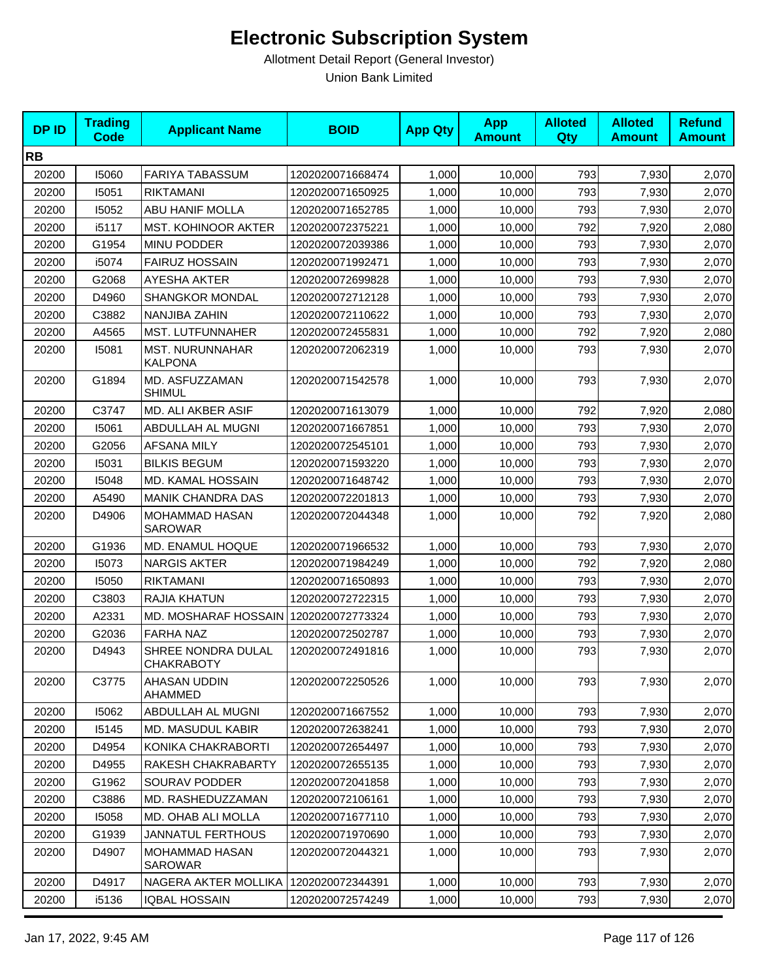| <b>DPID</b> | <b>Trading</b><br>Code | <b>Applicant Name</b>                    | <b>BOID</b>      | <b>App Qty</b> | <b>App</b><br><b>Amount</b> | <b>Alloted</b><br><b>Qty</b> | <b>Alloted</b><br><b>Amount</b> | <b>Refund</b><br><b>Amount</b> |
|-------------|------------------------|------------------------------------------|------------------|----------------|-----------------------------|------------------------------|---------------------------------|--------------------------------|
| <b>RB</b>   |                        |                                          |                  |                |                             |                              |                                 |                                |
| 20200       | 15060                  | <b>FARIYA TABASSUM</b>                   | 1202020071668474 | 1,000          | 10,000                      | 793                          | 7,930                           | 2,070                          |
| 20200       | 15051                  | <b>RIKTAMANI</b>                         | 1202020071650925 | 1,000          | 10,000                      | 793                          | 7,930                           | 2,070                          |
| 20200       | 15052                  | ABU HANIF MOLLA                          | 1202020071652785 | 1,000          | 10,000                      | 793                          | 7,930                           | 2,070                          |
| 20200       | i5117                  | MST. KOHINOOR AKTER                      | 1202020072375221 | 1,000          | 10,000                      | 792                          | 7,920                           | 2,080                          |
| 20200       | G1954                  | MINU PODDER                              | 1202020072039386 | 1,000          | 10,000                      | 793                          | 7,930                           | 2,070                          |
| 20200       | i5074                  | <b>FAIRUZ HOSSAIN</b>                    | 1202020071992471 | 1,000          | 10,000                      | 793                          | 7,930                           | 2,070                          |
| 20200       | G2068                  | <b>AYESHA AKTER</b>                      | 1202020072699828 | 1,000          | 10,000                      | 793                          | 7,930                           | 2,070                          |
| 20200       | D4960                  | <b>SHANGKOR MONDAL</b>                   | 1202020072712128 | 1,000          | 10,000                      | 793                          | 7,930                           | 2,070                          |
| 20200       | C3882                  | NANJIBA ZAHIN                            | 1202020072110622 | 1,000          | 10,000                      | 793                          | 7,930                           | 2,070                          |
| 20200       | A4565                  | MST. LUTFUNNAHER                         | 1202020072455831 | 1,000          | 10,000                      | 792                          | 7,920                           | 2,080                          |
| 20200       | 15081                  | <b>MST. NURUNNAHAR</b><br><b>KALPONA</b> | 1202020072062319 | 1,000          | 10,000                      | 793                          | 7,930                           | 2,070                          |
| 20200       | G1894                  | MD. ASFUZZAMAN<br><b>SHIMUL</b>          | 1202020071542578 | 1,000          | 10,000                      | 793                          | 7,930                           | 2,070                          |
| 20200       | C3747                  | MD. ALI AKBER ASIF                       | 1202020071613079 | 1,000          | 10,000                      | 792                          | 7,920                           | 2,080                          |
| 20200       | 15061                  | ABDULLAH AL MUGNI                        | 1202020071667851 | 1,000          | 10,000                      | 793                          | 7,930                           | 2,070                          |
| 20200       | G2056                  | <b>AFSANA MILY</b>                       | 1202020072545101 | 1,000          | 10,000                      | 793                          | 7,930                           | 2,070                          |
| 20200       | 15031                  | <b>BILKIS BEGUM</b>                      | 1202020071593220 | 1,000          | 10,000                      | 793                          | 7,930                           | 2,070                          |
| 20200       | 15048                  | MD. KAMAL HOSSAIN                        | 1202020071648742 | 1,000          | 10,000                      | 793                          | 7,930                           | 2,070                          |
| 20200       | A5490                  | <b>MANIK CHANDRA DAS</b>                 | 1202020072201813 | 1,000          | 10,000                      | 793                          | 7,930                           | 2,070                          |
| 20200       | D4906                  | MOHAMMAD HASAN<br><b>SAROWAR</b>         | 1202020072044348 | 1,000          | 10,000                      | 792                          | 7,920                           | 2,080                          |
| 20200       | G1936                  | MD. ENAMUL HOQUE                         | 1202020071966532 | 1,000          | 10,000                      | 793                          | 7,930                           | 2,070                          |
| 20200       | 15073                  | <b>NARGIS AKTER</b>                      | 1202020071984249 | 1,000          | 10,000                      | 792                          | 7,920                           | 2,080                          |
| 20200       | 15050                  | <b>RIKTAMANI</b>                         | 1202020071650893 | 1,000          | 10,000                      | 793                          | 7,930                           | 2,070                          |
| 20200       | C3803                  | RAJIA KHATUN                             | 1202020072722315 | 1,000          | 10,000                      | 793                          | 7,930                           | 2,070                          |
| 20200       | A2331                  | MD. MOSHARAF HOSSAIN 1202020072773324    |                  | 1,000          | 10,000                      | 793                          | 7,930                           | 2,070                          |
| 20200       | G2036                  | <b>FARHA NAZ</b>                         | 1202020072502787 | 1,000          | 10,000                      | 793                          | 7,930                           | 2,070                          |
| 20200       | D4943                  | SHREE NONDRA DULAL<br>CHAKRABOTY         | 1202020072491816 | 1,000          | 10,000                      | 793                          | 7,930                           | 2,070                          |
| 20200       | C3775                  | AHASAN UDDIN<br><b>AHAMMED</b>           | 1202020072250526 | 1,000          | 10,000                      | 793                          | 7,930                           | 2,070                          |
| 20200       | 15062                  | ABDULLAH AL MUGNI                        | 1202020071667552 | 1,000          | 10,000                      | 793                          | 7,930                           | 2,070                          |
| 20200       | 15145                  | <b>MD. MASUDUL KABIR</b>                 | 1202020072638241 | 1,000          | 10,000                      | 793                          | 7,930                           | 2,070                          |
| 20200       | D4954                  | KONIKA CHAKRABORTI                       | 1202020072654497 | 1,000          | 10,000                      | 793                          | 7,930                           | 2,070                          |
| 20200       | D4955                  | RAKESH CHAKRABARTY                       | 1202020072655135 | 1,000          | 10,000                      | 793                          | 7,930                           | 2,070                          |
| 20200       | G1962                  | <b>SOURAV PODDER</b>                     | 1202020072041858 | 1,000          | 10,000                      | 793                          | 7,930                           | 2,070                          |
| 20200       | C3886                  | MD. RASHEDUZZAMAN                        | 1202020072106161 | 1,000          | 10,000                      | 793                          | 7,930                           | 2,070                          |
| 20200       | 15058                  | MD. OHAB ALI MOLLA                       | 1202020071677110 | 1,000          | 10,000                      | 793                          | 7,930                           | 2,070                          |
| 20200       | G1939                  | <b>JANNATUL FERTHOUS</b>                 | 1202020071970690 | 1,000          | 10,000                      | 793                          | 7,930                           | 2,070                          |
| 20200       | D4907                  | MOHAMMAD HASAN<br><b>SAROWAR</b>         | 1202020072044321 | 1,000          | 10,000                      | 793                          | 7,930                           | 2,070                          |
| 20200       | D4917                  | NAGERA AKTER MOLLIKA                     | 1202020072344391 | 1,000          | 10,000                      | 793                          | 7,930                           | 2,070                          |
| 20200       | i5136                  | <b>IQBAL HOSSAIN</b>                     | 1202020072574249 | 1,000          | 10,000                      | 793                          | 7,930                           | 2,070                          |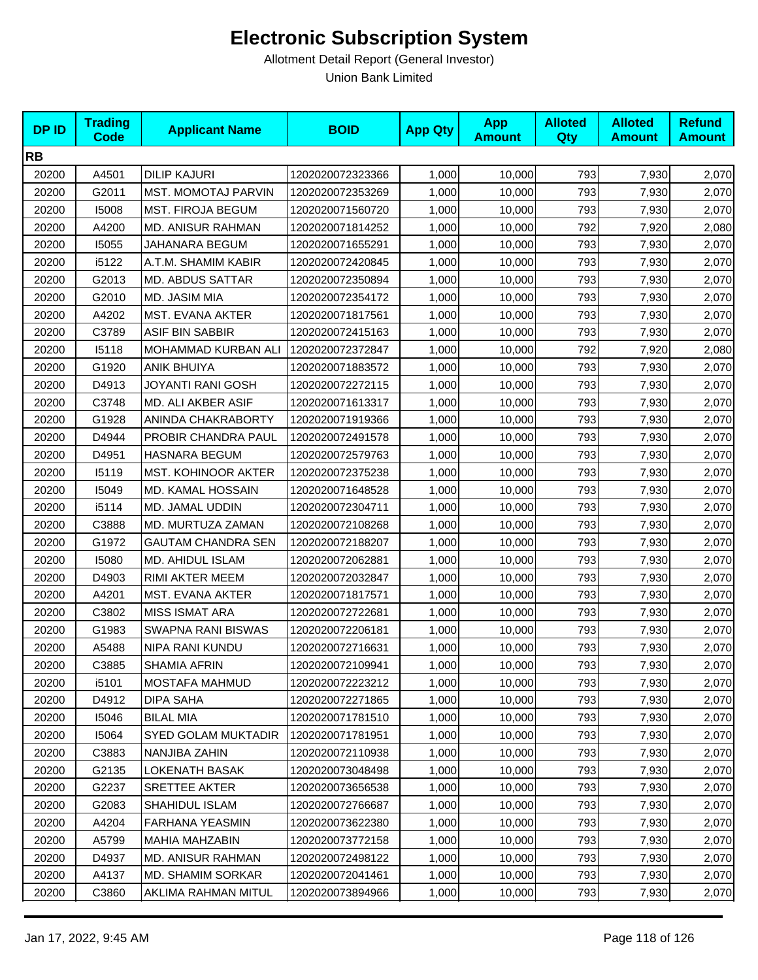| <b>DPID</b> | <b>Trading</b><br><b>Code</b> | <b>Applicant Name</b>      | <b>BOID</b>      | <b>App Qty</b> | <b>App</b><br><b>Amount</b> | <b>Alloted</b><br><b>Qty</b> | <b>Alloted</b><br><b>Amount</b> | <b>Refund</b><br><b>Amount</b> |
|-------------|-------------------------------|----------------------------|------------------|----------------|-----------------------------|------------------------------|---------------------------------|--------------------------------|
| <b>RB</b>   |                               |                            |                  |                |                             |                              |                                 |                                |
| 20200       | A4501                         | <b>DILIP KAJURI</b>        | 1202020072323366 | 1,000          | 10,000                      | 793                          | 7,930                           | 2,070                          |
| 20200       | G2011                         | <b>MST. MOMOTAJ PARVIN</b> | 1202020072353269 | 1,000          | 10,000                      | 793                          | 7,930                           | 2,070                          |
| 20200       | 15008                         | <b>MST. FIROJA BEGUM</b>   | 1202020071560720 | 1,000          | 10,000                      | 793                          | 7,930                           | 2,070                          |
| 20200       | A4200                         | MD. ANISUR RAHMAN          | 1202020071814252 | 1,000          | 10,000                      | 792                          | 7,920                           | 2,080                          |
| 20200       | 15055                         | JAHANARA BEGUM             | 1202020071655291 | 1,000          | 10,000                      | 793                          | 7,930                           | 2,070                          |
| 20200       | i5122                         | A.T.M. SHAMIM KABIR        | 1202020072420845 | 1,000          | 10,000                      | 793                          | 7,930                           | 2,070                          |
| 20200       | G2013                         | <b>MD. ABDUS SATTAR</b>    | 1202020072350894 | 1,000          | 10,000                      | 793                          | 7,930                           | 2,070                          |
| 20200       | G2010                         | MD. JASIM MIA              | 1202020072354172 | 1,000          | 10,000                      | 793                          | 7,930                           | 2,070                          |
| 20200       | A4202                         | MST. EVANA AKTER           | 1202020071817561 | 1,000          | 10,000                      | 793                          | 7,930                           | 2,070                          |
| 20200       | C3789                         | ASIF BIN SABBIR            | 1202020072415163 | 1,000          | 10,000                      | 793                          | 7,930                           | 2,070                          |
| 20200       | 15118                         | MOHAMMAD KURBAN ALI        | 1202020072372847 | 1,000          | 10,000                      | 792                          | 7,920                           | 2,080                          |
| 20200       | G1920                         | <b>ANIK BHUIYA</b>         | 1202020071883572 | 1,000          | 10,000                      | 793                          | 7,930                           | 2,070                          |
| 20200       | D4913                         | JOYANTI RANI GOSH          | 1202020072272115 | 1,000          | 10,000                      | 793                          | 7,930                           | 2,070                          |
| 20200       | C3748                         | MD. ALI AKBER ASIF         | 1202020071613317 | 1,000          | 10,000                      | 793                          | 7,930                           | 2,070                          |
| 20200       | G1928                         | ANINDA CHAKRABORTY         | 1202020071919366 | 1,000          | 10,000                      | 793                          | 7,930                           | 2,070                          |
| 20200       | D4944                         | PROBIR CHANDRA PAUL        | 1202020072491578 | 1,000          | 10,000                      | 793                          | 7,930                           | 2,070                          |
| 20200       | D4951                         | HASNARA BEGUM              | 1202020072579763 | 1,000          | 10,000                      | 793                          | 7,930                           | 2,070                          |
| 20200       | 15119                         | <b>MST. KOHINOOR AKTER</b> | 1202020072375238 | 1,000          | 10,000                      | 793                          | 7,930                           | 2,070                          |
| 20200       | 15049                         | MD. KAMAL HOSSAIN          | 1202020071648528 | 1,000          | 10,000                      | 793                          | 7,930                           | 2,070                          |
| 20200       | i5114                         | MD. JAMAL UDDIN            | 1202020072304711 | 1,000          | 10,000                      | 793                          | 7,930                           | 2,070                          |
| 20200       | C3888                         | MD. MURTUZA ZAMAN          | 1202020072108268 | 1,000          | 10,000                      | 793                          | 7,930                           | 2,070                          |
| 20200       | G1972                         | <b>GAUTAM CHANDRA SEN</b>  | 1202020072188207 | 1,000          | 10,000                      | 793                          | 7,930                           | 2,070                          |
| 20200       | 15080                         | MD. AHIDUL ISLAM           | 1202020072062881 | 1,000          | 10,000                      | 793                          | 7,930                           | 2,070                          |
| 20200       | D4903                         | RIMI AKTER MEEM            | 1202020072032847 | 1,000          | 10,000                      | 793                          | 7,930                           | 2,070                          |
| 20200       | A4201                         | MST. EVANA AKTER           | 1202020071817571 | 1,000          | 10,000                      | 793                          | 7,930                           | 2,070                          |
| 20200       | C3802                         | <b>MISS ISMAT ARA</b>      | 1202020072722681 | 1,000          | 10,000                      | 793                          | 7,930                           | 2,070                          |
| 20200       | G1983                         | SWAPNA RANI BISWAS         | 1202020072206181 | 1,000          | 10,000                      | 793                          | 7,930                           | 2,070                          |
| 20200       | A5488                         | NIPA RANI KUNDU            | 1202020072716631 | 1,000          | 10,000                      | 793                          | 7,930                           | 2,070                          |
| 20200       | C3885                         | SHAMIA AFRIN               | 1202020072109941 | 1,000          | 10,000                      | 793                          | 7,930                           | 2,070                          |
| 20200       | i5101                         | <b>MOSTAFA MAHMUD</b>      | 1202020072223212 | 1,000          | 10,000                      | 793                          | 7,930                           | 2,070                          |
| 20200       | D4912                         | DIPA SAHA                  | 1202020072271865 | 1,000          | 10,000                      | 793                          | 7,930                           | 2,070                          |
| 20200       | 15046                         | <b>BILAL MIA</b>           | 1202020071781510 | 1,000          | 10,000                      | 793                          | 7,930                           | 2,070                          |
| 20200       | 15064                         | <b>SYED GOLAM MUKTADIR</b> | 1202020071781951 | 1,000          | 10,000                      | 793                          | 7,930                           | 2,070                          |
| 20200       | C3883                         | <b>NANJIBA ZAHIN</b>       | 1202020072110938 | 1,000          | 10,000                      | 793                          | 7,930                           | 2,070                          |
| 20200       | G2135                         | LOKENATH BASAK             | 1202020073048498 | 1,000          | 10,000                      | 793                          | 7,930                           | 2,070                          |
| 20200       | G2237                         | <b>SRETTEE AKTER</b>       | 1202020073656538 | 1,000          | 10,000                      | 793                          | 7,930                           | 2,070                          |
| 20200       | G2083                         | SHAHIDUL ISLAM             | 1202020072766687 | 1,000          | 10,000                      | 793                          | 7,930                           | 2,070                          |
| 20200       | A4204                         | <b>FARHANA YEASMIN</b>     | 1202020073622380 | 1,000          | 10,000                      | 793                          | 7,930                           | 2,070                          |
| 20200       | A5799                         | MAHIA MAHZABIN             | 1202020073772158 | 1,000          | 10,000                      | 793                          | 7,930                           | 2,070                          |
| 20200       | D4937                         | MD. ANISUR RAHMAN          | 1202020072498122 | 1,000          | 10,000                      | 793                          | 7,930                           | 2,070                          |
| 20200       | A4137                         | MD. SHAMIM SORKAR          | 1202020072041461 | 1,000          | 10,000                      | 793                          | 7,930                           | 2,070                          |
| 20200       | C3860                         | AKLIMA RAHMAN MITUL        | 1202020073894966 | 1,000          | 10,000                      | 793                          | 7,930                           | 2,070                          |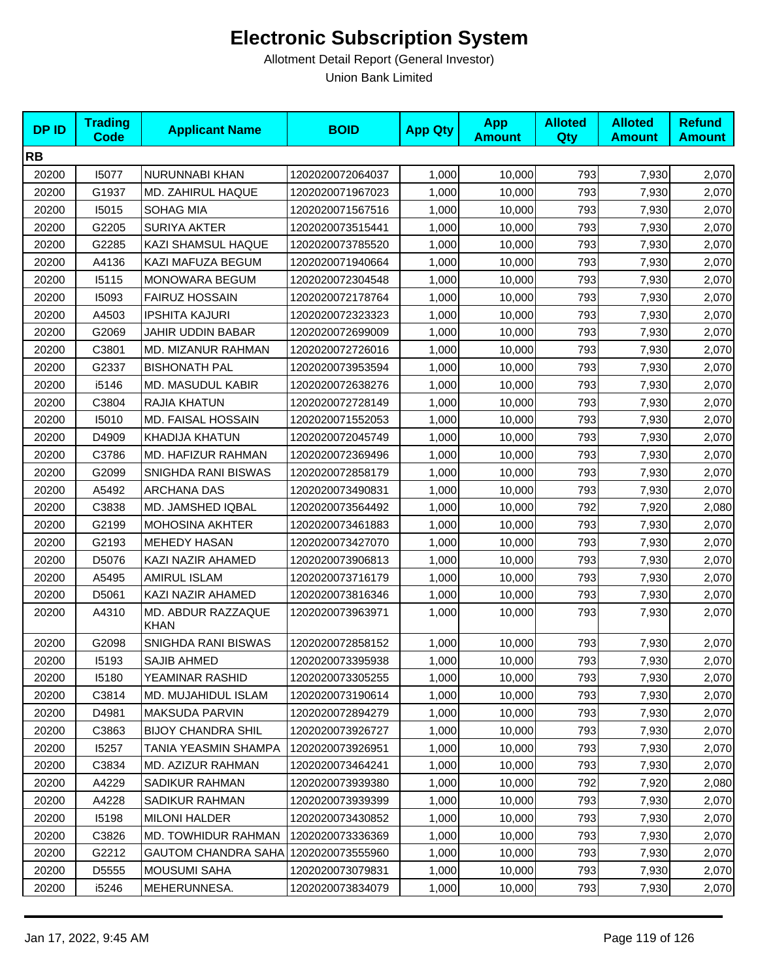| <b>DPID</b> | <b>Trading</b><br><b>Code</b> | <b>Applicant Name</b>             | <b>BOID</b>      | <b>App Qty</b> | <b>App</b><br><b>Amount</b> | <b>Alloted</b><br>Qty | <b>Alloted</b><br><b>Amount</b> | <b>Refund</b><br><b>Amount</b> |
|-------------|-------------------------------|-----------------------------------|------------------|----------------|-----------------------------|-----------------------|---------------------------------|--------------------------------|
| <b>RB</b>   |                               |                                   |                  |                |                             |                       |                                 |                                |
| 20200       | 15077                         | NURUNNABI KHAN                    | 1202020072064037 | 1,000          | 10,000                      | 793                   | 7,930                           | 2,070                          |
| 20200       | G1937                         | <b>MD. ZAHIRUL HAQUE</b>          | 1202020071967023 | 1,000          | 10,000                      | 793                   | 7,930                           | 2,070                          |
| 20200       | 15015                         | SOHAG MIA                         | 1202020071567516 | 1,000          | 10,000                      | 793                   | 7,930                           | 2,070                          |
| 20200       | G2205                         | <b>SURIYA AKTER</b>               | 1202020073515441 | 1,000          | 10,000                      | 793                   | 7,930                           | 2,070                          |
| 20200       | G2285                         | KAZI SHAMSUL HAQUE                | 1202020073785520 | 1,000          | 10,000                      | 793                   | 7,930                           | 2,070                          |
| 20200       | A4136                         | KAZI MAFUZA BEGUM                 | 1202020071940664 | 1,000          | 10,000                      | 793                   | 7,930                           | 2,070                          |
| 20200       | 15115                         | MONOWARA BEGUM                    | 1202020072304548 | 1,000          | 10,000                      | 793                   | 7,930                           | 2,070                          |
| 20200       | 15093                         | <b>FAIRUZ HOSSAIN</b>             | 1202020072178764 | 1,000          | 10,000                      | 793                   | 7,930                           | 2,070                          |
| 20200       | A4503                         | <b>IPSHITA KAJURI</b>             | 1202020072323323 | 1,000          | 10,000                      | 793                   | 7,930                           | 2,070                          |
| 20200       | G2069                         | JAHIR UDDIN BABAR                 | 1202020072699009 | 1,000          | 10,000                      | 793                   | 7,930                           | 2,070                          |
| 20200       | C3801                         | MD. MIZANUR RAHMAN                | 1202020072726016 | 1,000          | 10,000                      | 793                   | 7,930                           | 2,070                          |
| 20200       | G2337                         | <b>BISHONATH PAL</b>              | 1202020073953594 | 1,000          | 10,000                      | 793                   | 7,930                           | 2,070                          |
| 20200       | i5146                         | MD. MASUDUL KABIR                 | 1202020072638276 | 1,000          | 10,000                      | 793                   | 7,930                           | 2,070                          |
| 20200       | C3804                         | RAJIA KHATUN                      | 1202020072728149 | 1,000          | 10,000                      | 793                   | 7,930                           | 2,070                          |
| 20200       | 15010                         | <b>MD. FAISAL HOSSAIN</b>         | 1202020071552053 | 1,000          | 10,000                      | 793                   | 7,930                           | 2,070                          |
| 20200       | D4909                         | KHADIJA KHATUN                    | 1202020072045749 | 1,000          | 10,000                      | 793                   | 7,930                           | 2,070                          |
| 20200       | C3786                         | MD. HAFIZUR RAHMAN                | 1202020072369496 | 1,000          | 10,000                      | 793                   | 7,930                           | 2,070                          |
| 20200       | G2099                         | SNIGHDA RANI BISWAS               | 1202020072858179 | 1,000          | 10,000                      | 793                   | 7,930                           | 2,070                          |
| 20200       | A5492                         | <b>ARCHANA DAS</b>                | 1202020073490831 | 1,000          | 10,000                      | 793                   | 7,930                           | 2,070                          |
| 20200       | C3838                         | MD. JAMSHED IQBAL                 | 1202020073564492 | 1,000          | 10,000                      | 792                   | 7,920                           | 2,080                          |
| 20200       | G2199                         | MOHOSINA AKHTER                   | 1202020073461883 | 1,000          | 10,000                      | 793                   | 7,930                           | 2,070                          |
| 20200       | G2193                         | <b>MEHEDY HASAN</b>               | 1202020073427070 | 1,000          | 10,000                      | 793                   | 7,930                           | 2,070                          |
| 20200       | D5076                         | KAZI NAZIR AHAMED                 | 1202020073906813 | 1,000          | 10,000                      | 793                   | 7,930                           | 2,070                          |
| 20200       | A5495                         | <b>AMIRUL ISLAM</b>               | 1202020073716179 | 1,000          | 10,000                      | 793                   | 7,930                           | 2,070                          |
| 20200       | D5061                         | KAZI NAZIR AHAMED                 | 1202020073816346 | 1,000          | 10,000                      | 793                   | 7,930                           | 2,070                          |
| 20200       | A4310                         | MD. ABDUR RAZZAQUE<br><b>KHAN</b> | 1202020073963971 | 1,000          | 10,000                      | 793                   | 7,930                           | 2,070                          |
| 20200       | G2098                         | SNIGHDA RANI BISWAS               | 1202020072858152 | 1,000          | 10,000                      | 793                   | 7,930                           | 2,070                          |
| 20200       | 15193                         | <b>SAJIB AHMED</b>                | 1202020073395938 | 1,000          | 10,000                      | 793                   | 7,930                           | 2,070                          |
| 20200       | 15180                         | YEAMINAR RASHID                   | 1202020073305255 | 1,000          | 10,000                      | 793                   | 7,930                           | 2,070                          |
| 20200       | C3814                         | MD. MUJAHIDUL ISLAM               | 1202020073190614 | 1,000          | 10,000                      | 793                   | 7,930                           | 2,070                          |
| 20200       | D4981                         | MAKSUDA PARVIN                    | 1202020072894279 | 1,000          | 10,000                      | 793                   | 7,930                           | 2,070                          |
| 20200       | C3863                         | <b>BIJOY CHANDRA SHIL</b>         | 1202020073926727 | 1,000          | 10,000                      | 793                   | 7,930                           | 2,070                          |
| 20200       | 15257                         | TANIA YEASMIN SHAMPA              | 1202020073926951 | 1,000          | 10,000                      | 793                   | 7,930                           | 2,070                          |
| 20200       | C3834                         | MD. AZIZUR RAHMAN                 | 1202020073464241 | 1,000          | 10,000                      | 793                   | 7,930                           | 2,070                          |
| 20200       | A4229                         | SADIKUR RAHMAN                    | 1202020073939380 | 1,000          | 10,000                      | 792                   | 7,920                           | 2,080                          |
| 20200       | A4228                         | SADIKUR RAHMAN                    | 1202020073939399 | 1,000          | 10,000                      | 793                   | 7,930                           | 2,070                          |
| 20200       | 15198                         | <b>MILONI HALDER</b>              | 1202020073430852 | 1,000          | 10,000                      | 793                   | 7,930                           | 2,070                          |
| 20200       | C3826                         | MD. TOWHIDUR RAHMAN               | 1202020073336369 | 1,000          | 10,000                      | 793                   | 7,930                           | 2,070                          |
| 20200       | G2212                         | GAUTOM CHANDRA SAHA               | 1202020073555960 | 1,000          | 10,000                      | 793                   | 7,930                           | 2,070                          |
| 20200       | D5555                         | MOUSUMI SAHA                      | 1202020073079831 | 1,000          | 10,000                      | 793                   | 7,930                           | 2,070                          |
| 20200       | i5246                         | MEHERUNNESA.                      | 1202020073834079 | 1,000          | 10,000                      | 793                   | 7,930                           | 2,070                          |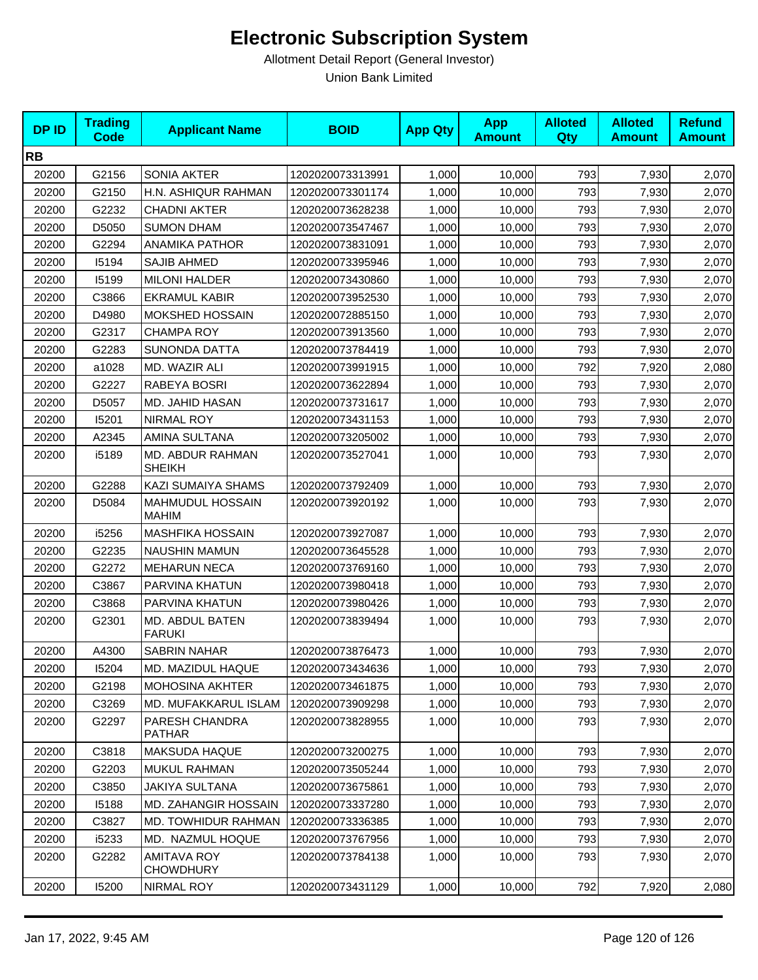| <b>DPID</b> | <b>Trading</b><br><b>Code</b> | <b>Applicant Name</b>                   | <b>BOID</b>      | <b>App Qty</b> | <b>App</b><br><b>Amount</b> | <b>Alloted</b><br><b>Qty</b> | <b>Alloted</b><br><b>Amount</b> | <b>Refund</b><br><b>Amount</b> |
|-------------|-------------------------------|-----------------------------------------|------------------|----------------|-----------------------------|------------------------------|---------------------------------|--------------------------------|
| <b>RB</b>   |                               |                                         |                  |                |                             |                              |                                 |                                |
| 20200       | G2156                         | SONIA AKTER                             | 1202020073313991 | 1,000          | 10,000                      | 793                          | 7,930                           | 2,070                          |
| 20200       | G2150                         | H.N. ASHIQUR RAHMAN                     | 1202020073301174 | 1,000          | 10,000                      | 793                          | 7,930                           | 2,070                          |
| 20200       | G2232                         | <b>CHADNI AKTER</b>                     | 1202020073628238 | 1,000          | 10,000                      | 793                          | 7,930                           | 2,070                          |
| 20200       | D5050                         | <b>SUMON DHAM</b>                       | 1202020073547467 | 1,000          | 10,000                      | 793                          | 7,930                           | 2,070                          |
| 20200       | G2294                         | <b>ANAMIKA PATHOR</b>                   | 1202020073831091 | 1,000          | 10,000                      | 793                          | 7,930                           | 2,070                          |
| 20200       | 15194                         | <b>SAJIB AHMED</b>                      | 1202020073395946 | 1,000          | 10,000                      | 793                          | 7,930                           | 2,070                          |
| 20200       | 15199                         | <b>MILONI HALDER</b>                    | 1202020073430860 | 1,000          | 10,000                      | 793                          | 7,930                           | 2,070                          |
| 20200       | C3866                         | <b>EKRAMUL KABIR</b>                    | 1202020073952530 | 1,000          | 10,000                      | 793                          | 7,930                           | 2,070                          |
| 20200       | D4980                         | <b>MOKSHED HOSSAIN</b>                  | 1202020072885150 | 1,000          | 10,000                      | 793                          | 7,930                           | 2,070                          |
| 20200       | G2317                         | <b>CHAMPA ROY</b>                       | 1202020073913560 | 1,000          | 10,000                      | 793                          | 7,930                           | 2,070                          |
| 20200       | G2283                         | SUNONDA DATTA                           | 1202020073784419 | 1,000          | 10,000                      | 793                          | 7,930                           | 2,070                          |
| 20200       | a1028                         | MD. WAZIR ALI                           | 1202020073991915 | 1,000          | 10,000                      | 792                          | 7,920                           | 2,080                          |
| 20200       | G2227                         | RABEYA BOSRI                            | 1202020073622894 | 1,000          | 10,000                      | 793                          | 7,930                           | 2,070                          |
| 20200       | D5057                         | MD. JAHID HASAN                         | 1202020073731617 | 1,000          | 10,000                      | 793                          | 7,930                           | 2,070                          |
| 20200       | 15201                         | NIRMAL ROY                              | 1202020073431153 | 1,000          | 10,000                      | 793                          | 7,930                           | 2,070                          |
| 20200       | A2345                         | AMINA SULTANA                           | 1202020073205002 | 1,000          | 10,000                      | 793                          | 7,930                           | 2,070                          |
| 20200       | i5189                         | MD. ABDUR RAHMAN<br><b>SHEIKH</b>       | 1202020073527041 | 1,000          | 10,000                      | 793                          | 7,930                           | 2,070                          |
| 20200       | G2288                         | KAZI SUMAIYA SHAMS                      | 1202020073792409 | 1,000          | 10,000                      | 793                          | 7,930                           | 2,070                          |
| 20200       | D5084                         | <b>MAHMUDUL HOSSAIN</b><br><b>MAHIM</b> | 1202020073920192 | 1,000          | 10,000                      | 793                          | 7,930                           | 2,070                          |
| 20200       | i5256                         | <b>MASHFIKA HOSSAIN</b>                 | 1202020073927087 | 1,000          | 10,000                      | 793                          | 7,930                           | 2,070                          |
| 20200       | G2235                         | <b>NAUSHIN MAMUN</b>                    | 1202020073645528 | 1,000          | 10,000                      | 793                          | 7,930                           | 2,070                          |
| 20200       | G2272                         | <b>MEHARUN NECA</b>                     | 1202020073769160 | 1,000          | 10,000                      | 793                          | 7,930                           | 2,070                          |
| 20200       | C3867                         | PARVINA KHATUN                          | 1202020073980418 | 1,000          | 10,000                      | 793                          | 7,930                           | 2,070                          |
| 20200       | C3868                         | PARVINA KHATUN                          | 1202020073980426 | 1,000          | 10,000                      | 793                          | 7,930                           | 2,070                          |
| 20200       | G2301                         | MD. ABDUL BATEN<br><b>FARUKI</b>        | 1202020073839494 | 1,000          | 10,000                      | 793                          | 7,930                           | 2,070                          |
| 20200       | A4300                         | SABRIN NAHAR                            | 1202020073876473 | 1,000          | 10,000                      | 793                          | 7,930                           | 2,070                          |
| 20200       | 15204                         | MD. MAZIDUL HAQUE                       | 1202020073434636 | 1,000          | 10,000                      | 793                          | 7,930                           | 2,070                          |
| 20200       | G2198                         | <b>MOHOSINA AKHTER</b>                  | 1202020073461875 | 1,000          | 10,000                      | 793                          | 7,930                           | 2,070                          |
| 20200       | C3269                         | <b>MD. MUFAKKARUL ISLAM</b>             | 1202020073909298 | 1,000          | 10,000                      | 793                          | 7,930                           | 2,070                          |
| 20200       | G2297                         | PARESH CHANDRA<br><b>PATHAR</b>         | 1202020073828955 | 1,000          | 10,000                      | 793                          | 7,930                           | 2,070                          |
| 20200       | C3818                         | MAKSUDA HAQUE                           | 1202020073200275 | 1,000          | 10,000                      | 793                          | 7,930                           | 2,070                          |
| 20200       | G2203                         | MUKUL RAHMAN                            | 1202020073505244 | 1,000          | 10,000                      | 793                          | 7,930                           | 2,070                          |
| 20200       | C3850                         | <b>JAKIYA SULTANA</b>                   | 1202020073675861 | 1,000          | 10,000                      | 793                          | 7,930                           | 2,070                          |
| 20200       | 15188                         | <b>MD. ZAHANGIR HOSSAIN</b>             | 1202020073337280 | 1,000          | 10,000                      | 793                          | 7,930                           | 2,070                          |
| 20200       | C3827                         | MD. TOWHIDUR RAHMAN                     | 1202020073336385 | 1,000          | 10,000                      | 793                          | 7,930                           | 2,070                          |
| 20200       | i5233                         | MD. NAZMUL HOQUE                        | 1202020073767956 | 1,000          | 10,000                      | 793                          | 7,930                           | 2,070                          |
| 20200       | G2282                         | <b>AMITAVA ROY</b><br><b>CHOWDHURY</b>  | 1202020073784138 | 1,000          | 10,000                      | 793                          | 7,930                           | 2,070                          |
| 20200       | 15200                         | NIRMAL ROY                              | 1202020073431129 | 1,000          | 10,000                      | 792                          | 7,920                           | 2,080                          |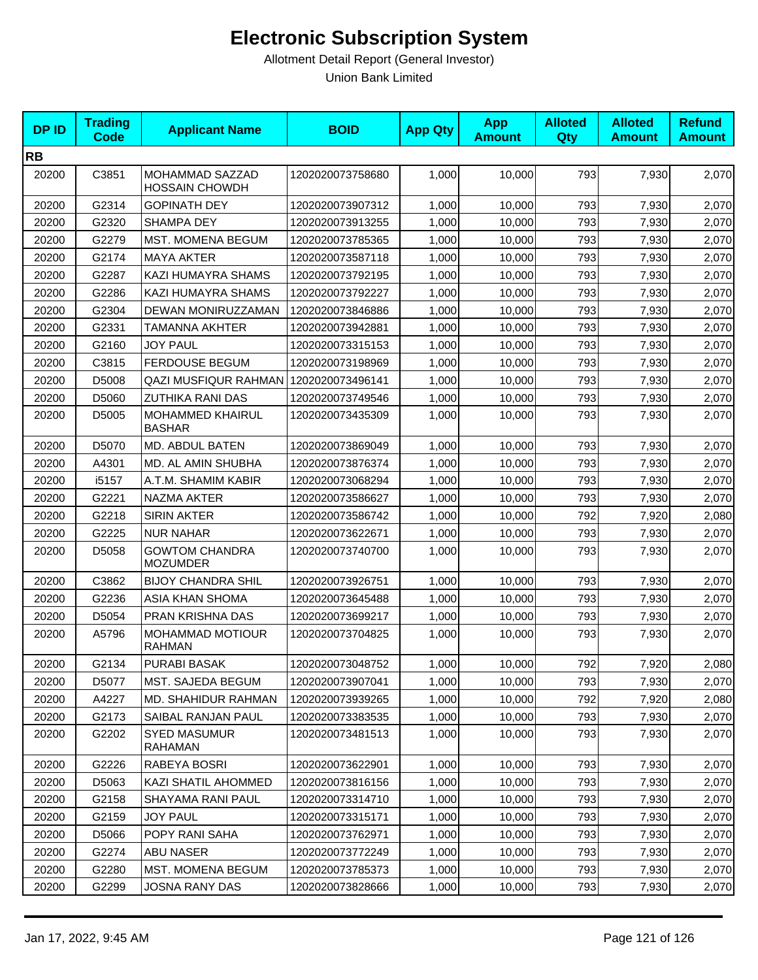| <b>DPID</b> | <b>Trading</b><br><b>Code</b> | <b>Applicant Name</b>                    | <b>BOID</b>      | <b>App Qty</b> | <b>App</b><br><b>Amount</b> | <b>Alloted</b><br>Qty | <b>Alloted</b><br><b>Amount</b> | <b>Refund</b><br><b>Amount</b> |
|-------------|-------------------------------|------------------------------------------|------------------|----------------|-----------------------------|-----------------------|---------------------------------|--------------------------------|
| <b>RB</b>   |                               |                                          |                  |                |                             |                       |                                 |                                |
| 20200       | C3851                         | MOHAMMAD SAZZAD<br><b>HOSSAIN CHOWDH</b> | 1202020073758680 | 1,000          | 10,000                      | 793                   | 7,930                           | 2,070                          |
| 20200       | G2314                         | <b>GOPINATH DEY</b>                      | 1202020073907312 | 1,000          | 10,000                      | 793                   | 7,930                           | 2,070                          |
| 20200       | G2320                         | <b>SHAMPA DEY</b>                        | 1202020073913255 | 1,000          | 10,000                      | 793                   | 7,930                           | 2,070                          |
| 20200       | G2279                         | MST. MOMENA BEGUM                        | 1202020073785365 | 1,000          | 10,000                      | 793                   | 7,930                           | 2,070                          |
| 20200       | G2174                         | <b>MAYA AKTER</b>                        | 1202020073587118 | 1,000          | 10,000                      | 793                   | 7,930                           | 2,070                          |
| 20200       | G2287                         | KAZI HUMAYRA SHAMS                       | 1202020073792195 | 1,000          | 10,000                      | 793                   | 7,930                           | 2,070                          |
| 20200       | G2286                         | KAZI HUMAYRA SHAMS                       | 1202020073792227 | 1,000          | 10,000                      | 793                   | 7,930                           | 2,070                          |
| 20200       | G2304                         | DEWAN MONIRUZZAMAN                       | 1202020073846886 | 1,000          | 10,000                      | 793                   | 7,930                           | 2,070                          |
| 20200       | G2331                         | <b>TAMANNA AKHTER</b>                    | 1202020073942881 | 1,000          | 10,000                      | 793                   | 7,930                           | 2,070                          |
| 20200       | G2160                         | <b>JOY PAUL</b>                          | 1202020073315153 | 1,000          | 10,000                      | 793                   | 7,930                           | 2,070                          |
| 20200       | C3815                         | <b>FERDOUSE BEGUM</b>                    | 1202020073198969 | 1,000          | 10,000                      | 793                   | 7,930                           | 2,070                          |
| 20200       | D5008                         | QAZI MUSFIQUR RAHMAN   1202020073496141  |                  | 1,000          | 10,000                      | 793                   | 7,930                           | 2,070                          |
| 20200       | D5060                         | <b>ZUTHIKA RANI DAS</b>                  | 1202020073749546 | 1,000          | 10,000                      | 793                   | 7,930                           | 2,070                          |
| 20200       | D5005                         | MOHAMMED KHAIRUL<br><b>BASHAR</b>        | 1202020073435309 | 1,000          | 10,000                      | 793                   | 7,930                           | 2,070                          |
| 20200       | D5070                         | MD. ABDUL BATEN                          | 1202020073869049 | 1,000          | 10,000                      | 793                   | 7,930                           | 2,070                          |
| 20200       | A4301                         | <b>MD. AL AMIN SHUBHA</b>                | 1202020073876374 | 1,000          | 10,000                      | 793                   | 7,930                           | 2,070                          |
| 20200       | i5157                         | A.T.M. SHAMIM KABIR                      | 1202020073068294 | 1,000          | 10,000                      | 793                   | 7,930                           | 2,070                          |
| 20200       | G2221                         | NAZMA AKTER                              | 1202020073586627 | 1,000          | 10,000                      | 793                   | 7,930                           | 2,070                          |
| 20200       | G2218                         | <b>SIRIN AKTER</b>                       | 1202020073586742 | 1,000          | 10,000                      | 792                   | 7,920                           | 2,080                          |
| 20200       | G2225                         | <b>NUR NAHAR</b>                         | 1202020073622671 | 1,000          | 10,000                      | 793                   | 7,930                           | 2,070                          |
| 20200       | D5058                         | <b>GOWTOM CHANDRA</b><br><b>MOZUMDER</b> | 1202020073740700 | 1,000          | 10,000                      | 793                   | 7,930                           | 2,070                          |
| 20200       | C3862                         | <b>BIJOY CHANDRA SHIL</b>                | 1202020073926751 | 1,000          | 10,000                      | 793                   | 7,930                           | 2,070                          |
| 20200       | G2236                         | ASIA KHAN SHOMA                          | 1202020073645488 | 1,000          | 10,000                      | 793                   | 7,930                           | 2,070                          |
| 20200       | D5054                         | PRAN KRISHNA DAS                         | 1202020073699217 | 1,000          | 10,000                      | 793                   | 7,930                           | 2,070                          |
| 20200       | A5796                         | <b>MOHAMMAD MOTIOUR</b><br><b>RAHMAN</b> | 1202020073704825 | 1,000          | 10,000                      | 793                   | 7,930                           | 2,070                          |
| 20200       | G2134                         | PURABI BASAK                             | 1202020073048752 | 1,000          | 10,000                      | 792                   | 7,920                           | 2,080                          |
| 20200       | D5077                         | MST. SAJEDA BEGUM                        | 1202020073907041 | 1,000          | 10,000                      | 793                   | 7,930                           | 2,070                          |
| 20200       | A4227                         | MD. SHAHIDUR RAHMAN                      | 1202020073939265 | 1,000          | 10,000                      | 792                   | 7,920                           | 2,080                          |
| 20200       | G2173                         | SAIBAL RANJAN PAUL                       | 1202020073383535 | 1,000          | 10,000                      | 793                   | 7,930                           | 2,070                          |
| 20200       | G2202                         | <b>SYED MASUMUR</b><br>RAHAMAN           | 1202020073481513 | 1,000          | 10,000                      | 793                   | 7,930                           | 2,070                          |
| 20200       | G2226                         | RABEYA BOSRI                             | 1202020073622901 | 1,000          | 10,000                      | 793                   | 7,930                           | 2,070                          |
| 20200       | D5063                         | KAZI SHATIL AHOMMED                      | 1202020073816156 | 1,000          | 10,000                      | 793                   | 7,930                           | 2,070                          |
| 20200       | G2158                         | SHAYAMA RANI PAUL                        | 1202020073314710 | 1,000          | 10,000                      | 793                   | 7,930                           | 2,070                          |
| 20200       | G2159                         | <b>JOY PAUL</b>                          | 1202020073315171 | 1,000          | 10,000                      | 793                   | 7,930                           | 2,070                          |
| 20200       | D5066                         | POPY RANI SAHA                           | 1202020073762971 | 1,000          | 10,000                      | 793                   | 7,930                           | 2,070                          |
| 20200       | G2274                         | ABU NASER                                | 1202020073772249 | 1,000          | 10,000                      | 793                   | 7,930                           | 2,070                          |
| 20200       | G2280                         | MST. MOMENA BEGUM                        | 1202020073785373 | 1,000          | 10,000                      | 793                   | 7,930                           | 2,070                          |
| 20200       | G2299                         | JOSNA RANY DAS                           | 1202020073828666 | 1,000          | 10,000                      | 793                   | 7,930                           | 2,070                          |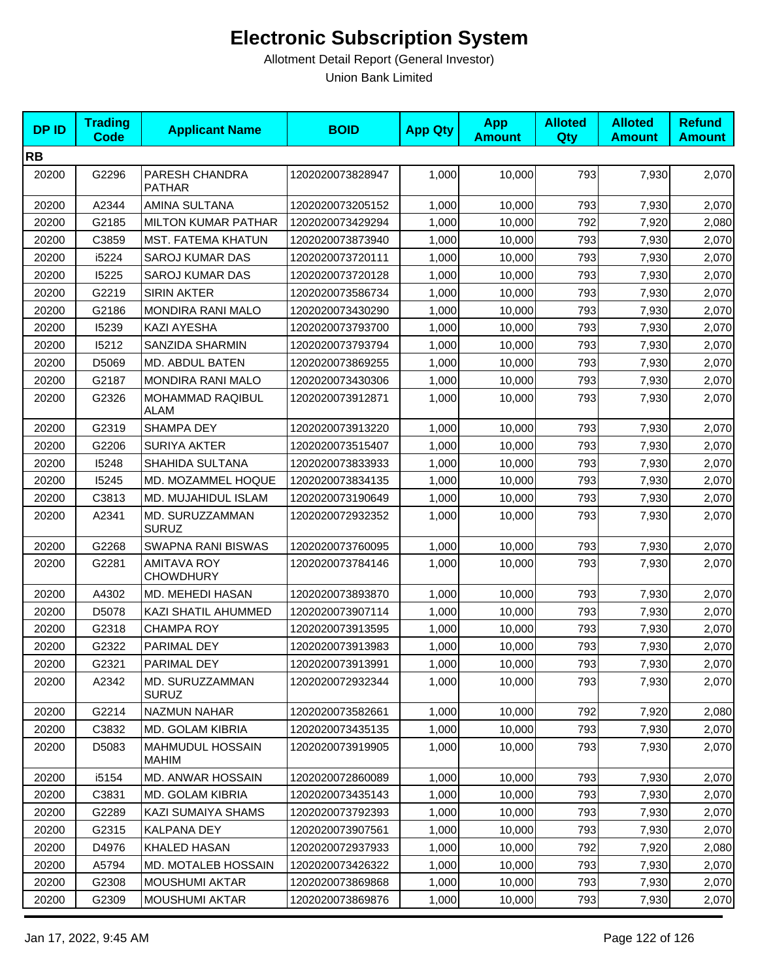| <b>DPID</b> | <b>Trading</b><br><b>Code</b> | <b>Applicant Name</b>                  | <b>BOID</b>      | <b>App Qty</b> | <b>App</b><br><b>Amount</b> | <b>Alloted</b><br>Qty | <b>Alloted</b><br><b>Amount</b> | <b>Refund</b><br><b>Amount</b> |
|-------------|-------------------------------|----------------------------------------|------------------|----------------|-----------------------------|-----------------------|---------------------------------|--------------------------------|
| <b>RB</b>   |                               |                                        |                  |                |                             |                       |                                 |                                |
| 20200       | G2296                         | PARESH CHANDRA<br><b>PATHAR</b>        | 1202020073828947 | 1,000          | 10,000                      | 793                   | 7,930                           | 2,070                          |
| 20200       | A2344                         | AMINA SULTANA                          | 1202020073205152 | 1,000          | 10,000                      | 793                   | 7,930                           | 2,070                          |
| 20200       | G2185                         | <b>MILTON KUMAR PATHAR</b>             | 1202020073429294 | 1,000          | 10,000                      | 792                   | 7,920                           | 2,080                          |
| 20200       | C3859                         | <b>MST. FATEMA KHATUN</b>              | 1202020073873940 | 1,000          | 10,000                      | 793                   | 7,930                           | 2,070                          |
| 20200       | i5224                         | <b>SAROJ KUMAR DAS</b>                 | 1202020073720111 | 1,000          | 10,000                      | 793                   | 7,930                           | 2,070                          |
| 20200       | 15225                         | <b>SAROJ KUMAR DAS</b>                 | 1202020073720128 | 1,000          | 10,000                      | 793                   | 7,930                           | 2,070                          |
| 20200       | G2219                         | <b>SIRIN AKTER</b>                     | 1202020073586734 | 1,000          | 10,000                      | 793                   | 7,930                           | 2,070                          |
| 20200       | G2186                         | <b>MONDIRA RANI MALO</b>               | 1202020073430290 | 1,000          | 10,000                      | 793                   | 7,930                           | 2,070                          |
| 20200       | 15239                         | <b>KAZI AYESHA</b>                     | 1202020073793700 | 1,000          | 10,000                      | 793                   | 7,930                           | 2,070                          |
| 20200       | 15212                         | SANZIDA SHARMIN                        | 1202020073793794 | 1,000          | 10,000                      | 793                   | 7,930                           | 2,070                          |
| 20200       | D5069                         | MD. ABDUL BATEN                        | 1202020073869255 | 1,000          | 10,000                      | 793                   | 7,930                           | 2,070                          |
| 20200       | G2187                         | <b>MONDIRA RANI MALO</b>               | 1202020073430306 | 1,000          | 10,000                      | 793                   | 7,930                           | 2,070                          |
| 20200       | G2326                         | MOHAMMAD RAQIBUL<br>ALAM               | 1202020073912871 | 1,000          | 10,000                      | 793                   | 7,930                           | 2,070                          |
| 20200       | G2319                         | <b>SHAMPA DEY</b>                      | 1202020073913220 | 1,000          | 10,000                      | 793                   | 7,930                           | 2,070                          |
| 20200       | G2206                         | <b>SURIYA AKTER</b>                    | 1202020073515407 | 1,000          | 10,000                      | 793                   | 7,930                           | 2,070                          |
| 20200       | 15248                         | SHAHIDA SULTANA                        | 1202020073833933 | 1,000          | 10,000                      | 793                   | 7,930                           | 2,070                          |
| 20200       | 15245                         | MD. MOZAMMEL HOQUE                     | 1202020073834135 | 1,000          | 10,000                      | 793                   | 7,930                           | 2,070                          |
| 20200       | C3813                         | MD. MUJAHIDUL ISLAM                    | 1202020073190649 | 1,000          | 10,000                      | 793                   | 7,930                           | 2,070                          |
| 20200       | A2341                         | MD. SURUZZAMMAN<br><b>SURUZ</b>        | 1202020072932352 | 1,000          | 10,000                      | 793                   | 7,930                           | 2,070                          |
| 20200       | G2268                         | SWAPNA RANI BISWAS                     | 1202020073760095 | 1,000          | 10,000                      | 793                   | 7,930                           | 2,070                          |
| 20200       | G2281                         | <b>AMITAVA ROY</b><br><b>CHOWDHURY</b> | 1202020073784146 | 1,000          | 10,000                      | 793                   | 7,930                           | 2,070                          |
| 20200       | A4302                         | MD. MEHEDI HASAN                       | 1202020073893870 | 1,000          | 10,000                      | 793                   | 7,930                           | 2,070                          |
| 20200       | D5078                         | KAZI SHATIL AHUMMED                    | 1202020073907114 | 1,000          | 10,000                      | 793                   | 7,930                           | 2,070                          |
| 20200       | G2318                         | <b>CHAMPA ROY</b>                      | 1202020073913595 | 1,000          | 10,000                      | 793                   | 7,930                           | 2,070                          |
| 20200       | G2322                         | PARIMAL DEY                            | 1202020073913983 | 1,000          | 10,000                      | 793                   | 7,930                           | 2,070                          |
| 20200       | G2321                         | PARIMAL DEY                            | 1202020073913991 | 1,000          | 10,000                      | 793                   | 7,930                           | 2,070                          |
| 20200       | A2342                         | MD. SURUZZAMMAN<br><b>SURUZ</b>        | 1202020072932344 | 1,000          | 10,000                      | 793                   | 7,930                           | 2,070                          |
| 20200       | G2214                         | NAZMUN NAHAR                           | 1202020073582661 | 1,000          | 10,000                      | 792                   | 7,920                           | 2,080                          |
| 20200       | C3832                         | MD. GOLAM KIBRIA                       | 1202020073435135 | 1,000          | 10,000                      | 793                   | 7,930                           | 2,070                          |
| 20200       | D5083                         | MAHMUDUL HOSSAIN<br>MAHIM              | 1202020073919905 | 1,000          | 10,000                      | 793                   | 7,930                           | 2,070                          |
| 20200       | i5154                         | MD. ANWAR HOSSAIN                      | 1202020072860089 | 1,000          | 10,000                      | 793                   | 7,930                           | 2,070                          |
| 20200       | C3831                         | <b>MD. GOLAM KIBRIA</b>                | 1202020073435143 | 1,000          | 10,000                      | 793                   | 7,930                           | 2,070                          |
| 20200       | G2289                         | <b>KAZI SUMAIYA SHAMS</b>              | 1202020073792393 | 1,000          | 10,000                      | 793                   | 7,930                           | 2,070                          |
| 20200       | G2315                         | KALPANA DEY                            | 1202020073907561 | 1,000          | 10,000                      | 793                   | 7,930                           | 2,070                          |
| 20200       | D4976                         | KHALED HASAN                           | 1202020072937933 | 1,000          | 10,000                      | 792                   | 7,920                           | 2,080                          |
| 20200       | A5794                         | MD. MOTALEB HOSSAIN                    | 1202020073426322 | 1,000          | 10,000                      | 793                   | 7,930                           | 2,070                          |
| 20200       | G2308                         | <b>MOUSHUMI AKTAR</b>                  | 1202020073869868 | 1,000          | 10,000                      | 793                   | 7,930                           | 2,070                          |
| 20200       | G2309                         | <b>MOUSHUMI AKTAR</b>                  | 1202020073869876 | 1,000          | 10,000                      | 793                   | 7,930                           | 2,070                          |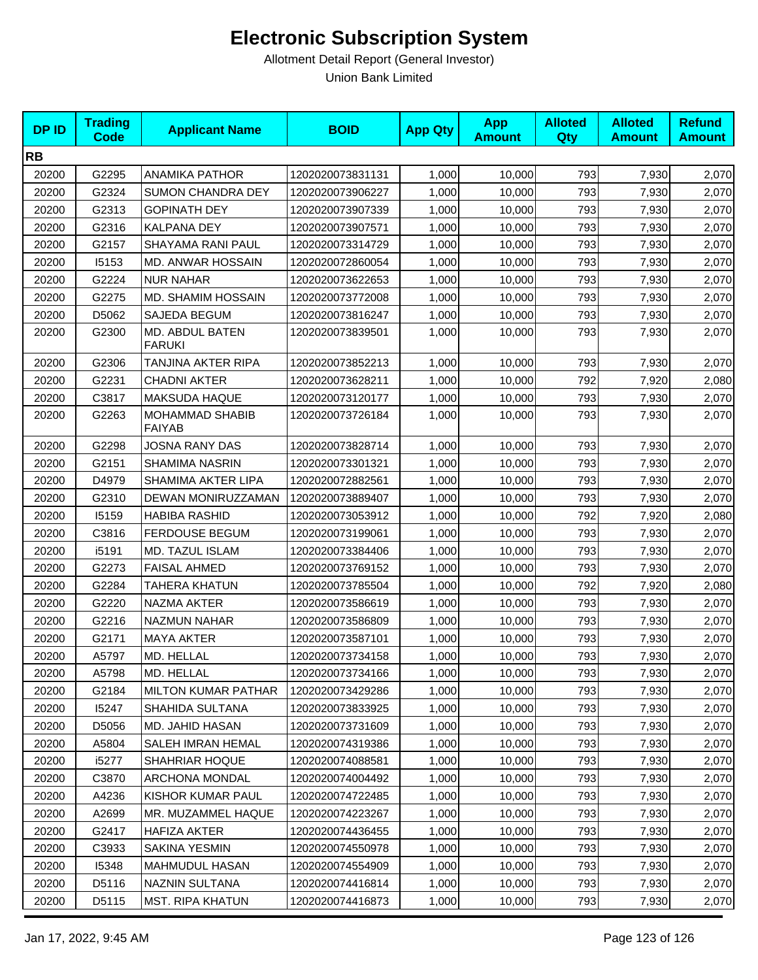| <b>DPID</b> | <b>Trading</b><br><b>Code</b> | <b>Applicant Name</b>            | <b>BOID</b>      | <b>App Qty</b> | <b>App</b><br><b>Amount</b> | <b>Alloted</b><br>Qty | <b>Alloted</b><br><b>Amount</b> | <b>Refund</b><br><b>Amount</b> |
|-------------|-------------------------------|----------------------------------|------------------|----------------|-----------------------------|-----------------------|---------------------------------|--------------------------------|
| <b>RB</b>   |                               |                                  |                  |                |                             |                       |                                 |                                |
| 20200       | G2295                         | <b>ANAMIKA PATHOR</b>            | 1202020073831131 | 1,000          | 10,000                      | 793                   | 7,930                           | 2,070                          |
| 20200       | G2324                         | <b>SUMON CHANDRA DEY</b>         | 1202020073906227 | 1,000          | 10,000                      | 793                   | 7,930                           | 2,070                          |
| 20200       | G2313                         | <b>GOPINATH DEY</b>              | 1202020073907339 | 1,000          | 10,000                      | 793                   | 7,930                           | 2,070                          |
| 20200       | G2316                         | KALPANA DEY                      | 1202020073907571 | 1,000          | 10,000                      | 793                   | 7,930                           | 2,070                          |
| 20200       | G2157                         | SHAYAMA RANI PAUL                | 1202020073314729 | 1,000          | 10,000                      | 793                   | 7,930                           | 2,070                          |
| 20200       | 15153                         | MD. ANWAR HOSSAIN                | 1202020072860054 | 1,000          | 10,000                      | 793                   | 7,930                           | 2,070                          |
| 20200       | G2224                         | <b>NUR NAHAR</b>                 | 1202020073622653 | 1,000          | 10,000                      | 793                   | 7,930                           | 2,070                          |
| 20200       | G2275                         | MD. SHAMIM HOSSAIN               | 1202020073772008 | 1,000          | 10,000                      | 793                   | 7,930                           | 2,070                          |
| 20200       | D5062                         | SAJEDA BEGUM                     | 1202020073816247 | 1,000          | 10,000                      | 793                   | 7,930                           | 2,070                          |
| 20200       | G2300                         | MD. ABDUL BATEN<br><b>FARUKI</b> | 1202020073839501 | 1,000          | 10,000                      | 793                   | 7,930                           | 2,070                          |
| 20200       | G2306                         | TANJINA AKTER RIPA               | 1202020073852213 | 1,000          | 10,000                      | 793                   | 7,930                           | 2,070                          |
| 20200       | G2231                         | <b>CHADNI AKTER</b>              | 1202020073628211 | 1,000          | 10,000                      | 792                   | 7,920                           | 2,080                          |
| 20200       | C3817                         | <b>MAKSUDA HAQUE</b>             | 1202020073120177 | 1,000          | 10,000                      | 793                   | 7,930                           | 2,070                          |
| 20200       | G2263                         | MOHAMMAD SHABIB<br><b>FAIYAB</b> | 1202020073726184 | 1,000          | 10,000                      | 793                   | 7,930                           | 2,070                          |
| 20200       | G2298                         | <b>JOSNA RANY DAS</b>            | 1202020073828714 | 1,000          | 10,000                      | 793                   | 7,930                           | 2,070                          |
| 20200       | G2151                         | SHAMIMA NASRIN                   | 1202020073301321 | 1,000          | 10,000                      | 793                   | 7,930                           | 2,070                          |
| 20200       | D4979                         | SHAMIMA AKTER LIPA               | 1202020072882561 | 1,000          | 10,000                      | 793                   | 7,930                           | 2,070                          |
| 20200       | G2310                         | DEWAN MONIRUZZAMAN               | 1202020073889407 | 1,000          | 10,000                      | 793                   | 7,930                           | 2,070                          |
| 20200       | 15159                         | <b>HABIBA RASHID</b>             | 1202020073053912 | 1,000          | 10,000                      | 792                   | 7,920                           | 2,080                          |
| 20200       | C3816                         | <b>FERDOUSE BEGUM</b>            | 1202020073199061 | 1,000          | 10,000                      | 793                   | 7,930                           | 2,070                          |
| 20200       | i5191                         | MD. TAZUL ISLAM                  | 1202020073384406 | 1,000          | 10,000                      | 793                   | 7,930                           | 2,070                          |
| 20200       | G2273                         | <b>FAISAL AHMED</b>              | 1202020073769152 | 1,000          | 10,000                      | 793                   | 7,930                           | 2,070                          |
| 20200       | G2284                         | TAHERA KHATUN                    | 1202020073785504 | 1,000          | 10,000                      | 792                   | 7,920                           | 2,080                          |
| 20200       | G2220                         | NAZMA AKTER                      | 1202020073586619 | 1,000          | 10,000                      | 793                   | 7,930                           | 2,070                          |
| 20200       | G2216                         | <b>NAZMUN NAHAR</b>              | 1202020073586809 | 1,000          | 10,000                      | 793                   | 7,930                           | 2,070                          |
| 20200       | G2171                         | <b>MAYA AKTER</b>                | 1202020073587101 | 1,000          | 10,000                      | 793                   | 7,930                           | 2,070                          |
| 20200       | A5797                         | MD. HELLAL                       | 1202020073734158 | 1,000          | 10,000                      | 793                   | 7,930                           | 2,070                          |
| 20200       | A5798                         | MD. HELLAL                       | 1202020073734166 | 1,000          | 10,000                      | 793                   | 7,930                           | 2,070                          |
| 20200       | G2184                         | <b>MILTON KUMAR PATHAR</b>       | 1202020073429286 | 1,000          | 10,000                      | 793                   | 7,930                           | 2,070                          |
| 20200       | 15247                         | SHAHIDA SULTANA                  | 1202020073833925 | 1,000          | 10,000                      | 793                   | 7,930                           | 2,070                          |
| 20200       | D5056                         | MD. JAHID HASAN                  | 1202020073731609 | 1,000          | 10,000                      | 793                   | 7,930                           | 2,070                          |
| 20200       | A5804                         | SALEH IMRAN HEMAL                | 1202020074319386 | 1,000          | 10,000                      | 793                   | 7,930                           | 2,070                          |
| 20200       | i5277                         | SHAHRIAR HOQUE                   | 1202020074088581 | 1,000          | 10,000                      | 793                   | 7,930                           | 2,070                          |
| 20200       | C3870                         | ARCHONA MONDAL                   | 1202020074004492 | 1,000          | 10,000                      | 793                   | 7,930                           | 2,070                          |
| 20200       | A4236                         | KISHOR KUMAR PAUL                | 1202020074722485 | 1,000          | 10,000                      | 793                   | 7,930                           | 2,070                          |
| 20200       | A2699                         | MR. MUZAMMEL HAQUE               | 1202020074223267 | 1,000          | 10,000                      | 793                   | 7,930                           | 2,070                          |
| 20200       | G2417                         | HAFIZA AKTER                     | 1202020074436455 | 1,000          | 10,000                      | 793                   | 7,930                           | 2,070                          |
| 20200       | C3933                         | SAKINA YESMIN                    | 1202020074550978 | 1,000          | 10,000                      | 793                   | 7,930                           | 2,070                          |
| 20200       | 15348                         | MAHMUDUL HASAN                   | 1202020074554909 | 1,000          | 10,000                      | 793                   | 7,930                           | 2,070                          |
| 20200       | D5116                         | <b>NAZNIN SULTANA</b>            | 1202020074416814 | 1,000          | 10,000                      | 793                   | 7,930                           | 2,070                          |
| 20200       | D5115                         | MST. RIPA KHATUN                 | 1202020074416873 | 1,000          | 10,000                      | 793                   | 7,930                           | 2,070                          |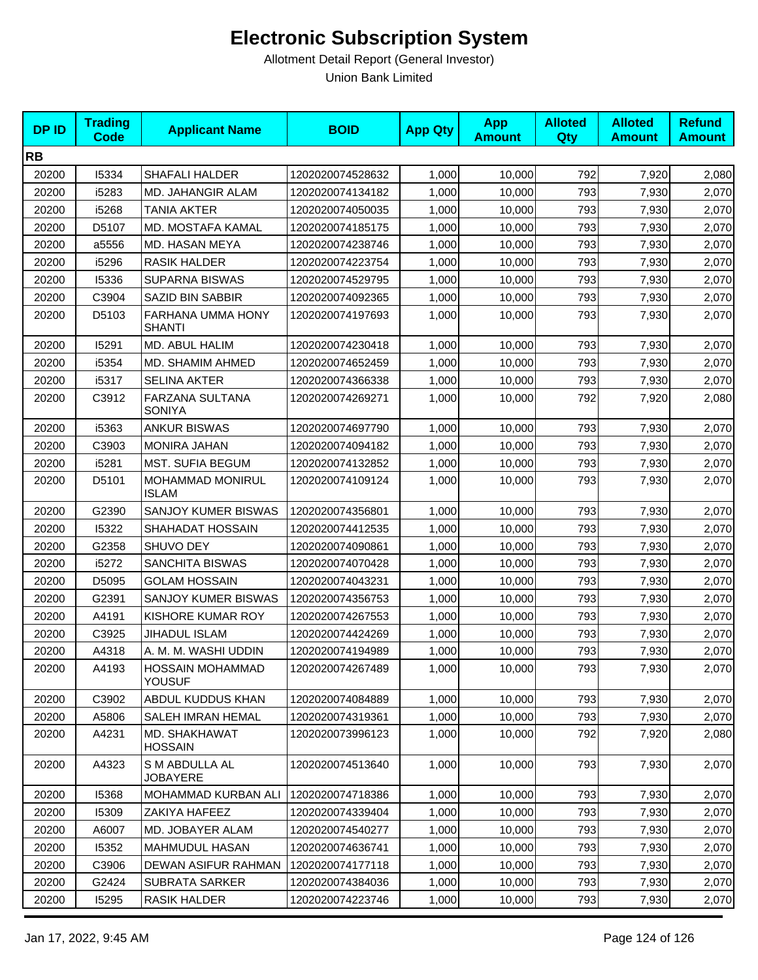| <b>DPID</b> | <b>Trading</b><br>Code | <b>Applicant Name</b>                    | <b>BOID</b>      | <b>App Qty</b> | <b>App</b><br><b>Amount</b> | <b>Alloted</b><br>Qty | <b>Alloted</b><br><b>Amount</b> | <b>Refund</b><br><b>Amount</b> |
|-------------|------------------------|------------------------------------------|------------------|----------------|-----------------------------|-----------------------|---------------------------------|--------------------------------|
| <b>RB</b>   |                        |                                          |                  |                |                             |                       |                                 |                                |
| 20200       | 15334                  | <b>SHAFALI HALDER</b>                    | 1202020074528632 | 1,000          | 10,000                      | 792                   | 7,920                           | 2,080                          |
| 20200       | i5283                  | <b>MD. JAHANGIR ALAM</b>                 | 1202020074134182 | 1,000          | 10,000                      | 793                   | 7,930                           | 2,070                          |
| 20200       | i5268                  | <b>TANIA AKTER</b>                       | 1202020074050035 | 1,000          | 10,000                      | 793                   | 7,930                           | 2,070                          |
| 20200       | D5107                  | MD. MOSTAFA KAMAL                        | 1202020074185175 | 1,000          | 10,000                      | 793                   | 7,930                           | 2,070                          |
| 20200       | a5556                  | MD. HASAN MEYA                           | 1202020074238746 | 1,000          | 10,000                      | 793                   | 7,930                           | 2,070                          |
| 20200       | i5296                  | <b>RASIK HALDER</b>                      | 1202020074223754 | 1,000          | 10,000                      | 793                   | 7,930                           | 2,070                          |
| 20200       | 15336                  | <b>SUPARNA BISWAS</b>                    | 1202020074529795 | 1,000          | 10,000                      | 793                   | 7,930                           | 2,070                          |
| 20200       | C3904                  | SAZID BIN SABBIR                         | 1202020074092365 | 1,000          | 10,000                      | 793                   | 7,930                           | 2,070                          |
| 20200       | D5103                  | FARHANA UMMA HONY<br><b>SHANTI</b>       | 1202020074197693 | 1,000          | 10,000                      | 793                   | 7,930                           | 2,070                          |
| 20200       | 15291                  | MD. ABUL HALIM                           | 1202020074230418 | 1,000          | 10,000                      | 793                   | 7,930                           | 2,070                          |
| 20200       | i5354                  | MD. SHAMIM AHMED                         | 1202020074652459 | 1,000          | 10,000                      | 793                   | 7,930                           | 2,070                          |
| 20200       | i5317                  | <b>SELINA AKTER</b>                      | 1202020074366338 | 1,000          | 10,000                      | 793                   | 7,930                           | 2,070                          |
| 20200       | C3912                  | FARZANA SULTANA<br><b>SONIYA</b>         | 1202020074269271 | 1,000          | 10,000                      | 792                   | 7,920                           | 2,080                          |
| 20200       | i5363                  | <b>ANKUR BISWAS</b>                      | 1202020074697790 | 1,000          | 10,000                      | 793                   | 7,930                           | 2,070                          |
| 20200       | C3903                  | <b>MONIRA JAHAN</b>                      | 1202020074094182 | 1,000          | 10,000                      | 793                   | 7,930                           | 2,070                          |
| 20200       | i5281                  | MST. SUFIA BEGUM                         | 1202020074132852 | 1,000          | 10,000                      | 793                   | 7,930                           | 2,070                          |
| 20200       | D5101                  | MOHAMMAD MONIRUL<br><b>ISLAM</b>         | 1202020074109124 | 1,000          | 10,000                      | 793                   | 7,930                           | 2,070                          |
| 20200       | G2390                  | SANJOY KUMER BISWAS                      | 1202020074356801 | 1,000          | 10,000                      | 793                   | 7,930                           | 2,070                          |
| 20200       | 15322                  | SHAHADAT HOSSAIN                         | 1202020074412535 | 1,000          | 10,000                      | 793                   | 7,930                           | 2,070                          |
| 20200       | G2358                  | <b>SHUVO DEY</b>                         | 1202020074090861 | 1,000          | 10,000                      | 793                   | 7,930                           | 2,070                          |
| 20200       | i5272                  | SANCHITA BISWAS                          | 1202020074070428 | 1,000          | 10,000                      | 793                   | 7,930                           | 2,070                          |
| 20200       | D5095                  | <b>GOLAM HOSSAIN</b>                     | 1202020074043231 | 1,000          | 10,000                      | 793                   | 7,930                           | 2,070                          |
| 20200       | G2391                  | SANJOY KUMER BISWAS                      | 1202020074356753 | 1,000          | 10,000                      | 793                   | 7,930                           | 2,070                          |
| 20200       | A4191                  | KISHORE KUMAR ROY                        | 1202020074267553 | 1,000          | 10,000                      | 793                   | 7,930                           | 2,070                          |
| 20200       | C3925                  | JIHADUL ISLAM                            | 1202020074424269 | 1,000          | 10,000                      | 793                   | 7,930                           | 2,070                          |
| 20200       | A4318                  | A. M. M. WASHI UDDIN                     | 1202020074194989 | 1,000          | 10,000                      | 793                   | 7,930                           | 2,070                          |
| 20200       | A4193                  | <b>HOSSAIN MOHAMMAD</b><br><b>YOUSUF</b> | 1202020074267489 | 1,000          | 10,000                      | 793                   | 7,930                           | 2,070                          |
| 20200       | C3902                  | ABDUL KUDDUS KHAN                        | 1202020074084889 | 1,000          | 10,000                      | 793                   | 7,930                           | 2,070                          |
| 20200       | A5806                  | SALEH IMRAN HEMAL                        | 1202020074319361 | 1,000          | 10,000                      | 793                   | 7,930                           | 2,070                          |
| 20200       | A4231                  | MD. SHAKHAWAT<br><b>HOSSAIN</b>          | 1202020073996123 | 1,000          | 10,000                      | 792                   | 7,920                           | 2,080                          |
| 20200       | A4323                  | S M ABDULLA AL<br><b>JOBAYERE</b>        | 1202020074513640 | 1,000          | 10,000                      | 793                   | 7,930                           | 2,070                          |
| 20200       | 15368                  | <b>MOHAMMAD KURBAN ALI</b>               | 1202020074718386 | 1,000          | 10,000                      | 793                   | 7,930                           | 2,070                          |
| 20200       | 15309                  | ZAKIYA HAFEEZ                            | 1202020074339404 | 1,000          | 10,000                      | 793                   | 7,930                           | 2,070                          |
| 20200       | A6007                  | MD. JOBAYER ALAM                         | 1202020074540277 | 1,000          | 10,000                      | 793                   | 7,930                           | 2,070                          |
| 20200       | 15352                  | <b>MAHMUDUL HASAN</b>                    | 1202020074636741 | 1,000          | 10,000                      | 793                   | 7,930                           | 2,070                          |
| 20200       | C3906                  | DEWAN ASIFUR RAHMAN                      | 1202020074177118 | 1,000          | 10,000                      | 793                   | 7,930                           | 2,070                          |
| 20200       | G2424                  | <b>SUBRATA SARKER</b>                    | 1202020074384036 | 1,000          | 10,000                      | 793                   | 7,930                           | 2,070                          |
| 20200       | 15295                  | RASIK HALDER                             | 1202020074223746 | 1,000          | 10,000                      | 793                   | 7,930                           | 2,070                          |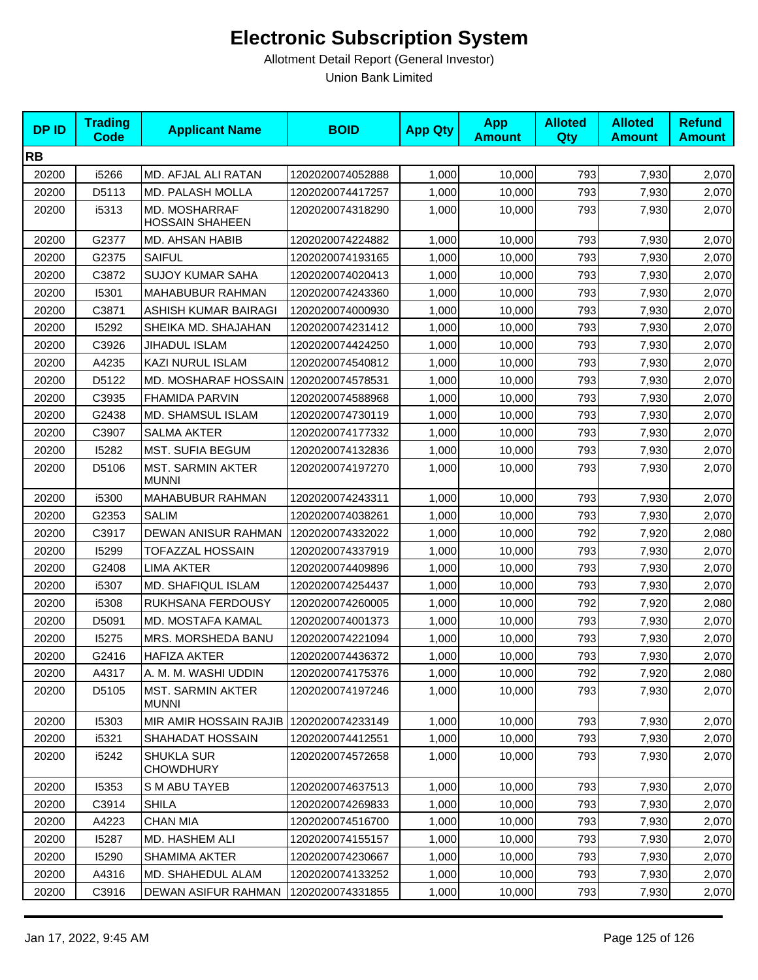| <b>DPID</b> | <b>Trading</b><br><b>Code</b> | <b>Applicant Name</b>                    | <b>BOID</b>      | <b>App Qty</b> | <b>App</b><br><b>Amount</b> | <b>Alloted</b><br>Qty | <b>Alloted</b><br><b>Amount</b> | <b>Refund</b><br><b>Amount</b> |
|-------------|-------------------------------|------------------------------------------|------------------|----------------|-----------------------------|-----------------------|---------------------------------|--------------------------------|
| <b>RB</b>   |                               |                                          |                  |                |                             |                       |                                 |                                |
| 20200       | i5266                         | MD. AFJAL ALI RATAN                      | 1202020074052888 | 1,000          | 10,000                      | 793                   | 7,930                           | 2,070                          |
| 20200       | D5113                         | MD. PALASH MOLLA                         | 1202020074417257 | 1,000          | 10,000                      | 793                   | 7,930                           | 2,070                          |
| 20200       | i5313                         | MD. MOSHARRAF<br><b>HOSSAIN SHAHEEN</b>  | 1202020074318290 | 1,000          | 10,000                      | 793                   | 7,930                           | 2,070                          |
| 20200       | G2377                         | MD. AHSAN HABIB                          | 1202020074224882 | 1,000          | 10,000                      | 793                   | 7,930                           | 2,070                          |
| 20200       | G2375                         | <b>SAIFUL</b>                            | 1202020074193165 | 1,000          | 10,000                      | 793                   | 7,930                           | 2,070                          |
| 20200       | C3872                         | <b>SUJOY KUMAR SAHA</b>                  | 1202020074020413 | 1,000          | 10,000                      | 793                   | 7,930                           | 2,070                          |
| 20200       | 15301                         | MAHABUBUR RAHMAN                         | 1202020074243360 | 1,000          | 10,000                      | 793                   | 7,930                           | 2,070                          |
| 20200       | C3871                         | ASHISH KUMAR BAIRAGI                     | 1202020074000930 | 1,000          | 10,000                      | 793                   | 7,930                           | 2,070                          |
| 20200       | 15292                         | SHEIKA MD. SHAJAHAN                      | 1202020074231412 | 1,000          | 10,000                      | 793                   | 7,930                           | 2,070                          |
| 20200       | C3926                         | JIHADUL ISLAM                            | 1202020074424250 | 1,000          | 10,000                      | 793                   | 7,930                           | 2,070                          |
| 20200       | A4235                         | KAZI NURUL ISLAM                         | 1202020074540812 | 1,000          | 10,000                      | 793                   | 7,930                           | 2,070                          |
| 20200       | D5122                         | MD. MOSHARAF HOSSAIN                     | 1202020074578531 | 1,000          | 10,000                      | 793                   | 7,930                           | 2,070                          |
| 20200       | C3935                         | FHAMIDA PARVIN                           | 1202020074588968 | 1,000          | 10,000                      | 793                   | 7,930                           | 2,070                          |
| 20200       | G2438                         | MD. SHAMSUL ISLAM                        | 1202020074730119 | 1,000          | 10,000                      | 793                   | 7,930                           | 2,070                          |
| 20200       | C3907                         | <b>SALMA AKTER</b>                       | 1202020074177332 | 1,000          | 10,000                      | 793                   | 7,930                           | 2,070                          |
| 20200       | 15282                         | <b>MST. SUFIA BEGUM</b>                  | 1202020074132836 | 1,000          | 10,000                      | 793                   | 7,930                           | 2,070                          |
| 20200       | D5106                         | <b>MST. SARMIN AKTER</b><br><b>MUNNI</b> | 1202020074197270 | 1,000          | 10,000                      | 793                   | 7,930                           | 2,070                          |
| 20200       | i5300                         | MAHABUBUR RAHMAN                         | 1202020074243311 | 1,000          | 10,000                      | 793                   | 7,930                           | 2,070                          |
| 20200       | G2353                         | <b>SALIM</b>                             | 1202020074038261 | 1,000          | 10,000                      | 793                   | 7,930                           | 2,070                          |
| 20200       | C3917                         | DEWAN ANISUR RAHMAN                      | 1202020074332022 | 1,000          | 10,000                      | 792                   | 7,920                           | 2,080                          |
| 20200       | 15299                         | TOFAZZAL HOSSAIN                         | 1202020074337919 | 1,000          | 10,000                      | 793                   | 7,930                           | 2,070                          |
| 20200       | G2408                         | <b>LIMA AKTER</b>                        | 1202020074409896 | 1,000          | 10,000                      | 793                   | 7,930                           | 2,070                          |
| 20200       | i5307                         | MD. SHAFIQUL ISLAM                       | 1202020074254437 | 1,000          | 10,000                      | 793                   | 7,930                           | 2,070                          |
| 20200       | i5308                         | RUKHSANA FERDOUSY                        | 1202020074260005 | 1,000          | 10,000                      | 792                   | 7,920                           | 2,080                          |
| 20200       | D5091                         | MD. MOSTAFA KAMAL                        | 1202020074001373 | 1,000          | 10,000                      | 793                   | 7,930                           | 2,070                          |
| 20200       | 15275                         | MRS. MORSHEDA BANU                       | 1202020074221094 | 1,000          | 10,000                      | 793                   | 7,930                           | 2,070                          |
| 20200       | G2416                         | <b>HAFIZA AKTER</b>                      | 1202020074436372 | 1,000          | 10,000                      | 793                   | 7,930                           | 2,070                          |
| 20200       | A4317                         | A. M. M. WASHI UDDIN                     | 1202020074175376 | 1,000          | 10,000                      | 792                   | 7,920                           | 2,080                          |
| 20200       | D5105                         | <b>MST. SARMIN AKTER</b><br><b>MUNNI</b> | 1202020074197246 | 1,000          | 10,000                      | 793                   | 7,930                           | 2,070                          |
| 20200       | 15303                         | MIR AMIR HOSSAIN RAJIB 1202020074233149  |                  | 1,000          | 10,000                      | 793                   | 7,930                           | 2,070                          |
| 20200       | i5321                         | SHAHADAT HOSSAIN                         | 1202020074412551 | 1,000          | 10,000                      | 793                   | 7,930                           | 2,070                          |
| 20200       | i5242                         | <b>SHUKLA SUR</b><br><b>CHOWDHURY</b>    | 1202020074572658 | 1,000          | 10,000                      | 793                   | 7,930                           | 2,070                          |
| 20200       | 15353                         | S M ABU TAYEB                            | 1202020074637513 | 1,000          | 10,000                      | 793                   | 7,930                           | 2,070                          |
| 20200       | C3914                         | <b>SHILA</b>                             | 1202020074269833 | 1,000          | 10,000                      | 793                   | 7,930                           | 2,070                          |
| 20200       | A4223                         | <b>CHAN MIA</b>                          | 1202020074516700 | 1,000          | 10,000                      | 793                   | 7,930                           | 2,070                          |
| 20200       | 15287                         | MD. HASHEM ALI                           | 1202020074155157 | 1,000          | 10,000                      | 793                   | 7,930                           | 2,070                          |
| 20200       | 15290                         | SHAMIMA AKTER                            | 1202020074230667 | 1,000          | 10,000                      | 793                   | 7,930                           | 2,070                          |
| 20200       | A4316                         | MD. SHAHEDUL ALAM                        | 1202020074133252 | 1,000          | 10,000                      | 793                   | 7,930                           | 2,070                          |
| 20200       | C3916                         | DEWAN ASIFUR RAHMAN                      | 1202020074331855 | 1,000          | 10,000                      | 793                   | 7,930                           | 2,070                          |